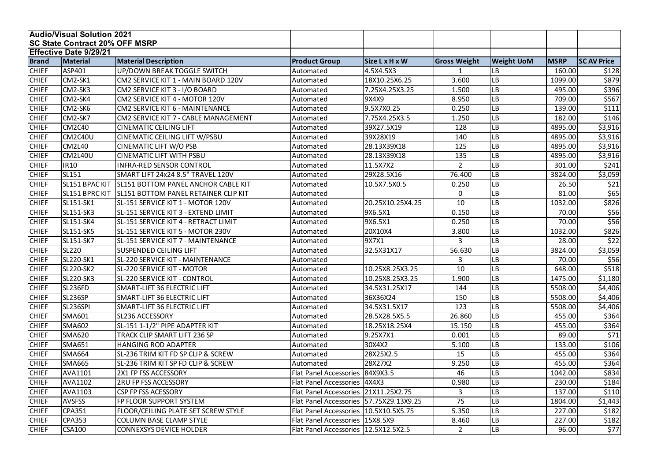|              | <b>Audio/Visual Solution 2021</b>     |                                               |                                           |                       |                     |                   |             |                   |
|--------------|---------------------------------------|-----------------------------------------------|-------------------------------------------|-----------------------|---------------------|-------------------|-------------|-------------------|
|              | <b>SC State Contract 20% OFF MSRP</b> |                                               |                                           |                       |                     |                   |             |                   |
|              | <b>Effective Date 9/29/21</b>         |                                               |                                           |                       |                     |                   |             |                   |
| <b>Brand</b> | <b>Material</b>                       | <b>Material Description</b>                   | <b>Product Group</b>                      | <b>Size L x H x W</b> | <b>Gross Weight</b> | <b>Weight UoM</b> | <b>MSRP</b> | <b>SCAV Price</b> |
| <b>CHIEF</b> | ASP401                                | UP/DOWN BREAK TOGGLE SWITCH                   | Automated                                 | 4.5X4.5X3             |                     | LB                | 160.00      | \$128             |
| <b>CHIEF</b> | CM2-SK1                               | CM2 SERVICE KIT 1 - MAIN BOARD 120V           | Automated                                 | 18X10.25X6.25         | 3.600               | LB                | 1099.00     | \$879             |
| <b>CHIEF</b> | CM2-SK3                               | CM2 SERVICE KIT 3 - I/O BOARD                 | Automated                                 | 7.25X4.25X3.25        | 1.500               | LB                | 495.00      | \$396             |
| <b>CHIEF</b> | CM2-SK4                               | CM2 SERVICE KIT 4 - MOTOR 120V                | Automated                                 | 9X4X9                 | 8.950               | LB                | 709.00      | \$567             |
| <b>CHIEF</b> | CM2-SK6                               | CM2 SERVICE KIT 6 - MAINTENANCE               | Automated                                 | 9.5X7X0.25            | 0.250               | LB                | 139.00      | \$111             |
| <b>CHIEF</b> | CM2-SK7                               | CM2 SERVICE KIT 7 - CABLE MANAGEMENT          | Automated                                 | 7.75X4.25X3.5         | 1.250               | LB                | 182.00      | \$146             |
| <b>CHIEF</b> | <b>CM2C40</b>                         | <b>CINEMATIC CEILING LIFT</b>                 | Automated                                 | 39X27.5X19            | 128                 | LB                | 4895.00     | \$3,916           |
| <b>CHIEF</b> | <b>CM2C40U</b>                        | <b>CINEMATIC CEILING LIFT W/PSBU</b>          | Automated                                 | 39X28X19              | 140                 | LВ                | 4895.00     | \$3,916           |
| <b>CHIEF</b> | <b>CM2L40</b>                         | <b>CINEMATIC LIFT W/O PSB</b>                 | Automated                                 | 28.13X39X18           | 125                 | LB                | 4895.00     | \$3,916           |
| <b>CHIEF</b> | <b>CM2L40U</b>                        | <b>CINEMATIC LIFT WITH PSBU</b>               | Automated                                 | 28.13X39X18           | 135                 | LB                | 4895.00     | \$3,916           |
| <b>CHIEF</b> | <b>IR10</b>                           | <b>INFRA-RED SENSOR CONTROL</b>               | Automated                                 | 11.5X7X2              | $\overline{2}$      | LВ                | 301.00      | \$241             |
| <b>CHIEF</b> | <b>SL151</b>                          | SMART LIFT 24x24 8.5" TRAVEL 120V             | Automated                                 | 29X28.5X16            | 76.400              | LB                | 3824.00     | \$3,059           |
| <b>CHIEF</b> | SL151 BPAC KIT                        | <b>SL151 BOTTOM PANEL ANCHOR CABLE KIT</b>    | Automated                                 | 10.5X7.5X0.5          | 0.250               | LB                | 26.50       | \$21              |
| <b>CHIEF</b> | SL151 BPRC KIT                        | <b>SL151 BOTTOM PANEL RETAINER CLIP KIT</b>   | Automated                                 |                       | $\mathbf 0$         | LВ                | 81.00       | \$65              |
| <b>CHIEF</b> | SL151-SK1                             | SL-151 SERVICE KIT 1 - MOTOR 120V             | Automated                                 | 20.25X10.25X4.25      | 10                  | LВ                | 1032.00     | \$826             |
| <b>CHIEF</b> | <b>SL151-SK3</b>                      | SL-151 SERVICE KIT 3 - EXTEND LIMIT           | Automated                                 | 9X6.5X1               | 0.150               | LB                | 70.00       | \$56              |
| <b>CHIEF</b> | SL151-SK4                             | SL-151 SERVICE KIT 4 - RETRACT LIMIT          | Automated                                 | 9X6.5X1               | 0.250               | LB                | 70.00       | \$56              |
| <b>CHIEF</b> | <b>SL151-SK5</b>                      | SL-151 SERVICE KIT 5 - MOTOR 230V             | Automated                                 | 20X10X4               | 3.800               | LB                | 1032.00     | \$826             |
| <b>CHIEF</b> | <b>SL151-SK7</b>                      | SL-151 SERVICE KIT 7 - MAINTENANCE            | Automated                                 | 9X7X1                 | 3                   | LB                | 28.00       | \$22              |
| <b>CHIEF</b> | <b>SL220</b>                          | <b>SUSPENDED CEILING LIFT</b>                 | Automated                                 | 32.5X31X17            | 56.630              | LB                | 3824.00     | \$3,059           |
| <b>CHIEF</b> | SL220-SK1                             | SL-220 SERVICE KIT - MAINTENANCE              | Automated                                 |                       | 3                   | LB                | 70.00       | \$56              |
| <b>CHIEF</b> | <b>SL220-SK2</b>                      | <b>SL-220 SERVICE KIT - MOTOR</b>             | Automated                                 | 10.25X8.25X3.25       | 10                  | LB                | 648.00      | \$518             |
| <b>CHIEF</b> | SL220-SK3                             | SL-220 SERVICE KIT - CONTROL                  | Automated                                 | 10.25X8.25X3.25       | 1.900               | LB                | 1475.00     | \$1,180           |
| <b>CHIEF</b> | <b>SL236FD</b>                        | <b>SMART-LIFT 36 ELECTRIC LIFT</b>            | Automated                                 | 34.5X31.25X17         | 144                 | LB                | 5508.00     | \$4,406           |
| <b>CHIEF</b> | SL236SP                               | <b>SMART-LIFT 36 ELECTRIC LIFT</b>            | Automated                                 | 36X36X24              | 150                 | LB                | 5508.00     | \$4,406           |
| <b>CHIEF</b> | SL236SPI                              | <b>SMART-LIFT 36 ELECTRIC LIFT</b>            | Automated                                 | 34.5X31.5X17          | 123                 | LB                | 5508.00     | \$4,406           |
| <b>CHIEF</b> | <b>SMA601</b>                         | <b>SL236 ACCESSORY</b>                        | Automated                                 | 28.5X28.5X5.5         | 26.860              | LB                | 455.00      | \$364             |
| <b>CHIEF</b> | <b>SMA602</b>                         | SL-151 1-1/2" PIPE ADAPTER KIT                | Automated                                 | 18.25X18.25X4         | 15.150              | LB                | 455.00      | \$364             |
| <b>CHIEF</b> | <b>SMA620</b>                         | TRACK CLIP SMART LIFT 236 SP                  | Automated                                 | 9.25X7X1              | 0.001               | LB                | 89.00       | \$71              |
| <b>CHIEF</b> | <b>SMA651</b>                         | <b>HANGING ROD ADAPTER</b>                    | Automated                                 | 30X4X2                | 5.100               | ${\sf LB}$        | 133.00      | \$106             |
| <b>CHIEF</b> | <b>SMA664</b>                         | SL-236 TRIM KIT FD SP CLIP & SCREW            | Automated                                 | 28X25X2.5             | 15                  | LB                | 455.00      | \$364             |
| <b>CHIEF</b> | <b>SMA665</b>                         | <b>SL-236 TRIM KIT SP FD CLIP &amp; SCREW</b> | Automated                                 | 28X27X2               | 9.250               | LB                | 455.00      | \$364             |
| <b>CHIEF</b> | <b>AVA1101</b>                        | 2X1 FP FSS ACCESSORY                          | <b>Flat Panel Accessories</b>             | 84X9X3.5              | 46                  | LB                | 1042.00     | \$834             |
| <b>CHIEF</b> | <b>AVA1102</b>                        | <b>2RU FP FSS ACCESSORY</b>                   | Flat Panel Accessories   4X4X3            |                       | 0.980               | <b>LB</b>         | 230.00      | \$184             |
| <b>CHIEF</b> | <b>AVA1103</b>                        | <b>CSP FP FSS ACESSORY</b>                    | Flat Panel Accessories   21X11.25X2.75    |                       | 3                   | LB                | 137.00      | \$110             |
| <b>CHIEF</b> | <b>AVSFSS</b>                         | FP FLOOR SUPPORT SYSTEM                       | Flat Panel Accessories   57.75X29.13X9.25 |                       | 75                  | LB                | 1804.00     | \$1,443           |
| <b>CHIEF</b> | <b>CPA351</b>                         | FLOOR/CEILING PLATE SET SCREW STYLE           | Flat Panel Accessories   10.5X10.5X5.75   |                       | 5.350               | LB                | 227.00      | \$182             |
| <b>CHIEF</b> | <b>CPA353</b>                         | <b>COLUMN BASE CLAMP STYLE</b>                | Flat Panel Accessories   15X8.5X9         |                       | 8.460               | LB                | 227.00      | \$182             |
| <b>CHIEF</b> | <b>CSA100</b>                         | <b>CONNEXSYS DEVICE HOLDER</b>                | Flat Panel Accessories   12.5X12.5X2.5    |                       | 2                   | LB                | 96.00       | \$77              |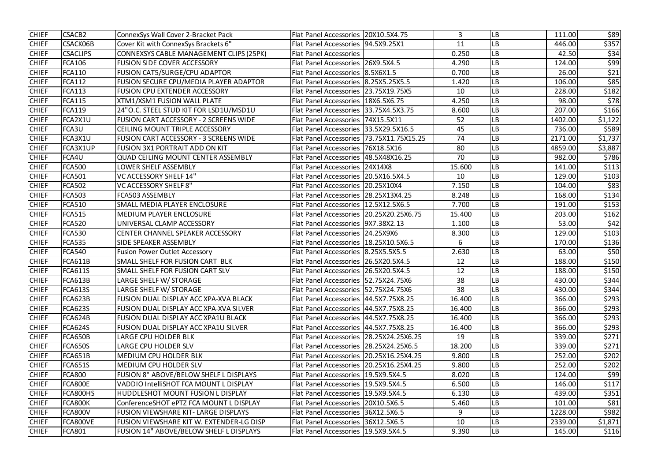| <b>CHIEF</b> | <b>CSACB2</b>   | ConnexSys Wall Cover 2-Bracket Pack           | Flat Panel Accessories   20X10.5X4.75      | $\overline{3}$ | <b>LB</b>  | 111.00  | \$89    |
|--------------|-----------------|-----------------------------------------------|--------------------------------------------|----------------|------------|---------|---------|
| <b>CHIEF</b> | <b>CSACK06B</b> | Cover Kit with ConnexSys Brackets 6"          | Flat Panel Accessories   94.5X9.25X1       | 11             | LВ         | 446.00  | \$357   |
| <b>CHIEF</b> | <b>CSACLIPS</b> | CONNEXSYS CABLE MANAGEMENT CLIPS (25PK)       | <b>Flat Panel Accessories</b>              | 0.250          | LB         | 42.50   | \$34    |
| <b>CHIEF</b> | <b>FCA106</b>   | <b>FUSION SIDE COVER ACCESSORY</b>            | Flat Panel Accessories   26X9.5X4.5        | 4.290          | <b>LB</b>  | 124.00  | \$99    |
| <b>CHIEF</b> | <b>FCA110</b>   | <b>FUSION CAT5/SURGE/CPU ADAPTOR</b>          | Flat Panel Accessories   8.5X6X1.5         | 0.700          | LB         | 26.00   | \$21    |
| <b>CHIEF</b> | <b>FCA112</b>   | FUSION SECURE CPU/MEDIA PLAYER ADAPTOR        | Flat Panel Accessories   8.25X5.25X5.5     | 1.420          | LВ         | 106.00  | \$85    |
| <b>CHIEF</b> | <b>FCA113</b>   | <b>FUSION CPU EXTENDER ACCESSORY</b>          | Flat Panel Accessories   23.75X19.75X5     | 10             | LB         | 228.00  | \$182   |
| <b>CHIEF</b> | <b>FCA115</b>   | XTM1/XSM1 FUSION WALL PLATE                   | Flat Panel Accessories   18X6.5X6.75       | 4.250          | LB         | 98.00   | \$78    |
| <b>CHIEF</b> | <b>FCA119</b>   | 24"O.C. STEEL STUD KIT FOR LSD1U/MSD1U        | Flat Panel Accessories   33.75X4.5X3.75    | 8.600          | LB         | 207.00  | \$166   |
| <b>CHIEF</b> | FCA2X1U         | FUSION CART ACCESSORY - 2 SCREENS WIDE        | Flat Panel Accessories   74X15.5X11        | 52             | LB         | 1402.00 | \$1,122 |
| <b>CHIEF</b> | FCA3U           | CEILING MOUNT TRIPLE ACCESSORY                | Flat Panel Accessories   33.5X29.5X16.5    | 45             | <b>LB</b>  | 736.00  | \$589   |
| <b>CHIEF</b> | FCA3X1U         | <b>FUSION CART ACCESSORY - 3 SCREENS WIDE</b> | Flat Panel Accessories   73.75X11.75X15.25 | 74             | LВ         | 2171.00 | \$1,737 |
| <b>CHIEF</b> | FCA3X1UP        | <b>FUSION 3X1 PORTRAIT ADD ON KIT</b>         | Flat Panel Accessories   76X18.5X16        | 80             | ${\sf LB}$ | 4859.00 | \$3,887 |
| <b>CHIEF</b> | FCA4U           | <b>QUAD CEILING MOUNT CENTER ASSEMBLY</b>     | Flat Panel Accessories   48.5X48X16.25     | 70             | LB         | 982.00  | \$786   |
| <b>CHIEF</b> | <b>FCA500</b>   | <b>LOWER SHELF ASSEMBLY</b>                   | Flat Panel Accessories   24X14X8           | 15.600         | LB         | 141.00  | \$113   |
| <b>CHIEF</b> | <b>FCA501</b>   | <b>VC ACCESSORY SHELF 14"</b>                 | Flat Panel Accessories   20.5X16.5X4.5     | 10             | LВ         | 129.00  | \$103   |
| <b>CHIEF</b> | <b>FCA502</b>   | <b>VC ACCESSORY SHELF 8"</b>                  | Flat Panel Accessories   20.25X10X4        | 7.150          | LB         | 104.00  | \$83    |
| <b>CHIEF</b> | <b>FCA503</b>   | <b>FCA503 ASSEMBLY</b>                        | Flat Panel Accessories   28.25X13X4.25     | 8.248          | <b>LB</b>  | 168.00  | \$134   |
| <b>CHIEF</b> | <b>FCA510</b>   | SMALL MEDIA PLAYER ENCLOSURE                  | Flat Panel Accessories   12.5X12.5X6.5     | 7.700          | LB         | 191.00  | \$153   |
| <b>CHIEF</b> | <b>FCA515</b>   | <b>MEDIUM PLAYER ENCLOSURE</b>                | Flat Panel Accessories   20.25X20.25X6.75  | 15.400         | <b>LB</b>  | 203.00  | \$162   |
| <b>CHIEF</b> | <b>FCA520</b>   | UNIVERSAL CLAMP ACCESSORY                     | Flat Panel Accessories   9X7.38X2.13       | 1.100          | LB         | 53.00   | \$42    |
| <b>CHIEF</b> | <b>FCA530</b>   | CENTER CHANNEL SPEAKER ACCESSORY              | Flat Panel Accessories   24.25X9X6         | 8.300          | <b>LB</b>  | 129.00  | \$103   |
| <b>CHIEF</b> | <b>FCA535</b>   | SIDE SPEAKER ASSEMBLY                         | Flat Panel Accessories   18.25X10.5X6.5    | 6              | LB         | 170.00  | \$136   |
| <b>CHIEF</b> | <b>FCA540</b>   | <b>Fusion Power Outlet Accessory</b>          | Flat Panel Accessories 8.25X5.5X5.5        | 2.630          | <b>LB</b>  | 63.00   | \$50    |
| <b>CHIEF</b> | <b>FCA611B</b>  | SMALL SHELF FOR FUSION CART BLK               | Flat Panel Accessories 26.5X20.5X4.5       | 12             | ${\sf LB}$ | 188.00  | \$150   |
| <b>CHIEF</b> | <b>FCA611S</b>  | SMALL SHELF FOR FUSION CART SLV               | Flat Panel Accessories   26.5X20.5X4.5     | 12             | LB         | 188.00  | \$150   |
| <b>CHIEF</b> | FCA613B         | LARGE SHELF W/ STORAGE                        | Flat Panel Accessories 52.75X24.75X6       | 38             | <b>LB</b>  | 430.00  | \$344   |
| <b>CHIEF</b> | <b>FCA613S</b>  | LARGE SHELF W/ STORAGE                        | Flat Panel Accessories   52.75X24.75X6     | 38             | <b>LB</b>  | 430.00  | \$344   |
| <b>CHIEF</b> | FCA623B         | <b>FUSION DUAL DISPLAY ACC XPA-XVA BLACK</b>  | Flat Panel Accessories   44.5X7.75X8.25    | 16.400         | <b>LB</b>  | 366.00  | \$293   |
| <b>CHIEF</b> | <b>FCA623S</b>  | FUSION DUAL DISPLAY ACC XPA-XVA SILVER        | Flat Panel Accessories   44.5X7.75X8.25    | 16.400         | <b>LB</b>  | 366.00  | \$293   |
| <b>CHIEF</b> | <b>FCA624B</b>  | <b>FUSION DUAL DISPLAY ACC XPA1U BLACK</b>    | Flat Panel Accessories   44.5X7.75X8.25    | 16.400         | <b>LB</b>  | 366.00  | \$293   |
| <b>CHIEF</b> | <b>FCA624S</b>  | FUSION DUAL DISPLAY ACC XPA1U SILVER          | Flat Panel Accessories   44.5X7.75X8.25    | 16.400         | <b>LB</b>  | 366.00  | \$293   |
| <b>CHIEF</b> | <b>FCA650B</b>  | LARGE CPU HOLDER BLK                          | Flat Panel Accessories   28.25X24.25X6.25  | 19             | LB         | 339.00  | \$271   |
| <b>CHIEF</b> | <b>FCA650S</b>  | LARGE CPU HOLDER SLV                          | Flat Panel Accessories   28.25X24.25X6.5   | 18.200         | <b>LB</b>  | 339.00  | \$271   |
| <b>CHIEF</b> | FCA651B         | <b>MEDIUM CPU HOLDER BLK</b>                  | Flat Panel Accessories   20.25X16.25X4.25  | 9.800          | <b>LB</b>  | 252.00  | \$202   |
| <b>CHIEF</b> | <b>FCA651S</b>  | <b>MEDIUM CPU HOLDER SLV</b>                  | Flat Panel Accessories   20.25X16.25X4.25  | 9.800          | LB         | 252.00  | \$202   |
| <b>CHIEF</b> | <b>FCA800</b>   | FUSION 8" ABOVE/BELOW SHELF L DISPLAYS        | Flat Panel Accessories   19.5X9.5X4.5      | 8.020          | <b>LB</b>  | 124.00  | \$99    |
| <b>CHIEF</b> | FCA800E         | VADDIO IntelliSHOT FCA MOUNT L DISPLAY        | Flat Panel Accessories   19.5X9.5X4.5      | 6.500          | LB         | 146.00  | \$117   |
| <b>CHIEF</b> | FCA800HS        | <b>HUDDLESHOT MOUNT FUSION L DISPLAY</b>      | Flat Panel Accessories   19.5X9.5X4.5      | 6.130          | <b>LB</b>  | 439.00  | \$351   |
| <b>CHIEF</b> | FCA800K         | ConferenceSHOT ePTZ FCA MOUNT L DISPLAY       | Flat Panel Accessories   20X10.5X6.5       | 5.460          | <b>LB</b>  | 101.00  | \$81    |
| <b>CHIEF</b> | FCA800V         | <b>FUSION VIEWSHARE KIT-LARGE DISPLAYS</b>    | Flat Panel Accessories 36X12.5X6.5         | 9              | <b>LB</b>  | 1228.00 | \$982   |
| <b>CHIEF</b> | FCA800VE        | FUSION VIEWSHARE KIT W. EXTENDER-LG DISP      | Flat Panel Accessories 36X12.5X6.5         | 10             | <b>LB</b>  | 2339.00 | \$1,871 |
| <b>CHIEF</b> | <b>FCA801</b>   | FUSION 14" ABOVE/BELOW SHELF L DISPLAYS       | Flat Panel Accessories   19.5X9.5X4.5      | 9.390          | LB         | 145.00  | \$116   |
|              |                 |                                               |                                            |                |            |         |         |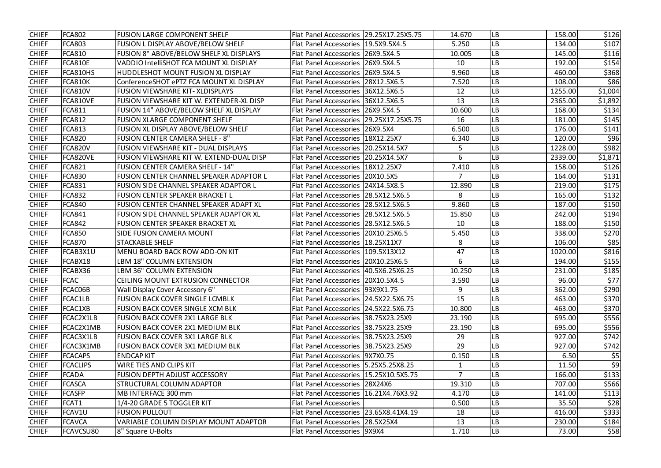| <b>CHIEF</b> | <b>FCA802</b>   | <b>FUSION LARGE COMPONENT SHELF</b>             | Flat Panel Accessories   29.25X17.25X5.75 |          | 14.670         | <b>LB</b> | 158.00  | \$126   |
|--------------|-----------------|-------------------------------------------------|-------------------------------------------|----------|----------------|-----------|---------|---------|
| <b>CHIEF</b> | <b>FCA803</b>   | FUSION L DISPLAY ABOVE/BELOW SHELF              | Flat Panel Accessories   19.5X9.5X4.5     |          | 5.250          | LB        | 134.00  | \$107   |
| <b>CHIEF</b> | <b>FCA810</b>   | FUSION 8" ABOVE/BELOW SHELF XL DISPLAYS         | Flat Panel Accessories   26X9.5X4.5       |          | 10.005         | LB        | 145.00  | \$116   |
| <b>CHIEF</b> | <b>FCA810E</b>  | VADDIO IntelliSHOT FCA MOUNT XL DISPLAY         | Flat Panel Accessories   26X9.5X4.5       |          | 10             | LB        | 192.00  | \$154   |
| <b>CHIEF</b> | FCA810HS        | HUDDLESHOT MOUNT FUSION XL DISPLAY              | Flat Panel Accessories   26X9.5X4.5       |          | 9.960          | LB        | 460.00  | \$368   |
| <b>CHIEF</b> | <b>FCA810K</b>  | ConferenceSHOT ePTZ FCA MOUNT XL DISPLAY        | Flat Panel Accessories 28X12.5X6.5        |          | 7.520          | LВ        | 108.00  | \$86    |
| <b>CHIEF</b> | <b>FCA810V</b>  | <b>FUSION VIEWSHARE KIT- XLDISPLAYS</b>         | Flat Panel Accessories   36X12.5X6.5      |          | 12             | LB        | 1255.00 | \$1,004 |
| <b>CHIEF</b> | FCA810VE        | FUSION VIEWSHARE KIT W. EXTENDER-XL DISP        | Flat Panel Accessories 36X12.5X6.5        |          | 13             | LB        | 2365.00 | \$1,892 |
| <b>CHIEF</b> | <b>FCA811</b>   | FUSION 14" ABOVE/BELOW SHELF XL DISPLAY         | Flat Panel Accessories   26X9.5X4.5       |          | 10.600         | LВ        | 168.00  | \$134   |
| <b>CHIEF</b> | <b>FCA812</b>   | <b>FUSION XLARGE COMPONENT SHELF</b>            | Flat Panel Accessories   29.25X17.25X5.75 |          | 16             | LB        | 181.00  | \$145   |
| <b>CHIEF</b> | <b>FCA813</b>   | FUSION XL DISPLAY ABOVE/BELOW SHELF             | <b>Flat Panel Accessories</b>             | 26X9.5X4 | 6.500          | LB        | 176.00  | \$141   |
| <b>CHIEF</b> | <b>FCA820</b>   | <b>FUSION CENTER CAMERA SHELF - 8"</b>          | Flat Panel Accessories   18X12.25X7       |          | 6.340          | LВ        | 120.00  | \$96    |
| <b>CHIEF</b> | <b>FCA820V</b>  | FUSION VIEWSHARE KIT - DUAL DISPLAYS            | Flat Panel Accessories   20.25X14.5X7     |          | 5              | LB        | 1228.00 | \$982   |
| <b>CHIEF</b> | FCA820VE        | <b>FUSION VIEWSHARE KIT W. EXTEND-DUAL DISP</b> | Flat Panel Accessories   20.25X14.5X7     |          | 6              | LB        | 2339.00 | \$1,871 |
| <b>CHIEF</b> | <b>FCA821</b>   | <b>FUSION CENTER CAMERA SHELF - 14"</b>         | Flat Panel Accessories   18X12.25X7       |          | 7.410          | LB        | 158.00  | \$126   |
| <b>CHIEF</b> | <b>FCA830</b>   | <b>FUSION CENTER CHANNEL SPEAKER ADAPTOR L</b>  | Flat Panel Accessories   20X10.5X5        |          | $\overline{7}$ | LB        | 164.00  | \$131   |
| <b>CHIEF</b> | <b>FCA831</b>   | <b>FUSION SIDE CHANNEL SPEAKER ADAPTOR L</b>    | Flat Panel Accessories   24X14.5X8.5      |          | 12.890         | LB        | 219.00  | \$175   |
| <b>CHIEF</b> | <b>FCA832</b>   | <b>FUSION CENTER SPEAKER BRACKET L</b>          | Flat Panel Accessories   28.5X12.5X6.5    |          | 8              | LB        | 165.00  | \$132   |
| <b>CHIEF</b> | <b>FCA840</b>   | FUSION CENTER CHANNEL SPEAKER ADAPT XL          | Flat Panel Accessories   28.5X12.5X6.5    |          | 9.860          | LB        | 187.00  | \$150   |
| <b>CHIEF</b> | <b>FCA841</b>   | <b>FUSION SIDE CHANNEL SPEAKER ADAPTOR XL</b>   | Flat Panel Accessories   28.5X12.5X6.5    |          | 15.850         | LB        | 242.00  | \$194   |
| <b>CHIEF</b> | <b>FCA842</b>   | <b>FUSION CENTER SPEAKER BRACKET XL</b>         | Flat Panel Accessories   28.5X12.5X6.5    |          | 10             | LB        | 188.00  | \$150   |
| <b>CHIEF</b> | <b>FCA850</b>   | SIDE FUSION CAMERA MOUNT                        | Flat Panel Accessories   20X10.25X6.5     |          | 5.450          | LB        | 338.00  | \$270   |
| <b>CHIEF</b> | <b>FCA870</b>   | <b>STACKABLE SHELF</b>                          | Flat Panel Accessories   18.25X11X7       |          | 8              | LB        | 106.00  | \$85    |
| <b>CHIEF</b> | FCAB3X1U        | MENU BOARD BACK ROW ADD-ON KIT                  | Flat Panel Accessories   109.5X13X12      |          | 47             | LB        | 1020.00 | \$816   |
| <b>CHIEF</b> | FCABX18         | <b>LBM 18" COLUMN EXTENSION</b>                 | Flat Panel Accessories   20X10.25X6.5     |          | 6              | LB        | 194.00  | \$155   |
| <b>CHIEF</b> | FCABX36         | LBM 36" COLUMN EXTENSION                        | Flat Panel Accessories   40.5X6.25X6.25   |          | 10.250         | LВ        | 231.00  | \$185   |
| <b>CHIEF</b> | <b>FCAC</b>     | CEILING MOUNT EXTRUSION CONNECTOR               | Flat Panel Accessories   20X10.5X4.5      |          | 3.590          | <b>LB</b> | 96.00   | \$77    |
| <b>CHIEF</b> | FCAC06B         | Wall Display Cover Accessory 6"                 | Flat Panel Accessories   93X9X1.75        |          | 9              | LB        | 362.00  | \$290   |
| <b>CHIEF</b> | FCAC1LB         | <b>FUSION BACK COVER SINGLE LCMBLK</b>          | Flat Panel Accessories   24.5X22.5X6.75   |          | 15             | LB        | 463.00  | \$370   |
| <b>CHIEF</b> | FCAC1XB         | <b>FUSION BACK COVER SINGLE XCM BLK</b>         | Flat Panel Accessories   24.5X22.5X6.75   |          | 10.800         | LB        | 463.00  | \$370   |
| <b>CHIEF</b> | FCAC2X1LB       | <b>FUSION BACK COVER 2X1 LARGE BLK</b>          | Flat Panel Accessories 38.75X23.25X9      |          | 23.190         | LB        | 695.00  | \$556   |
| <b>CHIEF</b> | FCAC2X1MB       | <b>FUSION BACK COVER 2X1 MEDIUM BLK</b>         | Flat Panel Accessories   38.75X23.25X9    |          | 23.190         | LB        | 695.00  | \$556   |
| <b>CHIEF</b> | FCAC3X1LB       | <b>FUSION BACK COVER 3X1 LARGE BLK</b>          | Flat Panel Accessories 38.75X23.25X9      |          | 29             | LB        | 927.00  | \$742   |
| <b>CHIEF</b> | FCAC3X1MB       | <b>FUSION BACK COVER 3X1 MEDIUM BLK</b>         | Flat Panel Accessories 38.75X23.25X9      |          | 29             | LB        | 927.00  | \$742   |
| <b>CHIEF</b> | <b>FCACAPS</b>  | <b>ENDCAP KIT</b>                               | Flat Panel Accessories   9X7X0.75         |          | 0.150          | LB        | 6.50    | \$5     |
| <b>CHIEF</b> | <b>FCACLIPS</b> | <b>WIRE TIES AND CLIPS KIT</b>                  | Flat Panel Accessories   5.25X5.25X8.25   |          | 1              | LB        | 11.50   | \$9     |
| <b>CHIEF</b> | <b>FCADA</b>    | <b>FUSION DEPTH ADJUST ACCESSORY</b>            | Flat Panel Accessories   15.25X10.5X5.75  |          | $\overline{7}$ | LB        | 166.00  | \$133   |
| <b>CHIEF</b> | <b>FCASCA</b>   | STRUCTURAL COLUMN ADAPTOR                       | Flat Panel Accessories   28X24X6          |          | 19.310         | LB        | 707.00  | \$566   |
| <b>CHIEF</b> | <b>FCASFP</b>   | MB INTERFACE 300 mm                             | Flat Panel Accessories   16.21X4.76X3.92  |          | 4.170          | LB        | 141.00  | \$113   |
| <b>CHIEF</b> | FCAT1           | 1/4-20 GRADE 5 TOGGLER KIT                      | <b>Flat Panel Accessories</b>             |          | 0.500          | LB        | 35.50   | \$28    |
| <b>CHIEF</b> | FCAV1U          | <b>FUSION PULLOUT</b>                           | Flat Panel Accessories   23.65X8.41X4.19  |          | 18             | LB        | 416.00  | \$333   |
| <b>CHIEF</b> | <b>FCAVCA</b>   | VARIABLE COLUMN DISPLAY MOUNT ADAPTOR           | Flat Panel Accessories   28.5X25X4        |          | 13             | LB        | 230.00  | \$184   |
| <b>CHIEF</b> | FCAVCSU80       | 8" Square U-Bolts                               | Flat Panel Accessories   9X9X4            |          | 1.710          | LB        | 73.00   | \$58    |
|              |                 |                                                 |                                           |          |                |           |         |         |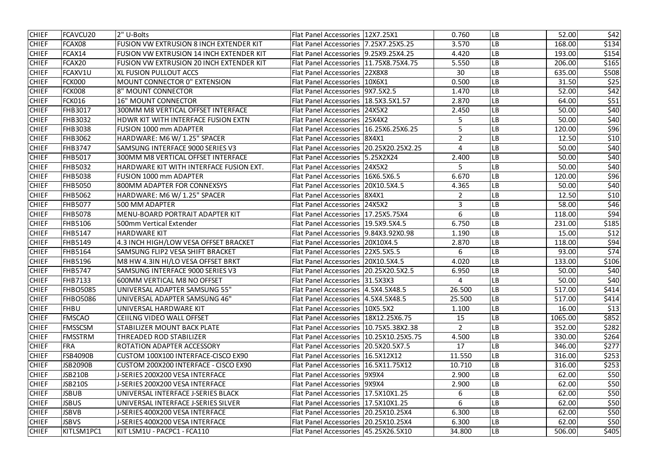| <b>CHIEF</b> | FCAVCU20        | 2" U-Bolts                                      | Flat Panel Accessories   12X7.25X1        |              | 0.760          | <b>LB</b> | 52.00   | \$42  |
|--------------|-----------------|-------------------------------------------------|-------------------------------------------|--------------|----------------|-----------|---------|-------|
| <b>CHIEF</b> | FCAX08          | <b>FUSION VW EXTRUSION 8 INCH EXTENDER KIT</b>  | Flat Panel Accessories   7.25X7.25X5.25   |              | 3.570          | LB        | 168.00  | \$134 |
| <b>CHIEF</b> | FCAX14          | FUSION VW EXTRUSION 14 INCH EXTENDER KIT        | Flat Panel Accessories   9.25X9.25X4.25   |              | 4.420          | LB        | 193.00  | \$154 |
| <b>CHIEF</b> | FCAX20          | <b>FUSION VW EXTRUSION 20 INCH EXTENDER KIT</b> | Flat Panel Accessories   11.75X8.75X4.75  |              | 5.550          | LB        | 206.00  | \$165 |
| <b>CHIEF</b> | FCAXV1U         | <b>XL FUSION PULLOUT ACCS</b>                   | <b>Flat Panel Accessories   22X8X8</b>    |              | 30             | LB        | 635.00  | \$508 |
| <b>CHIEF</b> | <b>FCK000</b>   | <b>MOUNT CONNECTOR 0" EXTENSION</b>             | <b>Flat Panel Accessories</b>             | 10X6X1       | 0.500          | LB        | 31.50   | \$25  |
| <b>CHIEF</b> | <b>FCK008</b>   | 8" MOUNT CONNECTOR                              | Flat Panel Accessories   9X7.5X2.5        |              | 1.470          | LВ        | 52.00   | \$42  |
| <b>CHIEF</b> | <b>FCK016</b>   | <b>16" MOUNT CONNECTOR</b>                      | Flat Panel Accessories   18.5X3.5X1.57    |              | 2.870          | LB        | 64.00   | \$51  |
| <b>CHIEF</b> | FHB3017         | 300MM M8 VERTICAL OFFSET INTERFACE              | Flat Panel Accessories                    | 24X5X2       | 2.450          | LB        | 50.00   | \$40  |
| <b>CHIEF</b> | <b>FHB3032</b>  | HDWR KIT WITH INTERFACE FUSION EXTN             | Flat Panel Accessories   25X4X2           |              | 5              | LВ        | 50.00   | \$40  |
| <b>CHIEF</b> | <b>FHB3038</b>  | <b>FUSION 1000 mm ADAPTER</b>                   | Flat Panel Accessories   16.25X6.25X6.25  |              | 5              | LВ        | 120.00  | \$96  |
| <b>CHIEF</b> | <b>FHB3062</b>  | HARDWARE: M6 W/ 1.25" SPACER                    | <b>Flat Panel Accessories 8X4X1</b>       |              | $\overline{2}$ | LB        | 12.50   | \$10  |
| <b>CHIEF</b> | <b>FHB3747</b>  | SAMSUNG INTERFACE 9000 SERIES V3                | Flat Panel Accessories   20.25X20.25X2.25 |              | 4              | LB        | 50.00   | \$40  |
| <b>CHIEF</b> | <b>FHB5017</b>  | 300MM M8 VERTICAL OFFSET INTERFACE              | Flat Panel Accessories   5.25X2X24        |              | 2.400          | LВ        | 50.00   | \$40  |
| <b>CHIEF</b> | <b>FHB5032</b>  | HARDWARE KIT WITH INTERFACE FUSION EXT.         | <b>Flat Panel Accessories   24X5X2</b>    |              | 5              | LB        | 50.00   | \$40  |
| <b>CHIEF</b> | <b>FHB5038</b>  | <b>FUSION 1000 mm ADAPTER</b>                   | Flat Panel Accessories   16X6.5X6.5       |              | 6.670          | LB        | 120.00  | \$96  |
| <b>CHIEF</b> | <b>FHB5050</b>  | 800MM ADAPTER FOR CONNEXSYS                     | Flat Panel Accessories 20X10.5X4.5        |              | 4.365          | LB        | 50.00   | \$40  |
| <b>CHIEF</b> | <b>FHB5062</b>  | HARDWARE: M6 W/1.25" SPACER                     | <b>Flat Panel Accessories</b>             | <b>8X4X1</b> | 2              | LB        | 12.50   | \$10  |
| <b>CHIEF</b> | <b>FHB5077</b>  | 500 MM ADAPTER                                  | Flat Panel Accessories 24X5X2             |              | 3              | LB        | 58.00   | \$46  |
| <b>CHIEF</b> | <b>FHB5078</b>  | MENU-BOARD PORTRAIT ADAPTER KIT                 | Flat Panel Accessories   17.25X5.75X4     |              | 6              | LB        | 118.00  | \$94  |
| <b>CHIEF</b> | <b>FHB5106</b>  | 500mm Vertical Extender                         | Flat Panel Accessories   19.5X9.5X4.5     |              | 6.750          | <b>LB</b> | 231.00  | \$185 |
| <b>CHIEF</b> | <b>FHB5147</b>  | <b>HARDWARE KIT</b>                             | Flat Panel Accessories   9.84X3.92X0.98   |              | 1.190          | <b>LB</b> | 15.00   | \$12  |
| <b>CHIEF</b> | <b>FHB5149</b>  | 4.3 INCH HIGH/LOW VESA OFFSET BRACKET           | Flat Panel Accessories   20X10X4.5        |              | 2.870          | LB        | 118.00  | \$94  |
| <b>CHIEF</b> | <b>FHB5164</b>  | SAMSUNG FLIP2 VESA SHIFT BRACKET                | Flat Panel Accessories 22X5.5X5.5         |              | 6              | LB        | 93.00   | \$74  |
| <b>CHIEF</b> | <b>FHB5196</b>  | M8 HW 4.3IN HI/LO VESA OFFSET BRKT              | Flat Panel Accessories 20X10.5X4.5        |              | 4.020          | <b>LB</b> | 133.00  | \$106 |
| <b>CHIEF</b> | <b>FHB5747</b>  | SAMSUNG INTERFACE 9000 SERIES V3                | Flat Panel Accessories   20.25X20.5X2.5   |              | 6.950          | LB        | 50.00   | \$40  |
| <b>CHIEF</b> | <b>FHB7133</b>  | 1600MM VERTICAL M8 NO OFFSET                    | Flat Panel Accessories   31.5X3X3         |              | 4              | <b>LB</b> | 50.00   | \$40  |
| <b>CHIEF</b> | <b>FHBO5085</b> | UNIVERSAL ADAPTER SAMSUNG 55"                   | Flat Panel Accessories   4.5X4.5X48.5     |              | 26.500         | LB        | 517.00  | \$414 |
| <b>CHIEF</b> | <b>FHBO5086</b> | UNIVERSAL ADAPTER SAMSUNG 46"                   | Flat Panel Accessories   4.5X4.5X48.5     |              | 25.500         | <b>LB</b> | 517.00  | \$414 |
| <b>CHIEF</b> | <b>FHBU</b>     | UNIVERSAL HARDWARE KIT                          | Flat Panel Accessories   10X5.5X2         |              | 1.100          | <b>LB</b> | 16.00   | \$13  |
| <b>CHIEF</b> | <b>FMSCAO</b>   | <b>CEIILNG VIDEO WALL OFFSET</b>                | Flat Panel Accessories   18X12.25X6.75    |              | 15             | <b>LB</b> | 1065.00 | \$852 |
| <b>CHIEF</b> | <b>FMSSCSM</b>  | STABILIZER MOUNT BACK PLATE                     | Flat Panel Accessories   10.75X5.38X2.38  |              | $\overline{2}$ | <b>LB</b> | 352.00  | \$282 |
| <b>CHIEF</b> | <b>FMSSTRM</b>  | THREADED ROD STABILIZER                         | Flat Panel Accessories   10.25X10.25X5.75 |              | 4.500          | <b>LB</b> | 330.00  | \$264 |
| <b>CHIEF</b> | <b>FRA</b>      | ROTATION ADAPTER ACCESSORY                      | Flat Panel Accessories   20.5X20.5X7.5    |              | 17             | LB        | 346.00  | \$277 |
| <b>CHIEF</b> | <b>FSB4090B</b> | CUSTOM 100X100 INTERFACE-CISCO EX90             | Flat Panel Accessories   16.5X12X12       |              | 11.550         | <b>LB</b> | 316.00  | \$253 |
| <b>CHIEF</b> | JSB2090B        | CUSTOM 200X200 INTERFACE - CISCO EX90           | Flat Panel Accessories   16.5X11.75X12    |              | 10.710         | <b>LB</b> | 316.00  | \$253 |
| <b>CHIEF</b> | JSB210B         | J-SERIES 200X200 VESA INTERFACE                 | <b>Flat Panel Accessories 19X9X4</b>      |              | 2.900          | <b>LB</b> | 62.00   | \$50  |
| <b>CHIEF</b> | JSB210S         | J-SERIES 200X200 VESA INTERFACE                 | Flat Panel Accessories   9X9X4            |              | 2.900          | <b>LB</b> | 62.00   | \$50  |
| <b>CHIEF</b> | JSBUB           | UNIVERSAL INTERFACE J-SERIES BLACK              | Flat Panel Accessories   17.5X10X1.25     |              | 6              | <b>LB</b> | 62.00   | \$50  |
| <b>CHIEF</b> | <b>JSBUS</b>    | UNIVERSAL INTERFACE J-SERIES SILVER             | Flat Panel Accessories   17.5X10X1.25     |              | 6              | <b>LB</b> | 62.00   | \$50  |
| <b>CHIEF</b> | <b>JSBVB</b>    | J-SERIES 400X200 VESA INTERFACE                 | Flat Panel Accessories   20.25X10.25X4    |              | 6.300          | <b>LB</b> | 62.00   | \$50  |
| <b>CHIEF</b> | <b>JSBVS</b>    | <b>J-SERIES 400X200 VESA INTERFACE</b>          | Flat Panel Accessories   20.25X10.25X4    |              | 6.300          | <b>LB</b> | 62.00   | \$50  |
| <b>CHIEF</b> | KITLSM1PC1      | KIT LSM1U - PACPC1 - FCA110                     | Flat Panel Accessories   45.25X26.5X10    |              | 34.800         | LB        | 506.00  | \$405 |
|              |                 |                                                 |                                           |              |                |           |         |       |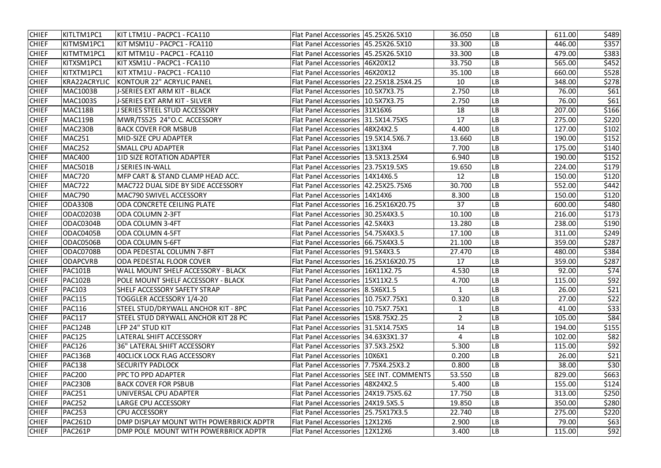| <b>CHIEF</b> | KITLTM1PC1          | KIT LTM1U - PACPC1 - FCA110               | Flat Panel Accessories   45.25X26.5X10     | 36.050         | <b>LB</b>              | 611.00 | \$489 |
|--------------|---------------------|-------------------------------------------|--------------------------------------------|----------------|------------------------|--------|-------|
| <b>CHIEF</b> | KITMSM1PC1          | KIT MSM1U - PACPC1 - FCA110               | Flat Panel Accessories   45.25X26.5X10     | 33.300         | $\mathsf{L}\mathsf{B}$ | 446.00 | \$357 |
| <b>CHIEF</b> | KITMTM1PC1          | KIT MTM1U - PACPC1 - FCA110               | Flat Panel Accessories  45.25X26.5X10      | 33.300         | LB                     | 479.00 | \$383 |
| <b>CHIEF</b> | KITXSM1PC1          | KIT XSM1U - PACPC1 - FCA110               | Flat Panel Accessories 146X20X12           | 33.750         | LB                     | 565.00 | \$452 |
| <b>CHIEF</b> | KITXTM1PC1          | KIT XTM1U - PACPC1 - FCA110               | Flat Panel Accessories  46X20X12           | 35.100         | LB                     | 660.00 | \$528 |
| <b>CHIEF</b> | <b>KRA22ACRYLIC</b> | <b>KONTOUR 22" ACRYLIC PANEL</b>          | Flat Panel Accessories 122.25X18.25X4.25   | 10             | ${\sf LB}$             | 348.00 | \$278 |
| <b>CHIEF</b> | <b>MAC1003B</b>     | J-SERIES EXT ARM KIT - BLACK              | Flat Panel Accessories   10.5X7X3.75       | 2.750          | $\mathsf{L}\mathsf{B}$ | 76.00  | \$61  |
| <b>CHIEF</b> | <b>MAC1003S</b>     | <b>J-SERIES EXT ARM KIT - SILVER</b>      | Flat Panel Accessories   10.5X7X3.75       | 2.750          | $\mathsf{L}\mathsf{B}$ | 76.00  | \$61  |
| <b>CHIEF</b> | MAC118B             | <b>J SERIES STEEL STUD ACCESSORY</b>      | Flat Panel Accessories   31X16X6           | 18             | LB                     | 207.00 | \$166 |
| <b>CHIEF</b> | MAC119B             | MWR/TS525 24"O.C. ACCESSORY               | Flat Panel Accessories 31.5X14.75X5        | 17             | LB                     | 275.00 | \$220 |
| <b>CHIEF</b> | MAC230B             | <b>BACK COVER FOR MSBUB</b>               | Flat Panel Accessories   48X24X2.5         | 4.400          | ${\sf LB}$             | 127.00 | \$102 |
| <b>CHIEF</b> | <b>MAC251</b>       | MID-SIZE CPU ADAPTER                      | Flat Panel Accessories  19.5X14.5X6.7      | 13.660         | ${\sf LB}$             | 190.00 | \$152 |
| <b>CHIEF</b> | <b>MAC252</b>       | <b>SMALL CPU ADAPTER</b>                  | Flat Panel Accessories   13X13X4           | 7.700          | ${\sf LB}$             | 175.00 | \$140 |
| <b>CHIEF</b> | <b>MAC400</b>       | <b>1ID SIZE ROTATION ADAPTER</b>          | Flat Panel Accessories   13.5X13.25X4      | 6.940          | $\mathsf{L}\mathsf{B}$ | 190.00 | \$152 |
| <b>CHIEF</b> | MAC501B             | <b>J SERIES IN-WALL</b>                   | Flat Panel Accessories   23.75X19.5X5      | 19.650         | LB                     | 224.00 | \$179 |
| <b>CHIEF</b> | <b>MAC720</b>       | MFP CART & STAND CLAMP HEAD ACC.          | Flat Panel Accessories   14X14X6.5         | 12             | LB                     | 150.00 | \$120 |
| <b>CHIEF</b> | <b>MAC722</b>       | MAC722 DUAL SIDE BY SIDE ACCESSORY        | Flat Panel Accessories  42.25X25.75X6      | 30.700         | LB                     | 552.00 | \$442 |
| <b>CHIEF</b> | <b>MAC790</b>       | MAC790 SWIVEL ACCESSORY                   | Flat Panel Accessories   14X14X6           | 8.300          | LB                     | 150.00 | \$120 |
| <b>CHIEF</b> | ODA330B             | ODA CONCRETE CEILING PLATE                | Flat Panel Accessories   16.25X16X20.75    | 37             | LB                     | 600.00 | \$480 |
| <b>CHIEF</b> | ODAC0203B           | <b>ODA COLUMN 2-3FT</b>                   | Flat Panel Accessories   30.25X4X3.5       | 10.100         | $\mathsf{L}\mathsf{B}$ | 216.00 | \$173 |
| <b>CHIEF</b> | ODAC0304B           | <b>ODA COLUMN 3-4FT</b>                   | Flat Panel Accessories   42.5X4X3          | 13.280         | $\mathsf{L}\mathsf{B}$ | 238.00 | \$190 |
| <b>CHIEF</b> | ODAC0405B           | ODA COLUMN 4-5FT                          | Flat Panel Accessories   54.75X4X3.5       | 17.100         | <b>LB</b>              | 311.00 | \$249 |
| <b>CHIEF</b> | ODAC0506B           | <b>ODA COLUMN 5-6FT</b>                   | Flat Panel Accessories   66.75X4X3.5       | 21.100         | <b>LB</b>              | 359.00 | \$287 |
| <b>CHIEF</b> | ODAC0708B           | ODA PEDESTAL COLUMN 7-8FT                 | Flat Panel Accessories  91.5X4X3.5         | 27.470         | ${\sf LB}$             | 480.00 | \$384 |
| <b>CHIEF</b> | <b>ODAPCVRB</b>     | ODA PEDESTAL FLOOR COVER                  | Flat Panel Accessories   16.25X16X20.75    | 17             | $\mathsf{L}\mathsf{B}$ | 359.00 | \$287 |
| <b>CHIEF</b> | <b>PAC101B</b>      | <b>WALL MOUNT SHELF ACCESSORY - BLACK</b> | Flat Panel Accessories   16X11X2.75        | 4.530          | LB                     | 92.00  | \$74  |
| <b>CHIEF</b> | <b>PAC102B</b>      | POLE MOUNT SHELF ACCESSORY - BLACK        | Flat Panel Accessories   15X11X2.5         | 4.700          | LB                     | 115.00 | \$92  |
| <b>CHIEF</b> | <b>PAC103</b>       | SHELF ACCESSORY SAFETY STRAP              | Flat Panel Accessories   8.5X6X1.5         |                | <b>LB</b>              | 26.00  | \$21  |
| <b>CHIEF</b> | <b>PAC115</b>       | TOGGLER ACCESSORY 1/4-20                  | Flat Panel Accessories   10.75X7.75X1      | 0.320          | <b>LB</b>              | 27.00  | \$22  |
| <b>CHIEF</b> | <b>PAC116</b>       | STEEL STUD/DRYWALL ANCHOR KIT - 8PC       | Flat Panel Accessories   10.75X7.75X1      |                | <b>LB</b>              | 41.00  | \$33  |
| <b>CHIEF</b> | <b>PAC117</b>       | STEEL STUD DRYWALL ANCHOR KIT 28 PC       | Flat Panel Accessories   15X8.75X2.25      | $\overline{2}$ | LB                     | 105.00 | \$84  |
| <b>CHIEF</b> | <b>PAC124B</b>      | LFP 24" STUD KIT                          | Flat Panel Accessories 31.5X14.75X5        | 14             | <b>LB</b>              | 194.00 | \$155 |
| <b>CHIEF</b> | <b>PAC125</b>       | LATERAL SHIFT ACCESSORY                   | Flat Panel Accessories   34.63X3X1.37      | 4              | <b>LB</b>              | 102.00 | \$82  |
| <b>CHIEF</b> | <b>PAC126</b>       | <b>36" LATERAL SHIFT ACCESSORY</b>        | Flat Panel Accessories 137.5X3.25X2        | 5.300          | LB                     | 115.00 | \$92  |
| <b>CHIEF</b> | <b>PAC136B</b>      | <b>40CLICK LOCK FLAG ACCESSORY</b>        | Flat Panel Accessories   10X6X1            | 0.200          | <b>LB</b>              | 26.00  | \$21  |
| <b>CHIEF</b> | <b>PAC138</b>       | <b>SECURITY PADLOCK</b>                   | Flat Panel Accessories 17.75X4.25X3.2      | 0.800          | LB                     | 38.00  | \$30  |
| <b>CHIEF</b> | <b>PAC200</b>       | PPC TO PPD ADAPTER                        | Flat Panel Accessories   SEE INT. COMMENTS | 53.550         | LB                     | 829.00 | \$663 |
| <b>CHIEF</b> | <b>PAC230B</b>      | <b>BACK COVER FOR PSBUB</b>               | Flat Panel Accessories   48X24X2.5         | 5.400          | <b>LB</b>              | 155.00 | \$124 |
| <b>CHIEF</b> | <b>PAC251</b>       | UNIVERSAL CPU ADAPTER                     | Flat Panel Accessories   24X19.75X5.62     | 17.750         | LB                     | 313.00 | \$250 |
| <b>CHIEF</b> | <b>PAC252</b>       | <b>LARGE CPU ACCESSORY</b>                | Flat Panel Accessories 24X19.5X5.5         | 19.850         | <b>LB</b>              | 350.00 | \$280 |
| <b>CHIEF</b> | <b>PAC253</b>       | <b>CPU ACCESSORY</b>                      | Flat Panel Accessories 25.75X17X3.5        | 22.740         | <b>LB</b>              | 275.00 | \$220 |
| <b>CHIEF</b> | <b>PAC261D</b>      | DMP DISPLAY MOUNT WITH POWERBRICK ADPTR   | Flat Panel Accessories   12X12X6           | 2.900          | LB                     | 79.00  | \$63  |
| <b>CHIEF</b> | PAC261P             | DMP POLE MOUNT WITH POWERBRICK ADPTR      | Flat Panel Accessories   12X12X6           | 3.400          | LB                     | 115.00 | \$92  |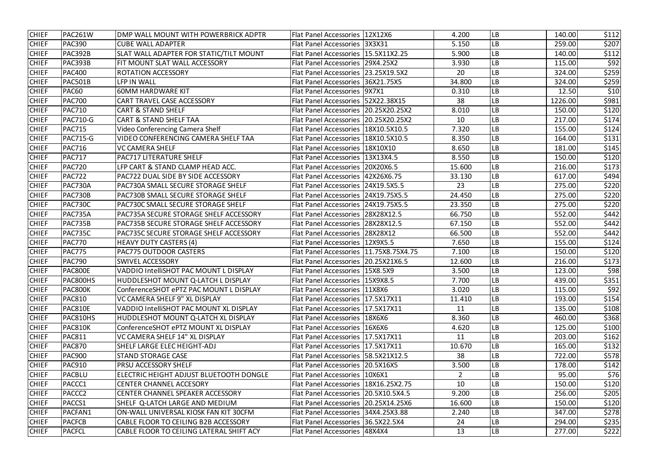| <b>CHIEF</b> | PAC261W            | DMP WALL MOUNT WITH POWERBRICK ADPTR      | Flat Panel Accessories   12X12X6         | 4.200          | LВ        | 140.00  | \$112 |
|--------------|--------------------|-------------------------------------------|------------------------------------------|----------------|-----------|---------|-------|
| <b>CHIEF</b> | <b>PAC390</b>      | <b>CUBE WALL ADAPTER</b>                  | Flat Panel Accessories   3X3X31          | 5.150          | LВ        | 259.00  | \$207 |
| <b>CHIEF</b> | PAC392B            | SLAT WALL ADAPTER FOR STATIC/TILT MOUNT   | Flat Panel Accessories   15.5X11X2.25    | 5.900          | LB        | 140.00  | \$112 |
| <b>CHIEF</b> | PAC393B            | FIT MOUNT SLAT WALL ACCESSORY             | Flat Panel Accessories   29X4.25X2       | 3.930          | LB        | 115.00  | \$92  |
| <b>CHIEF</b> | <b>PAC400</b>      | <b>ROTATION ACCESSORY</b>                 | Flat Panel Accessories   23.25X19.5X2    | 20             | LB        | 324.00  | \$259 |
| <b>CHIEF</b> | PAC501B            | LFP IN WALL                               | Flat Panel Accessories   36X21.75X5      | 34.800         | LВ        | 324.00  | \$259 |
| <b>CHIEF</b> | <b>PAC60</b>       | <b>60MM HARDWARE KIT</b>                  | Flat Panel Accessories   9X7X1           | 0.310          | LB        | 12.50   | \$10  |
| <b>CHIEF</b> | <b>PAC700</b>      | <b>CART TRAVEL CASE ACCESSORY</b>         | Flat Panel Accessories 52X22.38X15       | 38             | LВ        | 1226.00 | \$981 |
| <b>CHIEF</b> | <b>PAC710</b>      | <b>CART &amp; STAND SHELF</b>             | Flat Panel Accessories   20.25X20.25X2   | 8.010          | LB        | 150.00  | \$120 |
| <b>CHIEF</b> | <b>PAC710-G</b>    | <b>CART &amp; STAND SHELF TAA</b>         | Flat Panel Accessories   20.25X20.25X2   | 10             | LB        | 217.00  | \$174 |
| <b>CHIEF</b> | <b>PAC715</b>      | Video Conferencing Camera Shelf           | Flat Panel Accessories   18X10.5X10.5    | 7.320          | LB        | 155.00  | \$124 |
| <b>CHIEF</b> | <b>PAC715-G</b>    | VIDEO CONFERENCING CAMERA SHELF TAA       | Flat Panel Accessories   18X10.5X10.5    | 8.350          | LB        | 164.00  | \$131 |
| <b>CHIEF</b> | <b>PAC716</b>      | <b>VC CAMERA SHELF</b>                    | Flat Panel Accessories   18X10X10        | 8.650          | LB        | 181.00  | \$145 |
| <b>CHIEF</b> | <b>PAC717</b>      | <b>PAC717 LITERATURE SHELF</b>            | Flat Panel Accessories   13X13X4.5       | 8.550          | LВ        | 150.00  | \$120 |
| <b>CHIEF</b> | <b>PAC720</b>      | LFP CART & STAND CLAMP HEAD ACC.          | Flat Panel Accessories   20X20X6.5       | 15.600         | LB        | 216.00  | \$173 |
| <b>CHIEF</b> | <b>PAC722</b>      | PAC722 DUAL SIDE BY SIDE ACCESSORY        | Flat Panel Accessories   42X26X6.75      | 33.130         | LB        | 617.00  | \$494 |
| <b>CHIEF</b> | PAC730A            | PAC730A SMALL SECURE STORAGE SHELF        | Flat Panel Accessories 24X19.5X5.5       | 23             | LB        | 275.00  | \$220 |
| <b>CHIEF</b> | <b>PAC730B</b>     | PAC730B SMALL SECURE STORAGE SHELF        | Flat Panel Accessories   24X19.75X5.5    | 24.450         | LB        | 275.00  | \$220 |
| <b>CHIEF</b> | <b>PAC730C</b>     | <b>PAC730C SMALL SECURE STORAGE SHELF</b> | Flat Panel Accessories   24X19.75X5.5    | 23.350         | LB        | 275.00  | \$220 |
| <b>CHIEF</b> | PAC735A            | PAC735A SECURE STORAGE SHELF ACCESSORY    | Flat Panel Accessories   28X28X12.5      | 66.750         | LВ        | 552.00  | \$442 |
| <b>CHIEF</b> | <b>PAC735B</b>     | PAC735B SECURE STORAGE SHELF ACCESSORY    | Flat Panel Accessories   28X28X12.5      | 67.150         | LB        | 552.00  | \$442 |
| <b>CHIEF</b> | PAC735C            | PAC735C SECURE STORAGE SHELF ACCESSORY    | Flat Panel Accessories   28X28X12        | 66.500         | LB        | 552.00  | \$442 |
| <b>CHIEF</b> | <b>PAC770</b>      | <b>HEAVY DUTY CASTERS (4)</b>             | Flat Panel Accessories   12X9X5.5        | 7.650          | LB        | 155.00  | \$124 |
| <b>CHIEF</b> | <b>PAC775</b>      | <b>PAC775 OUTDOOR CASTERS</b>             | Flat Panel Accessories   11.75X8.75X4.75 | 7.100          | LB        | 150.00  | \$120 |
| <b>CHIEF</b> | <b>PAC790</b>      | <b>SWIVEL ACCESSORY</b>                   | Flat Panel Accessories   20.25X21X6.5    | 12.600         | LB        | 216.00  | \$173 |
| <b>CHIEF</b> | PAC800E            | VADDIO IntelliSHOT PAC MOUNT L DISPLAY    | Flat Panel Accessories   15X8.5X9        | 3.500          | LВ        | 123.00  | \$98  |
| <b>CHIEF</b> | PAC800HS           | HUDDLESHOT MOUNT Q-LATCH L DISPLAY        | Flat Panel Accessories   15X9X8.5        | 7.700          | LB        | 439.00  | \$351 |
| <b>CHIEF</b> | PAC800K            | ConferenceSHOT ePTZ PAC MOUNT L DISPLAY   | Flat Panel Accessories   11X8X6          | 3.020          | <b>LB</b> | 115.00  | \$92  |
| <b>CHIEF</b> | PAC810             | VC CAMERA SHELF 9" XL DISPLAY             | Flat Panel Accessories   17.5X17X11      | 11.410         | LВ        | 193.00  | \$154 |
| <b>CHIEF</b> | PAC810E            | VADDIO IntelliSHOT PAC MOUNT XL DISPLAY   | Flat Panel Accessories   17.5X17X11      | 11             | LB        | 135.00  | \$108 |
| <b>CHIEF</b> | PAC810HS           | HUDDLESHOT MOUNT Q-LATCH XL DISPLAY       | Flat Panel Accessories   18X6X6          | 8.360          | LB        | 460.00  | \$368 |
| <b>CHIEF</b> | PAC810K            | ConferenceSHOT ePTZ MOUNT XL DISPLAY      | Flat Panel Accessories   16X6X6          | 4.620          | LВ        | 125.00  | \$100 |
| <b>CHIEF</b> | <b>PAC811</b>      | VC CAMERA SHELF 14" XL DISPLAY            | Flat Panel Accessories   17.5X17X11      | 11             | LB        | 203.00  | \$162 |
| <b>CHIEF</b> | <b>PAC870</b>      | SHELF LARGE ELEC HEIGHT-ADJ               | Flat Panel Accessories   17.5X17X11      | 10.670         | LB        | 165.00  | \$132 |
| <b>CHIEF</b> | <b>PAC900</b>      | <b>STAND STORAGE CASE</b>                 | Flat Panel Accessories   58.5X21X12.5    | 38             | LB        | 722.00  | \$578 |
| <b>CHIEF</b> | <b>PAC910</b>      | <b>PRSU ACCESSORY SHELF</b>               | Flat Panel Accessories   20.5X16X5       | 3.500          | LB        | 178.00  | \$142 |
| <b>CHIEF</b> | PACBLU             | ELECTRIC HEIGHT ADJUST BLUETOOTH DONGLE   | Flat Panel Accessories   10X6X1          | $\overline{2}$ | LB        | 95.00   | \$76  |
| <b>CHIEF</b> | <b>PACCC1</b>      | <b>CENTER CHANNEL ACCESORY</b>            | Flat Panel Accessories   18X16.25X2.75   | 10             | LB        | 150.00  | \$120 |
| <b>CHIEF</b> | PACCC <sub>2</sub> | CENTER CHANNEL SPEAKER ACCESSORY          | Flat Panel Accessories   20.5X10.5X4.5   | 9.200          | LB        | 256.00  | \$205 |
| <b>CHIEF</b> | PACCS1             | SHELF Q-LATCH LARGE AND MEDIUM            | Flat Panel Accessories   20.25X14.25X6   | 16.600         | LB        | 150.00  | \$120 |
| <b>CHIEF</b> | PACFAN1            | ON-WALL UNIVERSAL KIOSK FAN KIT 30CFM     | Flat Panel Accessories 34X4.25X3.88      | 2.240          | LВ        | 347.00  | \$278 |
| <b>CHIEF</b> | <b>PACFCB</b>      | CABLE FLOOR TO CEILING B2B ACCESSORY      | Flat Panel Accessories   36.5X22.5X4     | 24             | LB        | 294.00  | \$235 |
| <b>CHIEF</b> | <b>PACFCL</b>      | CABLE FLOOR TO CEILING LATERAL SHIFT ACY  | Flat Panel Accessories   48X4X4          | 13             | LB        | 277.00  | \$222 |
|              |                    |                                           |                                          |                |           |         |       |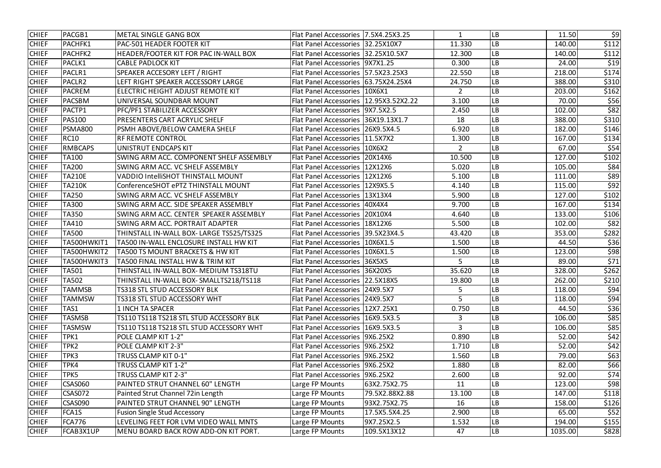| <b>CHIEF</b> | PACGB1         | <b>METAL SINGLE GANG BOX</b>              | Flat Panel Accessories 7.5X4.25X3.25     |                | 1      | LB        | 11.50   | \$9   |
|--------------|----------------|-------------------------------------------|------------------------------------------|----------------|--------|-----------|---------|-------|
| <b>CHIEF</b> | <b>PACHFK1</b> | PAC-501 HEADER FOOTER KIT                 | Flat Panel Accessories 32.25X10X7        |                | 11.330 | LB        | 140.00  | \$112 |
| <b>CHIEF</b> | <b>PACHFK2</b> | HEADER/FOOTER KIT FOR PAC IN-WALL BOX     | Flat Panel Accessories 32.25X10.5X7      |                | 12.300 | LВ        | 140.00  | \$112 |
| <b>CHIEF</b> | PACLK1         | <b>CABLE PADLOCK KIT</b>                  | Flat Panel Accessories   9X7X1.25        |                | 0.300  | LB        | 24.00   | \$19  |
| <b>CHIEF</b> | PACLR1         | SPEAKER ACCESORY LEFT / RIGHT             | Flat Panel Accessories   57.5X23.25X3    |                | 22.550 | LB        | 218.00  | \$174 |
| <b>CHIEF</b> | <b>PACLR2</b>  | LEFT RIGHT SPEAKER ACCESSORY LARGE        | Flat Panel Accessories   63.75X24.25X4   |                | 24.750 | LB        | 388.00  | \$310 |
| <b>CHIEF</b> | PACREM         | ELECTRIC HEIGHT ADJUST REMOTE KIT         | Flat Panel Accessories   10X6X1          |                | 2      | LB        | 203.00  | \$162 |
| <b>CHIEF</b> | <b>PACSBM</b>  | UNIVERSAL SOUNDBAR MOUNT                  | Flat Panel Accessories   12.95X3.52X2.22 |                | 3.100  | LB        | 70.00   | \$56  |
| <b>CHIEF</b> | PACTP1         | PFC/PF1 STABILIZER ACCESSORY              | Flat Panel Accessories   9X7.5X2.5       |                | 2.450  | LВ        | 102.00  | \$82  |
| <b>CHIEF</b> | <b>PAS100</b>  | <b>PRESENTERS CART ACRYLIC SHELF</b>      | Flat Panel Accessories   36X19.13X1.7    |                | 18     | LB        | 388.00  | \$310 |
| <b>CHIEF</b> | <b>PSMA800</b> | PSMH ABOVE/BELOW CAMERA SHELF             | Flat Panel Accessories   26X9.5X4.5      |                | 6.920  | LB        | 182.00  | \$146 |
| <b>CHIEF</b> | <b>RC10</b>    | <b>RF REMOTE CONTROL</b>                  | Flat Panel Accessories   11.5X7X2        |                | 1.300  | LB        | 167.00  | \$134 |
| <b>CHIEF</b> | <b>RMBCAPS</b> | UNISTRUT ENDCAPS KIT                      | <b>Flat Panel Accessories</b>            | 10X6X2         | 2      | LB        | 67.00   | \$54  |
| <b>CHIEF</b> | <b>TA100</b>   | SWING ARM ACC. COMPONENT SHELF ASSEMBLY   | Flat Panel Accessories   20X14X6         |                | 10.500 | LB        | 127.00  | \$102 |
| <b>CHIEF</b> | <b>TA200</b>   | SWING ARM ACC. VC SHELF ASSEMBLY          | Flat Panel Accessories   12X12X6         |                | 5.020  | LВ        | 105.00  | \$84  |
| <b>CHIEF</b> | <b>TA210E</b>  | <b>VADDIO IntelliSHOT THINSTALL MOUNT</b> | Flat Panel Accessories   12X12X6         |                | 5.100  | LВ        | 111.00  | \$89  |
| <b>CHIEF</b> | <b>TA210K</b>  | ConferenceSHOT ePTZ THINSTALL MOUNT       | Flat Panel Accessories   12X9X5.5        |                | 4.140  | LB        | 115.00  | \$92  |
| <b>CHIEF</b> | TA250          | SWING ARM ACC. VC SHELF ASSEMBLY          | <b>Flat Panel Accessories</b>            | 13X13X4        | 5.900  | LB        | 127.00  | \$102 |
| <b>CHIEF</b> | <b>TA300</b>   | SWING ARM ACC. SIDE SPEAKER ASSEMBLY      | <b>Flat Panel Accessories</b>            | 40X4X4         | 9.700  | LB        | 167.00  | \$134 |
| <b>CHIEF</b> | <b>TA350</b>   | SWING ARM ACC. CENTER SPEAKER ASSEMBLY    | <b>Flat Panel Accessories  </b>          | 20X10X4        | 4.640  | LB        | 133.00  | \$106 |
| <b>CHIEF</b> | TA410          | SWING ARM ACC. PORTRAIT ADAPTER           | Flat Panel Accessories   18X12X6         |                | 5.500  | LВ        | 102.00  | \$82  |
| <b>CHIEF</b> | <b>TA500</b>   | THINSTALL IN-WALL BOX- LARGE TS525/TS325  | Flat Panel Accessories   39.5X23X4.5     |                | 43.420 | LB        | 353.00  | \$282 |
| <b>CHIEF</b> | TA500HWKIT1    | TA500 IN-WALL ENCLOSURE INSTALL HW KIT    | Flat Panel Accessories   10X6X1.5        |                | 1.500  | LB        | 44.50   | \$36  |
| <b>CHIEF</b> | TA500HWKIT2    | TA500 TS MOUNT BRACKETS & HW KIT          | Flat Panel Accessories   10X6X1.5        |                | 1.500  | LB        | 123.00  | \$98  |
| <b>CHIEF</b> | TA500HWKIT3    | TA500 FINAL INSTALL HW & TRIM KIT         | <b>Flat Panel Accessories</b>            | 36X5X5         | 5      | LB        | 89.00   | \$71  |
| <b>CHIEF</b> | <b>TA501</b>   | THINSTALL IN-WALL BOX- MEDIUM TS318TU     | Flat Panel Accessories 36X20X5           |                | 35.620 | LB        | 328.00  | \$262 |
| <b>CHIEF</b> | <b>TA502</b>   | THINSTALL IN-WALL BOX- SMALLTS218/TS118   | Flat Panel Accessories   22.5X18X5       |                | 19.800 | <b>LB</b> | 262.00  | \$210 |
| <b>CHIEF</b> | <b>TAMMSB</b>  | TS318 STL STUD ACCESSORY BLK              | Flat Panel Accessories 24X9.5X7          |                | 5      | LB        | 118.00  | \$94  |
| <b>CHIEF</b> | <b>TAMMSW</b>  | TS318 STL STUD ACCESSORY WHT              | Flat Panel Accessories   24X9.5X7        |                | 5      | LB        | 118.00  | \$94  |
| <b>CHIEF</b> | TAS1           | <b>1 INCH TA SPACER</b>                   | Flat Panel Accessories   12X7.25X1       |                | 0.750  | LB        | 44.50   | \$36  |
| <b>CHIEF</b> | <b>TASMSB</b>  | TS110 TS118 TS218 STL STUD ACCESSORY BLK  | Flat Panel Accessories   16X9.5X3.5      |                | 3      | LB        | 106.00  | \$85  |
| <b>CHIEF</b> | <b>TASMSW</b>  | TS110 TS118 TS218 STL STUD ACCESSORY WHT  | Flat Panel Accessories   16X9.5X3.5      |                | 3      | LB        | 106.00  | \$85  |
| <b>CHIEF</b> | TPK1           | POLE CLAMP KIT 1-2"                       | Flat Panel Accessories   9X6.25X2        |                | 0.890  | LВ        | 52.00   | \$42  |
| <b>CHIEF</b> | TPK2           | POLE CLAMP KIT 2-3"                       | Flat Panel Accessories   9X6.25X2        |                | 1.710  | LB        | 52.00   | \$42  |
| <b>CHIEF</b> | TPK3           | TRUSS CLAMP KIT 0-1"                      | Flat Panel Accessories   9X6.25X2        |                | 1.560  | LВ        | 79.00   | \$63  |
| <b>CHIEF</b> | TPK4           | TRUSS CLAMP KIT 1-2"                      | Flat Panel Accessories   9X6.25X2        |                | 1.880  | LB        | 82.00   | \$66  |
| <b>CHIEF</b> | TPK5           | <b>TRUSS CLAMP KIT 2-3"</b>               | Flat Panel Accessories   9X6.25X2        |                | 2.600  | LB        | 92.00   | \$74  |
| <b>CHIEF</b> | <b>CSAS060</b> | PAINTED STRUT CHANNEL 60" LENGTH          | Large FP Mounts                          | 63X2.75X2.75   | 11     | LB        | 123.00  | \$98  |
| <b>CHIEF</b> | <b>CSAS072</b> | Painted Strut Channel 72in Length         | Large FP Mounts                          | 79.5X2.88X2.88 | 13.100 | LВ        | 147.00  | \$118 |
| <b>CHIEF</b> | <b>CSAS090</b> | PAINTED STRUT CHANNEL 90" LENGTH          | Large FP Mounts                          | 93X2.75X2.75   | 16     | LB        | 158.00  | \$126 |
| <b>CHIEF</b> | FCA1S          | <b>Fusion Single Stud Accessory</b>       | Large FP Mounts                          | 17.5X5.5X4.25  | 2.900  | LВ        | 65.00   | \$52  |
| <b>CHIEF</b> | <b>FCA776</b>  | LEVELING FEET FOR LVM VIDEO WALL MNTS     | Large FP Mounts                          | 9X7.25X2.5     | 1.532  | LB        | 194.00  | \$155 |
| <b>CHIEF</b> | FCAB3X1UP      | MENU BOARD BACK ROW ADD-ON KIT PORT.      | Large FP Mounts                          | 109.5X13X12    | 47     | LB        | 1035.00 | \$828 |
|              |                |                                           |                                          |                |        |           |         |       |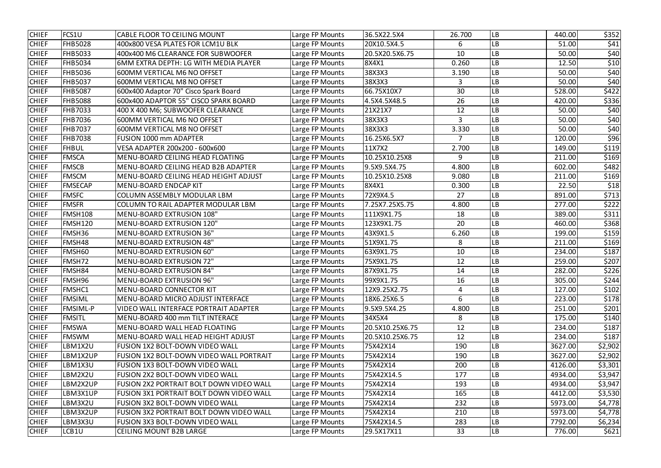| <b>CHIEF</b> | FCS1U           | CABLE FLOOR TO CEILING MOUNT                    | Large FP Mounts | 36.5X22.5X4     | 26.700         | <b>LB</b> | 440.00  | \$352   |
|--------------|-----------------|-------------------------------------------------|-----------------|-----------------|----------------|-----------|---------|---------|
| <b>CHIEF</b> | <b>FHB5028</b>  | 400x800 VESA PLATES FOR LCM1U BLK               | Large FP Mounts | 20X10.5X4.5     | 6              | LB        | 51.00   | \$41    |
| <b>CHIEF</b> | <b>FHB5033</b>  | 400x400 M6 CLEARANCE FOR SUBWOOFER              | Large FP Mounts | 20.5X20.5X6.75  | 10             | LB        | 50.00   | \$40    |
| <b>CHIEF</b> | <b>FHB5034</b>  | 6MM EXTRA DEPTH: LG WITH MEDIA PLAYER           | Large FP Mounts | 8X4X1           | 0.260          | LB        | 12.50   | \$10    |
| <b>CHIEF</b> | <b>FHB5036</b>  | 600MM VERTICAL M6 NO OFFSET                     | Large FP Mounts | 38X3X3          | 3.190          | LВ        | 50.00   | \$40    |
| <b>CHIEF</b> | <b>FHB5037</b>  | 600MM VERTICAL M8 NO OFFSET                     | Large FP Mounts | 38X3X3          | 3              | LB        | 50.00   | \$40    |
| <b>CHIEF</b> | <b>FHB5087</b>  | 600x400 Adaptor 70" Cisco Spark Board           | Large FP Mounts | 66.75X10X7      | 30             | LB        | 528.00  | \$422   |
| <b>CHIEF</b> | <b>FHB5088</b>  | 600x400 ADAPTOR 55" CISCO SPARK BOARD           | Large FP Mounts | 4.5X4.5X48.5    | 26             | LB        | 420.00  | \$336   |
| <b>CHIEF</b> | <b>FHB7033</b>  | 400 X 400 M6; SUBWOOFER CLEARANCE               | Large FP Mounts | 21X21X7         | 12             | LB        | 50.00   | \$40    |
| <b>CHIEF</b> | <b>FHB7036</b>  | 600MM VERTICAL M6 NO OFFSET                     | Large FP Mounts | 38X3X3          | $\overline{3}$ | LB        | 50.00   | \$40    |
| <b>CHIEF</b> | <b>FHB7037</b>  | 600MM VERTICAL M8 NO OFFSET                     | Large FP Mounts | 38X3X3          | 3.330          | LВ        | 50.00   | \$40    |
| <b>CHIEF</b> | <b>FHB7038</b>  | <b>FUSION 1000 mm ADAPTER</b>                   | Large FP Mounts | 16.25X6.5X7     |                | LB        | 120.00  | \$96    |
| <b>CHIEF</b> | <b>FHBUL</b>    | VESA ADAPTER 200x200 - 600x600                  | Large FP Mounts | 11X7X2          | 2.700          | LВ        | 149.00  | \$119   |
| <b>CHIEF</b> | <b>FMSCA</b>    | MENU-BOARD CEILING HEAD FLOATING                | Large FP Mounts | 10.25X10.25X8   | 9              | LB        | 211.00  | \$169   |
| <b>CHIEF</b> | <b>FMSCB</b>    | MENU-BOARD CEILING HEAD B2B ADAPTER             | Large FP Mounts | 9.5X9.5X4.75    | 4.800          | LB        | 602.00  | \$482   |
| <b>CHIEF</b> | <b>FMSCM</b>    | MENU-BOARD CEILING HEAD HEIGHT ADJUST           | Large FP Mounts | 10.25X10.25X8   | 9.080          | LB        | 211.00  | \$169   |
| <b>CHIEF</b> | <b>FMSECAP</b>  | MENU-BOARD ENDCAP KIT                           | Large FP Mounts | 8X4X1           | 0.300          | LВ        | 22.50   | \$18    |
| <b>CHIEF</b> | <b>FMSFC</b>    | <b>COLUMN ASSEMBLY MODULAR LBM</b>              | Large FP Mounts | 72X9X4.5        | 27             | LB        | 891.00  | \$713   |
| <b>CHIEF</b> | <b>FMSFR</b>    | COLUMN TO RAIL ADAPTER MODULAR LBM              | Large FP Mounts | 7.25X7.25X5.75  | 4.800          | LВ        | 277.00  | \$222   |
| <b>CHIEF</b> | <b>FMSH108</b>  | <b>MENU-BOARD EXTRUSION 108"</b>                | Large FP Mounts | 111X9X1.75      | 18             | LВ        | 389.00  | \$311   |
| <b>CHIEF</b> | <b>FMSH120</b>  | <b>MENU-BOARD EXTRUSION 120"</b>                | Large FP Mounts | 123X9X1.75      | 20             | LB        | 460.00  | \$368   |
| <b>CHIEF</b> | FMSH36          | MENU-BOARD EXTRUSION 36"                        | Large FP Mounts | 43X9X1.5        | 6.260          | LВ        | 199.00  | \$159   |
| <b>CHIEF</b> | FMSH48          | <b>MENU-BOARD EXTRUSION 48"</b>                 | Large FP Mounts | 51X9X1.75       | 8              | LB        | 211.00  | \$169   |
| <b>CHIEF</b> | FMSH60          | <b>MENU-BOARD EXTRUSION 60"</b>                 | Large FP Mounts | 63X9X1.75       | 10             | LB        | 234.00  | \$187   |
| <b>CHIEF</b> | FMSH72          | <b>MENU-BOARD EXTRUSION 72"</b>                 | Large FP Mounts | 75X9X1.75       | 12             | LB        | 259.00  | \$207   |
| <b>CHIEF</b> | FMSH84          | <b>MENU-BOARD EXTRUSION 84"</b>                 | Large FP Mounts | 87X9X1.75       | 14             | LB        | 282.00  | \$226   |
| <b>CHIEF</b> | FMSH96          | MENU-BOARD EXTRUSION 96"                        | Large FP Mounts | 99X9X1.75       | 16             | <b>LB</b> | 305.00  | \$244   |
| <b>CHIEF</b> | FMSHC1          | MENU-BOARD CONNECTOR KIT                        | Large FP Mounts | 12X9.25X2.75    | 4              | <b>LB</b> | 127.00  | \$102   |
| <b>CHIEF</b> | <b>FMSIML</b>   | MENU-BOARD MICRO ADJUST INTERFACE               | Large FP Mounts | 18X6.25X6.5     | 6              | <b>LB</b> | 223.00  | \$178   |
| <b>CHIEF</b> | <b>FMSIML-P</b> | VIDEO WALL INTERFACE PORTRAIT ADAPTER           | Large FP Mounts | 9.5X9.5X4.25    | 4.800          | <b>LB</b> | 251.00  | \$201   |
| <b>CHIEF</b> | <b>FMSITL</b>   | MENU-BOARD 400 mm TILT INTERACE                 | Large FP Mounts | 34X5X4          | 8              | LB        | 175.00  | \$140   |
| <b>CHIEF</b> | <b>FMSWA</b>    | MENU-BOARD WALL HEAD FLOATING                   | Large FP Mounts | 20.5X10.25X6.75 | 12             | <b>LB</b> | 234.00  | \$187   |
| <b>CHIEF</b> | <b>FMSWM</b>    | MENU-BOARD WALL HEAD HEIGHT ADJUST              | Large FP Mounts | 20.5X10.25X6.75 | 12             | LB        | 234.00  | \$187   |
| <b>CHIEF</b> | LBM1X2U         | FUSION 1X2 BOLT-DOWN VIDEO WALL                 | Large FP Mounts | 75X42X14        | 190            | LB        | 3627.00 | \$2,902 |
| <b>CHIEF</b> | LBM1X2UP        | FUSION 1X2 BOLT-DOWN VIDEO WALL PORTRAIT        | Large FP Mounts | 75X42X14        | 190            | <b>LB</b> | 3627.00 | \$2,902 |
| <b>CHIEF</b> | LBM1X3U         | <b>FUSION 1X3 BOLT-DOWN VIDEO WALL</b>          | Large FP Mounts | 75X42X14        | 200            | LB        | 4126.00 | \$3,301 |
| <b>CHIEF</b> | LBM2X2U         | <b>FUSION 2X2 BOLT-DOWN VIDEO WALL</b>          | Large FP Mounts | 75X42X14.5      | 177            | LB        | 4934.00 | \$3,947 |
| <b>CHIEF</b> | LBM2X2UP        | FUSION 2X2 PORTRAIT BOLT DOWN VIDEO WALL        | Large FP Mounts | 75X42X14        | 193            | <b>LB</b> | 4934.00 | \$3,947 |
| <b>CHIEF</b> | LBM3X1UP        | FUSION 3X1 PORTRAIT BOLT DOWN VIDEO WALL        | Large FP Mounts | 75X42X14        | 165            | <b>LB</b> | 4412.00 | \$3,530 |
| <b>CHIEF</b> | LBM3X2U         | <b>FUSION 3X2 BOLT-DOWN VIDEO WALL</b>          | Large FP Mounts | 75X42X14        | 232            | <b>LB</b> | 5973.00 | \$4,778 |
| <b>CHIEF</b> | LBM3X2UP        | <b>FUSION 3X2 PORTRAIT BOLT DOWN VIDEO WALL</b> | Large FP Mounts | 75X42X14        | 210            | <b>LB</b> | 5973.00 | \$4,778 |
| <b>CHIEF</b> | LBM3X3U         | <b>FUSION 3X3 BOLT-DOWN VIDEO WALL</b>          | Large FP Mounts | 75X42X14.5      | 283            | <b>LB</b> | 7792.00 | \$6,234 |
| <b>CHIEF</b> | LCB1U           | <b>CEILING MOUNT B2B LARGE</b>                  | Large FP Mounts | 29.5X17X11      | 33             | LB        | 776.00  | \$621   |
|              |                 |                                                 |                 |                 |                |           |         |         |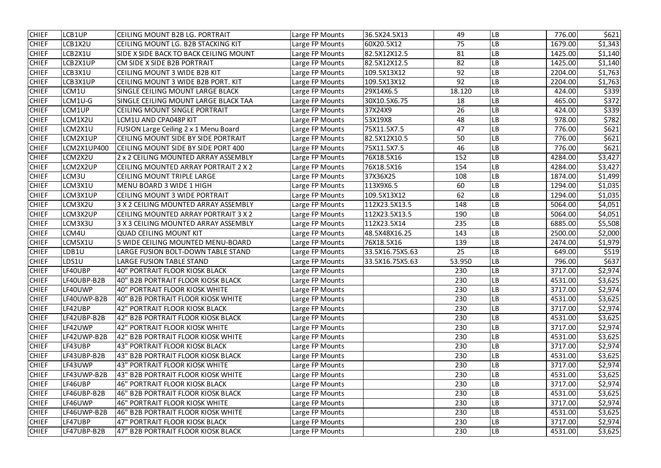| <b>CHIEF</b> | LCB1UP      | CEILING MOUNT B2B LG. PORTRAIT              | Large FP Mounts | 36.5X24.5X13    | 49     | LВ        | 776.00  | \$621   |
|--------------|-------------|---------------------------------------------|-----------------|-----------------|--------|-----------|---------|---------|
| <b>CHIEF</b> | LCB1X2U     | CEILING MOUNT LG. B2B STACKING KIT          | Large FP Mounts | 60X20.5X12      | 75     | LВ        | 1679.00 | \$1,343 |
| <b>CHIEF</b> | LCB2X1U     | SIDE X SIDE BACK TO BACK CEILING MOUNT      | Large FP Mounts | 82.5X12X12.5    | 81     | LВ        | 1425.00 | \$1,140 |
| <b>CHIEF</b> | LCB2X1UP    | CM SIDE X SIDE B2B PORTRAIT                 | Large FP Mounts | 82.5X12X12.5    | 82     | LB        | 1425.00 | \$1,140 |
| <b>CHIEF</b> | LCB3X1U     | <b>CEILING MOUNT 3 WIDE B2B KIT</b>         | Large FP Mounts | 109.5X13X12     | 92     | LB        | 2204.00 | \$1,763 |
| <b>CHIEF</b> | LCB3X1UP    | CEILING MOUNT 3 WIDE B2B PORT. KIT          | Large FP Mounts | 109.5X13X12     | 92     | LВ        | 2204.00 | \$1,763 |
| <b>CHIEF</b> | LCM1U       | SINGLE CEILING MOUNT LARGE BLACK            | Large FP Mounts | 29X14X6.5       | 18.120 | LB        | 424.00  | \$339   |
| <b>CHIEF</b> | LCM1U-G     | SINGLE CEILING MOUNT LARGE BLACK TAA        | Large FP Mounts | 30X10.5X6.75    | 18     | LB        | 465.00  | \$372   |
| <b>CHIEF</b> | LCM1UP      | CEILING MOUNT SINGLE PORTRAIT               | Large FP Mounts | 37X24X9         | 26     | LB        | 424.00  | \$339   |
| <b>CHIEF</b> | LCM1X2U     | LCM1U AND CPA048P KIT                       | Large FP Mounts | 53X19X8         | 48     | LВ        | 978.00  | \$782   |
| <b>CHIEF</b> | LCM2X1U     | FUSION Large Ceiling 2 x 1 Menu Board       | Large FP Mounts | 75X11.5X7.5     | 47     | LВ        | 776.00  | \$621   |
| <b>CHIEF</b> | LCM2X1UP    | CEILING MOUNT SIDE BY SIDE PORTRAIT         | Large FP Mounts | 82.5X12X10.5    | 50     | LВ        | 776.00  | \$621   |
| <b>CHIEF</b> | LCM2X1UP400 | CEILING MOUNT SIDE BY SIDE PORT 400         | Large FP Mounts | 75X11.5X7.5     | 46     | LВ        | 776.00  | \$621   |
| <b>CHIEF</b> | LCM2X2U     | 2 x 2 CEILING MOUNTED ARRAY ASSEMBLY        | Large FP Mounts | 76X18.5X16      | 152    | LB        | 4284.00 | \$3,427 |
| <b>CHIEF</b> | LCM2X2UP    | <b>CEILING MOUNTED ARRAY PORTRAIT 2 X 2</b> | Large FP Mounts | 76X18.5X16      | 154    | LВ        | 4284.00 | \$3,427 |
| <b>CHIEF</b> | LCM3U       | <b>CEILING MOUNT TRIPLE LARGE</b>           | Large FP Mounts | 37X36X25        | 108    | LB        | 1874.00 | \$1,499 |
| <b>CHIEF</b> | LCM3X1U     | MENU BOARD 3 WIDE 1 HIGH                    | Large FP Mounts | 113X9X6.5       | 60     | LВ        | 1294.00 | \$1,035 |
| <b>CHIEF</b> | LCM3X1UP    | CEILING MOUNT 3 WIDE PORTRAIT               | Large FP Mounts | 109.5X13X12     | 62     | LВ        | 1294.00 | \$1,035 |
| <b>CHIEF</b> | LCM3X2U     | 3 X 2 CEILING MOUNTED ARRAY ASSEMBLY        | Large FP Mounts | 112X23.5X13.5   | 148    | LB        | 5064.00 | \$4,051 |
| <b>CHIEF</b> | LCM3X2UP    | CEILING MOUNTED ARRAY PORTRAIT 3 X 2        | Large FP Mounts | 112X23.5X13.5   | 190    | LВ        | 5064.00 | \$4,051 |
| <b>CHIEF</b> | LCM3X3U     | 3 X 3 CEILING MOUNTED ARRAY ASSEMBLY        | Large FP Mounts | 112X23.5X14     | 235    | LВ        | 6885.00 | \$5,508 |
| <b>CHIEF</b> | LCM4U       | <b>QUAD CEILING MOUNT KIT</b>               | Large FP Mounts | 48.5X48X16.25   | 143    | LB        | 2500.00 | \$2,000 |
| <b>CHIEF</b> | LCM5X1U     | 5 WIDE CEILING MOUNTED MENU-BOARD           | Large FP Mounts | 76X18.5X16      | 139    | LB        | 2474.00 | \$1,979 |
| <b>CHIEF</b> | LDB1U       | LARGE FUSION BOLT-DOWN TABLE STAND          | Large FP Mounts | 33.5X16.75X5.63 | 25     | LВ        | 649.00  | \$519   |
| <b>CHIEF</b> | LDS1U       | <b>LARGE FUSION TABLE STAND</b>             | Large FP Mounts | 33.5X16.75X5.63 | 53.950 | LB        | 796.00  | \$637   |
| <b>CHIEF</b> | LF40UBP     | <b>40" PORTRAIT FLOOR KIOSK BLACK</b>       | Large FP Mounts |                 | 230    | LВ        | 3717.00 | \$2,974 |
| <b>CHIEF</b> | LF40UBP-B2B | 40" B2B PORTRAIT FLOOR KIOSK BLACK          | Large FP Mounts |                 | 230    | <b>LB</b> | 4531.00 | \$3,625 |
| <b>CHIEF</b> | LF40UWP     | 40" PORTRAIT FLOOR KIOSK WHITE              | Large FP Mounts |                 | 230    | LВ        | 3717.00 | \$2,974 |
| <b>CHIEF</b> | LF40UWP-B2B | 40" B2B PORTRAIT FLOOR KIOSK WHITE          | Large FP Mounts |                 | 230    | LВ        | 4531.00 | \$3,625 |
| <b>CHIEF</b> | LF42UBP     | 42" PORTRAIT FLOOR KIOSK BLACK              | Large FP Mounts |                 | 230    | LB        | 3717.00 | \$2,974 |
| <b>CHIEF</b> | LF42UBP-B2B | 42" B2B PORTRAIT FLOOR KIOSK BLACK          | Large FP Mounts |                 | 230    | LB        | 4531.00 | \$3,625 |
| <b>CHIEF</b> | LF42UWP     | 42" PORTRAIT FLOOR KIOSK WHITE              | Large FP Mounts |                 | 230    | LВ        | 3717.00 | \$2,974 |
| <b>CHIEF</b> | LF42UWP-B2B | 42" B2B PORTRAIT FLOOR KIOSK WHITE          | Large FP Mounts |                 | 230    | LВ        | 4531.00 | \$3,625 |
| <b>CHIEF</b> | LF43UBP     | 43" PORTRAIT FLOOR KIOSK BLACK              | Large FP Mounts |                 | 230    | LB        | 3717.00 | \$2,974 |
| <b>CHIEF</b> | LF43UBP-B2B | 43" B2B PORTRAIT FLOOR KIOSK BLACK          | Large FP Mounts |                 | 230    | LВ        | 4531.00 | \$3,625 |
| <b>CHIEF</b> | LF43UWP     | 43" PORTRAIT FLOOR KIOSK WHITE              | Large FP Mounts |                 | 230    | LB        | 3717.00 | \$2,974 |
| <b>CHIEF</b> | LF43UWP-B2B | 43" B2B PORTRAIT FLOOR KIOSK WHITE          | Large FP Mounts |                 | 230    | LB        | 4531.00 | \$3,625 |
| <b>CHIEF</b> | LF46UBP     | 46" PORTRAIT FLOOR KIOSK BLACK              | Large FP Mounts |                 | 230    | LB        | 3717.00 | \$2,974 |
| <b>CHIEF</b> | LF46UBP-B2B | 46" B2B PORTRAIT FLOOR KIOSK BLACK          | Large FP Mounts |                 | 230    | LВ        | 4531.00 | \$3,625 |
| <b>CHIEF</b> | LF46UWP     | 46" PORTRAIT FLOOR KIOSK WHITE              | Large FP Mounts |                 | 230    | LB        | 3717.00 | \$2,974 |
| <b>CHIEF</b> | LF46UWP-B2B | 46" B2B PORTRAIT FLOOR KIOSK WHITE          | Large FP Mounts |                 | 230    | LВ        | 4531.00 | \$3,625 |
| <b>CHIEF</b> | LF47UBP     | 47" PORTRAIT FLOOR KIOSK BLACK              | Large FP Mounts |                 | 230    | LB        | 3717.00 | \$2,974 |
| <b>CHIEF</b> | LF47UBP-B2B | 47" B2B PORTRAIT FLOOR KIOSK BLACK          | Large FP Mounts |                 | 230    | LB        | 4531.00 | \$3,625 |
|              |             |                                             |                 |                 |        |           |         |         |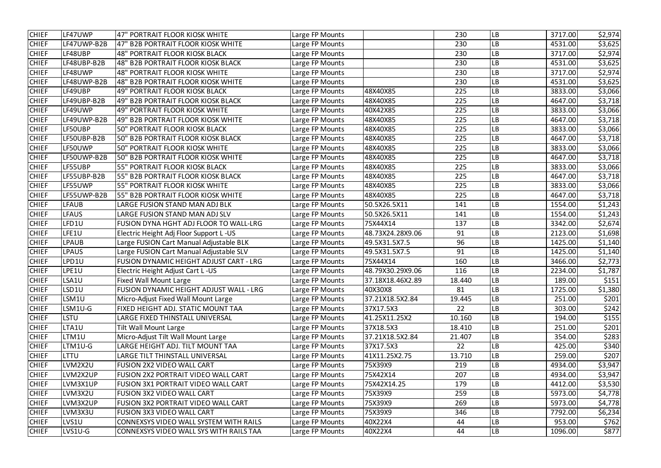| <b>CHIEF</b> | LF47UWP      | 47" PORTRAIT FLOOR KIOSK WHITE                 | Large FP Mounts |                  | 230    | <b>LB</b> | 3717.00 | \$2,974 |
|--------------|--------------|------------------------------------------------|-----------------|------------------|--------|-----------|---------|---------|
| <b>CHIEF</b> | LF47UWP-B2B  | 47" B2B PORTRAIT FLOOR KIOSK WHITE             | Large FP Mounts |                  | 230    | <b>LB</b> | 4531.00 | \$3,625 |
| <b>CHIEF</b> | LF48UBP      | 48" PORTRAIT FLOOR KIOSK BLACK                 | Large FP Mounts |                  | 230    | <b>LB</b> | 3717.00 | \$2,974 |
| <b>CHIEF</b> | LF48UBP-B2B  | 48" B2B PORTRAIT FLOOR KIOSK BLACK             | Large FP Mounts |                  | 230    | LB        | 4531.00 | \$3,625 |
| <b>CHIEF</b> | LF48UWP      | <b>48" PORTRAIT FLOOR KIOSK WHITE</b>          | Large FP Mounts |                  | 230    | LB        | 3717.00 | \$2,974 |
| <b>CHIEF</b> | LF48UWP-B2B  | 48" B2B PORTRAIT FLOOR KIOSK WHITE             | Large FP Mounts |                  | 230    | <b>LB</b> | 4531.00 | \$3,625 |
| <b>CHIEF</b> | LF49UBP      | <b>49" PORTRAIT FLOOR KIOSK BLACK</b>          | Large FP Mounts | 48X40X85         | 225    | <b>LB</b> | 3833.00 | \$3,066 |
| <b>CHIEF</b> | LF49UBP-B2B  | 49" B2B PORTRAIT FLOOR KIOSK BLACK             | Large FP Mounts | 48X40X85         | 225    | <b>LB</b> | 4647.00 | \$3,718 |
| <b>CHIEF</b> | LF49UWP      | 49" PORTRAIT FLOOR KIOSK WHITE                 | Large FP Mounts | 40X42X85         | 225    | LB        | 3833.00 | \$3,066 |
| <b>CHIEF</b> | LF49UWP-B2B  | 49" B2B PORTRAIT FLOOR KIOSK WHITE             | Large FP Mounts | 48X40X85         | 225    | <b>LB</b> | 4647.00 | \$3,718 |
| <b>CHIEF</b> | LF50UBP      | <b>50" PORTRAIT FLOOR KIOSK BLACK</b>          | Large FP Mounts | 48X40X85         | 225    | <b>LB</b> | 3833.00 | \$3,066 |
| <b>CHIEF</b> | LF50UBP-B2B  | 50" B2B PORTRAIT FLOOR KIOSK BLACK             | Large FP Mounts | 48X40X85         | 225    | LB        | 4647.00 | \$3,718 |
| <b>CHIEF</b> | LF50UWP      | 50" PORTRAIT FLOOR KIOSK WHITE                 | Large FP Mounts | 48X40X85         | 225    | <b>LB</b> | 3833.00 | \$3,066 |
| <b>CHIEF</b> | LF50UWP-B2B  | 50" B2B PORTRAIT FLOOR KIOSK WHITE             | Large FP Mounts | 48X40X85         | 225    | <b>LB</b> | 4647.00 | \$3,718 |
| <b>CHIEF</b> | LF55UBP      | 55" PORTRAIT FLOOR KIOSK BLACK                 | Large FP Mounts | 48X40X85         | 225    | LB        | 3833.00 | \$3,066 |
| <b>CHIEF</b> | LF55UBP-B2B  | 55" B2B PORTRAIT FLOOR KIOSK BLACK             | Large FP Mounts | 48X40X85         | 225    | LB        | 4647.00 | \$3,718 |
| <b>CHIEF</b> | LF55UWP      | 55" PORTRAIT FLOOR KIOSK WHITE                 | Large FP Mounts | 48X40X85         | 225    | LB        | 3833.00 | \$3,066 |
| <b>CHIEF</b> | LF55UWP-B2B  | 55" B2B PORTRAIT FLOOR KIOSK WHITE             | Large FP Mounts | 48X40X85         | 225    | <b>LB</b> | 4647.00 | \$3,718 |
| <b>CHIEF</b> | <b>LFAUB</b> | LARGE FUSION STAND MAN ADJ BLK                 | Large FP Mounts | 50.5X26.5X11     | 141    | <b>LB</b> | 1554.00 | \$1,243 |
| <b>CHIEF</b> | <b>LFAUS</b> | LARGE FUSION STAND MAN ADJ SLV                 | Large FP Mounts | 50.5X26.5X11     | 141    | LB        | 1554.00 | \$1,243 |
| <b>CHIEF</b> | FD1U         | FUSION DYNA HGHT ADJ FLOOR TO WALL-LRG         | Large FP Mounts | 75X44X14         | 137    | <b>LB</b> | 3342.00 | \$2,674 |
| <b>CHIEF</b> | LFE1U        | Electric Height Adj Floor Support L-US         | Large FP Mounts | 48.73X24.28X9.06 | 91     | <b>LB</b> | 2123.00 | \$1,698 |
| <b>CHIEF</b> | PAUB         | Large FUSION Cart Manual Adjustable BLK        | Large FP Mounts | 49.5X31.5X7.5    | 96     | LB        | 1425.00 | \$1,140 |
| <b>CHIEF</b> | LPAUS        | Large FUSION Cart Manual Adjustable SLV        | Large FP Mounts | 49.5X31.5X7.5    | 91     | LB        | 1425.00 | \$1,140 |
| <b>CHIEF</b> | LPD1U        | FUSION DYNAMIC HEIGHT ADJUST CART - LRG        | Large FP Mounts | 75X44X14         | 160    | <b>LB</b> | 3466.00 | \$2,773 |
| <b>CHIEF</b> | LPE1U        | Electric Height Adjust Cart L-US               | Large FP Mounts | 48.79X30.29X9.06 | 116    | <b>LB</b> | 2234.00 | \$1,787 |
| <b>CHIEF</b> | LSA1U        | <b>Fixed Wall Mount Large</b>                  | Large FP Mounts | 37.18X18.46X2.89 | 18.440 | <b>LB</b> | 189.00  | \$151   |
| <b>CHIEF</b> | LSD1U        | <b>FUSION DYNAMIC HEIGHT ADJUST WALL - LRG</b> | Large FP Mounts | 40X30X8          | 81     | <b>LB</b> | 1725.00 | \$1,380 |
| <b>CHIEF</b> | LSM1U        | Micro-Adjust Fixed Wall Mount Large            | Large FP Mounts | 37.21X18.5X2.84  | 19.445 | <b>LB</b> | 251.00  | \$201   |
| <b>CHIEF</b> | LSM1U-G      | FIXED HEIGHT ADJ. STATIC MOUNT TAA             | Large FP Mounts | 37X17.5X3        | 22     | <b>LB</b> | 303.00  | \$242   |
| <b>CHIEF</b> | <b>LSTU</b>  | LARGE FIXED THINSTALL UNIVERSAL                | Large FP Mounts | 41.25X11.25X2    | 10.160 | <b>LB</b> | 194.00  | \$155   |
| <b>CHIEF</b> | LTA1U        | <b>Tilt Wall Mount Large</b>                   | Large FP Mounts | 37X18.5X3        | 18.410 | <b>LB</b> | 251.00  | \$201   |
| <b>CHIEF</b> | LTM1U        | Micro-Adjust Tilt Wall Mount Large             | Large FP Mounts | 37.21X18.5X2.84  | 21.407 | <b>LB</b> | 354.00  | \$283   |
| <b>CHIEF</b> | LTM1U-G      | LARGE HEIGHT ADJ. TILT MOUNT TAA               | Large FP Mounts | 37X17.5X3        | 22     | <b>LB</b> | 425.00  | \$340   |
| <b>CHIEF</b> | LTTU         | LARGE TILT THINSTALL UNIVERSAL                 | Large FP Mounts | 41X11.25X2.75    | 13.710 | <b>LB</b> | 259.00  | \$207   |
| <b>CHIEF</b> | LVM2X2U      | <b>FUSION 2X2 VIDEO WALL CART</b>              | Large FP Mounts | 75X39X9          | 219    | <b>LB</b> | 4934.00 | \$3,947 |
| <b>CHIEF</b> | LVM2X2UP     | <b>FUSION 2X2 PORTRAIT VIDEO WALL CART</b>     | Large FP Mounts | 75X42X14         | 207    | <b>LB</b> | 4934.00 | \$3,947 |
| <b>CHIEF</b> | LVM3X1UP     | <b>FUSION 3X1 PORTRAIT VIDEO WALL CART</b>     | Large FP Mounts | 75X42X14.25      | 179    | <b>LB</b> | 4412.00 | \$3,530 |
| <b>CHIEF</b> | LVM3X2U      | <b>FUSION 3X2 VIDEO WALL CART</b>              | Large FP Mounts | 75X39X9          | 259    | <b>LB</b> | 5973.00 | \$4,778 |
| <b>CHIEF</b> | LVM3X2UP     | FUSION 3X2 PORTRAIT VIDEO WALL CART            | Large FP Mounts | 75X39X9          | 269    | <b>LB</b> | 5973.00 | \$4,778 |
| <b>CHIEF</b> | LVM3X3U      | <b>FUSION 3X3 VIDEO WALL CART</b>              | Large FP Mounts | 75X39X9          | 346    | <b>LB</b> | 7792.00 | \$6,234 |
| <b>CHIEF</b> | LVS1U        | CONNEXSYS VIDEO WALL SYSTEM WITH RAILS         | Large FP Mounts | 40X22X4          | 44     | <b>LB</b> | 953.00  | \$762   |
| <b>CHIEF</b> | LVS1U-G      | CONNEXSYS VIDEO WALL SYS WITH RAILS TAA        | Large FP Mounts | 40X22X4          | 44     | <b>LB</b> | 1096.00 | \$877   |
|              |              |                                                |                 |                  |        |           |         |         |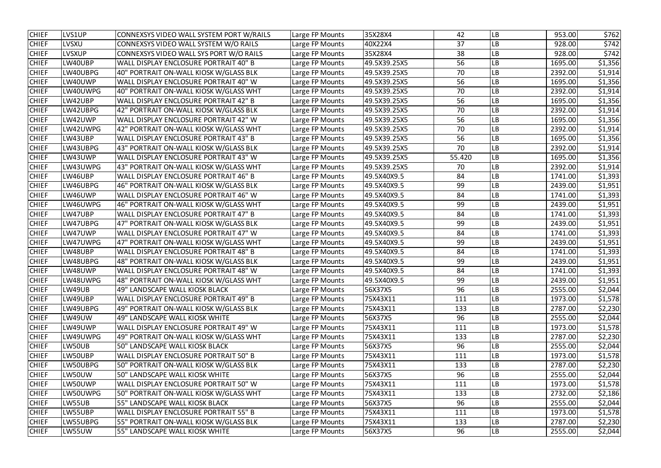| <b>CHIEF</b> | LVS1UP        | CONNEXSYS VIDEO WALL SYSTEM PORT W/RAILS | Large FP Mounts | 35X28X4      | 42     | LВ        | 953.00  | \$762   |
|--------------|---------------|------------------------------------------|-----------------|--------------|--------|-----------|---------|---------|
| <b>CHIEF</b> | <b>LVSXU</b>  | CONNEXSYS VIDEO WALL SYSTEM W/O RAILS    | Large FP Mounts | 40X22X4      | 37     | LB        | 928.00  | \$742   |
| <b>CHIEF</b> | <b>LVSXUP</b> | CONNEXSYS VIDEO WALL SYS PORT W/O RAILS  | Large FP Mounts | 35X28X4      | 38     | LB        | 928.00  | \$742   |
| <b>CHIEF</b> | LW40UBP       | WALL DISPLAY ENCLOSURE PORTRAIT 40" B    | Large FP Mounts | 49.5X39.25X5 | 56     | LВ        | 1695.00 | \$1,356 |
| <b>CHIEF</b> | LW40UBPG      | 40" PORTRAIT ON-WALL KIOSK W/GLASS BLK   | Large FP Mounts | 49.5X39.25X5 | 70     | LB        | 2392.00 | \$1,914 |
| <b>CHIEF</b> | LW40UWP       | WALL DISPLAY ENCLOSURE PORTRAIT 40" W    | Large FP Mounts | 49.5X39.25X5 | 56     | LB        | 1695.00 | \$1,356 |
| <b>CHIEF</b> | LW40UWPG      | 40" PORTRAIT ON-WALL KIOSK W/GLASS WHT   | Large FP Mounts | 49.5X39.25X5 | 70     | LB        | 2392.00 | \$1,914 |
| <b>CHIEF</b> | LW42UBP       | WALL DISPLAY ENCLOSURE PORTRAIT 42" B    | Large FP Mounts | 49.5X39.25X5 | 56     | LB        | 1695.00 | \$1,356 |
| <b>CHIEF</b> | LW42UBPG      | 42" PORTRAIT ON-WALL KIOSK W/GLASS BLK   | Large FP Mounts | 49.5X39.25X5 | 70     | LB        | 2392.00 | \$1,914 |
| <b>CHIEF</b> | LW42UWP       | WALL DISPLAY ENCLOSURE PORTRAIT 42" W    | Large FP Mounts | 49.5X39.25X5 | 56     | LB        | 1695.00 | \$1,356 |
| <b>CHIEF</b> | LW42UWPG      | 42" PORTRAIT ON-WALL KIOSK W/GLASS WHT   | Large FP Mounts | 49.5X39.25X5 | 70     | LB        | 2392.00 | \$1,914 |
| <b>CHIEF</b> | LW43UBP       | WALL DISPLAY ENCLOSURE PORTRAIT 43" B    | Large FP Mounts | 49.5X39.25X5 | 56     | LB        | 1695.00 | \$1,356 |
| <b>CHIEF</b> | LW43UBPG      | 43" PORTRAIT ON-WALL KIOSK W/GLASS BLK   | Large FP Mounts | 49.5X39.25X5 | 70     | LB        | 2392.00 | \$1,914 |
| <b>CHIEF</b> | LW43UWP       | WALL DISPLAY ENCLOSURE PORTRAIT 43" W    | Large FP Mounts | 49.5X39.25X5 | 55.420 | LB        | 1695.00 | \$1,356 |
| <b>CHIEF</b> | LW43UWPG      | 43" PORTRAIT ON-WALL KIOSK W/GLASS WHT   | Large FP Mounts | 49.5X39.25X5 | 70     | LB        | 2392.00 | \$1,914 |
| <b>CHIEF</b> | LW46UBP       | WALL DISPLAY ENCLOSURE PORTRAIT 46" B    | Large FP Mounts | 49.5X40X9.5  | 84     | LB        | 1741.00 | \$1,393 |
| <b>CHIEF</b> | LW46UBPG      | 46" PORTRAIT ON-WALL KIOSK W/GLASS BLK   | Large FP Mounts | 49.5X40X9.5  | 99     | LB        | 2439.00 | \$1,951 |
| <b>CHIEF</b> | LW46UWP       | WALL DISPLAY ENCLOSURE PORTRAIT 46" W    | Large FP Mounts | 49.5X40X9.5  | 84     | LB        | 1741.00 | \$1,393 |
| <b>CHIEF</b> | LW46UWPG      | 46" PORTRAIT ON-WALL KIOSK W/GLASS WHT   | Large FP Mounts | 49.5X40X9.5  | 99     | LB        | 2439.00 | \$1,951 |
| <b>CHIEF</b> | LW47UBP       | WALL DISPLAY ENCLOSURE PORTRAIT 47" B    | Large FP Mounts | 49.5X40X9.5  | 84     | LB        | 1741.00 | \$1,393 |
| <b>CHIEF</b> | LW47UBPG      | 47" PORTRAIT ON-WALL KIOSK W/GLASS BLK   | Large FP Mounts | 49.5X40X9.5  | 99     | LB        | 2439.00 | \$1,951 |
| <b>CHIEF</b> | LW47UWP       | WALL DISPLAY ENCLOSURE PORTRAIT 47" W    | Large FP Mounts | 49.5X40X9.5  | 84     | LB        | 1741.00 | \$1,393 |
| <b>CHIEF</b> | LW47UWPG      | 47" PORTRAIT ON-WALL KIOSK W/GLASS WHT   | Large FP Mounts | 49.5X40X9.5  | 99     | LB        | 2439.00 | \$1,951 |
| <b>CHIEF</b> | LW48UBP       | WALL DISPLAY ENCLOSURE PORTRAIT 48" B    | Large FP Mounts | 49.5X40X9.5  | 84     | LB        | 1741.00 | \$1,393 |
| <b>CHIEF</b> | LW48UBPG      | 48" PORTRAIT ON-WALL KIOSK W/GLASS BLK   | Large FP Mounts | 49.5X40X9.5  | 99     | LB        | 2439.00 | \$1,951 |
| <b>CHIEF</b> | LW48UWP       | WALL DISPLAY ENCLOSURE PORTRAIT 48" W    | Large FP Mounts | 49.5X40X9.5  | 84     | LB        | 1741.00 | \$1,393 |
| <b>CHIEF</b> | LW48UWPG      | 48" PORTRAIT ON-WALL KIOSK W/GLASS WHT   | Large FP Mounts | 49.5X40X9.5  | 99     | <b>LB</b> | 2439.00 | \$1,951 |
| <b>CHIEF</b> | LW49UB        | 49" LANDSCAPE WALL KIOSK BLACK           | Large FP Mounts | 56X37X5      | 96     | LB        | 2555.00 | \$2,044 |
| <b>CHIEF</b> | LW49UBP       | WALL DISPLAY ENCLOSURE PORTRAIT 49" B    | Large FP Mounts | 75X43X11     | 111    | LB        | 1973.00 | \$1,578 |
| <b>CHIEF</b> | LW49UBPG      | 49" PORTRAIT ON-WALL KIOSK W/GLASS BLK   | Large FP Mounts | 75X43X11     | 133    | LB        | 2787.00 | \$2,230 |
| <b>CHIEF</b> | LW49UW        | 49" LANDSCAPE WALL KIOSK WHITE           | Large FP Mounts | 56X37X5      | 96     | LB        | 2555.00 | \$2,044 |
| <b>CHIEF</b> | LW49UWP       | WALL DISPLAY ENCLOSURE PORTRAIT 49" W    | Large FP Mounts | 75X43X11     | 111    | LB        | 1973.00 | \$1,578 |
| <b>CHIEF</b> | LW49UWPG      | 49" PORTRAIT ON-WALL KIOSK W/GLASS WHT   | Large FP Mounts | 75X43X11     | 133    | LB        | 2787.00 | \$2,230 |
| <b>CHIEF</b> | LW50UB        | 50" LANDSCAPE WALL KIOSK BLACK           | Large FP Mounts | 56X37X5      | 96     | LВ        | 2555.00 | \$2,044 |
| <b>CHIEF</b> | LW50UBP       | WALL DISPLAY ENCLOSURE PORTRAIT 50" B    | Large FP Mounts | 75X43X11     | 111    | LB        | 1973.00 | \$1,578 |
| <b>CHIEF</b> | LW50UBPG      | 50" PORTRAIT ON-WALL KIOSK W/GLASS BLK   | Large FP Mounts | 75X43X11     | 133    | LВ        | 2787.00 | \$2,230 |
| <b>CHIEF</b> | LW50UW        | 50" LANDSCAPE WALL KIOSK WHITE           | Large FP Mounts | 56X37X5      | 96     | LВ        | 2555.00 | \$2,044 |
| <b>CHIEF</b> | LW50UWP       | WALL DISPLAY ENCLOSURE PORTRAIT 50" W    | Large FP Mounts | 75X43X11     | 111    | LB        | 1973.00 | \$1,578 |
| <b>CHIEF</b> | LW50UWPG      | 50" PORTRAIT ON-WALL KIOSK W/GLASS WHT   | Large FP Mounts | 75X43X11     | 133    | LB        | 2732.00 | \$2,186 |
| <b>CHIEF</b> | LW55UB        | 55" LANDSCAPE WALL KIOSK BLACK           | Large FP Mounts | 56X37X5      | 96     | LB        | 2555.00 | \$2,044 |
| <b>CHIEF</b> | LW55UBP       | WALL DISPLAY ENCLOSURE PORTRAIT 55" B    | Large FP Mounts | 75X43X11     | 111    | LB        | 1973.00 | \$1,578 |
| <b>CHIEF</b> | LW55UBPG      | 55" PORTRAIT ON-WALL KIOSK W/GLASS BLK   | Large FP Mounts | 75X43X11     | 133    | LB        | 2787.00 | \$2,230 |
| <b>CHIEF</b> | LW55UW        | 55" LANDSCAPE WALL KIOSK WHITE           | Large FP Mounts | 56X37X5      | 96     | LB        | 2555.00 | \$2,044 |
|              |               |                                          |                 |              |        |           |         |         |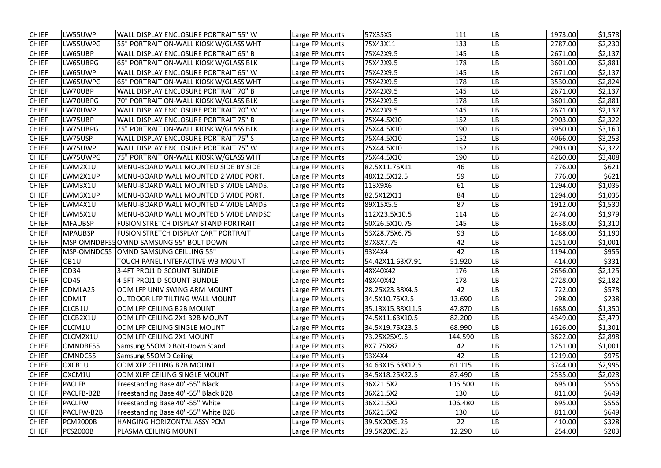| <b>CHIEF</b> | LW55UWP         | WALL DISPLAY ENCLOSURE PORTRAIT 55" W       | Large FP Mounts | 57X35X5          | 111     | <b>LB</b>      | 1973.00 | \$1,578 |
|--------------|-----------------|---------------------------------------------|-----------------|------------------|---------|----------------|---------|---------|
| <b>CHIEF</b> | LW55UWPG        | 55" PORTRAIT ON-WALL KIOSK W/GLASS WHT      | Large FP Mounts | 75X43X11         | 133     | <b>LB</b>      | 2787.00 | \$2,230 |
| <b>CHIEF</b> | LW65UBP         | WALL DISPLAY ENCLOSURE PORTRAIT 65" B       | Large FP Mounts | 75X42X9.5        | 145     | <b>LB</b>      | 2671.00 | \$2,137 |
| <b>CHIEF</b> | LW65UBPG        | 65" PORTRAIT ON-WALL KIOSK W/GLASS BLK      | Large FP Mounts | 75X42X9.5        | 178     | LB             | 3601.00 | \$2,881 |
| <b>CHIEF</b> | LW65UWP         | WALL DISPLAY ENCLOSURE PORTRAIT 65" W       | Large FP Mounts | 75X42X9.5        | 145     | LB             | 2671.00 | \$2,137 |
| <b>CHIEF</b> | LW65UWPG        | 65" PORTRAIT ON-WALL KIOSK W/GLASS WHT      | Large FP Mounts | 75X42X9.5        | 178     | <b>LB</b>      | 3530.00 | \$2,824 |
| <b>CHIEF</b> | LW70UBP         | WALL DISPLAY ENCLOSURE PORTRAIT 70" B       | Large FP Mounts | 75X42X9.5        | 145     | <b>LB</b>      | 2671.00 | \$2,137 |
| <b>CHIEF</b> | LW70UBPG        | 70" PORTRAIT ON-WALL KIOSK W/GLASS BLK      | Large FP Mounts | 75X42X9.5        | 178     | <b>LB</b>      | 3601.00 | \$2,881 |
| <b>CHIEF</b> | LW70UWP         | WALL DISPLAY ENCLOSURE PORTRAIT 70" W       | Large FP Mounts | 75X42X9.5        | 145     | LB             | 2671.00 | \$2,137 |
| <b>CHIEF</b> | LW75UBP         | WALL DISPLAY ENCLOSURE PORTRAIT 75" B       | Large FP Mounts | 75X44.5X10       | 152     | <b>LB</b>      | 2903.00 | \$2,322 |
| <b>CHIEF</b> | LW75UBPG        | 75" PORTRAIT ON-WALL KIOSK W/GLASS BLK      | Large FP Mounts | 75X44.5X10       | 190     | LB             | 3950.00 | \$3,160 |
| <b>CHIEF</b> | LW75USP         | WALL DISPLAY ENCLOSURE PORTRAIT 75" S       | Large FP Mounts | 75X44.5X10       | 152     | LB             | 4066.00 | \$3,253 |
| <b>CHIEF</b> | LW75UWP         | WALL DISPLAY ENCLOSURE PORTRAIT 75" W       | Large FP Mounts | 75X44.5X10       | 152     | <b>LB</b>      | 2903.00 | \$2,322 |
| <b>CHIEF</b> | LW75UWPG        | 75" PORTRAIT ON-WALL KIOSK W/GLASS WHT      | Large FP Mounts | 75X44.5X10       | 190     | <b>LB</b>      | 4260.00 | \$3,408 |
| <b>CHIEF</b> | LWM2X1U         | MENU-BOARD WALL MOUNTED SIDE BY SIDE        | Large FP Mounts | 82.5X11.75X11    | 46      | LB             | 776.00  | \$621   |
| <b>CHIEF</b> | LWM2X1UP        | MENU-BOARD WALL MOUNTED 2 WIDE PORT.        | Large FP Mounts | 48X12.5X12.5     | 59      | LB             | 776.00  | \$621   |
| <b>CHIEF</b> | LWM3X1U         | MENU-BOARD WALL MOUNTED 3 WIDE LANDS.       | Large FP Mounts | 113X9X6          | 61      | LB             | 1294.00 | \$1,035 |
| <b>CHIEF</b> | LWM3X1UP        | MENU-BOARD WALL MOUNTED 3 WIDE PORT.        | Large FP Mounts | 82.5X12X11       | 84      | LB             | 1294.00 | \$1,035 |
| <b>CHIEF</b> | LWM4X1U         | <b>MENU-BOARD WALL MOUNTED 4 WIDE LANDS</b> | Large FP Mounts | 89X15X5.5        | 87      | LB             | 1912.00 | \$1,530 |
| <b>CHIEF</b> | LWM5X1U         | MENU-BOARD WALL MOUNTED 5 WIDE LANDSC       | Large FP Mounts | 112X23.5X10.5    | 114     | <b>LB</b>      | 2474.00 | \$1,979 |
| <b>CHIEF</b> | <b>MFAUBSP</b>  | FUSION STRETCH DISPLAY STAND PORTRAIT       | Large FP Mounts | 50X26.5X10.75    | 145     | <b>LB</b>      | 1638.00 | \$1,310 |
| <b>CHIEF</b> | <b>MPAUBSP</b>  | FUSION STRETCH DISPLAY CART PORTRAIT        | Large FP Mounts | 53X28.75X6.75    | 93      | <b>LB</b>      | 1488.00 | \$1,190 |
| <b>CHIEF</b> | MSP-OMNDBF55    | OMND SAMSUNG 55" BOLT DOWN                  | Large FP Mounts | 87X8X7.75        | 42      | LB             | 1251.00 | \$1,001 |
| <b>CHIEF</b> | MSP-OMNDC55     | OMND SAMSUNG CEILLING 55"                   | Large FP Mounts | 93X4X4           | 42      | LB             | 1194.00 | \$955   |
| <b>CHIEF</b> | OB1U            | TOUCH PANEL INTERACTIVE WB MOUNT            | Large FP Mounts | 54.42X11.63X7.91 | 51.920  | <b>LB</b>      | 414.00  | \$331   |
| <b>CHIEF</b> | OD34            | 3-4FT PROJ1 DISCOUNT BUNDLE                 | Large FP Mounts | 48X40X42         | 176     | <b>LB</b>      | 2656.00 | \$2,125 |
| <b>CHIEF</b> | <b>OD45</b>     | 4-5FT PROJ1 DISCOUNT BUNDLE                 | Large FP Mounts | 48X40X42         | 178     | <b>LB</b>      | 2728.00 | \$2,182 |
| <b>CHIEF</b> | ODMLA25         | ODM LFP UNIV SWING ARM MOUNT                | Large FP Mounts | 28.25X23.38X4.5  | 42      | <b>LB</b>      | 722.00  | \$578   |
| <b>CHIEF</b> | <b>ODMLT</b>    | OUTDOOR LFP TILTING WALL MOUNT              | Large FP Mounts | 34.5X10.75X2.5   | 13.690  | <b>LB</b>      | 298.00  | \$238   |
| <b>CHIEF</b> | OLCB1U          | ODM LFP CEILING B2B MOUNT                   | Large FP Mounts | 35.13X15.88X11.5 | 47.870  | <b>LB</b>      | 1688.00 | \$1,350 |
| <b>CHIEF</b> | OLCB2X1U        | ODM LFP CEILING 2X1 B2B MOUNT               | Large FP Mounts | 74.5X11.63X10.5  | 82.200  | <b>LB</b>      | 4349.00 | \$3,479 |
| <b>CHIEF</b> | OLCM1U          | ODM LFP CEILING SINGLE MOUNT                | Large FP Mounts | 34.5X19.75X23.5  | 68.990  | <b>LB</b>      | 1626.00 | \$1,301 |
| <b>CHIEF</b> | OLCM2X1U        | ODM LFP CEILING 2X1 MOUNT                   | Large FP Mounts | 73.25X25X9.5     | 144.590 | <b>LB</b>      | 3622.00 | \$2,898 |
| <b>CHIEF</b> | OMNDBF55        | Samsung 550MD Bolt-Down Stand               | Large FP Mounts | 8X7.75X87        | 42      | <b>LB</b>      | 1251.00 | \$1,001 |
| <b>CHIEF</b> | OMNDC55         | Samsung 550MD Ceiling                       | Large FP Mounts | 93X4X4           | 42      | <b>LB</b>      | 1219.00 | \$975   |
| <b>CHIEF</b> | OXCB1U          | ODM XFP CEILING B2B MOUNT                   | Large FP Mounts | 34.63X15.63X12.5 | 61.115  | <b>LB</b>      | 3744.00 | \$2,995 |
| <b>CHIEF</b> | OXCM1U          | ODM XLFP CEILING SINGLE MOUNT               | Large FP Mounts | 34.5X18.25X22.5  | 87.490  | <b>LB</b>      | 2535.00 | \$2,028 |
| <b>CHIEF</b> | <b>PACLFB</b>   | Freestanding Base 40"-55" Black             | Large FP Mounts | 36X21.5X2        | 106.500 | <b>LB</b>      | 695.00  | \$556   |
| <b>CHIEF</b> | PACLFB-B2B      | Freestanding Base 40"-55" Black B2B         | Large FP Mounts | 36X21.5X2        | 130     | <b>LB</b>      | 811.00  | \$649   |
| <b>CHIEF</b> | <b>PACLFW</b>   | Freestanding Base 40"-55" White             | Large FP Mounts | 36X21.5X2        | 106.480 | <b>LB</b>      | 695.00  | \$556   |
| <b>CHIEF</b> | PACLFW-B2B      | Freestanding Base 40"-55" White B2B         | Large FP Mounts | 36X21.5X2        | 130     | LB             | 811.00  | \$649   |
| <b>CHIEF</b> | <b>PCM2000B</b> | HANGING HORIZONTAL ASSY PCM                 | Large FP Mounts | 39.5X20X5.25     | 22      | LB             | 410.00  | \$328   |
| <b>CHIEF</b> | <b>PCS2000B</b> | PLASMA CEILING MOUNT                        | Large FP Mounts | 39.5X20X5.25     | 12.290  | L <sub>B</sub> | 254.00  | \$203   |
|              |                 |                                             |                 |                  |         |                |         |         |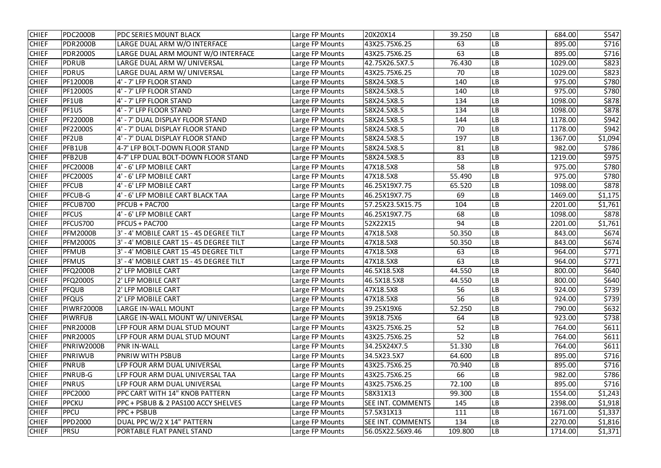| <b>CHIEF</b> | <b>PDC2000B</b> | PDC SERIES MOUNT BLACK                  | Large FP Mounts | 20X20X14          | 39.250  | <b>LB</b>  | 684.00  | \$547   |
|--------------|-----------------|-----------------------------------------|-----------------|-------------------|---------|------------|---------|---------|
| <b>CHIEF</b> | <b>PDR2000B</b> | LARGE DUAL ARM W/O INTERFACE            | Large FP Mounts | 43X25.75X6.25     | 63      | LB         | 895.00  | \$716   |
| <b>CHIEF</b> | <b>PDR2000S</b> | LARGE DUAL ARM MOUNT W/O INTERFACE      | Large FP Mounts | 43X25.75X6.25     | 63      | <b>LB</b>  | 895.00  | \$716   |
| <b>CHIEF</b> | <b>PDRUB</b>    | LARGE DUAL ARM W/ UNIVERSAL             | Large FP Mounts | 42.75X26.5X7.5    | 76.430  | LB         | 1029.00 | \$823   |
| <b>CHIEF</b> | <b>PDRUS</b>    | LARGE DUAL ARM W/ UNIVERSAL             | Large FP Mounts | 43X25.75X6.25     | 70      | LB         | 1029.00 | \$823   |
| <b>CHIEF</b> | PF12000B        | 4' - 7' LFP FLOOR STAND                 | Large FP Mounts | 58X24.5X8.5       | 140     | LВ         | 975.00  | \$780   |
| <b>CHIEF</b> | PF12000S        | 4' - 7' LFP FLOOR STAND                 | Large FP Mounts | 58X24.5X8.5       | 140     | LВ         | 975.00  | \$780   |
| <b>CHIEF</b> | PF1UB           | 4' - 7' LFP FLOOR STAND                 | Large FP Mounts | 58X24.5X8.5       | 134     | ${\sf LB}$ | 1098.00 | \$878   |
| <b>CHIEF</b> | PF1US           | 4' - 7' LFP FLOOR STAND                 | Large FP Mounts | 58X24.5X8.5       | 134     | LВ         | 1098.00 | \$878   |
| <b>CHIEF</b> | <b>PF22000B</b> | 4' - 7' DUAL DISPLAY FLOOR STAND        | Large FP Mounts | 58X24.5X8.5       | 144     | LВ         | 1178.00 | \$942   |
| <b>CHIEF</b> | <b>PF22000S</b> | 4' - 7' DUAL DISPLAY FLOOR STAND        | Large FP Mounts | 58X24.5X8.5       | 70      | LB         | 1178.00 | \$942   |
| <b>CHIEF</b> | PF2UB           | 4' - 7' DUAL DISPLAY FLOOR STAND        | Large FP Mounts | 58X24.5X8.5       | 197     | LB         | 1367.00 | \$1,094 |
| <b>CHIEF</b> | PFB1UB          | 4-7' LFP BOLT-DOWN FLOOR STAND          | Large FP Mounts | 58X24.5X8.5       | 81      | LB         | 982.00  | \$786   |
| <b>CHIEF</b> | <b>PFB2UB</b>   | 4-7' LFP DUAL BOLT-DOWN FLOOR STAND     | Large FP Mounts | 58X24.5X8.5       | 83      | LВ         | 1219.00 | \$975   |
| <b>CHIEF</b> | <b>PFC2000B</b> | 4' - 6' LFP MOBILE CART                 | Large FP Mounts | 47X18.5X8         | 58      | LB         | 975.00  | \$780   |
| <b>CHIEF</b> | <b>PFC2000S</b> | 4' - 6' LFP MOBILE CART                 | Large FP Mounts | 47X18.5X8         | 55.490  | LB         | 975.00  | \$780   |
| <b>CHIEF</b> | <b>PFCUB</b>    | 4' - 6' LFP MOBILE CART                 | Large FP Mounts | 46.25X19X7.75     | 65.520  | LB         | 1098.00 | \$878   |
| <b>CHIEF</b> | <b>PFCUB-G</b>  | 4' - 6' LFP MOBILE CART BLACK TAA       | Large FP Mounts | 46.25X19X7.75     | 69      | LB         | 1469.00 | \$1,175 |
| <b>CHIEF</b> | PFCUB700        | PFCUB + PAC700                          | Large FP Mounts | 57.25X23.5X15.75  | 104     | LВ         | 2201.00 | \$1,761 |
| <b>CHIEF</b> | <b>PFCUS</b>    | 4' - 6' LFP MOBILE CART                 | Large FP Mounts | 46.25X19X7.75     | 68      | ${\sf LB}$ | 1098.00 | \$878   |
| <b>CHIEF</b> | PFCUS700        | PFCUS + PAC700                          | Large FP Mounts | 52X22X15          | 94      | LB         | 2201.00 | \$1,761 |
| <b>CHIEF</b> | <b>PFM2000B</b> | 3' - 4' MOBILE CART 15 - 45 DEGREE TILT | Large FP Mounts | 47X18.5X8         | 50.350  | <b>LB</b>  | 843.00  | \$674   |
| <b>CHIEF</b> | <b>PFM2000S</b> | 3' - 4' MOBILE CART 15 - 45 DEGREE TILT | Large FP Mounts | 47X18.5X8         | 50.350  | LB         | 843.00  | \$674   |
| <b>CHIEF</b> | PFMUB           | 3' - 4' MOBILE CART 15 -45 DEGREE TILT  | Large FP Mounts | 47X18.5X8         | 63      | LB         | 964.00  | \$771   |
| <b>CHIEF</b> | <b>PFMUS</b>    | 3' - 4' MOBILE CART 15 - 45 DEGREE TILT | Large FP Mounts | 47X18.5X8         | 63      | LB         | 964.00  | \$771   |
| <b>CHIEF</b> | <b>PFQ2000B</b> | 2' LFP MOBILE CART                      | Large FP Mounts | 46.5X18.5X8       | 44.550  | LB         | 800.00  | \$640   |
| <b>CHIEF</b> | <b>PFQ2000S</b> | 2' LFP MOBILE CART                      | Large FP Mounts | 46.5X18.5X8       | 44.550  | LB         | 800.00  | \$640   |
| <b>CHIEF</b> | <b>PFQUB</b>    | 2' LFP MOBILE CART                      | Large FP Mounts | 47X18.5X8         | 56      | <b>LB</b>  | 924.00  | \$739   |
| <b>CHIEF</b> | <b>PFQUS</b>    | 2' LFP MOBILE CART                      | Large FP Mounts | 47X18.5X8         | 56      | <b>LB</b>  | 924.00  | \$739   |
| <b>CHIEF</b> | PIWRF2000B      | <b>LARGE IN-WALL MOUNT</b>              | Large FP Mounts | 39.25X19X6        | 52.250  | <b>LB</b>  | 790.00  | \$632   |
| <b>CHIEF</b> | <b>PIWRFUB</b>  | LARGE IN-WALL MOUNT W/ UNIVERSAL        | Large FP Mounts | 39X18.75X6        | 64      | LB         | 923.00  | \$738   |
| <b>CHIEF</b> | <b>PNR2000B</b> | LFP FOUR ARM DUAL STUD MOUNT            | Large FP Mounts | 43X25.75X6.25     | 52      | <b>LB</b>  | 764.00  | \$611   |
| <b>CHIEF</b> | <b>PNR2000S</b> | LFP FOUR ARM DUAL STUD MOUNT            | Large FP Mounts | 43X25.75X6.25     | 52      | <b>LB</b>  | 764.00  | \$611   |
| <b>CHIEF</b> | PNRIW2000B      | <b>PNR IN-WALL</b>                      | Large FP Mounts | 34.25X24X7.5      | 51.330  | <b>LB</b>  | 764.00  | \$611   |
| <b>CHIEF</b> | PNRIWUB         | PNRIW WITH PSBUB                        | Large FP Mounts | 34.5X23.5X7       | 64.600  | <b>LB</b>  | 895.00  | \$716   |
| <b>CHIEF</b> | <b>PNRUB</b>    | LFP FOUR ARM DUAL UNIVERSAL             | Large FP Mounts | 43X25.75X6.25     | 70.940  | <b>LB</b>  | 895.00  | \$716   |
| <b>CHIEF</b> | <b>PNRUB-G</b>  | LFP FOUR ARM DUAL UNIVERSAL TAA         | Large FP Mounts | 43X25.75X6.25     | 66      | LB         | 982.00  | \$786   |
| <b>CHIEF</b> | <b>PNRUS</b>    | LFP FOUR ARM DUAL UNIVERSAL             | Large FP Mounts | 43X25.75X6.25     | 72.100  | <b>LB</b>  | 895.00  | \$716   |
| <b>CHIEF</b> | <b>PPC2000</b>  | PPC CART WITH 14" KNOB PATTERN          | Large FP Mounts | 58X31X13          | 99.300  | LB         | 1554.00 | \$1,243 |
| <b>CHIEF</b> | <b>PPCKU</b>    | PPC + PSBUB & 2 PAS100 ACCY SHELVES     | Large FP Mounts | SEE INT. COMMENTS | 145     | <b>LB</b>  | 2398.00 | \$1,918 |
| <b>CHIEF</b> | <b>PPCU</b>     | PPC + PSBUB                             | Large FP Mounts | 57.5X31X13        | 111     | <b>LB</b>  | 1671.00 | \$1,337 |
| <b>CHIEF</b> | <b>PPD2000</b>  | DUAL PPC W/2 X 14" PATTERN              | Large FP Mounts | SEE INT. COMMENTS | 134     | <b>LB</b>  | 2270.00 | \$1,816 |
| <b>CHIEF</b> | <b>PRSU</b>     | PORTABLE FLAT PANEL STAND               | Large FP Mounts | 56.05X22.56X9.46  | 109.800 | <b>LB</b>  | 1714.00 | \$1,371 |
|              |                 |                                         |                 |                   |         |            |         |         |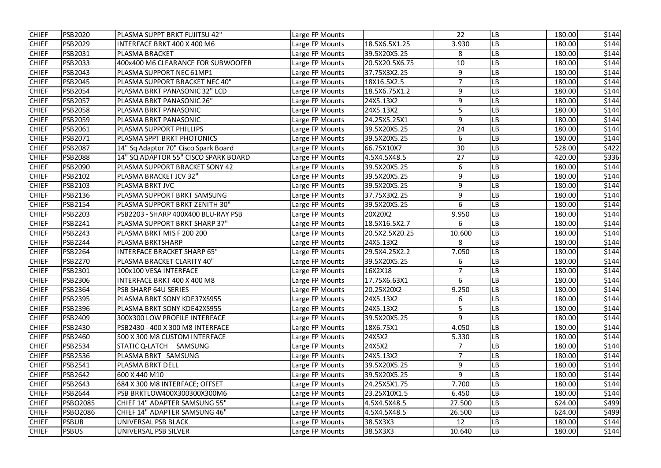| <b>CHIEF</b> | <b>PSB2020</b>  | PLASMA SUPPT BRKT FUJITSU 42"        | Large FP Mounts |                | 22             | LB | 180.00 | \$144 |
|--------------|-----------------|--------------------------------------|-----------------|----------------|----------------|----|--------|-------|
| <b>CHIEF</b> | <b>PSB2029</b>  | INTERFACE BRKT 400 X 400 M6          | Large FP Mounts | 18.5X6.5X1.25  | 3.930          | LB | 180.00 | \$144 |
| <b>CHIEF</b> | <b>PSB2031</b>  | <b>PLASMA BRACKET</b>                | Large FP Mounts | 39.5X20X5.25   | 8              | LB | 180.00 | \$144 |
| <b>CHIEF</b> | <b>PSB2033</b>  | 400x400 M6 CLEARANCE FOR SUBWOOFER   | Large FP Mounts | 20.5X20.5X6.75 | 10             | LB | 180.00 | \$144 |
| <b>CHIEF</b> | <b>PSB2043</b>  | PLASMA SUPPORT NEC 61MP1             | Large FP Mounts | 37.75X3X2.25   | 9              | LB | 180.00 | \$144 |
| <b>CHIEF</b> | <b>PSB2045</b>  | PLASMA SUPPORT BRACKET NEC 40"       | Large FP Mounts | 18X16.5X2.5    | $\overline{7}$ | LB | 180.00 | \$144 |
| <b>CHIEF</b> | <b>PSB2054</b>  | PLASMA BRKT PANASONIC 32" LCD        | Large FP Mounts | 18.5X6.75X1.2  | 9              | LB | 180.00 | \$144 |
| <b>CHIEF</b> | <b>PSB2057</b>  | PLASMA BRKT PANASONIC 26"            | Large FP Mounts | 24X5.13X2      | 9              | LB | 180.00 | \$144 |
| <b>CHIEF</b> | <b>PSB2058</b>  | PLASMA BRKT PANASONIC                | Large FP Mounts | 24X5.13X2      | 5              | LB | 180.00 | \$144 |
| <b>CHIEF</b> | <b>PSB2059</b>  | PLASMA BRKT PANASONIC                | Large FP Mounts | 24.25X5.25X1   | 9              | LB | 180.00 | \$144 |
| <b>CHIEF</b> | <b>PSB2061</b>  | PLASMA SUPPORT PHILLIPS              | Large FP Mounts | 39.5X20X5.25   | 24             | LB | 180.00 | \$144 |
| <b>CHIEF</b> | <b>PSB2071</b>  | PLASMA SPPT BRKT PHOTONICS           | Large FP Mounts | 39.5X20X5.25   | 6              | LB | 180.00 | \$144 |
| <b>CHIEF</b> | <b>PSB2087</b>  | 14" Sq Adaptor 70" Cisco Spark Board | Large FP Mounts | 66.75X10X7     | 30             | -B | 528.00 | \$422 |
| <b>CHIEF</b> | <b>PSB2088</b>  | 14" SQ ADAPTOR 55" CISCO SPARK BOARD | Large FP Mounts | 4.5X4.5X48.5   | 27             | LB | 420.00 | \$336 |
| <b>CHIEF</b> | <b>PSB2090</b>  | PLASMA SUPPORT BRACKET SONY 42       | Large FP Mounts | 39.5X20X5.25   | 6              | LB | 180.00 | \$144 |
| <b>CHIEF</b> | <b>PSB2102</b>  | PLASMA BRACKET JCV 32"               | Large FP Mounts | 39.5X20X5.25   | 9              | -B | 180.00 | \$144 |
| <b>CHIEF</b> | <b>PSB2103</b>  | PLASMA BRKT JVC                      | Large FP Mounts | 39.5X20X5.25   | 9              | LB | 180.00 | \$144 |
| <b>CHIEF</b> | <b>PSB2136</b>  | PLASMA SUPPORT BRKT SAMSUNG          | Large FP Mounts | 37.75X3X2.25   | 9              | LB | 180.00 | \$144 |
| <b>CHIEF</b> | <b>PSB2154</b>  | PLASMA SUPPORT BRKT ZENITH 30"       | Large FP Mounts | 39.5X20X5.25   | 6              | -B | 180.00 | \$144 |
| <b>CHIEF</b> | <b>PSB2203</b>  | PSB2203 - SHARP 400X400 BLU-RAY PSB  | Large FP Mounts | 20X20X2        | 9.950          | LВ | 180.00 | \$144 |
| <b>CHIEF</b> | PSB2241         | PLASMA SUPPORT BRKT SHARP 37"        | Large FP Mounts | 18.5X16.5X2.7  | 6              | LB | 180.00 | \$144 |
| <b>CHIEF</b> | <b>PSB2243</b>  | PLASMA BRKT MIS F 200 200            | Large FP Mounts | 20.5X2.5X20.25 | 10.600         | LB | 180.00 | \$144 |
| <b>CHIEF</b> | <b>PSB2244</b>  | PLASMA BRKTSHARP                     | Large FP Mounts | 24X5.13X2      | 8              | LB | 180.00 | \$144 |
| <b>CHIEF</b> | <b>PSB2264</b>  | <b>INTERFACE BRACKET SHARP 65"</b>   | Large FP Mounts | 29.5X4.25X2.2  | 7.050          | LB | 180.00 | \$144 |
| <b>CHIEF</b> | <b>PSB2270</b>  | PLASMA BRACKET CLARITY 40"           | Large FP Mounts | 39.5X20X5.25   | 6              | LB | 180.00 | \$144 |
| <b>CHIEF</b> | <b>PSB2301</b>  | 100x100 VESA INTERFACE               | Large FP Mounts | 16X2X18        | $\overline{7}$ | LB | 180.00 | \$144 |
| <b>CHIEF</b> | <b>PSB2306</b>  | INTERFACE BRKT 400 X 400 M8          | Large FP Mounts | 17.75X6.63X1   | 6              | LВ | 180.00 | \$144 |
| <b>CHIEF</b> | <b>PSB2364</b>  | PSB SHARP 64U SERIES                 | Large FP Mounts | 20.25X20X2     | 9.250          | LB | 180.00 | \$144 |
| <b>CHIEF</b> | <b>PSB2395</b>  | PLASMA BRKT SONY KDE37XS955          | Large FP Mounts | 24X5.13X2      | 6              | LB | 180.00 | \$144 |
| <b>CHIEF</b> | <b>PSB2396</b>  | PLASMA BRKT SONY KDE42XS955          | Large FP Mounts | 24X5.13X2      | 5              | LB | 180.00 | \$144 |
| <b>CHIEF</b> | <b>PSB2409</b>  | 300X300 LOW PROFILE INTERFACE        | Large FP Mounts | 39.5X20X5.25   | 9              | LB | 180.00 | \$144 |
| <b>CHIEF</b> | <b>PSB2430</b>  | PSB2430 - 400 X 300 M8 INTERFACE     | Large FP Mounts | 18X6.75X1      | 4.050          | LB | 180.00 | \$144 |
| <b>CHIEF</b> | <b>PSB2460</b>  | 500 X 300 M8 CUSTOM INTERFACE        | Large FP Mounts | 24X5X2         | 5.330          | LB | 180.00 | \$144 |
| <b>CHIEF</b> | <b>PSB2534</b>  | STATIC Q-LATCH<br>SAMSUNG            | Large FP Mounts | 24X5X2         | 7              | LB | 180.00 | \$144 |
| <b>CHIEF</b> | <b>PSB2536</b>  | PLASMA BRKT SAMSUNG                  | Large FP Mounts | 24X5.13X2      | 7              | LB | 180.00 | \$144 |
| <b>CHIEF</b> | <b>PSB2541</b>  | PLASMA BRKT DELL                     | Large FP Mounts | 39.5X20X5.25   | 9              | LB | 180.00 | \$144 |
| <b>CHIEF</b> | <b>PSB2642</b>  | 600 X 440 M 10                       | Large FP Mounts | 39.5X20X5.25   | 9              | LB | 180.00 | \$144 |
| <b>CHIEF</b> | <b>PSB2643</b>  | 684 X 300 M8 INTERFACE; OFFSET       | Large FP Mounts | 24.25X5X1.75   | 7.700          | LВ | 180.00 | \$144 |
| <b>CHIEF</b> | <b>PSB2644</b>  | PSB BRKTLOW400X300300X300M6          | Large FP Mounts | 23.25X10X1.5   | 6.450          | LB | 180.00 | \$144 |
| <b>CHIEF</b> | <b>PSBO2085</b> | CHIEF 14" ADAPTER SAMSUNG 55"        | Large FP Mounts | 4.5X4.5X48.5   | 27.500         | LB | 624.00 | \$499 |
| <b>CHIEF</b> | <b>PSBO2086</b> | CHIEF 14" ADAPTER SAMSUNG 46"        | Large FP Mounts | 4.5X4.5X48.5   | 26.500         | LB | 624.00 | \$499 |
| <b>CHIEF</b> | <b>PSBUB</b>    | UNIVERSAL PSB BLACK                  | Large FP Mounts | 38.5X3X3       | 12             | LB | 180.00 | \$144 |
| <b>CHIEF</b> | <b>PSBUS</b>    | UNIVERSAL PSB SILVER                 | Large FP Mounts | 38.5X3X3       | 10.640         | LB | 180.00 | \$144 |
|              |                 |                                      |                 |                |                |    |        |       |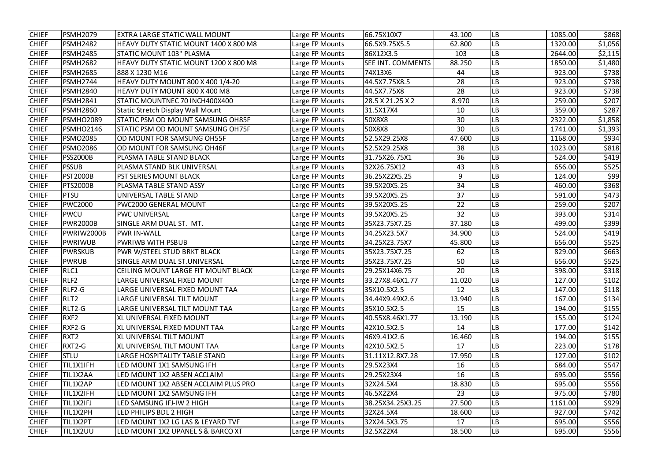| <b>CHIEF</b> | <b>PSMH2079</b>  | EXTRA LARGE STATIC WALL MOUNT            | Large FP Mounts | 66.75X10X7               | 43.100 | LB        | 1085.00 | \$868   |
|--------------|------------------|------------------------------------------|-----------------|--------------------------|--------|-----------|---------|---------|
| <b>CHIEF</b> | <b>PSMH2482</b>  | HEAVY DUTY STATIC MOUNT 1400 X 800 M8    | Large FP Mounts | 66.5X9.75X5.5            | 62.800 | LB        | 1320.00 | \$1,056 |
| <b>CHIEF</b> | <b>PSMH2485</b>  | STATIC MOUNT 103" PLASMA                 | Large FP Mounts | 86X12X3.5                | 103    | LB        | 2644.00 | \$2,115 |
| <b>CHIEF</b> | <b>PSMH2682</b>  | HEAVY DUTY STATIC MOUNT 1200 X 800 M8    | Large FP Mounts | <b>SEE INT. COMMENTS</b> | 88.250 | LB        | 1850.00 | \$1,480 |
| <b>CHIEF</b> | <b>PSMH2685</b>  | 888 X 1230 M16                           | Large FP Mounts | 74X13X6                  | 44     | LB        | 923.00  | \$738   |
| <b>CHIEF</b> | PSMH2744         | HEAVY DUTY MOUNT 800 X 400 1/4-20        | Large FP Mounts | 44.5X7.75X8.5            | 28     | LB        | 923.00  | \$738   |
| <b>CHIEF</b> | <b>PSMH2840</b>  | HEAVY DUTY MOUNT 800 X 400 M8            | Large FP Mounts | 44.5X7.75X8              | 28     | LB        | 923.00  | \$738   |
| <b>CHIEF</b> | <b>PSMH2841</b>  | STATIC MOUNTNEC 70 INCH400X400           | Large FP Mounts | 28.5 X 21.25 X 2         | 8.970  | LВ        | 259.00  | \$207   |
| <b>CHIEF</b> | <b>PSMH2860</b>  | <b>Static Stretch Display Wall Mount</b> | Large FP Mounts | 31.5X17X4                | 10     | LB        | 359.00  | \$287   |
| <b>CHIEF</b> | <b>PSMHO2089</b> | STATIC PSM OD MOUNT SAMSUNG OH85F        | Large FP Mounts | 50X8X8                   | 30     | LB        | 2322.00 | \$1,858 |
| <b>CHIEF</b> | PSMHO2146        | <b>STATIC PSM OD MOUNT SAMSUNG OH75F</b> | Large FP Mounts | 50X8X8                   | 30     | LB        | 1741.00 | \$1,393 |
| <b>CHIEF</b> | <b>PSMO2085</b>  | OD MOUNT FOR SAMSUNG OH55F               | Large FP Mounts | 52.5X29.25X8             | 47.600 | LB        | 1168.00 | \$934   |
| <b>CHIEF</b> | <b>PSMO2086</b>  | OD MOUNT FOR SAMSUNG OH46F               | Large FP Mounts | 52.5X29.25X8             | 38     | LB        | 1023.00 | \$818   |
| <b>CHIEF</b> | <b>PSS2000B</b>  | PLASMA TABLE STAND BLACK                 | Large FP Mounts | 31.75X26.75X1            | 36     | LB        | 524.00  | \$419   |
| <b>CHIEF</b> | <b>PSSUB</b>     | PLASMA STAND BLK UNIVERSAL               | Large FP Mounts | 32X26.75X12              | 43     | LВ        | 656.00  | \$525   |
| <b>CHIEF</b> | <b>PST2000B</b>  | <b>PST SERIES MOUNT BLACK</b>            | Large FP Mounts | 36.25X22X5.25            | 9      | LB        | 124.00  | \$99    |
| <b>CHIEF</b> | <b>PTS2000B</b>  | PLASMA TABLE STAND ASSY                  | Large FP Mounts | 39.5X20X5.25             | 34     | LB        | 460.00  | \$368   |
| <b>CHIEF</b> | <b>PTSU</b>      | UNIVERSAL TABLE STAND                    | Large FP Mounts | 39.5X20X5.25             | 37     | LB        | 591.00  | \$473   |
| <b>CHIEF</b> | <b>PWC2000</b>   | <b>PWC2000 GENERAL MOUNT</b>             | Large FP Mounts | 39.5X20X5.25             | 22     | LB        | 259.00  | \$207   |
| <b>CHIEF</b> | PWCU             | <b>PWC UNIVERSAL</b>                     | Large FP Mounts | 39.5X20X5.25             | 32     | LB        | 393.00  | \$314   |
| <b>CHIEF</b> | <b>PWR2000B</b>  | SINGLE ARM DUAL ST. MT.                  | Large FP Mounts | 35X23.75X7.25            | 37.180 | LB        | 499.00  | \$399   |
| <b>CHIEF</b> | PWRIW2000B       | <b>PWR IN-WALL</b>                       | Large FP Mounts | 34.25X23.5X7             | 34.900 | LB        | 524.00  | \$419   |
| <b>CHIEF</b> | PWRIWUB          | <b>PWRIWB WITH PSBUB</b>                 | Large FP Mounts | 34.25X23.75X7            | 45.800 | LB        | 656.00  | \$525   |
| <b>CHIEF</b> | <b>PWRSKUB</b>   | PWR W/STEEL STUD BRKT BLACK              | Large FP Mounts | 35X23.75X7.25            | 62     | LB        | 829.00  | \$663   |
| <b>CHIEF</b> | <b>PWRUB</b>     | SINGLE ARM DUAL ST.UNIVERSAL             | Large FP Mounts | 35X23.75X7.25            | 50     | LB        | 656.00  | \$525   |
| <b>CHIEF</b> | RLC1             | CEILING MOUNT LARGE FIT MOUNT BLACK      | Large FP Mounts | 29.25X14X6.75            | 20     | LB        | 398.00  | \$318   |
| <b>CHIEF</b> | RLF2             | LARGE UNIVERSAL FIXED MOUNT              | Large FP Mounts | 33.27X8.46X1.77          | 11.020 | <b>LB</b> | 127.00  | \$102   |
| <b>CHIEF</b> | RLF2-G           | LARGE UNIVERSAL FIXED MOUNT TAA          | Large FP Mounts | 35X10.5X2.5              | 12     | LB        | 147.00  | \$118   |
| <b>CHIEF</b> | RLT <sub>2</sub> | LARGE UNIVERSAL TILT MOUNT               | Large FP Mounts | 34.44X9.49X2.6           | 13.940 | LB        | 167.00  | \$134   |
| <b>CHIEF</b> | RLT2-G           | LARGE UNIVERSAL TILT MOUNT TAA           | Large FP Mounts | 35X10.5X2.5              | 15     | LB        | 194.00  | \$155   |
| <b>CHIEF</b> | RXF <sub>2</sub> | XL UNIVERSAL FIXED MOUNT                 | Large FP Mounts | 40.55X8.46X1.77          | 13.190 | LB        | 155.00  | \$124   |
| <b>CHIEF</b> | $RXF2-G$         | XL UNIVERSAL FIXED MOUNT TAA             | Large FP Mounts | 42X10.5X2.5              | 14     | LB        | 177.00  | \$142   |
| <b>CHIEF</b> | RXT2             | XL UNIVERSAL TILT MOUNT                  | Large FP Mounts | 46X9.41X2.6              | 16.460 | <b>LB</b> | 194.00  | \$155   |
| <b>CHIEF</b> | $RXT2-G$         | XL UNIVERSAL TILT MOUNT TAA              | Large FP Mounts | 42X10.5X2.5              | 17     | LB        | 223.00  | \$178   |
| <b>CHIEF</b> | <b>STLU</b>      | LARGE HOSPITALITY TABLE STAND            | Large FP Mounts | 31.11X12.8X7.28          | 17.950 | LB        | 127.00  | \$102   |
| <b>CHIEF</b> | TIL1X1IFH        | LED MOUNT 1X1 SAMSUNG IFH                | Large FP Mounts | 29.5X23X4                | 16     | LB        | 684.00  | \$547   |
| <b>CHIEF</b> | TIL1X2AA         | LED MOUNT 1X2 ABSEN ACCLAIM              | Large FP Mounts | 29.25X23X4               | 16     | LB        | 695.00  | \$556   |
| <b>CHIEF</b> | TIL1X2AP         | LED MOUNT 1X2 ABSEN ACCLAIM PLUS PRO     | Large FP Mounts | 32X24.5X4                | 18.830 | LВ        | 695.00  | \$556   |
| <b>CHIEF</b> | TIL1X2IFH        | LED MOUNT 1X2 SAMSUNG IFH                | Large FP Mounts | 46.5X22X4                | 23     | LB        | 975.00  | \$780   |
| <b>CHIEF</b> | TIL1X2IFJ        | LED SAMSUNG IFJ-IW 2 HIGH                | Large FP Mounts | 38.25X34.25X3.25         | 27.500 | LB        | 1161.00 | \$929   |
| <b>CHIEF</b> | TIL1X2PH         | LED PHILIPS BDL 2 HIGH                   | Large FP Mounts | 32X24.5X4                | 18.600 | LB        | 927.00  | \$742   |
| <b>CHIEF</b> | TIL1X2PT         | LED MOUNT 1X2 LG LAS & LEYARD TVF        | Large FP Mounts | 32X24.5X3.75             | 17     | LB        | 695.00  | \$556   |
| <b>CHIEF</b> | TIL1X2UU         | LED MOUNT 1X2 UPANEL S & BARCO XT        | Large FP Mounts | 32.5X22X4                | 18.500 | LB        | 695.00  | \$556   |
|              |                  |                                          |                 |                          |        |           |         |         |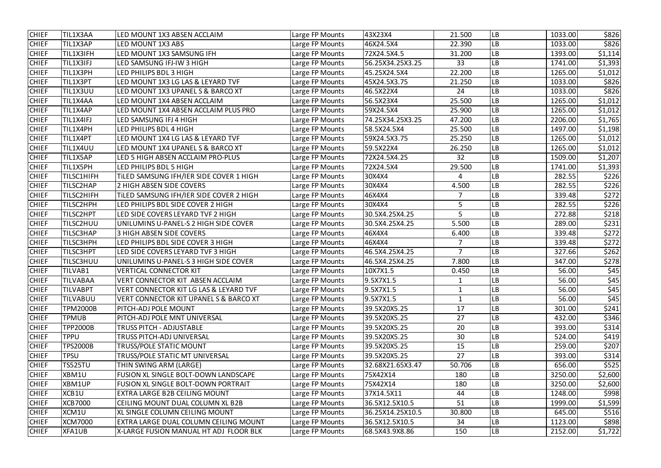| <b>CHIEF</b> | TIL1X3AA          | LED MOUNT 1X3 ABSEN ACCLAIM                       | Large FP Mounts | 43X23X4          | 21.500         | LB        | 1033.00 | \$826   |
|--------------|-------------------|---------------------------------------------------|-----------------|------------------|----------------|-----------|---------|---------|
| <b>CHIEF</b> | TIL1X3AP          | LED MOUNT 1X3 ABS                                 | Large FP Mounts | 46X24.5X4        | 22.390         | LВ        | 1033.00 | \$826   |
| <b>CHIEF</b> | TIL1X3IFH         | LED MOUNT 1X3 SAMSUNG IFH                         | Large FP Mounts | 72X24.5X4.5      | 31.200         | LB        | 1393.00 | \$1,114 |
| <b>CHIEF</b> | TIL1X3IFJ         | LED SAMSUNG IFJ-IW 3 HIGH                         | Large FP Mounts | 56.25X34.25X3.25 | 33             | LВ        | 1741.00 | \$1,393 |
| <b>CHIEF</b> | TIL1X3PH          | LED PHILIPS BDL 3 HIGH                            | Large FP Mounts | 45.25X24.5X4     | 22.200         | LВ        | 1265.00 | \$1,012 |
| <b>CHIEF</b> | TIL1X3PT          | LED MOUNT 1X3 LG LAS & LEYARD TVF                 | Large FP Mounts | 45X24.5X3.75     | 21.250         | LB        | 1033.00 | \$826   |
| <b>CHIEF</b> | TIL1X3UU          | LED MOUNT 1X3 UPANEL S & BARCO XT                 | Large FP Mounts | 46.5X22X4        | 24             | LВ        | 1033.00 | \$826   |
| <b>CHIEF</b> | TIL1X4AA          | LED MOUNT 1X4 ABSEN ACCLAIM                       | Large FP Mounts | 56.5X23X4        | 25.500         | LВ        | 1265.00 | \$1,012 |
| <b>CHIEF</b> | TIL1X4AP          | LED MOUNT 1X4 ABSEN ACCLAIM PLUS PRO              | Large FP Mounts | 59X24.5X4        | 25.900         | LB        | 1265.00 | \$1,012 |
| <b>CHIEF</b> | TIL1X4IFJ         | LED SAMSUNG IFJ 4 HIGH                            | Large FP Mounts | 74.25X34.25X3.25 | 47.200         | LВ        | 2206.00 | \$1,765 |
| <b>CHIEF</b> | TIL1X4PH          | LED PHILIPS BDL 4 HIGH                            | Large FP Mounts | 58.5X24.5X4      | 25.500         | LB        | 1497.00 | \$1,198 |
| <b>CHIEF</b> | TIL1X4PT          | LED MOUNT 1X4 LG LAS & LEYARD TVF                 | Large FP Mounts | 59X24.5X3.75     | 25.250         | LВ        | 1265.00 | \$1,012 |
| <b>CHIEF</b> | TIL1X4UU          | LED MOUNT 1X4 UPANEL S & BARCO XT                 | Large FP Mounts | 59.5X22X4        | 26.250         | LВ        | 1265.00 | \$1,012 |
| <b>CHIEF</b> | TIL1X5AP          | LED 5 HIGH ABSEN ACCLAIM PRO-PLUS                 | Large FP Mounts | 72X24.5X4.25     | 32             | LB        | 1509.00 | \$1,207 |
| <b>CHIEF</b> | TIL1X5PH          | LED PHILIPS BDL 5 HIGH                            | Large FP Mounts | 72X24.5X4        | 29.500         | LB        | 1741.00 | \$1,393 |
| <b>CHIEF</b> | <b>TILSC1HIFH</b> | TILED SAMSUNG IFH/IER SIDE COVER 1 HIGH           | Large FP Mounts | 30X4X4           | 4              | LВ        | 282.55  | \$226   |
| <b>CHIEF</b> | <b>TILSC2HAP</b>  | 2 HIGH ABSEN SIDE COVERS                          | Large FP Mounts | 30X4X4           | 4.500          | LВ        | 282.55  | \$226   |
| <b>CHIEF</b> | <b>TILSC2HIFH</b> | TILED SAMSUNG IFH/IER SIDE COVER 2 HIGH           | Large FP Mounts | 46X4X4           | 7              | LВ        | 339.48  | \$272   |
| <b>CHIEF</b> | TILSC2HPH         | LED PHILIPS BDL SIDE COVER 2 HIGH                 | Large FP Mounts | 30X4X4           | 5              | LB        | 282.55  | \$226   |
| <b>CHIEF</b> | TILSC2HPT         | LED SIDE COVERS LEYARD TVF 2 HIGH                 | Large FP Mounts | 30.5X4.25X4.25   | 5              | LB        | 272.88  | \$218   |
| <b>CHIEF</b> | <b>TILSC2HUU</b>  | UNILUMINS U-PANEL-S 2 HIGH SIDE COVER             | Large FP Mounts | 30.5X4.25X4.25   | 5.500          | LB        | 289.00  | \$231   |
| <b>CHIEF</b> | TILSC3HAP         | <b>3 HIGH ABSEN SIDE COVERS</b>                   | Large FP Mounts | 46X4X4           | 6.400          | LВ        | 339.48  | \$272   |
| <b>CHIEF</b> | <b>TILSC3HPH</b>  | LED PHILIPS BDL SIDE COVER 3 HIGH                 | Large FP Mounts | 46X4X4           |                | LВ        | 339.48  | \$272   |
| <b>CHIEF</b> | <b>TILSC3HPT</b>  | LED SIDE COVERS LEYARD TVF 3 HIGH                 | Large FP Mounts | 46.5X4.25X4.25   | $\overline{7}$ | LВ        | 327.66  | \$262   |
| <b>CHIEF</b> | <b>TILSC3HUU</b>  | UNILUMINS U-PANEL-S 3 HIGH SIDE COVER             | Large FP Mounts | 46.5X4.25X4.25   | 7.800          | LB        | 347.00  | \$278   |
| <b>CHIEF</b> | TILVAB1           | <b>VERTICAL CONNECTOR KIT</b>                     | Large FP Mounts | 10X7X1.5         | 0.450          | LB        | 56.00   | \$45    |
| <b>CHIEF</b> | <b>TILVABAA</b>   | VERT CONNECTOR KIT ABSEN ACCLAIM                  | Large FP Mounts | 9.5X7X1.5        | 1              | <b>LB</b> | 56.00   | \$45    |
| <b>CHIEF</b> | <b>TILVABPT</b>   | <b>VERT CONNECTOR KIT LG LAS &amp; LEYARD TVF</b> | Large FP Mounts | 9.5X7X1.5        |                | LB        | 56.00   | \$45    |
| <b>CHIEF</b> | <b>TILVABUU</b>   | VERT CONNECTOR KIT UPANEL S & BARCO XT            | Large FP Mounts | 9.5X7X1.5        |                | LВ        | 56.00   | \$45    |
| <b>CHIEF</b> | <b>TPM2000B</b>   | PITCH-ADJ POLE MOUNT                              | Large FP Mounts | 39.5X20X5.25     | 17             | LB        | 301.00  | \$241   |
| <b>CHIEF</b> | <b>TPMUB</b>      | PITCH-ADJ POLE MNT UNIVERSAL                      | Large FP Mounts | 39.5X20X5.25     | 27             | LВ        | 432.00  | \$346   |
| <b>CHIEF</b> | <b>TPP2000B</b>   | <b>TRUSS PITCH - ADJUSTABLE</b>                   | Large FP Mounts | 39.5X20X5.25     | 20             | LВ        | 393.00  | \$314   |
| <b>CHIEF</b> | <b>TPPU</b>       | TRUSS PITCH-ADJ UNIVERSAL                         | Large FP Mounts | 39.5X20X5.25     | 30             | LB        | 524.00  | \$419   |
| <b>CHIEF</b> | <b>TPS2000B</b>   | TRUSS/POLE STATIC MOUNT                           | Large FP Mounts | 39.5X20X5.25     | 15             | LВ        | 259.00  | \$207   |
| <b>CHIEF</b> | <b>TPSU</b>       | TRUSS/POLE STATIC MT UNIVERSAL                    | Large FP Mounts | 39.5X20X5.25     | 27             | LB        | 393.00  | \$314   |
| <b>CHIEF</b> | <b>TS525TU</b>    | THIN SWING ARM (LARGE)                            | Large FP Mounts | 32.68X21.65X3.47 | 50.706         | LB        | 656.00  | \$525   |
| <b>CHIEF</b> | XBM1U             | FUSION XL SINGLE BOLT-DOWN LANDSCAPE              | Large FP Mounts | 75X42X14         | 180            | LB        | 3250.00 | \$2,600 |
| <b>CHIEF</b> | XBM1UP            | FUSION XL SINGLE BOLT-DOWN PORTRAIT               | Large FP Mounts | 75X42X14         | 180            | LВ        | 3250.00 | \$2,600 |
| <b>CHIEF</b> | XCB1U             | EXTRA LARGE B2B CEILING MOUNT                     | Large FP Mounts | 37X14.5X11       | 44             | LВ        | 1248.00 | \$998   |
| <b>CHIEF</b> | <b>XCB7000</b>    | CEILING MOUNT DUAL COLUMN XL B2B                  | Large FP Mounts | 36.5X12.5X10.5   | 51             | LВ        | 1999.00 | \$1,599 |
| <b>CHIEF</b> | XCM1U             | XL SINGLE COLUMN CEILING MOUNT                    | Large FP Mounts | 36.25X14.25X10.5 | 30.800         | <b>LB</b> | 645.00  | \$516   |
| <b>CHIEF</b> | <b>XCM7000</b>    | EXTRA LARGE DUAL COLUMN CEILING MOUNT             | Large FP Mounts | 36.5X12.5X10.5   | 34             | LB        | 1123.00 | \$898   |
| <b>CHIEF</b> | XFA1UB            | X-LARGE FUSION MANUAL HT ADJ FLOOR BLK            | Large FP Mounts | 68.5X43.9X8.86   | 150            | <b>LB</b> | 2152.00 | \$1,722 |
|              |                   |                                                   |                 |                  |                |           |         |         |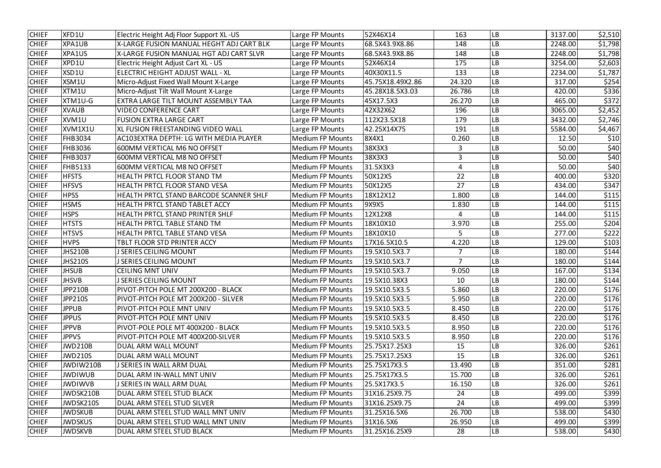| <b>CHIEF</b> | XFD1U          | Electric Height Adj Floor Support XL -US | Large FP Mounts         | 52X46X14         | 163            | LB        | 3137.00 | \$2,510 |
|--------------|----------------|------------------------------------------|-------------------------|------------------|----------------|-----------|---------|---------|
| <b>CHIEF</b> | XPA1UB         | X-LARGE FUSION MANUAL HEGHT ADJ CART BLK | Large FP Mounts         | 68.5X43.9X8.86   | 148            | LВ        | 2248.00 | \$1,798 |
| <b>CHIEF</b> | XPA1US         | X-LARGE FUSION MANUAL HGT ADJ CART SLVR  | Large FP Mounts         | 68.5X43.9X8.86   | 148            | LВ        | 2248.00 | \$1,798 |
| <b>CHIEF</b> | XPD1U          | Electric Height Adjust Cart XL - US      | Large FP Mounts         | 52X46X14         | 175            | LВ        | 3254.00 | \$2,603 |
| <b>CHIEF</b> | XSD1U          | ELECTRIC HEIGHT ADJUST WALL - XL         | Large FP Mounts         | 40X30X11.5       | 133            | LВ        | 2234.00 | \$1,787 |
| <b>CHIEF</b> | XSM1U          | Micro-Adjust Fixed Wall Mount X-Large    | Large FP Mounts         | 45.75X18.49X2.86 | 24.320         | LB        | 317.00  | \$254   |
| <b>CHIEF</b> | XTM1U          | Micro-Adjust Tilt Wall Mount X-Large     | Large FP Mounts         | 45.28X18.5X3.03  | 26.786         | LB        | 420.00  | \$336   |
| <b>CHIEF</b> | XTM1U-G        | EXTRA LARGE TILT MOUNT ASSEMBLY TAA      | Large FP Mounts         | 45X17.5X3        | 26.270         | LВ        | 465.00  | \$372   |
| <b>CHIEF</b> | <b>XVAUB</b>   | <b>VIDEO CONFERENCE CART</b>             | Large FP Mounts         | 42X32X62         | 196            | LВ        | 3065.00 | \$2,452 |
| <b>CHIEF</b> | XVM1U          | <b>FUSION EXTRA LARGE CART</b>           | Large FP Mounts         | 112X23.5X18      | 179            | LВ        | 3432.00 | \$2,746 |
| <b>CHIEF</b> | XVM1X1U        | XL FUSION FREESTANDING VIDEO WALL        | Large FP Mounts         | 42.25X14X75      | 191            | LВ        | 5584.00 | \$4,467 |
| <b>CHIEF</b> | FHB3034        | AC103EXTRA DEPTH: LG WITH MEDIA PLAYER   | <b>Medium FP Mounts</b> | 8X4X1            | 0.260          | LB        | 12.50   | \$10    |
| <b>CHIEF</b> | <b>FHB3036</b> | <b>600MM VERTICAL M6 NO OFFSET</b>       | <b>Medium FP Mounts</b> | 38X3X3           | 3              | LВ        | 50.00   | \$40    |
| <b>CHIEF</b> | FHB3037        | <b>600MM VERTICAL M8 NO OFFSET</b>       | <b>Medium FP Mounts</b> | 38X3X3           | 3              | LB        | 50.00   | \$40    |
| <b>CHIEF</b> | <b>FHB5133</b> | 600MM VERTICAL M8 NO OFFSET              | <b>Medium FP Mounts</b> | 31.5X3X3         | $\overline{4}$ | LВ        | 50.00   | \$40    |
| <b>CHIEF</b> | <b>HFSTS</b>   | HEALTH PRTCL FLOOR STAND TM              | <b>Medium FP Mounts</b> | 50X12X5          | 22             | LВ        | 400.00  | \$320   |
| <b>CHIEF</b> | <b>HFSVS</b>   | HEALTH PRTCL FLOOR STAND VESA            | <b>Medium FP Mounts</b> | 50X12X5          | 27             | LВ        | 434.00  | \$347   |
| <b>CHIEF</b> | <b>HPSS</b>    | HEALTH PRTCL STAND BARCODE SCANNER SHLF  | <b>Medium FP Mounts</b> | 18X12X12         | 1.800          | LB        | 144.00  | \$115   |
| <b>CHIEF</b> | <b>HSMS</b>    | <b>HEALTH PRTCL STAND TABLET ACCY</b>    | <b>Medium FP Mounts</b> | 9X9X5            | 1.830          | LB        | 144.00  | \$115   |
| <b>CHIEF</b> | <b>HSPS</b>    | HEALTH PRTCL STAND PRINTER SHLF          | <b>Medium FP Mounts</b> | 12X12X8          | $\overline{4}$ | LВ        | 144.00  | \$115   |
| <b>CHIEF</b> | <b>HTSTS</b>   | <b>HEALTH PRTCL TABLE STAND TM</b>       | <b>Medium FP Mounts</b> | 18X10X10         | 3.970          | LВ        | 255.00  | \$204   |
| <b>CHIEF</b> | <b>HTSVS</b>   | HEALTH PRTCL TABLE STAND VESA            | <b>Medium FP Mounts</b> | 18X10X10         | 5              | LВ        | 277.00  | \$222   |
| <b>CHIEF</b> | <b>HVPS</b>    | TBLT FLOOR STD PRINTER ACCY              | <b>Medium FP Mounts</b> | 17X16.5X10.5     | 4.220          | LB        | 129.00  | \$103   |
| <b>CHIEF</b> | JHS210B        | <b>SERIES CEILING MOUNT</b>              | <b>Medium FP Mounts</b> | 19.5X10.5X3.7    | $\overline{7}$ | LB        | 180.00  | \$144   |
| <b>CHIEF</b> | JHS210S        | <b>J SERIES CEILING MOUNT</b>            | <b>Medium FP Mounts</b> | 19.5X10.5X3.7    | $\overline{7}$ | LВ        | 180.00  | \$144   |
| <b>CHIEF</b> | <b>JHSUB</b>   | <b>CEILING MNT UNIV</b>                  | <b>Medium FP Mounts</b> | 19.5X10.5X3.7    | 9.050          | <b>LB</b> | 167.00  | \$134   |
| <b>CHIEF</b> | <b>JHSVB</b>   | <b>J SERIES CEILING MOUNT</b>            | Medium FP Mounts        | 19.5X10.38X3     | 10             | <b>LB</b> | 180.00  | \$144   |
| <b>CHIEF</b> | JPP210B        | PIVOT-PITCH POLE MT 200X200 - BLACK      | <b>Medium FP Mounts</b> | 19.5X10.5X3.5    | 5.860          | <b>LB</b> | 220.00  | \$176   |
| <b>CHIEF</b> | JPP210S        | PIVOT-PITCH POLE MT 200X200 - SILVER     | <b>Medium FP Mounts</b> | 19.5X10.5X3.5    | 5.950          | <b>LB</b> | 220.00  | \$176   |
| <b>CHIEF</b> | JPPUB          | PIVOT-PITCH POLE MNT UNIV                | <b>Medium FP Mounts</b> | 19.5X10.5X3.5    | 8.450          | <b>LB</b> | 220.00  | \$176   |
| <b>CHIEF</b> | <b>JPPUS</b>   | PIVOT-PITCH POLE MNT UNIV                | <b>Medium FP Mounts</b> | 19.5X10.5X3.5    | 8.450          | <b>LB</b> | 220.00  | \$176   |
| <b>CHIEF</b> | <b>JPPVB</b>   | PIVOT-POLE POLE MT 400X200 - BLACK       | <b>Medium FP Mounts</b> | 19.5X10.5X3.5    | 8.950          | <b>LB</b> | 220.00  | \$176   |
| <b>CHIEF</b> | <b>JPPVS</b>   | PIVOT-PITCH POLE MT 400X200-SILVER       | <b>Medium FP Mounts</b> | 19.5X10.5X3.5    | 8.950          | <b>LB</b> | 220.00  | \$176   |
| <b>CHIEF</b> | JWD210B        | DUAL ARM WALL MOUNT                      | <b>Medium FP Mounts</b> | 25.75X17.25X3    | 15             | LВ        | 326.00  | \$261   |
| <b>CHIEF</b> | JWD210S        | DUAL ARM WALL MOUNT                      | <b>Medium FP Mounts</b> | 25.75X17.25X3    | 15             | <b>LB</b> | 326.00  | \$261   |
| <b>CHIEF</b> | JWDIW210B      | J SERIES IN WALL ARM DUAL                | <b>Medium FP Mounts</b> | 25.75X17X3.5     | 13.490         | <b>LB</b> | 351.00  | \$281   |
| <b>CHIEF</b> | <b>JWDIWUB</b> | DUAL ARM IN-WALL MNT UNIV                | <b>Medium FP Mounts</b> | 25.75X17X3.5     | 15.700         | <b>LB</b> | 326.00  | \$261   |
| <b>CHIEF</b> | <b>JWDIWVB</b> | J SERIES IN WALL ARM DUAL                | <b>Medium FP Mounts</b> | 25.5X17X3.5      | 16.150         | <b>LB</b> | 326.00  | \$261   |
| <b>CHIEF</b> | JWDSK210B      | DUAL ARM STEEL STUD BLACK                | <b>Medium FP Mounts</b> | 31X16.25X9.75    | 24             | <b>LB</b> | 499.00  | \$399   |
| <b>CHIEF</b> | JWDSK210S      | DUAL ARM STEEL STUD SILVER               | <b>Medium FP Mounts</b> | 31X16.25X9.75    | 24             | <b>LB</b> | 499.00  | \$399   |
| <b>CHIEF</b> | <b>JWDSKUB</b> | DUAL ARM STEEL STUD WALL MNT UNIV        | <b>Medium FP Mounts</b> | 31.25X16.5X6     | 26.700         | <b>LB</b> | 538.00  | \$430   |
| <b>CHIEF</b> | <b>JWDSKUS</b> | DUAL ARM STEEL STUD WALL MNT UNIV        | <b>Medium FP Mounts</b> | 31X16.5X6        | 26.950         | <b>LB</b> | 499.00  | \$399   |
| <b>CHIEF</b> | <b>JWDSKVB</b> | DUAL ARM STEEL STUD BLACK                | <b>Medium FP Mounts</b> | 31.25X16.25X9    | 28             | <b>LB</b> | 538.00  | \$430   |
|              |                |                                          |                         |                  |                |           |         |         |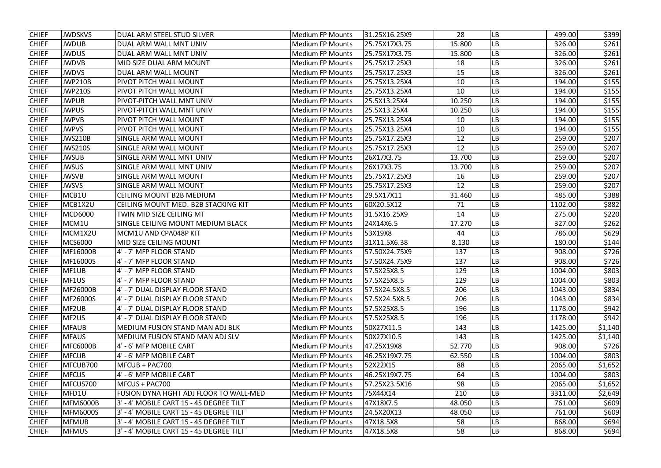| <b>CHIEF</b> | <b>JWDSKVS</b>  | DUAL ARM STEEL STUD SILVER              | <b>Medium FP Mounts</b> | 31.25X16.25X9 | 28     | LB        | 499.00  | \$399   |
|--------------|-----------------|-----------------------------------------|-------------------------|---------------|--------|-----------|---------|---------|
| <b>CHIEF</b> | <b>JWDUB</b>    | DUAL ARM WALL MNT UNIV                  | <b>Medium FP Mounts</b> | 25.75X17X3.75 | 15.800 | LВ        | 326.00  | \$261   |
| <b>CHIEF</b> | <b>JWDUS</b>    | DUAL ARM WALL MNT UNIV                  | <b>Medium FP Mounts</b> | 25.75X17X3.75 | 15.800 | LB        | 326.00  | \$261   |
| <b>CHIEF</b> | <b>JWDVB</b>    | MID SIZE DUAL ARM MOUNT                 | <b>Medium FP Mounts</b> | 25.75X17.25X3 | 18     | LB        | 326.00  | \$261   |
| <b>CHIEF</b> | <b>JWDVS</b>    | DUAL ARM WALL MOUNT                     | <b>Medium FP Mounts</b> | 25.75X17.25X3 | 15     | LB        | 326.00  | \$261   |
| <b>CHIEF</b> | <b>JWP210B</b>  | PIVOT PITCH WALL MOUNT                  | <b>Medium FP Mounts</b> | 25.75X13.25X4 | 10     | LB        | 194.00  | \$155   |
| <b>CHIEF</b> | <b>JWP210S</b>  | PIVOT PITCH WALL MOUNT                  | <b>Medium FP Mounts</b> | 25.75X13.25X4 | 10     | LB        | 194.00  | \$155   |
| <b>CHIEF</b> | <b>JWPUB</b>    | PIVOT-PITCH WALL MNT UNIV               | <b>Medium FP Mounts</b> | 25.5X13.25X4  | 10.250 | LB        | 194.00  | \$155   |
| <b>CHIEF</b> | <b>JWPUS</b>    | PIVOT-PITCH WALL MNT UNIV               | <b>Medium FP Mounts</b> | 25.5X13.25X4  | 10.250 | LB        | 194.00  | \$155   |
| <b>CHIEF</b> | <b>JWPVB</b>    | PIVOT PITCH WALL MOUNT                  | <b>Medium FP Mounts</b> | 25.75X13.25X4 | 10     | LB        | 194.00  | \$155   |
| <b>CHIEF</b> | <b>JWPVS</b>    | PIVOT PITCH WALL MOUNT                  | <b>Medium FP Mounts</b> | 25.75X13.25X4 | 10     | LB        | 194.00  | \$155   |
| <b>CHIEF</b> | <b>JWS210B</b>  | <b>SINGLE ARM WALL MOUNT</b>            | <b>Medium FP Mounts</b> | 25.75X17.25X3 | 12     | LB        | 259.00  | \$207   |
| <b>CHIEF</b> | <b>JWS210S</b>  | <b>SINGLE ARM WALL MOUNT</b>            | <b>Medium FP Mounts</b> | 25.75X17.25X3 | 12     | LB        | 259.00  | \$207   |
| <b>CHIEF</b> | <b>JWSUB</b>    | SINGLE ARM WALL MNT UNIV                | <b>Medium FP Mounts</b> | 26X17X3.75    | 13.700 | LB        | 259.00  | \$207   |
| <b>CHIEF</b> | <b>JWSUS</b>    | SINGLE ARM WALL MNT UNIV                | <b>Medium FP Mounts</b> | 26X17X3.75    | 13.700 | LВ        | 259.00  | \$207   |
| <b>CHIEF</b> | <b>JWSVB</b>    | <b>SINGLE ARM WALL MOUNT</b>            | <b>Medium FP Mounts</b> | 25.75X17.25X3 | 16     | LB        | 259.00  | \$207   |
| <b>CHIEF</b> | <b>JWSVS</b>    | <b>SINGLE ARM WALL MOUNT</b>            | <b>Medium FP Mounts</b> | 25.75X17.25X3 | 12     | LB        | 259.00  | \$207   |
| <b>CHIEF</b> | MCB1U           | <b>CEILING MOUNT B2B MEDIUM</b>         | <b>Medium FP Mounts</b> | 29.5X17X11    | 31.460 | LB        | 485.00  | \$388   |
| <b>CHIEF</b> | MCB1X2U         | CEILING MOUNT MED. B2B STACKING KIT     | <b>Medium FP Mounts</b> | 60X20.5X12    | 71     | LB        | 1102.00 | \$882   |
| <b>CHIEF</b> | <b>MCD6000</b>  | TWIN MID SIZE CEILING MT                | <b>Medium FP Mounts</b> | 31.5X16.25X9  | 14     | LВ        | 275.00  | \$220   |
| <b>CHIEF</b> | MCM1U           | SINGLE CEILING MOUNT MEDIUM BLACK       | <b>Medium FP Mounts</b> | 24X14X6.5     | 17.270 | LВ        | 327.00  | \$262   |
| <b>CHIEF</b> | MCM1X2U         | MCM1U AND CPA048P KIT                   | <b>Medium FP Mounts</b> | 53X19X8       | 44     | LB        | 786.00  | \$629   |
| <b>CHIEF</b> | <b>MCS6000</b>  | MID SIZE CEILING MOUNT                  | <b>Medium FP Mounts</b> | 31X11.5X6.38  | 8.130  | LB        | 180.00  | \$144   |
| <b>CHIEF</b> | MF16000B        | 4' - 7' MFP FLOOR STAND                 | <b>Medium FP Mounts</b> | 57.50X24.75X9 | 137    | LB        | 908.00  | \$726   |
| <b>CHIEF</b> | MF16000S        | 4' - 7' MFP FLOOR STAND                 | <b>Medium FP Mounts</b> | 57.50X24.75X9 | 137    | LB        | 908.00  | \$726   |
| <b>CHIEF</b> | MF1UB           | 4' - 7' MFP FLOOR STAND                 | <b>Medium FP Mounts</b> | 57.5X25X8.5   | 129    | LB        | 1004.00 | \$803   |
| <b>CHIEF</b> | MF1US           | 4' - 7' MFP FLOOR STAND                 | <b>Medium FP Mounts</b> | 57.5X25X8.5   | 129    | <b>LB</b> | 1004.00 | \$803   |
| <b>CHIEF</b> | MF26000B        | 4' - 7' DUAL DISPLAY FLOOR STAND        | <b>Medium FP Mounts</b> | 57.5X24.5X8.5 | 206    | LB        | 1043.00 | \$834   |
| <b>CHIEF</b> | <b>MF26000S</b> | 4' - 7' DUAL DISPLAY FLOOR STAND        | <b>Medium FP Mounts</b> | 57.5X24.5X8.5 | 206    | LB        | 1043.00 | \$834   |
| <b>CHIEF</b> | MF2UB           | 4' - 7' DUAL DISPLAY FLOOR STAND        | <b>Medium FP Mounts</b> | 57.5X25X8.5   | 196    | LB        | 1178.00 | \$942   |
| <b>CHIEF</b> | MF2US           | 4' - 7' DUAL DISPLAY FLOOR STAND        | <b>Medium FP Mounts</b> | 57.5X25X8.5   | 196    | LB        | 1178.00 | \$942   |
| <b>CHIEF</b> | <b>MFAUB</b>    | MEDIUM FUSION STAND MAN ADJ BLK         | <b>Medium FP Mounts</b> | 50X27X11.5    | 143    | LB        | 1425.00 | \$1,140 |
| <b>CHIEF</b> | <b>MFAUS</b>    | MEDIUM FUSION STAND MAN ADJ SLV         | <b>Medium FP Mounts</b> | 50X27X10.5    | 143    | LB        | 1425.00 | \$1,140 |
| <b>CHIEF</b> | MFC6000B        | 4' - 6' MFP MOBILE CART                 | <b>Medium FP Mounts</b> | 47.25X19X8    | 52.770 | LB        | 908.00  | \$726   |
| <b>CHIEF</b> | <b>MFCUB</b>    | 4' - 6' MFP MOBILE CART                 | <b>Medium FP Mounts</b> | 46.25X19X7.75 | 62.550 | LB        | 1004.00 | \$803   |
| <b>CHIEF</b> | MFCUB700        | MFCUB + PAC700                          | <b>Medium FP Mounts</b> | 52X22X15      | 88     | LB        | 2065.00 | \$1,652 |
| <b>CHIEF</b> | <b>MFCUS</b>    | 4' - 6' MFP MOBILE CART                 | <b>Medium FP Mounts</b> | 46.25X19X7.75 | 64     | LB        | 1004.00 | \$803   |
| <b>CHIEF</b> | MFCUS700        | MFCUS + PAC700                          | <b>Medium FP Mounts</b> | 57.25X23.5X16 | 98     | LB        | 2065.00 | \$1,652 |
| <b>CHIEF</b> | MFD1U           | FUSION DYNA HGHT ADJ FLOOR TO WALL-MED  | <b>Medium FP Mounts</b> | 75X44X14      | 210    | LB        | 3311.00 | \$2,649 |
| <b>CHIEF</b> | MFM6000B        | 3' - 4' MOBILE CART 15 - 45 DEGREE TILT | <b>Medium FP Mounts</b> | 47X18X7.5     | 48.050 | LВ        | 761.00  | \$609   |
| <b>CHIEF</b> | MFM6000S        | 3' - 4' MOBILE CART 15 - 45 DEGREE TILT | <b>Medium FP Mounts</b> | 24.5X20X13    | 48.050 | LB        | 761.00  | \$609   |
| <b>CHIEF</b> | <b>MFMUB</b>    | 3' - 4' MOBILE CART 15 - 45 DEGREE TILT | <b>Medium FP Mounts</b> | 47X18.5X8     | 58     | LB        | 868.00  | \$694   |
| <b>CHIEF</b> | <b>MFMUS</b>    | 3' - 4' MOBILE CART 15 - 45 DEGREE TILT | <b>Medium FP Mounts</b> | 47X18.5X8     | 58     | LB        | 868.00  | \$694   |
|              |                 |                                         |                         |               |        |           |         |         |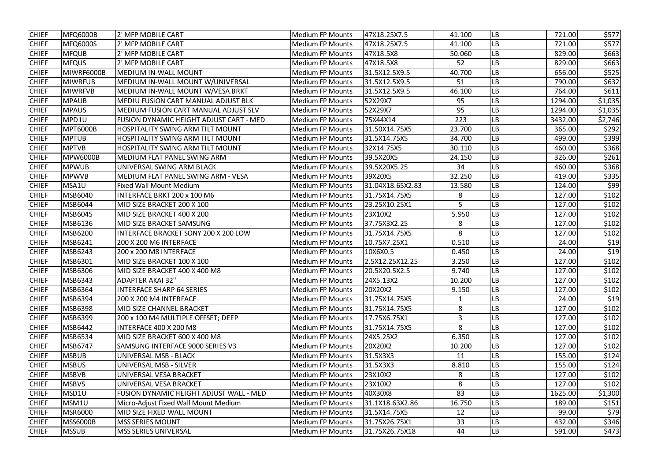| <b>CHIEF</b> | MFQ6000B        | 2' MFP MOBILE CART                             | <b>Medium FP Mounts</b> | 47X18.25X7.5     | 41.100 | LВ        | 721.00  | \$577   |
|--------------|-----------------|------------------------------------------------|-------------------------|------------------|--------|-----------|---------|---------|
| <b>CHIEF</b> | <b>MFQ6000S</b> | 2' MFP MOBILE CART                             | <b>Medium FP Mounts</b> | 47X18.25X7.5     | 41.100 | LВ        | 721.00  | \$577   |
| <b>CHIEF</b> | <b>MFQUB</b>    | 2' MFP MOBILE CART                             | <b>Medium FP Mounts</b> | 47X18.5X8        | 50.060 | LB        | 829.00  | \$663   |
| <b>CHIEF</b> | <b>MFQUS</b>    | 2' MFP MOBILE CART                             | <b>Medium FP Mounts</b> | 47X18.5X8        | 52     | LB        | 829.00  | \$663   |
| <b>CHIEF</b> | MIWRF6000B      | MEDIUM IN-WALL MOUNT                           | <b>Medium FP Mounts</b> | 31.5X12.5X9.5    | 40.700 | LB        | 656.00  | \$525   |
| <b>CHIEF</b> | <b>MIWRFUB</b>  | MEDIUM IN-WALL MOUNT W/UNIVERSAL               | <b>Medium FP Mounts</b> | 31.5X12.5X9.5    | 51     | LB        | 790.00  | \$632   |
| <b>CHIEF</b> | <b>MIWRFVB</b>  | MEDIUM IN-WALL MOUNT W/VESA BRKT               | <b>Medium FP Mounts</b> | 31.5X12.5X9.5    | 46.100 | LB        | 764.00  | \$611   |
| <b>CHIEF</b> | <b>MPAUB</b>    | MEDIU FUSION CART MANUAL ADJUST BLK            | <b>Medium FP Mounts</b> | 52X29X7          | 95     | LB        | 1294.00 | \$1,035 |
| <b>CHIEF</b> | <b>MPAUS</b>    | MEDIUM FUSION CART MANUAL ADJUST SLV           | <b>Medium FP Mounts</b> | 52X29X7          | 95     | LB        | 1294.00 | \$1,035 |
| <b>CHIEF</b> | MPD1U           | <b>FUSION DYNAMIC HEIGHT ADJUST CART - MED</b> | <b>Medium FP Mounts</b> | 75X44X14         | 223    | LB        | 3432.00 | \$2,746 |
| <b>CHIEF</b> | <b>MPT6000B</b> | <b>HOSPITALITY SWING ARM TILT MOUNT</b>        | <b>Medium FP Mounts</b> | 31.50X14.75X5    | 23.700 | LB        | 365.00  | \$292   |
| <b>CHIEF</b> | <b>MPTUB</b>    | <b>HOSPITALITY SWING ARM TILT MOUNT</b>        | <b>Medium FP Mounts</b> | 31.5X14.75X5     | 34.700 | LB        | 499.00  | \$399   |
| <b>CHIEF</b> | <b>MPTVB</b>    | <b>HOSPITALITY SWING ARM TILT MOUNT</b>        | <b>Medium FP Mounts</b> | 32X14.75X5       | 30.110 | LВ        | 460.00  | \$368   |
| <b>CHIEF</b> | <b>MPW6000B</b> | MEDIUM FLAT PANEL SWING ARM                    | <b>Medium FP Mounts</b> | 39.5X20X5        | 24.150 | LB        | 326.00  | \$261   |
| <b>CHIEF</b> | <b>MPWUB</b>    | UNIVERSAL SWING ARM BLACK                      | <b>Medium FP Mounts</b> | 39.5X20X5.25     | 34     | LB        | 460.00  | \$368   |
| <b>CHIEF</b> | <b>MPWVB</b>    | MEDIUM FLAT PANEL SWING ARM - VESA             | <b>Medium FP Mounts</b> | 39X20X5          | 32.250 | LB        | 419.00  | \$335   |
| <b>CHIEF</b> | MSA1U           | <b>Fixed Wall Mount Medium</b>                 | <b>Medium FP Mounts</b> | 31.04X18.65X2.83 | 13.580 | LB        | 124.00  | \$99    |
| <b>CHIEF</b> | <b>MSB6040</b>  | INTERFACE BRKT 200 x 100 M6                    | <b>Medium FP Mounts</b> | 31.75X14.75X5    | 8      | LB        | 127.00  | \$102   |
| <b>CHIEF</b> | <b>MSB6044</b>  | MID SIZE BRACKET 200 X 100                     | <b>Medium FP Mounts</b> | 23.25X10.25X1    | 5      | LB        | 127.00  | \$102   |
| <b>CHIEF</b> | MSB6045         | MID SIZE BRACKET 400 X 200                     | <b>Medium FP Mounts</b> | 23X10X2          | 5.950  | LВ        | 127.00  | \$102   |
| <b>CHIEF</b> | MSB6136         | MID SIZE BRACKET SAMSUNG                       | <b>Medium FP Mounts</b> | 37.75X3X2.25     | 8      | LB        | 127.00  | \$102   |
| <b>CHIEF</b> | <b>MSB6200</b>  | <b>INTERFACE BRACKET SONY 200 X 200 LOW</b>    | <b>Medium FP Mounts</b> | 31.75X14.75X5    | 8      | LB        | 127.00  | \$102   |
| <b>CHIEF</b> | MSB6241         | 200 X 200 M6 INTERFACE                         | <b>Medium FP Mounts</b> | 10.75X7.25X1     | 0.510  | LB        | 24.00   | \$19    |
| <b>CHIEF</b> | MSB6243         | 200 x 200 M8 INTERFACE                         | <b>Medium FP Mounts</b> | 10X6X0.5         | 0.450  | LB        | 24.00   | \$19    |
| <b>CHIEF</b> | <b>MSB6301</b>  | MID SIZE BRACKET 100 X 100                     | <b>Medium FP Mounts</b> | 2.5X12.25X12.25  | 3.250  | LB        | 127.00  | \$102   |
| <b>CHIEF</b> | <b>MSB6306</b>  | MID SIZE BRACKET 400 X 400 M8                  | <b>Medium FP Mounts</b> | 20.5X20.5X2.5    | 9.740  | LB        | 127.00  | \$102   |
| <b>CHIEF</b> | MSB6343         | <b>ADAPTER AKAI 32"</b>                        | <b>Medium FP Mounts</b> | 24X5.13X2        | 10.200 | <b>LB</b> | 127.00  | \$102   |
| <b>CHIEF</b> | <b>MSB6364</b>  | <b>INTERFACE SHARP 64 SERIES</b>               | <b>Medium FP Mounts</b> | 20X20X2          | 9.150  | LB        | 127.00  | \$102   |
| <b>CHIEF</b> | <b>MSB6394</b>  | 200 X 200 M4 INTERFACE                         | <b>Medium FP Mounts</b> | 31.75X14.75X5    | 1      | LB        | 24.00   | \$19    |
| <b>CHIEF</b> | <b>MSB6398</b>  | MID SIZE CHANNEL BRACKET                       | <b>Medium FP Mounts</b> | 31.75X14.75X5    | 8      | LB        | 127.00  | \$102   |
| <b>CHIEF</b> | <b>MSB6399</b>  | 200 x 100 M4 MULTIPLE OFFSET; DEEP             | <b>Medium FP Mounts</b> | 17.75X6.75X1     | 3      | LB        | 127.00  | \$102   |
| <b>CHIEF</b> | <b>MSB6442</b>  | INTERFACE 400 X 200 M8                         | <b>Medium FP Mounts</b> | 31.75X14.75X5    | 8      | LB        | 127.00  | \$102   |
| <b>CHIEF</b> | <b>MSB6534</b>  | MID SIZE BRACKET 600 X 400 M8                  | <b>Medium FP Mounts</b> | 24X5.25X2        | 6.350  | LB        | 127.00  | \$102   |
| <b>CHIEF</b> | <b>MSB6747</b>  | SAMSUNG INTERFACE 9000 SERIES V3               | <b>Medium FP Mounts</b> | 20X20X2          | 10.200 | LB        | 127.00  | \$102   |
| <b>CHIEF</b> | <b>MSBUB</b>    | UNIVERSAL MSB - BLACK                          | <b>Medium FP Mounts</b> | 31.5X3X3         | 11     | LB        | 155.00  | \$124   |
| <b>CHIEF</b> | <b>MSBUS</b>    | UNIVERSAL MSB - SILVER                         | <b>Medium FP Mounts</b> | 31.5X3X3         | 8.810  | <b>LB</b> | 155.00  | \$124   |
| <b>CHIEF</b> | <b>MSBVB</b>    | UNIVERSAL VESA BRACKET                         | <b>Medium FP Mounts</b> | 23X10X2          | 8      | LB        | 127.00  | \$102   |
| <b>CHIEF</b> | <b>MSBVS</b>    | UNIVERSAL VESA BRACKET                         | <b>Medium FP Mounts</b> | 23X10X2          | 8      | LB        | 127.00  | \$102   |
| <b>CHIEF</b> | MSD1U           | FUSION DYNAMIC HEIGHT ADJUST WALL - MED        | <b>Medium FP Mounts</b> | 40X30X8          | 83     | LB        | 1625.00 | \$1,300 |
| <b>CHIEF</b> | MSM1U           | Micro-Adjust Fixed Wall Mount Medium           | <b>Medium FP Mounts</b> | 31.1X18.63X2.86  | 16.750 | LB        | 189.00  | \$151   |
| <b>CHIEF</b> | <b>MSR6000</b>  | MID SIZE FIXED WALL MOUNT                      | <b>Medium FP Mounts</b> | 31.5X14.75X5     | 12     | LB        | 99.00   | \$79    |
| <b>CHIEF</b> | <b>MSS6000B</b> | <b>MSS SERIES MOUNT</b>                        | <b>Medium FP Mounts</b> | 31.75X26.75X1    | 33     | LB        | 432.00  | \$346   |
| <b>CHIEF</b> | <b>MSSUB</b>    | <b>MSS SERIES UNIVERSAL</b>                    | <b>Medium FP Mounts</b> | 31.75X26.75X18   | 44     | LB        | 591.00  | \$473   |
|              |                 |                                                |                         |                  |        |           |         |         |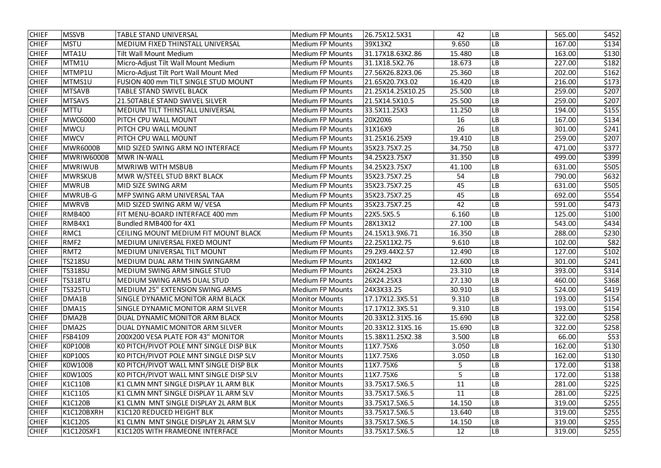| <b>CHIEF</b> | <b>MSSVB</b>     | <b>TABLE STAND UNIVERSAL</b>                | Medium FP Mounts        | 26.75X12.5X31     | 42     | LB        | 565.00 | \$452 |
|--------------|------------------|---------------------------------------------|-------------------------|-------------------|--------|-----------|--------|-------|
| <b>CHIEF</b> | <b>MSTU</b>      | MEDIUM FIXED THINSTALL UNIVERSAL            | <b>Medium FP Mounts</b> | 39X13X2           | 9.650  | LB        | 167.00 | \$134 |
| <b>CHIEF</b> | MTA1U            | <b>Tilt Wall Mount Medium</b>               | <b>Medium FP Mounts</b> | 31.17X18.63X2.86  | 15.480 | LB        | 163.00 | \$130 |
| <b>CHIEF</b> | MTM1U            | Micro-Adjust Tilt Wall Mount Medium         | <b>Medium FP Mounts</b> | 31.1X18.5X2.76    | 18.673 | LB        | 227.00 | \$182 |
| <b>CHIEF</b> | MTMP1U           | Micro-Adjust Tilt Port Wall Mount Med       | <b>Medium FP Mounts</b> | 27.56X26.82X3.06  | 25.360 | LB        | 202.00 | \$162 |
| <b>CHIEF</b> | MTMS1U           | <b>FUSION 400 mm TILT SINGLE STUD MOUNT</b> | <b>Medium FP Mounts</b> | 21.65X20.7X3.02   | 16.420 | LВ        | 216.00 | \$173 |
| <b>CHIEF</b> | <b>MTSAVB</b>    | <b>TABLE STAND SWIVEL BLACK</b>             | <b>Medium FP Mounts</b> | 21.25X14.25X10.25 | 25.500 | LB        | 259.00 | \$207 |
| <b>CHIEF</b> | <b>MTSAVS</b>    | 21.50TABLE STAND SWIVEL SILVER              | <b>Medium FP Mounts</b> | 21.5X14.5X10.5    | 25.500 | LB        | 259.00 | \$207 |
| <b>CHIEF</b> | <b>MTTU</b>      | <b>MEDIUM TILT THINSTALL UNIVERSAL</b>      | <b>Medium FP Mounts</b> | 33.5X11.25X3      | 11.250 | LB        | 194.00 | \$155 |
| <b>CHIEF</b> | <b>MWC6000</b>   | <b>PITCH CPU WALL MOUNT</b>                 | <b>Medium FP Mounts</b> | 20X20X6           | 16     | LB        | 167.00 | \$134 |
| <b>CHIEF</b> | <b>MWCU</b>      | PITCH CPU WALL MOUNT                        | Medium FP Mounts        | 31X16X9           | 26     | LB        | 301.00 | \$241 |
| <b>CHIEF</b> | <b>MWCV</b>      | PITCH CPU WALL MOUNT                        | <b>Medium FP Mounts</b> | 31.25X16.25X9     | 19.410 | LВ        | 259.00 | \$207 |
| <b>CHIEF</b> | MWR6000B         | MID SIZED SWING ARM NO INTERFACE            | Medium FP Mounts        | 35X23.75X7.25     | 34.750 | LB        | 471.00 | \$377 |
| <b>CHIEF</b> | MWRIW6000B       | <b>MWR IN-WALL</b>                          | <b>Medium FP Mounts</b> | 34.25X23.75X7     | 31.350 | LB        | 499.00 | \$399 |
| <b>CHIEF</b> | <b>MWRIWUB</b>   | <b>MWRIWB WITH MSBUB</b>                    | <b>Medium FP Mounts</b> | 34.25X23.75X7     | 41.100 | LВ        | 631.00 | \$505 |
| <b>CHIEF</b> | <b>MWRSKUB</b>   | MWR W/STEEL STUD BRKT BLACK                 | <b>Medium FP Mounts</b> | 35X23.75X7.25     | 54     | LB        | 790.00 | \$632 |
| <b>CHIEF</b> | <b>MWRUB</b>     | MID SIZE SWING ARM                          | <b>Medium FP Mounts</b> | 35X23.75X7.25     | 45     | LB        | 631.00 | \$505 |
| <b>CHIEF</b> | MWRUB-G          | <b>MFP SWING ARM UNIVERSAL TAA</b>          | <b>Medium FP Mounts</b> | 35X23.75X7.25     | 45     | LB        | 692.00 | \$554 |
| <b>CHIEF</b> | <b>MWRVB</b>     | MID SIZED SWING ARM W/ VESA                 | <b>Medium FP Mounts</b> | 35X23.75X7.25     | 42     | LB        | 591.00 | \$473 |
| <b>CHIEF</b> | <b>RMB400</b>    | FIT MENU-BOARD INTERFACE 400 mm             | Medium FP Mounts        | 22X5.5X5.5        | 6.160  | LB        | 125.00 | \$100 |
| <b>CHIEF</b> | RMB4X1           | Bundled RMB400 for 4X1                      | <b>Medium FP Mounts</b> | 28X13X12          | 27.100 | LB        | 543.00 | \$434 |
| <b>CHIEF</b> | RMC1             | CEILING MOUNT MEDIUM FIT MOUNT BLACK        | <b>Medium FP Mounts</b> | 24.15X13.9X6.71   | 16.350 | LB        | 288.00 | \$230 |
| <b>CHIEF</b> | RMF <sub>2</sub> | <b>MEDIUM UNIVERSAL FIXED MOUNT</b>         | <b>Medium FP Mounts</b> | 22.25X11X2.75     | 9.610  | LB        | 102.00 | \$82  |
| <b>CHIEF</b> | RMT <sub>2</sub> | <b>MEDIUM UNIVERSAL TILT MOUNT</b>          | <b>Medium FP Mounts</b> | 29.2X9.44X2.57    | 12.490 | LВ        | 127.00 | \$102 |
| <b>CHIEF</b> | <b>TS218SU</b>   | <b>MEDIUM DUAL ARM THIN SWINGARM</b>        | Medium FP Mounts        | 20X14X2           | 12.600 | LB        | 301.00 | \$241 |
| <b>CHIEF</b> | <b>TS318SU</b>   | MEDIUM SWING ARM SINGLE STUD                | <b>Medium FP Mounts</b> | 26X24.25X3        | 23.310 | LB        | 393.00 | \$314 |
| <b>CHIEF</b> | <b>TS318TU</b>   | <b>IMEDIUM SWING ARMS DUAL STUD</b>         | <b>Medium FP Mounts</b> | 26X24.25X3        | 27.130 | <b>LB</b> | 460.00 | \$368 |
| <b>CHIEF</b> | <b>TS325TU</b>   | <b>MEDIUM 25" EXTENSION SWING ARMS</b>      | <b>Medium FP Mounts</b> | 24X3X33.25        | 30.910 | LB        | 524.00 | \$419 |
| <b>CHIEF</b> | DMA1B            | SINGLE DYNAMIC MONITOR ARM BLACK            | <b>Monitor Mounts</b>   | 17.17X12.3X5.51   | 9.310  | LB        | 193.00 | \$154 |
| <b>CHIEF</b> | DMA1S            | SINGLE DYNAMIC MONITOR ARM SILVER           | <b>Monitor Mounts</b>   | 17.17X12.3X5.51   | 9.310  | LB        | 193.00 | \$154 |
| <b>CHIEF</b> | DMA2B            | DUAL DYNAMIC MONITOR ARM BLACK              | <b>Monitor Mounts</b>   | 20.33X12.31X5.16  | 15.690 | LB        | 322.00 | \$258 |
| <b>CHIEF</b> | DMA2S            | DUAL DYNAMIC MONITOR ARM SILVER             | <b>Monitor Mounts</b>   | 20.33X12.31X5.16  | 15.690 | LB        | 322.00 | \$258 |
| <b>CHIEF</b> | <b>FSB4109</b>   | 200X200 VESA PLATE FOR 43" MONITOR          | <b>Monitor Mounts</b>   | 15.38X11.25X2.38  | 3.500  | LB        | 66.00  | \$53  |
| <b>CHIEF</b> | <b>KOP100B</b>   | KO PITCH/PIVOT POLE MNT SINGLE DISP BLK     | <b>Monitor Mounts</b>   | 11X7.75X6         | 3.050  | LB        | 162.00 | \$130 |
| <b>CHIEF</b> | <b>KOP100S</b>   | KO PITCH/PIVOT POLE MNT SINGLE DISP SLV     | <b>Monitor Mounts</b>   | 11X7.75X6         | 3.050  | LB        | 162.00 | \$130 |
| <b>CHIEF</b> | <b>KOW100B</b>   | KO PITCH/PIVOT WALL MNT SINGLE DISP BLK     | <b>Monitor Mounts</b>   | 11X7.75X6         | 5      | LB        | 172.00 | \$138 |
| <b>CHIEF</b> | <b>KOW100S</b>   | KO PITCH/PIVOT WALL MNT SINGLE DISP SLV     | <b>Monitor Mounts</b>   | 11X7.75X6         | 5      | LB        | 172.00 | \$138 |
| <b>CHIEF</b> | K1C110B          | K1 CLMN MNT SINGLE DISPLAY 1L ARM BLK       | <b>Monitor Mounts</b>   | 33.75X17.5X6.5    | 11     | LB        | 281.00 | \$225 |
| <b>CHIEF</b> | K1C110S          | K1 CLMN MNT SINGLE DISPLAY 1L ARM SLV       | <b>Monitor Mounts</b>   | 33.75X17.5X6.5    | 11     | LB        | 281.00 | \$225 |
| <b>CHIEF</b> | K1C120B          | K1 CLMN MNT SINGLE DISPLAY 2L ARM BLK       | <b>Monitor Mounts</b>   | 33.75X17.5X6.5    | 14.150 | LВ        | 319.00 | \$255 |
| <b>CHIEF</b> | K1C120BXRH       | K1C120 REDUCED HEIGHT BLK                   | <b>Monitor Mounts</b>   | 33.75X17.5X6.5    | 13.640 | LB        | 319.00 | \$255 |
| <b>CHIEF</b> | <b>K1C120S</b>   | K1 CLMN MNT SINGLE DISPLAY 2L ARM SLV       | <b>Monitor Mounts</b>   | 33.75X17.5X6.5    | 14.150 | LB        | 319.00 | \$255 |
| <b>CHIEF</b> | K1C120SXF1       | K1C120S WITH FRAMEONE INTERFACE             | <b>Monitor Mounts</b>   | 33.75X17.5X6.5    | 12     | LB        | 319.00 | \$255 |
|              |                  |                                             |                         |                   |        |           |        |       |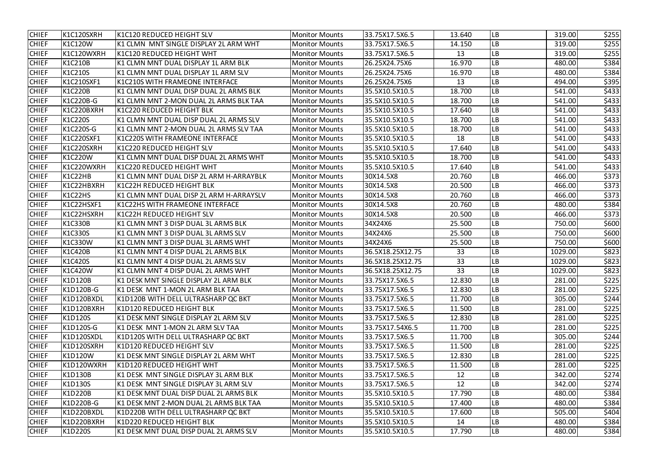| <b>CHIEF</b> | K1C120SXRH     | <b>K1C120 REDUCED HEIGHT SLV</b>        | <b>Monitor Mounts</b> | 33.75X17.5X6.5   | 13.640 | <b>LB</b>  | 319.00  | \$255 |
|--------------|----------------|-----------------------------------------|-----------------------|------------------|--------|------------|---------|-------|
| <b>CHIEF</b> | <b>K1C120W</b> | K1 CLMN MNT SINGLE DISPLAY 2L ARM WHT   | <b>Monitor Mounts</b> | 33.75X17.5X6.5   | 14.150 | LB         | 319.00  | \$255 |
| <b>CHIEF</b> | K1C120WXRH     | <b>K1C120 REDUCED HEIGHT WHT</b>        | <b>Monitor Mounts</b> | 33.75X17.5X6.5   | 13     | LB         | 319.00  | \$255 |
| <b>CHIEF</b> | <b>K1C210B</b> | K1 CLMN MNT DUAL DISPLAY 1L ARM BLK     | <b>Monitor Mounts</b> | 26.25X24.75X6    | 16.970 | LB         | 480.00  | \$384 |
| <b>CHIEF</b> | K1C210S        | K1 CLMN MNT DUAL DISPLAY 1L ARM SLV     | <b>Monitor Mounts</b> | 26.25X24.75X6    | 16.970 | LB         | 480.00  | \$384 |
| <b>CHIEF</b> | K1C210SXF1     | K1C210S WITH FRAMEONE INTERFACE         | <b>Monitor Mounts</b> | 26.25X24.75X6    | 13     | LB         | 494.00  | \$395 |
| <b>CHIEF</b> | <b>K1C220B</b> | K1 CLMN MNT DUAL DISP DUAL 2L ARMS BLK  | <b>Monitor Mounts</b> | 35.5X10.5X10.5   | 18.700 | ${\sf LB}$ | 541.00  | \$433 |
| <b>CHIEF</b> | K1C220B-G      | K1 CLMN MNT 2-MON DUAL 2L ARMS BLK TAA  | <b>Monitor Mounts</b> | 35.5X10.5X10.5   | 18.700 | LB         | 541.00  | \$433 |
| <b>CHIEF</b> | K1C220BXRH     | <b>K1C220 REDUCED HEIGHT BLK</b>        | <b>Monitor Mounts</b> | 35.5X10.5X10.5   | 17.640 | LB         | 541.00  | \$433 |
| <b>CHIEF</b> | <b>K1C220S</b> | K1 CLMN MNT DUAL DISP DUAL 2L ARMS SLV  | <b>Monitor Mounts</b> | 35.5X10.5X10.5   | 18.700 | LB         | 541.00  | \$433 |
| <b>CHIEF</b> | K1C220S-G      | K1 CLMN MNT 2-MON DUAL 2L ARMS SLV TAA  | <b>Monitor Mounts</b> | 35.5X10.5X10.5   | 18.700 | LB         | 541.00  | \$433 |
| <b>CHIEF</b> | K1C220SXF1     | K1C220S WITH FRAMEONE INTERFACE         | <b>Monitor Mounts</b> | 35.5X10.5X10.5   | 18     | LB         | 541.00  | \$433 |
| <b>CHIEF</b> | K1C220SXRH     | K1C220 REDUCED HEIGHT SLV               | <b>Monitor Mounts</b> | 35.5X10.5X10.5   | 17.640 | ${\sf LB}$ | 541.00  | \$433 |
| <b>CHIEF</b> | <b>K1C220W</b> | K1 CLMN MNT DUAL DISP DUAL 2L ARMS WHT  | <b>Monitor Mounts</b> | 35.5X10.5X10.5   | 18.700 | ${\sf LB}$ | 541.00  | \$433 |
| <b>CHIEF</b> | K1C220WXRH     | <b>K1C220 REDUCED HEIGHT WHT</b>        | <b>Monitor Mounts</b> | 35.5X10.5X10.5   | 17.640 | LB         | 541.00  | \$433 |
| <b>CHIEF</b> | K1C22HB        | K1 CLMN MNT DUAL DISP 2L ARM H-ARRAYBLK | <b>Monitor Mounts</b> | 30X14.5X8        | 20.760 | LB         | 466.00  | \$373 |
| <b>CHIEF</b> | K1C22HBXRH     | <b>K1C22H REDUCED HEIGHT BLK</b>        | <b>Monitor Mounts</b> | 30X14.5X8        | 20.500 | LB         | 466.00  | \$373 |
| <b>CHIEF</b> | K1C22HS        | K1 CLMN MNT DUAL DISP 2L ARM H-ARRAYSLV | <b>Monitor Mounts</b> | 30X14.5X8        | 20.760 | <b>LB</b>  | 466.00  | \$373 |
| <b>CHIEF</b> | K1C22HSXF1     | K1C22HS WITH FRAMEONE INTERFACE         | <b>Monitor Mounts</b> | 30X14.5X8        | 20.760 | LB         | 480.00  | \$384 |
| <b>CHIEF</b> | K1C22HSXRH     | K1C22H REDUCED HEIGHT SLV               | <b>Monitor Mounts</b> | 30X14.5X8        | 20.500 | ${\sf LB}$ | 466.00  | \$373 |
| <b>CHIEF</b> | <b>K1C330B</b> | K1 CLMN MNT 3 DISP DUAL 3L ARMS BLK     | <b>Monitor Mounts</b> | 34X24X6          | 25.500 | LB         | 750.00  | \$600 |
| <b>CHIEF</b> | K1C330S        | K1 CLMN MNT 3 DISP DUAL 3L ARMS SLV     | <b>Monitor Mounts</b> | 34X24X6          | 25.500 | LB         | 750.00  | \$600 |
| <b>CHIEF</b> | <b>K1C330W</b> | K1 CLMN MNT 3 DISP DUAL 3L ARMS WHT     | <b>Monitor Mounts</b> | 34X24X6          | 25.500 | LB         | 750.00  | \$600 |
| <b>CHIEF</b> | <b>K1C420B</b> | K1 CLMN MNT 4 DISP DUAL 2L ARMS BLK     | <b>Monitor Mounts</b> | 36.5X18.25X12.75 | 33     | LB         | 1029.00 | \$823 |
| <b>CHIEF</b> | K1C420S        | K1 CLMN MNT 4 DISP DUAL 2L ARMS SLV     | <b>Monitor Mounts</b> | 36.5X18.25X12.75 | 33     | LB         | 1029.00 | \$823 |
| <b>CHIEF</b> | <b>K1C420W</b> | K1 CLMN MNT 4 DISP DUAL 2L ARMS WHT     | <b>Monitor Mounts</b> | 36.5X18.25X12.75 | 33     | LB         | 1029.00 | \$823 |
| <b>CHIEF</b> | K1D120B        | K1 DESK MNT SINGLE DISPLAY 2L ARM BLK   | <b>Monitor Mounts</b> | 33.75X17.5X6.5   | 12.830 | <b>LB</b>  | 281.00  | \$225 |
| <b>CHIEF</b> | K1D120B-G      | K1 DESK MNT 1-MON 2L ARM BLK TAA        | <b>Monitor Mounts</b> | 33.75X17.5X6.5   | 12.830 | <b>LB</b>  | 281.00  | \$225 |
| <b>CHIEF</b> | K1D120BXDL     | K1D120B WITH DELL ULTRASHARP QC BKT     | <b>Monitor Mounts</b> | 33.75X17.5X6.5   | 11.700 | <b>LB</b>  | 305.00  | \$244 |
| <b>CHIEF</b> | K1D120BXRH     | K1D120 REDUCED HEIGHT BLK               | <b>Monitor Mounts</b> | 33.75X17.5X6.5   | 11.500 | <b>LB</b>  | 281.00  | \$225 |
| <b>CHIEF</b> | <b>K1D120S</b> | K1 DESK MNT SINGLE DISPLAY 2L ARM SLV   | <b>Monitor Mounts</b> | 33.75X17.5X6.5   | 12.830 | LB         | 281.00  | \$225 |
| <b>CHIEF</b> | K1D120S-G      | K1 DESK MNT 1-MON 2L ARM SLV TAA        | <b>Monitor Mounts</b> | 33.75X17.54X6.5  | 11.700 | LB         | 281.00  | \$225 |
| <b>CHIEF</b> | K1D120SXDL     | K1D120S WITH DELL ULTRASHARP QC BKT     | <b>Monitor Mounts</b> | 33.75X17.5X6.5   | 11.700 | LB         | 305.00  | \$244 |
| <b>CHIEF</b> | K1D120SXRH     | K1D120 REDUCED HEIGHT SLV               | <b>Monitor Mounts</b> | 33.75X17.5X6.5   | 11.500 | LB         | 281.00  | \$225 |
| <b>CHIEF</b> | <b>K1D120W</b> | K1 DESK MNT SINGLE DISPLAY 2L ARM WHT   | <b>Monitor Mounts</b> | 33.75X17.5X6.5   | 12.830 | <b>LB</b>  | 281.00  | \$225 |
| <b>CHIEF</b> | K1D120WXRH     | K1D120 REDUCED HEIGHT WHT               | <b>Monitor Mounts</b> | 33.75X17.5X6.5   | 11.500 | LB         | 281.00  | \$225 |
| <b>CHIEF</b> | <b>K1D130B</b> | K1 DESK MNT SINGLE DISPLAY 3L ARM BLK   | <b>Monitor Mounts</b> | 33.75X17.5X6.5   | 12     | LB         | 342.00  | \$274 |
| <b>CHIEF</b> | <b>K1D130S</b> | K1 DESK MNT SINGLE DISPLAY 3L ARM SLV   | <b>Monitor Mounts</b> | 33.75X17.5X6.5   | 12     | <b>LB</b>  | 342.00  | \$274 |
| <b>CHIEF</b> | <b>K1D220B</b> | K1 DESK MNT DUAL DISP DUAL 2L ARMS BLK  | <b>Monitor Mounts</b> | 35.5X10.5X10.5   | 17.790 | LB         | 480.00  | \$384 |
| <b>CHIEF</b> | K1D220B-G      | K1 DESK MNT 2-MON DUAL 2L ARMS BLK TAA  | <b>Monitor Mounts</b> | 35.5X10.5X10.5   | 17.400 | <b>LB</b>  | 480.00  | \$384 |
| <b>CHIEF</b> | K1D220BXDL     | K1D220B WITH DELL ULTRASHARP QC BKT     | <b>Monitor Mounts</b> | 35.5X10.5X10.5   | 17.600 | <b>LB</b>  | 505.00  | \$404 |
| <b>CHIEF</b> | K1D220BXRH     | K1D220 REDUCED HEIGHT BLK               | <b>Monitor Mounts</b> | 35.5X10.5X10.5   | 14     | LB         | 480.00  | \$384 |
| <b>CHIEF</b> | K1D220S        | K1 DESK MNT DUAL DISP DUAL 2L ARMS SLV  | <b>Monitor Mounts</b> | 35.5X10.5X10.5   | 17.790 | <b>LB</b>  | 480.00  | \$384 |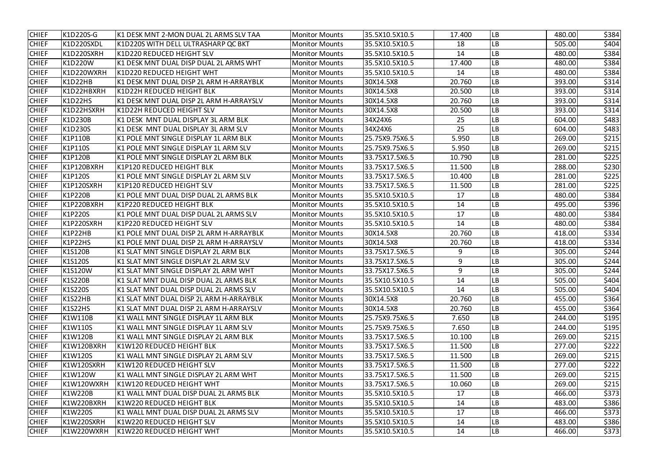| <b>CHIEF</b> | K1D220S-G      | lK1 DESK MNT 2-MON DUAL 2L ARMS SLV TAA | <b>Monitor Mounts</b> | 35.5X10.5X10.5 | 17.400 | <b>LB</b>  | 480.00 | \$384 |
|--------------|----------------|-----------------------------------------|-----------------------|----------------|--------|------------|--------|-------|
| <b>CHIEF</b> | K1D220SXDL     | K1D220S WITH DELL ULTRASHARP QC BKT     | <b>Monitor Mounts</b> | 35.5X10.5X10.5 | 18     | LB         | 505.00 | \$404 |
| <b>CHIEF</b> | K1D220SXRH     | K1D220 REDUCED HEIGHT SLV               | <b>Monitor Mounts</b> | 35.5X10.5X10.5 | 14     | LB         | 480.00 | \$384 |
| <b>CHIEF</b> | K1D220W        | K1 DESK MNT DUAL DISP DUAL 2L ARMS WHT  | <b>Monitor Mounts</b> | 35.5X10.5X10.5 | 17.400 | <b>LB</b>  | 480.00 | \$384 |
| <b>CHIEF</b> | K1D220WXRH     | K1D220 REDUCED HEIGHT WHT               | <b>Monitor Mounts</b> | 35.5X10.5X10.5 | 14     | LB         | 480.00 | \$384 |
| <b>CHIEF</b> | K1D22HB        | K1 DESK MNT DUAL DISP 2L ARM H-ARRAYBLK | <b>Monitor Mounts</b> | 30X14.5X8      | 20.760 | LB         | 393.00 | \$314 |
| <b>CHIEF</b> | K1D22HBXRH     | lK1D22H REDUCED HEIGHT BLK              | <b>Monitor Mounts</b> | 30X14.5X8      | 20.500 | LB         | 393.00 | \$314 |
| <b>CHIEF</b> | K1D22HS        | K1 DESK MNT DUAL DISP 2L ARM H-ARRAYSLV | <b>Monitor Mounts</b> | 30X14.5X8      | 20.760 | LB         | 393.00 | \$314 |
| <b>CHIEF</b> | K1D22HSXRH     | lK1D22H REDUCED HEIGHT SLV              | <b>Monitor Mounts</b> | 30X14.5X8      | 20.500 | LB         | 393.00 | \$314 |
| <b>CHIEF</b> | K1D230B        | lK1 DESK MNT DUAL DISPLAY 3L ARM BLK    | <b>Monitor Mounts</b> | 34X24X6        | 25     | <b>LB</b>  | 604.00 | \$483 |
| <b>CHIEF</b> | K1D230S        | K1 DESK MNT DUAL DISPLAY 3L ARM SLV     | <b>Monitor Mounts</b> | 34X24X6        | 25     | LB         | 604.00 | \$483 |
| <b>CHIEF</b> | K1P110B        | K1 POLE MNT SINGLE DISPLAY 1L ARM BLK   | <b>Monitor Mounts</b> | 25.75X9.75X6.5 | 5.950  | ${\sf LB}$ | 269.00 | \$215 |
| <b>CHIEF</b> | K1P110S        | K1 POLE MNT SINGLE DISPLAY 1L ARM SLV   | <b>Monitor Mounts</b> | 25.75X9.75X6.5 | 5.950  | <b>LB</b>  | 269.00 | \$215 |
| <b>CHIEF</b> | <b>K1P120B</b> | K1 POLE MNT SINGLE DISPLAY 2L ARM BLK   | <b>Monitor Mounts</b> | 33.75X17.5X6.5 | 10.790 | LB         | 281.00 | \$225 |
| <b>CHIEF</b> | K1P120BXRH     | lK1P120 REDUCED HEIGHT BLK              | <b>Monitor Mounts</b> | 33.75X17.5X6.5 | 11.500 | LB         | 288.00 | \$230 |
| <b>CHIEF</b> | K1P120S        | K1 POLE MNT SINGLE DISPLAY 2L ARM SLV   | <b>Monitor Mounts</b> | 33.75X17.5X6.5 | 10.400 | LB         | 281.00 | \$225 |
| <b>CHIEF</b> | K1P120SXRH     | <b>K1P120 REDUCED HEIGHT SLV</b>        | <b>Monitor Mounts</b> | 33.75X17.5X6.5 | 11.500 | LB         | 281.00 | \$225 |
| <b>CHIEF</b> | K1P220B        | K1 POLE MNT DUAL DISP DUAL 2L ARMS BLK  | <b>Monitor Mounts</b> | 35.5X10.5X10.5 | 17     | LВ         | 480.00 | \$384 |
| <b>CHIEF</b> | K1P220BXRH     | lK1P220 REDUCED HEIGHT BLK              | <b>Monitor Mounts</b> | 35.5X10.5X10.5 | 14     | LB         | 495.00 | \$396 |
| <b>CHIEF</b> | K1P220S        | K1 POLE MNT DUAL DISP DUAL 2L ARMS SLV  | <b>Monitor Mounts</b> | 35.5X10.5X10.5 | 17     | LB         | 480.00 | \$384 |
| <b>CHIEF</b> | K1P220SXRH     | <b>K1P220 REDUCED HEIGHT SLV</b>        | <b>Monitor Mounts</b> | 35.5X10.5X10.5 | 14     | LB         | 480.00 | \$384 |
| <b>CHIEF</b> | K1P22HB        | K1 POLE MNT DUAL DISP 2L ARM H-ARRAYBLK | <b>Monitor Mounts</b> | 30X14.5X8      | 20.760 | <b>LB</b>  | 418.00 | \$334 |
| <b>CHIEF</b> | K1P22HS        | K1 POLE MNT DUAL DISP 2L ARM H-ARRAYSLV | <b>Monitor Mounts</b> | 30X14.5X8      | 20.760 | LB         | 418.00 | \$334 |
| <b>CHIEF</b> | <b>K1S120B</b> | K1 SLAT MNT SINGLE DISPLAY 2L ARM BLK   | <b>Monitor Mounts</b> | 33.75X17.5X6.5 | 9      | LB         | 305.00 | \$244 |
| <b>CHIEF</b> | <b>K1S120S</b> | K1 SLAT MNT SINGLE DISPLAY 2L ARM SLV   | <b>Monitor Mounts</b> | 33.75X17.5X6.5 | 9      | LB         | 305.00 | \$244 |
| <b>CHIEF</b> | <b>K1S120W</b> | K1 SLAT MNT SINGLE DISPLAY 2L ARM WHT   | <b>Monitor Mounts</b> | 33.75X17.5X6.5 | 9      | LB         | 305.00 | \$244 |
| <b>CHIEF</b> | <b>K1S220B</b> | K1 SLAT MNT DUAL DISP DUAL 2L ARMS BLK  | <b>Monitor Mounts</b> | 35.5X10.5X10.5 | 14     | LB         | 505.00 | \$404 |
| <b>CHIEF</b> | K1S220S        | K1 SLAT MNT DUAL DISP DUAL 2L ARMS SLV  | <b>Monitor Mounts</b> | 35.5X10.5X10.5 | 14     | <b>LB</b>  | 505.00 | \$404 |
| <b>CHIEF</b> | K1S22HB        | K1 SLAT MNT DUAL DISP 2L ARM H-ARRAYBLK | <b>Monitor Mounts</b> | 30X14.5X8      | 20.760 | LB         | 455.00 | \$364 |
| <b>CHIEF</b> | K1S22HS        | K1 SLAT MNT DUAL DISP 2L ARM H-ARRAYSLV | <b>Monitor Mounts</b> | 30X14.5X8      | 20.760 | <b>LB</b>  | 455.00 | \$364 |
| <b>CHIEF</b> | K1W110B        | K1 WALL MNT SINGLE DISPLAY 1L ARM BLK   | <b>Monitor Mounts</b> | 25.75X9.75X6.5 | 7.650  | <b>LB</b>  | 244.00 | \$195 |
| <b>CHIEF</b> | K1W110S        | K1 WALL MNT SINGLE DISPLAY 1L ARM SLV   | <b>Monitor Mounts</b> | 25.75X9.75X6.5 | 7.650  | <b>LB</b>  | 244.00 | \$195 |
| <b>CHIEF</b> | K1W120B        | K1 WALL MNT SINGLE DISPLAY 2L ARM BLK   | <b>Monitor Mounts</b> | 33.75X17.5X6.5 | 10.100 | <b>LB</b>  | 269.00 | \$215 |
| <b>CHIEF</b> | K1W120BXRH     | K1W120 REDUCED HEIGHT BLK               | <b>Monitor Mounts</b> | 33.75X17.5X6.5 | 11.500 | <b>LB</b>  | 277.00 | \$222 |
| <b>CHIEF</b> | K1W120S        | K1 WALL MNT SINGLE DISPLAY 2L ARM SLV   | <b>Monitor Mounts</b> | 33.75X17.5X6.5 | 11.500 | <b>LB</b>  | 269.00 | \$215 |
| <b>CHIEF</b> | K1W120SXRH     | K1W120 REDUCED HEIGHT SLV               | <b>Monitor Mounts</b> | 33.75X17.5X6.5 | 11.500 | <b>LB</b>  | 277.00 | \$222 |
| <b>CHIEF</b> | K1W120W        | K1 WALL MNT SINGLE DISPLAY 2L ARM WHT   | <b>Monitor Mounts</b> | 33.75X17.5X6.5 | 11.500 | <b>LB</b>  | 269.00 | \$215 |
| <b>CHIEF</b> | K1W120WXRH     | K1W120 REDUCED HEIGHT WHT               | <b>Monitor Mounts</b> | 33.75X17.5X6.5 | 10.060 | <b>LB</b>  | 269.00 | \$215 |
| <b>CHIEF</b> | K1W220B        | K1 WALL MNT DUAL DISP DUAL 2L ARMS BLK  | <b>Monitor Mounts</b> | 35.5X10.5X10.5 | 17     | LB         | 466.00 | \$373 |
| <b>CHIEF</b> | K1W220BXRH     | K1W220 REDUCED HEIGHT BLK               | <b>Monitor Mounts</b> | 35.5X10.5X10.5 | 14     | <b>LB</b>  | 483.00 | \$386 |
| <b>CHIEF</b> | K1W220S        | K1 WALL MNT DUAL DISP DUAL 2L ARMS SLV  | <b>Monitor Mounts</b> | 35.5X10.5X10.5 | 17     | <b>LB</b>  | 466.00 | \$373 |
| <b>CHIEF</b> | K1W220SXRH     | K1W220 REDUCED HEIGHT SLV               | <b>Monitor Mounts</b> | 35.5X10.5X10.5 | 14     | LB         | 483.00 | \$386 |
| <b>CHIEF</b> | K1W220WXRH     | K1W220 REDUCED HEIGHT WHT               | <b>Monitor Mounts</b> | 35.5X10.5X10.5 | 14     | LB         | 466.00 | \$373 |
|              |                |                                         |                       |                |        |            |        |       |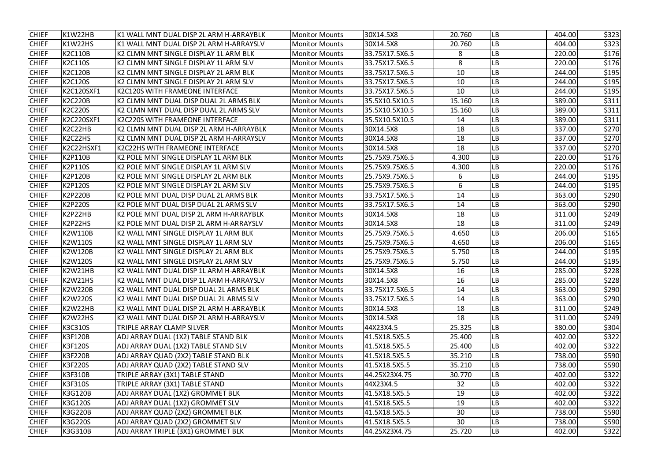| <b>CHIEF</b> | K1W22HB           | lK1 WALL MNT DUAL DISP 2L ARM H-ARRAYBLK | <b>Monitor Mounts</b> | 30X14.5X8      | 20.760 | <b>LB</b> | 404.00 | \$323 |
|--------------|-------------------|------------------------------------------|-----------------------|----------------|--------|-----------|--------|-------|
| <b>CHIEF</b> | K1W22HS           | K1 WALL MNT DUAL DISP 2L ARM H-ARRAYSLV  | <b>Monitor Mounts</b> | 30X14.5X8      | 20.760 | LB        | 404.00 | \$323 |
| <b>CHIEF</b> | <b>K2C110B</b>    | K2 CLMN MNT SINGLE DISPLAY 1L ARM BLK    | <b>Monitor Mounts</b> | 33.75X17.5X6.5 | 8      | LB        | 220.00 | \$176 |
| <b>CHIEF</b> | <b>K2C110S</b>    | K2 CLMN MNT SINGLE DISPLAY 1L ARM SLV    | <b>Monitor Mounts</b> | 33.75X17.5X6.5 | 8      | LВ        | 220.00 | \$176 |
| <b>CHIEF</b> | <b>K2C120B</b>    | K2 CLMN MNT SINGLE DISPLAY 2L ARM BLK    | <b>Monitor Mounts</b> | 33.75X17.5X6.5 | 10     | LB        | 244.00 | \$195 |
| <b>CHIEF</b> | <b>K2C120S</b>    | K2 CLMN MNT SINGLE DISPLAY 2L ARM SLV    | <b>Monitor Mounts</b> | 33.75X17.5X6.5 | 10     | LB        | 244.00 | \$195 |
| <b>CHIEF</b> | <b>K2C120SXF1</b> | K2C120S WITH FRAMEONE INTERFACE          | <b>Monitor Mounts</b> | 33.75X17.5X6.5 | 10     | LВ        | 244.00 | \$195 |
| <b>CHIEF</b> | <b>K2C220B</b>    | K2 CLMN MNT DUAL DISP DUAL 2L ARMS BLK   | <b>Monitor Mounts</b> | 35.5X10.5X10.5 | 15.160 | <b>LB</b> | 389.00 | \$311 |
| <b>CHIEF</b> | <b>K2C220S</b>    | K2 CLMN MNT DUAL DISP DUAL 2L ARMS SLV   | <b>Monitor Mounts</b> | 35.5X10.5X10.5 | 15.160 | LB        | 389.00 | \$311 |
| <b>CHIEF</b> | K2C220SXF1        | K2C220S WITH FRAMEONE INTERFACE          | <b>Monitor Mounts</b> | 35.5X10.5X10.5 | 14     | LB        | 389.00 | \$311 |
| <b>CHIEF</b> | K2C22HB           | K2 CLMN MNT DUAL DISP 2L ARM H-ARRAYBLK  | <b>Monitor Mounts</b> | 30X14.5X8      | 18     | LB        | 337.00 | \$270 |
| <b>CHIEF</b> | K2C22HS           | K2 CLMN MNT DUAL DISP 2L ARM H-ARRAYSLV  | <b>Monitor Mounts</b> | 30X14.5X8      | 18     | LВ        | 337.00 | \$270 |
| <b>CHIEF</b> | K2C22HSXF1        | K2C22HS WITH FRAMEONE INTERFACE          | <b>Monitor Mounts</b> | 30X14.5X8      | 18     | <b>LB</b> | 337.00 | \$270 |
| <b>CHIEF</b> | <b>K2P110B</b>    | K2 POLE MNT SINGLE DISPLAY 1L ARM BLK    | <b>Monitor Mounts</b> | 25.75X9.75X6.5 | 4.300  | <b>LB</b> | 220.00 | \$176 |
| <b>CHIEF</b> | <b>K2P110S</b>    | K2 POLE MNT SINGLE DISPLAY 1L ARM SLV    | <b>Monitor Mounts</b> | 25.75X9.75X6.5 | 4.300  | LB        | 220.00 | \$176 |
| <b>CHIEF</b> | <b>K2P120B</b>    | K2 POLE MNT SINGLE DISPLAY 2L ARM BLK    | <b>Monitor Mounts</b> | 25.75X9.75X6.5 | 6      | LВ        | 244.00 | \$195 |
| <b>CHIEF</b> | <b>K2P120S</b>    | K2 POLE MNT SINGLE DISPLAY 2L ARM SLV    | <b>Monitor Mounts</b> | 25.75X9.75X6.5 | 6      | LB        | 244.00 | \$195 |
| <b>CHIEF</b> | <b>K2P220B</b>    | K2 POLE MNT DUAL DISP DUAL 2L ARMS BLK   | <b>Monitor Mounts</b> | 33.75X17.5X6.5 | 14     | LB        | 363.00 | \$290 |
| <b>CHIEF</b> | <b>K2P220S</b>    | K2 POLE MNT DUAL DISP DUAL 2L ARMS SLV   | <b>Monitor Mounts</b> | 33.75X17.5X6.5 | 14     | LВ        | 363.00 | \$290 |
| <b>CHIEF</b> | K2P22HB           | K2 POLE MNT DUAL DISP 2L ARM H-ARRAYBLK  | <b>Monitor Mounts</b> | 30X14.5X8      | 18     | LB        | 311.00 | \$249 |
| <b>CHIEF</b> | K2P22HS           | K2 POLE MNT DUAL DISP 2L ARM H-ARRAYSLV  | <b>Monitor Mounts</b> | 30X14.5X8      | 18     | LB        | 311.00 | \$249 |
| <b>CHIEF</b> | <b>K2W110B</b>    | K2 WALL MNT SINGLE DISPLAY 1L ARM BLK    | Monitor Mounts        | 25.75X9.75X6.5 | 4.650  | <b>LB</b> | 206.00 | \$165 |
| <b>CHIEF</b> | K2W110S           | K2 WALL MNT SINGLE DISPLAY 1L ARM SLV    | <b>Monitor Mounts</b> | 25.75X9.75X6.5 | 4.650  | LB        | 206.00 | \$165 |
| <b>CHIEF</b> | <b>K2W120B</b>    | K2 WALL MNT SINGLE DISPLAY 2L ARM BLK    | <b>Monitor Mounts</b> | 25.75X9.75X6.5 | 5.750  | LB        | 244.00 | \$195 |
| <b>CHIEF</b> | <b>K2W120S</b>    | K2 WALL MNT SINGLE DISPLAY 2L ARM SLV    | <b>Monitor Mounts</b> | 25.75X9.75X6.5 | 5.750  | LB        | 244.00 | \$195 |
| <b>CHIEF</b> | K2W21HB           | K2 WALL MNT DUAL DISP 1L ARM H-ARRAYBLK  | <b>Monitor Mounts</b> | 30X14.5X8      | 16     | LB        | 285.00 | \$228 |
| <b>CHIEF</b> | K2W21HS           | K2 WALL MNT DUAL DISP 1L ARM H-ARRAYSLV  | <b>Monitor Mounts</b> | 30X14.5X8      | 16     | LB        | 285.00 | \$228 |
| <b>CHIEF</b> | <b>K2W220B</b>    | K2 WALL MNT DUAL DISP DUAL 2L ARMS BLK   | <b>Monitor Mounts</b> | 33.75X17.5X6.5 | 14     | <b>LB</b> | 363.00 | \$290 |
| <b>CHIEF</b> | <b>K2W220S</b>    | K2 WALL MNT DUAL DISP DUAL 2L ARMS SLV   | <b>Monitor Mounts</b> | 33.75X17.5X6.5 | 14     | LB        | 363.00 | \$290 |
| <b>CHIEF</b> | K2W22HB           | K2 WALL MNT DUAL DISP 2L ARM H-ARRAYBLK  | <b>Monitor Mounts</b> | 30X14.5X8      | 18     | <b>LB</b> | 311.00 | \$249 |
| <b>CHIEF</b> | K2W22HS           | K2 WALL MNT DUAL DISP 2L ARM H-ARRAYSLV  | <b>Monitor Mounts</b> | 30X14.5X8      | 18     | <b>LB</b> | 311.00 | \$249 |
| <b>CHIEF</b> | <b>K3C310S</b>    | TRIPLE ARRAY CLAMP SILVER                | <b>Monitor Mounts</b> | 44X23X4.5      | 25.325 | <b>LB</b> | 380.00 | \$304 |
| <b>CHIEF</b> | <b>K3F120B</b>    | ADJ ARRAY DUAL (1X2) TABLE STAND BLK     | <b>Monitor Mounts</b> | 41.5X18.5X5.5  | 25.400 | <b>LB</b> | 402.00 | \$322 |
| <b>CHIEF</b> | <b>K3F120S</b>    | ADJ ARRAY DUAL (1X2) TABLE STAND SLV     | <b>Monitor Mounts</b> | 41.5X18.5X5.5  | 25.400 | <b>LB</b> | 402.00 | \$322 |
| <b>CHIEF</b> | <b>K3F220B</b>    | ADJ ARRAY QUAD (2X2) TABLE STAND BLK     | <b>Monitor Mounts</b> | 41.5X18.5X5.5  | 35.210 | <b>LB</b> | 738.00 | \$590 |
| <b>CHIEF</b> | <b>K3F220S</b>    | ADJ ARRAY QUAD (2X2) TABLE STAND SLV     | <b>Monitor Mounts</b> | 41.5X18.5X5.5  | 35.210 | <b>LB</b> | 738.00 | \$590 |
| <b>CHIEF</b> | <b>K3F310B</b>    | TRIPLE ARRAY (3X1) TABLE STAND           | <b>Monitor Mounts</b> | 44.25X23X4.75  | 30.770 | <b>LB</b> | 402.00 | \$322 |
| <b>CHIEF</b> | K3F310S           | TRIPLE ARRAY (3X1) TABLE STAND           | <b>Monitor Mounts</b> | 44X23X4.5      | 32     | <b>LB</b> | 402.00 | \$322 |
| <b>CHIEF</b> | K3G120B           | ADJ ARRAY DUAL (1X2) GROMMET BLK         | <b>Monitor Mounts</b> | 41.5X18.5X5.5  | 19     | <b>LB</b> | 402.00 | \$322 |
| <b>CHIEF</b> | <b>K3G120S</b>    | ADJ ARRAY DUAL (1X2) GROMMET SLV         | <b>Monitor Mounts</b> | 41.5X18.5X5.5  | 19     | <b>LB</b> | 402.00 | \$322 |
| <b>CHIEF</b> | <b>K3G220B</b>    | ADJ ARRAY QUAD (2X2) GROMMET BLK         | <b>Monitor Mounts</b> | 41.5X18.5X5.5  | 30     | <b>LB</b> | 738.00 | \$590 |
| <b>CHIEF</b> | K3G220S           | ADJ ARRAY QUAD (2X2) GROMMET SLV         | <b>Monitor Mounts</b> | 41.5X18.5X5.5  | 30     | LB        | 738.00 | \$590 |
| <b>CHIEF</b> | K3G310B           | ADJ ARRAY TRIPLE (3X1) GROMMET BLK       | <b>Monitor Mounts</b> | 44.25X23X4.75  | 25.720 | LB        | 402.00 | \$322 |
|              |                   |                                          |                       |                |        |           |        |       |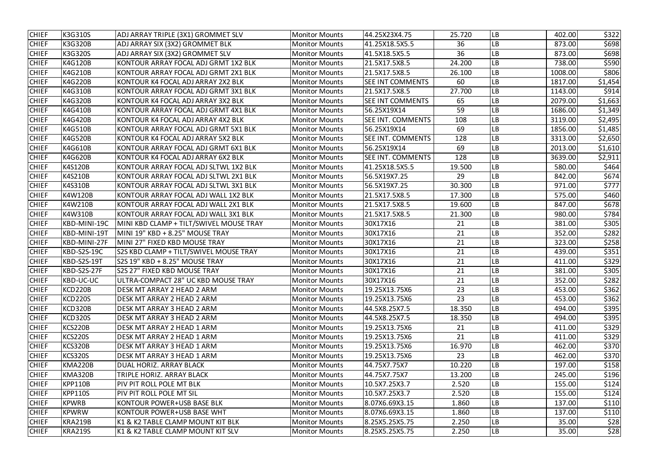| <b>CHIEF</b> | K3G310S            | ADJ ARRAY TRIPLE (3X1) GROMMET SLV      | <b>Monitor Mounts</b> | 44.25X23X4.75            | 25.720 | <b>LB</b> | 402.00  | \$322   |
|--------------|--------------------|-----------------------------------------|-----------------------|--------------------------|--------|-----------|---------|---------|
| <b>CHIEF</b> | K3G320B            | ADJ ARRAY SIX (3X2) GROMMET BLK         | <b>Monitor Mounts</b> | 41.25X18.5X5.5           | 36     | LB        | 873.00  | \$698   |
| <b>CHIEF</b> | K3G320S            | ADJ ARRAY SIX (3X2) GROMMET SLV         | <b>Monitor Mounts</b> | 41.5X18.5X5.5            | 36     | <b>LB</b> | 873.00  | \$698   |
| <b>CHIEF</b> | <b>K4G120B</b>     | KONTOUR ARRAY FOCAL ADJ GRMT 1X2 BLK    | <b>Monitor Mounts</b> | 21.5X17.5X8.5            | 24.200 | <b>LB</b> | 738.00  | \$590   |
| <b>CHIEF</b> | K4G210B            | KONTOUR ARRAY FOCAL ADJ GRMT 2X1 BLK    | <b>Monitor Mounts</b> | 21.5X17.5X8.5            | 26.100 | LB        | 1008.00 | \$806   |
| <b>CHIEF</b> | K4G220B            | KONTOUR K4 FOCAL ADJ ARRAY 2X2 BLK      | <b>Monitor Mounts</b> | <b>SEE INT COMMENTS</b>  | 60     | LB        | 1817.00 | \$1,454 |
| <b>CHIEF</b> | K4G310B            | KONTOUR ARRAY FOCAL ADJ GRMT 3X1 BLK    | <b>Monitor Mounts</b> | 21.5X17.5X8.5            | 27.700 | <b>LB</b> | 1143.00 | \$914   |
| <b>CHIEF</b> | K4G320B            | KONTOUR K4 FOCAL ADJ ARRAY 3X2 BLK      | <b>Monitor Mounts</b> | <b>SEE INT COMMENTS</b>  | 65     | LB        | 2079.00 | \$1,663 |
| <b>CHIEF</b> | K4G410B            | KONTOUR ARRAY FOCAL ADJ GRMT 4X1 BLK    | <b>Monitor Mounts</b> | 56.25X19X14              | 59     | LB        | 1686.00 | \$1,349 |
| <b>CHIEF</b> | <b>K4G420B</b>     | KONTOUR K4 FOCAL ADJ ARRAY 4X2 BLK      | <b>Monitor Mounts</b> | <b>SEE INT. COMMENTS</b> | 108    | <b>LB</b> | 3119.00 | \$2,495 |
| <b>CHIEF</b> | K4G510B            | KONTOUR ARRAY FOCAL ADJ GRMT 5X1 BLK    | <b>Monitor Mounts</b> | 56.25X19X14              | 69     | <b>LB</b> | 1856.00 | \$1,485 |
| <b>CHIEF</b> | <b>K4G520B</b>     | KONTOUR K4 FOCAL ADJ ARRAY 5X2 BLK      | <b>Monitor Mounts</b> | <b>SEE INT. COMMENTS</b> | 128    | <b>LB</b> | 3313.00 | \$2,650 |
| <b>CHIEF</b> | K4G610B            | KONTOUR ARRAY FOCAL ADJ GRMT 6X1 BLK    | <b>Monitor Mounts</b> | 56.25X19X14              | 69     | <b>LB</b> | 2013.00 | \$1,610 |
| <b>CHIEF</b> | K4G620B            | KONTOUR K4 FOCAL ADJ ARRAY 6X2 BLK      | <b>Monitor Mounts</b> | <b>SEE INT. COMMENTS</b> | 128    | <b>LB</b> | 3639.00 | \$2,911 |
| <b>CHIEF</b> | <b>K4S120B</b>     | KONTOUR ARRAY FOCAL ADJ SLTWL 1X2 BLK   | <b>Monitor Mounts</b> | 41.25X18.5X5.5           | 19.500 | <b>LB</b> | 580.00  | \$464   |
| <b>CHIEF</b> | K4S210B            | KONTOUR ARRAY FOCAL ADJ SLTWL 2X1 BLK   | <b>Monitor Mounts</b> | 56.5X19X7.25             | 29     | <b>LB</b> | 842.00  | \$674   |
| <b>CHIEF</b> | K4S310B            | KONTOUR ARRAY FOCAL ADJ SLTWL 3X1 BLK   | <b>Monitor Mounts</b> | 56.5X19X7.25             | 30.300 | LB        | 971.00  | \$777   |
| <b>CHIEF</b> | K4W120B            | KONTOUR ARRAY FOCAL ADJ WALL 1X2 BLK    | <b>Monitor Mounts</b> | 21.5X17.5X8.5            | 17.300 | LB        | 575.00  | \$460   |
| <b>CHIEF</b> | K4W210B            | KONTOUR ARRAY FOCAL ADJ WALL 2X1 BLK    | <b>Monitor Mounts</b> | 21.5X17.5X8.5            | 19.600 | <b>LB</b> | 847.00  | \$678   |
| <b>CHIEF</b> | K4W310B            | KONTOUR ARRAY FOCAL ADJ WALL 3X1 BLK    | <b>Monitor Mounts</b> | 21.5X17.5X8.5            | 21.300 | <b>LB</b> | 980.00  | \$784   |
| <b>CHIEF</b> | KBD-MINI-19C       | MINI KBD CLAMP + TILT/SWIVEL MOUSE TRAY | <b>Monitor Mounts</b> | 30X17X16                 | 21     | <b>LB</b> | 381.00  | \$305   |
| <b>CHIEF</b> | KBD-MINI-19T       | MINI 19" KBD + 8.25" MOUSE TRAY         | <b>Monitor Mounts</b> | 30X17X16                 | 21     | <b>LB</b> | 352.00  | \$282   |
| <b>CHIEF</b> | KBD-MINI-27F       | MINI 27" FIXED KBD MOUSE TRAY           | <b>Monitor Mounts</b> | 30X17X16                 | 21     | <b>LB</b> | 323.00  | \$258   |
| <b>CHIEF</b> | <b>KBD-S2S-19C</b> | S2S KBD CLAMP + TILT/SWIVEL MOUSE TRAY  | <b>Monitor Mounts</b> | 30X17X16                 | 21     | LB        | 439.00  | \$351   |
| <b>CHIEF</b> | KBD-S2S-19T        | S2S 19" KBD + 8.25" MOUSE TRAY          | <b>Monitor Mounts</b> | 30X17X16                 | 21     | <b>LB</b> | 411.00  | \$329   |
| <b>CHIEF</b> | KBD-S2S-27F        | <b>S2S 27" FIXED KBD MOUSE TRAY</b>     | <b>Monitor Mounts</b> | 30X17X16                 | 21     | <b>LB</b> | 381.00  | \$305   |
| <b>CHIEF</b> | KBD-UC-UC          | ULTRA-COMPACT 28" UC KBD MOUSE TRAY     | <b>Monitor Mounts</b> | 30X17X16                 | 21     | <b>LB</b> | 352.00  | \$282   |
| <b>CHIEF</b> | KCD220B            | DESK MT ARRAY 2 HEAD 2 ARM              | <b>Monitor Mounts</b> | 19.25X13.75X6            | 23     | <b>LB</b> | 453.00  | \$362   |
| <b>CHIEF</b> | <b>KCD220S</b>     | DESK MT ARRAY 2 HEAD 2 ARM              | <b>Monitor Mounts</b> | 19.25X13.75X6            | 23     | <b>LB</b> | 453.00  | \$362   |
| <b>CHIEF</b> | KCD320B            | DESK MT ARRAY 3 HEAD 2 ARM              | <b>Monitor Mounts</b> | 44.5X8.25X7.5            | 18.350 | <b>LB</b> | 494.00  | \$395   |
| <b>CHIEF</b> | <b>KCD320S</b>     | DESK MT ARRAY 3 HEAD 2 ARM              | <b>Monitor Mounts</b> | 44.5X8.25X7.5            | 18.350 | <b>LB</b> | 494.00  | \$395   |
| <b>CHIEF</b> | KCS220B            | DESK MT ARRAY 2 HEAD 1 ARM              | <b>Monitor Mounts</b> | 19.25X13.75X6            | 21     | <b>LB</b> | 411.00  | \$329   |
| <b>CHIEF</b> | <b>KCS220S</b>     | <b>DESK MT ARRAY 2 HEAD 1 ARM</b>       | <b>Monitor Mounts</b> | 19.25X13.75X6            | 21     | <b>LB</b> | 411.00  | \$329   |
| <b>CHIEF</b> | KCS320B            | DESK MT ARRAY 3 HEAD 1 ARM              | <b>Monitor Mounts</b> | 19.25X13.75X6            | 16.970 | <b>LB</b> | 462.00  | \$370   |
| <b>CHIEF</b> | <b>KCS320S</b>     | DESK MT ARRAY 3 HEAD 1 ARM              | <b>Monitor Mounts</b> | 19.25X13.75X6            | 23     | <b>LB</b> | 462.00  | \$370   |
| <b>CHIEF</b> | KMA220B            | DUAL HORIZ. ARRAY BLACK                 | <b>Monitor Mounts</b> | 44.75X7.75X7             | 10.220 | <b>LB</b> | 197.00  | \$158   |
| <b>CHIEF</b> | <b>KMA320B</b>     | TRIPLE HORIZ. ARRAY BLACK               | <b>Monitor Mounts</b> | 44.75X7.75X7             | 13.200 | <b>LB</b> | 245.00  | \$196   |
| <b>CHIEF</b> | <b>KPP110B</b>     | PIV PIT ROLL POLE MT BLK                | <b>Monitor Mounts</b> | 10.5X7.25X3.7            | 2.520  | <b>LB</b> | 155.00  | \$124   |
| <b>CHIEF</b> | <b>KPP110S</b>     | PIV PIT ROLL POLE MT SIL                | <b>Monitor Mounts</b> | 10.5X7.25X3.7            | 2.520  | <b>LB</b> | 155.00  | \$124   |
| <b>CHIEF</b> | <b>KPWRB</b>       | KONTOUR POWER+USB BASE BLK              | <b>Monitor Mounts</b> | 8.07X6.69X3.15           | 1.860  | <b>LB</b> | 137.00  | \$110   |
| <b>CHIEF</b> | <b>KPWRW</b>       | KONTOUR POWER+USB BASE WHT              | <b>Monitor Mounts</b> | 8.07X6.69X3.15           | 1.860  | <b>LB</b> | 137.00  | \$110   |
| <b>CHIEF</b> | <b>KRA219B</b>     | K1 & K2 TABLE CLAMP MOUNT KIT BLK       | <b>Monitor Mounts</b> | 8.25X5.25X5.75           | 2.250  | LB        | 35.00   | \$28    |
| <b>CHIEF</b> | <b>KRA219S</b>     | K1 & K2 TABLE CLAMP MOUNT KIT SLV       | <b>Monitor Mounts</b> | 8.25X5.25X5.75           | 2.250  | LB        | 35.00   | \$28    |
|              |                    |                                         |                       |                          |        |           |         |         |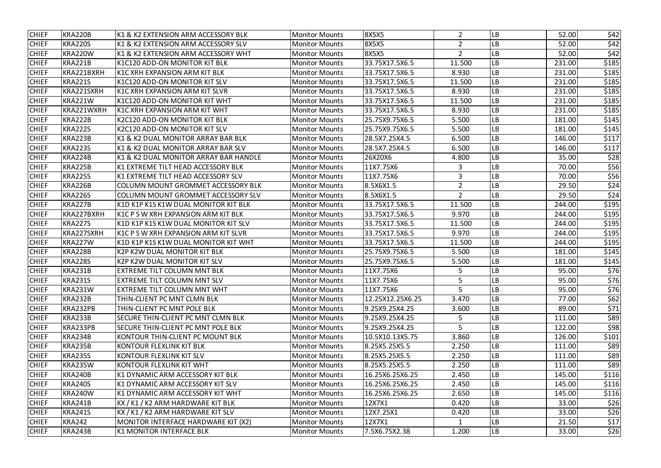| <b>CHIEF</b> | KRA220B        | K1 & K2 EXTENSION ARM ACCESSORY BLK       | <b>Monitor Mounts</b> | <b>8X5X5</b>     | $\overline{2}$ | <b>LB</b>  | 52.00  | \$42  |
|--------------|----------------|-------------------------------------------|-----------------------|------------------|----------------|------------|--------|-------|
| <b>CHIEF</b> | <b>KRA220S</b> | K1 & K2 EXTENSION ARM ACCESSORY SLV       | <b>Monitor Mounts</b> | <b>8X5X5</b>     | $\overline{2}$ | <b>LB</b>  | 52.00  | \$42  |
| <b>CHIEF</b> | KRA220W        | K1 & K2 EXTENSION ARM ACCESSORY WHT       | <b>Monitor Mounts</b> | <b>8X5X5</b>     | $\overline{2}$ | <b>LB</b>  | 52.00  | \$42  |
| <b>CHIEF</b> | <b>KRA221B</b> | K1C120 ADD-ON MONITOR KIT BLK             | <b>Monitor Mounts</b> | 33.75X17.5X6.5   | 11.500         | LB         | 231.00 | \$185 |
| <b>CHIEF</b> | KRA221BXRH     | K1C XRH EXPANSION ARM KIT BLK             | <b>Monitor Mounts</b> | 33.75X17.5X6.5   | 8.930          | LB         | 231.00 | \$185 |
| <b>CHIEF</b> | KRA221S        | K1C120 ADD-ON MONITOR KIT SLV             | <b>Monitor Mounts</b> | 33.75X17.5X6.5   | 11.500         | LB         | 231.00 | \$185 |
| <b>CHIEF</b> | KRA221SXRH     | K1C XRH EXPANSION ARM KIT SLVR            | <b>Monitor Mounts</b> | 33.75X17.5X6.5   | 8.930          | LB         | 231.00 | \$185 |
| <b>CHIEF</b> | <b>KRA221W</b> | K1C120 ADD-ON MONITOR KIT WHT             | <b>Monitor Mounts</b> | 33.75X17.5X6.5   | 11.500         | <b>LB</b>  | 231.00 | \$185 |
| <b>CHIEF</b> | KRA221WXRH     | K1C XRH EXPANSION ARM KIT WHT             | <b>Monitor Mounts</b> | 33.75X17.5X6.5   | 8.930          | LB         | 231.00 | \$185 |
| <b>CHIEF</b> | KRA222B        | K2C120 ADD-ON MONITOR KIT BLK             | <b>Monitor Mounts</b> | 25.75X9.75X6.5   | 5.500          | LB         | 181.00 | \$145 |
| <b>CHIEF</b> | <b>KRA222S</b> | <b>K2C120 ADD-ON MONITOR KIT SLV</b>      | <b>Monitor Mounts</b> | 25.75X9.75X6.5   | 5.500          | LB         | 181.00 | \$145 |
| <b>CHIEF</b> | <b>KRA223B</b> | K1 & K2 DUAL MONITOR ARRAY BAR BLK        | <b>Monitor Mounts</b> | 28.5X7.25X4.5    | 6.500          | LВ         | 146.00 | \$117 |
| <b>CHIEF</b> | <b>KRA223S</b> | K1 & K2 DUAL MONITOR ARRAY BAR SLV        | <b>Monitor Mounts</b> | 28.5X7.25X4.5    | 6.500          | ${\sf LB}$ | 146.00 | \$117 |
| <b>CHIEF</b> | KRA224B        | K1 & K2 DUAL MONITOR ARRAY BAR HANDLE     | <b>Monitor Mounts</b> | 26X20X6          | 4.800          | ${\sf LB}$ | 35.00  | \$28  |
| <b>CHIEF</b> | <b>KRA225B</b> | <b>K1 EXTREME TILT HEAD ACCESSORY BLK</b> | <b>Monitor Mounts</b> | 11X7.75X6        | 3              | LВ         | 70.00  | \$56  |
| <b>CHIEF</b> | <b>KRA225S</b> | K1 EXTREME TILT HEAD ACCESSORY SLV        | <b>Monitor Mounts</b> | 11X7.75X6        | 3              | LB         | 70.00  | \$56  |
| <b>CHIEF</b> | <b>KRA226B</b> | COLUMN MOUNT GROMMET ACCESSORY BLK        | <b>Monitor Mounts</b> | 8.5X6X1.5        | $\overline{2}$ | LB         | 29.50  | \$24  |
| <b>CHIEF</b> | <b>KRA226S</b> | COLUMN MOUNT GROMMET ACCESSORY SLV        | <b>Monitor Mounts</b> | 8.5X6X1.5        | $\overline{2}$ | LB         | 29.50  | \$24  |
| <b>CHIEF</b> | <b>KRA227B</b> | K1D K1P K1S K1W DUAL MONITOR KIT BLK      | <b>Monitor Mounts</b> | 33.75X17.5X6.5   | 11.500         | LB         | 244.00 | \$195 |
| <b>CHIEF</b> | KRA227BXRH     | K1C P S W XRH EXPANSION ARM KIT BLK       | <b>Monitor Mounts</b> | 33.75X17.5X6.5   | 9.970          | LB         | 244.00 | \$195 |
| <b>CHIEF</b> | <b>KRA227S</b> | K1D K1P K1S K1W DUAL MONITOR KIT SLV      | <b>Monitor Mounts</b> | 33.75X17.5X6.5   | 11.500         | LB         | 244.00 | \$195 |
| <b>CHIEF</b> | KRA227SXRH     | K1C P S W XRH EXPANSION ARM KIT SLVR      | <b>Monitor Mounts</b> | 33.75X17.5X6.5   | 9.970          | <b>LB</b>  | 244.00 | \$195 |
| <b>CHIEF</b> | <b>KRA227W</b> | K1D K1P K1S K1W DUAL MONITOR KIT WHT      | <b>Monitor Mounts</b> | 33.75X17.5X6.5   | 11.500         | <b>LB</b>  | 244.00 | \$195 |
| <b>CHIEF</b> | <b>KRA228B</b> | <b>K2P K2W DUAL MONITOR KIT BLK</b>       | <b>Monitor Mounts</b> | 25.75X9.75X6.5   | 5.500          | LB         | 181.00 | \$145 |
| <b>CHIEF</b> | <b>KRA228S</b> | <b>K2P K2W DUAL MONITOR KIT SLV</b>       | <b>Monitor Mounts</b> | 25.75X9.75X6.5   | 5.500          | LВ         | 181.00 | \$145 |
| <b>CHIEF</b> | KRA231B        | <b>EXTREME TILT COLUMN MNT BLK</b>        | <b>Monitor Mounts</b> | 11X7.75X6        | 5              | <b>LB</b>  | 95.00  | \$76  |
| <b>CHIEF</b> | <b>KRA231S</b> | EXTREME TILT COLUMN MNT SLV               | <b>Monitor Mounts</b> | 11X7.75X6        | 5              | <b>LB</b>  | 95.00  | \$76  |
| <b>CHIEF</b> | KRA231W        | <b>EXTREME TILT COLUMN MNT WHT</b>        | <b>Monitor Mounts</b> | 11X7.75X6        | 5              | <b>LB</b>  | 95.00  | \$76  |
| <b>CHIEF</b> | KRA232B        | THIN-CLIENT PC MNT CLMN BLK               | <b>Monitor Mounts</b> | 12.25X12.25X6.25 | 3.470          | <b>LB</b>  | 77.00  | \$62  |
| <b>CHIEF</b> | KRA232PB       | THIN-CLIENT PC MNT POLE BLK               | <b>Monitor Mounts</b> | 9.25X9.25X4.25   | 3.600          | <b>LB</b>  | 89.00  | \$71  |
| <b>CHIEF</b> | KRA233B        | SECURE THIN-CLIENT PC MNT CLMN BLK        | <b>Monitor Mounts</b> | 9.25X9.25X4.25   | 5              | LB         | 111.00 | \$89  |
| <b>CHIEF</b> | KRA233PB       | SECURE THIN-CLIENT PC MNT POLE BLK        | <b>Monitor Mounts</b> | 9.25X9.25X4.25   | 5              | LB         | 122.00 | \$98  |
| <b>CHIEF</b> | KRA234B        | KONTOUR THIN-CLIENT PC MOUNT BLK          | <b>Monitor Mounts</b> | 10.5X10.13X5.75  | 3.860          | <b>LB</b>  | 126.00 | \$101 |
| <b>CHIEF</b> | KRA235B        | KONTOUR FLEXLINK KIT BLK                  | <b>Monitor Mounts</b> | 8.25X5.25X5.5    | 2.250          | <b>LB</b>  | 111.00 | \$89  |
| <b>CHIEF</b> | <b>KRA235S</b> | KONTOUR FLEXLINK KIT SLV                  | <b>Monitor Mounts</b> | 8.25X5.25X5.5    | 2.250          | <b>LB</b>  | 111.00 | \$89  |
| <b>CHIEF</b> | KRA235W        | <b>KONTOUR FLEXLINK KIT WHT</b>           | <b>Monitor Mounts</b> | 8.25X5.25X5.5    | 2.250          | LB         | 111.00 | \$89  |
| <b>CHIEF</b> | KRA240B        | K1 DYNAMIC ARM ACCESSORY KIT BLK          | <b>Monitor Mounts</b> | 16.25X6.25X6.25  | 2.450          | LB         | 145.00 | \$116 |
| <b>CHIEF</b> | KRA240S        | K1 DYNAMIC ARM ACCESSORY KIT SLV          | <b>Monitor Mounts</b> | 16.25X6.25X6.25  | 2.450          | <b>LB</b>  | 145.00 | \$116 |
| <b>CHIEF</b> | KRA240W        | K1 DYNAMIC ARM ACCESSORY KIT WHT          | <b>Monitor Mounts</b> | 16.25X6.25X6.25  | 2.650          | <b>LB</b>  | 145.00 | \$116 |
| <b>CHIEF</b> | KRA241B        | KX / K1 / K2 ARM HARDWARE KIT BLK         | <b>Monitor Mounts</b> | 12X7X1           | 0.420          | <b>LB</b>  | 33.00  | \$26  |
| <b>CHIEF</b> | KRA241S        | KX / K1 / K2 ARM HARDWARE KIT SLV         | <b>Monitor Mounts</b> | 12X7.25X1        | 0.420          | <b>LB</b>  | 33.00  | \$26  |
| <b>CHIEF</b> | <b>KRA242</b>  | MONITOR INTERFACE HARDWARE KIT (X2)       | <b>Monitor Mounts</b> | 12X7X1           |                | <b>LB</b>  | 21.50  | \$17  |
| <b>CHIEF</b> | KRA243B        | K1 MONITOR INTERFACE BLK                  | <b>Monitor Mounts</b> | 7.5X6.75X2.38    | 1.200          | LB         | 33.00  | \$26  |
|              |                |                                           |                       |                  |                |            |        |       |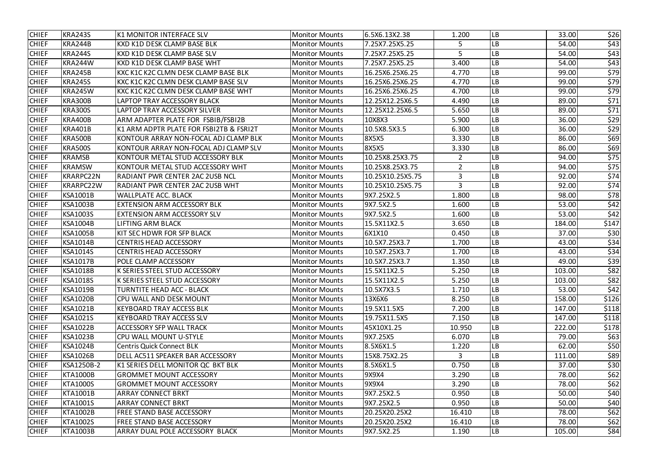| <b>KRA243S</b><br><b>LB</b><br>33.00<br><b>K1 MONITOR INTERFACE SLV</b><br>6.5X6.13X2.38<br>1.200<br><b>Monitor Mounts</b><br>LВ<br><b>KRA244B</b><br>54.00<br><b>KXD K1D DESK CLAMP BASE BLK</b><br>7.25X7.25X5.25<br><b>Monitor Mounts</b><br>5<br><b>KRA244S</b><br>KXD K1D DESK CLAMP BASE SLV<br>7.25X7.25X5.25<br>5<br>LВ<br>54.00<br><b>Monitor Mounts</b><br>LВ<br><b>KRA244W</b><br><b>KXD K1D DESK CLAMP BASE WHT</b><br>7.25X7.25X5.25<br>3.400<br>54.00<br><b>Monitor Mounts</b><br>LВ<br><b>KRA245B</b><br>KXC K1C K2C CLMN DESK CLAMP BASE BLK<br><b>Monitor Mounts</b><br>16.25X6.25X6.25<br>4.770<br>99.00<br>LB<br><b>KRA245S</b><br>KXC K1C K2C CLMN DESK CLAMP BASE SLV<br>16.25X6.25X6.25<br>99.00<br><b>Monitor Mounts</b><br>4.770<br>LB<br>99.00<br><b>KRA245W</b><br>KXC K1C K2C CLMN DESK CLAMP BASE WHT<br><b>Monitor Mounts</b><br>16.25X6.25X6.25<br>4.700<br>LB<br><b>KRA300B</b><br>12.25X12.25X6.5<br>89.00<br><b>LAPTOP TRAY ACCESSORY BLACK</b><br>4.490<br><b>Monitor Mounts</b><br>LВ<br><b>KRA300S</b><br><b>LAPTOP TRAY ACCESSORY SILVER</b><br>12.25X12.25X6.5<br>5.650<br>89.00<br><b>Monitor Mounts</b><br><b>KRA400B</b><br>ARM ADAPTER PLATE FOR FSBIB/FSBI2B<br>LВ<br><b>Monitor Mounts</b><br>10X8X3<br>5.900<br>36.00<br>LВ<br><b>KRA401B</b><br>K1 ARM ADPTR PLATE FOR FSBI2TB & FSRI2T<br>10.5X8.5X3.5<br>6.300<br>36.00<br><b>Monitor Mounts</b><br>LВ<br><b>KRA500B</b><br>KONTOUR ARRAY NON-FOCAL ADJ CLAMP BLK<br><b>8X5X5</b><br>86.00<br><b>Monitor Mounts</b><br>3.330<br>LB<br><b>KRA500S</b><br>KONTOUR ARRAY NON-FOCAL ADJ CLAMP SLV<br>86.00<br><b>Monitor Mounts</b><br><b>8X5X5</b><br>3.330<br>LВ<br><b>KRAMSB</b><br>10.25X8.25X3.75<br>94.00<br>KONTOUR METAL STUD ACCESSORY BLK<br>2<br><b>Monitor Mounts</b><br><b>KRAMSW</b><br>$\overline{2}$<br>LВ<br>KONTOUR METAL STUD ACCESSORY WHT<br>10.25X8.25X3.75<br>94.00<br><b>Monitor Mounts</b><br><b>KRARPC22N</b><br>3<br>LB<br>RADIANT PWR CENTER 2AC 2USB NCL<br>10.25X10.25X5.75<br>92.00<br><b>Monitor Mounts</b><br>LВ<br>KRARPC22W<br>3<br><b>RADIANT PWR CENTER 2AC 2USB WHT</b><br><b>Monitor Mounts</b><br>10.25X10.25X5.75<br>92.00<br>LВ<br><b>KSA1001B</b><br><b>WALLPLATE ACC. BLACK</b><br>9X7.25X2.5<br>1.800<br>98.00<br><b>Monitor Mounts</b><br>LB<br>53.00<br><b>KSA1003B</b><br><b>EXTENSION ARM ACCESSORY BLK</b><br>9X7.5X2.5<br>1.600<br><b>Monitor Mounts</b><br>LB<br><b>KSA1003S</b><br>9X7.5X2.5<br>53.00<br><b>EXTENSION ARM ACCESSORY SLV</b><br>1.600<br><b>Monitor Mounts</b><br>LВ<br><b>KSA1004B</b><br><b>LIFTING ARM BLACK</b><br>3.650<br>184.00<br>15.5X11X2.5<br><b>Monitor Mounts</b><br>LВ<br><b>KSA1005B</b><br>KIT SEC HDWR FOR SFP BLACK<br>6X1X10<br>37.00<br><b>Monitor Mounts</b><br>0.450<br>LВ<br><b>KSA1014B</b><br><b>CENTRIS HEAD ACCESSORY</b><br>10.5X7.25X3.7<br>1.700<br>43.00<br><b>Monitor Mounts</b><br>LВ<br><b>KSA1014S</b><br><b>CENTRIS HEAD ACCESSORY</b><br><b>Monitor Mounts</b><br>10.5X7.25X3.7<br>1.700<br>43.00<br>LB<br><b>KSA1017B</b><br>POLE CLAMP ACCESSORY<br>49.00<br>10.5X7.25X3.7<br>1.350<br><b>Monitor Mounts</b><br>LB<br><b>KSA1018B</b><br>103.00<br><b>K SERIES STEEL STUD ACCESSORY</b><br>15.5X11X2.5<br>5.250<br><b>Monitor Mounts</b><br><b>KSA1018S</b><br>LВ<br>103.00<br><b>K SERIES STEEL STUD ACCESSORY</b><br><b>Monitor Mounts</b><br>15.5X11X2.5<br>5.250<br><b>LB</b><br>53.00<br><b>KSA1019B</b><br>TURNTITE HEAD ACC - BLACK<br>1.710<br><b>Monitor Mounts</b><br>10.5X7X3.5 <br><b>LB</b><br><b>KSA1020B</b><br>158.00<br>CPU WALL AND DESK MOUNT<br><b>Monitor Mounts</b><br>13X6X6<br>8.250<br><b>LB</b><br><b>KSA1021B</b><br><b>KEYBOARD TRAY ACCESS BLK</b><br><b>Monitor Mounts</b><br>19.5X11.5X5<br>7.200<br>147.00<br>LB<br><b>KSA1021S</b><br>19.75X11.5X5<br>147.00<br><b>KEYBOARD TRAY ACCESS SLV</b><br><b>Monitor Mounts</b><br>7.150<br><b>LB</b><br>222.00<br><b>KSA1022B</b><br><b>ACCESSORY SFP WALL TRACK</b><br>10.950<br><b>Monitor Mounts</b><br>45X10X1.25<br><b>LB</b><br><b>KSA1023B</b><br>CPU WALL MOUNT U-STYLE<br>9X7.25X5<br>6.070<br>79.00<br><b>Monitor Mounts</b><br><b>LB</b><br><b>KSA1024B</b><br><b>Centris Quick Connect BLK</b><br>8.5X6X1.5<br>62.00<br><b>Monitor Mounts</b><br>1.220<br>LB<br><b>KSA1026B</b><br>DELL AC511 SPEAKER BAR ACCESSORY<br>15X8.75X2.25<br>111.00<br><b>Monitor Mounts</b><br>3<br>K1 SERIES DELL MONITOR QC BKT BLK<br><b>LB</b><br>KSA1250B-2<br>37.00<br><b>Monitor Mounts</b><br>8.5X6X1.5<br>0.750<br><b>LB</b><br><b>KTA1000B</b><br>78.00<br><b>GROMMET MOUNT ACCESSORY</b><br>9X9X4<br>3.290<br><b>Monitor Mounts</b><br>LB<br><b>KTA1000S</b><br><b>GROMMET MOUNT ACCESSORY</b><br>9X9X4<br>3.290<br>78.00<br><b>Monitor Mounts</b><br><b>LB</b><br><b>KTA1001B</b><br><b>ARRAY CONNECT BRKT</b><br>9X7.25X2.5<br>0.950<br>50.00<br><b>Monitor Mounts</b><br><b>LB</b><br><b>KTA1001S</b><br><b>ARRAY CONNECT BRKT</b><br>9X7.25X2.5<br>50.00<br><b>Monitor Mounts</b><br>0.950<br><b>LB</b><br><b>KTA1002B</b><br>FREE STAND BASE ACCESSORY<br><b>Monitor Mounts</b><br>20.25X20.25X2<br>78.00<br>16.410<br><b>LB</b><br><b>KTA1002S</b><br>78.00<br>FREE STAND BASE ACCESSORY<br><b>Monitor Mounts</b><br>20.25X20.25X2<br>16.410<br>LB<br><b>KTA1003B</b><br>ARRAY DUAL POLE ACCESSORY BLACK<br>105.00<br><b>Monitor Mounts</b><br>9X7.5X2.25<br>1.190 |              |  |  |  |                         |
|--------------------------------------------------------------------------------------------------------------------------------------------------------------------------------------------------------------------------------------------------------------------------------------------------------------------------------------------------------------------------------------------------------------------------------------------------------------------------------------------------------------------------------------------------------------------------------------------------------------------------------------------------------------------------------------------------------------------------------------------------------------------------------------------------------------------------------------------------------------------------------------------------------------------------------------------------------------------------------------------------------------------------------------------------------------------------------------------------------------------------------------------------------------------------------------------------------------------------------------------------------------------------------------------------------------------------------------------------------------------------------------------------------------------------------------------------------------------------------------------------------------------------------------------------------------------------------------------------------------------------------------------------------------------------------------------------------------------------------------------------------------------------------------------------------------------------------------------------------------------------------------------------------------------------------------------------------------------------------------------------------------------------------------------------------------------------------------------------------------------------------------------------------------------------------------------------------------------------------------------------------------------------------------------------------------------------------------------------------------------------------------------------------------------------------------------------------------------------------------------------------------------------------------------------------------------------------------------------------------------------------------------------------------------------------------------------------------------------------------------------------------------------------------------------------------------------------------------------------------------------------------------------------------------------------------------------------------------------------------------------------------------------------------------------------------------------------------------------------------------------------------------------------------------------------------------------------------------------------------------------------------------------------------------------------------------------------------------------------------------------------------------------------------------------------------------------------------------------------------------------------------------------------------------------------------------------------------------------------------------------------------------------------------------------------------------------------------------------------------------------------------------------------------------------------------------------------------------------------------------------------------------------------------------------------------------------------------------------------------------------------------------------------------------------------------------------------------------------------------------------------------------------------------------------------------------------------------------------------------------------------------------------------------------------------------------------------------------------------------------------------------------------------------------------------------------------------------------------------------------------------------------------------------------------------------------------------------------------------------------------------------------------------------------------------------------------------------------------------------------------------------------------------------------------------------------------------------------------------------------------------------------------------------------------------------------------------------------------------------------------------------------------------------------------------------------------------------------------------------------------------------------------------------------------------------------------------------------------------------------------------------------------------------------------------------------------------------------------------------|--------------|--|--|--|-------------------------|
|                                                                                                                                                                                                                                                                                                                                                                                                                                                                                                                                                                                                                                                                                                                                                                                                                                                                                                                                                                                                                                                                                                                                                                                                                                                                                                                                                                                                                                                                                                                                                                                                                                                                                                                                                                                                                                                                                                                                                                                                                                                                                                                                                                                                                                                                                                                                                                                                                                                                                                                                                                                                                                                                                                                                                                                                                                                                                                                                                                                                                                                                                                                                                                                                                                                                                                                                                                                                                                                                                                                                                                                                                                                                                                                                                                                                                                                                                                                                                                                                                                                                                                                                                                                                                                                                                                                                                                                                                                                                                                                                                                                                                                                                                                                                                                                                                                                                                                                                                                                                                                                                                                                                                                                                                                                                                                                                                              | <b>CHIEF</b> |  |  |  | \$26                    |
|                                                                                                                                                                                                                                                                                                                                                                                                                                                                                                                                                                                                                                                                                                                                                                                                                                                                                                                                                                                                                                                                                                                                                                                                                                                                                                                                                                                                                                                                                                                                                                                                                                                                                                                                                                                                                                                                                                                                                                                                                                                                                                                                                                                                                                                                                                                                                                                                                                                                                                                                                                                                                                                                                                                                                                                                                                                                                                                                                                                                                                                                                                                                                                                                                                                                                                                                                                                                                                                                                                                                                                                                                                                                                                                                                                                                                                                                                                                                                                                                                                                                                                                                                                                                                                                                                                                                                                                                                                                                                                                                                                                                                                                                                                                                                                                                                                                                                                                                                                                                                                                                                                                                                                                                                                                                                                                                                              | <b>CHIEF</b> |  |  |  | \$43                    |
|                                                                                                                                                                                                                                                                                                                                                                                                                                                                                                                                                                                                                                                                                                                                                                                                                                                                                                                                                                                                                                                                                                                                                                                                                                                                                                                                                                                                                                                                                                                                                                                                                                                                                                                                                                                                                                                                                                                                                                                                                                                                                                                                                                                                                                                                                                                                                                                                                                                                                                                                                                                                                                                                                                                                                                                                                                                                                                                                                                                                                                                                                                                                                                                                                                                                                                                                                                                                                                                                                                                                                                                                                                                                                                                                                                                                                                                                                                                                                                                                                                                                                                                                                                                                                                                                                                                                                                                                                                                                                                                                                                                                                                                                                                                                                                                                                                                                                                                                                                                                                                                                                                                                                                                                                                                                                                                                                              | <b>CHIEF</b> |  |  |  | \$43                    |
|                                                                                                                                                                                                                                                                                                                                                                                                                                                                                                                                                                                                                                                                                                                                                                                                                                                                                                                                                                                                                                                                                                                                                                                                                                                                                                                                                                                                                                                                                                                                                                                                                                                                                                                                                                                                                                                                                                                                                                                                                                                                                                                                                                                                                                                                                                                                                                                                                                                                                                                                                                                                                                                                                                                                                                                                                                                                                                                                                                                                                                                                                                                                                                                                                                                                                                                                                                                                                                                                                                                                                                                                                                                                                                                                                                                                                                                                                                                                                                                                                                                                                                                                                                                                                                                                                                                                                                                                                                                                                                                                                                                                                                                                                                                                                                                                                                                                                                                                                                                                                                                                                                                                                                                                                                                                                                                                                              | <b>CHIEF</b> |  |  |  | \$43                    |
|                                                                                                                                                                                                                                                                                                                                                                                                                                                                                                                                                                                                                                                                                                                                                                                                                                                                                                                                                                                                                                                                                                                                                                                                                                                                                                                                                                                                                                                                                                                                                                                                                                                                                                                                                                                                                                                                                                                                                                                                                                                                                                                                                                                                                                                                                                                                                                                                                                                                                                                                                                                                                                                                                                                                                                                                                                                                                                                                                                                                                                                                                                                                                                                                                                                                                                                                                                                                                                                                                                                                                                                                                                                                                                                                                                                                                                                                                                                                                                                                                                                                                                                                                                                                                                                                                                                                                                                                                                                                                                                                                                                                                                                                                                                                                                                                                                                                                                                                                                                                                                                                                                                                                                                                                                                                                                                                                              | <b>CHIEF</b> |  |  |  | \$79                    |
|                                                                                                                                                                                                                                                                                                                                                                                                                                                                                                                                                                                                                                                                                                                                                                                                                                                                                                                                                                                                                                                                                                                                                                                                                                                                                                                                                                                                                                                                                                                                                                                                                                                                                                                                                                                                                                                                                                                                                                                                                                                                                                                                                                                                                                                                                                                                                                                                                                                                                                                                                                                                                                                                                                                                                                                                                                                                                                                                                                                                                                                                                                                                                                                                                                                                                                                                                                                                                                                                                                                                                                                                                                                                                                                                                                                                                                                                                                                                                                                                                                                                                                                                                                                                                                                                                                                                                                                                                                                                                                                                                                                                                                                                                                                                                                                                                                                                                                                                                                                                                                                                                                                                                                                                                                                                                                                                                              | <b>CHIEF</b> |  |  |  | \$79                    |
|                                                                                                                                                                                                                                                                                                                                                                                                                                                                                                                                                                                                                                                                                                                                                                                                                                                                                                                                                                                                                                                                                                                                                                                                                                                                                                                                                                                                                                                                                                                                                                                                                                                                                                                                                                                                                                                                                                                                                                                                                                                                                                                                                                                                                                                                                                                                                                                                                                                                                                                                                                                                                                                                                                                                                                                                                                                                                                                                                                                                                                                                                                                                                                                                                                                                                                                                                                                                                                                                                                                                                                                                                                                                                                                                                                                                                                                                                                                                                                                                                                                                                                                                                                                                                                                                                                                                                                                                                                                                                                                                                                                                                                                                                                                                                                                                                                                                                                                                                                                                                                                                                                                                                                                                                                                                                                                                                              | <b>CHIEF</b> |  |  |  | \$79                    |
|                                                                                                                                                                                                                                                                                                                                                                                                                                                                                                                                                                                                                                                                                                                                                                                                                                                                                                                                                                                                                                                                                                                                                                                                                                                                                                                                                                                                                                                                                                                                                                                                                                                                                                                                                                                                                                                                                                                                                                                                                                                                                                                                                                                                                                                                                                                                                                                                                                                                                                                                                                                                                                                                                                                                                                                                                                                                                                                                                                                                                                                                                                                                                                                                                                                                                                                                                                                                                                                                                                                                                                                                                                                                                                                                                                                                                                                                                                                                                                                                                                                                                                                                                                                                                                                                                                                                                                                                                                                                                                                                                                                                                                                                                                                                                                                                                                                                                                                                                                                                                                                                                                                                                                                                                                                                                                                                                              | <b>CHIEF</b> |  |  |  | \$71                    |
|                                                                                                                                                                                                                                                                                                                                                                                                                                                                                                                                                                                                                                                                                                                                                                                                                                                                                                                                                                                                                                                                                                                                                                                                                                                                                                                                                                                                                                                                                                                                                                                                                                                                                                                                                                                                                                                                                                                                                                                                                                                                                                                                                                                                                                                                                                                                                                                                                                                                                                                                                                                                                                                                                                                                                                                                                                                                                                                                                                                                                                                                                                                                                                                                                                                                                                                                                                                                                                                                                                                                                                                                                                                                                                                                                                                                                                                                                                                                                                                                                                                                                                                                                                                                                                                                                                                                                                                                                                                                                                                                                                                                                                                                                                                                                                                                                                                                                                                                                                                                                                                                                                                                                                                                                                                                                                                                                              | <b>CHIEF</b> |  |  |  | $\overline{\text{571}}$ |
|                                                                                                                                                                                                                                                                                                                                                                                                                                                                                                                                                                                                                                                                                                                                                                                                                                                                                                                                                                                                                                                                                                                                                                                                                                                                                                                                                                                                                                                                                                                                                                                                                                                                                                                                                                                                                                                                                                                                                                                                                                                                                                                                                                                                                                                                                                                                                                                                                                                                                                                                                                                                                                                                                                                                                                                                                                                                                                                                                                                                                                                                                                                                                                                                                                                                                                                                                                                                                                                                                                                                                                                                                                                                                                                                                                                                                                                                                                                                                                                                                                                                                                                                                                                                                                                                                                                                                                                                                                                                                                                                                                                                                                                                                                                                                                                                                                                                                                                                                                                                                                                                                                                                                                                                                                                                                                                                                              | <b>CHIEF</b> |  |  |  | \$29                    |
|                                                                                                                                                                                                                                                                                                                                                                                                                                                                                                                                                                                                                                                                                                                                                                                                                                                                                                                                                                                                                                                                                                                                                                                                                                                                                                                                                                                                                                                                                                                                                                                                                                                                                                                                                                                                                                                                                                                                                                                                                                                                                                                                                                                                                                                                                                                                                                                                                                                                                                                                                                                                                                                                                                                                                                                                                                                                                                                                                                                                                                                                                                                                                                                                                                                                                                                                                                                                                                                                                                                                                                                                                                                                                                                                                                                                                                                                                                                                                                                                                                                                                                                                                                                                                                                                                                                                                                                                                                                                                                                                                                                                                                                                                                                                                                                                                                                                                                                                                                                                                                                                                                                                                                                                                                                                                                                                                              | <b>CHIEF</b> |  |  |  | \$29                    |
|                                                                                                                                                                                                                                                                                                                                                                                                                                                                                                                                                                                                                                                                                                                                                                                                                                                                                                                                                                                                                                                                                                                                                                                                                                                                                                                                                                                                                                                                                                                                                                                                                                                                                                                                                                                                                                                                                                                                                                                                                                                                                                                                                                                                                                                                                                                                                                                                                                                                                                                                                                                                                                                                                                                                                                                                                                                                                                                                                                                                                                                                                                                                                                                                                                                                                                                                                                                                                                                                                                                                                                                                                                                                                                                                                                                                                                                                                                                                                                                                                                                                                                                                                                                                                                                                                                                                                                                                                                                                                                                                                                                                                                                                                                                                                                                                                                                                                                                                                                                                                                                                                                                                                                                                                                                                                                                                                              | <b>CHIEF</b> |  |  |  | \$69                    |
|                                                                                                                                                                                                                                                                                                                                                                                                                                                                                                                                                                                                                                                                                                                                                                                                                                                                                                                                                                                                                                                                                                                                                                                                                                                                                                                                                                                                                                                                                                                                                                                                                                                                                                                                                                                                                                                                                                                                                                                                                                                                                                                                                                                                                                                                                                                                                                                                                                                                                                                                                                                                                                                                                                                                                                                                                                                                                                                                                                                                                                                                                                                                                                                                                                                                                                                                                                                                                                                                                                                                                                                                                                                                                                                                                                                                                                                                                                                                                                                                                                                                                                                                                                                                                                                                                                                                                                                                                                                                                                                                                                                                                                                                                                                                                                                                                                                                                                                                                                                                                                                                                                                                                                                                                                                                                                                                                              | <b>CHIEF</b> |  |  |  | \$69                    |
|                                                                                                                                                                                                                                                                                                                                                                                                                                                                                                                                                                                                                                                                                                                                                                                                                                                                                                                                                                                                                                                                                                                                                                                                                                                                                                                                                                                                                                                                                                                                                                                                                                                                                                                                                                                                                                                                                                                                                                                                                                                                                                                                                                                                                                                                                                                                                                                                                                                                                                                                                                                                                                                                                                                                                                                                                                                                                                                                                                                                                                                                                                                                                                                                                                                                                                                                                                                                                                                                                                                                                                                                                                                                                                                                                                                                                                                                                                                                                                                                                                                                                                                                                                                                                                                                                                                                                                                                                                                                                                                                                                                                                                                                                                                                                                                                                                                                                                                                                                                                                                                                                                                                                                                                                                                                                                                                                              | <b>CHIEF</b> |  |  |  | \$75                    |
|                                                                                                                                                                                                                                                                                                                                                                                                                                                                                                                                                                                                                                                                                                                                                                                                                                                                                                                                                                                                                                                                                                                                                                                                                                                                                                                                                                                                                                                                                                                                                                                                                                                                                                                                                                                                                                                                                                                                                                                                                                                                                                                                                                                                                                                                                                                                                                                                                                                                                                                                                                                                                                                                                                                                                                                                                                                                                                                                                                                                                                                                                                                                                                                                                                                                                                                                                                                                                                                                                                                                                                                                                                                                                                                                                                                                                                                                                                                                                                                                                                                                                                                                                                                                                                                                                                                                                                                                                                                                                                                                                                                                                                                                                                                                                                                                                                                                                                                                                                                                                                                                                                                                                                                                                                                                                                                                                              | <b>CHIEF</b> |  |  |  | \$75                    |
|                                                                                                                                                                                                                                                                                                                                                                                                                                                                                                                                                                                                                                                                                                                                                                                                                                                                                                                                                                                                                                                                                                                                                                                                                                                                                                                                                                                                                                                                                                                                                                                                                                                                                                                                                                                                                                                                                                                                                                                                                                                                                                                                                                                                                                                                                                                                                                                                                                                                                                                                                                                                                                                                                                                                                                                                                                                                                                                                                                                                                                                                                                                                                                                                                                                                                                                                                                                                                                                                                                                                                                                                                                                                                                                                                                                                                                                                                                                                                                                                                                                                                                                                                                                                                                                                                                                                                                                                                                                                                                                                                                                                                                                                                                                                                                                                                                                                                                                                                                                                                                                                                                                                                                                                                                                                                                                                                              | <b>CHIEF</b> |  |  |  | \$74                    |
|                                                                                                                                                                                                                                                                                                                                                                                                                                                                                                                                                                                                                                                                                                                                                                                                                                                                                                                                                                                                                                                                                                                                                                                                                                                                                                                                                                                                                                                                                                                                                                                                                                                                                                                                                                                                                                                                                                                                                                                                                                                                                                                                                                                                                                                                                                                                                                                                                                                                                                                                                                                                                                                                                                                                                                                                                                                                                                                                                                                                                                                                                                                                                                                                                                                                                                                                                                                                                                                                                                                                                                                                                                                                                                                                                                                                                                                                                                                                                                                                                                                                                                                                                                                                                                                                                                                                                                                                                                                                                                                                                                                                                                                                                                                                                                                                                                                                                                                                                                                                                                                                                                                                                                                                                                                                                                                                                              | <b>CHIEF</b> |  |  |  | \$74                    |
|                                                                                                                                                                                                                                                                                                                                                                                                                                                                                                                                                                                                                                                                                                                                                                                                                                                                                                                                                                                                                                                                                                                                                                                                                                                                                                                                                                                                                                                                                                                                                                                                                                                                                                                                                                                                                                                                                                                                                                                                                                                                                                                                                                                                                                                                                                                                                                                                                                                                                                                                                                                                                                                                                                                                                                                                                                                                                                                                                                                                                                                                                                                                                                                                                                                                                                                                                                                                                                                                                                                                                                                                                                                                                                                                                                                                                                                                                                                                                                                                                                                                                                                                                                                                                                                                                                                                                                                                                                                                                                                                                                                                                                                                                                                                                                                                                                                                                                                                                                                                                                                                                                                                                                                                                                                                                                                                                              | <b>CHIEF</b> |  |  |  | \$78                    |
|                                                                                                                                                                                                                                                                                                                                                                                                                                                                                                                                                                                                                                                                                                                                                                                                                                                                                                                                                                                                                                                                                                                                                                                                                                                                                                                                                                                                                                                                                                                                                                                                                                                                                                                                                                                                                                                                                                                                                                                                                                                                                                                                                                                                                                                                                                                                                                                                                                                                                                                                                                                                                                                                                                                                                                                                                                                                                                                                                                                                                                                                                                                                                                                                                                                                                                                                                                                                                                                                                                                                                                                                                                                                                                                                                                                                                                                                                                                                                                                                                                                                                                                                                                                                                                                                                                                                                                                                                                                                                                                                                                                                                                                                                                                                                                                                                                                                                                                                                                                                                                                                                                                                                                                                                                                                                                                                                              | <b>CHIEF</b> |  |  |  | \$42                    |
|                                                                                                                                                                                                                                                                                                                                                                                                                                                                                                                                                                                                                                                                                                                                                                                                                                                                                                                                                                                                                                                                                                                                                                                                                                                                                                                                                                                                                                                                                                                                                                                                                                                                                                                                                                                                                                                                                                                                                                                                                                                                                                                                                                                                                                                                                                                                                                                                                                                                                                                                                                                                                                                                                                                                                                                                                                                                                                                                                                                                                                                                                                                                                                                                                                                                                                                                                                                                                                                                                                                                                                                                                                                                                                                                                                                                                                                                                                                                                                                                                                                                                                                                                                                                                                                                                                                                                                                                                                                                                                                                                                                                                                                                                                                                                                                                                                                                                                                                                                                                                                                                                                                                                                                                                                                                                                                                                              | <b>CHIEF</b> |  |  |  | \$42                    |
|                                                                                                                                                                                                                                                                                                                                                                                                                                                                                                                                                                                                                                                                                                                                                                                                                                                                                                                                                                                                                                                                                                                                                                                                                                                                                                                                                                                                                                                                                                                                                                                                                                                                                                                                                                                                                                                                                                                                                                                                                                                                                                                                                                                                                                                                                                                                                                                                                                                                                                                                                                                                                                                                                                                                                                                                                                                                                                                                                                                                                                                                                                                                                                                                                                                                                                                                                                                                                                                                                                                                                                                                                                                                                                                                                                                                                                                                                                                                                                                                                                                                                                                                                                                                                                                                                                                                                                                                                                                                                                                                                                                                                                                                                                                                                                                                                                                                                                                                                                                                                                                                                                                                                                                                                                                                                                                                                              | <b>CHIEF</b> |  |  |  | \$147                   |
|                                                                                                                                                                                                                                                                                                                                                                                                                                                                                                                                                                                                                                                                                                                                                                                                                                                                                                                                                                                                                                                                                                                                                                                                                                                                                                                                                                                                                                                                                                                                                                                                                                                                                                                                                                                                                                                                                                                                                                                                                                                                                                                                                                                                                                                                                                                                                                                                                                                                                                                                                                                                                                                                                                                                                                                                                                                                                                                                                                                                                                                                                                                                                                                                                                                                                                                                                                                                                                                                                                                                                                                                                                                                                                                                                                                                                                                                                                                                                                                                                                                                                                                                                                                                                                                                                                                                                                                                                                                                                                                                                                                                                                                                                                                                                                                                                                                                                                                                                                                                                                                                                                                                                                                                                                                                                                                                                              | <b>CHIEF</b> |  |  |  | \$30                    |
|                                                                                                                                                                                                                                                                                                                                                                                                                                                                                                                                                                                                                                                                                                                                                                                                                                                                                                                                                                                                                                                                                                                                                                                                                                                                                                                                                                                                                                                                                                                                                                                                                                                                                                                                                                                                                                                                                                                                                                                                                                                                                                                                                                                                                                                                                                                                                                                                                                                                                                                                                                                                                                                                                                                                                                                                                                                                                                                                                                                                                                                                                                                                                                                                                                                                                                                                                                                                                                                                                                                                                                                                                                                                                                                                                                                                                                                                                                                                                                                                                                                                                                                                                                                                                                                                                                                                                                                                                                                                                                                                                                                                                                                                                                                                                                                                                                                                                                                                                                                                                                                                                                                                                                                                                                                                                                                                                              | <b>CHIEF</b> |  |  |  | \$34                    |
|                                                                                                                                                                                                                                                                                                                                                                                                                                                                                                                                                                                                                                                                                                                                                                                                                                                                                                                                                                                                                                                                                                                                                                                                                                                                                                                                                                                                                                                                                                                                                                                                                                                                                                                                                                                                                                                                                                                                                                                                                                                                                                                                                                                                                                                                                                                                                                                                                                                                                                                                                                                                                                                                                                                                                                                                                                                                                                                                                                                                                                                                                                                                                                                                                                                                                                                                                                                                                                                                                                                                                                                                                                                                                                                                                                                                                                                                                                                                                                                                                                                                                                                                                                                                                                                                                                                                                                                                                                                                                                                                                                                                                                                                                                                                                                                                                                                                                                                                                                                                                                                                                                                                                                                                                                                                                                                                                              | <b>CHIEF</b> |  |  |  | \$34                    |
|                                                                                                                                                                                                                                                                                                                                                                                                                                                                                                                                                                                                                                                                                                                                                                                                                                                                                                                                                                                                                                                                                                                                                                                                                                                                                                                                                                                                                                                                                                                                                                                                                                                                                                                                                                                                                                                                                                                                                                                                                                                                                                                                                                                                                                                                                                                                                                                                                                                                                                                                                                                                                                                                                                                                                                                                                                                                                                                                                                                                                                                                                                                                                                                                                                                                                                                                                                                                                                                                                                                                                                                                                                                                                                                                                                                                                                                                                                                                                                                                                                                                                                                                                                                                                                                                                                                                                                                                                                                                                                                                                                                                                                                                                                                                                                                                                                                                                                                                                                                                                                                                                                                                                                                                                                                                                                                                                              | <b>CHIEF</b> |  |  |  | \$39                    |
|                                                                                                                                                                                                                                                                                                                                                                                                                                                                                                                                                                                                                                                                                                                                                                                                                                                                                                                                                                                                                                                                                                                                                                                                                                                                                                                                                                                                                                                                                                                                                                                                                                                                                                                                                                                                                                                                                                                                                                                                                                                                                                                                                                                                                                                                                                                                                                                                                                                                                                                                                                                                                                                                                                                                                                                                                                                                                                                                                                                                                                                                                                                                                                                                                                                                                                                                                                                                                                                                                                                                                                                                                                                                                                                                                                                                                                                                                                                                                                                                                                                                                                                                                                                                                                                                                                                                                                                                                                                                                                                                                                                                                                                                                                                                                                                                                                                                                                                                                                                                                                                                                                                                                                                                                                                                                                                                                              | <b>CHIEF</b> |  |  |  | \$82                    |
|                                                                                                                                                                                                                                                                                                                                                                                                                                                                                                                                                                                                                                                                                                                                                                                                                                                                                                                                                                                                                                                                                                                                                                                                                                                                                                                                                                                                                                                                                                                                                                                                                                                                                                                                                                                                                                                                                                                                                                                                                                                                                                                                                                                                                                                                                                                                                                                                                                                                                                                                                                                                                                                                                                                                                                                                                                                                                                                                                                                                                                                                                                                                                                                                                                                                                                                                                                                                                                                                                                                                                                                                                                                                                                                                                                                                                                                                                                                                                                                                                                                                                                                                                                                                                                                                                                                                                                                                                                                                                                                                                                                                                                                                                                                                                                                                                                                                                                                                                                                                                                                                                                                                                                                                                                                                                                                                                              | <b>CHIEF</b> |  |  |  | \$82                    |
|                                                                                                                                                                                                                                                                                                                                                                                                                                                                                                                                                                                                                                                                                                                                                                                                                                                                                                                                                                                                                                                                                                                                                                                                                                                                                                                                                                                                                                                                                                                                                                                                                                                                                                                                                                                                                                                                                                                                                                                                                                                                                                                                                                                                                                                                                                                                                                                                                                                                                                                                                                                                                                                                                                                                                                                                                                                                                                                                                                                                                                                                                                                                                                                                                                                                                                                                                                                                                                                                                                                                                                                                                                                                                                                                                                                                                                                                                                                                                                                                                                                                                                                                                                                                                                                                                                                                                                                                                                                                                                                                                                                                                                                                                                                                                                                                                                                                                                                                                                                                                                                                                                                                                                                                                                                                                                                                                              | <b>CHIEF</b> |  |  |  | \$42                    |
|                                                                                                                                                                                                                                                                                                                                                                                                                                                                                                                                                                                                                                                                                                                                                                                                                                                                                                                                                                                                                                                                                                                                                                                                                                                                                                                                                                                                                                                                                                                                                                                                                                                                                                                                                                                                                                                                                                                                                                                                                                                                                                                                                                                                                                                                                                                                                                                                                                                                                                                                                                                                                                                                                                                                                                                                                                                                                                                                                                                                                                                                                                                                                                                                                                                                                                                                                                                                                                                                                                                                                                                                                                                                                                                                                                                                                                                                                                                                                                                                                                                                                                                                                                                                                                                                                                                                                                                                                                                                                                                                                                                                                                                                                                                                                                                                                                                                                                                                                                                                                                                                                                                                                                                                                                                                                                                                                              | <b>CHIEF</b> |  |  |  | \$126                   |
|                                                                                                                                                                                                                                                                                                                                                                                                                                                                                                                                                                                                                                                                                                                                                                                                                                                                                                                                                                                                                                                                                                                                                                                                                                                                                                                                                                                                                                                                                                                                                                                                                                                                                                                                                                                                                                                                                                                                                                                                                                                                                                                                                                                                                                                                                                                                                                                                                                                                                                                                                                                                                                                                                                                                                                                                                                                                                                                                                                                                                                                                                                                                                                                                                                                                                                                                                                                                                                                                                                                                                                                                                                                                                                                                                                                                                                                                                                                                                                                                                                                                                                                                                                                                                                                                                                                                                                                                                                                                                                                                                                                                                                                                                                                                                                                                                                                                                                                                                                                                                                                                                                                                                                                                                                                                                                                                                              | <b>CHIEF</b> |  |  |  | \$118                   |
|                                                                                                                                                                                                                                                                                                                                                                                                                                                                                                                                                                                                                                                                                                                                                                                                                                                                                                                                                                                                                                                                                                                                                                                                                                                                                                                                                                                                                                                                                                                                                                                                                                                                                                                                                                                                                                                                                                                                                                                                                                                                                                                                                                                                                                                                                                                                                                                                                                                                                                                                                                                                                                                                                                                                                                                                                                                                                                                                                                                                                                                                                                                                                                                                                                                                                                                                                                                                                                                                                                                                                                                                                                                                                                                                                                                                                                                                                                                                                                                                                                                                                                                                                                                                                                                                                                                                                                                                                                                                                                                                                                                                                                                                                                                                                                                                                                                                                                                                                                                                                                                                                                                                                                                                                                                                                                                                                              | <b>CHIEF</b> |  |  |  | \$118                   |
|                                                                                                                                                                                                                                                                                                                                                                                                                                                                                                                                                                                                                                                                                                                                                                                                                                                                                                                                                                                                                                                                                                                                                                                                                                                                                                                                                                                                                                                                                                                                                                                                                                                                                                                                                                                                                                                                                                                                                                                                                                                                                                                                                                                                                                                                                                                                                                                                                                                                                                                                                                                                                                                                                                                                                                                                                                                                                                                                                                                                                                                                                                                                                                                                                                                                                                                                                                                                                                                                                                                                                                                                                                                                                                                                                                                                                                                                                                                                                                                                                                                                                                                                                                                                                                                                                                                                                                                                                                                                                                                                                                                                                                                                                                                                                                                                                                                                                                                                                                                                                                                                                                                                                                                                                                                                                                                                                              | <b>CHIEF</b> |  |  |  | \$178                   |
|                                                                                                                                                                                                                                                                                                                                                                                                                                                                                                                                                                                                                                                                                                                                                                                                                                                                                                                                                                                                                                                                                                                                                                                                                                                                                                                                                                                                                                                                                                                                                                                                                                                                                                                                                                                                                                                                                                                                                                                                                                                                                                                                                                                                                                                                                                                                                                                                                                                                                                                                                                                                                                                                                                                                                                                                                                                                                                                                                                                                                                                                                                                                                                                                                                                                                                                                                                                                                                                                                                                                                                                                                                                                                                                                                                                                                                                                                                                                                                                                                                                                                                                                                                                                                                                                                                                                                                                                                                                                                                                                                                                                                                                                                                                                                                                                                                                                                                                                                                                                                                                                                                                                                                                                                                                                                                                                                              | <b>CHIEF</b> |  |  |  | \$63                    |
|                                                                                                                                                                                                                                                                                                                                                                                                                                                                                                                                                                                                                                                                                                                                                                                                                                                                                                                                                                                                                                                                                                                                                                                                                                                                                                                                                                                                                                                                                                                                                                                                                                                                                                                                                                                                                                                                                                                                                                                                                                                                                                                                                                                                                                                                                                                                                                                                                                                                                                                                                                                                                                                                                                                                                                                                                                                                                                                                                                                                                                                                                                                                                                                                                                                                                                                                                                                                                                                                                                                                                                                                                                                                                                                                                                                                                                                                                                                                                                                                                                                                                                                                                                                                                                                                                                                                                                                                                                                                                                                                                                                                                                                                                                                                                                                                                                                                                                                                                                                                                                                                                                                                                                                                                                                                                                                                                              | <b>CHIEF</b> |  |  |  | \$50                    |
|                                                                                                                                                                                                                                                                                                                                                                                                                                                                                                                                                                                                                                                                                                                                                                                                                                                                                                                                                                                                                                                                                                                                                                                                                                                                                                                                                                                                                                                                                                                                                                                                                                                                                                                                                                                                                                                                                                                                                                                                                                                                                                                                                                                                                                                                                                                                                                                                                                                                                                                                                                                                                                                                                                                                                                                                                                                                                                                                                                                                                                                                                                                                                                                                                                                                                                                                                                                                                                                                                                                                                                                                                                                                                                                                                                                                                                                                                                                                                                                                                                                                                                                                                                                                                                                                                                                                                                                                                                                                                                                                                                                                                                                                                                                                                                                                                                                                                                                                                                                                                                                                                                                                                                                                                                                                                                                                                              | <b>CHIEF</b> |  |  |  | \$89                    |
|                                                                                                                                                                                                                                                                                                                                                                                                                                                                                                                                                                                                                                                                                                                                                                                                                                                                                                                                                                                                                                                                                                                                                                                                                                                                                                                                                                                                                                                                                                                                                                                                                                                                                                                                                                                                                                                                                                                                                                                                                                                                                                                                                                                                                                                                                                                                                                                                                                                                                                                                                                                                                                                                                                                                                                                                                                                                                                                                                                                                                                                                                                                                                                                                                                                                                                                                                                                                                                                                                                                                                                                                                                                                                                                                                                                                                                                                                                                                                                                                                                                                                                                                                                                                                                                                                                                                                                                                                                                                                                                                                                                                                                                                                                                                                                                                                                                                                                                                                                                                                                                                                                                                                                                                                                                                                                                                                              | <b>CHIEF</b> |  |  |  | \$30                    |
|                                                                                                                                                                                                                                                                                                                                                                                                                                                                                                                                                                                                                                                                                                                                                                                                                                                                                                                                                                                                                                                                                                                                                                                                                                                                                                                                                                                                                                                                                                                                                                                                                                                                                                                                                                                                                                                                                                                                                                                                                                                                                                                                                                                                                                                                                                                                                                                                                                                                                                                                                                                                                                                                                                                                                                                                                                                                                                                                                                                                                                                                                                                                                                                                                                                                                                                                                                                                                                                                                                                                                                                                                                                                                                                                                                                                                                                                                                                                                                                                                                                                                                                                                                                                                                                                                                                                                                                                                                                                                                                                                                                                                                                                                                                                                                                                                                                                                                                                                                                                                                                                                                                                                                                                                                                                                                                                                              | <b>CHIEF</b> |  |  |  | \$62                    |
|                                                                                                                                                                                                                                                                                                                                                                                                                                                                                                                                                                                                                                                                                                                                                                                                                                                                                                                                                                                                                                                                                                                                                                                                                                                                                                                                                                                                                                                                                                                                                                                                                                                                                                                                                                                                                                                                                                                                                                                                                                                                                                                                                                                                                                                                                                                                                                                                                                                                                                                                                                                                                                                                                                                                                                                                                                                                                                                                                                                                                                                                                                                                                                                                                                                                                                                                                                                                                                                                                                                                                                                                                                                                                                                                                                                                                                                                                                                                                                                                                                                                                                                                                                                                                                                                                                                                                                                                                                                                                                                                                                                                                                                                                                                                                                                                                                                                                                                                                                                                                                                                                                                                                                                                                                                                                                                                                              | <b>CHIEF</b> |  |  |  | \$62                    |
|                                                                                                                                                                                                                                                                                                                                                                                                                                                                                                                                                                                                                                                                                                                                                                                                                                                                                                                                                                                                                                                                                                                                                                                                                                                                                                                                                                                                                                                                                                                                                                                                                                                                                                                                                                                                                                                                                                                                                                                                                                                                                                                                                                                                                                                                                                                                                                                                                                                                                                                                                                                                                                                                                                                                                                                                                                                                                                                                                                                                                                                                                                                                                                                                                                                                                                                                                                                                                                                                                                                                                                                                                                                                                                                                                                                                                                                                                                                                                                                                                                                                                                                                                                                                                                                                                                                                                                                                                                                                                                                                                                                                                                                                                                                                                                                                                                                                                                                                                                                                                                                                                                                                                                                                                                                                                                                                                              | <b>CHIEF</b> |  |  |  | \$40                    |
|                                                                                                                                                                                                                                                                                                                                                                                                                                                                                                                                                                                                                                                                                                                                                                                                                                                                                                                                                                                                                                                                                                                                                                                                                                                                                                                                                                                                                                                                                                                                                                                                                                                                                                                                                                                                                                                                                                                                                                                                                                                                                                                                                                                                                                                                                                                                                                                                                                                                                                                                                                                                                                                                                                                                                                                                                                                                                                                                                                                                                                                                                                                                                                                                                                                                                                                                                                                                                                                                                                                                                                                                                                                                                                                                                                                                                                                                                                                                                                                                                                                                                                                                                                                                                                                                                                                                                                                                                                                                                                                                                                                                                                                                                                                                                                                                                                                                                                                                                                                                                                                                                                                                                                                                                                                                                                                                                              | <b>CHIEF</b> |  |  |  | \$40                    |
|                                                                                                                                                                                                                                                                                                                                                                                                                                                                                                                                                                                                                                                                                                                                                                                                                                                                                                                                                                                                                                                                                                                                                                                                                                                                                                                                                                                                                                                                                                                                                                                                                                                                                                                                                                                                                                                                                                                                                                                                                                                                                                                                                                                                                                                                                                                                                                                                                                                                                                                                                                                                                                                                                                                                                                                                                                                                                                                                                                                                                                                                                                                                                                                                                                                                                                                                                                                                                                                                                                                                                                                                                                                                                                                                                                                                                                                                                                                                                                                                                                                                                                                                                                                                                                                                                                                                                                                                                                                                                                                                                                                                                                                                                                                                                                                                                                                                                                                                                                                                                                                                                                                                                                                                                                                                                                                                                              | <b>CHIEF</b> |  |  |  | \$62                    |
|                                                                                                                                                                                                                                                                                                                                                                                                                                                                                                                                                                                                                                                                                                                                                                                                                                                                                                                                                                                                                                                                                                                                                                                                                                                                                                                                                                                                                                                                                                                                                                                                                                                                                                                                                                                                                                                                                                                                                                                                                                                                                                                                                                                                                                                                                                                                                                                                                                                                                                                                                                                                                                                                                                                                                                                                                                                                                                                                                                                                                                                                                                                                                                                                                                                                                                                                                                                                                                                                                                                                                                                                                                                                                                                                                                                                                                                                                                                                                                                                                                                                                                                                                                                                                                                                                                                                                                                                                                                                                                                                                                                                                                                                                                                                                                                                                                                                                                                                                                                                                                                                                                                                                                                                                                                                                                                                                              | <b>CHIEF</b> |  |  |  | \$62                    |
|                                                                                                                                                                                                                                                                                                                                                                                                                                                                                                                                                                                                                                                                                                                                                                                                                                                                                                                                                                                                                                                                                                                                                                                                                                                                                                                                                                                                                                                                                                                                                                                                                                                                                                                                                                                                                                                                                                                                                                                                                                                                                                                                                                                                                                                                                                                                                                                                                                                                                                                                                                                                                                                                                                                                                                                                                                                                                                                                                                                                                                                                                                                                                                                                                                                                                                                                                                                                                                                                                                                                                                                                                                                                                                                                                                                                                                                                                                                                                                                                                                                                                                                                                                                                                                                                                                                                                                                                                                                                                                                                                                                                                                                                                                                                                                                                                                                                                                                                                                                                                                                                                                                                                                                                                                                                                                                                                              | <b>CHIEF</b> |  |  |  | \$84                    |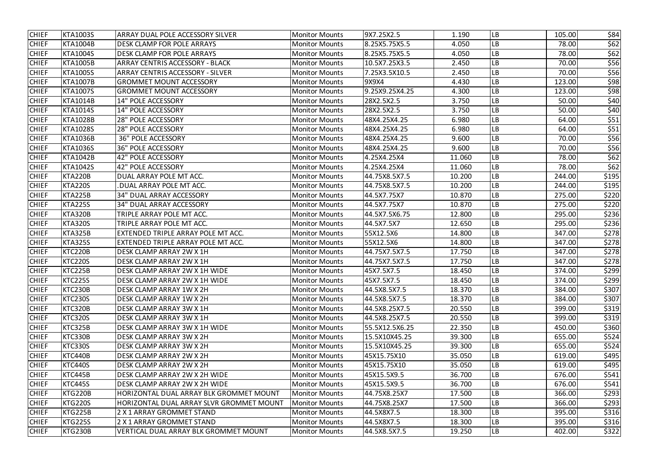| <b>CHIEF</b> | <b>KTA1003S</b> | ARRAY DUAL POLE ACCESSORY SILVER             | <b>Monitor Mounts</b> | 9X7.25X2.5     | 1.190  | LB         | 105.00 | \$84  |
|--------------|-----------------|----------------------------------------------|-----------------------|----------------|--------|------------|--------|-------|
|              |                 |                                              |                       |                |        |            |        |       |
| <b>CHIEF</b> | <b>KTA1004B</b> | <b>DESK CLAMP FOR POLE ARRAYS</b>            | <b>Monitor Mounts</b> | 8.25X5.75X5.5  | 4.050  | ${\sf LB}$ | 78.00  | \$62  |
| <b>CHIEF</b> | <b>KTA1004S</b> | <b>DESK CLAMP FOR POLE ARRAYS</b>            | <b>Monitor Mounts</b> | 8.25X5.75X5.5  | 4.050  | LB         | 78.00  | \$62  |
| <b>CHIEF</b> | <b>KTA1005B</b> | <b>ARRAY CENTRIS ACCESSORY - BLACK</b>       | <b>Monitor Mounts</b> | 10.5X7.25X3.5  | 2.450  | LB         | 70.00  | \$56  |
| <b>CHIEF</b> | <b>KTA1005S</b> | <b>ARRAY CENTRIS ACCESSORY - SILVER</b>      | <b>Monitor Mounts</b> | 7.25X3.5X10.5  | 2.450  | LB         | 70.00  | \$56  |
| <b>CHIEF</b> | <b>KTA1007B</b> | <b>GROMMET MOUNT ACCESSORY</b>               | <b>Monitor Mounts</b> | 9X9X4          | 4.430  | ${\sf LB}$ | 123.00 | \$98  |
| <b>CHIEF</b> | <b>KTA1007S</b> | <b>GROMMET MOUNT ACCESSORY</b>               | <b>Monitor Mounts</b> | 9.25X9.25X4.25 | 4.300  | ${\sf LB}$ | 123.00 | \$98  |
| <b>CHIEF</b> | <b>KTA1014B</b> | <b>14" POLE ACCESSORY</b>                    | <b>Monitor Mounts</b> | 28X2.5X2.5     | 3.750  | ${\sf LB}$ | 50.00  | \$40  |
| <b>CHIEF</b> | <b>KTA1014S</b> | <b>14" POLE ACCESSORY</b>                    | <b>Monitor Mounts</b> | 28X2.5X2.5     | 3.750  | LB         | 50.00  | \$40  |
| <b>CHIEF</b> | <b>KTA1028B</b> | <b>28" POLE ACCESSORY</b>                    | <b>Monitor Mounts</b> | 48X4.25X4.25   | 6.980  | LB         | 64.00  | \$51  |
| <b>CHIEF</b> | <b>KTA1028S</b> | <b>28" POLE ACCESSORY</b>                    | <b>Monitor Mounts</b> | 48X4.25X4.25   | 6.980  | LB         | 64.00  | \$51  |
| <b>CHIEF</b> | <b>KTA1036B</b> | <b>36" POLE ACCESSORY</b>                    | <b>Monitor Mounts</b> | 48X4.25X4.25   | 9.600  | LB         | 70.00  | \$56  |
| <b>CHIEF</b> | <b>KTA1036S</b> | <b>36" POLE ACCESSORY</b>                    | <b>Monitor Mounts</b> | 48X4.25X4.25   | 9.600  | ${\sf LB}$ | 70.00  | \$56  |
| <b>CHIEF</b> | <b>KTA1042B</b> | <b>42" POLE ACCESSORY</b>                    | <b>Monitor Mounts</b> | 4.25X4.25X4    | 11.060 | ${\sf LB}$ | 78.00  | \$62  |
| <b>CHIEF</b> | <b>KTA1042S</b> | 42" POLE ACCESSORY                           | <b>Monitor Mounts</b> | 4.25X4.25X4    | 11.060 | LB         | 78.00  | \$62  |
| <b>CHIEF</b> | <b>KTA220B</b>  | DUAL ARRAY POLE MT ACC.                      | <b>Monitor Mounts</b> | 44.75X8.5X7.5  | 10.200 | LB         | 244.00 | \$195 |
| <b>CHIEF</b> | <b>KTA220S</b>  | .DUAL ARRAY POLE MT ACC.                     | <b>Monitor Mounts</b> | 44.75X8.5X7.5  | 10.200 | LB         | 244.00 | \$195 |
| <b>CHIEF</b> | <b>KTA225B</b>  | <b>34" DUAL ARRAY ACCESSORY</b>              | <b>Monitor Mounts</b> | 44.5X7.75X7    | 10.870 | LB         | 275.00 | \$220 |
| <b>CHIEF</b> | <b>KTA225S</b>  | <b>34" DUAL ARRAY ACCESSORY</b>              | <b>Monitor Mounts</b> | 44.5X7.75X7    | 10.870 | LB         | 275.00 | \$220 |
| <b>CHIEF</b> | <b>KTA320B</b>  | TRIPLE ARRAY POLE MT ACC.                    | <b>Monitor Mounts</b> | 44.5X7.5X6.75  | 12.800 | ${\sf LB}$ | 295.00 | \$236 |
| <b>CHIEF</b> | <b>KTA320S</b>  | TRIPLE ARRAY POLE MT ACC.                    | <b>Monitor Mounts</b> | 44.5X7.5X7     | 12.650 | LB         | 295.00 | \$236 |
| <b>CHIEF</b> | <b>KTA325B</b>  | EXTENDED TRIPLE ARRAY POLE MT ACC.           | <b>Monitor Mounts</b> | 55X12.5X6      | 14.800 | <b>LB</b>  | 347.00 | \$278 |
| <b>CHIEF</b> | <b>KTA325S</b>  | EXTENDED TRIPLE ARRAY POLE MT ACC.           | <b>Monitor Mounts</b> | 55X12.5X6      | 14.800 | <b>LB</b>  | 347.00 | \$278 |
| <b>CHIEF</b> | KTC220B         | DESK CLAMP ARRAY 2W X 1H                     | <b>Monitor Mounts</b> | 44.75X7.5X7.5  | 17.750 | LB         | 347.00 | \$278 |
| <b>CHIEF</b> | KTC220S         | DESK CLAMP ARRAY 2W X 1H                     | <b>Monitor Mounts</b> | 44.75X7.5X7.5  | 17.750 | LB         | 347.00 | \$278 |
| <b>CHIEF</b> | KTC225B         | DESK CLAMP ARRAY 2W X 1H WIDE                | <b>Monitor Mounts</b> | 45X7.5X7.5     | 18.450 | LB         | 374.00 | \$299 |
| <b>CHIEF</b> | KTC225S         | DESK CLAMP ARRAY 2W X 1H WIDE                | <b>Monitor Mounts</b> | 45X7.5X7.5     | 18.450 | <b>LB</b>  | 374.00 | \$299 |
| <b>CHIEF</b> | KTC230B         | DESK CLAMP ARRAY 1W X 2H                     | <b>Monitor Mounts</b> | 44.5X8.5X7.5   | 18.370 | <b>LB</b>  | 384.00 | \$307 |
| <b>CHIEF</b> | KTC230S         | DESK CLAMP ARRAY 1W X 2H                     | <b>Monitor Mounts</b> | 44.5X8.5X7.5   | 18.370 | <b>LB</b>  | 384.00 | \$307 |
| <b>CHIEF</b> | KTC320B         | DESK CLAMP ARRAY 3W X 1H                     | <b>Monitor Mounts</b> | 44.5X8.25X7.5  | 20.550 | <b>LB</b>  | 399.00 | \$319 |
| <b>CHIEF</b> | KTC320S         | DESK CLAMP ARRAY 3W X 1H                     | <b>Monitor Mounts</b> | 44.5X8.25X7.5  | 20.550 | LB         | 399.00 | \$319 |
| <b>CHIEF</b> | KTC325B         | DESK CLAMP ARRAY 3W X 1H WIDE                | <b>Monitor Mounts</b> | 55.5X12.5X6.25 | 22.350 | <b>LB</b>  | 450.00 | \$360 |
| <b>CHIEF</b> | KTC330B         | DESK CLAMP ARRAY 3W X 2H                     | <b>Monitor Mounts</b> | 15.5X10X45.25  | 39.300 | LB         | 655.00 | \$524 |
| <b>CHIEF</b> | KTC330S         | DESK CLAMP ARRAY 3W X 2H                     | <b>Monitor Mounts</b> | 15.5X10X45.25  | 39.300 | <b>LB</b>  | 655.00 | \$524 |
| <b>CHIEF</b> | KTC440B         | DESK CLAMP ARRAY 2W X 2H                     | <b>Monitor Mounts</b> | 45X15.75X10    | 35.050 | <b>LB</b>  | 619.00 | \$495 |
| <b>CHIEF</b> | KTC440S         | DESK CLAMP ARRAY 2W X 2H                     | <b>Monitor Mounts</b> | 45X15.75X10    | 35.050 | <b>LB</b>  | 619.00 | \$495 |
| <b>CHIEF</b> | KTC445B         | DESK CLAMP ARRAY 2W X 2H WIDE                | <b>Monitor Mounts</b> | 45X15.5X9.5    | 36.700 | LB         | 676.00 | \$541 |
| <b>CHIEF</b> | KTC445S         | DESK CLAMP ARRAY 2W X 2H WIDE                | <b>Monitor Mounts</b> | 45X15.5X9.5    | 36.700 | <b>LB</b>  | 676.00 | \$541 |
| <b>CHIEF</b> | <b>KTG220B</b>  | HORIZONTAL DUAL ARRAY BLK GROMMET MOUNT      | <b>Monitor Mounts</b> | 44.75X8.25X7   | 17.500 | LB         | 366.00 | \$293 |
| <b>CHIEF</b> | <b>KTG220S</b>  | HORIZONTAL DUAL ARRAY SLVR GROMMET MOUNT     | <b>Monitor Mounts</b> | 44.75X8.25X7   | 17.500 | <b>LB</b>  | 366.00 | \$293 |
| <b>CHIEF</b> | <b>KTG225B</b>  | 2 X 1 ARRAY GROMMET STAND                    | <b>Monitor Mounts</b> | 44.5X8X7.5     | 18.300 | <b>LB</b>  | 395.00 | \$316 |
| <b>CHIEF</b> | <b>KTG225S</b>  | 2 X 1 ARRAY GROMMET STAND                    | <b>Monitor Mounts</b> | 44.5X8X7.5     | 18.300 | <b>LB</b>  | 395.00 | \$316 |
| <b>CHIEF</b> | KTG230B         | <b>VERTICAL DUAL ARRAY BLK GROMMET MOUNT</b> | <b>Monitor Mounts</b> | 44.5X8.5X7.5   | 19.250 | LB         | 402.00 | \$322 |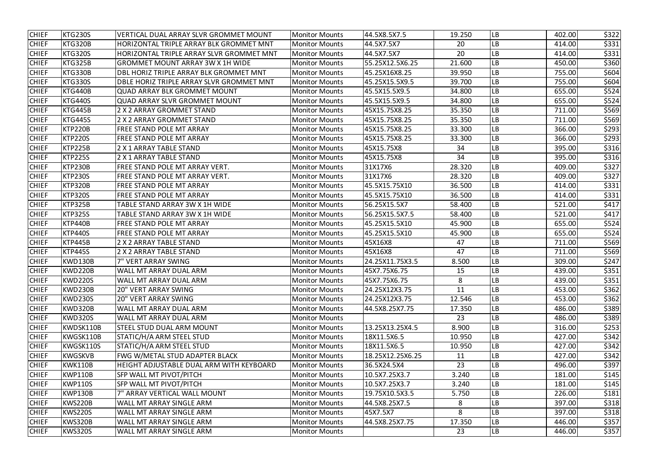| <b>CHIEF</b> | KTG230S        | <b>VERTICAL DUAL ARRAY SLVR GROMMET MOUNT</b>  | <b>Monitor Mounts</b> | 44.5X8.5X7.5     | 19.250 | LB         | 402.00 | \$322 |
|--------------|----------------|------------------------------------------------|-----------------------|------------------|--------|------------|--------|-------|
| <b>CHIEF</b> | <b>KTG320B</b> | <b>HORIZONTAL TRIPLE ARRAY BLK GROMMET MNT</b> | <b>Monitor Mounts</b> | 44.5X7.5X7       | 20     | ${\sf LB}$ | 414.00 | \$331 |
| <b>CHIEF</b> | KTG320S        | HORIZONTAL TRIPLE ARRAY SLVR GROMMET MNT       | Monitor Mounts        | 44.5X7.5X7       | 20     | <b>LB</b>  | 414.00 | \$331 |
| <b>CHIEF</b> | <b>KTG325B</b> | <b>GROMMET MOUNT ARRAY 3W X 1H WIDE</b>        | <b>Monitor Mounts</b> | 55.25X12.5X6.25  | 21.600 | LB         | 450.00 | \$360 |
| <b>CHIEF</b> | KTG330B        | DBL HORIZ TRIPLE ARRAY BLK GROMMET MNT         | <b>Monitor Mounts</b> | 45.25X16X8.25    | 39.950 | <b>LB</b>  | 755.00 | \$604 |
| <b>CHIEF</b> | KTG330S        | DBLE HORIZ TRIPLE ARRAY SLVR GROMMET MNT       | <b>Monitor Mounts</b> | 45.25X15.5X9.5   | 39.700 | LB         | 755.00 | \$604 |
| <b>CHIEF</b> | <b>KTG440B</b> | <b>QUAD ARRAY BLK GROMMET MOUNT</b>            | <b>Monitor Mounts</b> | 45.5X15.5X9.5    | 34.800 | ${\sf LB}$ | 655.00 | \$524 |
| <b>CHIEF</b> | <b>KTG440S</b> | <b>QUAD ARRAY SLVR GROMMET MOUNT</b>           | <b>Monitor Mounts</b> | 45.5X15.5X9.5    | 34.800 | LB         | 655.00 | \$524 |
| <b>CHIEF</b> | KTG445B        | 2 X 2 ARRAY GROMMET STAND                      | <b>Monitor Mounts</b> | 45X15.75X8.25    | 35.350 | LB         | 711.00 | \$569 |
| <b>CHIEF</b> | KTG445S        | 2 X 2 ARRAY GROMMET STAND                      | <b>Monitor Mounts</b> | 45X15.75X8.25    | 35.350 | LB         | 711.00 | \$569 |
| <b>CHIEF</b> | <b>KTP220B</b> | FREE STAND POLE MT ARRAY                       | <b>Monitor Mounts</b> | 45X15.75X8.25    | 33.300 | LB         | 366.00 | \$293 |
| <b>CHIEF</b> | <b>KTP220S</b> | FREE STAND POLE MT ARRAY                       | <b>Monitor Mounts</b> | 45X15.75X8.25    | 33.300 | LВ         | 366.00 | \$293 |
| <b>CHIEF</b> | <b>KTP225B</b> | 2 X 1 ARRAY TABLE STAND                        | <b>Monitor Mounts</b> | 45X15.75X8       | 34     | LВ         | 395.00 | \$316 |
| <b>CHIEF</b> | <b>KTP225S</b> | 2 X 1 ARRAY TABLE STAND                        | <b>Monitor Mounts</b> | 45X15.75X8       | 34     | ${\sf LB}$ | 395.00 | \$316 |
| <b>CHIEF</b> | <b>KTP230B</b> | <b>FREE STAND POLE MT ARRAY VERT.</b>          | <b>Monitor Mounts</b> | 31X17X6          | 28.320 | LB         | 409.00 | \$327 |
| <b>CHIEF</b> | <b>KTP230S</b> | FREE STAND POLE MT ARRAY VERT.                 | <b>Monitor Mounts</b> | 31X17X6          | 28.320 | LВ         | 409.00 | \$327 |
| <b>CHIEF</b> | <b>KTP320B</b> | FREE STAND POLE MT ARRAY                       | <b>Monitor Mounts</b> | 45.5X15.75X10    | 36.500 | LB         | 414.00 | \$331 |
| <b>CHIEF</b> | <b>KTP320S</b> | <b>FREE STAND POLE MT ARRAY</b>                | <b>Monitor Mounts</b> | 45.5X15.75X10    | 36.500 | <b>LB</b>  | 414.00 | \$331 |
| <b>CHIEF</b> | <b>KTP325B</b> | TABLE STAND ARRAY 3W X 1H WIDE                 | <b>Monitor Mounts</b> | 56.25X15.5X7     | 58.400 | LВ         | 521.00 | \$417 |
| <b>CHIEF</b> | <b>KTP325S</b> | TABLE STAND ARRAY 3W X 1H WIDE                 | <b>Monitor Mounts</b> | 56.25X15.5X7.5   | 58.400 | <b>LB</b>  | 521.00 | \$417 |
| <b>CHIEF</b> | <b>KTP440B</b> | <b>FREE STAND POLE MT ARRAY</b>                | <b>Monitor Mounts</b> | 45.25X15.5X10    | 45.900 | LB         | 655.00 | \$524 |
| <b>CHIEF</b> | <b>KTP440S</b> | FREE STAND POLE MT ARRAY                       | <b>Monitor Mounts</b> | 45.25X15.5X10    | 45.900 | LB         | 655.00 | \$524 |
| <b>CHIEF</b> | <b>KTP445B</b> | 2 X 2 ARRAY TABLE STAND                        | <b>Monitor Mounts</b> | 45X16X8          | 47     | LB         | 711.00 | \$569 |
| <b>CHIEF</b> | <b>KTP445S</b> | 2 X 2 ARRAY TABLE STAND                        | <b>Monitor Mounts</b> | 45X16X8          | 47     | LB         | 711.00 | \$569 |
| <b>CHIEF</b> | KWD130B        | 7" VERT ARRAY SWING                            | <b>Monitor Mounts</b> | 24.25X11.75X3.5  | 8.500  | LB         | 309.00 | \$247 |
| <b>CHIEF</b> | KWD220B        | WALL MT ARRAY DUAL ARM                         | <b>Monitor Mounts</b> | 45X7.75X6.75     | 15     | LB         | 439.00 | \$351 |
| <b>CHIEF</b> | KWD220S        | WALL MT ARRAY DUAL ARM                         | <b>Monitor Mounts</b> | 45X7.75X6.75     | 8      | <b>LB</b>  | 439.00 | \$351 |
| <b>CHIEF</b> | KWD230B        | <b>20" VERT ARRAY SWING</b>                    | <b>Monitor Mounts</b> | 24.25X12X3.75    | 11     | <b>LB</b>  | 453.00 | \$362 |
| <b>CHIEF</b> | KWD230S        | <b>20" VERT ARRAY SWING</b>                    | <b>Monitor Mounts</b> | 24.25X12X3.75    | 12.546 | <b>LB</b>  | 453.00 | \$362 |
| <b>CHIEF</b> | KWD320B        | WALL MT ARRAY DUAL ARM                         | <b>Monitor Mounts</b> | 44.5X8.25X7.75   | 17.350 | <b>LB</b>  | 486.00 | \$389 |
| <b>CHIEF</b> | KWD320S        | WALL MT ARRAY DUAL ARM                         | <b>Monitor Mounts</b> |                  | 23     | LB         | 486.00 | \$389 |
| <b>CHIEF</b> | KWDSK110B      | <b>STEEL STUD DUAL ARM MOUNT</b>               | <b>Monitor Mounts</b> | 13.25X13.25X4.5  | 8.900  | <b>LB</b>  | 316.00 | \$253 |
| <b>CHIEF</b> | KWGSK110B      | STATIC/H/A ARM STEEL STUD                      | <b>Monitor Mounts</b> | 18X11.5X6.5      | 10.950 | LB         | 427.00 | \$342 |
| <b>CHIEF</b> | KWGSK110S      | STATIC/H/A ARM STEEL STUD                      | <b>Monitor Mounts</b> | 18X11.5X6.5      | 10.950 | LB         | 427.00 | \$342 |
| <b>CHIEF</b> | <b>KWGSKVB</b> | <b>FWG W/METAL STUD ADAPTER BLACK</b>          | <b>Monitor Mounts</b> | 18.25X12.25X6.25 | 11     | <b>LB</b>  | 427.00 | \$342 |
| <b>CHIEF</b> | KWK110B        | HEIGHT ADJUSTABLE DUAL ARM WITH KEYBOARD       | <b>Monitor Mounts</b> | 36.5X24.5X4      | 23     | <b>LB</b>  | 496.00 | \$397 |
| <b>CHIEF</b> | KWP110B        | SFP WALL MT PIVOT/PITCH                        | <b>Monitor Mounts</b> | 10.5X7.25X3.7    | 3.240  | LB         | 181.00 | \$145 |
| <b>CHIEF</b> | KWP110S        | SFP WALL MT PIVOT/PITCH                        | <b>Monitor Mounts</b> | 10.5X7.25X3.7    | 3.240  | <b>LB</b>  | 181.00 | \$145 |
| <b>CHIEF</b> | KWP130B        | 7" ARRAY VERTICAL WALL MOUNT                   | <b>Monitor Mounts</b> | 19.75X10.5X3.5   | 5.750  | LB         | 226.00 | \$181 |
| <b>CHIEF</b> | KWS220B        | WALL MT ARRAY SINGLE ARM                       | <b>Monitor Mounts</b> | 44.5X8.25X7.5    | 8      | <b>LB</b>  | 397.00 | \$318 |
| <b>CHIEF</b> | KWS220S        | WALL MT ARRAY SINGLE ARM                       | <b>Monitor Mounts</b> | 45X7.5X7         | 8      | <b>LB</b>  | 397.00 | \$318 |
| <b>CHIEF</b> | KWS320B        | WALL MT ARRAY SINGLE ARM                       | <b>Monitor Mounts</b> | 44.5X8.25X7.75   | 17.350 | <b>LB</b>  | 446.00 | \$357 |
| <b>CHIEF</b> | KWS320S        | <b>WALL MT ARRAY SINGLE ARM</b>                | <b>Monitor Mounts</b> |                  | 23     | LB         | 446.00 | \$357 |
|              |                |                                                |                       |                  |        |            |        |       |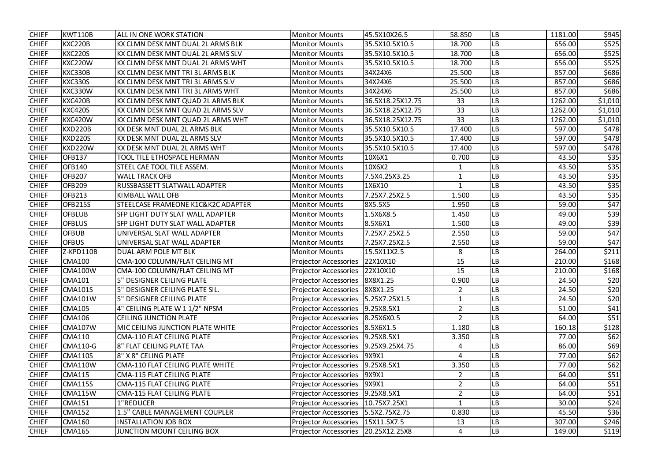| <b>CHIEF</b> | <b>KWT110B</b>  | <b>ALL IN ONE WORK STATION</b>          | <b>Monitor Mounts</b>                 | 45.5X10X26.5     | 58.850         | LB         | 1181.00 | \$945   |
|--------------|-----------------|-----------------------------------------|---------------------------------------|------------------|----------------|------------|---------|---------|
| <b>CHIEF</b> | <b>KXC220B</b>  | KX CLMN DESK MNT DUAL 2L ARMS BLK       | <b>Monitor Mounts</b>                 | 35.5X10.5X10.5   | 18.700         | LB         | 656.00  | \$525   |
| <b>CHIEF</b> | <b>KXC220S</b>  | KX CLMN DESK MNT DUAL 2L ARMS SLV       | <b>Monitor Mounts</b>                 | 35.5X10.5X10.5   | 18.700         | LB         | 656.00  | \$525   |
| <b>CHIEF</b> | KXC220W         | KX CLMN DESK MNT DUAL 2L ARMS WHT       | <b>Monitor Mounts</b>                 | 35.5X10.5X10.5   | 18.700         | LB         | 656.00  | \$525   |
| <b>CHIEF</b> | KXC330B         | KX CLMN DESK MNT TRI 3L ARMS BLK        | <b>Monitor Mounts</b>                 | 34X24X6          | 25.500         | LB         | 857.00  | \$686   |
| <b>CHIEF</b> | <b>KXC330S</b>  | KX CLMN DESK MNT TRI 3L ARMS SLV        | <b>Monitor Mounts</b>                 | 34X24X6          | 25.500         | ${\sf LB}$ | 857.00  | \$686   |
| <b>CHIEF</b> | KXC330W         | KX CLMN DESK MNT TRI 3L ARMS WHT        | <b>Monitor Mounts</b>                 | 34X24X6          | 25.500         | ${\sf LB}$ | 857.00  | \$686   |
| <b>CHIEF</b> | KXC420B         | KX CLMN DESK MNT QUAD 2L ARMS BLK       | <b>Monitor Mounts</b>                 | 36.5X18.25X12.75 | 33             | LB         | 1262.00 | \$1,010 |
| <b>CHIEF</b> | <b>KXC420S</b>  | KX CLMN DESK MNT QUAD 2L ARMS SLV       | <b>Monitor Mounts</b>                 | 36.5X18.25X12.75 | 33             | LB         | 1262.00 | \$1,010 |
| <b>CHIEF</b> | KXC420W         | KX CLMN DESK MNT QUAD 2L ARMS WHT       | <b>Monitor Mounts</b>                 | 36.5X18.25X12.75 | 33             | LB         | 1262.00 | \$1,010 |
| <b>CHIEF</b> | <b>KXD220B</b>  | KX DESK MNT DUAL 2L ARMS BLK            | <b>Monitor Mounts</b>                 | 35.5X10.5X10.5   | 17.400         | LB         | 597.00  | \$478   |
| <b>CHIEF</b> | <b>KXD220S</b>  | KX DESK MNT DUAL 2L ARMS SLV            | <b>Monitor Mounts</b>                 | 35.5X10.5X10.5   | 17.400         | LB         | 597.00  | \$478   |
| <b>CHIEF</b> | KXD220W         | KX DESK MNT DUAL 2L ARMS WHT            | <b>Monitor Mounts</b>                 | 35.5X10.5X10.5   | 17.400         | LB         | 597.00  | \$478   |
| <b>CHIEF</b> | <b>OFB137</b>   | TOOL TILE ETHOSPACE HERMAN              | <b>Monitor Mounts</b>                 | 10X6X1           | 0.700          | LB         | 43.50   | \$35    |
| <b>CHIEF</b> | <b>OFB140</b>   | STEEL CAE TOOL TILE ASSEM.              | <b>Monitor Mounts</b>                 | 10X6X2           | 1              | LB         | 43.50   | \$35    |
| <b>CHIEF</b> | <b>OFB207</b>   | <b>WALL TRACK OFB</b>                   | <b>Monitor Mounts</b>                 | 7.5X4.25X3.25    | $\mathbf 1$    | LВ         | 43.50   | \$35    |
| <b>CHIEF</b> | <b>OFB209</b>   | RUSSBASSETT SLATWALL ADAPTER            | <b>Monitor Mounts</b>                 | 1X6X10           |                | LВ         | 43.50   | \$35    |
| <b>CHIEF</b> | <b>OFB213</b>   | <b>KIMBALL WALL OFB</b>                 | <b>Monitor Mounts</b>                 | 7.25X7.25X2.5    | 1.500          | ${\sf LB}$ | 43.50   | \$35    |
| <b>CHIEF</b> | <b>OFB215S</b>  | STEELCASE FRAMEONE K1C&K2C ADAPTER      | <b>Monitor Mounts</b>                 | 8X5.5X5          | 1.950          | LB         | 59.00   | \$47    |
| <b>CHIEF</b> | <b>OFBLUB</b>   | SFP LIGHT DUTY SLAT WALL ADAPTER        | <b>Monitor Mounts</b>                 | 1.5X6X8.5        | 1.450          | LB         | 49.00   | \$39    |
| <b>CHIEF</b> | <b>OFBLUS</b>   | SFP LIGHT DUTY SLAT WALL ADAPTER        | <b>Monitor Mounts</b>                 | 8.5X6X1          | 1.500          | LB         | 49.00   | \$39    |
| <b>CHIEF</b> | <b>OFBUB</b>    | UNIVERSAL SLAT WALL ADAPTER             | <b>Monitor Mounts</b>                 | 7.25X7.25X2.5    | 2.550          | <b>LB</b>  | 59.00   | \$47    |
| <b>CHIEF</b> | <b>OFBUS</b>    | UNIVERSAL SLAT WALL ADAPTER             | <b>Monitor Mounts</b>                 | 7.25X7.25X2.5    | 2.550          | LB         | 59.00   | \$47    |
| <b>CHIEF</b> | Z-KPD110B       | DUAL ARM POLE MT BLK                    | <b>Monitor Mounts</b>                 | 15.5X11X2.5      | 8              | LB         | 264.00  | \$211   |
| <b>CHIEF</b> | <b>CMA100</b>   | CMA-100 COLUMN/FLAT CEILING MT          | <b>Projector Accessories</b>          | 22X10X10         | 15             | ${\sf LB}$ | 210.00  | \$168   |
| <b>CHIEF</b> | CMA100W         | CMA-100 COLUMN/FLAT CEILING MT          | <b>Projector Accessories</b>          | 22X10X10         | 15             | LB         | 210.00  | \$168   |
| <b>CHIEF</b> | <b>CMA101</b>   | 5" DESIGNER CEILING PLATE               | Projector Accessories   8X8X1.25      |                  | 0.900          | <b>LB</b>  | 24.50   | \$20    |
| <b>CHIEF</b> | <b>CMA101S</b>  | 5" DESIGNER CEILING PLATE SIL.          | Projector Accessories   8X8X1.25      |                  |                | <b>LB</b>  | 24.50   | \$20    |
| <b>CHIEF</b> | <b>CMA101W</b>  | 5" DESIGNER CEILING PLATE               | Projector Accessories   5.25X7.25X1.5 |                  |                | LB         | 24.50   | \$20    |
| <b>CHIEF</b> | <b>CMA105</b>   | 4" CEILING PLATE W 1 1/2" NPSM          | Projector Accessories   9.25X8.5X1    |                  | $\overline{2}$ | <b>LB</b>  | 51.00   | \$41    |
| <b>CHIEF</b> | <b>CMA106</b>   | <b>CEILING JUNCTION PLATE</b>           | <b>Projector Accessories</b>          | 8.25X6X0.5       | $\overline{2}$ | <b>LB</b>  | 64.00   | \$51    |
| <b>CHIEF</b> | <b>CMA107W</b>  | MIC CEILING JUNCTION PLATE WHITE        | Projector Accessories   8.5X6X1.5     |                  | 1.180          | LB         | 160.18  | \$128   |
| <b>CHIEF</b> | <b>CMA110</b>   | <b>CMA-110 FLAT CEILING PLATE</b>       | Projector Accessories   9.25X8.5X1    |                  | 3.350          | LB         | 77.00   | \$62    |
| <b>CHIEF</b> | <b>CMA110-G</b> | 8" FLAT CEILING PLATE TAA               | <b>Projector Accessories</b>          | 9.25X9.25X4.75   | 4              | <b>LB</b>  | 86.00   | \$69    |
| <b>CHIEF</b> | <b>CMA110S</b>  | 8" X 8" CELING PLATE                    | Projector Accessories   9X9X1         |                  | 4              | <b>LB</b>  | 77.00   | \$62    |
| <b>CHIEF</b> | CMA110W         | <b>CMA-110 FLAT CEILING PLATE WHITE</b> | <b>Projector Accessories</b>          | 9.25X8.5X1       | 3.350          | LB         | 77.00   | \$62    |
| <b>CHIEF</b> | <b>CMA115</b>   | <b>CMA-115 FLAT CEILING PLATE</b>       | <b>Projector Accessories</b>          | 9X9X1            | $\overline{2}$ | <b>LB</b>  | 64.00   | \$51    |
| <b>CHIEF</b> | <b>CMA115S</b>  | <b>CMA-115 FLAT CEILING PLATE</b>       | <b>Projector Accessories</b>          | 9X9X1            | $\overline{2}$ | <b>LB</b>  | 64.00   | \$51    |
| <b>CHIEF</b> | CMA115W         | CMA-115 FLAT CEILING PLATE              | Projector Accessories   9.25X8.5X1    |                  | $\overline{2}$ | LB         | 64.00   | \$51    |
| <b>CHIEF</b> | <b>CMA151</b>   | 1"REDUCER                               | Projector Accessories   10.75X7.25X1  |                  | 1              | <b>LB</b>  | 30.00   | \$24    |
| <b>CHIEF</b> | <b>CMA152</b>   | <b>L.5" CABLE MANAGEMENT COUPLER</b>    | <b>Projector Accessories</b>          | 5.5X2.75X2.75    | 0.830          | LB         | 45.50   | \$36    |
| <b>CHIEF</b> | <b>CMA160</b>   | <b>INSTALLATION JOB BOX</b>             | Projector Accessories   15X11.5X7.5   |                  | 13             | LB         | 307.00  | \$246   |
| <b>CHIEF</b> | <b>CMA165</b>   | <b>JUNCTION MOUNT CEILING BOX</b>       | Projector Accessories   20.25X12.25X8 |                  | 4              | LB         | 149.00  | \$119   |
|              |                 |                                         |                                       |                  |                |            |         |         |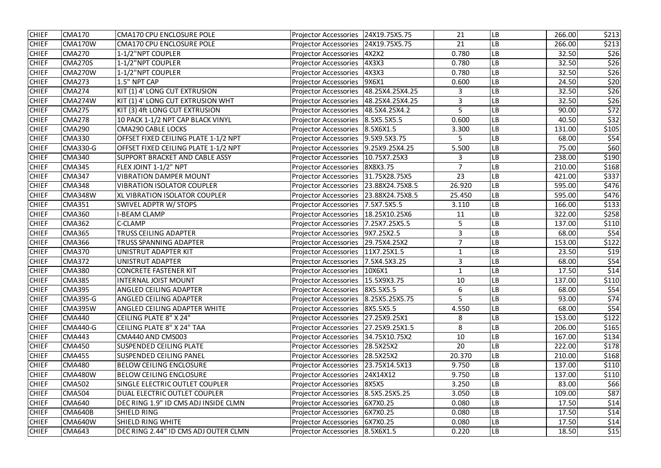| <b>CHIEF</b> | <b>CMA170</b>   | <b>CMA170 CPU ENCLOSURE POLE</b>     | <b>Projector Accessories</b>            | 24X19.75X5.75   | 21             | LB                     | 266.00 | \$213            |
|--------------|-----------------|--------------------------------------|-----------------------------------------|-----------------|----------------|------------------------|--------|------------------|
| <b>CHIEF</b> | CMA170W         | <b>CMA170 CPU ENCLOSURE POLE</b>     | <b>Projector Accessories</b>            | 24X19.75X5.75   | 21             | LB                     | 266.00 | \$213            |
| <b>CHIEF</b> | <b>CMA270</b>   | 1-1/2"NPT COUPLER                    | <b>Projector Accessories</b>            | 4X2X2           | 0.780          | LB                     | 32.50  | \$26             |
| <b>CHIEF</b> | <b>CMA270S</b>  | 1-1/2"NPT COUPLER                    | <b>Projector Accessories</b>            | 4X3X3           | 0.780          | LB                     | 32.50  | \$26             |
| <b>CHIEF</b> | CMA270W         | 1-1/2"NPT COUPLER                    | <b>Projector Accessories</b>            | 4X3X3           | 0.780          | LB                     | 32.50  | \$26             |
| <b>CHIEF</b> | <b>CMA273</b>   | 1.5" NPT CAP                         | <b>Projector Accessories</b>            | 9X6X1           | 0.600          | LB                     | 24.50  | \$20             |
| <b>CHIEF</b> | <b>CMA274</b>   | KIT (1) 4' LONG CUT EXTRUSION        | <b>Projector Accessories</b>            | 48.25X4.25X4.25 | 3              | LB                     | 32.50  | \$26             |
| <b>CHIEF</b> | CMA274W         | KIT (1) 4' LONG CUT EXTRUSION WHT    | <b>Projector Accessories</b>            | 48.25X4.25X4.25 | 3              | LB                     | 32.50  | \$26             |
| <b>CHIEF</b> | <b>CMA275</b>   | KIT (3) 4ft LONG CUT EXTRUSION       | Projector Accessories   48.5X4.25X4.2   |                 | 5              | LВ                     | 90.00  | $\overline{$}72$ |
| <b>CHIEF</b> | <b>CMA278</b>   | 10 PACK 1-1/2 NPT CAP BLACK VINYL    | Projector Accessories   8.5X5.5X5.5     |                 | 0.600          | <b>LB</b>              | 40.50  | \$32             |
| <b>CHIEF</b> | <b>CMA290</b>   | <b>CMA290 CABLE LOCKS</b>            | <b>Projector Accessories</b>            | $8.5X6X1.5$     | 3.300          | LB                     | 131.00 | \$105            |
| <b>CHIEF</b> | <b>CMA330</b>   | OFFSET FIXED CEILING PLATE 1-1/2 NPT | Projector Accessories   9.5X9.5X3.75    |                 | 5              | LB                     | 68.00  | \$54             |
| <b>CHIEF</b> | <b>CMA330-G</b> | OFFSET FIXED CEILING PLATE 1-1/2 NPT | <b>Projector Accessories</b>            | 9.25X9.25X4.25  | 5.500          | ${\sf LB}$             | 75.00  | \$60             |
| <b>CHIEF</b> | <b>CMA340</b>   | SUPPORT BRACKET AND CABLE ASSY       | Projector Accessories   10.75X7.25X3    |                 | 3              | LB                     | 238.00 | \$190            |
| <b>CHIEF</b> | <b>CMA345</b>   | FLEX JOINT 1-1/2" NPT                | <b>Projector Accessories</b>            | 8X8X3.75        | $\overline{7}$ | LB                     | 210.00 | \$168            |
| <b>CHIEF</b> | <b>CMA347</b>   | <b>VIBRATION DAMPER MOUNT</b>        | Projector Accessories   31.75X28.75X5   |                 | 23             | LB                     | 421.00 | \$337            |
| <b>CHIEF</b> | <b>CMA348</b>   | <b>VIBRATION ISOLATOR COUPLER</b>    | Projector Accessories   23.88X24.75X8.5 |                 | 26.920         | LB                     | 595.00 | \$476            |
| <b>CHIEF</b> | <b>CMA348W</b>  | <b>XL VIBRATION ISOLATOR COUPLER</b> | <b>Projector Accessories</b>            | 23.88X24.75X8.5 | 25.450         | ${\sf LB}$             | 595.00 | \$476            |
| <b>CHIEF</b> | <b>CMA351</b>   | SWIVEL ADPTR W/ STOPS                | <b>Projector Accessories</b>            | 7.5X7.5X5.5     | 3.110          | ${\sf LB}$             | 166.00 | \$133            |
| <b>CHIEF</b> | <b>CMA360</b>   | <b>I-BEAM CLAMP</b>                  | <b>Projector Accessories</b>            | 18.25X10.25X6   | 11             | LB                     | 322.00 | \$258            |
| <b>CHIEF</b> | <b>CMA362</b>   | <b>C-CLAMP</b>                       | <b>Projector Accessories</b>            | 7.25X7.25X5.5   | 5              | LВ                     | 137.00 | \$110            |
| <b>CHIEF</b> | <b>CMA365</b>   | <b>TRUSS CEILING ADAPTER</b>         | <b>Projector Accessories</b>            | 9X7.25X2.5      | 3              | LB                     | 68.00  | \$54             |
| <b>CHIEF</b> | <b>CMA366</b>   | TRUSS SPANNING ADAPTER               | <b>Projector Accessories</b>            | 29.75X4.25X2    | $\overline{7}$ | LB                     | 153.00 | \$122            |
| <b>CHIEF</b> | <b>CMA370</b>   | UNISTRUT ADAPTER KIT                 | <b>Projector Accessories</b>            | 11X7.25X1.5     |                | LB                     | 23.50  | \$19             |
| <b>CHIEF</b> | <b>CMA372</b>   | <b>UNISTRUT ADAPTER</b>              | <b>Projector Accessories</b>            | 7.5X4.5X3.25    | $\overline{3}$ | LB                     | 68.00  | \$54             |
| <b>CHIEF</b> | <b>CMA380</b>   | <b>CONCRETE FASTENER KIT</b>         | <b>Projector Accessories</b>            | 10X6X1          | $\mathbf{1}$   | LB                     | 17.50  | $\overline{$}14$ |
| <b>CHIEF</b> | <b>CMA385</b>   | <b>INTERNAL JOIST MOUNT</b>          | Projector Accessories   15.5X9X3.75     |                 | 10             | <b>LB</b>              | 137.00 | \$110            |
| <b>CHIEF</b> | <b>CMA395</b>   | ANGLED CEILING ADAPTER               | Projector Accessories   8X5.5X5.5       |                 | 6              | <b>LB</b>              | 68.00  | \$54             |
| <b>CHIEF</b> | <b>CMA395-G</b> | ANGLED CEILING ADAPTER               | Projector Accessories   8.25X5.25X5.75  |                 | 5              | <b>LB</b>              | 93.00  | \$74             |
| <b>CHIEF</b> | CMA395W         | ANGLED CEILING ADAPTER WHITE         | Projector Accessories   8X5.5X5.5       |                 | 4.550          | <b>LB</b>              | 68.00  | \$54             |
| <b>CHIEF</b> | <b>CMA440</b>   | <b>CEILING PLATE 8" X 24"</b>        | <b>Projector Accessories</b>            | 27.25X9.25X1    | 8              | LB                     | 153.00 | \$122            |
| <b>CHIEF</b> | <b>CMA440-G</b> | CEILING PLATE 8" X 24" TAA           | Projector Accessories   27.25X9.25X1.5  |                 | 8              | <b>LB</b>              | 206.00 | \$165            |
| <b>CHIEF</b> | <b>CMA443</b>   | CMA440 AND CMS003                    | Projector Accessories   34.75X10.75X2   |                 | 10             | <b>LB</b>              | 167.00 | \$134            |
| <b>CHIEF</b> | <b>CMA450</b>   | SUSPENDED CEILING PLATE              | Projector Accessories   28.5X25X2       |                 | 20             | LB                     | 222.00 | \$178            |
| <b>CHIEF</b> | <b>CMA455</b>   | SUSPENDED CEILING PANEL              | <b>Projector Accessories</b>            | $ 28.5X25X2$    | 20.370         | <b>LB</b>              | 210.00 | \$168            |
| <b>CHIEF</b> | <b>CMA480</b>   | <b>BELOW CEILING ENCLOSURE</b>       | <b>Projector Accessories</b>            | 23.75X14.5X13   | 9.750          | LB                     | 137.00 | \$110            |
| <b>CHIEF</b> | CMA480W         | <b>BELOW CEILING ENCLOSURE</b>       | Projector Accessories   24X14X12        |                 | 9.750          | LB                     | 137.00 | \$110            |
| <b>CHIEF</b> | <b>CMA502</b>   | SINGLE ELECTRIC OUTLET COUPLER       | Projector Accessories   8X5X5           |                 | 3.250          | $\mathsf{L}\mathsf{B}$ | 83.00  | \$66             |
| <b>CHIEF</b> | <b>CMA504</b>   | DUAL ELECTRIC OUTLET COUPLER         | Projector Accessories   8.5X5.25X5.25   |                 | 3.050          | LB                     | 109.00 | \$87             |
| <b>CHIEF</b> | <b>CMA640</b>   | DEC RING 1.9" ID CMS ADJ INSIDE CLMN | <b>Projector Accessories</b>            | 6X7X0.25        | 0.080          | LB                     | 17.50  | \$14             |
| <b>CHIEF</b> | CMA640B         | SHIELD RING                          | <b>Projector Accessories</b>            | 6X7X0.25        | 0.080          | LB                     | 17.50  | \$14             |
| <b>CHIEF</b> | CMA640W         | SHIELD RING WHITE                    | Projector Accessories   6X7X0.25        |                 | 0.080          | LB                     | 17.50  | \$14             |
| <b>CHIEF</b> | <b>CMA643</b>   | DEC RING 2.44" ID CMS ADJ OUTER CLMN | Projector Accessories   8.5X6X1.5       |                 | 0.220          | <b>LB</b>              | 18.50  | \$15             |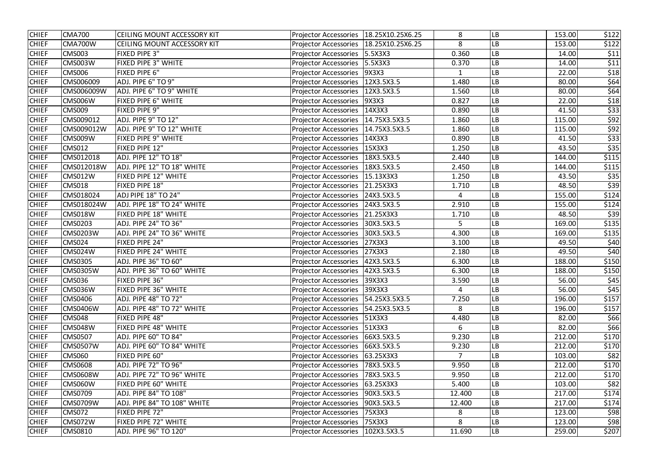| <b>CHIEF</b> | <b>CMA700</b>   | <b>CEILING MOUNT ACCESSORY KIT</b> | Projector Accessories                    | 18.25X10.25X6.25 | 8            | LB                     | 153.00 | \$122 |
|--------------|-----------------|------------------------------------|------------------------------------------|------------------|--------------|------------------------|--------|-------|
| <b>CHIEF</b> | CMA700W         | <b>CEILING MOUNT ACCESSORY KIT</b> | Projector Accessories   18.25X10.25X6.25 |                  | 8            | LВ                     | 153.00 | \$122 |
| <b>CHIEF</b> | <b>CMS003</b>   | FIXED PIPE 3"                      | Projector Accessories   5.5X3X3          |                  | 0.360        | LB                     | 14.00  | \$11  |
| <b>CHIEF</b> | <b>CMS003W</b>  | FIXED PIPE 3" WHITE                | <b>Projector Accessories</b>             | 5.5X3X3          | 0.370        | LB                     | 14.00  | \$11  |
| <b>CHIEF</b> | <b>CMS006</b>   | FIXED PIPE 6"                      | <b>Projector Accessories</b>             | 9X3X3            | $\mathbf{1}$ | LB                     | 22.00  | \$18  |
| <b>CHIEF</b> | CMS006009       | ADJ. PIPE 6" TO 9"                 | <b>Projector Accessories</b>             | 12X3.5X3.5       | 1.480        | LB                     | 80.00  | \$64  |
| <b>CHIEF</b> | CMS006009W      | ADJ. PIPE 6" TO 9" WHITE           | Projector Accessories                    | 12X3.5X3.5       | 1.560        | LB                     | 80.00  | \$64  |
| <b>CHIEF</b> | <b>CMS006W</b>  | FIXED PIPE 6" WHITE                | <b>Projector Accessories</b>             | 9X3X3            | 0.827        | <b>LB</b>              | 22.00  | \$18  |
| <b>CHIEF</b> | CMS009          | FIXED PIPE 9"                      | Projector Accessories                    | 14X3X3           | 0.890        | LB                     | 41.50  | \$33  |
| <b>CHIEF</b> | CMS009012       | ADJ. PIPE 9" TO 12"                | Projector Accessories   14.75X3.5X3.5    |                  | 1.860        | <b>LB</b>              | 115.00 | \$92  |
| <b>CHIEF</b> | CMS009012W      | ADJ. PIPE 9" TO 12" WHITE          | <b>Projector Accessories</b>             | 14.75X3.5X3.5    | 1.860        | LB                     | 115.00 | \$92  |
| <b>CHIEF</b> | CMS009W         | FIXED PIPE 9" WHITE                | <b>Projector Accessories</b>             | 14X3X3           | 0.890        | LB                     | 41.50  | \$33  |
| <b>CHIEF</b> | <b>CMS012</b>   | FIXED PIPE 12"                     | <b>Projector Accessories</b>             | 15X3X3           | 1.250        | LB                     | 43.50  | \$35  |
| <b>CHIEF</b> | CMS012018       | ADJ. PIPE 12" TO 18"               | Projector Accessories   18X3.5X3.5       |                  | 2.440        | $\mathsf{L}\mathsf{B}$ | 144.00 | \$115 |
| <b>CHIEF</b> | CMS012018W      | ADJ. PIPE 12" TO 18" WHITE         | Projector Accessories                    | 18X3.5X3.5       | 2.450        | <b>LB</b>              | 144.00 | \$115 |
| <b>CHIEF</b> | <b>CMS012W</b>  | FIXED PIPE 12" WHITE               | Projector Accessories   15.13X3X3        |                  | 1.250        | ${\sf LB}$             | 43.50  | \$35  |
| <b>CHIEF</b> | <b>CMS018</b>   | FIXED PIPE 18"                     | Projector Accessories   21.25X3X3        |                  | 1.710        | LB                     | 48.50  | \$39  |
| <b>CHIEF</b> | CMS018024       | <b>ADJ PIPE 18" TO 24"</b>         | <b>Projector Accessories</b>             | 24X3.5X3.5       | 4            | LB                     | 155.00 | \$124 |
| <b>CHIEF</b> | CMS018024W      | ADJ. PIPE 18" TO 24" WHITE         | Projector Accessories                    | 24X3.5X3.5       | 2.910        | LВ                     | 155.00 | \$124 |
| <b>CHIEF</b> | <b>CMS018W</b>  | FIXED PIPE 18" WHITE               | Projector Accessories   21.25X3X3        |                  | 1.710        | $\mathsf{L}\mathsf{B}$ | 48.50  | \$39  |
| <b>CHIEF</b> | <b>CMS0203</b>  | ADJ. PIPE 24" TO 36"               | Projector Accessories   30X3.5X3.5       |                  | 5            | LB                     | 169.00 | \$135 |
| <b>CHIEF</b> | <b>CMS0203W</b> | ADJ. PIPE 24" TO 36" WHITE         | <b>Projector Accessories</b>             | 30X3.5X3.5       | 4.300        | <b>LB</b>              | 169.00 | \$135 |
| <b>CHIEF</b> | <b>CMS024</b>   | FIXED PIPE 24"                     | <b>Projector Accessories</b>             | 27X3X3           | 3.100        | LB                     | 49.50  | \$40  |
| <b>CHIEF</b> | CMS024W         | FIXED PIPE 24" WHITE               | <b>Projector Accessories</b>             | 27X3X3           | 2.180        | <b>LB</b>              | 49.50  | \$40  |
| <b>CHIEF</b> | <b>CMS0305</b>  | ADJ. PIPE 36" TO 60"               | <b>Projector Accessories</b>             | 42X3.5X3.5       | 6.300        | <b>LB</b>              | 188.00 | \$150 |
| <b>CHIEF</b> | <b>CMS0305W</b> | ADJ. PIPE 36" TO 60" WHITE         | Projector Accessories   42X3.5X3.5       |                  | 6.300        | LB                     | 188.00 | \$150 |
| <b>CHIEF</b> | CMS036          | <b>FIXED PIPE 36"</b>              | <b>Projector Accessories</b>             | 39X3X3           | 3.590        | LB                     | 56.00  | \$45  |
| <b>CHIEF</b> | CMS036W         | FIXED PIPE 36" WHITE               | <b>Projector Accessories</b>             | 39X3X3           | 4            | <b>LB</b>              | 56.00  | \$45  |
| <b>CHIEF</b> | <b>CMS0406</b>  | ADJ. PIPE 48" TO 72"               | Projector Accessories   54.25X3.5X3.5    |                  | 7.250        | <b>LB</b>              | 196.00 | \$157 |
| <b>CHIEF</b> | CMS0406W        | ADJ. PIPE 48" TO 72" WHITE         | Projector Accessories   54.25X3.5X3.5    |                  | 8            | <b>LB</b>              | 196.00 | \$157 |
| <b>CHIEF</b> | <b>CMS048</b>   | FIXED PIPE 48"                     | Projector Accessories   51X3X3           |                  | 4.480        | <b>LB</b>              | 82.00  | \$66  |
| <b>CHIEF</b> | CMS048W         | FIXED PIPE 48" WHITE               | Projector Accessories   51X3X3           |                  | 6            | <b>LB</b>              | 82.00  | \$66  |
| <b>CHIEF</b> | <b>CMS0507</b>  | ADJ. PIPE 60" TO 84"               | Projector Accessories   66X3.5X3.5       |                  | 9.230        | <b>LB</b>              | 212.00 | \$170 |
| <b>CHIEF</b> | <b>CMS0507W</b> | ADJ. PIPE 60" TO 84" WHITE         | Projector Accessories   66X3.5X3.5       |                  | 9.230        | <b>LB</b>              | 212.00 | \$170 |
| <b>CHIEF</b> | CMS060          | FIXED PIPE 60"                     | Projector Accessories   63.25X3X3        |                  | 7            | <b>LB</b>              | 103.00 | \$82  |
| <b>CHIEF</b> | <b>CMS0608</b>  | ADJ. PIPE 72" TO 96"               | Projector Accessories                    | 78X3.5X3.5       | 9.950        | <b>LB</b>              | 212.00 | \$170 |
| <b>CHIEF</b> | <b>CMS0608W</b> | ADJ. PIPE 72" TO 96" WHITE         | <b>Projector Accessories</b>             | 78X3.5X3.5       | 9.950        | <b>LB</b>              | 212.00 | \$170 |
| <b>CHIEF</b> | CMS060W         | FIXED PIPE 60" WHITE               | Projector Accessories   63.25X3X3        |                  | 5.400        | <b>LB</b>              | 103.00 | \$82  |
| <b>CHIEF</b> | <b>CMS0709</b>  | ADJ. PIPE 84" TO 108"              | Projector Accessories   90X3.5X3.5       |                  | 12.400       | <b>LB</b>              | 217.00 | \$174 |
| <b>CHIEF</b> | <b>CMS0709W</b> | ADJ. PIPE 84" TO 108" WHITE        | <b>Projector Accessories</b>             | 90X3.5X3.5       | 12.400       | <b>LB</b>              | 217.00 | \$174 |
| <b>CHIEF</b> | <b>CMS072</b>   | FIXED PIPE 72"                     | <b>Projector Accessories</b>             | 75X3X3           | 8            | LB                     | 123.00 | \$98  |
| <b>CHIEF</b> | CMS072W         | FIXED PIPE 72" WHITE               | <b>Projector Accessories</b>             | 75X3X3           | 8            | <b>LB</b>              | 123.00 | \$98  |
| <b>CHIEF</b> | <b>CMS0810</b>  | ADJ. PIPE 96" TO 120"              | Projector Accessories   102X3.5X3.5      |                  | 11.690       | LB                     | 259.00 | \$207 |
|              |                 |                                    |                                          |                  |              |                        |        |       |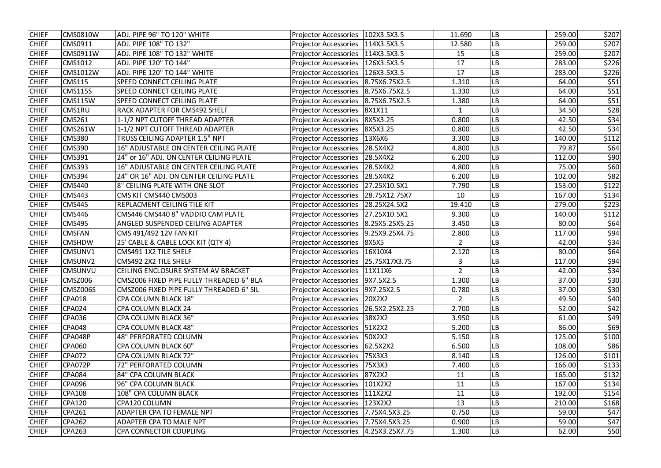| <b>CHIEF</b> | CMS0810W        | ADJ. PIPE 96" TO 120" WHITE              | <b>Projector Accessories</b>           | 102X3.5X3.5    | 11.690         | <b>LB</b>  | 259.00 | \$207            |
|--------------|-----------------|------------------------------------------|----------------------------------------|----------------|----------------|------------|--------|------------------|
| <b>CHIEF</b> | CMS0911         | ADJ. PIPE 108" TO 132"                   | Projector Accessories   114X3.5X3.5    |                | 12.580         | <b>LB</b>  | 259.00 | \$207            |
| <b>CHIEF</b> | CMS0911W        | ADJ. PIPE 108" TO 132" WHITE             | Projector Accessories   114X3.5X3.5    |                | 15             | <b>LB</b>  | 259.00 | \$207            |
| <b>CHIEF</b> | <b>CMS1012</b>  | ADJ. PIPE 120" TO 144"                   | Projector Accessories   126X3.5X3.5    |                | 17             | LB         | 283.00 | \$226            |
| <b>CHIEF</b> | <b>CMS1012W</b> | ADJ. PIPE 120" TO 144" WHITE             | Projector Accessories   126X3.5X3.5    |                | 17             | LB         | 283.00 | \$226            |
| <b>CHIEF</b> | CMS115          | SPEED CONNECT CEILING PLATE              | <b>Projector Accessories</b>           | 8.75X6.75X2.5  | 1.310          | LB         | 64.00  | \$51             |
| <b>CHIEF</b> | <b>CMS115S</b>  | SPEED CONNECT CEILING PLATE              | <b>Projector Accessories</b>           | 8.75X6.75X2.5  | 1.330          | LB         | 64.00  | \$51             |
| <b>CHIEF</b> | <b>CMS115W</b>  | SPEED CONNECT CEILING PLATE              | <b>Projector Accessories</b>           | 8.75X6.75X2.5  | 1.380          | <b>LB</b>  | 64.00  | \$51             |
| <b>CHIEF</b> | CMS1RU          | <b>RACK ADAPTER FOR CMS492 SHELF</b>     | <b>Projector Accessories</b>           | 8X1X11         | $\mathbf{1}$   | LB         | 34.50  | $\overline{$}28$ |
| <b>CHIEF</b> | <b>CMS261</b>   | 1-1/2 NPT CUTOFF THREAD ADAPTER          | <b>Projector Accessories</b>           | 8X5X3.25       | 0.800          | LB         | 42.50  | \$34             |
| <b>CHIEF</b> | <b>CMS261W</b>  | 1-1/2 NPT CUTOFF THREAD ADAPTER          | <b>Projector Accessories</b>           | 8X5X3.25       | 0.800          | LB         | 42.50  | \$34             |
| <b>CHIEF</b> | <b>CMS380</b>   | TRUSS CEILING ADAPTER 1.5" NPT           | <b>Projector Accessories</b>           | 13X6X6         | 3.300          | LB         | 140.00 | \$112            |
| <b>CHIEF</b> | <b>CMS390</b>   | 16" ADJUSTABLE ON CENTER CEILING PLATE   | <b>Projector Accessories</b>           | 28.5X4X2       | 4.800          | ${\sf LB}$ | 79.87  | \$64             |
| <b>CHIEF</b> | <b>CMS391</b>   | 24" or 16" ADJ. ON CENTER CEILING PLATE  | <b>Projector Accessories</b>           | $28.5X4X2$     | 6.200          | LB         | 112.00 | \$90             |
| <b>CHIEF</b> | <b>CMS393</b>   | 16" ADJUSTABLE ON CENTER CEILING PLATE   | Projector Accessories   28.5X4X2       |                | 4.800          | <b>LB</b>  | 75.00  | \$60             |
| <b>CHIEF</b> | <b>CMS394</b>   | 24" OR 16" ADJ. ON CENTER CEILING PLATE  | <b>Projector Accessories</b>           | $28.5X4X2$     | 6.200          | <b>LB</b>  | 102.00 | \$82             |
| <b>CHIEF</b> | CMS440          | 8" CEILING PLATE WITH ONE SLOT           | Projector Accessories   27.25X10.5X1   |                | 7.790          | LB         | 153.00 | \$122            |
| <b>CHIEF</b> | <b>CMS443</b>   | CMS KIT CMS440 CMS003                    | Projector Accessories   28.75X12.75X7  |                | 10             | <b>LB</b>  | 167.00 | \$134            |
| <b>CHIEF</b> | <b>CMS445</b>   | <b>REPLACMENT CEILING TILE KIT</b>       | Projector Accessories   28.25X24.5X2   |                | 19.410         | LB         | 279.00 | \$223            |
| <b>CHIEF</b> | <b>CMS446</b>   | CMS446 CMS440 8" VADDIO CAM PLATE        | <b>Projector Accessories</b>           | 27.25X10.5X1   | 9.300          | <b>LB</b>  | 140.00 | \$112            |
| <b>CHIEF</b> | <b>CMS495</b>   | ANGLED SUSPENDED CEILING ADAPTER         | Projector Accessories   8.25X5.25X5.25 |                | 3.450          | LB         | 80.00  | \$64             |
| <b>CHIEF</b> | <b>CMSFAN</b>   | CMS 491/492 12V FAN KIT                  | <b>Projector Accessories</b>           | 9.25X9.25X4.75 | 2.800          | <b>LB</b>  | 117.00 | \$94             |
| <b>CHIEF</b> | <b>CMSHDW</b>   | 25' CABLE & CABLE LOCK KIT (QTY 4)       | <b>Projector Accessories</b>           | 8X5X5          | $\overline{2}$ | LB         | 42.00  | \$34             |
| <b>CHIEF</b> | CMSUNV1         | CMS491 1X2 TILE SHELF                    | <b>Projector Accessories</b>           | 16X10X4        | 2.120          | LB         | 80.00  | \$64             |
| <b>CHIEF</b> | CMSUNV2         | CMS492 2X2 TILE SHELF                    | <b>Projector Accessories</b>           | 25.75X17X3.75  | 3              | LВ         | 117.00 | \$94             |
| <b>CHIEF</b> | <b>CMSUNVU</b>  | CEILING ENCLOSURE SYSTEM AV BRACKET      | Projector Accessories   11X11X6        |                | $\overline{2}$ | LB         | 42.00  | \$34             |
| <b>CHIEF</b> | CMSZ006         | CMSZ006 FIXED PIPE FULLY THREADED 6" BLA | Projector Accessories   9X7.5X2.5      |                | 1.300          | LB         | 37.00  | \$30             |
| <b>CHIEF</b> | CMSZ006S        | CMSZ006 FIXED PIPE FULLY THREADED 6" SIL | Projector Accessories   9X7.25X2.5     |                | 0.780          | <b>LB</b>  | 37.00  | \$30             |
| <b>CHIEF</b> | <b>CPA018</b>   | <b>CPA COLUMN BLACK 18"</b>              | Projector Accessories   20X2X2         |                | $\overline{2}$ | LB         | 49.50  | \$40             |
| <b>CHIEF</b> | <b>CPA024</b>   | <b>CPA COLUMN BLACK 24</b>               | Projector Accessories   26.5X2.25X2.25 |                | 2.700          | <b>LB</b>  | 52.00  | \$42             |
| <b>CHIEF</b> | <b>CPA036</b>   | <b>CPA COLUMN BLACK 36"</b>              | <b>Projector Accessories</b>           | 38X2X2         | 3.950          | ${\sf LB}$ | 61.00  | \$49             |
| <b>CHIEF</b> | <b>CPA048</b>   | <b>CPA COLUMN BLACK 48"</b>              | Projector Accessories   51X2X2         |                | 5.200          | <b>LB</b>  | 86.00  | \$69             |
| <b>CHIEF</b> | CPA048P         | 48" PERFORATED COLUMN                    | Projector Accessories   50X2X2         |                | 5.150          | <b>LB</b>  | 125.00 | \$100            |
| <b>CHIEF</b> | <b>CPA060</b>   | CPA COLUMN BLACK 60"                     | <b>Projector Accessories</b>           | 62.5X2X2       | 6.500          | <b>LB</b>  | 108.00 | \$86             |
| <b>CHIEF</b> | <b>CPA072</b>   | <b>CPA COLUMN BLACK 72"</b>              | <b>Projector Accessories</b>           | 75X3X3         | 8.140          | <b>LB</b>  | 126.00 | \$101            |
| <b>CHIEF</b> | CPA072P         | 72" PERFORATED COLUMN                    | <b>Projector Accessories</b>           | 75X3X3         | 7.400          | LB         | 166.00 | \$133            |
| <b>CHIEF</b> | <b>CPA084</b>   | 84" CPA COLUMN BLACK                     | <b>Projector Accessories</b>           | 87X2X2         | 11             | ${\sf LB}$ | 165.00 | \$132            |
| <b>CHIEF</b> | <b>CPA096</b>   | 96" CPA COLUMN BLACK                     | <b>Projector Accessories</b>           | 101X2X2        | 11             | <b>LB</b>  | 167.00 | \$134            |
| <b>CHIEF</b> | <b>CPA108</b>   | 108" CPA COLUMN BLACK                    | Projector Accessories   111X2X2        |                | 11             | <b>LB</b>  | 192.00 | \$154            |
| <b>CHIEF</b> | <b>CPA120</b>   | CPA120 COLUMN                            | <b>Projector Accessories</b>           | 123X2X2        | 13             | <b>LB</b>  | 210.00 | \$168            |
| <b>CHIEF</b> | <b>CPA261</b>   | ADAPTER CPA TO FEMALE NPT                | Projector Accessories   7.75X4.5X3.25  |                | 0.750          | <b>LB</b>  | 59.00  | \$47             |
| <b>CHIEF</b> | <b>CPA262</b>   | ADAPTER CPA TO MALE NPT                  | Projector Accessories   7.75X4.5X3.25  |                | 0.900          | <b>LB</b>  | 59.00  | \$47             |
| <b>CHIEF</b> | <b>CPA263</b>   | CPA CONNECTOR COUPLING                   | Projector Accessories   4.25X3.25X7.75 |                | 1.300          | <b>LB</b>  | 62.00  | \$50             |
|              |                 |                                          |                                        |                |                |            |        |                  |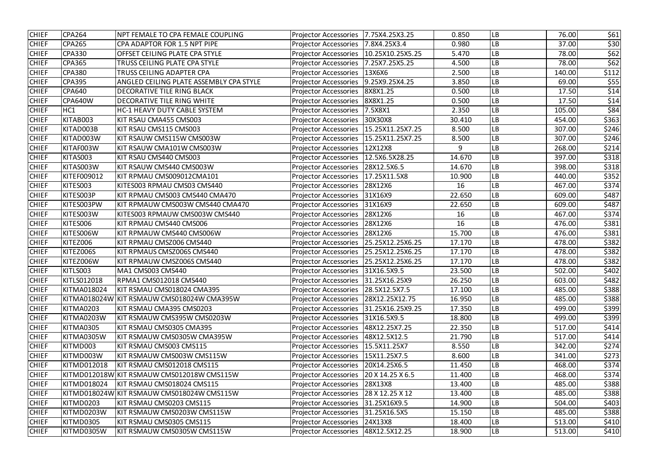| <b>CHIEF</b> | <b>CPA264</b> | NPT FEMALE TO CPA FEMALE COUPLING          | <b>Projector Accessories</b>          | 7.75X4.25X3.25                | 0.850  | LB        | 76.00  | \$61  |
|--------------|---------------|--------------------------------------------|---------------------------------------|-------------------------------|--------|-----------|--------|-------|
| <b>CHIEF</b> | <b>CPA265</b> | CPA ADAPTOR FOR 1.5 NPT PIPE               | <b>Projector Accessories</b>          | 7.8X4.25X3.4                  | 0.980  | LB        | 37.00  | \$30  |
| <b>CHIEF</b> | <b>CPA330</b> | OFFSET CEILING PLATE CPA STYLE             | <b>Projector Accessories</b>          | 10.25X10.25X5.25              | 5.470  | LB        | 78.00  | \$62  |
| <b>CHIEF</b> | <b>CPA365</b> | TRUSS CEILING PLATE CPA STYLE              | <b>Projector Accessories</b>          | 7.25X7.25X5.25                | 4.500  | LB        | 78.00  | \$62  |
| <b>CHIEF</b> | <b>CPA380</b> | TRUSS CEILING ADAPTER CPA                  | <b>Projector Accessories</b>          | 13X6X6                        | 2.500  | LB        | 140.00 | \$112 |
| <b>CHIEF</b> | <b>CPA395</b> | ANGLED CEILING PLATE ASSEMBLY CPA STYLE    | <b>Projector Accessories</b>          | 9.25X9.25X4.25                | 3.850  | LB        | 69.00  | \$55  |
| <b>CHIEF</b> | <b>CPA640</b> | <b>DECORATIVE TILE RING BLACK</b>          | <b>Projector Accessories</b>          | 8X8X1.25                      | 0.500  | LB        | 17.50  | \$14  |
| <b>CHIEF</b> | CPA640W       | DECORATIVE TILE RING WHITE                 | <b>Projector Accessories</b>          | 8X8X1.25                      | 0.500  | LB        | 17.50  | \$14  |
| <b>CHIEF</b> | HC1           | HC-1 HEAVY DUTY CABLE SYSTEM               | <b>Projector Accessories</b>          | 7.5X8X1                       | 2.350  | LB        | 105.00 | \$84  |
| <b>CHIEF</b> | KITAB003      | KIT RSAU CMA455 CMS003                     | <b>Projector Accessories</b>          | 30X30X8                       | 30.410 | LB        | 454.00 | \$363 |
| <b>CHIEF</b> | KITAD003B     | KIT RSAU CMS115 CMS003                     | <b>Projector Accessories</b>          | 15.25X11.25X7.25              | 8.500  | LB        | 307.00 | \$246 |
| <b>CHIEF</b> | KITAD003W     | KIT RSAUW CMS115W CMS003W                  | <b>Projector Accessories</b>          | 15.25X11.25X7.25              | 8.500  | LB        | 307.00 | \$246 |
| <b>CHIEF</b> | KITAF003W     | KIT RSAUW CMA101W CMS003W                  | <b>Projector Accessories</b>          | 12X12X8                       | 9      | LB        | 268.00 | \$214 |
| <b>CHIEF</b> | KITAS003      | KIT RSAU CMS440 CMS003                     | <b>Projector Accessories</b>          | 12.5X6.5X28.25                | 14.670 | LB        | 397.00 | \$318 |
| <b>CHIEF</b> | KITAS003W     | KIT RSAUW CMS440 CMS003W                   | <b>Projector Accessories</b>          | 28X12.5X6.5                   | 14.670 | LB        | 398.00 | \$318 |
| <b>CHIEF</b> | KITEF009012   | KIT RPMAU CMS009012CMA101                  | <b>Projector Accessories</b>          | 17.25X11.5X8                  | 10.900 | LB        | 440.00 | \$352 |
| <b>CHIEF</b> | KITES003      | KITES003 RPMAU CMS03 CMS440                | <b>Projector Accessories</b>          | 28X12X6                       | 16     | LB        | 467.00 | \$374 |
| <b>CHIEF</b> | KITES003P     | KIT RPMAU CMS003 CMS440 CMA470             | <b>Projector Accessories</b>          | 31X16X9                       | 22.650 | LB        | 609.00 | \$487 |
| <b>CHIEF</b> | KITES003PW    | KIT RPMAUW CMS003W CMS440 CMA470           | <b>Projector Accessories</b>          | 31X16X9                       | 22.650 | LB        | 609.00 | \$487 |
| <b>CHIEF</b> | KITES003W     | KITES003 RPMAUW CMS003W CMS440             | <b>Projector Accessories</b>          | 28X12X6                       | 16     | LB        | 467.00 | \$374 |
| <b>CHIEF</b> | KITES006      | KIT RPMAU CMS440 CMS006                    | <b>Projector Accessories</b>          | 28X12X6                       | 16     | LB        | 476.00 | \$381 |
| <b>CHIEF</b> | KITES006W     | KIT RPMAUW CMS440 CMS006W                  | <b>Projector Accessories</b>          | 28X12X6                       | 15.700 | LB        | 476.00 | \$381 |
| <b>CHIEF</b> | KITEZ006      | KIT RPMAU CMSZ006 CMS440                   | <b>Projector Accessories</b>          | 25.25X12.25X6.25              | 17.170 | LB        | 478.00 | \$382 |
| <b>CHIEF</b> | KITEZ006S     | KIT RPMAUS CMSZ006S CMS440                 | <b>Projector Accessories</b>          | 25.25X12.25X6.25              | 17.170 | LB        | 478.00 | \$382 |
| <b>CHIEF</b> | KITEZ006W     | KIT RPMAUW CMSZ006S CMS440                 | <b>Projector Accessories</b>          | 25.25X12.25X6.25              | 17.170 | LB        | 478.00 | \$382 |
| <b>CHIEF</b> | KITLS003      | MA1 CMS003 CMS440                          | <b>Projector Accessories</b>          | 31X16.5X9.5                   | 23.500 | LB        | 502.00 | \$402 |
| <b>CHIEF</b> | KITLS012018   | RPMA1 CMS012018 CMS440                     | Projector Accessories   31.25X16.25X9 |                               | 26.250 | <b>LB</b> | 603.00 | \$482 |
| <b>CHIEF</b> | KITMA018024   | KIT RSMAU CMS018024 CMA395                 | Projector Accessories   28.5X12.5X7.5 |                               | 17.100 | LB        | 485.00 | \$388 |
| <b>CHIEF</b> |               | KITMA018024W KIT RSMAUW CMS018024W CMA395W | <b>Projector Accessories</b>          | 28X12.25X12.75                | 16.950 | <b>LB</b> | 485.00 | \$388 |
| <b>CHIEF</b> | KITMA0203     | KIT RSMAU CMA395 CMS0203                   | <b>Projector Accessories</b>          | 31.25X16.25X9.25              | 17.350 | LB        | 499.00 | \$399 |
| <b>CHIEF</b> | KITMA0203W    | KIT RSMAUW CMS395W CMS0203W                | <b>Projector Accessories</b>          | 31X16.5X9.5                   | 18.800 | LB        | 499.00 | \$399 |
| <b>CHIEF</b> | KITMA0305     | KIT RSMAU CMS0305 CMA395                   | <b>Projector Accessories</b>          | 48X12.25X7.25                 | 22.350 | LB        | 517.00 | \$414 |
| <b>CHIEF</b> | KITMA0305W    | KIT RSMAUW CMS0305W CMA395W                | <b>Projector Accessories</b>          | 48X12.5X12.5                  | 21.790 | <b>LB</b> | 517.00 | \$414 |
| <b>CHIEF</b> | KITMD003      | KIT RSMAU CMS003 CMS115                    | <b>Projector Accessories</b>          | 15.5X11.25X7                  | 8.550  | LB        | 342.00 | \$274 |
| <b>CHIEF</b> | KITMD003W     | KIT RSMAUW CMS003W CMS115W                 | <b>Projector Accessories</b>          | 15X11.25X7.5                  | 8.600  | <b>LB</b> | 341.00 | \$273 |
| <b>CHIEF</b> | KITMD012018   | KIT RSMAU CMS012018 CMS115                 | <b>Projector Accessories</b>          | 20X14.25X6.5                  | 11.450 | LB        | 468.00 | \$374 |
| <b>CHIEF</b> |               | KITMD012018W KIT RSMAUW CMS012018W CMS115W | <b>Projector Accessories</b>          | $ 20 \times 14.25 \times 6.5$ | 11.400 | <b>LB</b> | 468.00 | \$374 |
| <b>CHIEF</b> | KITMD018024   | KIT RSMAU CMS018024 CMS115                 | <b>Projector Accessories</b>          | 28X13X8                       | 13.400 | LB        | 485.00 | \$388 |
| <b>CHIEF</b> |               | KITMD018024W KIT RSMAUW CMS018024W CMS115W | <b>Projector Accessories</b>          | $ 28 \times 12.25 \times 12 $ | 13.400 | LB        | 485.00 | \$388 |
| <b>CHIEF</b> | KITMD0203     | KIT RSMAU CMS0203 CMS115                   | <b>Projector Accessories</b>          | 31.25X16X9.5                  | 14.900 | LB        | 504.00 | \$403 |
| <b>CHIEF</b> | KITMD0203W    | KIT RSMAUW CMS0203W CMS115W                | <b>Projector Accessories</b>          | 31.25X16.5X5                  | 15.150 | LB        | 485.00 | \$388 |
| <b>CHIEF</b> | KITMD0305     | KIT RSMAU CMS0305 CMS115                   | <b>Projector Accessories</b>          | 24X13X8                       | 18.400 | LB        | 513.00 | \$410 |
| <b>CHIEF</b> | KITMD0305W    | KIT RSMAUW CMS0305W CMS115W                | <b>Projector Accessories</b>          | 48X12.5X12.25                 | 18.900 | LB        | 513.00 | \$410 |
|              |               |                                            |                                       |                               |        |           |        |       |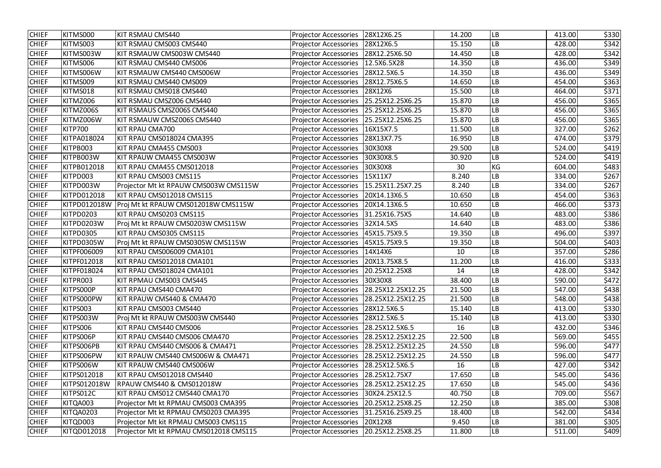| <b>CHIEF</b> | KITMS000            | KIT RSMAU CMS440                       | <b>Projector Accessories</b>              | 28X12X6.25        | 14.200 | <b>LB</b> | 413.00 | \$330 |
|--------------|---------------------|----------------------------------------|-------------------------------------------|-------------------|--------|-----------|--------|-------|
| <b>CHIEF</b> | KITMS003            | KIT RSMAU CMS003 CMS440                | Projector Accessories   28X12X6.5         |                   | 15.150 | LВ        | 428.00 | \$342 |
| <b>CHIEF</b> | KITMS003W           | KIT RSMAUW CMS003W CMS440              | Projector Accessories   28X12.25X6.50     |                   | 14.450 | LВ        | 428.00 | \$342 |
| <b>CHIEF</b> | KITMS006            | KIT RSMAU CMS440 CMS006                | Projector Accessories   12.5X6.5X28       |                   | 14.350 | LB        | 436.00 | \$349 |
| <b>CHIEF</b> | KITMS006W           | KIT RSMAUW CMS440 CMS006W              | Projector Accessories   28X12.5X6.5       |                   | 14.350 | LB        | 436.00 | \$349 |
| <b>CHIEF</b> | KITMS009            | KIT RSMAU CMS440 CMS009                | <b>Projector Accessories</b>              | 28X12.75X6.5      | 14.650 | LB        | 454.00 | \$363 |
| <b>CHIEF</b> | KITMS018            | KIT RSMAU CMS018 CMS440                | <b>Projector Accessories</b>              | 28X12X6           | 15.500 | LВ        | 464.00 | \$371 |
| <b>CHIEF</b> | KITMZ006            | KIT RSMAU CMSZ006 CMS440               | <b>Projector Accessories</b>              | 25.25X12.25X6.25  | 15.870 | LВ        | 456.00 | \$365 |
| <b>CHIEF</b> | KITMZ006S           | KIT RSMAUS CMSZ006S CMS440             | Projector Accessories   25.25X12.25X6.25  |                   | 15.870 | LB        | 456.00 | \$365 |
| <b>CHIEF</b> | KITMZ006W           | KIT RSMAUW CMSZ006S CMS440             | <b>Projector Accessories</b>              | 25.25X12.25X6.25  | 15.870 | LB        | 456.00 | \$365 |
| <b>CHIEF</b> | <b>KITP700</b>      | KIT RPAU CMA700                        | <b>Projector Accessories</b>              | 16X15X7.5         | 11.500 | LB        | 327.00 | \$262 |
| <b>CHIEF</b> | <b>KITPA018024</b>  | KIT RPAU CMS018024 CMA395              | <b>Projector Accessories</b>              | 28X13X7.75        | 16.950 | LB        | 474.00 | \$379 |
| <b>CHIEF</b> | KITPB003            | KIT RPAU CMA455 CMS003                 | <b>Projector Accessories</b>              | 30X30X8           | 29.500 | LВ        | 524.00 | \$419 |
| <b>CHIEF</b> | KITPB003W           | KIT RPAUW CMA455 CMS003W               | <b>Projector Accessories</b>              | 30X30X8.5         | 30.920 | LB        | 524.00 | \$419 |
| <b>CHIEF</b> | KITPB012018         | KIT RPAU CMA455 CMS012018              | <b>Projector Accessories</b>              | 30X30X8           | 30     | KG        | 604.00 | \$483 |
| <b>CHIEF</b> | KITPD003            | KIT RPAU CMS003 CMS115                 | <b>Projector Accessories</b>              | 15X11X7           | 8.240  | LB        | 334.00 | \$267 |
| <b>CHIEF</b> | KITPD003W           | Projector Mt kt RPAUW CMS003W CMS115W  | Projector Accessories   15.25X11.25X7.25  |                   | 8.240  | LB        | 334.00 | \$267 |
| <b>CHIEF</b> | <b>KITPD012018</b>  | KIT RPAU CMS012018 CMS115              | <b>Projector Accessories</b>              | 20X14.13X6.5      | 10.650 | LB        | 454.00 | \$363 |
| <b>CHIEF</b> | KITPD012018W        | Proj Mt kt RPAUW CMS012018W CMS115W    | Projector Accessories   20X14.13X6.5      |                   | 10.650 | LB        | 466.00 | \$373 |
| <b>CHIEF</b> | KITPD0203           | KIT RPAU CMS0203 CMS115                | Projector Accessories   31.25X16.75X5     |                   | 14.640 | LВ        | 483.00 | \$386 |
| <b>CHIEF</b> | KITPD0203W          | Proj Mt kt RPAUW CMS0203W CMS115W      | Projector Accessories   32X14.5X5         |                   | 14.640 | LB        | 483.00 | \$386 |
| <b>CHIEF</b> | KITPD0305           | KIT RPAU CMS0305 CMS115                | <b>Projector Accessories</b>              | 45X15.75X9.5      | 19.350 | LВ        | 496.00 | \$397 |
| <b>CHIEF</b> | KITPD0305W          | Proj Mt kt RPAUW CMS0305W CMS115W      | <b>Projector Accessories</b>              | 45X15.75X9.5      | 19.350 | LB        | 504.00 | \$403 |
| <b>CHIEF</b> | KITPF006009         | KIT RPAU CMS006009 CMA101              | <b>Projector Accessories</b>              | 14X14X6           | 10     | LB        | 357.00 | \$286 |
| <b>CHIEF</b> | KITPF012018         | KIT RPAU CMS012018 CMA101              | <b>Projector Accessories</b>              | 20X13.75X8.5      | 11.200 | LB        | 416.00 | \$333 |
| <b>CHIEF</b> | KITPF018024         | KIT RPAU CMS018024 CMA101              | Projector Accessories   20.25X12.25X8     |                   | 14     | LВ        | 428.00 | \$342 |
| <b>CHIEF</b> | KITPR003            | KIT RPMAU CMS003 CMS445                | Projector Accessories   30X30X8           |                   | 38.400 | LB        | 590.00 | \$472 |
| <b>CHIEF</b> | KITPS000P           | KIT RPAU CMS440 CMA470                 | Projector Accessories   28.25X12.25X12.25 |                   | 21.500 | LB        | 547.00 | \$438 |
| <b>CHIEF</b> | KITPS000PW          | KIT RPAUW CMS440 & CMA470              | <b>Projector Accessories</b>              | 28.25X12.25X12.25 | 21.500 | LВ        | 548.00 | \$438 |
| <b>CHIEF</b> | KITPS003            | KIT RPAU CMS003 CMS440                 | Projector Accessories                     | 28X12.5X6.5       | 15.140 | LB        | 413.00 | \$330 |
| <b>CHIEF</b> | KITPS003W           | Proj Mt kt RPAUW CMS003W CMS440        | <b>Projector Accessories</b>              | 28X12.5X6.5       | 15.140 | LB        | 413.00 | \$330 |
| <b>CHIEF</b> | KITPS006            | KIT RPAU CMS440 CMS006                 | Projector Accessories   28.25X12.5X6.5    |                   | 16     | LB        | 432.00 | \$346 |
| <b>CHIEF</b> | KITPS006P           | KIT RPAU CMS440 CMS006 CMA470          | <b>Projector Accessories</b>              | 28.25X12.25X12.25 | 22.500 | LB        | 569.00 | \$455 |
| <b>CHIEF</b> | KITPS006PB          | KIT RPAU CMS440 CMS006 & CMA471        | <b>Projector Accessories</b>              | 28.25X12.25X12.25 | 24.550 | LВ        | 596.00 | \$477 |
| <b>CHIEF</b> | KITPS006PW          | KIT RPAUW CMS440 CMS006W & CMA471      | <b>Projector Accessories</b>              | 28.25X12.25X12.25 | 24.550 | LB        | 596.00 | \$477 |
| <b>CHIEF</b> | KITPS006W           | KIT RPAUW CMS440 CMS006W               | <b>Projector Accessories</b>              | 28.25X12.5X6.5    | 16     | LB        | 427.00 | \$342 |
| <b>CHIEF</b> | KITPS012018         | KIT RPAU CMS012018 CMS440              | <b>Projector Accessories</b>              | 28.25X12.75X7     | 17.650 | LB        | 545.00 | \$436 |
| <b>CHIEF</b> | <b>KITPS012018W</b> | RPAUW CMS440 & CMS012018W              | <b>Projector Accessories</b>              | 28.25X12.25X12.25 | 17.650 | <b>LB</b> | 545.00 | \$436 |
| <b>CHIEF</b> | KITPS012C           | KIT RPAU CMS012 CMS440 CMA170          | Projector Accessories                     | 30X24.25X12.5     | 40.750 | LB        | 709.00 | \$567 |
| <b>CHIEF</b> | KITQA003            | Projector Mt kt RPMAU CMS003 CMA395    | <b>Projector Accessories</b>              | 20.25X12.25X8.25  | 12.250 | LB        | 385.00 | \$308 |
| <b>CHIEF</b> | KITQA0203           | Projector Mt kt RPMAU CMS0203 CMA395   | <b>Projector Accessories</b>              | 31.25X16.25X9.25  | 18.400 | LВ        | 542.00 | \$434 |
| <b>CHIEF</b> | KITQD003            | Projector Mt kit RPMAU CMS003 CMS115   | <b>Projector Accessories</b>              | 20X12X8           | 9.450  | LB        | 381.00 | \$305 |
| <b>CHIEF</b> | KITQD012018         | Projector Mt kt RPMAU CMS012018 CMS115 | Projector Accessories   20.25X12.25X8.25  |                   | 11.800 | <b>LB</b> | 511.00 | \$409 |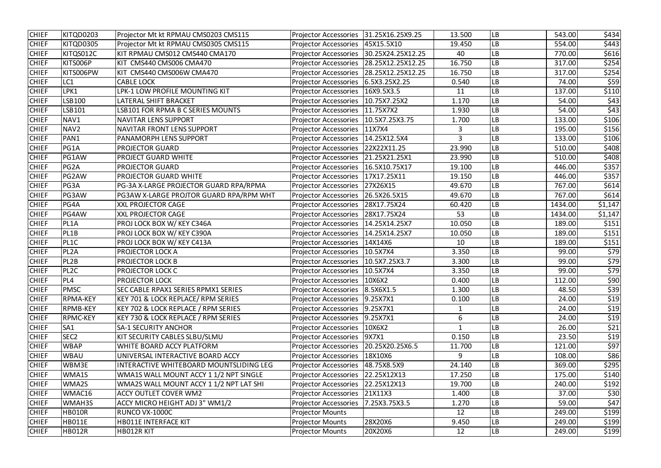| <b>CHIEF</b> | KITQD0203         | Projector Mt kt RPMAU CMS0203 CMS115    | <b>Projector Accessories</b>              | 31.25X16.25X9.25  | 13.500 | <b>LB</b>  | 543.00  | \$434                    |
|--------------|-------------------|-----------------------------------------|-------------------------------------------|-------------------|--------|------------|---------|--------------------------|
| <b>CHIEF</b> | KITQD0305         | Projector Mt kt RPMAU CMS0305 CMS115    | Projector Accessories   45X15.5X10        |                   | 19.450 | <b>LB</b>  | 554.00  | \$443                    |
| <b>CHIEF</b> | KITQS012C         | KIT RPMAU CMS012 CMS440 CMA170          | Projector Accessories   30.25X24.25X12.25 |                   | 40     | <b>LB</b>  | 770.00  | \$616                    |
| <b>CHIEF</b> | KITS006P          | KIT CMS440 CMS006 CMA470                | <b>Projector Accessories</b>              | 28.25X12.25X12.25 | 16.750 | LB         | 317.00  | \$254                    |
| <b>CHIEF</b> | KITS006PW         | KIT CMS440 CMS006W CMA470               | <b>Projector Accessories</b>              | 28.25X12.25X12.25 | 16.750 | <b>LB</b>  | 317.00  | \$254                    |
| <b>CHIEF</b> | LC1               | <b>CABLE LOCK</b>                       | <b>Projector Accessories</b>              | 6.5X3.25X2.25     | 0.540  | LB         | 74.00   | \$59                     |
| <b>CHIEF</b> | LPK1              | LPK-1 LOW PROFILE MOUNTING KIT          | <b>Projector Accessories</b>              | 16X9.5X3.5        | 11     | LВ         | 137.00  | \$110                    |
| <b>CHIEF</b> | LSB100            | LATERAL SHIFT BRACKET                   | Projector Accessories   10.75X7.25X2      |                   | 1.170  | <b>LB</b>  | 54.00   | \$43                     |
| <b>CHIEF</b> | LSB101            | LSB101 FOR RPMA B C SERIES MOUNTS       | Projector Accessories   11.75X7X2         |                   | 1.930  | LB         | 54.00   | $\overline{\varsigma$ 43 |
| <b>CHIEF</b> | NAV1              | NAVITAR LENS SUPPORT                    | Projector Accessories   10.5X7.25X3.75    |                   | 1.700  | LB         | 133.00  | \$106                    |
| <b>CHIEF</b> | NAV <sub>2</sub>  | <b>NAVITAR FRONT LENS SUPPORT</b>       | <b>Projector Accessories</b>              | 11X7X4            | 3      | LB         | 195.00  | \$156                    |
| <b>CHIEF</b> | PAN1              | PANAMORPH LENS SUPPORT                  | Projector Accessories   14.25X12.5X4      |                   | 3      | LB         | 133.00  | \$106                    |
| <b>CHIEF</b> | PG1A              | <b>PROJECTOR GUARD</b>                  | <b>Projector Accessories</b>              | 22X22X11.25       | 23.990 | ${\sf LB}$ | 510.00  | \$408                    |
| <b>CHIEF</b> | PG1AW             | PROJECT GUARD WHITE                     | Projector Accessories   21.25X21.25X1     |                   | 23.990 | LB         | 510.00  | \$408                    |
| <b>CHIEF</b> | PG <sub>2</sub> A | <b>PROJECTOR GUARD</b>                  | Projector Accessories   16.5X10.75X17     |                   | 19.100 | <b>LB</b>  | 446.00  | \$357                    |
| <b>CHIEF</b> | PG2AW             | PROJECTOR GUARD WHITE                   | <b>Projector Accessories</b>              | 17X17.25X11       | 19.150 | LB         | 446.00  | \$357                    |
| <b>CHIEF</b> | PG3A              | PG-3A X-LARGE PROJECTOR GUARD RPA/RPMA  | Projector Accessories                     | 27X26X15          | 49.670 | LB         | 767.00  | \$614                    |
| <b>CHIEF</b> | PG3AW             | PG3AW X-LARGE PROJTOR GUARD RPA/RPM WHT | <b>Projector Accessories</b>              | 26.5X26.5X15      | 49.670 | <b>LB</b>  | 767.00  | \$614                    |
| <b>CHIEF</b> | PG4A              | <b>XXL PROJECTOR CAGE</b>               | Projector Accessories   28X17.75X24       |                   | 60.420 | LВ         | 1434.00 | \$1,147                  |
| <b>CHIEF</b> | PG4AW             | <b>XXL PROJECTOR CAGE</b>               | <b>Projector Accessories</b>              | 28X17.75X24       | 53     | LB         | 1434.00 | \$1,147                  |
| <b>CHIEF</b> | PL1A              | PROJ LOCK BOX W/ KEY C346A              | Projector Accessories   14.25X14.25X7     |                   | 10.050 | LB         | 189.00  | \$151                    |
| <b>CHIEF</b> | PL1B              | PROJ LOCK BOX W/ KEY C390A              | <b>Projector Accessories</b>              | 14.25X14.25X7     | 10.050 | <b>LB</b>  | 189.00  | \$151                    |
| <b>CHIEF</b> | PL1C              | PROJ LOCK BOX W/ KEY C413A              | <b>Projector Accessories</b>              | 14X14X6           | 10     | LB         | 189.00  | \$151                    |
| <b>CHIEF</b> | PL <sub>2</sub> A | PROJECTOR LOCK A                        | <b>Projector Accessories</b>              | 10.5X7X4          | 3.350  | LB         | 99.00   | \$79                     |
| <b>CHIEF</b> | PL2B              | <b>PROJECTOR LOCK B</b>                 | <b>Projector Accessories</b>              | 10.5X7.25X3.7     | 3.300  | ${\sf LB}$ | 99.00   | \$79                     |
| <b>CHIEF</b> | PL <sub>2C</sub>  | PROJECTOR LOCK C                        | Projector Accessories   10.5X7X4          |                   | 3.350  | <b>LB</b>  | 99.00   | \$79                     |
| <b>CHIEF</b> | PL <sub>4</sub>   | <b>PROJECTOR LOCK</b>                   | Projector Accessories   10X6X2            |                   | 0.400  | <b>LB</b>  | 112.00  | \$90                     |
| <b>CHIEF</b> | <b>PMSC</b>       | SEC CABLE RPAX1 SERIES RPMX1 SERIES     | <b>Projector Accessories</b>              | $8.5X6X1.5$       | 1.300  | <b>LB</b>  | 48.50   | \$39                     |
| <b>CHIEF</b> | <b>RPMA-KEY</b>   | KEY 701 & LOCK REPLACE/ RPM SERIES      | <b>Projector Accessories</b>              | $ 9.25$ X7X1      | 0.100  | <b>LB</b>  | 24.00   | \$19                     |
| <b>CHIEF</b> | <b>RPMB-KEY</b>   | KEY 702 & LOCK REPLACE / RPM SERIES     | <b>Projector Accessories</b>              | $ 9.25$ X7X1      |        | LB         | 24.00   | \$19                     |
| <b>CHIEF</b> | <b>RPMC-KEY</b>   | KEY 730 & LOCK REPLACE / RPM SERIES     | <b>Projector Accessories</b>              | 9.25X7X1          | 6      | LB         | 24.00   | \$19                     |
| <b>CHIEF</b> | SA <sub>1</sub>   | <b>SA-1 SECURITY ANCHOR</b>             | <b>Projector Accessories</b>              | 10X6X2            | 1      | <b>LB</b>  | 26.00   | \$21                     |
| <b>CHIEF</b> | SEC <sub>2</sub>  | KIT SECURITY CABLES SLBU/SLMU           | Projector Accessories   9X7X1             |                   | 0.150  | LB         | 23.50   | \$19                     |
| <b>CHIEF</b> | <b>WBAP</b>       | WHITE BOARD ACCY PLATFORM               | <b>Projector Accessories</b>              | 20.25X20.25X6.5   | 11.700 | LB         | 121.00  | \$97                     |
| <b>CHIEF</b> | <b>WBAU</b>       | UNIVERSAL INTERACTIVE BOARD ACCY        | <b>Projector Accessories</b>              | 18X10X6           | 9      | <b>LB</b>  | 108.00  | \$86                     |
| <b>CHIEF</b> | WBM3E             | INTERACTIVE WHITEBOARD MOUNTSLIDING LEG | <b>Projector Accessories</b>              | 48.75X8.5X9       | 24.140 | LB         | 369.00  | \$295                    |
| <b>CHIEF</b> | WMA1S             | WMA1S WALL MOUNT ACCY 1 1/2 NPT SINGLE  | <b>Projector Accessories</b>              | 22.25X12X13       | 17.250 | ${\sf LB}$ | 175.00  | \$140                    |
| <b>CHIEF</b> | WMA2S             | WMA2S WALL MOUNT ACCY 1 1/2 NPT LAT SHI | <b>Projector Accessories</b>              | 22.25X12X13       | 19.700 | <b>LB</b>  | 240.00  | \$192                    |
| <b>CHIEF</b> | WMAC16            | ACCY OUTLET COVER WM2                   | Projector Accessories 21X11X3             |                   | 1.400  | LB         | 37.00   | \$30                     |
| <b>CHIEF</b> | WMAH3S            | ACCY MICRO HEIGHT ADJ 3" WM1/2          | <b>Projector Accessories</b>              | 7.25X3.75X3.5     | 1.270  | <b>LB</b>  | 59.00   | \$47                     |
| <b>CHIEF</b> | <b>HB010R</b>     | RUNCO VX-1000C                          | <b>Projector Mounts</b>                   |                   | 12     | <b>LB</b>  | 249.00  | \$199                    |
| <b>CHIEF</b> | <b>HB011E</b>     | HB011E INTERFACE KIT                    | <b>Projector Mounts</b>                   | 28X20X6           | 9.450  | <b>LB</b>  | 249.00  | \$199                    |
| <b>CHIEF</b> | <b>HB012R</b>     | HB012R KIT                              | <b>Projector Mounts</b>                   | 20X20X6           | 12     | LB         | 249.00  | \$199                    |
|              |                   |                                         |                                           |                   |        |            |         |                          |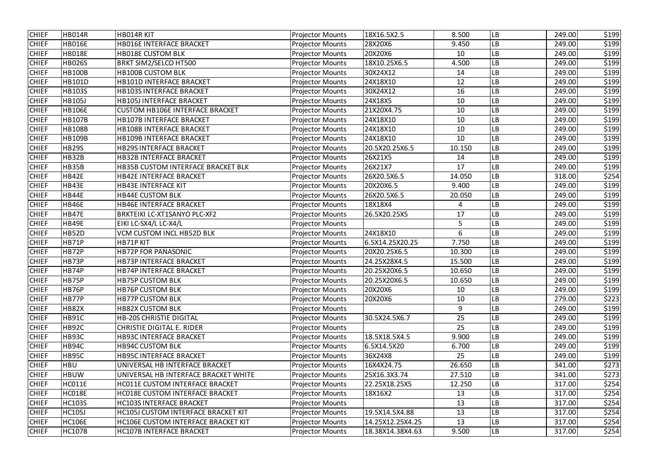| <b>CHIEF</b> | <b>HB014R</b> | HB014R KIT                                 | <b>Projector Mounts</b> | 18X16.5X2.5      | 8.500          | LB        | 249.00 | \$199 |
|--------------|---------------|--------------------------------------------|-------------------------|------------------|----------------|-----------|--------|-------|
| <b>CHIEF</b> | <b>HB016E</b> | <b>HB016E INTERFACE BRACKET</b>            | <b>Projector Mounts</b> | 28X20X6          | 9.450          | LB        | 249.00 | \$199 |
| <b>CHIEF</b> | <b>HB018E</b> | <b>HB018E CUSTOM BLK</b>                   | <b>Projector Mounts</b> | 20X20X6          | 10             | LB        | 249.00 | \$199 |
| <b>CHIEF</b> | <b>HB026S</b> | <b>BRKT SIM2/SELCO HT500</b>               | <b>Projector Mounts</b> | 18X10.25X6.5     | 4.500          | LB        | 249.00 | \$199 |
| <b>CHIEF</b> | <b>HB100B</b> | <b>HB100B CUSTOM BLK</b>                   | <b>Projector Mounts</b> | 30X24X12         | 14             | LB        | 249.00 | \$199 |
| <b>CHIEF</b> | <b>HB101D</b> | HB101D INTERFACE BRACKET                   | <b>Projector Mounts</b> | 24X18X10         | 12             | LB        | 249.00 | \$199 |
| <b>CHIEF</b> | <b>HB103S</b> | <b>HB103S INTERFACE BRACKET</b>            | <b>Projector Mounts</b> | 30X24X12         | 16             | LB        | 249.00 | \$199 |
| <b>CHIEF</b> | <b>HB105J</b> | <b>HB105J INTERFACE BRACKET</b>            | <b>Projector Mounts</b> | 24X18X5          | 10             | LB        | 249.00 | \$199 |
| <b>CHIEF</b> | <b>HB106E</b> | <b>CUSTOM HB106E INTERFACE BRACKET</b>     | <b>Projector Mounts</b> | 21X20X4.75       | 10             | LB        | 249.00 | \$199 |
| <b>CHIEF</b> | <b>HB107B</b> | <b>HB107B INTERFACE BRACKET</b>            | <b>Projector Mounts</b> | 24X18X10         | 10             | LB        | 249.00 | \$199 |
| <b>CHIEF</b> | <b>HB108B</b> | <b>HB108B INTERFACE BRACKET</b>            | <b>Projector Mounts</b> | 24X18X10         | 10             | LB        | 249.00 | \$199 |
| <b>CHIEF</b> | <b>HB109B</b> | <b>HB109B INTERFACE BRACKET</b>            | <b>Projector Mounts</b> | 24X18X10         | 10             | LB        | 249.00 | \$199 |
| <b>CHIEF</b> | <b>HB29S</b>  | <b>HB29S INTERFACE BRACKET</b>             | <b>Projector Mounts</b> | 20.5X20.25X6.5   | 10.150         | LB        | 249.00 | \$199 |
| <b>CHIEF</b> | <b>HB32B</b>  | <b>HB32B INTERFACE BRACKET</b>             | <b>Projector Mounts</b> | 26X21X5          | 14             | LB        | 249.00 | \$199 |
| <b>CHIEF</b> | <b>HB35B</b>  | <b>HB35B CUSTOM INTERFACE BRACKET BLK</b>  | <b>Projector Mounts</b> | 26X21X7          | 17             | LB        | 249.00 | \$199 |
| <b>CHIEF</b> | <b>HB42E</b>  | <b>HB42E INTERFACE BRACKET</b>             | <b>Projector Mounts</b> | 26X20.5X6.5      | 14.050         | LB        | 318.00 | \$254 |
| <b>CHIEF</b> | HB43E         | <b>HB43E INTERFACE KIT</b>                 | <b>Projector Mounts</b> | 20X20X6.5        | 9.400          | LB        | 249.00 | \$199 |
| <b>CHIEF</b> | <b>HB44E</b>  | <b>HB44E CUSTOM BLK</b>                    | <b>Projector Mounts</b> | 26X20.5X6.5      | 20.050         | LB        | 249.00 | \$199 |
| <b>CHIEF</b> | <b>HB46E</b>  | <b>HB46E INTERFACE BRACKET</b>             | <b>Projector Mounts</b> | 18X18X4          | $\overline{4}$ | LB        | 249.00 | \$199 |
| <b>CHIEF</b> | HB47E         | BRKTEIKI LC-XT1SANYO PLC-XF2               | <b>Projector Mounts</b> | 26.5X20.25X5     | 17             | LB        | 249.00 | \$199 |
| <b>CHIEF</b> | HB49E         | EIKI LC-SX4/L LC-X4/L                      | <b>Projector Mounts</b> |                  | 5              | LB        | 249.00 | \$199 |
| <b>CHIEF</b> | <b>HB52D</b>  | <b>VCM CUSTOM INCL HB52D BLK</b>           | <b>Projector Mounts</b> | 24X18X10         | 6              | -B        | 249.00 | \$199 |
| <b>CHIEF</b> | <b>HB71P</b>  | HB71PKIT                                   | <b>Projector Mounts</b> | 6.5X14.25X20.25  | 7.750          | LB        | 249.00 | \$199 |
| <b>CHIEF</b> | <b>HB72P</b>  | <b>HB72P FOR PANASONIC</b>                 | <b>Projector Mounts</b> | 20X20.25X6.5     | 10.300         | LB        | 249.00 | \$199 |
| <b>CHIEF</b> | <b>HB73P</b>  | <b>HB73P INTERFACE BRACKET</b>             | <b>Projector Mounts</b> | 24.25X28X4.5     | 15.500         | LB        | 249.00 | \$199 |
| <b>CHIEF</b> | <b>HB74P</b>  | <b>HB74P INTERFACE BRACKET</b>             | <b>Projector Mounts</b> | 20.25X20X6.5     | 10.650         | LB        | 249.00 | \$199 |
| <b>CHIEF</b> | HB75P         | <b>HB75P CUSTOM BLK</b>                    | <b>Projector Mounts</b> | 20.25X20X6.5     | 10.650         | <b>LB</b> | 249.00 | \$199 |
| <b>CHIEF</b> | HB76P         | <b>HB76P CUSTOM BLK</b>                    | <b>Projector Mounts</b> | 20X20X6          | 10             | LB        | 249.00 | \$199 |
| <b>CHIEF</b> | HB77P         | <b>HB77P CUSTOM BLK</b>                    | <b>Projector Mounts</b> | 20X20X6          | 10             | LB        | 279.00 | \$223 |
| <b>CHIEF</b> | <b>HB82X</b>  | <b>HB82X CUSTOM BLK</b>                    | <b>Projector Mounts</b> |                  | 9              | LB        | 249.00 | \$199 |
| <b>CHIEF</b> | <b>HB91C</b>  | <b>HB-20S CHRISTIE DIGITAL</b>             | <b>Projector Mounts</b> | 30.5X24.5X6.7    | 25             | LB        | 249.00 | \$199 |
| <b>CHIEF</b> | <b>HB92C</b>  | <b>CHRISTIE DIGITAL E. RIDER</b>           | <b>Projector Mounts</b> |                  | 25             | LB        | 249.00 | \$199 |
| <b>CHIEF</b> | <b>HB93C</b>  | HB93C INTERFACE BRACKET                    | <b>Projector Mounts</b> | 18.5X18.5X4.5    | 9.900          | LB        | 249.00 | \$199 |
| <b>CHIEF</b> | HB94C         | <b>HB94C CUSTOM BLK</b>                    | <b>Projector Mounts</b> | 6.5X14.5X20      | 6.700          | LB        | 249.00 | \$199 |
| <b>CHIEF</b> | <b>HB95C</b>  | <b>HB95C INTERFACE BRACKET</b>             | <b>Projector Mounts</b> | 36X24X8          | 25             | LB        | 249.00 | \$199 |
| <b>CHIEF</b> | <b>HBU</b>    | UNIVERSAL HB INTERFACE BRACKET             | <b>Projector Mounts</b> | 16X4X24.75       | 26.650         | <b>LB</b> | 341.00 | \$273 |
| <b>CHIEF</b> | <b>HBUW</b>   | UNIVERSAL HB INTERFACE BRACKET WHITE       | <b>Projector Mounts</b> | 25X16.3X3.74     | 27.510         | LB        | 341.00 | \$273 |
| <b>CHIEF</b> | HCO11E        | HC011E CUSTOM INTERFACE BRACKET            | <b>Projector Mounts</b> | 22.25X18.25X5    | 12.250         | LВ        | 317.00 | \$254 |
| <b>CHIEF</b> | HC018E        | <b>HC018E CUSTOM INTERFACE BRACKET</b>     | <b>Projector Mounts</b> | 18X16X2          | 13             | LB        | 317.00 | \$254 |
| <b>CHIEF</b> | <b>HC103S</b> | <b>HC103S INTERFACE BRACKET</b>            | <b>Projector Mounts</b> |                  | 13             | LB        | 317.00 | \$254 |
| <b>CHIEF</b> | <b>HC105J</b> | <b>HC105J CUSTOM INTERFACE BRACKET KIT</b> | <b>Projector Mounts</b> | 19.5X14.5X4.88   | 13             | LB        | 317.00 | \$254 |
| <b>CHIEF</b> | <b>HC106E</b> | HC106E CUSTOM INTERFACE BRACKET KIT        | <b>Projector Mounts</b> | 14.25X12.25X4.25 | 13             | LB        | 317.00 | \$254 |
| <b>CHIEF</b> | <b>HC107B</b> | <b>HC107B INTERFACE BRACKET</b>            | <b>Projector Mounts</b> | 18.38X14.38X4.63 | 9.500          | LB        | 317.00 | \$254 |
|              |               |                                            |                         |                  |                |           |        |       |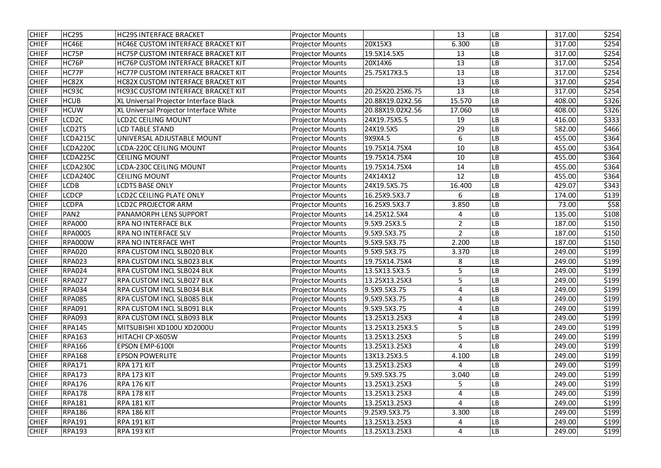| <b>CHIEF</b> | HC <sub>29</sub> S | <b>HC29S INTERFACE BRACKET</b>            | <b>Projector Mounts</b> |                  | 13             | LB        | 317.00 | \$254 |
|--------------|--------------------|-------------------------------------------|-------------------------|------------------|----------------|-----------|--------|-------|
| <b>CHIEF</b> | HC46E              | <b>HC46E CUSTOM INTERFACE BRACKET KIT</b> | <b>Projector Mounts</b> | 20X15X3          | 6.300          | LB        | 317.00 | \$254 |
| <b>CHIEF</b> | HC75P              | HC75P CUSTOM INTERFACE BRACKET KIT        | <b>Projector Mounts</b> | 19.5X14.5X5      | 13             | LB        | 317.00 | \$254 |
| <b>CHIEF</b> | HC76P              | HC76P CUSTOM INTERFACE BRACKET KIT        | <b>Projector Mounts</b> | 20X14X6          | 13             | LB        | 317.00 | \$254 |
| <b>CHIEF</b> | HC77P              | HC77P CUSTOM INTERFACE BRACKET KIT        | <b>Projector Mounts</b> | 25.75X17X3.5     | 13             | LB        | 317.00 | \$254 |
| <b>CHIEF</b> | HC82X              | <b>HC82X CUSTOM INTERFACE BRACKET KIT</b> | <b>Projector Mounts</b> |                  | 13             | LB        | 317.00 | \$254 |
| <b>CHIEF</b> | HC93C              | <b>HC93C CUSTOM INTERFACE BRACKET KIT</b> | <b>Projector Mounts</b> | 20.25X20.25X6.75 | 13             | LB        | 317.00 | \$254 |
| <b>CHIEF</b> | <b>HCUB</b>        | XL Universal Projector Interface Black    | <b>Projector Mounts</b> | 20.88X19.02X2.56 | 15.570         | LB        | 408.00 | \$326 |
| <b>CHIEF</b> | <b>HCUW</b>        | XL Universal Projector Interface White    | <b>Projector Mounts</b> | 20.88X19.02X2.56 | 17.060         | LB        | 408.00 | \$326 |
| <b>CHIEF</b> | LCD <sub>2C</sub>  | <b>LCD2C CEILING MOUNT</b>                | <b>Projector Mounts</b> | 24X19.75X5.5     | 19             | LB        | 416.00 | \$333 |
| <b>CHIEF</b> | CD <sub>2</sub> TS | LCD TABLE STAND                           | <b>Projector Mounts</b> | 24X19.5X5        | 29             | LB        | 582.00 | \$466 |
| <b>CHIEF</b> | CDA215C            | UNIVERSAL ADJUSTABLE MOUNT                | <b>Projector Mounts</b> | 9X9X4.5          | 6              | LB        | 455.00 | \$364 |
| <b>CHIEF</b> | CDA220C            | LCDA-220C CEILING MOUNT                   | <b>Projector Mounts</b> | 19.75X14.75X4    | 10             | LB        | 455.00 | \$364 |
| <b>CHIEF</b> | CDA225C            | <b>CEILING MOUNT</b>                      | <b>Projector Mounts</b> | 19.75X14.75X4    | 10             | LB        | 455.00 | \$364 |
| <b>CHIEF</b> | CDA230C            | LCDA-230C CEILING MOUNT                   | <b>Projector Mounts</b> | 19.75X14.75X4    | 14             | LB        | 455.00 | \$364 |
| <b>CHIEF</b> | CDA240C            | <b>CEILING MOUNT</b>                      | <b>Projector Mounts</b> | 24X14X12         | 12             | LB        | 455.00 | \$364 |
| <b>CHIEF</b> | <b>CDB</b>         | <b>LCDTS BASE ONLY</b>                    | <b>Projector Mounts</b> | 24X19.5X5.75     | 16.400         | LB        | 429.07 | \$343 |
| <b>CHIEF</b> | <b>CDCP</b>        | <b>LCD2C CEILING PLATE ONLY</b>           | <b>Projector Mounts</b> | 16.25X9.5X3.7    | 6              | LB        | 174.00 | \$139 |
| <b>CHIEF</b> | <b>CDPA</b>        | <b>LCD2C PROJECTOR ARM</b>                | <b>Projector Mounts</b> | 16.25X9.5X3.7    | 3.850          | LB        | 73.00  | \$58  |
| <b>CHIEF</b> | PAN <sub>2</sub>   | PANAMORPH LENS SUPPORT                    | <b>Projector Mounts</b> | 14.25X12.5X4     | $\overline{4}$ | LB        | 135.00 | \$108 |
| <b>CHIEF</b> | <b>RPA000</b>      | RPA NO INTERFACE BLK                      | <b>Projector Mounts</b> | 9.5X9.25X3.5     | $\overline{2}$ | LB        | 187.00 | \$150 |
| <b>CHIEF</b> | <b>RPA000S</b>     | RPA NO INTERFACE SLV                      | <b>Projector Mounts</b> | 9.5X9.5X3.75     | $\overline{2}$ | -B        | 187.00 | \$150 |
| <b>CHIEF</b> | <b>RPA000W</b>     | RPA NO INTERFACE WHT                      | <b>Projector Mounts</b> | 9.5X9.5X3.75     | 2.200          | LB        | 187.00 | \$150 |
| <b>CHIEF</b> | <b>RPA020</b>      | RPA CUSTOM INCL SLB020 BLK                | <b>Projector Mounts</b> | 9.5X9.5X3.75     | 3.370          | LB        | 249.00 | \$199 |
| <b>CHIEF</b> | <b>RPA023</b>      | <b>RPA CUSTOM INCL SLB023 BLK</b>         | <b>Projector Mounts</b> | 19.75X14.75X4    | 8              | -B        | 249.00 | \$199 |
| <b>CHIEF</b> | <b>RPA024</b>      | RPA CUSTOM INCL SLB024 BLK                | <b>Projector Mounts</b> | 13.5X13.5X3.5    | 5              | LB        | 249.00 | \$199 |
| <b>CHIEF</b> | <b>RPA027</b>      | <b>RPA CUSTOM INCL SLB027 BLK</b>         | <b>Projector Mounts</b> | 13.25X13.25X3    | 5              | <b>LB</b> | 249.00 | \$199 |
| <b>CHIEF</b> | <b>RPA034</b>      | RPA CUSTOM INCL SLB034 BLK                | <b>Projector Mounts</b> | 9.5X9.5X3.75     | 4              | LB        | 249.00 | \$199 |
| <b>CHIEF</b> | <b>RPA085</b>      | RPA CUSTOM INCL SLB085 BLK                | <b>Projector Mounts</b> | 9.5X9.5X3.75     | 4              | LB        | 249.00 | \$199 |
| <b>CHIEF</b> | <b>RPA091</b>      | RPA CUSTOM INCL SLB091 BLK                | <b>Projector Mounts</b> | 9.5X9.5X3.75     | 4              | LB        | 249.00 | \$199 |
| <b>CHIEF</b> | <b>RPA093</b>      | RPA CUSTOM INCL SLB093 BLK                | <b>Projector Mounts</b> | 13.25X13.25X3    | 4              | LB        | 249.00 | \$199 |
| <b>CHIEF</b> | <b>RPA145</b>      | MITSUBISHI XD100U XD2000U                 | <b>Projector Mounts</b> | 13.25X13.25X3.5  | 5              | LB        | 249.00 | \$199 |
| <b>CHIEF</b> | <b>RPA163</b>      | HITACHI CP-X605W                          | <b>Projector Mounts</b> | 13.25X13.25X3    | 5              | LB        | 249.00 | \$199 |
| <b>CHIEF</b> | <b>RPA166</b>      | EPSON EMP-6100I                           | <b>Projector Mounts</b> | 13.25X13.25X3    | 4              | LB        | 249.00 | \$199 |
| <b>CHIEF</b> | <b>RPA168</b>      | <b>EPSON POWERLITE</b>                    | <b>Projector Mounts</b> | 13X13.25X3.5     | 4.100          | LB        | 249.00 | \$199 |
| <b>CHIEF</b> | <b>RPA171</b>      | <b>RPA 171 KIT</b>                        | <b>Projector Mounts</b> | 13.25X13.25X3    | 4              | LB        | 249.00 | \$199 |
| <b>CHIEF</b> | <b>RPA173</b>      | <b>RPA 173 KIT</b>                        | <b>Projector Mounts</b> | 9.5X9.5X3.75     | 3.040          | LB        | 249.00 | \$199 |
| <b>CHIEF</b> | <b>RPA176</b>      | RPA 176 KIT                               | <b>Projector Mounts</b> | 13.25X13.25X3    | 5              | LB        | 249.00 | \$199 |
| <b>CHIEF</b> | <b>RPA178</b>      | RPA 178 KIT                               | <b>Projector Mounts</b> | 13.25X13.25X3    | 4              | LB        | 249.00 | \$199 |
| <b>CHIEF</b> | <b>RPA181</b>      | <b>RPA 181 KIT</b>                        | <b>Projector Mounts</b> | 13.25X13.25X3    | 4              | LB        | 249.00 | \$199 |
| <b>CHIEF</b> | <b>RPA186</b>      | <b>RPA 186 KIT</b>                        | <b>Projector Mounts</b> | 9.25X9.5X3.75    | 3.300          | LB        | 249.00 | \$199 |
| <b>CHIEF</b> | <b>RPA191</b>      | <b>RPA 191 KIT</b>                        | <b>Projector Mounts</b> | 13.25X13.25X3    | 4              | LB        | 249.00 | \$199 |
| <b>CHIEF</b> | <b>RPA193</b>      | <b>RPA 193 KIT</b>                        | <b>Projector Mounts</b> | 13.25X13.25X3    | 4              | LB        | 249.00 | \$199 |
|              |                    |                                           |                         |                  |                |           |        |       |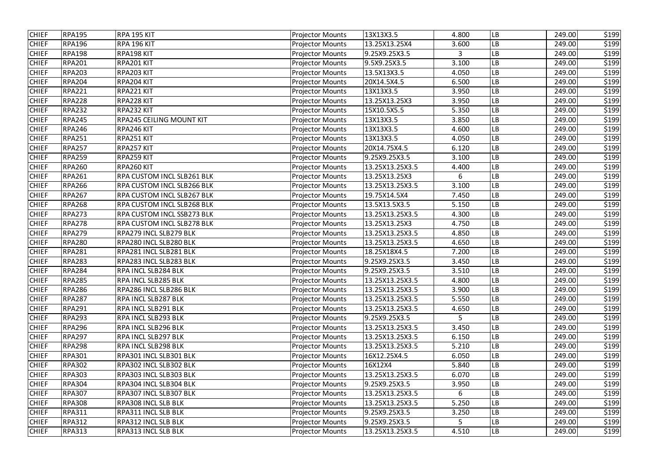| <b>CHIEF</b> | <b>RPA195</b> | RPA 195 KIT                       | <b>Projector Mounts</b> | 13X13X3.5       | 4.800        | LB        | 249.00 | \$199 |
|--------------|---------------|-----------------------------------|-------------------------|-----------------|--------------|-----------|--------|-------|
| <b>CHIEF</b> | <b>RPA196</b> | <b>RPA 196 KIT</b>                | <b>Projector Mounts</b> | 13.25X13.25X4   | 3.600        | LB        | 249.00 | \$199 |
| <b>CHIEF</b> | <b>RPA198</b> | RPA198 KIT                        | <b>Projector Mounts</b> | 9.25X9.25X3.5   | $\mathbf{3}$ | LB        | 249.00 | \$199 |
| <b>CHIEF</b> | <b>RPA201</b> | RPA201 KIT                        | <b>Projector Mounts</b> | 9.5X9.25X3.5    | 3.100        | LB        | 249.00 | \$199 |
| <b>CHIEF</b> | <b>RPA203</b> | RPA203 KIT                        | <b>Projector Mounts</b> | 13.5X13X3.5     | 4.050        | LB        | 249.00 | \$199 |
| <b>CHIEF</b> | <b>RPA204</b> | RPA204 KIT                        | <b>Projector Mounts</b> | 20X14.5X4.5     | 6.500        | LB        | 249.00 | \$199 |
| <b>CHIEF</b> | <b>RPA221</b> | RPA221 KIT                        | <b>Projector Mounts</b> | 13X13X3.5       | 3.950        | LB        | 249.00 | \$199 |
| <b>CHIEF</b> | <b>RPA228</b> | RPA228 KIT                        | <b>Projector Mounts</b> | 13.25X13.25X3   | 3.950        | LB        | 249.00 | \$199 |
| <b>CHIEF</b> | <b>RPA232</b> | RPA232 KIT                        | <b>Projector Mounts</b> | 15X10.5X5.5     | 5.350        | LB        | 249.00 | \$199 |
| <b>CHIEF</b> | <b>RPA245</b> | RPA245 CEILING MOUNT KIT          | <b>Projector Mounts</b> | 13X13X3.5       | 3.850        | LB        | 249.00 | \$199 |
| <b>CHIEF</b> | <b>RPA246</b> | RPA246 KIT                        | <b>Projector Mounts</b> | 13X13X3.5       | 4.600        | LB        | 249.00 | \$199 |
| <b>CHIEF</b> | <b>RPA251</b> | RPA251 KIT                        | <b>Projector Mounts</b> | 13X13X3.5       | 4.050        | LB        | 249.00 | \$199 |
| <b>CHIEF</b> | <b>RPA257</b> | RPA257 KIT                        | <b>Projector Mounts</b> | 20X14.75X4.5    | 6.120        | LB        | 249.00 | \$199 |
| <b>CHIEF</b> | <b>RPA259</b> | RPA259 KIT                        | <b>Projector Mounts</b> | 9.25X9.25X3.5   | 3.100        | LB        | 249.00 | \$199 |
| <b>CHIEF</b> | <b>RPA260</b> | RPA260 KIT                        | <b>Projector Mounts</b> | 13.25X13.25X3.5 | 4.400        | LВ        | 249.00 | \$199 |
| <b>CHIEF</b> | <b>RPA261</b> | RPA CUSTOM INCL SLB261 BLK        | <b>Projector Mounts</b> | 13.25X13.25X3   | 6            | LB        | 249.00 | \$199 |
| <b>CHIEF</b> | <b>RPA266</b> | RPA CUSTOM INCL SLB266 BLK        | <b>Projector Mounts</b> | 13.25X13.25X3.5 | 3.100        | LB        | 249.00 | \$199 |
| <b>CHIEF</b> | <b>RPA267</b> | <b>RPA CUSTOM INCL SLB267 BLK</b> | <b>Projector Mounts</b> | 19.75X14.5X4    | 7.450        | LB        | 249.00 | \$199 |
| <b>CHIEF</b> | <b>RPA268</b> | <b>RPA CUSTOM INCL SLB268 BLK</b> | <b>Projector Mounts</b> | 13.5X13.5X3.5   | 5.150        | LB        | 249.00 | \$199 |
| <b>CHIEF</b> | <b>RPA273</b> | RPA CUSTOM INCL SSB273 BLK        | <b>Projector Mounts</b> | 13.25X13.25X3.5 | 4.300        | LB        | 249.00 | \$199 |
| <b>CHIEF</b> | <b>RPA278</b> | RPA CUSTOM INCL SLB278 BLK        | <b>Projector Mounts</b> | 13.25X13.25X3   | 4.750        | LB        | 249.00 | \$199 |
| <b>CHIEF</b> | <b>RPA279</b> | RPA279 INCL SLB279 BLK            | <b>Projector Mounts</b> | 13.25X13.25X3.5 | 4.850        | LB        | 249.00 | \$199 |
| <b>CHIEF</b> | <b>RPA280</b> | RPA280 INCL SLB280 BLK            | <b>Projector Mounts</b> | 13.25X13.25X3.5 | 4.650        | LB        | 249.00 | \$199 |
| <b>CHIEF</b> | <b>RPA281</b> | RPA281 INCL SLB281 BLK            | <b>Projector Mounts</b> | 18.25X18X4.5    | 7.200        | LB        | 249.00 | \$199 |
| <b>CHIEF</b> | <b>RPA283</b> | RPA283 INCL SLB283 BLK            | <b>Projector Mounts</b> | 9.25X9.25X3.5   | 3.450        | LB        | 249.00 | \$199 |
| <b>CHIEF</b> | <b>RPA284</b> | RPA INCL SLB284 BLK               | <b>Projector Mounts</b> | 9.25X9.25X3.5   | 3.510        | LB        | 249.00 | \$199 |
| <b>CHIEF</b> | <b>RPA285</b> | <b>RPA INCL SLB285 BLK</b>        | <b>Projector Mounts</b> | 13.25X13.25X3.5 | 4.800        | <b>LB</b> | 249.00 | \$199 |
| <b>CHIEF</b> | <b>RPA286</b> | RPA286 INCL SLB286 BLK            | <b>Projector Mounts</b> | 13.25X13.25X3.5 | 3.900        | LB        | 249.00 | \$199 |
| <b>CHIEF</b> | <b>RPA287</b> | <b>RPA INCL SLB287 BLK</b>        | <b>Projector Mounts</b> | 13.25X13.25X3.5 | 5.550        | LB        | 249.00 | \$199 |
| <b>CHIEF</b> | <b>RPA291</b> | <b>RPA INCL SLB291 BLK</b>        | <b>Projector Mounts</b> | 13.25X13.25X3.5 | 4.650        | LB        | 249.00 | \$199 |
| <b>CHIEF</b> | <b>RPA293</b> | RPA INCL SLB293 BLK               | <b>Projector Mounts</b> | 9.25X9.25X3.5   | 5            | LB        | 249.00 | \$199 |
| <b>CHIEF</b> | <b>RPA296</b> | RPA INCL SLB296 BLK               | <b>Projector Mounts</b> | 13.25X13.25X3.5 | 3.450        | LB        | 249.00 | \$199 |
| <b>CHIEF</b> | <b>RPA297</b> | RPA INCL SLB297 BLK               | <b>Projector Mounts</b> | 13.25X13.25X3.5 | 6.150        | <b>LB</b> | 249.00 | \$199 |
| <b>CHIEF</b> | <b>RPA298</b> | RPA INCL SLB298 BLK               | <b>Projector Mounts</b> | 13.25X13.25X3.5 | 5.210        | LB        | 249.00 | \$199 |
| <b>CHIEF</b> | <b>RPA301</b> | RPA301 INCL SLB301 BLK            | <b>Projector Mounts</b> | 16X12.25X4.5    | 6.050        | LB        | 249.00 | \$199 |
| <b>CHIEF</b> | <b>RPA302</b> | RPA302 INCL SLB302 BLK            | <b>Projector Mounts</b> | 16X12X4         | 5.840        | <b>LB</b> | 249.00 | \$199 |
| <b>CHIEF</b> | <b>RPA303</b> | RPA303 INCL SLB303 BLK            | <b>Projector Mounts</b> | 13.25X13.25X3.5 | 6.070        | LB        | 249.00 | \$199 |
| <b>CHIEF</b> | <b>RPA304</b> | RPA304 INCL SLB304 BLK            | <b>Projector Mounts</b> | 9.25X9.25X3.5   | 3.950        | LB        | 249.00 | \$199 |
| <b>CHIEF</b> | <b>RPA307</b> | RPA307 INCL SLB307 BLK            | <b>Projector Mounts</b> | 13.25X13.25X3.5 | 6            | LB        | 249.00 | \$199 |
| <b>CHIEF</b> | <b>RPA308</b> | RPA308 INCL SLB BLK               | <b>Projector Mounts</b> | 13.25X13.25X3.5 | 5.250        | LB        | 249.00 | \$199 |
| <b>CHIEF</b> | <b>RPA311</b> | RPA311 INCL SLB BLK               | <b>Projector Mounts</b> | 9.25X9.25X3.5   | 3.250        | LB        | 249.00 | \$199 |
| <b>CHIEF</b> | <b>RPA312</b> | RPA312 INCL SLB BLK               | <b>Projector Mounts</b> | 9.25X9.25X3.5   | 5            | LB        | 249.00 | \$199 |
| <b>CHIEF</b> | <b>RPA313</b> | RPA313 INCL SLB BLK               | <b>Projector Mounts</b> | 13.25X13.25X3.5 | 4.510        | LB        | 249.00 | \$199 |
|              |               |                                   |                         |                 |              |           |        |       |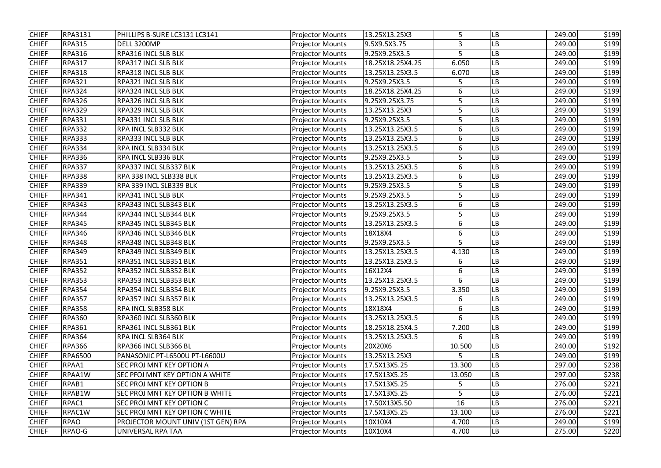| <b>CHIEF</b> | <b>RPA3131</b> | PHILLIPS B-SURE LC3131 LC3141      | <b>Projector Mounts</b> | 13.25X13.25X3    | 5      | LB  | 249.00 | \$199 |
|--------------|----------------|------------------------------------|-------------------------|------------------|--------|-----|--------|-------|
| <b>CHIEF</b> | <b>RPA315</b>  | DELL 3200MP                        | <b>Projector Mounts</b> | 9.5X9.5X3.75     | 3      | LB  | 249.00 | \$199 |
| <b>CHIEF</b> | <b>RPA316</b>  | RPA316 INCL SLB BLK                | <b>Projector Mounts</b> | 9.25X9.25X3.5    | 5      | LB  | 249.00 | \$199 |
| <b>CHIEF</b> | <b>RPA317</b>  | RPA317 INCL SLB BLK                | <b>Projector Mounts</b> | 18.25X18.25X4.25 | 6.050  | LB  | 249.00 | \$199 |
| <b>CHIEF</b> | <b>RPA318</b>  | RPA318 INCL SLB BLK                | <b>Projector Mounts</b> | 13.25X13.25X3.5  | 6.070  | LB  | 249.00 | \$199 |
| <b>CHIEF</b> | <b>RPA321</b>  | RPA321 INCL SLB BLK                | <b>Projector Mounts</b> | 9.25X9.25X3.5    | 5      | LB  | 249.00 | \$199 |
| <b>CHIEF</b> | <b>RPA324</b>  | RPA324 INCL SLB BLK                | <b>Projector Mounts</b> | 18.25X18.25X4.25 | 6      | LB. | 249.00 | \$199 |
| <b>CHIEF</b> | <b>RPA326</b>  | RPA326 INCL SLB BLK                | <b>Projector Mounts</b> | 9.25X9.25X3.75   | 5      | LB  | 249.00 | \$199 |
| <b>CHIEF</b> | <b>RPA329</b>  | RPA329 INCL SLB BLK                | <b>Projector Mounts</b> | 13.25X13.25X3    | 5      | LB  | 249.00 | \$199 |
| <b>CHIEF</b> | <b>RPA331</b>  | RPA331 INCL SLB BLK                | <b>Projector Mounts</b> | 9.25X9.25X3.5    | 5      | LB  | 249.00 | \$199 |
| <b>CHIEF</b> | <b>RPA332</b>  | <b>RPA INCL SLB332 BLK</b>         | <b>Projector Mounts</b> | 13.25X13.25X3.5  | 6      | LB  | 249.00 | \$199 |
| <b>CHIEF</b> | <b>RPA333</b>  | <b>RPA333 INCL SLB BLK</b>         | <b>Projector Mounts</b> | 13.25X13.25X3.5  | 6      | LB  | 249.00 | \$199 |
| <b>CHIEF</b> | <b>RPA334</b>  | <b>RPA INCL SLB334 BLK</b>         | <b>Projector Mounts</b> | 13.25X13.25X3.5  | 6      | LB. | 249.00 | \$199 |
| <b>CHIEF</b> | <b>RPA336</b>  | RPA INCL SLB336 BLK                | <b>Projector Mounts</b> | 9.25X9.25X3.5    | 5      | LB  | 249.00 | \$199 |
| <b>CHIEF</b> | <b>RPA337</b>  | RPA337 INCL SLB337 BLK             | <b>Projector Mounts</b> | 13.25X13.25X3.5  | 6      | LB  | 249.00 | \$199 |
| <b>CHIEF</b> | <b>RPA338</b>  | RPA 338 INCL SLB338 BLK            | <b>Projector Mounts</b> | 13.25X13.25X3.5  | 6      | LB. | 249.00 | \$199 |
| <b>CHIEF</b> | <b>RPA339</b>  | RPA 339 INCL SLB339 BLK            | <b>Projector Mounts</b> | 9.25X9.25X3.5    | 5      | LB  | 249.00 | \$199 |
| <b>CHIEF</b> | <b>RPA341</b>  | RPA341 INCL SLB BLK                | <b>Projector Mounts</b> | 9.25X9.25X3.5    | 5      | LB  | 249.00 | \$199 |
| <b>CHIEF</b> | <b>RPA343</b>  | RPA343 INCL SLB343 BLK             | <b>Projector Mounts</b> | 13.25X13.25X3.5  | 6      | LB. | 249.00 | \$199 |
| <b>CHIEF</b> | <b>RPA344</b>  | RPA344 INCL SLB344 BLK             | <b>Projector Mounts</b> | 9.25X9.25X3.5    | 5      | LB  | 249.00 | \$199 |
| <b>CHIEF</b> | <b>RPA345</b>  | RPA345 INCL SLB345 BLK             | <b>Projector Mounts</b> | 13.25X13.25X3.5  | 6      | LB  | 249.00 | \$199 |
| <b>CHIEF</b> | <b>RPA346</b>  | RPA346 INCL SLB346 BLK             | <b>Projector Mounts</b> | 18X18X4          | 6      | LB. | 249.00 | \$199 |
| <b>CHIEF</b> | <b>RPA348</b>  | RPA348 INCL SLB348 BLK             | <b>Projector Mounts</b> | 9.25X9.25X3.5    | 5      | LB  | 249.00 | \$199 |
| <b>CHIEF</b> | <b>RPA349</b>  | RPA349 INCL SLB349 BLK             | <b>Projector Mounts</b> | 13.25X13.25X3.5  | 4.130  | LB  | 249.00 | \$199 |
| <b>CHIEF</b> | <b>RPA351</b>  | RPA351 INCL SLB351 BLK             | <b>Projector Mounts</b> | 13.25X13.25X3.5  | 6      | LB. | 249.00 | \$199 |
| <b>CHIEF</b> | <b>RPA352</b>  | RPA352 INCL SLB352 BLK             | <b>Projector Mounts</b> | 16X12X4          | 6      | LB  | 249.00 | \$199 |
| <b>CHIEF</b> | <b>RPA353</b>  | RPA353 INCL SLB353 BLK             | <b>Projector Mounts</b> | 13.25X13.25X3.5  | 6      | LB  | 249.00 | \$199 |
| <b>CHIEF</b> | <b>RPA354</b>  | RPA354 INCL SLB354 BLK             | <b>Projector Mounts</b> | 9.25X9.25X3.5    | 3.350  | LB  | 249.00 | \$199 |
| <b>CHIEF</b> | <b>RPA357</b>  | RPA357 INCL SLB357 BLK             | <b>Projector Mounts</b> | 13.25X13.25X3.5  | 6      | LB  | 249.00 | \$199 |
| <b>CHIEF</b> | <b>RPA358</b>  | <b>RPA INCL SLB358 BLK</b>         | <b>Projector Mounts</b> | 18X18X4          | 6      | LB  | 249.00 | \$199 |
| <b>CHIEF</b> | <b>RPA360</b>  | RPA360 INCL SLB360 BLK             | <b>Projector Mounts</b> | 13.25X13.25X3.5  | 6      | LB  | 249.00 | \$199 |
| <b>CHIEF</b> | <b>RPA361</b>  | RPA361 INCL SLB361 BLK             | <b>Projector Mounts</b> | 18.25X18.25X4.5  | 7.200  | LB  | 249.00 | \$199 |
| <b>CHIEF</b> | <b>RPA364</b>  | <b>RPA INCL SLB364 BLK</b>         | <b>Projector Mounts</b> | 13.25X13.25X3.5  | 6      | LB  | 249.00 | \$199 |
| <b>CHIEF</b> | <b>RPA366</b>  | RPA366 INCL SLB366 BL              | <b>Projector Mounts</b> | 20X20X6          | 10.500 | LB  | 240.00 | \$192 |
| <b>CHIEF</b> | <b>RPA6500</b> | PANASONIC PT-L6500U PT-L6600U      | <b>Projector Mounts</b> | 13.25X13.25X3    | 5      | LB  | 249.00 | \$199 |
| <b>CHIEF</b> | RPAA1          | SEC PROJ MNT KEY OPTION A          | <b>Projector Mounts</b> | 17.5X13X5.25     | 13.300 | LB  | 297.00 | \$238 |
| <b>CHIEF</b> | RPAA1W         | SEC PFOJ MNT KEY OPTION A WHITE    | <b>Projector Mounts</b> | 17.5X13X5.25     | 13.050 | LB  | 297.00 | \$238 |
| <b>CHIEF</b> | RPAB1          | SEC PROJ MNT KEY OPTION B          | <b>Projector Mounts</b> | 17.5X13X5.25     | 5      | LB  | 276.00 | \$221 |
| <b>CHIEF</b> | RPAB1W         | SEC PROJ MNT KEY OPTION B WHITE    | <b>Projector Mounts</b> | 17.5X13X5.25     | 5      | LB  | 276.00 | \$221 |
| <b>CHIEF</b> | RPAC1          | SEC PROJ MNT KEY OPTION C          | <b>Projector Mounts</b> | 17.50X13X5.50    | 16     | LB  | 276.00 | \$221 |
| <b>CHIEF</b> | RPAC1W         | SEC PROJ MNT KEY OPTION C WHITE    | <b>Projector Mounts</b> | 17.5X13X5.25     | 13.100 | LB  | 276.00 | \$221 |
| <b>CHIEF</b> | <b>RPAO</b>    | PROJECTOR MOUNT UNIV (1ST GEN) RPA | <b>Projector Mounts</b> | 10X10X4          | 4.700  | LB  | 249.00 | \$199 |
| <b>CHIEF</b> | RPAO-G         | UNIVERSAL RPA TAA                  | <b>Projector Mounts</b> | 10X10X4          | 4.700  | LB  | 275.00 | \$220 |
|              |                |                                    |                         |                  |        |     |        |       |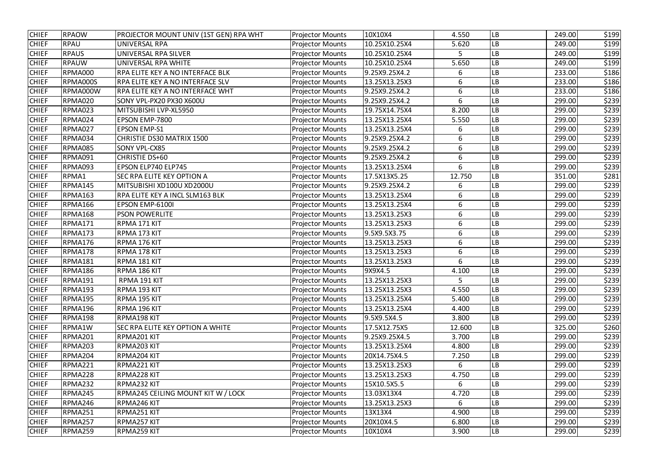| <b>CHIEF</b> | <b>RPAOW</b>   | PROJECTOR MOUNT UNIV (1ST GEN) RPA WHT | <b>Projector Mounts</b> | 10X10X4       | 4.550  | LB                     | 249.00 | \$199 |
|--------------|----------------|----------------------------------------|-------------------------|---------------|--------|------------------------|--------|-------|
| <b>CHIEF</b> | <b>RPAU</b>    | <b>UNIVERSAL RPA</b>                   | <b>Projector Mounts</b> | 10.25X10.25X4 | 5.620  | $\mathsf{L}\mathsf{B}$ | 249.00 | \$199 |
| <b>CHIEF</b> | <b>RPAUS</b>   | UNIVERSAL RPA SILVER                   | <b>Projector Mounts</b> | 10.25X10.25X4 | 5      | LB                     | 249.00 | \$199 |
| <b>CHIEF</b> | <b>RPAUW</b>   | UNIVERSAL RPA WHITE                    | <b>Projector Mounts</b> | 10.25X10.25X4 | 5.650  | LB                     | 249.00 | \$199 |
| <b>CHIEF</b> | RPMA000        | RPA ELITE KEY A NO INTERFACE BLK       | <b>Projector Mounts</b> | 9.25X9.25X4.2 | 6      | LB                     | 233.00 | \$186 |
| <b>CHIEF</b> | RPMA000S       | RPA ELITE KEY A NO INTERFACE SLV       | <b>Projector Mounts</b> | 13.25X13.25X3 | 6      | LB                     | 233.00 | \$186 |
| <b>CHIEF</b> | RPMA000W       | RPA ELITE KEY A NO INTERFACE WHT       | <b>Projector Mounts</b> | 9.25X9.25X4.2 | 6      | LB                     | 233.00 | \$186 |
| <b>CHIEF</b> | RPMA020        | SONY VPL-PX20 PX30 X600U               | <b>Projector Mounts</b> | 9.25X9.25X4.2 | 6      | LB                     | 299.00 | \$239 |
| <b>CHIEF</b> | RPMA023        | MITSUBISHI LVP-XL5950                  | <b>Projector Mounts</b> | 19.75X14.75X4 | 8.200  | LB                     | 299.00 | \$239 |
| <b>CHIEF</b> | RPMA024        | EPSON EMP-7800                         | <b>Projector Mounts</b> | 13.25X13.25X4 | 5.550  | LB                     | 299.00 | \$239 |
| <b>CHIEF</b> | RPMA027        | <b>EPSON EMP-S1</b>                    | <b>Projector Mounts</b> | 13.25X13.25X4 | 6      | LB                     | 299.00 | \$239 |
| <b>CHIEF</b> | RPMA034        | CHRISTIE DS30 MATRIX 1500              | <b>Projector Mounts</b> | 9.25X9.25X4.2 | 6      | LB                     | 299.00 | \$239 |
| <b>CHIEF</b> | RPMA085        | <b>SONY VPL-CX85</b>                   | <b>Projector Mounts</b> | 9.25X9.25X4.2 | 6      | LB                     | 299.00 | \$239 |
| <b>CHIEF</b> | RPMA091        | CHRISTIE DS+60                         | <b>Projector Mounts</b> | 9.25X9.25X4.2 | 6      | LB                     | 299.00 | \$239 |
| <b>CHIEF</b> | RPMA093        | EPSON ELP740 ELP745                    | <b>Projector Mounts</b> | 13.25X13.25X4 | 6      | ${\sf LB}$             | 299.00 | \$239 |
| <b>CHIEF</b> | RPMA1          | SEC RPA ELITE KEY OPTION A             | <b>Projector Mounts</b> | 17.5X13X5.25  | 12.750 | LB                     | 351.00 | \$281 |
| <b>CHIEF</b> | RPMA145        | MITSUBISHI XD100U XD2000U              | <b>Projector Mounts</b> | 9.25X9.25X4.2 | 6      | LB                     | 299.00 | \$239 |
| <b>CHIEF</b> | <b>RPMA163</b> | RPA ELITE KEY A INCL SLM163 BLK        | <b>Projector Mounts</b> | 13.25X13.25X4 | 6      | LB                     | 299.00 | \$239 |
| <b>CHIEF</b> | RPMA166        | EPSON EMP-6100I                        | <b>Projector Mounts</b> | 13.25X13.25X4 | 6      | LB                     | 299.00 | \$239 |
| <b>CHIEF</b> | RPMA168        | <b>PSON POWERLITE</b>                  | <b>Projector Mounts</b> | 13.25X13.25X3 | 6      | LB                     | 299.00 | \$239 |
| <b>CHIEF</b> | RPMA171        | RPMA 171 KIT                           | <b>Projector Mounts</b> | 13.25X13.25X3 | 6      | LB                     | 299.00 | \$239 |
| <b>CHIEF</b> | RPMA173        | RPMA 173 KIT                           | <b>Projector Mounts</b> | 9.5X9.5X3.75  | 6      | LB                     | 299.00 | \$239 |
| <b>CHIEF</b> | RPMA176        | RPMA 176 KIT                           | <b>Projector Mounts</b> | 13.25X13.25X3 | 6      | LB                     | 299.00 | \$239 |
| <b>CHIEF</b> | RPMA178        | RPMA 178 KIT                           | <b>Projector Mounts</b> | 13.25X13.25X3 | 6      | LB                     | 299.00 | \$239 |
| <b>CHIEF</b> | RPMA181        | RPMA 181 KIT                           | <b>Projector Mounts</b> | 13.25X13.25X3 | 6      | LB                     | 299.00 | \$239 |
| <b>CHIEF</b> | RPMA186        | RPMA 186 KIT                           | <b>Projector Mounts</b> | 9X9X4.5       | 4.100  | ${\sf LB}$             | 299.00 | \$239 |
| <b>CHIEF</b> | RPMA191        | RPMA 191 KIT                           | <b>Projector Mounts</b> | 13.25X13.25X3 | 5      | <b>LB</b>              | 299.00 | \$239 |
| <b>CHIEF</b> | <b>RPMA193</b> | RPMA 193 KIT                           | <b>Projector Mounts</b> | 13.25X13.25X3 | 4.550  | <b>LB</b>              | 299.00 | \$239 |
| <b>CHIEF</b> | RPMA195        | RPMA 195 KIT                           | <b>Projector Mounts</b> | 13.25X13.25X4 | 5.400  | <b>LB</b>              | 299.00 | \$239 |
| <b>CHIEF</b> | RPMA196        | RPMA 196 KIT                           | <b>Projector Mounts</b> | 13.25X13.25X4 | 4.400  | <b>LB</b>              | 299.00 | \$239 |
| <b>CHIEF</b> | RPMA198        | RPMA198 KIT                            | <b>Projector Mounts</b> | 9.5X9.5X4.5   | 3.800  | LB                     | 299.00 | \$239 |
| <b>CHIEF</b> | RPMA1W         | SEC RPA ELITE KEY OPTION A WHITE       | <b>Projector Mounts</b> | 17.5X12.75X5  | 12.600 | <b>LB</b>              | 325.00 | \$260 |
| <b>CHIEF</b> | RPMA201        | RPMA201 KIT                            | <b>Projector Mounts</b> | 9.25X9.25X4.5 | 3.700  | LB                     | 299.00 | \$239 |
| <b>CHIEF</b> | RPMA203        | RPMA203 KIT                            | <b>Projector Mounts</b> | 13.25X13.25X4 | 4.800  | <b>LB</b>              | 299.00 | \$239 |
| <b>CHIEF</b> | RPMA204        | RPMA204 KIT                            | <b>Projector Mounts</b> | 20X14.75X4.5  | 7.250  | <b>LB</b>              | 299.00 | \$239 |
| <b>CHIEF</b> | RPMA221        | RPMA221 KIT                            | <b>Projector Mounts</b> | 13.25X13.25X3 | 6      | LB                     | 299.00 | \$239 |
| <b>CHIEF</b> | RPMA228        | RPMA228 KIT                            | <b>Projector Mounts</b> | 13.25X13.25X3 | 4.750  | <b>LB</b>              | 299.00 | \$239 |
| <b>CHIEF</b> | RPMA232        | RPMA232 KIT                            | <b>Projector Mounts</b> | 15X10.5X5.5   | 6      | <b>LB</b>              | 299.00 | \$239 |
| <b>CHIEF</b> | RPMA245        | RPMA245 CEILING MOUNT KIT W / LOCK     | <b>Projector Mounts</b> | 13.03X13X4    | 4.720  | ${\sf LB}$             | 299.00 | \$239 |
| <b>CHIEF</b> | RPMA246        | RPMA246 KIT                            | <b>Projector Mounts</b> | 13.25X13.25X3 | 6      | <b>LB</b>              | 299.00 | \$239 |
| <b>CHIEF</b> | RPMA251        | RPMA251 KIT                            | <b>Projector Mounts</b> | 13X13X4       | 4.900  | <b>LB</b>              | 299.00 | \$239 |
| <b>CHIEF</b> | RPMA257        | RPMA257 KIT                            | <b>Projector Mounts</b> | 20X10X4.5     | 6.800  | ${\sf LB}$             | 299.00 | \$239 |
| <b>CHIEF</b> | RPMA259        | RPMA259 KIT                            | <b>Projector Mounts</b> | 10X10X4       | 3.900  | LB                     | 299.00 | \$239 |
|              |                |                                        |                         |               |        |                        |        |       |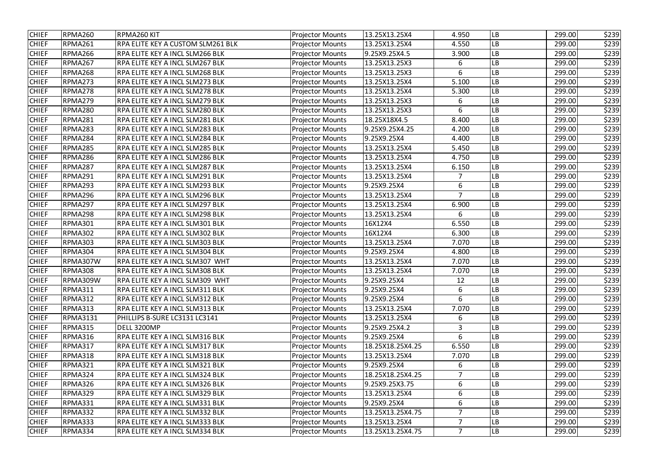| <b>CHIEF</b> | RPMA260         | RPMA260 KIT                            | <b>Projector Mounts</b> | 13.25X13.25X4    | 4.950          | LB                     | 299.00 | \$239 |
|--------------|-----------------|----------------------------------------|-------------------------|------------------|----------------|------------------------|--------|-------|
| <b>CHIEF</b> | RPMA261         | RPA ELITE KEY A CUSTOM SLM261 BLK      | <b>Projector Mounts</b> | 13.25X13.25X4    | 4.550          | LB                     | 299.00 | \$239 |
| <b>CHIEF</b> | RPMA266         | RPA ELITE KEY A INCL SLM266 BLK        | <b>Projector Mounts</b> | 9.25X9.25X4.5    | 3.900          | LB                     | 299.00 | \$239 |
| <b>CHIEF</b> | RPMA267         | RPA ELITE KEY A INCL SLM267 BLK        | <b>Projector Mounts</b> | 13.25X13.25X3    | 6              | LB                     | 299.00 | \$239 |
| <b>CHIEF</b> | RPMA268         | RPA ELITE KEY A INCL SLM268 BLK        | <b>Projector Mounts</b> | 13.25X13.25X3    | 6              | LВ                     | 299.00 | \$239 |
| <b>CHIEF</b> | RPMA273         | RPA ELITE KEY A INCL SLM273 BLK        | <b>Projector Mounts</b> | 13.25X13.25X4    | 5.100          | LB                     | 299.00 | \$239 |
| <b>CHIEF</b> | RPMA278         | RPA ELITE KEY A INCL SLM278 BLK        | <b>Projector Mounts</b> | 13.25X13.25X4    | 5.300          | LB                     | 299.00 | \$239 |
| <b>CHIEF</b> | RPMA279         | RPA ELITE KEY A INCL SLM279 BLK        | <b>Projector Mounts</b> | 13.25X13.25X3    | 6              | LB                     | 299.00 | \$239 |
| <b>CHIEF</b> | RPMA280         | RPA ELITE KEY A INCL SLM280 BLK        | <b>Projector Mounts</b> | 13.25X13.25X3    | 6              | LB                     | 299.00 | \$239 |
| <b>CHIEF</b> | RPMA281         | RPA ELITE KEY A INCL SLM281 BLK        | <b>Projector Mounts</b> | 18.25X18X4.5     | 8.400          | LB                     | 299.00 | \$239 |
| <b>CHIEF</b> | RPMA283         | RPA ELITE KEY A INCL SLM283 BLK        | <b>Projector Mounts</b> | 9.25X9.25X4.25   | 4.200          | LB                     | 299.00 | \$239 |
| <b>CHIEF</b> | RPMA284         | RPA ELITE KEY A INCL SLM284 BLK        | <b>Projector Mounts</b> | 9.25X9.25X4      | 4.400          | ${\sf LB}$             | 299.00 | \$239 |
| <b>CHIEF</b> | RPMA285         | RPA ELITE KEY A INCL SLM285 BLK        | <b>Projector Mounts</b> | 13.25X13.25X4    | 5.450          | $\mathsf{L}\mathsf{B}$ | 299.00 | \$239 |
| <b>CHIEF</b> | RPMA286         | RPA ELITE KEY A INCL SLM286 BLK        | <b>Projector Mounts</b> | 13.25X13.25X4    | 4.750          | LB                     | 299.00 | \$239 |
| <b>CHIEF</b> | RPMA287         | RPA ELITE KEY A INCL SLM287 BLK        | <b>Projector Mounts</b> | 13.25X13.25X4    | 6.150          | $\mathsf{L}\mathsf{B}$ | 299.00 | \$239 |
| <b>CHIEF</b> | RPMA291         | RPA ELITE KEY A INCL SLM291 BLK        | <b>Projector Mounts</b> | 13.25X13.25X4    | $\overline{7}$ | LB                     | 299.00 | \$239 |
| <b>CHIEF</b> | RPMA293         | RPA ELITE KEY A INCL SLM293 BLK        | <b>Projector Mounts</b> | 9.25X9.25X4      | 6              | LB                     | 299.00 | \$239 |
| <b>CHIEF</b> | RPMA296         | RPA ELITE KEY A INCL SLM296 BLK        | <b>Projector Mounts</b> | 13.25X13.25X4    | $\overline{7}$ | LB                     | 299.00 | \$239 |
| <b>CHIEF</b> | RPMA297         | RPA ELITE KEY A INCL SLM297 BLK        | <b>Projector Mounts</b> | 13.25X13.25X4    | 6.900          | $\mathsf{L}\mathsf{B}$ | 299.00 | \$239 |
| <b>CHIEF</b> | RPMA298         | RPA ELITE KEY A INCL SLM298 BLK        | <b>Projector Mounts</b> | 13.25X13.25X4    | 6              | LB                     | 299.00 | \$239 |
| <b>CHIEF</b> | <b>RPMA301</b>  | RPA ELITE KEY A INCL SLM301 BLK        | <b>Projector Mounts</b> | 16X12X4          | 6.550          | LB                     | 299.00 | \$239 |
| <b>CHIEF</b> | <b>RPMA302</b>  | RPA ELITE KEY A INCL SLM302 BLK        | <b>Projector Mounts</b> | 16X12X4          | 6.300          | LB                     | 299.00 | \$239 |
| <b>CHIEF</b> | <b>RPMA303</b>  | RPA ELITE KEY A INCL SLM303 BLK        | <b>Projector Mounts</b> | 13.25X13.25X4    | 7.070          | LB                     | 299.00 | \$239 |
| <b>CHIEF</b> | <b>RPMA304</b>  | RPA ELITE KEY A INCL SLM304 BLK        | <b>Projector Mounts</b> | 9.25X9.25X4      | 4.800          | ${\sf LB}$             | 299.00 | \$239 |
| <b>CHIEF</b> | RPMA307W        | RPA ELITE KEY A INCL SLM307 WHT        | <b>Projector Mounts</b> | 13.25X13.25X4    | 7.070          | LB                     | 299.00 | \$239 |
| <b>CHIEF</b> | <b>RPMA308</b>  | RPA ELITE KEY A INCL SLM308 BLK        | <b>Projector Mounts</b> | 13.25X13.25X4    | 7.070          | ${\sf LB}$             | 299.00 | \$239 |
| <b>CHIEF</b> | RPMA309W        | <b>RPA ELITE KEY A INCL SLM309 WHT</b> | <b>Projector Mounts</b> | 9.25X9.25X4      | 12             | LB                     | 299.00 | \$239 |
| <b>CHIEF</b> | RPMA311         | RPA ELITE KEY A INCL SLM311 BLK        | <b>Projector Mounts</b> | 9.25X9.25X4      | 6              | <b>LB</b>              | 299.00 | \$239 |
| <b>CHIEF</b> | <b>RPMA312</b>  | RPA ELITE KEY A INCL SLM312 BLK        | <b>Projector Mounts</b> | 9.25X9.25X4      | 6              | LB                     | 299.00 | \$239 |
| <b>CHIEF</b> | RPMA313         | RPA ELITE KEY A INCL SLM313 BLK        | <b>Projector Mounts</b> | 13.25X13.25X4    | 7.070          | <b>LB</b>              | 299.00 | \$239 |
| <b>CHIEF</b> | <b>RPMA3131</b> | PHILLIPS B-SURE LC3131 LC3141          | <b>Projector Mounts</b> | 13.25X13.25X4    | 6              | <b>LB</b>              | 299.00 | \$239 |
| <b>CHIEF</b> | <b>RPMA315</b>  | DELL 3200MP                            | <b>Projector Mounts</b> | 9.25X9.25X4.2    | 3              | LB                     | 299.00 | \$239 |
| <b>CHIEF</b> | RPMA316         | RPA ELITE KEY A INCL SLM316 BLK        | <b>Projector Mounts</b> | 9.25X9.25X4      | 6              | <b>LB</b>              | 299.00 | \$239 |
| <b>CHIEF</b> | <b>RPMA317</b>  | RPA ELITE KEY A INCL SLM317 BLK        | <b>Projector Mounts</b> | 18.25X18.25X4.25 | 6.550          | <b>LB</b>              | 299.00 | \$239 |
| <b>CHIEF</b> | RPMA318         | RPA ELITE KEY A INCL SLM318 BLK        | <b>Projector Mounts</b> | 13.25X13.25X4    | 7.070          | LB                     | 299.00 | \$239 |
| <b>CHIEF</b> | <b>RPMA321</b>  | RPA ELITE KEY A INCL SLM321 BLK        | <b>Projector Mounts</b> | 9.25X9.25X4      | 6              | LB                     | 299.00 | \$239 |
| <b>CHIEF</b> | RPMA324         | RPA ELITE KEY A INCL SLM324 BLK        | <b>Projector Mounts</b> | 18.25X18.25X4.25 | $\overline{7}$ | LB                     | 299.00 | \$239 |
| <b>CHIEF</b> | RPMA326         | RPA ELITE KEY A INCL SLM326 BLK        | <b>Projector Mounts</b> | 9.25X9.25X3.75   | 6              | <b>LB</b>              | 299.00 | \$239 |
| <b>CHIEF</b> | RPMA329         | RPA ELITE KEY A INCL SLM329 BLK        | <b>Projector Mounts</b> | 13.25X13.25X4    | 6              | LB                     | 299.00 | \$239 |
| <b>CHIEF</b> | RPMA331         | RPA ELITE KEY A INCL SLM331 BLK        | <b>Projector Mounts</b> | 9.25X9.25X4      | 6              | <b>LB</b>              | 299.00 | \$239 |
| <b>CHIEF</b> | <b>RPMA332</b>  | RPA ELITE KEY A INCL SLM332 BLK        | <b>Projector Mounts</b> | 13.25X13.25X4.75 |                | <b>LB</b>              | 299.00 | \$239 |
| <b>CHIEF</b> | RPMA333         | RPA ELITE KEY A INCL SLM333 BLK        | <b>Projector Mounts</b> | 13.25X13.25X4    | $\overline{7}$ | LB                     | 299.00 | \$239 |
| <b>CHIEF</b> | RPMA334         | <b>RPA ELITE KEY A INCL SLM334 BLK</b> | <b>Projector Mounts</b> | 13.25X13.25X4.75 | $\overline{7}$ | <b>LB</b>              | 299.00 | \$239 |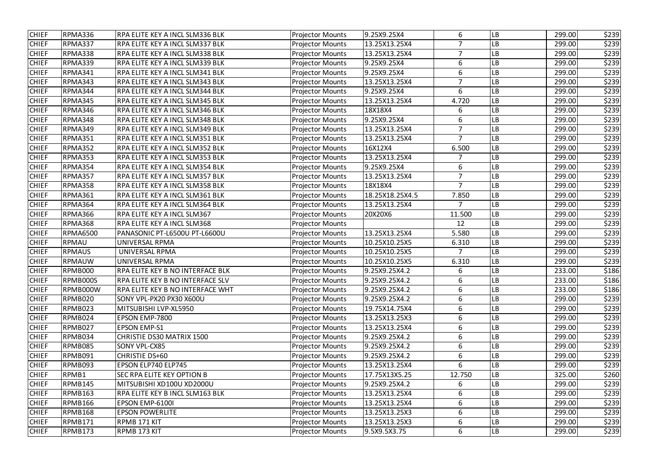| <b>CHIEF</b> | RPMA336         | RPA ELITE KEY A INCL SLM336 BLK  | <b>Projector Mounts</b> | 9.25X9.25X4     | 6              | LB                     | 299.00 | \$239 |
|--------------|-----------------|----------------------------------|-------------------------|-----------------|----------------|------------------------|--------|-------|
| <b>CHIEF</b> | RPMA337         | RPA ELITE KEY A INCL SLM337 BLK  | <b>Projector Mounts</b> | 13.25X13.25X4   | $\overline{7}$ | LB                     | 299.00 | \$239 |
| <b>CHIEF</b> | RPMA338         | RPA ELITE KEY A INCL SLM338 BLK  | <b>Projector Mounts</b> | 13.25X13.25X4   | $\overline{7}$ | LB                     | 299.00 | \$239 |
| <b>CHIEF</b> | RPMA339         | RPA ELITE KEY A INCL SLM339 BLK  | <b>Projector Mounts</b> | 9.25X9.25X4     | 6              | LB                     | 299.00 | \$239 |
| <b>CHIEF</b> | RPMA341         | RPA ELITE KEY A INCL SLM341 BLK  | <b>Projector Mounts</b> | 9.25X9.25X4     | 6              | LВ                     | 299.00 | \$239 |
| <b>CHIEF</b> | RPMA343         | RPA ELITE KEY A INCL SLM343 BLK  | <b>Projector Mounts</b> | 13.25X13.25X4   | $\overline{7}$ | LB                     | 299.00 | \$239 |
| <b>CHIEF</b> | RPMA344         | RPA ELITE KEY A INCL SLM344 BLK  | <b>Projector Mounts</b> | 9.25X9.25X4     | 6              | LB                     | 299.00 | \$239 |
| <b>CHIEF</b> | RPMA345         | RPA ELITE KEY A INCL SLM345 BLK  | <b>Projector Mounts</b> | 13.25X13.25X4   | 4.720          | LB                     | 299.00 | \$239 |
| <b>CHIEF</b> | RPMA346         | RPA ELITE KEY A INCL SLM346 BLK  | <b>Projector Mounts</b> | 18X18X4         | 6              | LB                     | 299.00 | \$239 |
| <b>CHIEF</b> | RPMA348         | RPA ELITE KEY A INCL SLM348 BLK  | <b>Projector Mounts</b> | 9.25X9.25X4     | 6              | LB                     | 299.00 | \$239 |
| <b>CHIEF</b> | RPMA349         | RPA ELITE KEY A INCL SLM349 BLK  | <b>Projector Mounts</b> | 13.25X13.25X4   | $\overline{7}$ | LB                     | 299.00 | \$239 |
| <b>CHIEF</b> | <b>RPMA351</b>  | RPA ELITE KEY A INCL SLM351 BLK  | <b>Projector Mounts</b> | 13.25X13.25X4   | $\overline{7}$ | LB                     | 299.00 | \$239 |
| <b>CHIEF</b> | <b>RPMA352</b>  | RPA ELITE KEY A INCL SLM352 BLK  | <b>Projector Mounts</b> | 16X12X4         | 6.500          | $\mathsf{L}\mathsf{B}$ | 299.00 | \$239 |
| <b>CHIEF</b> | <b>RPMA353</b>  | RPA ELITE KEY A INCL SLM353 BLK  | <b>Projector Mounts</b> | 13.25X13.25X4   | $\overline{7}$ | LB                     | 299.00 | \$239 |
| <b>CHIEF</b> | RPMA354         | RPA ELITE KEY A INCL SLM354 BLK  | <b>Projector Mounts</b> | 9.25X9.25X4     | 6              | LB                     | 299.00 | \$239 |
| <b>CHIEF</b> | <b>RPMA357</b>  | RPA ELITE KEY A INCL SLM357 BLK  | <b>Projector Mounts</b> | 13.25X13.25X4   | $\overline{7}$ | LB                     | 299.00 | \$239 |
| <b>CHIEF</b> | <b>RPMA358</b>  | RPA ELITE KEY A INCL SLM358 BLK  | <b>Projector Mounts</b> | 18X18X4         | $\overline{7}$ | LB                     | 299.00 | \$239 |
| <b>CHIEF</b> | RPMA361         | RPA ELITE KEY A INCL SLM361 BLK  | <b>Projector Mounts</b> | 18.25X18.25X4.5 | 7.850          | ${\sf LB}$             | 299.00 | \$239 |
| <b>CHIEF</b> | RPMA364         | RPA ELITE KEY A INCL SLM364 BLK  | <b>Projector Mounts</b> | 13.25X13.25X4   | $\overline{7}$ | LB                     | 299.00 | \$239 |
| <b>CHIEF</b> | RPMA366         | RPA ELITE KEY A INCL SLM367      | <b>Projector Mounts</b> | 20X20X6         | 11.500         | $\mathsf{L}\mathsf{B}$ | 299.00 | \$239 |
| <b>CHIEF</b> | RPMA368         | RPA ELITE KEY A INCL SLM368      | <b>Projector Mounts</b> |                 | 12             | LB                     | 299.00 | \$239 |
| <b>CHIEF</b> | <b>RPMA6500</b> | PANASONIC PT-L6500U PT-L6600U    | <b>Projector Mounts</b> | 13.25X13.25X4   | 5.580          | LB                     | 299.00 | \$239 |
| <b>CHIEF</b> | <b>RPMAU</b>    | UNIVERSAL RPMA                   | <b>Projector Mounts</b> | 10.25X10.25X5   | 6.310          | LB                     | 299.00 | \$239 |
| <b>CHIEF</b> | <b>RPMAUS</b>   | UNIVERSAL RPMA                   | <b>Projector Mounts</b> | 10.25X10.25X5   |                | LB                     | 299.00 | \$239 |
| <b>CHIEF</b> | <b>RPMAUW</b>   | UNIVERSAL RPMA                   | <b>Projector Mounts</b> | 10.25X10.25X5   | 6.310          | LB                     | 299.00 | \$239 |
| <b>CHIEF</b> | RPMB000         | RPA ELITE KEY B NO INTERFACE BLK | <b>Projector Mounts</b> | 9.25X9.25X4.2   | 6              | LB                     | 233.00 | \$186 |
| <b>CHIEF</b> | RPMB000S        | RPA ELITE KEY B NO INTERFACE SLV | <b>Projector Mounts</b> | 9.25X9.25X4.2   | 6              | <b>LB</b>              | 233.00 | \$186 |
| <b>CHIEF</b> | RPMB000W        | RPA ELITE KEY B NO INTERFACE WHT | <b>Projector Mounts</b> | 9.25X9.25X4.2   | 6              | LB                     | 233.00 | \$186 |
| <b>CHIEF</b> | RPMB020         | SONY VPL-PX20 PX30 X600U         | <b>Projector Mounts</b> | 9.25X9.25X4.2   | 6              | LB                     | 299.00 | \$239 |
| <b>CHIEF</b> | RPMB023         | MITSUBISHI LVP-XL5950            | <b>Projector Mounts</b> | 19.75X14.75X4   | 6              | <b>LB</b>              | 299.00 | \$239 |
| <b>CHIEF</b> | RPMB024         | EPSON EMP-7800                   | <b>Projector Mounts</b> | 13.25X13.25X3   | 6              | <b>LB</b>              | 299.00 | \$239 |
| <b>CHIEF</b> | RPMB027         | <b>EPSON EMP-S1</b>              | <b>Projector Mounts</b> | 13.25X13.25X4   | 6              | LВ                     | 299.00 | \$239 |
| <b>CHIEF</b> | RPMB034         | CHRISTIE DS30 MATRIX 1500        | <b>Projector Mounts</b> | 9.25X9.25X4.2   | 6              | <b>LB</b>              | 299.00 | \$239 |
| <b>CHIEF</b> | RPMB085         | SONY VPL-CX85                    | <b>Projector Mounts</b> | 9.25X9.25X4.2   | 6              | <b>LB</b>              | 299.00 | \$239 |
| <b>CHIEF</b> | RPMB091         | <b>CHRISTIE DS+60</b>            | <b>Projector Mounts</b> | 9.25X9.25X4.2   | 6              | LB                     | 299.00 | \$239 |
| <b>CHIEF</b> | RPMB093         | EPSON ELP740 ELP745              | <b>Projector Mounts</b> | 13.25X13.25X4   | 6              | LB                     | 299.00 | \$239 |
| <b>CHIEF</b> | RPMB1           | SEC RPA ELITE KEY OPTION B       | <b>Projector Mounts</b> | 17.75X13X5.25   | 12.750         | <b>LB</b>              | 325.00 | \$260 |
| <b>CHIEF</b> | RPMB145         | MITSUBISHI XD100U XD2000U        | <b>Projector Mounts</b> | 9.25X9.25X4.2   | 6              | LB                     | 299.00 | \$239 |
| <b>CHIEF</b> | RPMB163         | RPA ELITE KEY B INCL SLM163 BLK  | <b>Projector Mounts</b> | 13.25X13.25X4   | 6              | LB                     | 299.00 | \$239 |
| <b>CHIEF</b> | RPMB166         | EPSON EMP-6100I                  | <b>Projector Mounts</b> | 13.25X13.25X4   | 6              | <b>LB</b>              | 299.00 | \$239 |
| <b>CHIEF</b> | RPMB168         | <b>EPSON POWERLITE</b>           | <b>Projector Mounts</b> | 13.25X13.25X3   | 6              | <b>LB</b>              | 299.00 | \$239 |
| <b>CHIEF</b> | RPMB171         | RPMB 171 KIT                     | <b>Projector Mounts</b> | 13.25X13.25X3   | 6              | LB                     | 299.00 | \$239 |
| <b>CHIEF</b> | RPMB173         | RPMB 173 KIT                     | <b>Projector Mounts</b> | 9.5X9.5X3.75    | 6              | LB                     | 299.00 | \$239 |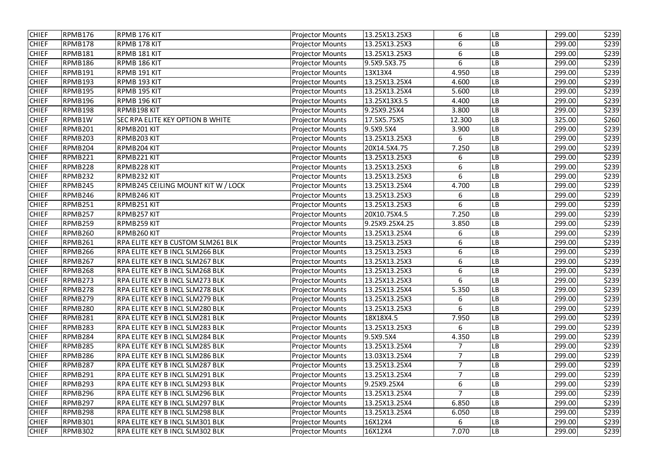| <b>CHIEF</b> | RPMB176 | RPMB 176 KIT                           | <b>Projector Mounts</b> | 13.25X13.25X3  | 6              | LB                     | 299.00 | \$239 |
|--------------|---------|----------------------------------------|-------------------------|----------------|----------------|------------------------|--------|-------|
| <b>CHIEF</b> | RPMB178 | RPMB 178 KIT                           | <b>Projector Mounts</b> | 13.25X13.25X3  | 6              | LВ                     | 299.00 | \$239 |
| <b>CHIEF</b> | RPMB181 | RPMB 181 KIT                           | <b>Projector Mounts</b> | 13.25X13.25X3  | 6              | LB                     | 299.00 | \$239 |
| <b>CHIEF</b> | RPMB186 | RPMB 186 KIT                           | <b>Projector Mounts</b> | 9.5X9.5X3.75   | 6              | LВ                     | 299.00 | \$239 |
| <b>CHIEF</b> | RPMB191 | RPMB 191 KIT                           | <b>Projector Mounts</b> | 13X13X4        | 4.950          | LB                     | 299.00 | \$239 |
| <b>CHIEF</b> | RPMB193 | RPMB 193 KIT                           | <b>Projector Mounts</b> | 13.25X13.25X4  | 4.600          | LB                     | 299.00 | \$239 |
| <b>CHIEF</b> | RPMB195 | RPMB 195 KIT                           | <b>Projector Mounts</b> | 13.25X13.25X4  | 5.600          | LB                     | 299.00 | \$239 |
| <b>CHIEF</b> | RPMB196 | RPMB 196 KIT                           | <b>Projector Mounts</b> | 13.25X13X3.5   | 4.400          | LB                     | 299.00 | \$239 |
| <b>CHIEF</b> | RPMB198 | RPMB198 KIT                            | <b>Projector Mounts</b> | 9.25X9.25X4    | 3.800          | LВ                     | 299.00 | \$239 |
| <b>CHIEF</b> | RPMB1W  | SEC RPA ELITE KEY OPTION B WHITE       | <b>Projector Mounts</b> | 17.5X5.75X5    | 12.300         | LB                     | 325.00 | \$260 |
| <b>CHIEF</b> | RPMB201 | RPMB201 KIT                            | <b>Projector Mounts</b> | 9.5X9.5X4      | 3.900          | LB                     | 299.00 | \$239 |
| <b>CHIEF</b> | RPMB203 | RPMB203 KIT                            | <b>Projector Mounts</b> | 13.25X13.25X3  | 6              | LВ                     | 299.00 | \$239 |
| <b>CHIEF</b> | RPMB204 | RPMB204 KIT                            | <b>Projector Mounts</b> | 20X14.5X4.75   | 7.250          | ${\sf LB}$             | 299.00 | \$239 |
| <b>CHIEF</b> | RPMB221 | RPMB221 KIT                            | <b>Projector Mounts</b> | 13.25X13.25X3  | 6              | LВ                     | 299.00 | \$239 |
| <b>CHIEF</b> | RPMB228 | RPMB228 KIT                            | <b>Projector Mounts</b> | 13.25X13.25X3  | 6              | LВ                     | 299.00 | \$239 |
| <b>CHIEF</b> | RPMB232 | RPMB232 KIT                            | <b>Projector Mounts</b> | 13.25X13.25X3  | 6              | LВ                     | 299.00 | \$239 |
| <b>CHIEF</b> | RPMB245 | RPMB245 CEILING MOUNT KIT W / LOCK     | <b>Projector Mounts</b> | 13.25X13.25X4  | 4.700          | LВ                     | 299.00 | \$239 |
| <b>CHIEF</b> | RPMB246 | RPMB246 KIT                            | <b>Projector Mounts</b> | 13.25X13.25X3  | 6              | LB                     | 299.00 | \$239 |
| <b>CHIEF</b> | RPMB251 | RPMB251 KIT                            | <b>Projector Mounts</b> | 13.25X13.25X3  | 6              | LВ                     | 299.00 | \$239 |
| <b>CHIEF</b> | RPMB257 | RPMB257 KIT                            | <b>Projector Mounts</b> | 20X10.75X4.5   | 7.250          | $\mathsf{L}\mathsf{B}$ | 299.00 | \$239 |
| <b>CHIEF</b> | RPMB259 | RPMB259 KIT                            | <b>Projector Mounts</b> | 9.25X9.25X4.25 | 3.850          | LВ                     | 299.00 | \$239 |
| <b>CHIEF</b> | RPMB260 | RPMB260 KIT                            | <b>Projector Mounts</b> | 13.25X13.25X4  | 6              | LВ                     | 299.00 | \$239 |
| <b>CHIEF</b> | RPMB261 | RPA ELITE KEY B CUSTOM SLM261 BLK      | <b>Projector Mounts</b> | 13.25X13.25X3  | 6              | LB                     | 299.00 | \$239 |
| <b>CHIEF</b> | RPMB266 | RPA ELITE KEY B INCL SLM266 BLK        | <b>Projector Mounts</b> | 13.25X13.25X3  | 6              | LB                     | 299.00 | \$239 |
| <b>CHIEF</b> | RPMB267 | RPA ELITE KEY B INCL SLM267 BLK        | <b>Projector Mounts</b> | 13.25X13.25X3  | 6              | LB                     | 299.00 | \$239 |
| <b>CHIEF</b> | RPMB268 | RPA ELITE KEY B INCL SLM268 BLK        | <b>Projector Mounts</b> | 13.25X13.25X3  | 6              | LB                     | 299.00 | \$239 |
| <b>CHIEF</b> | RPMB273 | RPA ELITE KEY B INCL SLM273 BLK        | <b>Projector Mounts</b> | 13.25X13.25X3  | 6              | <b>LB</b>              | 299.00 | \$239 |
| <b>CHIEF</b> | RPMB278 | RPA ELITE KEY B INCL SLM278 BLK        | <b>Projector Mounts</b> | 13.25X13.25X4  | 5.350          | <b>LB</b>              | 299.00 | \$239 |
| <b>CHIEF</b> | RPMB279 | <b>RPA ELITE KEY B INCL SLM279 BLK</b> | <b>Projector Mounts</b> | 13.25X13.25X3  | 6              | LВ                     | 299.00 | \$239 |
| <b>CHIEF</b> | RPMB280 | <b>RPA ELITE KEY B INCL SLM280 BLK</b> | <b>Projector Mounts</b> | 13.25X13.25X3  | 6              | <b>LB</b>              | 299.00 | \$239 |
| <b>CHIEF</b> | RPMB281 | RPA ELITE KEY B INCL SLM281 BLK        | <b>Projector Mounts</b> | 18X18X4.5      | 7.950          | LB                     | 299.00 | \$239 |
| <b>CHIEF</b> | RPMB283 | <b>RPA ELITE KEY B INCL SLM283 BLK</b> | <b>Projector Mounts</b> | 13.25X13.25X3  | 6              | <b>LB</b>              | 299.00 | \$239 |
| <b>CHIEF</b> | RPMB284 | <b>RPA ELITE KEY B INCL SLM284 BLK</b> | <b>Projector Mounts</b> | 9.5X9.5X4      | 4.350          | <b>LB</b>              | 299.00 | \$239 |
| <b>CHIEF</b> | RPMB285 | RPA ELITE KEY B INCL SLM285 BLK        | <b>Projector Mounts</b> | 13.25X13.25X4  | $\overline{7}$ | <b>LB</b>              | 299.00 | \$239 |
| <b>CHIEF</b> | RPMB286 | <b>RPA ELITE KEY B INCL SLM286 BLK</b> | <b>Projector Mounts</b> | 13.03X13.25X4  | 7              | <b>LB</b>              | 299.00 | \$239 |
| <b>CHIEF</b> | RPMB287 | <b>RPA ELITE KEY B INCL SLM287 BLK</b> | <b>Projector Mounts</b> | 13.25X13.25X4  | $\overline{7}$ | LB                     | 299.00 | \$239 |
| <b>CHIEF</b> | RPMB291 | RPA ELITE KEY B INCL SLM291 BLK        | <b>Projector Mounts</b> | 13.25X13.25X4  | $\overline{7}$ | <b>LB</b>              | 299.00 | \$239 |
| <b>CHIEF</b> | RPMB293 | <b>RPA ELITE KEY B INCL SLM293 BLK</b> | <b>Projector Mounts</b> | 9.25X9.25X4    | 6              | <b>LB</b>              | 299.00 | \$239 |
| <b>CHIEF</b> | RPMB296 | <b>RPA ELITE KEY B INCL SLM296 BLK</b> | <b>Projector Mounts</b> | 13.25X13.25X4  | $\overline{7}$ | <b>LB</b>              | 299.00 | \$239 |
| <b>CHIEF</b> | RPMB297 | <b>RPA ELITE KEY B INCL SLM297 BLK</b> | <b>Projector Mounts</b> | 13.25X13.25X4  | 6.850          | <b>LB</b>              | 299.00 | \$239 |
| <b>CHIEF</b> | RPMB298 | <b>RPA ELITE KEY B INCL SLM298 BLK</b> | <b>Projector Mounts</b> | 13.25X13.25X4  | 6.050          | <b>LB</b>              | 299.00 | \$239 |
| <b>CHIEF</b> | RPMB301 | <b>RPA ELITE KEY B INCL SLM301 BLK</b> | <b>Projector Mounts</b> | 16X12X4        | 6              | <b>LB</b>              | 299.00 | \$239 |
| <b>CHIEF</b> | RPMB302 | RPA ELITE KEY B INCL SLM302 BLK        | <b>Projector Mounts</b> | 16X12X4        | 7.070          | LB                     | 299.00 | \$239 |
|              |         |                                        |                         |                |                |                        |        |       |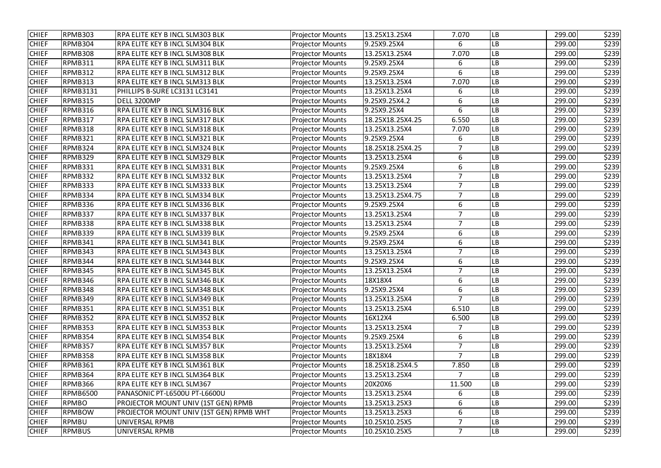| <b>CHIEF</b> | RPMB303         | RPA ELITE KEY B INCL SLM303 BLK         | <b>Projector Mounts</b> | 13.25X13.25X4    | 7.070          | LB        | 299.00 | \$239 |
|--------------|-----------------|-----------------------------------------|-------------------------|------------------|----------------|-----------|--------|-------|
| <b>CHIEF</b> | RPMB304         | <b>RPA ELITE KEY B INCL SLM304 BLK</b>  | <b>Projector Mounts</b> | 9.25X9.25X4      | 6              | LВ        | 299.00 | \$239 |
| <b>CHIEF</b> | RPMB308         | RPA ELITE KEY B INCL SLM308 BLK         | <b>Projector Mounts</b> | 13.25X13.25X4    | 7.070          | LВ        | 299.00 | \$239 |
| <b>CHIEF</b> | RPMB311         | <b>RPA ELITE KEY B INCL SLM311 BLK</b>  | <b>Projector Mounts</b> | 9.25X9.25X4      | 6              | LВ        | 299.00 | \$239 |
| <b>CHIEF</b> | RPMB312         | <b>RPA ELITE KEY B INCL SLM312 BLK</b>  | <b>Projector Mounts</b> | 9.25X9.25X4      | 6              | LB        | 299.00 | \$239 |
| <b>CHIEF</b> | RPMB313         | RPA ELITE KEY B INCL SLM313 BLK         | <b>Projector Mounts</b> | 13.25X13.25X4    | 7.070          | LB        | 299.00 | \$239 |
| <b>CHIEF</b> | <b>RPMB3131</b> | PHILLIPS B-SURE LC3131 LC3141           | <b>Projector Mounts</b> | 13.25X13.25X4    | 6              | LВ        | 299.00 | \$239 |
| <b>CHIEF</b> | RPMB315         | DELL 3200MP                             | <b>Projector Mounts</b> | 9.25X9.25X4.2    | 6              | LВ        | 299.00 | \$239 |
| <b>CHIEF</b> | RPMB316         | RPA ELITE KEY B INCL SLM316 BLK         | <b>Projector Mounts</b> | 9.25X9.25X4      | 6              | LB        | 299.00 | \$239 |
| <b>CHIEF</b> | RPMB317         | <b>RPA ELITE KEY B INCL SLM317 BLK</b>  | <b>Projector Mounts</b> | 18.25X18.25X4.25 | 6.550          | LB        | 299.00 | \$239 |
| <b>CHIEF</b> | RPMB318         | <b>RPA ELITE KEY B INCL SLM318 BLK</b>  | <b>Projector Mounts</b> | 13.25X13.25X4    | 7.070          | LB        | 299.00 | \$239 |
| <b>CHIEF</b> | RPMB321         | <b>RPA ELITE KEY B INCL SLM321 BLK</b>  | <b>Projector Mounts</b> | 9.25X9.25X4      | 6              | LВ        | 299.00 | \$239 |
| <b>CHIEF</b> | RPMB324         | RPA ELITE KEY B INCL SLM324 BLK         | <b>Projector Mounts</b> | 18.25X18.25X4.25 | $\overline{7}$ | LB        | 299.00 | \$239 |
| <b>CHIEF</b> | RPMB329         | <b>RPA ELITE KEY B INCL SLM329 BLK</b>  | <b>Projector Mounts</b> | 13.25X13.25X4    | 6              | LВ        | 299.00 | \$239 |
| <b>CHIEF</b> | RPMB331         | RPA ELITE KEY B INCL SLM331 BLK         | <b>Projector Mounts</b> | 9.25X9.25X4      | 6              | LВ        | 299.00 | \$239 |
| <b>CHIEF</b> | RPMB332         | <b>RPA ELITE KEY B INCL SLM332 BLK</b>  | <b>Projector Mounts</b> | 13.25X13.25X4    | $\overline{7}$ | LВ        | 299.00 | \$239 |
| <b>CHIEF</b> | RPMB333         | <b>RPA ELITE KEY B INCL SLM333 BLK</b>  | <b>Projector Mounts</b> | 13.25X13.25X4    | 7              | LB        | 299.00 | \$239 |
| <b>CHIEF</b> | RPMB334         | <b>RPA ELITE KEY B INCL SLM334 BLK</b>  | <b>Projector Mounts</b> | 13.25X13.25X4.75 | $\overline{7}$ | LВ        | 299.00 | \$239 |
| <b>CHIEF</b> | RPMB336         | RPA ELITE KEY B INCL SLM336 BLK         | <b>Projector Mounts</b> | 9.25X9.25X4      | 6              | LВ        | 299.00 | \$239 |
| <b>CHIEF</b> | RPMB337         | RPA ELITE KEY B INCL SLM337 BLK         | <b>Projector Mounts</b> | 13.25X13.25X4    | $\overline{7}$ | LВ        | 299.00 | \$239 |
| <b>CHIEF</b> | RPMB338         | RPA ELITE KEY B INCL SLM338 BLK         | <b>Projector Mounts</b> | 13.25X13.25X4    | $\overline{7}$ | LВ        | 299.00 | \$239 |
| <b>CHIEF</b> | RPMB339         | <b>RPA ELITE KEY B INCL SLM339 BLK</b>  | <b>Projector Mounts</b> | 9.25X9.25X4      | 6              | LВ        | 299.00 | \$239 |
| <b>CHIEF</b> | RPMB341         | RPA ELITE KEY B INCL SLM341 BLK         | <b>Projector Mounts</b> | 9.25X9.25X4      | 6              | LB        | 299.00 | \$239 |
| <b>CHIEF</b> | RPMB343         | <b>RPA ELITE KEY B INCL SLM343 BLK</b>  | <b>Projector Mounts</b> | 13.25X13.25X4    | 7              | LB        | 299.00 | \$239 |
| <b>CHIEF</b> | RPMB344         | RPA ELITE KEY B INCL SLM344 BLK         | <b>Projector Mounts</b> | 9.25X9.25X4      | 6              | LB        | 299.00 | \$239 |
| <b>CHIEF</b> | RPMB345         | <b>RPA ELITE KEY B INCL SLM345 BLK</b>  | <b>Projector Mounts</b> | 13.25X13.25X4    | $\overline{7}$ | LB        | 299.00 | \$239 |
| <b>CHIEF</b> | RPMB346         | RPA ELITE KEY B INCL SLM346 BLK         | <b>Projector Mounts</b> | 18X18X4          | 6              | LB        | 299.00 | \$239 |
| <b>CHIEF</b> | RPMB348         | <b>RPA ELITE KEY B INCL SLM348 BLK</b>  | <b>Projector Mounts</b> | 9.25X9.25X4      | 6              | <b>LB</b> | 299.00 | \$239 |
| <b>CHIEF</b> | RPMB349         | <b>RPA ELITE KEY B INCL SLM349 BLK</b>  | <b>Projector Mounts</b> | 13.25X13.25X4    | 7              | LВ        | 299.00 | \$239 |
| <b>CHIEF</b> | RPMB351         | <b>RPA ELITE KEY B INCL SLM351 BLK</b>  | <b>Projector Mounts</b> | 13.25X13.25X4    | 6.510          | <b>LB</b> | 299.00 | \$239 |
| <b>CHIEF</b> | RPMB352         | <b>RPA ELITE KEY B INCL SLM352 BLK</b>  | <b>Projector Mounts</b> | 16X12X4          | 6.500          | LB        | 299.00 | \$239 |
| <b>CHIEF</b> | RPMB353         | <b>RPA ELITE KEY B INCL SLM353 BLK</b>  | <b>Projector Mounts</b> | 13.25X13.25X4    |                | LB        | 299.00 | \$239 |
| <b>CHIEF</b> | RPMB354         | <b>RPA ELITE KEY B INCL SLM354 BLK</b>  | <b>Projector Mounts</b> | 9.25X9.25X4      | 6              | <b>LB</b> | 299.00 | \$239 |
| <b>CHIEF</b> | RPMB357         | <b>RPA ELITE KEY B INCL SLM357 BLK</b>  | <b>Projector Mounts</b> | 13.25X13.25X4    | $\overline{7}$ | <b>LB</b> | 299.00 | \$239 |
| <b>CHIEF</b> | RPMB358         | <b>RPA ELITE KEY B INCL SLM358 BLK</b>  | <b>Projector Mounts</b> | 18X18X4          | 7              | <b>LB</b> | 299.00 | \$239 |
| <b>CHIEF</b> | RPMB361         | <b>RPA ELITE KEY B INCL SLM361 BLK</b>  | <b>Projector Mounts</b> | 18.25X18.25X4.5  | 7.850          | LB        | 299.00 | \$239 |
| <b>CHIEF</b> | RPMB364         | <b>RPA ELITE KEY B INCL SLM364 BLK</b>  | <b>Projector Mounts</b> | 13.25X13.25X4    |                | <b>LB</b> | 299.00 | \$239 |
| <b>CHIEF</b> | RPMB366         | <b>RPA ELITE KEY B INCL SLM367</b>      | <b>Projector Mounts</b> | 20X20X6          | 11.500         | <b>LB</b> | 299.00 | \$239 |
| <b>CHIEF</b> | <b>RPMB6500</b> | PANASONIC PT-L6500U PT-L6600U           | <b>Projector Mounts</b> | 13.25X13.25X4    | 6              | LB        | 299.00 | \$239 |
| <b>CHIEF</b> | <b>RPMBO</b>    | PROJECTOR MOUNT UNIV (1ST GEN) RPMB     | <b>Projector Mounts</b> | 13.25X13.25X3    | 6              | <b>LB</b> | 299.00 | \$239 |
| <b>CHIEF</b> | <b>RPMBOW</b>   | PROJECTOR MOUNT UNIV (1ST GEN) RPMB WHT | <b>Projector Mounts</b> | 13.25X13.25X3    | 6              | <b>LB</b> | 299.00 | \$239 |
| <b>CHIEF</b> | <b>RPMBU</b>    | UNIVERSAL RPMB                          | <b>Projector Mounts</b> | 10.25X10.25X5    |                | LB        | 299.00 | \$239 |
| <b>CHIEF</b> | <b>RPMBUS</b>   | UNIVERSAL RPMB                          | <b>Projector Mounts</b> | 10.25X10.25X5    | $\overline{7}$ | LB        | 299.00 | \$239 |
|              |                 |                                         |                         |                  |                |           |        |       |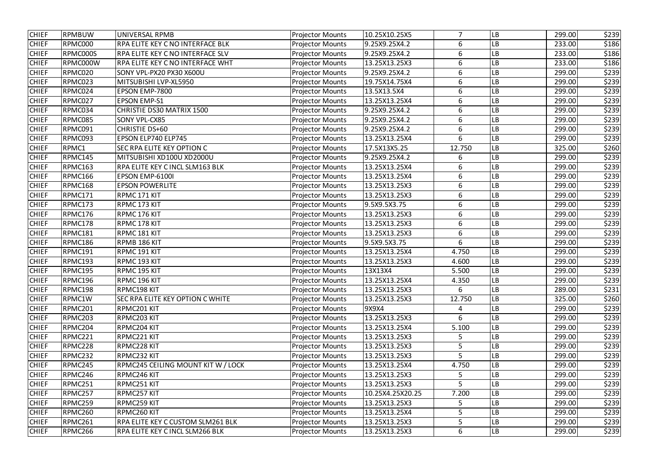| <b>CHIEF</b> | <b>RPMBUW</b> | <b>UNIVERSAL RPMB</b>                  | <b>Projector Mounts</b> | 10.25X10.25X5    | $\overline{7}$ | LB                     | 299.00 | \$239 |
|--------------|---------------|----------------------------------------|-------------------------|------------------|----------------|------------------------|--------|-------|
| <b>CHIEF</b> | RPMC000       | RPA ELITE KEY C NO INTERFACE BLK       | <b>Projector Mounts</b> | 9.25X9.25X4.2    | 6              | LB                     | 233.00 | \$186 |
| <b>CHIEF</b> | RPMC000S      | RPA ELITE KEY C NO INTERFACE SLV       | <b>Projector Mounts</b> | 9.25X9.25X4.2    | 6              | LB                     | 233.00 | \$186 |
| <b>CHIEF</b> | RPMC000W      | RPA ELITE KEY C NO INTERFACE WHT       | <b>Projector Mounts</b> | 13.25X13.25X3    | 6              | LB                     | 233.00 | \$186 |
| <b>CHIEF</b> | RPMC020       | SONY VPL-PX20 PX30 X600U               | <b>Projector Mounts</b> | 9.25X9.25X4.2    | 6              | LB                     | 299.00 | \$239 |
| <b>CHIEF</b> | RPMC023       | MITSUBISHI LVP-XL5950                  | <b>Projector Mounts</b> | 19.75X14.75X4    | 6              | LB                     | 299.00 | \$239 |
| <b>CHIEF</b> | RPMC024       | EPSON EMP-7800                         | <b>Projector Mounts</b> | 13.5X13.5X4      | 6              | LB                     | 299.00 | \$239 |
| <b>CHIEF</b> | RPMC027       | <b>EPSON EMP-S1</b>                    | <b>Projector Mounts</b> | 13.25X13.25X4    | 6              | LB                     | 299.00 | \$239 |
| <b>CHIEF</b> | RPMC034       | CHRISTIE DS30 MATRIX 1500              | <b>Projector Mounts</b> | 9.25X9.25X4.2    | 6              | LB                     | 299.00 | \$239 |
| <b>CHIEF</b> | RPMC085       | SONY VPL-CX85                          | <b>Projector Mounts</b> | 9.25X9.25X4.2    | 6              | LB                     | 299.00 | \$239 |
| <b>CHIEF</b> | RPMC091       | CHRISTIE DS+60                         | <b>Projector Mounts</b> | 9.25X9.25X4.2    | 6              | LB                     | 299.00 | \$239 |
| <b>CHIEF</b> | RPMC093       | EPSON ELP740 ELP745                    | <b>Projector Mounts</b> | 13.25X13.25X4    | 6              | LB                     | 299.00 | \$239 |
| <b>CHIEF</b> | RPMC1         | SEC RPA ELITE KEY OPTION C             | <b>Projector Mounts</b> | 17.5X13X5.25     | 12.750         | $\mathsf{L}\mathsf{B}$ | 325.00 | \$260 |
| <b>CHIEF</b> | RPMC145       | MITSUBISHI XD100U XD2000U              | <b>Projector Mounts</b> | 9.25X9.25X4.2    | 6              | LB                     | 299.00 | \$239 |
| <b>CHIEF</b> | RPMC163       | RPA ELITE KEY C INCL SLM163 BLK        | <b>Projector Mounts</b> | 13.25X13.25X4    | 6              | ${\sf LB}$             | 299.00 | \$239 |
| <b>CHIEF</b> | RPMC166       | EPSON EMP-6100I                        | <b>Projector Mounts</b> | 13.25X13.25X4    | 6              | LB                     | 299.00 | \$239 |
| <b>CHIEF</b> | RPMC168       | <b>EPSON POWERLITE</b>                 | <b>Projector Mounts</b> | 13.25X13.25X3    | 6              | LB                     | 299.00 | \$239 |
| <b>CHIEF</b> | RPMC171       | RPMC 171 KIT                           | <b>Projector Mounts</b> | 13.25X13.25X3    | 6              | LB                     | 299.00 | \$239 |
| <b>CHIEF</b> | RPMC173       | RPMC 173 KIT                           | <b>Projector Mounts</b> | 9.5X9.5X3.75     | 6              | LB                     | 299.00 | \$239 |
| <b>CHIEF</b> | RPMC176       | RPMC 176 KIT                           | <b>Projector Mounts</b> | 13.25X13.25X3    | 6              | LB                     | 299.00 | \$239 |
| <b>CHIEF</b> | RPMC178       | RPMC 178 KIT                           | <b>Projector Mounts</b> | 13.25X13.25X3    | 6              | LB                     | 299.00 | \$239 |
| <b>CHIEF</b> | RPMC181       | RPMC 181 KIT                           | <b>Projector Mounts</b> | 13.25X13.25X3    | 6              | LB                     | 299.00 | \$239 |
| <b>CHIEF</b> | RPMC186       | RPMB 186 KIT                           | <b>Projector Mounts</b> | 9.5X9.5X3.75     | 6              | LB                     | 299.00 | \$239 |
| <b>CHIEF</b> | RPMC191       | RPMC 191 KIT                           | <b>Projector Mounts</b> | 13.25X13.25X4    | 4.750          | ${\sf LB}$             | 299.00 | \$239 |
| <b>CHIEF</b> | RPMC193       | RPMC 193 KIT                           | <b>Projector Mounts</b> | 13.25X13.25X3    | 4.600          | LB                     | 299.00 | \$239 |
| <b>CHIEF</b> | RPMC195       | RPMC 195 KIT                           | <b>Projector Mounts</b> | 13X13X4          | 5.500          | ${\sf LB}$             | 299.00 | \$239 |
| <b>CHIEF</b> | RPMC196       | RPMC 196 KIT                           | <b>Projector Mounts</b> | 13.25X13.25X4    | 4.350          | <b>LB</b>              | 299.00 | \$239 |
| <b>CHIEF</b> | RPMC198       | RPMC198 KIT                            | <b>Projector Mounts</b> | 13.25X13.25X3    | 6              | LВ                     | 289.00 | \$231 |
| <b>CHIEF</b> | RPMC1W        | SEC RPA ELITE KEY OPTION C WHITE       | <b>Projector Mounts</b> | 13.25X13.25X3    | 12.750         | LB                     | 325.00 | \$260 |
| <b>CHIEF</b> | RPMC201       | RPMC201 KIT                            | <b>Projector Mounts</b> | 9X9X4            | 4              | <b>LB</b>              | 299.00 | \$239 |
| <b>CHIEF</b> | RPMC203       | RPMC203 KIT                            | <b>Projector Mounts</b> | 13.25X13.25X3    | 6              | <b>LB</b>              | 299.00 | \$239 |
| <b>CHIEF</b> | RPMC204       | RPMC204 KIT                            | <b>Projector Mounts</b> | 13.25X13.25X4    | 5.100          | LB                     | 299.00 | \$239 |
| <b>CHIEF</b> | RPMC221       | RPMC221 KIT                            | <b>Projector Mounts</b> | 13.25X13.25X3    | 5              | LB                     | 299.00 | \$239 |
| <b>CHIEF</b> | RPMC228       | RPMC228 KIT                            | <b>Projector Mounts</b> | 13.25X13.25X3    | 5              | LВ                     | 299.00 | \$239 |
| <b>CHIEF</b> | RPMC232       | RPMC232 KIT                            | <b>Projector Mounts</b> | 13.25X13.25X3    |                | <b>LB</b>              | 299.00 | \$239 |
| <b>CHIEF</b> | RPMC245       | RPMC245 CEILING MOUNT KIT W / LOCK     | <b>Projector Mounts</b> | 13.25X13.25X4    | 4.750          | LB                     | 299.00 | \$239 |
| <b>CHIEF</b> | RPMC246       | RPMC246 KIT                            | <b>Projector Mounts</b> | 13.25X13.25X3    | 5              | <b>LB</b>              | 299.00 | \$239 |
| <b>CHIEF</b> | RPMC251       | RPMC251 KIT                            | <b>Projector Mounts</b> | 13.25X13.25X3    |                | LB                     | 299.00 | \$239 |
| <b>CHIEF</b> | RPMC257       | RPMC257 KIT                            | <b>Projector Mounts</b> | 10.25X4.25X20.25 | 7.200          | LB                     | 299.00 | \$239 |
| <b>CHIEF</b> | RPMC259       | RPMC259 KIT                            | <b>Projector Mounts</b> | 13.25X13.25X3    | 5              | <b>LB</b>              | 299.00 | \$239 |
| <b>CHIEF</b> | RPMC260       | RPMC260 KIT                            | <b>Projector Mounts</b> | 13.25X13.25X4    | 5              | LB                     | 299.00 | \$239 |
| <b>CHIEF</b> | RPMC261       | RPA ELITE KEY C CUSTOM SLM261 BLK      | <b>Projector Mounts</b> | 13.25X13.25X3    | 5              | LB                     | 299.00 | \$239 |
| <b>CHIEF</b> | RPMC266       | <b>RPA ELITE KEY C INCL SLM266 BLK</b> | <b>Projector Mounts</b> | 13.25X13.25X3    | 6              | <b>LB</b>              | 299.00 | \$239 |
|              |               |                                        |                         |                  |                |                        |        |       |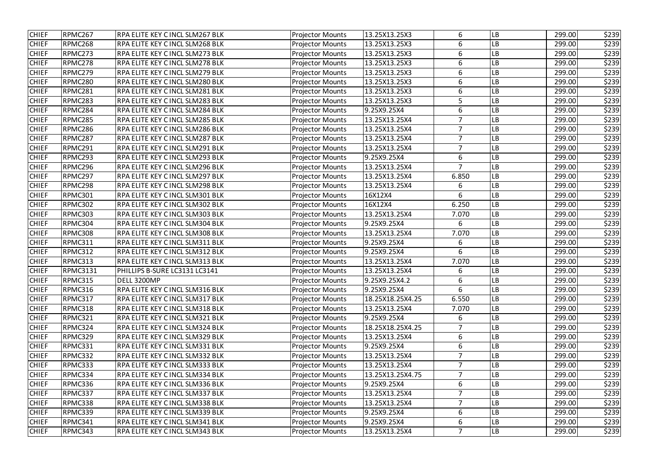| <b>CHIEF</b> | RPMC267         | RPA ELITE KEY C INCL SLM267 BLK        | <b>Projector Mounts</b> | 13.25X13.25X3    | 6              | LB                     | 299.00 | \$239 |
|--------------|-----------------|----------------------------------------|-------------------------|------------------|----------------|------------------------|--------|-------|
| <b>CHIEF</b> | RPMC268         | RPA ELITE KEY C INCL SLM268 BLK        | <b>Projector Mounts</b> | 13.25X13.25X3    | 6              | LB                     | 299.00 | \$239 |
| <b>CHIEF</b> | RPMC273         | RPA ELITE KEY C INCL SLM273 BLK        | <b>Projector Mounts</b> | 13.25X13.25X3    | 6              | LB                     | 299.00 | \$239 |
| <b>CHIEF</b> | RPMC278         | RPA ELITE KEY C INCL SLM278 BLK        | <b>Projector Mounts</b> | 13.25X13.25X3    | 6              | LB                     | 299.00 | \$239 |
| <b>CHIEF</b> | RPMC279         | RPA ELITE KEY C INCL SLM279 BLK        | <b>Projector Mounts</b> | 13.25X13.25X3    | 6              | LВ                     | 299.00 | \$239 |
| <b>CHIEF</b> | RPMC280         | RPA ELITE KEY C INCL SLM280 BLK        | <b>Projector Mounts</b> | 13.25X13.25X3    | 6              | LB                     | 299.00 | \$239 |
| <b>CHIEF</b> | RPMC281         | RPA ELITE KEY C INCL SLM281 BLK        | <b>Projector Mounts</b> | 13.25X13.25X3    | 6              | LB                     | 299.00 | \$239 |
| <b>CHIEF</b> | RPMC283         | RPA ELITE KEY C INCL SLM283 BLK        | <b>Projector Mounts</b> | 13.25X13.25X3    | 5              | LB                     | 299.00 | \$239 |
| <b>CHIEF</b> | RPMC284         | RPA ELITE KEY C INCL SLM284 BLK        | <b>Projector Mounts</b> | 9.25X9.25X4      | 6              | LB                     | 299.00 | \$239 |
| <b>CHIEF</b> | RPMC285         | RPA ELITE KEY C INCL SLM285 BLK        | <b>Projector Mounts</b> | 13.25X13.25X4    | $\overline{7}$ | LB                     | 299.00 | \$239 |
| <b>CHIEF</b> | RPMC286         | RPA ELITE KEY C INCL SLM286 BLK        | <b>Projector Mounts</b> | 13.25X13.25X4    | $\overline{7}$ | LB                     | 299.00 | \$239 |
| <b>CHIEF</b> | RPMC287         | RPA ELITE KEY C INCL SLM287 BLK        | <b>Projector Mounts</b> | 13.25X13.25X4    | $\overline{7}$ | LB                     | 299.00 | \$239 |
| <b>CHIEF</b> | RPMC291         | RPA ELITE KEY C INCL SLM291 BLK        | <b>Projector Mounts</b> | 13.25X13.25X4    | $\overline{7}$ | LB                     | 299.00 | \$239 |
| <b>CHIEF</b> | RPMC293         | RPA ELITE KEY C INCL SLM293 BLK        | <b>Projector Mounts</b> | 9.25X9.25X4      | 6              | LB                     | 299.00 | \$239 |
| <b>CHIEF</b> | RPMC296         | RPA ELITE KEY C INCL SLM296 BLK        | <b>Projector Mounts</b> | 13.25X13.25X4    | $\overline{7}$ | LB                     | 299.00 | \$239 |
| <b>CHIEF</b> | RPMC297         | RPA ELITE KEY C INCL SLM297 BLK        | <b>Projector Mounts</b> | 13.25X13.25X4    | 6.850          | LB                     | 299.00 | \$239 |
| <b>CHIEF</b> | RPMC298         | RPA ELITE KEY C INCL SLM298 BLK        | <b>Projector Mounts</b> | 13.25X13.25X4    | 6              | LB                     | 299.00 | \$239 |
| <b>CHIEF</b> | RPMC301         | RPA ELITE KEY C INCL SLM301 BLK        | <b>Projector Mounts</b> | 16X12X4          | 6              | LB                     | 299.00 | \$239 |
| <b>CHIEF</b> | RPMC302         | <b>RPA ELITE KEY C INCL SLM302 BLK</b> | <b>Projector Mounts</b> | 16X12X4          | 6.250          | $\mathsf{L}\mathsf{B}$ | 299.00 | \$239 |
| <b>CHIEF</b> | RPMC303         | RPA ELITE KEY C INCL SLM303 BLK        | <b>Projector Mounts</b> | 13.25X13.25X4    | 7.070          | $\mathsf{L}\mathsf{B}$ | 299.00 | \$239 |
| <b>CHIEF</b> | RPMC304         | RPA ELITE KEY C INCL SLM304 BLK        | <b>Projector Mounts</b> | 9.25X9.25X4      | 6              | LB                     | 299.00 | \$239 |
| <b>CHIEF</b> | RPMC308         | RPA ELITE KEY C INCL SLM308 BLK        | <b>Projector Mounts</b> | 13.25X13.25X4    | 7.070          | LB                     | 299.00 | \$239 |
| <b>CHIEF</b> | RPMC311         | RPA ELITE KEY C INCL SLM311 BLK        | <b>Projector Mounts</b> | 9.25X9.25X4      | 6              | LB                     | 299.00 | \$239 |
| <b>CHIEF</b> | RPMC312         | RPA ELITE KEY C INCL SLM312 BLK        | <b>Projector Mounts</b> | 9.25X9.25X4      | 6              | LB                     | 299.00 | \$239 |
| <b>CHIEF</b> | RPMC313         | RPA ELITE KEY C INCL SLM313 BLK        | <b>Projector Mounts</b> | 13.25X13.25X4    | 7.070          | LB                     | 299.00 | \$239 |
| <b>CHIEF</b> | <b>RPMC3131</b> | PHILLIPS B-SURE LC3131 LC3141          | <b>Projector Mounts</b> | 13.25X13.25X4    | 6              | LB                     | 299.00 | \$239 |
| <b>CHIEF</b> | RPMC315         | DELL 3200MP                            | <b>Projector Mounts</b> | 9.25X9.25X4.2    | 6              | <b>LB</b>              | 299.00 | \$239 |
| <b>CHIEF</b> | RPMC316         | RPA ELITE KEY C INCL SLM316 BLK        | <b>Projector Mounts</b> | 9.25X9.25X4      | 6              | <b>LB</b>              | 299.00 | \$239 |
| <b>CHIEF</b> | RPMC317         | RPA ELITE KEY C INCL SLM317 BLK        | <b>Projector Mounts</b> | 18.25X18.25X4.25 | 6.550          | <b>LB</b>              | 299.00 | \$239 |
| <b>CHIEF</b> | RPMC318         | RPA ELITE KEY C INCL SLM318 BLK        | <b>Projector Mounts</b> | 13.25X13.25X4    | 7.070          | LB                     | 299.00 | \$239 |
| <b>CHIEF</b> | RPMC321         | RPA ELITE KEY C INCL SLM321 BLK        | <b>Projector Mounts</b> | 9.25X9.25X4      | 6              | LB                     | 299.00 | \$239 |
| <b>CHIEF</b> | RPMC324         | RPA ELITE KEY C INCL SLM324 BLK        | <b>Projector Mounts</b> | 18.25X18.25X4.25 | 7              | LB                     | 299.00 | \$239 |
| <b>CHIEF</b> | RPMC329         | RPA ELITE KEY C INCL SLM329 BLK        | <b>Projector Mounts</b> | 13.25X13.25X4    | 6              | <b>LB</b>              | 299.00 | \$239 |
| <b>CHIEF</b> | RPMC331         | RPA ELITE KEY C INCL SLM331 BLK        | <b>Projector Mounts</b> | 9.25X9.25X4      | 6              | <b>LB</b>              | 299.00 | \$239 |
| <b>CHIEF</b> | RPMC332         | RPA ELITE KEY C INCL SLM332 BLK        | <b>Projector Mounts</b> | 13.25X13.25X4    |                | <b>LB</b>              | 299.00 | \$239 |
| <b>CHIEF</b> | RPMC333         | RPA ELITE KEY C INCL SLM333 BLK        | <b>Projector Mounts</b> | 13.25X13.25X4    | $\overline{7}$ | LB                     | 299.00 | \$239 |
| <b>CHIEF</b> | RPMC334         | RPA ELITE KEY C INCL SLM334 BLK        | <b>Projector Mounts</b> | 13.25X13.25X4.75 | $\overline{7}$ | <b>LB</b>              | 299.00 | \$239 |
| <b>CHIEF</b> | RPMC336         | RPA ELITE KEY C INCL SLM336 BLK        | <b>Projector Mounts</b> | 9.25X9.25X4      | 6              | <b>LB</b>              | 299.00 | \$239 |
| <b>CHIEF</b> | RPMC337         | RPA ELITE KEY C INCL SLM337 BLK        | <b>Projector Mounts</b> | 13.25X13.25X4    | $\overline{7}$ | ${\sf LB}$             | 299.00 | \$239 |
| <b>CHIEF</b> | RPMC338         | RPA ELITE KEY C INCL SLM338 BLK        | <b>Projector Mounts</b> | 13.25X13.25X4    | $\overline{7}$ | <b>LB</b>              | 299.00 | \$239 |
| <b>CHIEF</b> | RPMC339         | RPA ELITE KEY C INCL SLM339 BLK        | <b>Projector Mounts</b> | 9.25X9.25X4      | 6              | <b>LB</b>              | 299.00 | \$239 |
| <b>CHIEF</b> | RPMC341         | RPA ELITE KEY C INCL SLM341 BLK        | <b>Projector Mounts</b> | 9.25X9.25X4      | 6              | LB                     | 299.00 | \$239 |
| <b>CHIEF</b> | RPMC343         | <b>RPA ELITE KEY C INCL SLM343 BLK</b> | <b>Projector Mounts</b> | 13.25X13.25X4    | $\overline{7}$ | <b>LB</b>              | 299.00 | \$239 |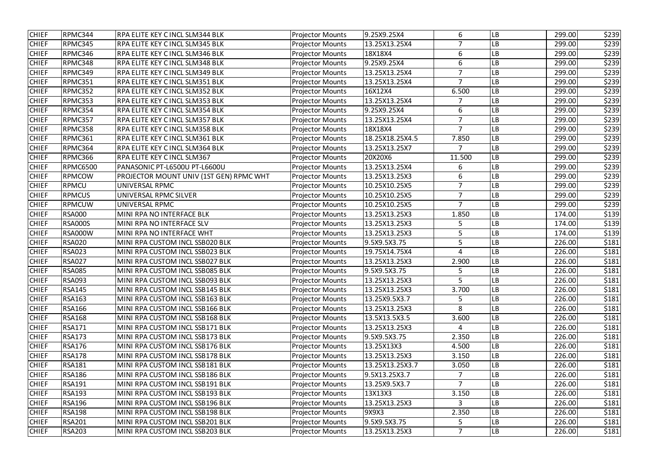| <b>CHIEF</b> | RPMC344         | RPA ELITE KEY C INCL SLM344 BLK         | <b>Projector Mounts</b> | 9.25X9.25X4     | 6              | LB         | 299.00 | \$239 |
|--------------|-----------------|-----------------------------------------|-------------------------|-----------------|----------------|------------|--------|-------|
| <b>CHIEF</b> | RPMC345         | <b>RPA ELITE KEY C INCL SLM345 BLK</b>  | <b>Projector Mounts</b> | 13.25X13.25X4   | $\overline{7}$ | LВ         | 299.00 | \$239 |
| <b>CHIEF</b> | RPMC346         | RPA ELITE KEY C INCL SLM346 BLK         | <b>Projector Mounts</b> | 18X18X4         | 6              | LB         | 299.00 | \$239 |
| <b>CHIEF</b> | RPMC348         | <b>RPA ELITE KEY C INCL SLM348 BLK</b>  | <b>Projector Mounts</b> | 9.25X9.25X4     | 6              | LB         | 299.00 | \$239 |
| <b>CHIEF</b> | RPMC349         | RPA ELITE KEY C INCL SLM349 BLK         | <b>Projector Mounts</b> | 13.25X13.25X4   | 7              | LB         | 299.00 | \$239 |
| <b>CHIEF</b> | RPMC351         | RPA ELITE KEY C INCL SLM351 BLK         | <b>Projector Mounts</b> | 13.25X13.25X4   | $\overline{7}$ | LB         | 299.00 | \$239 |
| <b>CHIEF</b> | RPMC352         | <b>RPA ELITE KEY C INCL SLM352 BLK</b>  | <b>Projector Mounts</b> | 16X12X4         | 6.500          | LB         | 299.00 | \$239 |
| <b>CHIEF</b> | RPMC353         | RPA ELITE KEY C INCL SLM353 BLK         | <b>Projector Mounts</b> | 13.25X13.25X4   | $\overline{7}$ | LВ         | 299.00 | \$239 |
| <b>CHIEF</b> | RPMC354         | RPA ELITE KEY C INCL SLM354 BLK         | <b>Projector Mounts</b> | 9.25X9.25X4     | 6              | LB         | 299.00 | \$239 |
| <b>CHIEF</b> | RPMC357         | RPA ELITE KEY C INCL SLM357 BLK         | <b>Projector Mounts</b> | 13.25X13.25X4   | $\overline{7}$ | LB         | 299.00 | \$239 |
| <b>CHIEF</b> | RPMC358         | RPA ELITE KEY C INCL SLM358 BLK         | <b>Projector Mounts</b> | 18X18X4         | 7              | LB         | 299.00 | \$239 |
| <b>CHIEF</b> | RPMC361         | <b>RPA ELITE KEY C INCL SLM361 BLK</b>  | <b>Projector Mounts</b> | 18.25X18.25X4.5 | 7.850          | ${\sf LB}$ | 299.00 | \$239 |
| <b>CHIEF</b> | RPMC364         | RPA ELITE KEY C INCL SLM364 BLK         | <b>Projector Mounts</b> | 13.25X13.25X7   | $\overline{7}$ | LB         | 299.00 | \$239 |
| <b>CHIEF</b> | RPMC366         | RPA ELITE KEY C INCL SLM367             | <b>Projector Mounts</b> | 20X20X6         | 11.500         | LB         | 299.00 | \$239 |
| <b>CHIEF</b> | <b>RPMC6500</b> | PANASONIC PT-L6500U PT-L6600U           | <b>Projector Mounts</b> | 13.25X13.25X4   | 6              | LВ         | 299.00 | \$239 |
| <b>CHIEF</b> | RPMCOW          | PROJECTOR MOUNT UNIV (1ST GEN) RPMC WHT | <b>Projector Mounts</b> | 13.25X13.25X3   | 6              | LВ         | 299.00 | \$239 |
| <b>CHIEF</b> | RPMCU           | UNIVERSAL RPMC                          | <b>Projector Mounts</b> | 10.25X10.25X5   | 7              | LB         | 299.00 | \$239 |
| <b>CHIEF</b> | <b>RPMCUS</b>   | UNIVERSAL RPMC SILVER                   | <b>Projector Mounts</b> | 10.25X10.25X5   | $\overline{7}$ | LB         | 299.00 | \$239 |
| <b>CHIEF</b> | <b>RPMCUW</b>   | UNIVERSAL RPMC                          | <b>Projector Mounts</b> | 10.25X10.25X5   | $\overline{7}$ | LВ         | 299.00 | \$239 |
| <b>CHIEF</b> | <b>RSA000</b>   | MINI RPA NO INTERFACE BLK               | <b>Projector Mounts</b> | 13.25X13.25X3   | 1.850          | LB         | 174.00 | \$139 |
| <b>CHIEF</b> | <b>RSA000S</b>  | MINI RPA NO INTERFACE SLV               | <b>Projector Mounts</b> | 13.25X13.25X3   | 5              | LВ         | 174.00 | \$139 |
| <b>CHIEF</b> | <b>RSA000W</b>  | MINI RPA NO INTERFACE WHT               | <b>Projector Mounts</b> | 13.25X13.25X3   | 5              | LВ         | 174.00 | \$139 |
| <b>CHIEF</b> | <b>RSA020</b>   | MINI RPA CUSTOM INCL SSB020 BLK         | <b>Projector Mounts</b> | 9.5X9.5X3.75    | 5              | LB         | 226.00 | \$181 |
| <b>CHIEF</b> | <b>RSA023</b>   | MINI RPA CUSTOM INCL SSB023 BLK         | <b>Projector Mounts</b> | 19.75X14.75X4   | 4              | LB         | 226.00 | \$181 |
| <b>CHIEF</b> | <b>RSA027</b>   | MINI RPA CUSTOM INCL SSB027 BLK         | <b>Projector Mounts</b> | 13.25X13.25X3   | 2.900          | LВ         | 226.00 | \$181 |
| <b>CHIEF</b> | <b>RSA085</b>   | MINI RPA CUSTOM INCL SSB085 BLK         | <b>Projector Mounts</b> | 9.5X9.5X3.75    | 5              | LB         | 226.00 | \$181 |
| <b>CHIEF</b> | <b>RSA093</b>   | MINI RPA CUSTOM INCL SSB093 BLK         | <b>Projector Mounts</b> | 13.25X13.25X3   | 5              | <b>LB</b>  | 226.00 | \$181 |
| <b>CHIEF</b> | <b>RSA145</b>   | MINI RPA CUSTOM INCL SSB145 BLK         | <b>Projector Mounts</b> | 13.25X13.25X3   | 3.700          | <b>LB</b>  | 226.00 | \$181 |
| <b>CHIEF</b> | <b>RSA163</b>   | MINI RPA CUSTOM INCL SSB163 BLK         | <b>Projector Mounts</b> | 13.25X9.5X3.7   | 5              | LВ         | 226.00 | \$181 |
| <b>CHIEF</b> | <b>RSA166</b>   | MINI RPA CUSTOM INCL SSB166 BLK         | <b>Projector Mounts</b> | 13.25X13.25X3   | 8              | <b>LB</b>  | 226.00 | \$181 |
| <b>CHIEF</b> | <b>RSA168</b>   | MINI RPA CUSTOM INCL SSB168 BLK         | <b>Projector Mounts</b> | 13.5X13.5X3.5   | 3.600          | <b>LB</b>  | 226.00 | \$181 |
| <b>CHIEF</b> | <b>RSA171</b>   | MINI RPA CUSTOM INCL SSB171 BLK         | <b>Projector Mounts</b> | 13.25X13.25X3   | 4              | <b>LB</b>  | 226.00 | \$181 |
| <b>CHIEF</b> | <b>RSA173</b>   | MINI RPA CUSTOM INCL SSB173 BLK         | <b>Projector Mounts</b> | 9.5X9.5X3.75    | 2.350          | LB         | 226.00 | \$181 |
| <b>CHIEF</b> | <b>RSA176</b>   | MINI RPA CUSTOM INCL SSB176 BLK         | <b>Projector Mounts</b> | 13.25X13X3      | 4.500          | <b>LB</b>  | 226.00 | \$181 |
| <b>CHIEF</b> | <b>RSA178</b>   | MINI RPA CUSTOM INCL SSB178 BLK         | <b>Projector Mounts</b> | 13.25X13.25X3   | 3.150          | LB         | 226.00 | \$181 |
| <b>CHIEF</b> | <b>RSA181</b>   | MINI RPA CUSTOM INCL SSB181 BLK         | <b>Projector Mounts</b> | 13.25X13.25X3.7 | 3.050          | <b>LB</b>  | 226.00 | \$181 |
| <b>CHIEF</b> | <b>RSA186</b>   | MINI RPA CUSTOM INCL SSB186 BLK         | <b>Projector Mounts</b> | 9.5X13.25X3.7   |                | <b>LB</b>  | 226.00 | \$181 |
| <b>CHIEF</b> | <b>RSA191</b>   | MINI RPA CUSTOM INCL SSB191 BLK         | <b>Projector Mounts</b> | 13.25X9.5X3.7   | $\overline{7}$ | <b>LB</b>  | 226.00 | \$181 |
| <b>CHIEF</b> | <b>RSA193</b>   | MINI RPA CUSTOM INCL SSB193 BLK         | <b>Projector Mounts</b> | 13X13X3         | 3.150          | LB         | 226.00 | \$181 |
| <b>CHIEF</b> | <b>RSA196</b>   | MINI RPA CUSTOM INCL SSB196 BLK         | <b>Projector Mounts</b> | 13.25X13.25X3   | 3              | <b>LB</b>  | 226.00 | \$181 |
| <b>CHIEF</b> | <b>RSA198</b>   | MINI RPA CUSTOM INCL SSB198 BLK         | <b>Projector Mounts</b> | 9X9X3           | 2.350          | <b>LB</b>  | 226.00 | \$181 |
| <b>CHIEF</b> | <b>RSA201</b>   | MINI RPA CUSTOM INCL SSB201 BLK         | <b>Projector Mounts</b> | 9.5X9.5X3.75    | 5              | LB         | 226.00 | \$181 |
| <b>CHIEF</b> | <b>RSA203</b>   | MINI RPA CUSTOM INCL SSB203 BLK         | <b>Projector Mounts</b> | 13.25X13.25X3   | 7              | LB         | 226.00 | \$181 |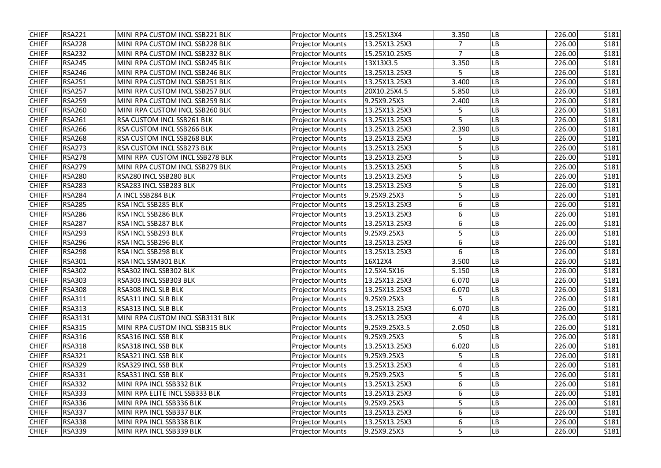| <b>CHIEF</b> | <b>RSA221</b>  | MINI RPA CUSTOM INCL SSB221 BLK   | <b>Projector Mounts</b> | 13.25X13X4    | 3.350          | LB        | 226.00 | \$181 |
|--------------|----------------|-----------------------------------|-------------------------|---------------|----------------|-----------|--------|-------|
| <b>CHIEF</b> | <b>RSA228</b>  | MINI RPA CUSTOM INCL SSB228 BLK   | <b>Projector Mounts</b> | 13.25X13.25X3 | $\overline{7}$ | LB        | 226.00 | \$181 |
| <b>CHIEF</b> | <b>RSA232</b>  | MINI RPA CUSTOM INCL SSB232 BLK   | <b>Projector Mounts</b> | 15.25X10.25X5 | $\overline{7}$ | LB        | 226.00 | \$181 |
| <b>CHIEF</b> | <b>RSA245</b>  | MINI RPA CUSTOM INCL SSB245 BLK   | <b>Projector Mounts</b> | 13X13X3.5     | 3.350          | LB        | 226.00 | \$181 |
| <b>CHIEF</b> | <b>RSA246</b>  | MINI RPA CUSTOM INCL SSB246 BLK   | <b>Projector Mounts</b> | 13.25X13.25X3 | 5              | LB        | 226.00 | \$181 |
| <b>CHIEF</b> | <b>RSA251</b>  | MINI RPA CUSTOM INCL SSB251 BLK   | <b>Projector Mounts</b> | 13.25X13.25X3 | 3.400          | LВ        | 226.00 | \$181 |
| <b>CHIEF</b> | <b>RSA257</b>  | MINI RPA CUSTOM INCL SSB257 BLK   | <b>Projector Mounts</b> | 20X10.25X4.5  | 5.850          | LB        | 226.00 | \$181 |
| <b>CHIEF</b> | <b>RSA259</b>  | MINI RPA CUSTOM INCL SSB259 BLK   | <b>Projector Mounts</b> | 9.25X9.25X3   | 2.400          | LB        | 226.00 | \$181 |
| <b>CHIEF</b> | <b>RSA260</b>  | MINI RPA CUSTOM INCL SSB260 BLK   | <b>Projector Mounts</b> | 13.25X13.25X3 | 5              | LB        | 226.00 | \$181 |
| <b>CHIEF</b> | <b>RSA261</b>  | <b>RSA CUSTOM INCL SSB261 BLK</b> | <b>Projector Mounts</b> | 13.25X13.25X3 | 5              | LB        | 226.00 | \$181 |
| <b>CHIEF</b> | <b>RSA266</b>  | <b>RSA CUSTOM INCL SSB266 BLK</b> | <b>Projector Mounts</b> | 13.25X13.25X3 | 2.390          | LB        | 226.00 | \$181 |
| <b>CHIEF</b> | <b>RSA268</b>  | <b>RSA CUSTOM INCL SSB268 BLK</b> | <b>Projector Mounts</b> | 13.25X13.25X3 | 5              | LB        | 226.00 | \$181 |
| <b>CHIEF</b> | <b>RSA273</b>  | <b>RSA CUSTOM INCL SSB273 BLK</b> | <b>Projector Mounts</b> | 13.25X13.25X3 | 5              | LB.       | 226.00 | \$181 |
| <b>CHIEF</b> | <b>RSA278</b>  | MINI RPA CUSTOM INCL SSB278 BLK   | <b>Projector Mounts</b> | 13.25X13.25X3 | 5              | LB        | 226.00 | \$181 |
| <b>CHIEF</b> | <b>RSA279</b>  | MINI RPA CUSTOM INCL SSB279 BLK   | <b>Projector Mounts</b> | 13.25X13.25X3 | 5              | LB        | 226.00 | \$181 |
| <b>CHIEF</b> | <b>RSA280</b>  | RSA280 INCL SSB280 BLK            | <b>Projector Mounts</b> | 13.25X13.25X3 | 5              | LB.       | 226.00 | \$181 |
| <b>CHIEF</b> | <b>RSA283</b>  | RSA283 INCL SSB283 BLK            | <b>Projector Mounts</b> | 13.25X13.25X3 | 5              | LB.       | 226.00 | \$181 |
| <b>CHIEF</b> | <b>RSA284</b>  | A INCL SSB284 BLK                 | <b>Projector Mounts</b> | 9.25X9.25X3   | 5              | LB        | 226.00 | \$181 |
| <b>CHIEF</b> | <b>RSA285</b>  | <b>RSA INCL SSB285 BLK</b>        | <b>Projector Mounts</b> | 13.25X13.25X3 | 6              | LB.       | 226.00 | \$181 |
| <b>CHIEF</b> | <b>RSA286</b>  | RSA INCL SSB286 BLK               | <b>Projector Mounts</b> | 13.25X13.25X3 | 6              | LB        | 226.00 | \$181 |
| <b>CHIEF</b> | <b>RSA287</b>  | RSA INCL SSB287 BLK               | <b>Projector Mounts</b> | 13.25X13.25X3 | 6              | LB        | 226.00 | \$181 |
| <b>CHIEF</b> | <b>RSA293</b>  | RSA INCL SSB293 BLK               | <b>Projector Mounts</b> | 9.25X9.25X3   | 5              | LB.       | 226.00 | \$181 |
| <b>CHIEF</b> | <b>RSA296</b>  | RSA INCL SSB296 BLK               | <b>Projector Mounts</b> | 13.25X13.25X3 | 6              | LB.       | 226.00 | \$181 |
| <b>CHIEF</b> | <b>RSA298</b>  | RSA INCL SSB298 BLK               | <b>Projector Mounts</b> | 13.25X13.25X3 | 6              | LB        | 226.00 | \$181 |
| <b>CHIEF</b> | <b>RSA301</b>  | RSA INCL SSM301 BLK               | <b>Projector Mounts</b> | 16X12X4       | 3.500          | LB        | 226.00 | \$181 |
| <b>CHIEF</b> | <b>RSA302</b>  | RSA302 INCL SSB302 BLK            | <b>Projector Mounts</b> | 12.5X4.5X16   | 5.150          | LВ        | 226.00 | \$181 |
| <b>CHIEF</b> | <b>RSA303</b>  | RSA303 INCL SSB303 BLK            | <b>Projector Mounts</b> | 13.25X13.25X3 | 6.070          | <b>LB</b> | 226.00 | \$181 |
| <b>CHIEF</b> | <b>RSA308</b>  | RSA308 INCL SLB BLK               | <b>Projector Mounts</b> | 13.25X13.25X3 | 6.070          | LB        | 226.00 | \$181 |
| <b>CHIEF</b> | <b>RSA311</b>  | <b>RSA311 INCL SLB BLK</b>        | <b>Projector Mounts</b> | 9.25X9.25X3   | 5              | LB        | 226.00 | \$181 |
| <b>CHIEF</b> | <b>RSA313</b>  | <b>RSA313 INCL SLB BLK</b>        | <b>Projector Mounts</b> | 13.25X13.25X3 | 6.070          | LB        | 226.00 | \$181 |
| <b>CHIEF</b> | <b>RSA3131</b> | MINI RPA CUSTOM INCL SSB3131 BLK  | <b>Projector Mounts</b> | 13.25X13.25X3 | 4              | LB        | 226.00 | \$181 |
| <b>CHIEF</b> | <b>RSA315</b>  | MINI RPA CUSTOM INCL SSB315 BLK   | <b>Projector Mounts</b> | 9.25X9.25X3.5 | 2.050          | LB        | 226.00 | \$181 |
| <b>CHIEF</b> | <b>RSA316</b>  | RSA316 INCL SSB BLK               | <b>Projector Mounts</b> | 9.25X9.25X3   | 5              | LB        | 226.00 | \$181 |
| <b>CHIEF</b> | <b>RSA318</b>  | RSA318 INCL SSB BLK               | <b>Projector Mounts</b> | 13.25X13.25X3 | 6.020          | LB        | 226.00 | \$181 |
| <b>CHIEF</b> | <b>RSA321</b>  | RSA321 INCL SSB BLK               | <b>Projector Mounts</b> | 9.25X9.25X3   | 5              | LB        | 226.00 | \$181 |
| <b>CHIEF</b> | <b>RSA329</b>  | RSA329 INCL SSB BLK               | <b>Projector Mounts</b> | 13.25X13.25X3 | 4              | LB        | 226.00 | \$181 |
| <b>CHIEF</b> | <b>RSA331</b>  | RSA331 INCL SSB BLK               | <b>Projector Mounts</b> | 9.25X9.25X3   | 5              | LB        | 226.00 | \$181 |
| <b>CHIEF</b> | <b>RSA332</b>  | MINI RPA INCL SSB332 BLK          | <b>Projector Mounts</b> | 13.25X13.25X3 | 6              | LB        | 226.00 | \$181 |
| <b>CHIEF</b> | <b>RSA333</b>  | MINI RPA ELITE INCL SSB333 BLK    | <b>Projector Mounts</b> | 13.25X13.25X3 | 6              | LB        | 226.00 | \$181 |
| <b>CHIEF</b> | <b>RSA336</b>  | MINI RPA INCL SSB336 BLK          | <b>Projector Mounts</b> | 9.25X9.25X3   | 5              | LB        | 226.00 | \$181 |
| <b>CHIEF</b> | <b>RSA337</b>  | MINI RPA INCL SSB337 BLK          | <b>Projector Mounts</b> | 13.25X13.25X3 | 6              | LB        | 226.00 | \$181 |
| <b>CHIEF</b> | <b>RSA338</b>  | MINI RPA INCL SSB338 BLK          | <b>Projector Mounts</b> | 13.25X13.25X3 | 6              | LB        | 226.00 | \$181 |
| <b>CHIEF</b> | <b>RSA339</b>  | MINI RPA INCL SSB339 BLK          | <b>Projector Mounts</b> | 9.25X9.25X3   | 5              | LB        | 226.00 | \$181 |
|              |                |                                   |                         |               |                |           |        |       |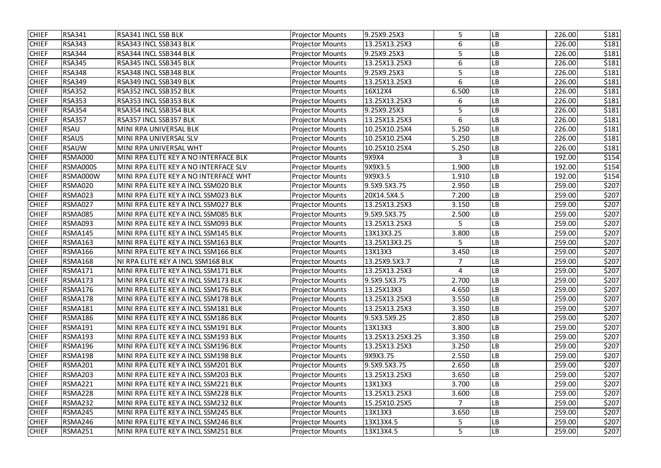| <b>CHIEF</b> | <b>RSA341</b>  | RSA341 INCL SSB BLK                   | <b>Projector Mounts</b> | 9.25X9.25X3      | 5     | LB        | 226.00 | \$181 |
|--------------|----------------|---------------------------------------|-------------------------|------------------|-------|-----------|--------|-------|
| <b>CHIEF</b> | <b>RSA343</b>  | RSA343 INCL SSB343 BLK                | <b>Projector Mounts</b> | 13.25X13.25X3    | 6     | LB        | 226.00 | \$181 |
| <b>CHIEF</b> | <b>RSA344</b>  | RSA344 INCL SSB344 BLK                | <b>Projector Mounts</b> | 9.25X9.25X3      | 5     | LB        | 226.00 | \$181 |
| <b>CHIEF</b> | <b>RSA345</b>  | RSA345 INCL SSB345 BLK                | <b>Projector Mounts</b> | 13.25X13.25X3    | 6     | LB        | 226.00 | \$181 |
| <b>CHIEF</b> | <b>RSA348</b>  | RSA348 INCL SSB348 BLK                | <b>Projector Mounts</b> | 9.25X9.25X3      | 5     | LB        | 226.00 | \$181 |
| <b>CHIEF</b> | <b>RSA349</b>  | RSA349 INCL SSB349 BLK                | <b>Projector Mounts</b> | 13.25X13.25X3    | 6     | -B        | 226.00 | \$181 |
| <b>CHIEF</b> | <b>RSA352</b>  | RSA352 INCL SSB352 BLK                | <b>Projector Mounts</b> | 16X12X4          | 6.500 | LB        | 226.00 | \$181 |
| <b>CHIEF</b> | <b>RSA353</b>  | RSA353 INCL SSB353 BLK                | <b>Projector Mounts</b> | 13.25X13.25X3    | 6     | LB        | 226.00 | \$181 |
| <b>CHIEF</b> | <b>RSA354</b>  | RSA354 INCL SSB354 BLK                | <b>Projector Mounts</b> | 9.25X9.25X3      | 5     | -B        | 226.00 | \$181 |
| <b>CHIEF</b> | <b>RSA357</b>  | RSA357 INCL SSB357 BLK                | <b>Projector Mounts</b> | 13.25X13.25X3    | 6     | LB        | 226.00 | \$181 |
| <b>CHIEF</b> | <b>RSAU</b>    | MINI RPA UNIVERSAL BLK                | <b>Projector Mounts</b> | 10.25X10.25X4    | 5.250 | LB        | 226.00 | \$181 |
| <b>CHIEF</b> | <b>RSAUS</b>   | MINI RPA UNIVERSAL SLV                | <b>Projector Mounts</b> | 10.25X10.25X4    | 5.250 | LB        | 226.00 | \$181 |
| <b>CHIEF</b> | <b>RSAUW</b>   | MINI RPA UNIVERSAL WHT                | <b>Projector Mounts</b> | 10.25X10.25X4    | 5.250 | LВ        | 226.00 | \$181 |
| <b>CHIEF</b> | <b>RSMA000</b> | MINI RPA ELITE KEY A NO INTERFACE BLK | <b>Projector Mounts</b> | 9X9X4            | 3     | LB        | 192.00 | \$154 |
| <b>CHIEF</b> | RSMA000S       | MINI RPA ELITE KEY A NO INTERFACE SLV | <b>Projector Mounts</b> | 9X9X3.5          | 1.900 | LВ        | 192.00 | \$154 |
| <b>CHIEF</b> | RSMA000W       | MINI RPA ELITE KEY A NO INTERFACE WHT | <b>Projector Mounts</b> | 9X9X3.5          | 1.910 | LB        | 192.00 | \$154 |
| <b>CHIEF</b> | RSMA020        | MINI RPA ELITE KEY A INCL SSM020 BLK  | <b>Projector Mounts</b> | 9.5X9.5X3.75     | 2.950 | LB        | 259.00 | \$207 |
| <b>CHIEF</b> | <b>RSMA023</b> | MINI RPA ELITE KEY A INCL SSM023 BLK  | <b>Projector Mounts</b> | 20X14.5X4.5      | 7.200 | LB        | 259.00 | \$207 |
| <b>CHIEF</b> | RSMA027        | MINI RPA ELITE KEY A INCL SSM027 BLK  | <b>Projector Mounts</b> | 13.25X13.25X3    | 3.150 | LB        | 259.00 | \$207 |
| <b>CHIEF</b> | <b>RSMA085</b> | MINI RPA ELITE KEY A INCL SSM085 BLK  | <b>Projector Mounts</b> | 9.5X9.5X3.75     | 2.500 | LB        | 259.00 | \$207 |
| <b>CHIEF</b> | RSMA093        | MINI RPA ELITE KEY A INCL SSM093 BLK  | <b>Projector Mounts</b> | 13.25X13.25X3    | 5     | LB        | 259.00 | \$207 |
| <b>CHIEF</b> | <b>RSMA145</b> | MINI RPA ELITE KEY A INCL SSM145 BLK  | <b>Projector Mounts</b> | 13X13X3.25       | 3.800 | LB        | 259.00 | \$207 |
| <b>CHIEF</b> | <b>RSMA163</b> | MINI RPA ELITE KEY A INCL SSM163 BLK  | <b>Projector Mounts</b> | 13.25X13X3.25    | 5     | LB        | 259.00 | \$207 |
| <b>CHIEF</b> | <b>RSMA166</b> | MINI RPA ELITE KEY A INCL SSM166 BLK  | <b>Projector Mounts</b> | 13X13X3          | 3.450 | LB        | 259.00 | \$207 |
| <b>CHIEF</b> | <b>RSMA168</b> | NI RPA ELITE KEY A INCL SSM168 BLK    | <b>Projector Mounts</b> | 13.25X9.5X3.7    | 7     | -B        | 259.00 | \$207 |
| <b>CHIEF</b> | <b>RSMA171</b> | MINI RPA ELITE KEY A INCL SSM171 BLK  | <b>Projector Mounts</b> | 13.25X13.25X3    | 4     | LB        | 259.00 | \$207 |
| <b>CHIEF</b> | <b>RSMA173</b> | MINI RPA ELITE KEY A INCL SSM173 BLK  | <b>Projector Mounts</b> | 9.5X9.5X3.75     | 2.700 | <b>LB</b> | 259.00 | \$207 |
| <b>CHIEF</b> | RSMA176        | MINI RPA ELITE KEY A INCL SSM176 BLK  | <b>Projector Mounts</b> | 13.25X13X3       | 4.650 | LВ        | 259.00 | \$207 |
| <b>CHIEF</b> | <b>RSMA178</b> | MINI RPA ELITE KEY A INCL SSM178 BLK  | <b>Projector Mounts</b> | 13.25X13.25X3    | 3.550 | LB        | 259.00 | \$207 |
| <b>CHIEF</b> | <b>RSMA181</b> | MINI RPA ELITE KEY A INCL SSM181 BLK  | <b>Projector Mounts</b> | 13.25X13.25X3    | 3.350 | LB        | 259.00 | \$207 |
| <b>CHIEF</b> | <b>RSMA186</b> | MINI RPA ELITE KEY A INCL SSM186 BLK  | <b>Projector Mounts</b> | 9.5X3.5X9.25     | 2.850 | LB        | 259.00 | \$207 |
| <b>CHIEF</b> | <b>RSMA191</b> | MINI RPA ELITE KEY A INCL SSM191 BLK  | <b>Projector Mounts</b> | 13X13X3          | 3.800 | LB        | 259.00 | \$207 |
| <b>CHIEF</b> | <b>RSMA193</b> | MINI RPA ELITE KEY A INCL SSM193 BLK  | <b>Projector Mounts</b> | 13.25X13.25X3.25 | 3.350 | LB        | 259.00 | \$207 |
| <b>CHIEF</b> | <b>RSMA196</b> | MINI RPA ELITE KEY A INCL SSM196 BLK  | <b>Projector Mounts</b> | 13.25X13.25X3    | 3.250 | LB        | 259.00 | \$207 |
| <b>CHIEF</b> | <b>RSMA198</b> | MINI RPA ELITE KEY A INCL SSM198 BLK  | <b>Projector Mounts</b> | 9X9X3.75         | 2.550 | LB        | 259.00 | \$207 |
| <b>CHIEF</b> | <b>RSMA201</b> | MINI RPA ELITE KEY A INCL SSM201 BLK  | <b>Projector Mounts</b> | 9.5X9.5X3.75     | 2.650 | <b>LB</b> | 259.00 | \$207 |
| <b>CHIEF</b> | <b>RSMA203</b> | MINI RPA ELITE KEY A INCL SSM203 BLK  | <b>Projector Mounts</b> | 13.25X13.25X3    | 3.650 | LB        | 259.00 | \$207 |
| <b>CHIEF</b> | <b>RSMA221</b> | MINI RPA ELITE KEY A INCL SSM221 BLK  | <b>Projector Mounts</b> | 13X13X3          | 3.700 | LB        | 259.00 | \$207 |
| <b>CHIEF</b> | <b>RSMA228</b> | MINI RPA ELITE KEY A INCL SSM228 BLK  | <b>Projector Mounts</b> | 13.25X13.25X3    | 3.600 | <b>LB</b> | 259.00 | \$207 |
| <b>CHIEF</b> | <b>RSMA232</b> | MINI RPA ELITE KEY A INCL SSM232 BLK  | <b>Projector Mounts</b> | 15.25X10.25X5    | 7     | LB        | 259.00 | \$207 |
| <b>CHIEF</b> | <b>RSMA245</b> | MINI RPA ELITE KEY A INCL SSM245 BLK  | <b>Projector Mounts</b> | 13X13X3          | 3.650 | LB        | 259.00 | \$207 |
| <b>CHIEF</b> | RSMA246        | MINI RPA ELITE KEY A INCL SSM246 BLK  | <b>Projector Mounts</b> | 13X13X4.5        | 5     | LΒ        | 259.00 | \$207 |
| <b>CHIEF</b> | <b>RSMA251</b> | MINI RPA ELITE KEY A INCL SSM251 BLK  | <b>Projector Mounts</b> | 13X13X4.5        | 5     | LB        | 259.00 | \$207 |
|              |                |                                       |                         |                  |       |           |        |       |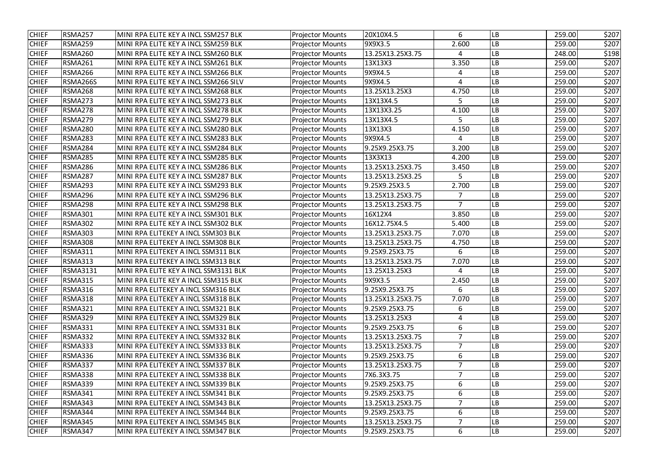| <b>CHIEF</b> | <b>RSMA257</b>  | MINI RPA ELITE KEY A INCL SSM257 BLK  | <b>Projector Mounts</b> | 20X10X4.5        | 6              | LB        | 259.00 | \$207 |
|--------------|-----------------|---------------------------------------|-------------------------|------------------|----------------|-----------|--------|-------|
| <b>CHIEF</b> | <b>RSMA259</b>  | MINI RPA ELITE KEY A INCL SSM259 BLK  | <b>Projector Mounts</b> | 9X9X3.5          | 2.600          | LB        | 259.00 | \$207 |
| <b>CHIEF</b> | <b>RSMA260</b>  | MINI RPA ELITE KEY A INCL SSM260 BLK  | <b>Projector Mounts</b> | 13.25X13.25X3.75 | 4              | -B        | 248.00 | \$198 |
| <b>CHIEF</b> | <b>RSMA261</b>  | MINI RPA ELITE KEY A INCL SSM261 BLK  | <b>Projector Mounts</b> | 13X13X3          | 3.350          | LB        | 259.00 | \$207 |
| <b>CHIEF</b> | <b>RSMA266</b>  | MINI RPA ELITE KEY A INCL SSM266 BLK  | <b>Projector Mounts</b> | 9X9X4.5          | 4              | LB        | 259.00 | \$207 |
| <b>CHIEF</b> | RSMA266S        | MINI RPA ELITE KEY A INCL SSM266 SILV | <b>Projector Mounts</b> | 9X9X4.5          | $\overline{4}$ | -B        | 259.00 | \$207 |
| <b>CHIEF</b> | <b>RSMA268</b>  | MINI RPA ELITE KEY A INCL SSM268 BLK  | <b>Projector Mounts</b> | 13.25X13.25X3    | 4.750          | LB        | 259.00 | \$207 |
| <b>CHIEF</b> | <b>RSMA273</b>  | MINI RPA ELITE KEY A INCL SSM273 BLK  | <b>Projector Mounts</b> | 13X13X4.5        | 5              | LB        | 259.00 | \$207 |
| <b>CHIEF</b> | <b>RSMA278</b>  | MINI RPA ELITE KEY A INCL SSM278 BLK  | <b>Projector Mounts</b> | 13X13X3.25       | 4.100          | LB        | 259.00 | \$207 |
| <b>CHIEF</b> | <b>RSMA279</b>  | MINI RPA ELITE KEY A INCL SSM279 BLK  | <b>Projector Mounts</b> | 13X13X4.5        | 5              | LB        | 259.00 | \$207 |
| <b>CHIEF</b> | <b>RSMA280</b>  | MINI RPA ELITE KEY A INCL SSM280 BLK  | <b>Projector Mounts</b> | 13X13X3          | 4.150          | LB        | 259.00 | \$207 |
| <b>CHIEF</b> | <b>RSMA283</b>  | MINI RPA ELITE KEY A INCL SSM283 BLK  | <b>Projector Mounts</b> | 9X9X4.5          | 4              | LB        | 259.00 | \$207 |
| <b>CHIEF</b> | RSMA284         | MINI RPA ELITE KEY A INCL SSM284 BLK  | <b>Projector Mounts</b> | 9.25X9.25X3.75   | 3.200          | LВ        | 259.00 | \$207 |
| <b>CHIEF</b> | <b>RSMA285</b>  | MINI RPA ELITE KEY A INCL SSM285 BLK  | <b>Projector Mounts</b> | 13X3X13          | 4.200          | LB        | 259.00 | \$207 |
| <b>CHIEF</b> | <b>RSMA286</b>  | MINI RPA ELITE KEY A INCL SSM286 BLK  | <b>Projector Mounts</b> | 13.25X13.25X3.75 | 3.450          | LВ        | 259.00 | \$207 |
| <b>CHIEF</b> | <b>RSMA287</b>  | MINI RPA ELITE KEY A INCL SSM287 BLK  | <b>Projector Mounts</b> | 13.25X13.25X3.25 | 5              | LB        | 259.00 | \$207 |
| <b>CHIEF</b> | <b>RSMA293</b>  | MINI RPA ELITE KEY A INCL SSM293 BLK  | <b>Projector Mounts</b> | 9.25X9.25X3.5    | 2.700          | LB        | 259.00 | \$207 |
| <b>CHIEF</b> | <b>RSMA296</b>  | MINI RPA ELITE KEY A INCL SSM296 BLK  | <b>Projector Mounts</b> | 13.25X13.25X3.75 | 7              | LB        | 259.00 | \$207 |
| <b>CHIEF</b> | <b>RSMA298</b>  | MINI RPA ELITE KEY A INCL SSM298 BLK  | <b>Projector Mounts</b> | 13.25X13.25X3.75 | $\overline{7}$ | LB        | 259.00 | \$207 |
| <b>CHIEF</b> | <b>RSMA301</b>  | MINI RPA ELITE KEY A INCL SSM301 BLK  | <b>Projector Mounts</b> | 16X12X4          | 3.850          | LВ        | 259.00 | \$207 |
| <b>CHIEF</b> | <b>RSMA302</b>  | MINI RPA ELITE KEY A INCL SSM302 BLK  | <b>Projector Mounts</b> | 16X12.75X4.5     | 5.400          | LB        | 259.00 | \$207 |
| <b>CHIEF</b> | <b>RSMA303</b>  | MINI RPA ELITEKEY A INCL SSM303 BLK   | <b>Projector Mounts</b> | 13.25X13.25X3.75 | 7.070          | LB        | 259.00 | \$207 |
| <b>CHIEF</b> | <b>RSMA308</b>  | MINI RPA ELITEKEY A INCL SSM308 BLK   | <b>Projector Mounts</b> | 13.25X13.25X3.75 | 4.750          | LB        | 259.00 | \$207 |
| <b>CHIEF</b> | <b>RSMA311</b>  | MINI RPA ELITEKEY A INCL SSM311 BLK   | <b>Projector Mounts</b> | 9.25X9.25X3.75   | 6              | LB        | 259.00 | \$207 |
| <b>CHIEF</b> | <b>RSMA313</b>  | MINI RPA ELITEKEY A INCL SSM313 BLK   | <b>Projector Mounts</b> | 13.25X13.25X3.75 | 7.070          | LB        | 259.00 | \$207 |
| <b>CHIEF</b> | <b>RSMA3131</b> | MINI RPA ELITE KEY A INCL SSM3131 BLK | <b>Projector Mounts</b> | 13.25X13.25X3    | 4              | LB        | 259.00 | \$207 |
| <b>CHIEF</b> | <b>RSMA315</b>  | MINI RPA ELITE KEY A INCL SSM315 BLK  | <b>Projector Mounts</b> | 9X9X3.5          | 2.450          | <b>LB</b> | 259.00 | \$207 |
| <b>CHIEF</b> | <b>RSMA316</b>  | MINI RPA ELITEKEY A INCL SSM316 BLK   | <b>Projector Mounts</b> | 9.25X9.25X3.75   | 6              | LB        | 259.00 | \$207 |
| <b>CHIEF</b> | <b>RSMA318</b>  | MINI RPA ELITEKEY A INCL SSM318 BLK   | <b>Projector Mounts</b> | 13.25X13.25X3.75 | 7.070          | LB        | 259.00 | \$207 |
| <b>CHIEF</b> | <b>RSMA321</b>  | MINI RPA ELITEKEY A INCL SSM321 BLK   | <b>Projector Mounts</b> | 9.25X9.25X3.75   | 6              | LB        | 259.00 | \$207 |
| <b>CHIEF</b> | <b>RSMA329</b>  | MINI RPA ELITEKEY A INCL SSM329 BLK   | <b>Projector Mounts</b> | 13.25X13.25X3    | 4              | LB        | 259.00 | \$207 |
| <b>CHIEF</b> | <b>RSMA331</b>  | MINI RPA ELITEKEY A INCL SSM331 BLK   | <b>Projector Mounts</b> | 9.25X9.25X3.75   | 6              | LB        | 259.00 | \$207 |
| <b>CHIEF</b> | <b>RSMA332</b>  | MINI RPA ELITEKEY A INCL SSM332 BLK   | <b>Projector Mounts</b> | 13.25X13.25X3.75 | $\overline{7}$ | LB        | 259.00 | \$207 |
| <b>CHIEF</b> | <b>RSMA333</b>  | MINI RPA ELITEKEY A INCL SSM333 BLK   | <b>Projector Mounts</b> | 13.25X13.25X3.75 | 7              | LB        | 259.00 | \$207 |
| <b>CHIEF</b> | <b>RSMA336</b>  | MINI RPA ELITEKEY A INCL SSM336 BLK   | <b>Projector Mounts</b> | 9.25X9.25X3.75   | 6              | LB        | 259.00 | \$207 |
| <b>CHIEF</b> | <b>RSMA337</b>  | MINI RPA ELITEKEY A INCL SSM337 BLK   | <b>Projector Mounts</b> | 13.25X13.25X3.75 |                | LB        | 259.00 | \$207 |
| <b>CHIEF</b> | RSMA338         | MINI RPA ELITEKEY A INCL SSM338 BLK   | <b>Projector Mounts</b> | 7X6.3X3.75       | $\overline{7}$ | LB        | 259.00 | \$207 |
| <b>CHIEF</b> | <b>RSMA339</b>  | MINI RPA ELITEKEY A INCL SSM339 BLK   | <b>Projector Mounts</b> | 9.25X9.25X3.75   | 6              | LB        | 259.00 | \$207 |
| <b>CHIEF</b> | RSMA341         | MINI RPA ELITEKEY A INCL SSM341 BLK   | <b>Projector Mounts</b> | 9.25X9.25X3.75   | 6              | LB        | 259.00 | \$207 |
| <b>CHIEF</b> | <b>RSMA343</b>  | MINI RPA ELITEKEY A INCL SSM343 BLK   | <b>Projector Mounts</b> | 13.25X13.25X3.75 | 7              | LB        | 259.00 | \$207 |
| <b>CHIEF</b> | RSMA344         | MINI RPA ELITEKEY A INCL SSM344 BLK   | <b>Projector Mounts</b> | 9.25X9.25X3.75   | 6              | LB        | 259.00 | \$207 |
| <b>CHIEF</b> | <b>RSMA345</b>  | MINI RPA ELITEKEY A INCL SSM345 BLK   | <b>Projector Mounts</b> | 13.25X13.25X3.75 |                | LB        | 259.00 | \$207 |
| <b>CHIEF</b> | RSMA347         | MINI RPA ELITEKEY A INCL SSM347 BLK   | <b>Projector Mounts</b> | 9.25X9.25X3.75   | 6              | LB        | 259.00 | \$207 |
|              |                 |                                       |                         |                  |                |           |        |       |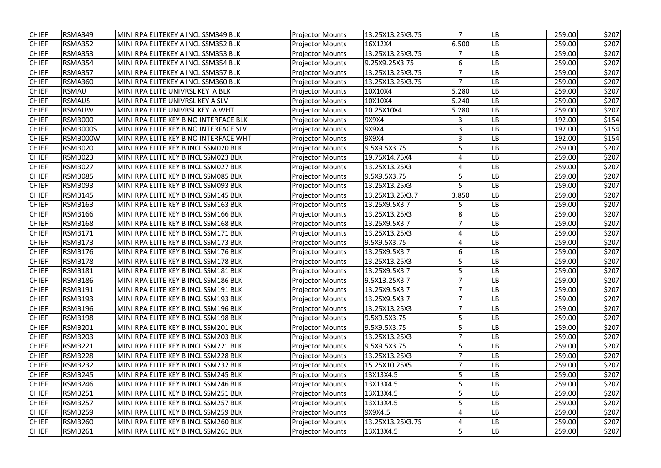| <b>CHIEF</b> | RSMA349        | MINI RPA ELITEKEY A INCL SSM349 BLK   | <b>Projector Mounts</b> | 13.25X13.25X3.75 | 7              | LB        | 259.00 | \$207 |
|--------------|----------------|---------------------------------------|-------------------------|------------------|----------------|-----------|--------|-------|
| <b>CHIEF</b> | RSMA352        | MINI RPA ELITEKEY A INCL SSM352 BLK   | <b>Projector Mounts</b> | 16X12X4          | 6.500          | LB        | 259.00 | \$207 |
| <b>CHIEF</b> | <b>RSMA353</b> | MINI RPA ELITEKEY A INCL SSM353 BLK   | <b>Projector Mounts</b> | 13.25X13.25X3.75 | 7              | LB        | 259.00 | \$207 |
| <b>CHIEF</b> | RSMA354        | MINI RPA ELITEKEY A INCL SSM354 BLK   | <b>Projector Mounts</b> | 9.25X9.25X3.75   | 6              | LB        | 259.00 | \$207 |
| <b>CHIEF</b> | <b>RSMA357</b> | MINI RPA ELITEKEY A INCL SSM357 BLK   | <b>Projector Mounts</b> | 13.25X13.25X3.75 | 7              | LB        | 259.00 | \$207 |
| <b>CHIEF</b> | <b>RSMA360</b> | MINI RPA ELITEKEY A INCL SSM360 BLK   | <b>Projector Mounts</b> | 13.25X13.25X3.75 | 7              | LB        | 259.00 | \$207 |
| <b>CHIEF</b> | <b>RSMAU</b>   | MINI RPA ELITE UNIVRSL KEY A BLK      | <b>Projector Mounts</b> | 10X10X4          | 5.280          | LB        | 259.00 | \$207 |
| <b>CHIEF</b> | <b>RSMAUS</b>  | MINI RPA ELITE UNIVRSL KEY A SLV      | <b>Projector Mounts</b> | 10X10X4          | 5.240          | LB        | 259.00 | \$207 |
| <b>CHIEF</b> | <b>RSMAUW</b>  | MINI RPA ELITE UNIVRSL KEY A WHT      | <b>Projector Mounts</b> | 10.25X10X4       | 5.280          | LB        | 259.00 | \$207 |
| <b>CHIEF</b> | <b>RSMB000</b> | MINI RPA ELITE KEY B NO INTERFACE BLK | <b>Projector Mounts</b> | 9X9X4            | 3              | LB        | 192.00 | \$154 |
| <b>CHIEF</b> | RSMB000S       | MINI RPA ELITE KEY B NO INTERFACE SLV | <b>Projector Mounts</b> | 9X9X4            | 3              | LB        | 192.00 | \$154 |
| <b>CHIEF</b> | RSMB000W       | MINI RPA ELITE KEY B NO INTERFACE WHT | <b>Projector Mounts</b> | 9X9X4            | 3              | LB        | 192.00 | \$154 |
| <b>CHIEF</b> | RSMB020        | MINI RPA ELITE KEY B INCL SSM020 BLK  | <b>Projector Mounts</b> | 9.5X9.5X3.75     | 5              | LB        | 259.00 | \$207 |
| <b>CHIEF</b> | <b>RSMB023</b> | MINI RPA ELITE KEY B INCL SSM023 BLK  | <b>Projector Mounts</b> | 19.75X14.75X4    | $\overline{4}$ | LB        | 259.00 | \$207 |
| <b>CHIEF</b> | RSMB027        | MINI RPA ELITE KEY B INCL SSM027 BLK  | <b>Projector Mounts</b> | 13.25X13.25X3    | 4              | LB        | 259.00 | \$207 |
| <b>CHIEF</b> | RSMB085        | MINI RPA ELITE KEY B INCL SSM085 BLK  | <b>Projector Mounts</b> | 9.5X9.5X3.75     | 5              | LB        | 259.00 | \$207 |
| <b>CHIEF</b> | <b>RSMB093</b> | MINI RPA ELITE KEY B INCL SSM093 BLK  | <b>Projector Mounts</b> | 13.25X13.25X3    | 5              | LB        | 259.00 | \$207 |
| <b>CHIEF</b> | RSMB145        | MINI RPA ELITE KEY B INCL SSM145 BLK  | <b>Projector Mounts</b> | 13.25X13.25X3.7  | 3.850          | LB        | 259.00 | \$207 |
| <b>CHIEF</b> | <b>RSMB163</b> | MINI RPA ELITE KEY B INCL SSM163 BLK  | <b>Projector Mounts</b> | 13.25X9.5X3.7    | 5              | LB        | 259.00 | \$207 |
| <b>CHIEF</b> | RSMB166        | MINI RPA ELITE KEY B INCL SSM166 BLK  | <b>Projector Mounts</b> | 13.25X13.25X3    | 8              | LB        | 259.00 | \$207 |
| <b>CHIEF</b> | <b>RSMB168</b> | MINI RPA ELITE KEY B INCL SSM168 BLK  | <b>Projector Mounts</b> | 13.25X9.5X3.7    | $\overline{7}$ | LB        | 259.00 | \$207 |
| <b>CHIEF</b> | RSMB171        | MINI RPA ELITE KEY B INCL SSM171 BLK  | <b>Projector Mounts</b> | 13.25X13.25X3    | 4              | LB        | 259.00 | \$207 |
| <b>CHIEF</b> | RSMB173        | MINI RPA ELITE KEY B INCL SSM173 BLK  | <b>Projector Mounts</b> | 9.5X9.5X3.75     | 4              | -B        | 259.00 | \$207 |
| <b>CHIEF</b> | RSMB176        | MINI RPA ELITE KEY B INCL SSM176 BLK  | <b>Projector Mounts</b> | 13.25X9.5X3.7    | 6              | LB        | 259.00 | \$207 |
| <b>CHIEF</b> | RSMB178        | MINI RPA ELITE KEY B INCL SSM178 BLK  | <b>Projector Mounts</b> | 13.25X13.25X3    | 5              | -B        | 259.00 | \$207 |
| <b>CHIEF</b> | RSMB181        | MINI RPA ELITE KEY B INCL SSM181 BLK  | <b>Projector Mounts</b> | 13.25X9.5X3.7    | 5              | LB        | 259.00 | \$207 |
| <b>CHIEF</b> | <b>RSMB186</b> | MINI RPA ELITE KEY B INCL SSM186 BLK  | <b>Projector Mounts</b> | 9.5X13.25X3.7    | 7              | <b>LB</b> | 259.00 | \$207 |
| <b>CHIEF</b> | RSMB191        | MINI RPA ELITE KEY B INCL SSM191 BLK  | <b>Projector Mounts</b> | 13.25X9.5X3.7    | 7              | LB        | 259.00 | \$207 |
| <b>CHIEF</b> | RSMB193        | MINI RPA ELITE KEY B INCL SSM193 BLK  | <b>Projector Mounts</b> | 13.25X9.5X3.7    |                | LB        | 259.00 | \$207 |
| <b>CHIEF</b> | RSMB196        | MINI RPA ELITE KEY B INCL SSM196 BLK  | <b>Projector Mounts</b> | 13.25X13.25X3    | $\overline{7}$ | LB        | 259.00 | \$207 |
| <b>CHIEF</b> | RSMB198        | MINI RPA ELITE KEY B INCL SSM198 BLK  | <b>Projector Mounts</b> | 9.5X9.5X3.75     | 5              | LB        | 259.00 | \$207 |
| <b>CHIEF</b> | RSMB201        | MINI RPA ELITE KEY B INCL SSM201 BLK  | <b>Projector Mounts</b> | 9.5X9.5X3.75     | 5              | LB        | 259.00 | \$207 |
| <b>CHIEF</b> | <b>RSMB203</b> | MINI RPA ELITE KEY B INCL SSM203 BLK  | <b>Projector Mounts</b> | 13.25X13.25X3    | $\overline{7}$ | LB        | 259.00 | \$207 |
| <b>CHIEF</b> | RSMB221        | MINI RPA ELITE KEY B INCL SSM221 BLK  | <b>Projector Mounts</b> | 9.5X9.5X3.75     | 5              | LB        | 259.00 | \$207 |
| <b>CHIEF</b> | RSMB228        | MINI RPA ELITE KEY B INCL SSM228 BLK  | <b>Projector Mounts</b> | 13.25X13.25X3    |                | LB        | 259.00 | \$207 |
| <b>CHIEF</b> | RSMB232        | MINI RPA ELITE KEY B INCL SSM232 BLK  | <b>Projector Mounts</b> | 15.25X10.25X5    |                | LB        | 259.00 | \$207 |
| <b>CHIEF</b> | RSMB245        | MINI RPA ELITE KEY B INCL SSM245 BLK  | <b>Projector Mounts</b> | 13X13X4.5        | 5              | LB        | 259.00 | \$207 |
| <b>CHIEF</b> | RSMB246        | MINI RPA ELITE KEY B INCL SSM246 BLK  | <b>Projector Mounts</b> | 13X13X4.5        | 5              | LB        | 259.00 | \$207 |
| <b>CHIEF</b> | RSMB251        | MINI RPA ELITE KEY B INCL SSM251 BLK  | <b>Projector Mounts</b> | 13X13X4.5        | 5              | LB        | 259.00 | \$207 |
| <b>CHIEF</b> | RSMB257        | MINI RPA ELITE KEY B INCL SSM257 BLK  | <b>Projector Mounts</b> | 13X13X4.5        | 5              | LB        | 259.00 | \$207 |
| <b>CHIEF</b> | RSMB259        | MINI RPA ELITE KEY B INCL SSM259 BLK  | <b>Projector Mounts</b> | 9X9X4.5          | 4              | LB        | 259.00 | \$207 |
| <b>CHIEF</b> | RSMB260        | MINI RPA ELITE KEY B INCL SSM260 BLK  | <b>Projector Mounts</b> | 13.25X13.25X3.75 | 4              | LB        | 259.00 | \$207 |
| <b>CHIEF</b> | RSMB261        | MINI RPA ELITE KEY B INCL SSM261 BLK  | <b>Projector Mounts</b> | 13X13X4.5        | 5              | LB        | 259.00 | \$207 |
|              |                |                                       |                         |                  |                |           |        |       |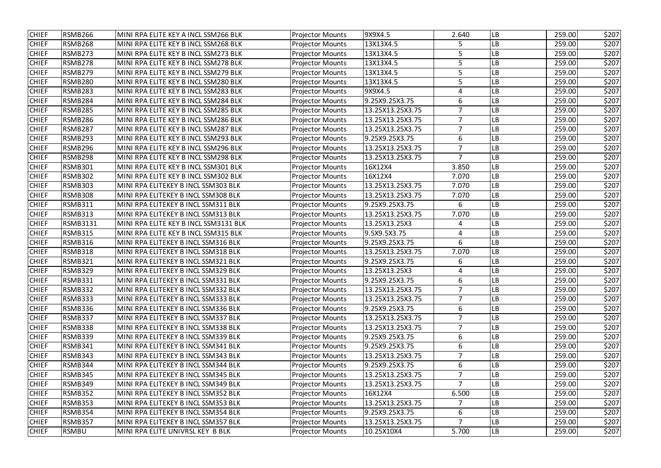| <b>CHIEF</b> | <b>RSMB266</b>  | MINI RPA ELITE KEY A INCL SSM266 BLK  | <b>Projector Mounts</b> | 9X9X4.5          | 2.640          | <b>LB</b> | 259.00 | \$207 |
|--------------|-----------------|---------------------------------------|-------------------------|------------------|----------------|-----------|--------|-------|
| <b>CHIEF</b> | <b>RSMB268</b>  | MINI RPA ELITE KEY B INCL SSM268 BLK  | <b>Projector Mounts</b> | 13X13X4.5        | 5              | LB        | 259.00 | \$207 |
| <b>CHIEF</b> | RSMB273         | MINI RPA ELITE KEY B INCL SSM273 BLK  | <b>Projector Mounts</b> | 13X13X4.5        | 5              | LB        | 259.00 | \$207 |
| <b>CHIEF</b> | <b>RSMB278</b>  | MINI RPA ELITE KEY B INCL SSM278 BLK  | <b>Projector Mounts</b> | 13X13X4.5        | 5              | LB        | 259.00 | \$207 |
| <b>CHIEF</b> | <b>RSMB279</b>  | MINI RPA ELITE KEY B INCL SSM279 BLK  | <b>Projector Mounts</b> | 13X13X4.5        | 5              | LB        | 259.00 | \$207 |
| <b>CHIEF</b> | <b>RSMB280</b>  | MINI RPA ELITE KEY B INCL SSM280 BLK  | <b>Projector Mounts</b> | 13X13X4.5        | 5              | LB        | 259.00 | \$207 |
| <b>CHIEF</b> | <b>RSMB283</b>  | MINI RPA ELITE KEY B INCL SSM283 BLK  | <b>Projector Mounts</b> | 9X9X4.5          | 4              | LB        | 259.00 | \$207 |
| <b>CHIEF</b> | RSMB284         | MINI RPA ELITE KEY B INCL SSM284 BLK  | <b>Projector Mounts</b> | 9.25X9.25X3.75   | 6              | LB        | 259.00 | \$207 |
| <b>CHIEF</b> | <b>RSMB285</b>  | MINI RPA ELITE KEY B INCL SSM285 BLK  | <b>Projector Mounts</b> | 13.25X13.25X3.75 | $\overline{7}$ | LB        | 259.00 | \$207 |
| <b>CHIEF</b> | <b>RSMB286</b>  | MINI RPA ELITE KEY B INCL SSM286 BLK  | <b>Projector Mounts</b> | 13.25X13.25X3.75 | $\overline{7}$ | LB        | 259.00 | \$207 |
| <b>CHIEF</b> | <b>RSMB287</b>  | MINI RPA ELITE KEY B INCL SSM287 BLK  | <b>Projector Mounts</b> | 13.25X13.25X3.75 | 7              | LB        | 259.00 | \$207 |
| <b>CHIEF</b> | <b>RSMB293</b>  | MINI RPA ELITE KEY B INCL SSM293 BLK  | <b>Projector Mounts</b> | 9.25X9.25X3.75   | 6              | LB        | 259.00 | \$207 |
| <b>CHIEF</b> | <b>RSMB296</b>  | MINI RPA ELITE KEY B INCL SSM296 BLK  | <b>Projector Mounts</b> | 13.25X13.25X3.75 | $\overline{7}$ | LB        | 259.00 | \$207 |
| <b>CHIEF</b> | RSMB298         | MINI RPA ELITE KEY B INCL SSM298 BLK  | <b>Projector Mounts</b> | 13.25X13.25X3.75 | $\overline{7}$ | LB        | 259.00 | \$207 |
| <b>CHIEF</b> | <b>RSMB301</b>  | MINI RPA ELITE KEY B INCL SSM301 BLK  | <b>Projector Mounts</b> | 16X12X4          | 3.850          | LB        | 259.00 | \$207 |
| <b>CHIEF</b> | <b>RSMB302</b>  | MINI RPA ELITE KEY B INCL SSM302 BLK  | <b>Projector Mounts</b> | 16X12X4          | 7.070          | LB        | 259.00 | \$207 |
| <b>CHIEF</b> | <b>RSMB303</b>  | MINI RPA ELITEKEY B INCL SSM303 BLK   | <b>Projector Mounts</b> | 13.25X13.25X3.75 | 7.070          | LB        | 259.00 | \$207 |
| <b>CHIEF</b> | <b>RSMB308</b>  | MINI RPA ELITEKEY B INCL SSM308 BLK   | <b>Projector Mounts</b> | 13.25X13.25X3.75 | 7.070          | LB        | 259.00 | \$207 |
| <b>CHIEF</b> | <b>RSMB311</b>  | MINI RPA ELITEKEY B INCL SSM311 BLK   | <b>Projector Mounts</b> | 9.25X9.25X3.75   | 6              | LB        | 259.00 | \$207 |
| <b>CHIEF</b> | <b>RSMB313</b>  | MINI RPA ELITEKEY B INCL SSM313 BLK   | <b>Projector Mounts</b> | 13.25X13.25X3.75 | 7.070          | <b>LB</b> | 259.00 | \$207 |
| <b>CHIEF</b> | <b>RSMB3131</b> | MINI RPA ELITE KEY B INCL SSM3131 BLK | <b>Projector Mounts</b> | 13.25X13.25X3    | 4              | LB        | 259.00 | \$207 |
| <b>CHIEF</b> | <b>RSMB315</b>  | MINI RPA ELITE KEY B INCL SSM315 BLK  | <b>Projector Mounts</b> | 9.5X9.5X3.75     | 4              | LB        | 259.00 | \$207 |
| <b>CHIEF</b> | <b>RSMB316</b>  | MINI RPA ELITEKEY B INCL SSM316 BLK   | <b>Projector Mounts</b> | 9.25X9.25X3.75   | 6              | LB        | 259.00 | \$207 |
| <b>CHIEF</b> | <b>RSMB318</b>  | MINI RPA ELITEKEY B INCL SSM318 BLK   | <b>Projector Mounts</b> | 13.25X13.25X3.75 | 7.070          | LB        | 259.00 | \$207 |
| <b>CHIEF</b> | <b>RSMB321</b>  | MINI RPA ELITEKEY B INCL SSM321 BLK   | <b>Projector Mounts</b> | 9.25X9.25X3.75   | 6              | LB        | 259.00 | \$207 |
| <b>CHIEF</b> | RSMB329         | MINI RPA ELITEKEY B INCL SSM329 BLK   | <b>Projector Mounts</b> | 13.25X13.25X3    | 4              | LB        | 259.00 | \$207 |
| <b>CHIEF</b> | RSMB331         | MINI RPA ELITEKEY B INCL SSM331 BLK   | <b>Projector Mounts</b> | 9.25X9.25X3.75   | 6              | <b>LB</b> | 259.00 | \$207 |
| <b>CHIEF</b> | <b>RSMB332</b>  | MINI RPA ELITEKEY B INCL SSM332 BLK   | <b>Projector Mounts</b> | 13.25X13.25X3.75 |                | LB        | 259.00 | \$207 |
| <b>CHIEF</b> | <b>RSMB333</b>  | MINI RPA ELITEKEY B INCL SSM333 BLK   | <b>Projector Mounts</b> | 13.25X13.25X3.75 |                | LB        | 259.00 | \$207 |
| <b>CHIEF</b> | <b>RSMB336</b>  | MINI RPA ELITEKEY B INCL SSM336 BLK   | <b>Projector Mounts</b> | 9.25X9.25X3.75   | 6              | LВ        | 259.00 | \$207 |
| <b>CHIEF</b> | <b>RSMB337</b>  | MINI RPA ELITEKEY B INCL SSM337 BLK   | <b>Projector Mounts</b> | 13.25X13.25X3.75 |                | LВ        | 259.00 | \$207 |
| <b>CHIEF</b> | <b>RSMB338</b>  | MINI RPA ELITEKEY B INCL SSM338 BLK   | <b>Projector Mounts</b> | 13.25X13.25X3.75 | $\overline{7}$ | LB        | 259.00 | \$207 |
| <b>CHIEF</b> | RSMB339         | MINI RPA ELITEKEY B INCL SSM339 BLK   | <b>Projector Mounts</b> | 9.25X9.25X3.75   | 6              | LВ        | 259.00 | \$207 |
| <b>CHIEF</b> | <b>RSMB341</b>  | MINI RPA ELITEKEY B INCL SSM341 BLK   | <b>Projector Mounts</b> | 9.25X9.25X3.75   | 6              | LВ        | 259.00 | \$207 |
| <b>CHIEF</b> | RSMB343         | MINI RPA ELITEKEY B INCL SSM343 BLK   | <b>Projector Mounts</b> | 13.25X13.25X3.75 |                | LB        | 259.00 | \$207 |
| <b>CHIEF</b> | RSMB344         | MINI RPA ELITEKEY B INCL SSM344 BLK   | <b>Projector Mounts</b> | 9.25X9.25X3.75   | 6              | LВ        | 259.00 | \$207 |
| <b>CHIEF</b> | <b>RSMB345</b>  | MINI RPA ELITEKEY B INCL SSM345 BLK   | <b>Projector Mounts</b> | 13.25X13.25X3.75 |                | LВ        | 259.00 | \$207 |
| <b>CHIEF</b> | <b>RSMB349</b>  | MINI RPA ELITEKEY B INCL SSM349 BLK   | <b>Projector Mounts</b> | 13.25X13.25X3.75 | $\overline{7}$ | LВ        | 259.00 | \$207 |
| <b>CHIEF</b> | <b>RSMB352</b>  | MINI RPA ELITEKEY B INCL SSM352 BLK   | <b>Projector Mounts</b> | 16X12X4          | 6.500          | <b>LB</b> | 259.00 | \$207 |
| <b>CHIEF</b> | <b>RSMB353</b>  | MINI RPA ELITEKEY B INCL SSM353 BLK   | <b>Projector Mounts</b> | 13.25X13.25X3.75 | 7              | LB        | 259.00 | \$207 |
| <b>CHIEF</b> | <b>RSMB354</b>  | MINI RPA ELITEKEY B INCL SSM354 BLK   | <b>Projector Mounts</b> | 9.25X9.25X3.75   | 6              | LB        | 259.00 | \$207 |
| <b>CHIEF</b> | <b>RSMB357</b>  | MINI RPA ELITEKEY B INCL SSM357 BLK   | <b>Projector Mounts</b> | 13.25X13.25X3.75 |                | LB        | 259.00 | \$207 |
| <b>CHIEF</b> | <b>RSMBU</b>    | MINI RPA ELITE UNIVRSL KEY B BLK      | <b>Projector Mounts</b> | 10.25X10X4       | 5.700          | LB        | 259.00 | \$207 |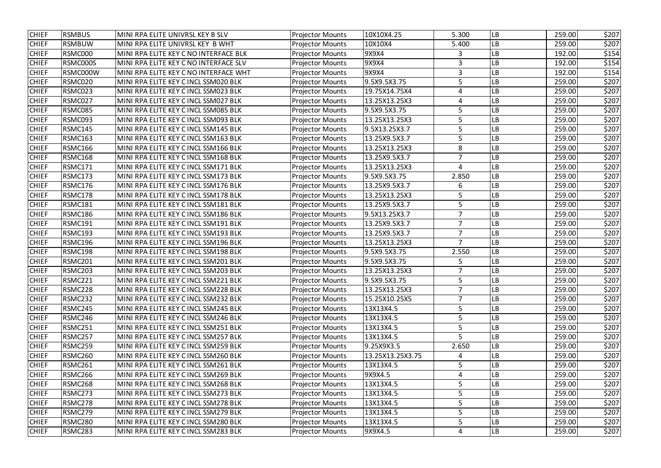| <b>CHIEF</b> | <b>RSMBUS</b>  | MINI RPA ELITE UNIVRSL KEY B SLV      | <b>Projector Mounts</b> | 10X10X4.25       | 5.300          | LB        | 259.00 | \$207 |
|--------------|----------------|---------------------------------------|-------------------------|------------------|----------------|-----------|--------|-------|
| <b>CHIEF</b> | <b>RSMBUW</b>  | MINI RPA ELITE UNIVRSL KEY B WHT      | <b>Projector Mounts</b> | 10X10X4          | 5.400          | LВ        | 259.00 | \$207 |
| <b>CHIEF</b> | RSMC000        | MINI RPA ELITE KEY C NO INTERFACE BLK | <b>Projector Mounts</b> | 9X9X4            | 3              | LB        | 192.00 | \$154 |
| <b>CHIEF</b> | RSMC000S       | MINI RPA ELITE KEY C NO INTERFACE SLV | <b>Projector Mounts</b> | 9X9X4            | 3              | LB        | 192.00 | \$154 |
| <b>CHIEF</b> | RSMC000W       | MINI RPA ELITE KEY C NO INTERFACE WHT | <b>Projector Mounts</b> | 9X9X4            | 3              | LB        | 192.00 | \$154 |
| <b>CHIEF</b> | RSMC020        | MINI RPA ELITE KEY C INCL SSM020 BLK  | <b>Projector Mounts</b> | 9.5X9.5X3.75     | 5              | LB        | 259.00 | \$207 |
| <b>CHIEF</b> | RSMC023        | MINI RPA ELITE KEY C INCL SSM023 BLK  | <b>Projector Mounts</b> | 19.75X14.75X4    | 4              | LB        | 259.00 | \$207 |
| <b>CHIEF</b> | RSMC027        | MINI RPA ELITE KEY C INCL SSM027 BLK  | <b>Projector Mounts</b> | 13.25X13.25X3    | 4              | LB        | 259.00 | \$207 |
| <b>CHIEF</b> | RSMC085        | MINI RPA ELITE KEY C INCL SSM085 BLK  | <b>Projector Mounts</b> | 9.5X9.5X3.75     | 5              | LB        | 259.00 | \$207 |
| <b>CHIEF</b> | RSMC093        | MINI RPA ELITE KEY C INCL SSM093 BLK  | <b>Projector Mounts</b> | 13.25X13.25X3    | 5              | LB        | 259.00 | \$207 |
| <b>CHIEF</b> | RSMC145        | MINI RPA ELITE KEY C INCL SSM145 BLK  | <b>Projector Mounts</b> | 9.5X13.25X3.7    | 5              | LB        | 259.00 | \$207 |
| <b>CHIEF</b> | RSMC163        | MINI RPA ELITE KEY C INCL SSM163 BLK  | <b>Projector Mounts</b> | 13.25X9.5X3.7    | 5              | LB        | 259.00 | \$207 |
| <b>CHIEF</b> | RSMC166        | MINI RPA ELITE KEY C INCL SSM166 BLK  | <b>Projector Mounts</b> | 13.25X13.25X3    | 8              | -B        | 259.00 | \$207 |
| <b>CHIEF</b> | RSMC168        | MINI RPA ELITE KEY C INCL SSM168 BLK  | <b>Projector Mounts</b> | 13.25X9.5X3.7    | $\overline{7}$ | LB        | 259.00 | \$207 |
| <b>CHIEF</b> | RSMC171        | MINI RPA ELITE KEY C INCL SSM171 BLK  | <b>Projector Mounts</b> | 13.25X13.25X3    | $\overline{4}$ | LB        | 259.00 | \$207 |
| <b>CHIEF</b> | RSMC173        | MINI RPA ELITE KEY C INCL SSM173 BLK  | <b>Projector Mounts</b> | 9.5X9.5X3.75     | 2.850          | LB        | 259.00 | \$207 |
| <b>CHIEF</b> | RSMC176        | MINI RPA ELITE KEY C INCL SSM176 BLK  | <b>Projector Mounts</b> | 13.25X9.5X3.7    | 6              | LB        | 259.00 | \$207 |
| <b>CHIEF</b> | RSMC178        | MINI RPA ELITE KEY C INCL SSM178 BLK  | <b>Projector Mounts</b> | 13.25X13.25X3    | 5              | LB        | 259.00 | \$207 |
| <b>CHIEF</b> | <b>RSMC181</b> | MINI RPA ELITE KEY C INCL SSM181 BLK  | <b>Projector Mounts</b> | 13.25X9.5X3.7    | 5              | LB        | 259.00 | \$207 |
| <b>CHIEF</b> | RSMC186        | MINI RPA ELITE KEY C INCL SSM186 BLK  | <b>Projector Mounts</b> | 9.5X13.25X3.7    | $\overline{7}$ | LB        | 259.00 | \$207 |
| <b>CHIEF</b> | RSMC191        | MINI RPA ELITE KEY C INCL SSM191 BLK  | <b>Projector Mounts</b> | 13.25X9.5X3.7    | $\overline{7}$ | LB        | 259.00 | \$207 |
| <b>CHIEF</b> | RSMC193        | MINI RPA ELITE KEY C INCL SSM193 BLK  | <b>Projector Mounts</b> | 13.25X9.5X3.7    | $\overline{7}$ | LB        | 259.00 | \$207 |
| <b>CHIEF</b> | RSMC196        | MINI RPA ELITE KEY C INCL SSM196 BLK  | <b>Projector Mounts</b> | 13.25X13.25X3    | 7              | LB        | 259.00 | \$207 |
| <b>CHIEF</b> | RSMC198        | MINI RPA ELITE KEY C INCL SSM198 BLK  | <b>Projector Mounts</b> | 9.5X9.5X3.75     | 2.550          | LB        | 259.00 | \$207 |
| <b>CHIEF</b> | RSMC201        | MINI RPA ELITE KEY C INCL SSM201 BLK  | <b>Projector Mounts</b> | 9.5X9.5X3.75     | 5              | LB        | 259.00 | \$207 |
| <b>CHIEF</b> | RSMC203        | MINI RPA ELITE KEY C INCL SSM203 BLK  | <b>Projector Mounts</b> | 13.25X13.25X3    | $\overline{7}$ | LB        | 259.00 | \$207 |
| <b>CHIEF</b> | RSMC221        | MINI RPA ELITE KEY C INCL SSM221 BLK  | <b>Projector Mounts</b> | 9.5X9.5X3.75     | 5              | <b>LB</b> | 259.00 | \$207 |
| <b>CHIEF</b> | RSMC228        | MINI RPA ELITE KEY C INCL SSM228 BLK  | <b>Projector Mounts</b> | 13.25X13.25X3    | 7              | LB        | 259.00 | \$207 |
| <b>CHIEF</b> | RSMC232        | MINI RPA ELITE KEY C INCL SSM232 BLK  | <b>Projector Mounts</b> | 15.25X10.25X5    | 7              | LB        | 259.00 | \$207 |
| <b>CHIEF</b> | RSMC245        | MINI RPA ELITE KEY C INCL SSM245 BLK  | <b>Projector Mounts</b> | 13X13X4.5        | 5              | LB        | 259.00 | \$207 |
| <b>CHIEF</b> | RSMC246        | MINI RPA ELITE KEY C INCL SSM246 BLK  | <b>Projector Mounts</b> | 13X13X4.5        | 5              | LB        | 259.00 | \$207 |
| <b>CHIEF</b> | RSMC251        | MINI RPA ELITE KEY C INCL SSM251 BLK  | <b>Projector Mounts</b> | 13X13X4.5        | 5              | LB        | 259.00 | \$207 |
| <b>CHIEF</b> | RSMC257        | MINI RPA ELITE KEY C INCL SSM257 BLK  | <b>Projector Mounts</b> | 13X13X4.5        | 5              | LB        | 259.00 | \$207 |
| <b>CHIEF</b> | RSMC259        | MINI RPA ELITE KEY C INCL SSM259 BLK  | <b>Projector Mounts</b> | 9.25X9X3.5       | 2.650          | LB        | 259.00 | \$207 |
| <b>CHIEF</b> | RSMC260        | MINI RPA ELITE KEY C INCL SSM260 BLK  | <b>Projector Mounts</b> | 13.25X13.25X3.75 | 4              | LB        | 259.00 | \$207 |
| <b>CHIEF</b> | RSMC261        | MINI RPA ELITE KEY C INCL SSM261 BLK  | <b>Projector Mounts</b> | 13X13X4.5        | 5              | LB        | 259.00 | \$207 |
| <b>CHIEF</b> | RSMC266        | MINI RPA ELITE KEY C INCL SSM269 BLK  | <b>Projector Mounts</b> | 9X9X4.5          | 4              | LB        | 259.00 | \$207 |
| <b>CHIEF</b> | RSMC268        | MINI RPA ELITE KEY C INCL SSM268 BLK  | <b>Projector Mounts</b> | 13X13X4.5        | 5              | LB        | 259.00 | \$207 |
| <b>CHIEF</b> | RSMC273        | MINI RPA ELITE KEY C INCL SSM273 BLK  | <b>Projector Mounts</b> | 13X13X4.5        | 5              | LB        | 259.00 | \$207 |
| <b>CHIEF</b> | RSMC278        | MINI RPA ELITE KEY C INCL SSM278 BLK  | <b>Projector Mounts</b> | 13X13X4.5        | 5              | LB        | 259.00 | \$207 |
| <b>CHIEF</b> | RSMC279        | MINI RPA ELITE KEY C INCL SSM279 BLK  | <b>Projector Mounts</b> | 13X13X4.5        | 5              | LB        | 259.00 | \$207 |
| <b>CHIEF</b> | RSMC280        | MINI RPA ELITE KEY C INCL SSM280 BLK  | <b>Projector Mounts</b> | 13X13X4.5        | 5              | LB        | 259.00 | \$207 |
| <b>CHIEF</b> | RSMC283        | MINI RPA ELITE KEY C INCL SSM283 BLK  | <b>Projector Mounts</b> | 9X9X4.5          | 4              | LB        | 259.00 | \$207 |
|              |                |                                       |                         |                  |                |           |        |       |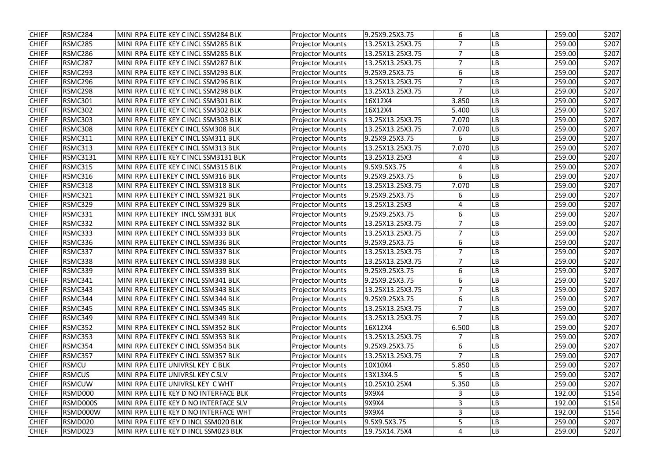| <b>CHIEF</b><br>RSMC284<br>MINI RPA ELITE KEY C INCL SSM284 BLK<br>9.25X9.25X3.75<br>6<br>259.00<br><b>Projector Mounts</b><br>LB<br><b>CHIEF</b><br>RSMC285<br>13.25X13.25X3.75<br>$\overline{7}$<br>LB<br>259.00<br>MINI RPA ELITE KEY C INCL SSM285 BLK<br><b>Projector Mounts</b><br>RSMC286<br>MINI RPA ELITE KEY C INCL SSM285 BLK<br>13.25X13.25X3.75<br>259.00<br><b>CHIEF</b><br><b>Projector Mounts</b><br>$\overline{7}$<br>LB<br>13.25X13.25X3.75<br><b>CHIEF</b><br>RSMC287<br>MINI RPA ELITE KEY C INCL SSM287 BLK<br><b>Projector Mounts</b><br>$\overline{7}$<br>LB<br>259.00<br>RSMC293<br>MINI RPA ELITE KEY C INCL SSM293 BLK<br><b>Projector Mounts</b><br>9.25X9.25X3.75<br>6<br>LB<br><b>CHIEF</b><br>259.00<br>RSMC296<br>13.25X13.25X3.75<br><b>CHIEF</b><br>MINI RPA ELITE KEY C INCL SSM296 BLK<br><b>Projector Mounts</b><br>7<br>LB<br>259.00<br>RSMC298<br>$\overline{7}$<br><b>CHIEF</b><br>MINI RPA ELITE KEY C INCL SSM298 BLK<br>13.25X13.25X3.75<br>LB<br>259.00<br><b>Projector Mounts</b><br>RSMC301<br><b>CHIEF</b><br>MINI RPA ELITE KEY C INCL SSM301 BLK<br>16X12X4<br>3.850<br>LB<br>259.00<br><b>Projector Mounts</b><br>RSMC302<br><b>CHIEF</b><br>MINI RPA ELITE KEY C INCL SSM302 BLK<br><b>Projector Mounts</b><br>16X12X4<br>5.400<br>LB<br>259.00<br>RSMC303<br>13.25X13.25X3.75<br>LB<br><b>CHIEF</b><br>MINI RPA ELITE KEY C INCL SSM303 BLK<br><b>Projector Mounts</b><br>7.070<br>259.00<br><b>CHIEF</b><br>RSMC308<br>MINI RPA ELITEKEY C INCL SSM308 BLK<br><b>Projector Mounts</b><br>13.25X13.25X3.75<br>LB<br>7.070<br>259.00<br>RSMC311<br><b>Projector Mounts</b><br>9.25X9.25X3.75<br>LB<br>259.00<br><b>CHIEF</b><br>MINI RPA ELITEKEY C INCL SSM311 BLK<br>6<br>RSMC313<br>13.25X13.25X3.75<br>7.070<br>LВ<br><b>CHIEF</b><br>MINI RPA ELITEKEY C INCL SSM313 BLK<br><b>Projector Mounts</b><br>259.00<br><b>RSMC3131</b><br>13.25X13.25X3<br>259.00<br><b>CHIEF</b><br>MINI RPA ELITE KEY C INCL SSM3131 BLK<br><b>Projector Mounts</b><br>LB<br>4<br>RSMC315<br><b>CHIEF</b><br>MINI RPA ELITE KEY C INCL SSM315 BLK<br><b>Projector Mounts</b><br>9.5X9.5X3.75<br>259.00<br>LB<br>4<br>RSMC316<br><b>CHIEF</b><br>MINI RPA ELITEKEY C INCL SSM316 BLK<br><b>Projector Mounts</b><br>9.25X9.25X3.75<br>6<br>LB<br>259.00<br><b>CHIEF</b><br>RSMC318<br>MINI RPA ELITEKEY C INCL SSM318 BLK<br><b>Projector Mounts</b><br>13.25X13.25X3.75<br>7.070<br>LB<br>259.00<br>RSMC321<br><b>CHIEF</b><br>MINI RPA ELITEKEY C INCL SSM321 BLK<br><b>Projector Mounts</b><br>9.25X9.25X3.75<br>LB<br>259.00<br>6<br>RSMC329<br><b>CHIEF</b><br>13.25X13.25X3<br>LB<br>259.00<br>MINI RPA ELITEKEY C INCL SSM329 BLK<br><b>Projector Mounts</b><br>4<br>RSMC331<br>9.25X9.25X3.75<br>6<br>LB<br>259.00<br><b>CHIEF</b><br>MINI RPA ELITEKEY INCL SSM331 BLK<br><b>Projector Mounts</b><br><b>CHIEF</b><br>RSMC332<br>13.25X13.25X3.75<br>$\overline{7}$<br>MINI RPA ELITEKEY C INCL SSM332 BLK<br><b>Projector Mounts</b><br>LB<br>259.00<br>RSMC333<br><b>CHIEF</b><br>MINI RPA ELITEKEY C INCL SSM333 BLK<br><b>Projector Mounts</b><br>13.25X13.25X3.75<br>$\overline{7}$<br>LB<br>259.00<br><b>CHIEF</b><br>RSMC336<br><b>Projector Mounts</b><br>9.25X9.25X3.75<br>MINI RPA ELITEKEY C INCL SSM336 BLK<br>6<br>LB<br>259.00<br>RSMC337<br><b>CHIEF</b><br>MINI RPA ELITEKEY C INCL SSM337 BLK<br><b>Projector Mounts</b><br>13.25X13.25X3.75<br>LB<br>259.00<br>7<br>$\overline{7}$<br>RSMC338<br>13.25X13.25X3.75<br>LB<br>259.00<br><b>CHIEF</b><br>MINI RPA ELITEKEY C INCL SSM338 BLK<br><b>Projector Mounts</b><br><b>CHIEF</b><br>RSMC339<br>9.25X9.25X3.75<br>259.00<br>MINI RPA ELITEKEY C INCL SSM339 BLK<br><b>Projector Mounts</b><br>6<br>LB<br>RSMC341<br>MINI RPA ELITEKEY C INCL SSM341 BLK<br>9.25X9.25X3.75<br>259.00<br><b>CHIEF</b><br><b>Projector Mounts</b><br>6<br><b>LB</b><br><b>CHIEF</b><br>RSMC343<br>MINI RPA ELITEKEY C INCL SSM343 BLK<br><b>Projector Mounts</b><br>13.25X13.25X3.75<br>LB<br>259.00<br><b>CHIEF</b><br>RSMC344<br>MINI RPA ELITEKEY C INCL SSM344 BLK<br><b>Projector Mounts</b><br>9.25X9.25X3.75<br>LB<br>259.00<br>6<br>RSMC345<br>13.25X13.25X3.75<br>259.00<br><b>CHIEF</b><br>MINI RPA ELITEKEY C INCL SSM345 BLK<br><b>Projector Mounts</b><br>LB<br>RSMC349<br>MINI RPA ELITEKEY C INCL SSM349 BLK<br>13.25X13.25X3.75<br>259.00<br><b>CHIEF</b><br><b>Projector Mounts</b><br>LB<br>RSMC352<br>LB<br><b>CHIEF</b><br>MINI RPA ELITEKEY C INCL SSM352 BLK<br><b>Projector Mounts</b><br>16X12X4<br>6.500<br>259.00<br>RSMC353<br><b>CHIEF</b><br>MINI RPA ELITEKEY C INCL SSM353 BLK<br><b>Projector Mounts</b><br>13.25X13.25X3.75<br>LB<br>259.00<br>7<br><b>CHIEF</b><br>RSMC354<br>9.25X9.25X3.75<br>MINI RPA ELITEKEY C INCL SSM354 BLK<br><b>Projector Mounts</b><br>6<br>LB<br>259.00<br><b>CHIEF</b><br>RSMC357<br>MINI RPA ELITEKEY C INCL SSM357 BLK<br><b>Projector Mounts</b><br>13.25X13.25X3.75<br>LB<br>259.00<br><b>CHIEF</b><br><b>RSMCU</b><br>MINI RPA ELITE UNIVRSL KEY C BLK<br>259.00<br><b>Projector Mounts</b><br>10X10X4<br>5.850<br>LB<br><b>CHIEF</b><br><b>RSMCUS</b><br>259.00<br>MINI RPA ELITE UNIVRSL KEY C SLV<br>13X13X4.5<br>LB<br><b>Projector Mounts</b><br><b>CHIEF</b><br><b>RSMCUW</b><br>MINI RPA ELITE UNIVRSL KEY CWHT<br>10.25X10.25X4<br>LВ<br>259.00<br>5.350<br><b>Projector Mounts</b><br>9X9X4<br><b>CHIEF</b><br>RSMD000<br>3<br>LB<br>192.00<br>MINI RPA ELITE KEY D NO INTERFACE BLK<br><b>Projector Mounts</b><br><b>CHIEF</b><br>9X9X4<br>RSMD000S<br>MINI RPA ELITE KEY D NO INTERFACE SLV<br><b>Projector Mounts</b><br>3<br>LB<br>192.00 |  |  |  |  |       |
|----------------------------------------------------------------------------------------------------------------------------------------------------------------------------------------------------------------------------------------------------------------------------------------------------------------------------------------------------------------------------------------------------------------------------------------------------------------------------------------------------------------------------------------------------------------------------------------------------------------------------------------------------------------------------------------------------------------------------------------------------------------------------------------------------------------------------------------------------------------------------------------------------------------------------------------------------------------------------------------------------------------------------------------------------------------------------------------------------------------------------------------------------------------------------------------------------------------------------------------------------------------------------------------------------------------------------------------------------------------------------------------------------------------------------------------------------------------------------------------------------------------------------------------------------------------------------------------------------------------------------------------------------------------------------------------------------------------------------------------------------------------------------------------------------------------------------------------------------------------------------------------------------------------------------------------------------------------------------------------------------------------------------------------------------------------------------------------------------------------------------------------------------------------------------------------------------------------------------------------------------------------------------------------------------------------------------------------------------------------------------------------------------------------------------------------------------------------------------------------------------------------------------------------------------------------------------------------------------------------------------------------------------------------------------------------------------------------------------------------------------------------------------------------------------------------------------------------------------------------------------------------------------------------------------------------------------------------------------------------------------------------------------------------------------------------------------------------------------------------------------------------------------------------------------------------------------------------------------------------------------------------------------------------------------------------------------------------------------------------------------------------------------------------------------------------------------------------------------------------------------------------------------------------------------------------------------------------------------------------------------------------------------------------------------------------------------------------------------------------------------------------------------------------------------------------------------------------------------------------------------------------------------------------------------------------------------------------------------------------------------------------------------------------------------------------------------------------------------------------------------------------------------------------------------------------------------------------------------------------------------------------------------------------------------------------------------------------------------------------------------------------------------------------------------------------------------------------------------------------------------------------------------------------------------------------------------------------------------------------------------------------------------------------------------------------------------------------------------------------------------------------------------------------------------------------------------------------------------------------------------------------------------------------------------------------------------------------------------------------------------------------------------------------------------------------------------------------------------------------------------------------------------------------------------------------------------------------------------------------------------------------------------------------------------------------------------------------------------------------------------------------------------------------------------------------------------------------------------------------------------------------------------------------------------------------------------------------------------------------------|--|--|--|--|-------|
|                                                                                                                                                                                                                                                                                                                                                                                                                                                                                                                                                                                                                                                                                                                                                                                                                                                                                                                                                                                                                                                                                                                                                                                                                                                                                                                                                                                                                                                                                                                                                                                                                                                                                                                                                                                                                                                                                                                                                                                                                                                                                                                                                                                                                                                                                                                                                                                                                                                                                                                                                                                                                                                                                                                                                                                                                                                                                                                                                                                                                                                                                                                                                                                                                                                                                                                                                                                                                                                                                                                                                                                                                                                                                                                                                                                                                                                                                                                                                                                                                                                                                                                                                                                                                                                                                                                                                                                                                                                                                                                                                                                                                                                                                                                                                                                                                                                                                                                                                                                                                                                                                                                                                                                                                                                                                                                                                                                                                                                                                                                                                                                                                      |  |  |  |  | \$207 |
|                                                                                                                                                                                                                                                                                                                                                                                                                                                                                                                                                                                                                                                                                                                                                                                                                                                                                                                                                                                                                                                                                                                                                                                                                                                                                                                                                                                                                                                                                                                                                                                                                                                                                                                                                                                                                                                                                                                                                                                                                                                                                                                                                                                                                                                                                                                                                                                                                                                                                                                                                                                                                                                                                                                                                                                                                                                                                                                                                                                                                                                                                                                                                                                                                                                                                                                                                                                                                                                                                                                                                                                                                                                                                                                                                                                                                                                                                                                                                                                                                                                                                                                                                                                                                                                                                                                                                                                                                                                                                                                                                                                                                                                                                                                                                                                                                                                                                                                                                                                                                                                                                                                                                                                                                                                                                                                                                                                                                                                                                                                                                                                                                      |  |  |  |  | \$207 |
|                                                                                                                                                                                                                                                                                                                                                                                                                                                                                                                                                                                                                                                                                                                                                                                                                                                                                                                                                                                                                                                                                                                                                                                                                                                                                                                                                                                                                                                                                                                                                                                                                                                                                                                                                                                                                                                                                                                                                                                                                                                                                                                                                                                                                                                                                                                                                                                                                                                                                                                                                                                                                                                                                                                                                                                                                                                                                                                                                                                                                                                                                                                                                                                                                                                                                                                                                                                                                                                                                                                                                                                                                                                                                                                                                                                                                                                                                                                                                                                                                                                                                                                                                                                                                                                                                                                                                                                                                                                                                                                                                                                                                                                                                                                                                                                                                                                                                                                                                                                                                                                                                                                                                                                                                                                                                                                                                                                                                                                                                                                                                                                                                      |  |  |  |  | \$207 |
|                                                                                                                                                                                                                                                                                                                                                                                                                                                                                                                                                                                                                                                                                                                                                                                                                                                                                                                                                                                                                                                                                                                                                                                                                                                                                                                                                                                                                                                                                                                                                                                                                                                                                                                                                                                                                                                                                                                                                                                                                                                                                                                                                                                                                                                                                                                                                                                                                                                                                                                                                                                                                                                                                                                                                                                                                                                                                                                                                                                                                                                                                                                                                                                                                                                                                                                                                                                                                                                                                                                                                                                                                                                                                                                                                                                                                                                                                                                                                                                                                                                                                                                                                                                                                                                                                                                                                                                                                                                                                                                                                                                                                                                                                                                                                                                                                                                                                                                                                                                                                                                                                                                                                                                                                                                                                                                                                                                                                                                                                                                                                                                                                      |  |  |  |  | \$207 |
|                                                                                                                                                                                                                                                                                                                                                                                                                                                                                                                                                                                                                                                                                                                                                                                                                                                                                                                                                                                                                                                                                                                                                                                                                                                                                                                                                                                                                                                                                                                                                                                                                                                                                                                                                                                                                                                                                                                                                                                                                                                                                                                                                                                                                                                                                                                                                                                                                                                                                                                                                                                                                                                                                                                                                                                                                                                                                                                                                                                                                                                                                                                                                                                                                                                                                                                                                                                                                                                                                                                                                                                                                                                                                                                                                                                                                                                                                                                                                                                                                                                                                                                                                                                                                                                                                                                                                                                                                                                                                                                                                                                                                                                                                                                                                                                                                                                                                                                                                                                                                                                                                                                                                                                                                                                                                                                                                                                                                                                                                                                                                                                                                      |  |  |  |  | \$207 |
|                                                                                                                                                                                                                                                                                                                                                                                                                                                                                                                                                                                                                                                                                                                                                                                                                                                                                                                                                                                                                                                                                                                                                                                                                                                                                                                                                                                                                                                                                                                                                                                                                                                                                                                                                                                                                                                                                                                                                                                                                                                                                                                                                                                                                                                                                                                                                                                                                                                                                                                                                                                                                                                                                                                                                                                                                                                                                                                                                                                                                                                                                                                                                                                                                                                                                                                                                                                                                                                                                                                                                                                                                                                                                                                                                                                                                                                                                                                                                                                                                                                                                                                                                                                                                                                                                                                                                                                                                                                                                                                                                                                                                                                                                                                                                                                                                                                                                                                                                                                                                                                                                                                                                                                                                                                                                                                                                                                                                                                                                                                                                                                                                      |  |  |  |  | \$207 |
|                                                                                                                                                                                                                                                                                                                                                                                                                                                                                                                                                                                                                                                                                                                                                                                                                                                                                                                                                                                                                                                                                                                                                                                                                                                                                                                                                                                                                                                                                                                                                                                                                                                                                                                                                                                                                                                                                                                                                                                                                                                                                                                                                                                                                                                                                                                                                                                                                                                                                                                                                                                                                                                                                                                                                                                                                                                                                                                                                                                                                                                                                                                                                                                                                                                                                                                                                                                                                                                                                                                                                                                                                                                                                                                                                                                                                                                                                                                                                                                                                                                                                                                                                                                                                                                                                                                                                                                                                                                                                                                                                                                                                                                                                                                                                                                                                                                                                                                                                                                                                                                                                                                                                                                                                                                                                                                                                                                                                                                                                                                                                                                                                      |  |  |  |  | \$207 |
|                                                                                                                                                                                                                                                                                                                                                                                                                                                                                                                                                                                                                                                                                                                                                                                                                                                                                                                                                                                                                                                                                                                                                                                                                                                                                                                                                                                                                                                                                                                                                                                                                                                                                                                                                                                                                                                                                                                                                                                                                                                                                                                                                                                                                                                                                                                                                                                                                                                                                                                                                                                                                                                                                                                                                                                                                                                                                                                                                                                                                                                                                                                                                                                                                                                                                                                                                                                                                                                                                                                                                                                                                                                                                                                                                                                                                                                                                                                                                                                                                                                                                                                                                                                                                                                                                                                                                                                                                                                                                                                                                                                                                                                                                                                                                                                                                                                                                                                                                                                                                                                                                                                                                                                                                                                                                                                                                                                                                                                                                                                                                                                                                      |  |  |  |  | \$207 |
|                                                                                                                                                                                                                                                                                                                                                                                                                                                                                                                                                                                                                                                                                                                                                                                                                                                                                                                                                                                                                                                                                                                                                                                                                                                                                                                                                                                                                                                                                                                                                                                                                                                                                                                                                                                                                                                                                                                                                                                                                                                                                                                                                                                                                                                                                                                                                                                                                                                                                                                                                                                                                                                                                                                                                                                                                                                                                                                                                                                                                                                                                                                                                                                                                                                                                                                                                                                                                                                                                                                                                                                                                                                                                                                                                                                                                                                                                                                                                                                                                                                                                                                                                                                                                                                                                                                                                                                                                                                                                                                                                                                                                                                                                                                                                                                                                                                                                                                                                                                                                                                                                                                                                                                                                                                                                                                                                                                                                                                                                                                                                                                                                      |  |  |  |  | \$207 |
|                                                                                                                                                                                                                                                                                                                                                                                                                                                                                                                                                                                                                                                                                                                                                                                                                                                                                                                                                                                                                                                                                                                                                                                                                                                                                                                                                                                                                                                                                                                                                                                                                                                                                                                                                                                                                                                                                                                                                                                                                                                                                                                                                                                                                                                                                                                                                                                                                                                                                                                                                                                                                                                                                                                                                                                                                                                                                                                                                                                                                                                                                                                                                                                                                                                                                                                                                                                                                                                                                                                                                                                                                                                                                                                                                                                                                                                                                                                                                                                                                                                                                                                                                                                                                                                                                                                                                                                                                                                                                                                                                                                                                                                                                                                                                                                                                                                                                                                                                                                                                                                                                                                                                                                                                                                                                                                                                                                                                                                                                                                                                                                                                      |  |  |  |  | \$207 |
|                                                                                                                                                                                                                                                                                                                                                                                                                                                                                                                                                                                                                                                                                                                                                                                                                                                                                                                                                                                                                                                                                                                                                                                                                                                                                                                                                                                                                                                                                                                                                                                                                                                                                                                                                                                                                                                                                                                                                                                                                                                                                                                                                                                                                                                                                                                                                                                                                                                                                                                                                                                                                                                                                                                                                                                                                                                                                                                                                                                                                                                                                                                                                                                                                                                                                                                                                                                                                                                                                                                                                                                                                                                                                                                                                                                                                                                                                                                                                                                                                                                                                                                                                                                                                                                                                                                                                                                                                                                                                                                                                                                                                                                                                                                                                                                                                                                                                                                                                                                                                                                                                                                                                                                                                                                                                                                                                                                                                                                                                                                                                                                                                      |  |  |  |  | \$207 |
|                                                                                                                                                                                                                                                                                                                                                                                                                                                                                                                                                                                                                                                                                                                                                                                                                                                                                                                                                                                                                                                                                                                                                                                                                                                                                                                                                                                                                                                                                                                                                                                                                                                                                                                                                                                                                                                                                                                                                                                                                                                                                                                                                                                                                                                                                                                                                                                                                                                                                                                                                                                                                                                                                                                                                                                                                                                                                                                                                                                                                                                                                                                                                                                                                                                                                                                                                                                                                                                                                                                                                                                                                                                                                                                                                                                                                                                                                                                                                                                                                                                                                                                                                                                                                                                                                                                                                                                                                                                                                                                                                                                                                                                                                                                                                                                                                                                                                                                                                                                                                                                                                                                                                                                                                                                                                                                                                                                                                                                                                                                                                                                                                      |  |  |  |  | \$207 |
|                                                                                                                                                                                                                                                                                                                                                                                                                                                                                                                                                                                                                                                                                                                                                                                                                                                                                                                                                                                                                                                                                                                                                                                                                                                                                                                                                                                                                                                                                                                                                                                                                                                                                                                                                                                                                                                                                                                                                                                                                                                                                                                                                                                                                                                                                                                                                                                                                                                                                                                                                                                                                                                                                                                                                                                                                                                                                                                                                                                                                                                                                                                                                                                                                                                                                                                                                                                                                                                                                                                                                                                                                                                                                                                                                                                                                                                                                                                                                                                                                                                                                                                                                                                                                                                                                                                                                                                                                                                                                                                                                                                                                                                                                                                                                                                                                                                                                                                                                                                                                                                                                                                                                                                                                                                                                                                                                                                                                                                                                                                                                                                                                      |  |  |  |  | \$207 |
|                                                                                                                                                                                                                                                                                                                                                                                                                                                                                                                                                                                                                                                                                                                                                                                                                                                                                                                                                                                                                                                                                                                                                                                                                                                                                                                                                                                                                                                                                                                                                                                                                                                                                                                                                                                                                                                                                                                                                                                                                                                                                                                                                                                                                                                                                                                                                                                                                                                                                                                                                                                                                                                                                                                                                                                                                                                                                                                                                                                                                                                                                                                                                                                                                                                                                                                                                                                                                                                                                                                                                                                                                                                                                                                                                                                                                                                                                                                                                                                                                                                                                                                                                                                                                                                                                                                                                                                                                                                                                                                                                                                                                                                                                                                                                                                                                                                                                                                                                                                                                                                                                                                                                                                                                                                                                                                                                                                                                                                                                                                                                                                                                      |  |  |  |  | \$207 |
|                                                                                                                                                                                                                                                                                                                                                                                                                                                                                                                                                                                                                                                                                                                                                                                                                                                                                                                                                                                                                                                                                                                                                                                                                                                                                                                                                                                                                                                                                                                                                                                                                                                                                                                                                                                                                                                                                                                                                                                                                                                                                                                                                                                                                                                                                                                                                                                                                                                                                                                                                                                                                                                                                                                                                                                                                                                                                                                                                                                                                                                                                                                                                                                                                                                                                                                                                                                                                                                                                                                                                                                                                                                                                                                                                                                                                                                                                                                                                                                                                                                                                                                                                                                                                                                                                                                                                                                                                                                                                                                                                                                                                                                                                                                                                                                                                                                                                                                                                                                                                                                                                                                                                                                                                                                                                                                                                                                                                                                                                                                                                                                                                      |  |  |  |  | \$207 |
|                                                                                                                                                                                                                                                                                                                                                                                                                                                                                                                                                                                                                                                                                                                                                                                                                                                                                                                                                                                                                                                                                                                                                                                                                                                                                                                                                                                                                                                                                                                                                                                                                                                                                                                                                                                                                                                                                                                                                                                                                                                                                                                                                                                                                                                                                                                                                                                                                                                                                                                                                                                                                                                                                                                                                                                                                                                                                                                                                                                                                                                                                                                                                                                                                                                                                                                                                                                                                                                                                                                                                                                                                                                                                                                                                                                                                                                                                                                                                                                                                                                                                                                                                                                                                                                                                                                                                                                                                                                                                                                                                                                                                                                                                                                                                                                                                                                                                                                                                                                                                                                                                                                                                                                                                                                                                                                                                                                                                                                                                                                                                                                                                      |  |  |  |  | \$207 |
|                                                                                                                                                                                                                                                                                                                                                                                                                                                                                                                                                                                                                                                                                                                                                                                                                                                                                                                                                                                                                                                                                                                                                                                                                                                                                                                                                                                                                                                                                                                                                                                                                                                                                                                                                                                                                                                                                                                                                                                                                                                                                                                                                                                                                                                                                                                                                                                                                                                                                                                                                                                                                                                                                                                                                                                                                                                                                                                                                                                                                                                                                                                                                                                                                                                                                                                                                                                                                                                                                                                                                                                                                                                                                                                                                                                                                                                                                                                                                                                                                                                                                                                                                                                                                                                                                                                                                                                                                                                                                                                                                                                                                                                                                                                                                                                                                                                                                                                                                                                                                                                                                                                                                                                                                                                                                                                                                                                                                                                                                                                                                                                                                      |  |  |  |  | \$207 |
|                                                                                                                                                                                                                                                                                                                                                                                                                                                                                                                                                                                                                                                                                                                                                                                                                                                                                                                                                                                                                                                                                                                                                                                                                                                                                                                                                                                                                                                                                                                                                                                                                                                                                                                                                                                                                                                                                                                                                                                                                                                                                                                                                                                                                                                                                                                                                                                                                                                                                                                                                                                                                                                                                                                                                                                                                                                                                                                                                                                                                                                                                                                                                                                                                                                                                                                                                                                                                                                                                                                                                                                                                                                                                                                                                                                                                                                                                                                                                                                                                                                                                                                                                                                                                                                                                                                                                                                                                                                                                                                                                                                                                                                                                                                                                                                                                                                                                                                                                                                                                                                                                                                                                                                                                                                                                                                                                                                                                                                                                                                                                                                                                      |  |  |  |  | \$207 |
|                                                                                                                                                                                                                                                                                                                                                                                                                                                                                                                                                                                                                                                                                                                                                                                                                                                                                                                                                                                                                                                                                                                                                                                                                                                                                                                                                                                                                                                                                                                                                                                                                                                                                                                                                                                                                                                                                                                                                                                                                                                                                                                                                                                                                                                                                                                                                                                                                                                                                                                                                                                                                                                                                                                                                                                                                                                                                                                                                                                                                                                                                                                                                                                                                                                                                                                                                                                                                                                                                                                                                                                                                                                                                                                                                                                                                                                                                                                                                                                                                                                                                                                                                                                                                                                                                                                                                                                                                                                                                                                                                                                                                                                                                                                                                                                                                                                                                                                                                                                                                                                                                                                                                                                                                                                                                                                                                                                                                                                                                                                                                                                                                      |  |  |  |  | \$207 |
|                                                                                                                                                                                                                                                                                                                                                                                                                                                                                                                                                                                                                                                                                                                                                                                                                                                                                                                                                                                                                                                                                                                                                                                                                                                                                                                                                                                                                                                                                                                                                                                                                                                                                                                                                                                                                                                                                                                                                                                                                                                                                                                                                                                                                                                                                                                                                                                                                                                                                                                                                                                                                                                                                                                                                                                                                                                                                                                                                                                                                                                                                                                                                                                                                                                                                                                                                                                                                                                                                                                                                                                                                                                                                                                                                                                                                                                                                                                                                                                                                                                                                                                                                                                                                                                                                                                                                                                                                                                                                                                                                                                                                                                                                                                                                                                                                                                                                                                                                                                                                                                                                                                                                                                                                                                                                                                                                                                                                                                                                                                                                                                                                      |  |  |  |  | \$207 |
|                                                                                                                                                                                                                                                                                                                                                                                                                                                                                                                                                                                                                                                                                                                                                                                                                                                                                                                                                                                                                                                                                                                                                                                                                                                                                                                                                                                                                                                                                                                                                                                                                                                                                                                                                                                                                                                                                                                                                                                                                                                                                                                                                                                                                                                                                                                                                                                                                                                                                                                                                                                                                                                                                                                                                                                                                                                                                                                                                                                                                                                                                                                                                                                                                                                                                                                                                                                                                                                                                                                                                                                                                                                                                                                                                                                                                                                                                                                                                                                                                                                                                                                                                                                                                                                                                                                                                                                                                                                                                                                                                                                                                                                                                                                                                                                                                                                                                                                                                                                                                                                                                                                                                                                                                                                                                                                                                                                                                                                                                                                                                                                                                      |  |  |  |  | \$207 |
|                                                                                                                                                                                                                                                                                                                                                                                                                                                                                                                                                                                                                                                                                                                                                                                                                                                                                                                                                                                                                                                                                                                                                                                                                                                                                                                                                                                                                                                                                                                                                                                                                                                                                                                                                                                                                                                                                                                                                                                                                                                                                                                                                                                                                                                                                                                                                                                                                                                                                                                                                                                                                                                                                                                                                                                                                                                                                                                                                                                                                                                                                                                                                                                                                                                                                                                                                                                                                                                                                                                                                                                                                                                                                                                                                                                                                                                                                                                                                                                                                                                                                                                                                                                                                                                                                                                                                                                                                                                                                                                                                                                                                                                                                                                                                                                                                                                                                                                                                                                                                                                                                                                                                                                                                                                                                                                                                                                                                                                                                                                                                                                                                      |  |  |  |  | \$207 |
|                                                                                                                                                                                                                                                                                                                                                                                                                                                                                                                                                                                                                                                                                                                                                                                                                                                                                                                                                                                                                                                                                                                                                                                                                                                                                                                                                                                                                                                                                                                                                                                                                                                                                                                                                                                                                                                                                                                                                                                                                                                                                                                                                                                                                                                                                                                                                                                                                                                                                                                                                                                                                                                                                                                                                                                                                                                                                                                                                                                                                                                                                                                                                                                                                                                                                                                                                                                                                                                                                                                                                                                                                                                                                                                                                                                                                                                                                                                                                                                                                                                                                                                                                                                                                                                                                                                                                                                                                                                                                                                                                                                                                                                                                                                                                                                                                                                                                                                                                                                                                                                                                                                                                                                                                                                                                                                                                                                                                                                                                                                                                                                                                      |  |  |  |  | \$207 |
|                                                                                                                                                                                                                                                                                                                                                                                                                                                                                                                                                                                                                                                                                                                                                                                                                                                                                                                                                                                                                                                                                                                                                                                                                                                                                                                                                                                                                                                                                                                                                                                                                                                                                                                                                                                                                                                                                                                                                                                                                                                                                                                                                                                                                                                                                                                                                                                                                                                                                                                                                                                                                                                                                                                                                                                                                                                                                                                                                                                                                                                                                                                                                                                                                                                                                                                                                                                                                                                                                                                                                                                                                                                                                                                                                                                                                                                                                                                                                                                                                                                                                                                                                                                                                                                                                                                                                                                                                                                                                                                                                                                                                                                                                                                                                                                                                                                                                                                                                                                                                                                                                                                                                                                                                                                                                                                                                                                                                                                                                                                                                                                                                      |  |  |  |  | \$207 |
|                                                                                                                                                                                                                                                                                                                                                                                                                                                                                                                                                                                                                                                                                                                                                                                                                                                                                                                                                                                                                                                                                                                                                                                                                                                                                                                                                                                                                                                                                                                                                                                                                                                                                                                                                                                                                                                                                                                                                                                                                                                                                                                                                                                                                                                                                                                                                                                                                                                                                                                                                                                                                                                                                                                                                                                                                                                                                                                                                                                                                                                                                                                                                                                                                                                                                                                                                                                                                                                                                                                                                                                                                                                                                                                                                                                                                                                                                                                                                                                                                                                                                                                                                                                                                                                                                                                                                                                                                                                                                                                                                                                                                                                                                                                                                                                                                                                                                                                                                                                                                                                                                                                                                                                                                                                                                                                                                                                                                                                                                                                                                                                                                      |  |  |  |  | \$207 |
|                                                                                                                                                                                                                                                                                                                                                                                                                                                                                                                                                                                                                                                                                                                                                                                                                                                                                                                                                                                                                                                                                                                                                                                                                                                                                                                                                                                                                                                                                                                                                                                                                                                                                                                                                                                                                                                                                                                                                                                                                                                                                                                                                                                                                                                                                                                                                                                                                                                                                                                                                                                                                                                                                                                                                                                                                                                                                                                                                                                                                                                                                                                                                                                                                                                                                                                                                                                                                                                                                                                                                                                                                                                                                                                                                                                                                                                                                                                                                                                                                                                                                                                                                                                                                                                                                                                                                                                                                                                                                                                                                                                                                                                                                                                                                                                                                                                                                                                                                                                                                                                                                                                                                                                                                                                                                                                                                                                                                                                                                                                                                                                                                      |  |  |  |  | \$207 |
|                                                                                                                                                                                                                                                                                                                                                                                                                                                                                                                                                                                                                                                                                                                                                                                                                                                                                                                                                                                                                                                                                                                                                                                                                                                                                                                                                                                                                                                                                                                                                                                                                                                                                                                                                                                                                                                                                                                                                                                                                                                                                                                                                                                                                                                                                                                                                                                                                                                                                                                                                                                                                                                                                                                                                                                                                                                                                                                                                                                                                                                                                                                                                                                                                                                                                                                                                                                                                                                                                                                                                                                                                                                                                                                                                                                                                                                                                                                                                                                                                                                                                                                                                                                                                                                                                                                                                                                                                                                                                                                                                                                                                                                                                                                                                                                                                                                                                                                                                                                                                                                                                                                                                                                                                                                                                                                                                                                                                                                                                                                                                                                                                      |  |  |  |  | \$207 |
|                                                                                                                                                                                                                                                                                                                                                                                                                                                                                                                                                                                                                                                                                                                                                                                                                                                                                                                                                                                                                                                                                                                                                                                                                                                                                                                                                                                                                                                                                                                                                                                                                                                                                                                                                                                                                                                                                                                                                                                                                                                                                                                                                                                                                                                                                                                                                                                                                                                                                                                                                                                                                                                                                                                                                                                                                                                                                                                                                                                                                                                                                                                                                                                                                                                                                                                                                                                                                                                                                                                                                                                                                                                                                                                                                                                                                                                                                                                                                                                                                                                                                                                                                                                                                                                                                                                                                                                                                                                                                                                                                                                                                                                                                                                                                                                                                                                                                                                                                                                                                                                                                                                                                                                                                                                                                                                                                                                                                                                                                                                                                                                                                      |  |  |  |  | \$207 |
|                                                                                                                                                                                                                                                                                                                                                                                                                                                                                                                                                                                                                                                                                                                                                                                                                                                                                                                                                                                                                                                                                                                                                                                                                                                                                                                                                                                                                                                                                                                                                                                                                                                                                                                                                                                                                                                                                                                                                                                                                                                                                                                                                                                                                                                                                                                                                                                                                                                                                                                                                                                                                                                                                                                                                                                                                                                                                                                                                                                                                                                                                                                                                                                                                                                                                                                                                                                                                                                                                                                                                                                                                                                                                                                                                                                                                                                                                                                                                                                                                                                                                                                                                                                                                                                                                                                                                                                                                                                                                                                                                                                                                                                                                                                                                                                                                                                                                                                                                                                                                                                                                                                                                                                                                                                                                                                                                                                                                                                                                                                                                                                                                      |  |  |  |  | \$207 |
|                                                                                                                                                                                                                                                                                                                                                                                                                                                                                                                                                                                                                                                                                                                                                                                                                                                                                                                                                                                                                                                                                                                                                                                                                                                                                                                                                                                                                                                                                                                                                                                                                                                                                                                                                                                                                                                                                                                                                                                                                                                                                                                                                                                                                                                                                                                                                                                                                                                                                                                                                                                                                                                                                                                                                                                                                                                                                                                                                                                                                                                                                                                                                                                                                                                                                                                                                                                                                                                                                                                                                                                                                                                                                                                                                                                                                                                                                                                                                                                                                                                                                                                                                                                                                                                                                                                                                                                                                                                                                                                                                                                                                                                                                                                                                                                                                                                                                                                                                                                                                                                                                                                                                                                                                                                                                                                                                                                                                                                                                                                                                                                                                      |  |  |  |  | \$207 |
|                                                                                                                                                                                                                                                                                                                                                                                                                                                                                                                                                                                                                                                                                                                                                                                                                                                                                                                                                                                                                                                                                                                                                                                                                                                                                                                                                                                                                                                                                                                                                                                                                                                                                                                                                                                                                                                                                                                                                                                                                                                                                                                                                                                                                                                                                                                                                                                                                                                                                                                                                                                                                                                                                                                                                                                                                                                                                                                                                                                                                                                                                                                                                                                                                                                                                                                                                                                                                                                                                                                                                                                                                                                                                                                                                                                                                                                                                                                                                                                                                                                                                                                                                                                                                                                                                                                                                                                                                                                                                                                                                                                                                                                                                                                                                                                                                                                                                                                                                                                                                                                                                                                                                                                                                                                                                                                                                                                                                                                                                                                                                                                                                      |  |  |  |  | \$207 |
|                                                                                                                                                                                                                                                                                                                                                                                                                                                                                                                                                                                                                                                                                                                                                                                                                                                                                                                                                                                                                                                                                                                                                                                                                                                                                                                                                                                                                                                                                                                                                                                                                                                                                                                                                                                                                                                                                                                                                                                                                                                                                                                                                                                                                                                                                                                                                                                                                                                                                                                                                                                                                                                                                                                                                                                                                                                                                                                                                                                                                                                                                                                                                                                                                                                                                                                                                                                                                                                                                                                                                                                                                                                                                                                                                                                                                                                                                                                                                                                                                                                                                                                                                                                                                                                                                                                                                                                                                                                                                                                                                                                                                                                                                                                                                                                                                                                                                                                                                                                                                                                                                                                                                                                                                                                                                                                                                                                                                                                                                                                                                                                                                      |  |  |  |  | \$207 |
|                                                                                                                                                                                                                                                                                                                                                                                                                                                                                                                                                                                                                                                                                                                                                                                                                                                                                                                                                                                                                                                                                                                                                                                                                                                                                                                                                                                                                                                                                                                                                                                                                                                                                                                                                                                                                                                                                                                                                                                                                                                                                                                                                                                                                                                                                                                                                                                                                                                                                                                                                                                                                                                                                                                                                                                                                                                                                                                                                                                                                                                                                                                                                                                                                                                                                                                                                                                                                                                                                                                                                                                                                                                                                                                                                                                                                                                                                                                                                                                                                                                                                                                                                                                                                                                                                                                                                                                                                                                                                                                                                                                                                                                                                                                                                                                                                                                                                                                                                                                                                                                                                                                                                                                                                                                                                                                                                                                                                                                                                                                                                                                                                      |  |  |  |  | \$207 |
|                                                                                                                                                                                                                                                                                                                                                                                                                                                                                                                                                                                                                                                                                                                                                                                                                                                                                                                                                                                                                                                                                                                                                                                                                                                                                                                                                                                                                                                                                                                                                                                                                                                                                                                                                                                                                                                                                                                                                                                                                                                                                                                                                                                                                                                                                                                                                                                                                                                                                                                                                                                                                                                                                                                                                                                                                                                                                                                                                                                                                                                                                                                                                                                                                                                                                                                                                                                                                                                                                                                                                                                                                                                                                                                                                                                                                                                                                                                                                                                                                                                                                                                                                                                                                                                                                                                                                                                                                                                                                                                                                                                                                                                                                                                                                                                                                                                                                                                                                                                                                                                                                                                                                                                                                                                                                                                                                                                                                                                                                                                                                                                                                      |  |  |  |  | \$207 |
|                                                                                                                                                                                                                                                                                                                                                                                                                                                                                                                                                                                                                                                                                                                                                                                                                                                                                                                                                                                                                                                                                                                                                                                                                                                                                                                                                                                                                                                                                                                                                                                                                                                                                                                                                                                                                                                                                                                                                                                                                                                                                                                                                                                                                                                                                                                                                                                                                                                                                                                                                                                                                                                                                                                                                                                                                                                                                                                                                                                                                                                                                                                                                                                                                                                                                                                                                                                                                                                                                                                                                                                                                                                                                                                                                                                                                                                                                                                                                                                                                                                                                                                                                                                                                                                                                                                                                                                                                                                                                                                                                                                                                                                                                                                                                                                                                                                                                                                                                                                                                                                                                                                                                                                                                                                                                                                                                                                                                                                                                                                                                                                                                      |  |  |  |  | \$207 |
|                                                                                                                                                                                                                                                                                                                                                                                                                                                                                                                                                                                                                                                                                                                                                                                                                                                                                                                                                                                                                                                                                                                                                                                                                                                                                                                                                                                                                                                                                                                                                                                                                                                                                                                                                                                                                                                                                                                                                                                                                                                                                                                                                                                                                                                                                                                                                                                                                                                                                                                                                                                                                                                                                                                                                                                                                                                                                                                                                                                                                                                                                                                                                                                                                                                                                                                                                                                                                                                                                                                                                                                                                                                                                                                                                                                                                                                                                                                                                                                                                                                                                                                                                                                                                                                                                                                                                                                                                                                                                                                                                                                                                                                                                                                                                                                                                                                                                                                                                                                                                                                                                                                                                                                                                                                                                                                                                                                                                                                                                                                                                                                                                      |  |  |  |  | \$207 |
|                                                                                                                                                                                                                                                                                                                                                                                                                                                                                                                                                                                                                                                                                                                                                                                                                                                                                                                                                                                                                                                                                                                                                                                                                                                                                                                                                                                                                                                                                                                                                                                                                                                                                                                                                                                                                                                                                                                                                                                                                                                                                                                                                                                                                                                                                                                                                                                                                                                                                                                                                                                                                                                                                                                                                                                                                                                                                                                                                                                                                                                                                                                                                                                                                                                                                                                                                                                                                                                                                                                                                                                                                                                                                                                                                                                                                                                                                                                                                                                                                                                                                                                                                                                                                                                                                                                                                                                                                                                                                                                                                                                                                                                                                                                                                                                                                                                                                                                                                                                                                                                                                                                                                                                                                                                                                                                                                                                                                                                                                                                                                                                                                      |  |  |  |  | \$207 |
|                                                                                                                                                                                                                                                                                                                                                                                                                                                                                                                                                                                                                                                                                                                                                                                                                                                                                                                                                                                                                                                                                                                                                                                                                                                                                                                                                                                                                                                                                                                                                                                                                                                                                                                                                                                                                                                                                                                                                                                                                                                                                                                                                                                                                                                                                                                                                                                                                                                                                                                                                                                                                                                                                                                                                                                                                                                                                                                                                                                                                                                                                                                                                                                                                                                                                                                                                                                                                                                                                                                                                                                                                                                                                                                                                                                                                                                                                                                                                                                                                                                                                                                                                                                                                                                                                                                                                                                                                                                                                                                                                                                                                                                                                                                                                                                                                                                                                                                                                                                                                                                                                                                                                                                                                                                                                                                                                                                                                                                                                                                                                                                                                      |  |  |  |  | \$207 |
|                                                                                                                                                                                                                                                                                                                                                                                                                                                                                                                                                                                                                                                                                                                                                                                                                                                                                                                                                                                                                                                                                                                                                                                                                                                                                                                                                                                                                                                                                                                                                                                                                                                                                                                                                                                                                                                                                                                                                                                                                                                                                                                                                                                                                                                                                                                                                                                                                                                                                                                                                                                                                                                                                                                                                                                                                                                                                                                                                                                                                                                                                                                                                                                                                                                                                                                                                                                                                                                                                                                                                                                                                                                                                                                                                                                                                                                                                                                                                                                                                                                                                                                                                                                                                                                                                                                                                                                                                                                                                                                                                                                                                                                                                                                                                                                                                                                                                                                                                                                                                                                                                                                                                                                                                                                                                                                                                                                                                                                                                                                                                                                                                      |  |  |  |  | \$154 |
|                                                                                                                                                                                                                                                                                                                                                                                                                                                                                                                                                                                                                                                                                                                                                                                                                                                                                                                                                                                                                                                                                                                                                                                                                                                                                                                                                                                                                                                                                                                                                                                                                                                                                                                                                                                                                                                                                                                                                                                                                                                                                                                                                                                                                                                                                                                                                                                                                                                                                                                                                                                                                                                                                                                                                                                                                                                                                                                                                                                                                                                                                                                                                                                                                                                                                                                                                                                                                                                                                                                                                                                                                                                                                                                                                                                                                                                                                                                                                                                                                                                                                                                                                                                                                                                                                                                                                                                                                                                                                                                                                                                                                                                                                                                                                                                                                                                                                                                                                                                                                                                                                                                                                                                                                                                                                                                                                                                                                                                                                                                                                                                                                      |  |  |  |  | \$154 |
| <b>CHIEF</b><br>RSMD000W<br>MINI RPA ELITE KEY D NO INTERFACE WHT<br><b>Projector Mounts</b><br>9X9X4<br>3<br>192.00<br>LB                                                                                                                                                                                                                                                                                                                                                                                                                                                                                                                                                                                                                                                                                                                                                                                                                                                                                                                                                                                                                                                                                                                                                                                                                                                                                                                                                                                                                                                                                                                                                                                                                                                                                                                                                                                                                                                                                                                                                                                                                                                                                                                                                                                                                                                                                                                                                                                                                                                                                                                                                                                                                                                                                                                                                                                                                                                                                                                                                                                                                                                                                                                                                                                                                                                                                                                                                                                                                                                                                                                                                                                                                                                                                                                                                                                                                                                                                                                                                                                                                                                                                                                                                                                                                                                                                                                                                                                                                                                                                                                                                                                                                                                                                                                                                                                                                                                                                                                                                                                                                                                                                                                                                                                                                                                                                                                                                                                                                                                                                           |  |  |  |  | \$154 |
| 9.5X9.5X3.75<br>5<br>LB<br>259.00<br><b>CHIEF</b><br>RSMD020<br>MINI RPA ELITE KEY D INCL SSM020 BLK<br><b>Projector Mounts</b>                                                                                                                                                                                                                                                                                                                                                                                                                                                                                                                                                                                                                                                                                                                                                                                                                                                                                                                                                                                                                                                                                                                                                                                                                                                                                                                                                                                                                                                                                                                                                                                                                                                                                                                                                                                                                                                                                                                                                                                                                                                                                                                                                                                                                                                                                                                                                                                                                                                                                                                                                                                                                                                                                                                                                                                                                                                                                                                                                                                                                                                                                                                                                                                                                                                                                                                                                                                                                                                                                                                                                                                                                                                                                                                                                                                                                                                                                                                                                                                                                                                                                                                                                                                                                                                                                                                                                                                                                                                                                                                                                                                                                                                                                                                                                                                                                                                                                                                                                                                                                                                                                                                                                                                                                                                                                                                                                                                                                                                                                      |  |  |  |  | \$207 |
| LB<br><b>CHIEF</b><br>RSMD023<br>MINI RPA ELITE KEY D INCL SSM023 BLK<br>19.75X14.75X4<br>259.00<br><b>Projector Mounts</b><br>4                                                                                                                                                                                                                                                                                                                                                                                                                                                                                                                                                                                                                                                                                                                                                                                                                                                                                                                                                                                                                                                                                                                                                                                                                                                                                                                                                                                                                                                                                                                                                                                                                                                                                                                                                                                                                                                                                                                                                                                                                                                                                                                                                                                                                                                                                                                                                                                                                                                                                                                                                                                                                                                                                                                                                                                                                                                                                                                                                                                                                                                                                                                                                                                                                                                                                                                                                                                                                                                                                                                                                                                                                                                                                                                                                                                                                                                                                                                                                                                                                                                                                                                                                                                                                                                                                                                                                                                                                                                                                                                                                                                                                                                                                                                                                                                                                                                                                                                                                                                                                                                                                                                                                                                                                                                                                                                                                                                                                                                                                     |  |  |  |  | \$207 |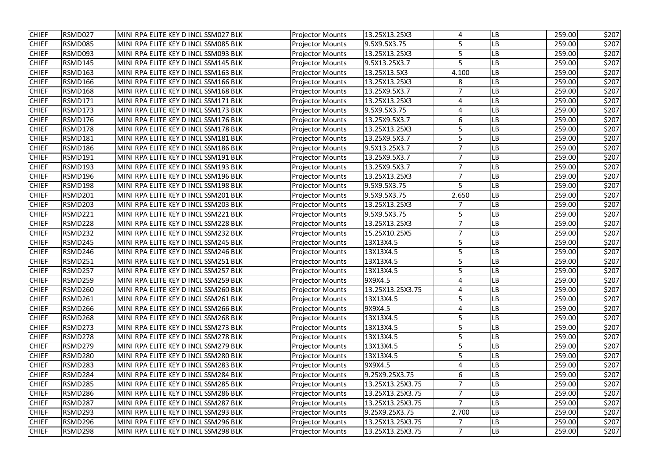| <b>CHIEF</b> | RSMD027        | MINI RPA ELITE KEY D INCL SSM027 BLK | <b>Projector Mounts</b> | 13.25X13.25X3    | 4              | LB        | 259.00 | \$207 |
|--------------|----------------|--------------------------------------|-------------------------|------------------|----------------|-----------|--------|-------|
| <b>CHIEF</b> | RSMD085        | MINI RPA ELITE KEY D INCL SSM085 BLK | <b>Projector Mounts</b> | 9.5X9.5X3.75     | 5              | LB        | 259.00 | \$207 |
| <b>CHIEF</b> | RSMD093        | MINI RPA ELITE KEY D INCL SSM093 BLK | <b>Projector Mounts</b> | 13.25X13.25X3    | 5              | LB        | 259.00 | \$207 |
| <b>CHIEF</b> | RSMD145        | MINI RPA ELITE KEY D INCL SSM145 BLK | <b>Projector Mounts</b> | 9.5X13.25X3.7    | 5              | -B        | 259.00 | \$207 |
| <b>CHIEF</b> | RSMD163        | MINI RPA ELITE KEY D INCL SSM163 BLK | <b>Projector Mounts</b> | 13.25X13.5X3     | 4.100          | LB        | 259.00 | \$207 |
| <b>CHIEF</b> | RSMD166        | MINI RPA ELITE KEY D INCL SSM166 BLK | <b>Projector Mounts</b> | 13.25X13.25X3    | 8              | LB        | 259.00 | \$207 |
| <b>CHIEF</b> | RSMD168        | MINI RPA ELITE KEY D INCL SSM168 BLK | <b>Projector Mounts</b> | 13.25X9.5X3.7    | $\overline{7}$ | LB        | 259.00 | \$207 |
| <b>CHIEF</b> | RSMD171        | MINI RPA ELITE KEY D INCL SSM171 BLK | <b>Projector Mounts</b> | 13.25X13.25X3    | $\overline{4}$ | LB        | 259.00 | \$207 |
| <b>CHIEF</b> | RSMD173        | MINI RPA ELITE KEY D INCL SSM173 BLK | <b>Projector Mounts</b> | 9.5X9.5X3.75     | 4              | -B        | 259.00 | \$207 |
| <b>CHIEF</b> | RSMD176        | MINI RPA ELITE KEY D INCL SSM176 BLK | <b>Projector Mounts</b> | 13.25X9.5X3.7    | 6              | LB        | 259.00 | \$207 |
| <b>CHIEF</b> | RSMD178        | MINI RPA ELITE KEY D INCL SSM178 BLK | <b>Projector Mounts</b> | 13.25X13.25X3    | 5              | LB        | 259.00 | \$207 |
| <b>CHIEF</b> | RSMD181        | MINI RPA ELITE KEY D INCL SSM181 BLK | <b>Projector Mounts</b> | 13.25X9.5X3.7    | 5              | LB        | 259.00 | \$207 |
| <b>CHIEF</b> | RSMD186        | MINI RPA ELITE KEY D INCL SSM186 BLK | <b>Projector Mounts</b> | 9.5X13.25X3.7    | $\overline{7}$ | LB        | 259.00 | \$207 |
| <b>CHIEF</b> | RSMD191        | MINI RPA ELITE KEY D INCL SSM191 BLK | <b>Projector Mounts</b> | 13.25X9.5X3.7    | $\overline{7}$ | LB        | 259.00 | \$207 |
| <b>CHIEF</b> | RSMD193        | MINI RPA ELITE KEY D INCL SSM193 BLK | <b>Projector Mounts</b> | 13.25X9.5X3.7    | $\overline{7}$ | LB        | 259.00 | \$207 |
| <b>CHIEF</b> | RSMD196        | MINI RPA ELITE KEY D INCL SSM196 BLK | <b>Projector Mounts</b> | 13.25X13.25X3    | $\overline{7}$ | LB        | 259.00 | \$207 |
| <b>CHIEF</b> | RSMD198        | MINI RPA ELITE KEY D INCL SSM198 BLK | <b>Projector Mounts</b> | 9.5X9.5X3.75     | 5              | LB        | 259.00 | \$207 |
| <b>CHIEF</b> | RSMD201        | MINI RPA ELITE KEY D INCL SSM201 BLK | <b>Projector Mounts</b> | 9.5X9.5X3.75     | 2.650          | LB        | 259.00 | \$207 |
| <b>CHIEF</b> | RSMD203        | MINI RPA ELITE KEY D INCL SSM203 BLK | <b>Projector Mounts</b> | 13.25X13.25X3    | 7              | LB        | 259.00 | \$207 |
| <b>CHIEF</b> | RSMD221        | MINI RPA ELITE KEY D INCL SSM221 BLK | <b>Projector Mounts</b> | 9.5X9.5X3.75     | 5              | LB        | 259.00 | \$207 |
| <b>CHIEF</b> | RSMD228        | MINI RPA ELITE KEY D INCL SSM228 BLK | <b>Projector Mounts</b> | 13.25X13.25X3    | $\overline{7}$ | LB        | 259.00 | \$207 |
| <b>CHIEF</b> | RSMD232        | MINI RPA ELITE KEY D INCL SSM232 BLK | <b>Projector Mounts</b> | 15.25X10.25X5    | $\overline{7}$ | LB        | 259.00 | \$207 |
| <b>CHIEF</b> | RSMD245        | MINI RPA ELITE KEY D INCL SSM245 BLK | <b>Projector Mounts</b> | 13X13X4.5        | 5              | -B        | 259.00 | \$207 |
| <b>CHIEF</b> | RSMD246        | MINI RPA ELITE KEY D INCL SSM246 BLK | <b>Projector Mounts</b> | 13X13X4.5        | 5              | LB        | 259.00 | \$207 |
| <b>CHIEF</b> | RSMD251        | MINI RPA ELITE KEY D INCL SSM251 BLK | <b>Projector Mounts</b> | 13X13X4.5        | 5              | -B        | 259.00 | \$207 |
| <b>CHIEF</b> | RSMD257        | MINI RPA ELITE KEY D INCL SSM257 BLK | <b>Projector Mounts</b> | 13X13X4.5        | 5              | LB        | 259.00 | \$207 |
| <b>CHIEF</b> | <b>RSMD259</b> | MINI RPA ELITE KEY D INCL SSM259 BLK | <b>Projector Mounts</b> | 9X9X4.5          | 4              | <b>LB</b> | 259.00 | \$207 |
| <b>CHIEF</b> | RSMD260        | MINI RPA ELITE KEY D INCL SSM260 BLK | <b>Projector Mounts</b> | 13.25X13.25X3.75 | 4              | LB        | 259.00 | \$207 |
| <b>CHIEF</b> | RSMD261        | MINI RPA ELITE KEY D INCL SSM261 BLK | <b>Projector Mounts</b> | 13X13X4.5        | 5              | LB        | 259.00 | \$207 |
| <b>CHIEF</b> | RSMD266        | MINI RPA ELITE KEY D INCL SSM266 BLK | <b>Projector Mounts</b> | 9X9X4.5          | 4              | LB        | 259.00 | \$207 |
| <b>CHIEF</b> | RSMD268        | MINI RPA ELITE KEY D INCL SSM268 BLK | <b>Projector Mounts</b> | 13X13X4.5        | 5              | LB        | 259.00 | \$207 |
| <b>CHIEF</b> | RSMD273        | MINI RPA ELITE KEY D INCL SSM273 BLK | <b>Projector Mounts</b> | 13X13X4.5        | 5              | LB        | 259.00 | \$207 |
| <b>CHIEF</b> | RSMD278        | MINI RPA ELITE KEY D INCL SSM278 BLK | <b>Projector Mounts</b> | 13X13X4.5        | 5              | LB        | 259.00 | \$207 |
| <b>CHIEF</b> | RSMD279        | MINI RPA ELITE KEY D INCL SSM279 BLK | <b>Projector Mounts</b> | 13X13X4.5        | 5              | LB        | 259.00 | \$207 |
| <b>CHIEF</b> | RSMD280        | MINI RPA ELITE KEY D INCL SSM280 BLK | <b>Projector Mounts</b> | 13X13X4.5        |                | LB        | 259.00 | \$207 |
| <b>CHIEF</b> | RSMD283        | MINI RPA ELITE KEY D INCL SSM283 BLK | <b>Projector Mounts</b> | 9X9X4.5          | 4              | LB        | 259.00 | \$207 |
| <b>CHIEF</b> | RSMD284        | MINI RPA ELITE KEY D INCL SSM284 BLK | <b>Projector Mounts</b> | 9.25X9.25X3.75   | 6              | LB        | 259.00 | \$207 |
| <b>CHIEF</b> | RSMD285        | MINI RPA ELITE KEY D INCL SSM285 BLK | <b>Projector Mounts</b> | 13.25X13.25X3.75 |                | LB        | 259.00 | \$207 |
| <b>CHIEF</b> | RSMD286        | MINI RPA ELITE KEY D INCL SSM286 BLK | <b>Projector Mounts</b> | 13.25X13.25X3.75 | $\overline{7}$ | LB        | 259.00 | \$207 |
| <b>CHIEF</b> | RSMD287        | MINI RPA ELITE KEY D INCL SSM287 BLK | <b>Projector Mounts</b> | 13.25X13.25X3.75 | $\overline{7}$ | LB        | 259.00 | \$207 |
| <b>CHIEF</b> | RSMD293        | MINI RPA ELITE KEY D INCL SSM293 BLK | <b>Projector Mounts</b> | 9.25X9.25X3.75   | 2.700          | LB        | 259.00 | \$207 |
| <b>CHIEF</b> | RSMD296        | MINI RPA ELITE KEY D INCL SSM296 BLK | <b>Projector Mounts</b> | 13.25X13.25X3.75 |                | LB        | 259.00 | \$207 |
| <b>CHIEF</b> | RSMD298        | MINI RPA ELITE KEY D INCL SSM298 BLK | <b>Projector Mounts</b> | 13.25X13.25X3.75 | $\overline{7}$ | LB        | 259.00 | \$207 |
|              |                |                                      |                         |                  |                |           |        |       |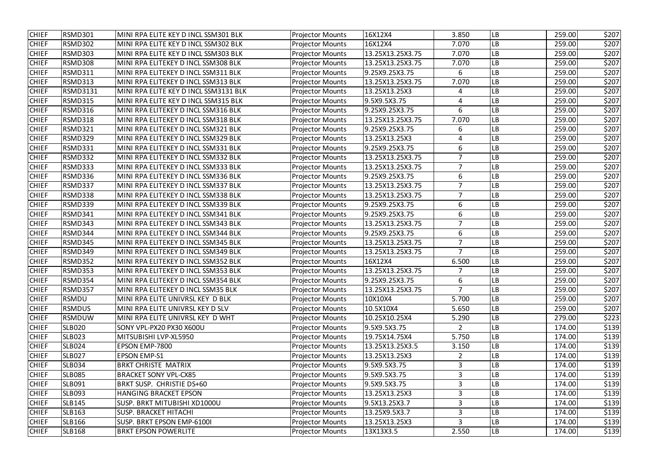| RSMD301<br>16X12X4<br>259.00<br>MINI RPA ELITE KEY D INCL SSM301 BLK<br><b>Projector Mounts</b><br>3.850<br>LB<br><b>CHIEF</b><br><b>RSMD302</b><br>LВ<br>259.00<br>MINI RPA ELITE KEY D INCL SSM302 BLK<br>16X12X4<br>7.070<br><b>Projector Mounts</b><br><b>RSMD303</b><br>MINI RPA ELITE KEY D INCL SSM303 BLK<br>13.25X13.25X3.75<br>259.00<br><b>CHIEF</b><br><b>Projector Mounts</b><br>7.070<br>LB<br>LB<br><b>CHIEF</b><br><b>RSMD308</b><br>MINI RPA ELITEKEY D INCL SSM308 BLK<br><b>Projector Mounts</b><br>13.25X13.25X3.75<br>7.070<br>259.00<br><b>RSMD311</b><br><b>Projector Mounts</b><br>9.25X9.25X3.75<br>LB<br><b>CHIEF</b><br>MINI RPA ELITEKEY D INCL SSM311 BLK<br>259.00<br>6<br><b>RSMD313</b><br>13.25X13.25X3.75<br><b>CHIEF</b><br>MINI RPA ELITEKEY D INCL SSM313 BLK<br><b>Projector Mounts</b><br>7.070<br>LB<br>259.00<br><b>RSMD3131</b><br><b>CHIEF</b><br>13.25X13.25X3<br>LB<br>259.00<br>MINI RPA ELITE KEY D INCL SSM3131 BLK<br><b>Projector Mounts</b><br>4<br><b>CHIEF</b><br><b>RSMD315</b><br>9.5X9.5X3.75<br>259.00<br>MINI RPA ELITE KEY D INCL SSM315 BLK<br><b>Projector Mounts</b><br>LB<br>4<br>RSMD316<br>6<br><b>CHIEF</b><br>MINI RPA ELITEKEY D INCL SSM316 BLK<br><b>Projector Mounts</b><br>9.25X9.25X3.75<br>-B<br>259.00<br><b>RSMD318</b><br>13.25X13.25X3.75<br>7.070<br>LB<br><b>CHIEF</b><br>MINI RPA ELITEKEY D INCL SSM318 BLK<br><b>Projector Mounts</b><br>259.00<br><b>CHIEF</b><br>RSMD321<br>MINI RPA ELITEKEY D INCL SSM321 BLK<br><b>Projector Mounts</b><br>9.25X9.25X3.75<br>LB<br>259.00<br>6<br>RSMD329<br><b>Projector Mounts</b><br>13.25X13.25X3<br>LB<br>259.00<br><b>CHIEF</b><br>MINI RPA ELITEKEY D INCL SSM329 BLK<br>4<br>6<br><b>CHIEF</b><br>RSMD331<br>MINI RPA ELITEKEY D INCL SSM331 BLK<br><b>Projector Mounts</b><br>9.25X9.25X3.75<br>LB<br>259.00<br>RSMD332<br>$\overline{7}$<br>259.00<br><b>CHIEF</b><br>MINI RPA ELITEKEY D INCL SSM332 BLK<br><b>Projector Mounts</b><br>13.25X13.25X3.75<br>LB<br><b>CHIEF</b><br>RSMD333<br>MINI RPA ELITEKEY D INCL SSM333 BLK<br><b>Projector Mounts</b><br>13.25X13.25X3.75<br>$\overline{7}$<br>259.00<br>LB<br><b>CHIEF</b><br>RSMD336<br>MINI RPA ELITEKEY D INCL SSM336 BLK<br><b>Projector Mounts</b><br>9.25X9.25X3.75<br>6<br>LB<br>259.00<br>RSMD337<br>MINI RPA ELITEKEY D INCL SSM337 BLK<br><b>Projector Mounts</b><br>13.25X13.25X3.75<br>7<br>LB<br><b>CHIEF</b><br>259.00<br><b>CHIEF</b><br>RSMD338<br>MINI RPA ELITEKEY D INCL SSM338 BLK<br><b>Projector Mounts</b><br>13.25X13.25X3.75<br>7<br>LB<br>259.00<br>6<br><b>CHIEF</b><br>RSMD339<br>9.25X9.25X3.75<br>LB<br>259.00<br>MINI RPA ELITEKEY D INCL SSM339 BLK<br><b>Projector Mounts</b><br>RSMD341<br>9.25X9.25X3.75<br>6<br>LB<br>259.00<br><b>CHIEF</b><br>MINI RPA ELITEKEY D INCL SSM341 BLK<br><b>Projector Mounts</b><br><b>CHIEF</b><br>RSMD343<br>13.25X13.25X3.75<br>MINI RPA ELITEKEY D INCL SSM343 BLK<br><b>Projector Mounts</b><br>$\overline{7}$<br>LB<br>259.00<br><b>CHIEF</b><br>RSMD344<br><b>Projector Mounts</b><br>9.25X9.25X3.75<br>6<br>LB<br>259.00<br>MINI RPA ELITEKEY D INCL SSM344 BLK<br><b>CHIEF</b><br>RSMD345<br>13.25X13.25X3.75<br>LB<br>MINI RPA ELITEKEY D INCL SSM345 BLK<br><b>Projector Mounts</b><br>7<br>259.00<br>RSMD349<br><b>CHIEF</b><br>MINI RPA ELITEKEY D INCL SSM349 BLK<br><b>Projector Mounts</b><br>13.25X13.25X3.75<br>7<br>LB<br>259.00<br><b>RSMD352</b><br>16X12X4<br>6.500<br>LB<br>259.00<br><b>CHIEF</b><br>MINI RPA ELITEKEY D INCL SSM352 BLK<br><b>Projector Mounts</b><br><b>CHIEF</b><br>RSMD353<br>13.25X13.25X3.75<br>LB<br>259.00<br>MINI RPA ELITEKEY D INCL SSM353 BLK<br><b>Projector Mounts</b><br>RSMD354<br>259.00<br><b>CHIEF</b><br>MINI RPA ELITEKEY D INCL SSM354 BLK<br><b>Projector Mounts</b><br>9.25X9.25X3.75<br>6<br><b>LB</b><br><b>CHIEF</b><br>RSMD357<br>MINI RPA ELITEKEY D INCL SSM35 BLK<br><b>Projector Mounts</b><br>13.25X13.25X3.75<br>7<br>LB<br>259.00<br><b>CHIEF</b><br><b>RSMDU</b><br>MINI RPA ELITE UNIVRSL KEY D BLK<br><b>Projector Mounts</b><br>10X10X4<br>5.700<br>LB<br>259.00<br><b>RSMDUS</b><br>MINI RPA ELITE UNIVRSL KEY D SLV<br>LB<br>259.00<br><b>CHIEF</b><br><b>Projector Mounts</b><br>10.5X10X4<br>5.650<br><b>RSMDUW</b><br>MINI RPA ELITE UNIVRSL KEY D WHT<br>10.25X10.25X4<br>LB<br>279.00<br><b>CHIEF</b><br><b>Projector Mounts</b><br>5.290<br>$\overline{2}$<br>LB<br><b>CHIEF</b><br><b>SLB020</b><br>SONY VPL-PX20 PX30 X600U<br><b>Projector Mounts</b><br>9.5X9.5X3.75<br>174.00<br><b>CHIEF</b><br><b>SLB023</b><br>MITSUBISHI LVP-XL5950<br>19.75X14.75X4<br>5.750<br>LВ<br>174.00<br><b>Projector Mounts</b><br><b>CHIEF</b><br><b>SLB024</b><br>13.25X13.25X3.5<br>LВ<br>EPSON EMP-7800<br><b>Projector Mounts</b><br>174.00<br>3.150<br><b>CHIEF</b><br><b>SLB027</b><br><b>Projector Mounts</b><br>13.25X13.25X3<br>LB<br>174.00<br>EPSON EMP-S1<br>2<br><b>BRKT CHRISTE MATRIX</b><br>3<br>174.00<br><b>CHIEF</b><br><b>SLB034</b><br><b>Projector Mounts</b><br>9.5X9.5X3.75<br>LB<br><b>SLB085</b><br>3<br>174.00<br><b>CHIEF</b><br><b>BRACKET SONY VPL-CX85</b><br>9.5X9.5X3.75<br>LB<br><b>Projector Mounts</b><br>3<br><b>CHIEF</b><br><b>SLB091</b><br>BRKT SUSP. CHRISTIE DS+60<br>LB<br>9.5X9.5X3.75<br>174.00<br><b>Projector Mounts</b><br>3<br><b>CHIEF</b><br><b>SLB093</b><br><b>HANGING BRACKET EPSON</b><br>13.25X13.25X3<br>LB<br>174.00<br><b>Projector Mounts</b><br><b>CHIEF</b><br><b>SLB145</b><br>SUSP. BRKT MITUBISHI XD1000U<br><b>Projector Mounts</b><br>9.5X13.25X3.7<br>3<br>LB<br>174.00<br><b>CHIEF</b><br><b>SLB163</b><br><b>SUSP. BRACKET HITACHI</b><br><b>Projector Mounts</b><br>13.25X9.5X3.7<br>3<br>LB<br>174.00<br>3<br><b>SLB166</b><br>LB<br><b>CHIEF</b><br>SUSP. BRKT EPSON EMP-6100I<br><b>Projector Mounts</b><br>13.25X13.25X3<br>174.00<br>LB<br><b>CHIEF</b><br><b>SLB168</b><br><b>BRKT EPSON POWERLITE</b><br>13X13X3.5<br>2.550<br>174.00<br><b>Projector Mounts</b> |              |  |  |  |       |
|--------------------------------------------------------------------------------------------------------------------------------------------------------------------------------------------------------------------------------------------------------------------------------------------------------------------------------------------------------------------------------------------------------------------------------------------------------------------------------------------------------------------------------------------------------------------------------------------------------------------------------------------------------------------------------------------------------------------------------------------------------------------------------------------------------------------------------------------------------------------------------------------------------------------------------------------------------------------------------------------------------------------------------------------------------------------------------------------------------------------------------------------------------------------------------------------------------------------------------------------------------------------------------------------------------------------------------------------------------------------------------------------------------------------------------------------------------------------------------------------------------------------------------------------------------------------------------------------------------------------------------------------------------------------------------------------------------------------------------------------------------------------------------------------------------------------------------------------------------------------------------------------------------------------------------------------------------------------------------------------------------------------------------------------------------------------------------------------------------------------------------------------------------------------------------------------------------------------------------------------------------------------------------------------------------------------------------------------------------------------------------------------------------------------------------------------------------------------------------------------------------------------------------------------------------------------------------------------------------------------------------------------------------------------------------------------------------------------------------------------------------------------------------------------------------------------------------------------------------------------------------------------------------------------------------------------------------------------------------------------------------------------------------------------------------------------------------------------------------------------------------------------------------------------------------------------------------------------------------------------------------------------------------------------------------------------------------------------------------------------------------------------------------------------------------------------------------------------------------------------------------------------------------------------------------------------------------------------------------------------------------------------------------------------------------------------------------------------------------------------------------------------------------------------------------------------------------------------------------------------------------------------------------------------------------------------------------------------------------------------------------------------------------------------------------------------------------------------------------------------------------------------------------------------------------------------------------------------------------------------------------------------------------------------------------------------------------------------------------------------------------------------------------------------------------------------------------------------------------------------------------------------------------------------------------------------------------------------------------------------------------------------------------------------------------------------------------------------------------------------------------------------------------------------------------------------------------------------------------------------------------------------------------------------------------------------------------------------------------------------------------------------------------------------------------------------------------------------------------------------------------------------------------------------------------------------------------------------------------------------------------------------------------------------------------------------------------------------------------------------------------------------------------------------------------------------------------------------------------------------------------------------------------------------------------------------------------------------------------------------------------------------------------------------------------------------------------------------------------------------------------------------------------------------------------------------------------------------------------------------------------------------------------------------------------------------------------------------------------------|--------------|--|--|--|-------|
|                                                                                                                                                                                                                                                                                                                                                                                                                                                                                                                                                                                                                                                                                                                                                                                                                                                                                                                                                                                                                                                                                                                                                                                                                                                                                                                                                                                                                                                                                                                                                                                                                                                                                                                                                                                                                                                                                                                                                                                                                                                                                                                                                                                                                                                                                                                                                                                                                                                                                                                                                                                                                                                                                                                                                                                                                                                                                                                                                                                                                                                                                                                                                                                                                                                                                                                                                                                                                                                                                                                                                                                                                                                                                                                                                                                                                                                                                                                                                                                                                                                                                                                                                                                                                                                                                                                                                                                                                                                                                                                                                                                                                                                                                                                                                                                                                                                                                                                                                                                                                                                                                                                                                                                                                                                                                                                                                                                                                                                                                                                                                                                                                                                                                                                                                                                                                                                                                                                                                                                      | <b>CHIEF</b> |  |  |  | \$207 |
|                                                                                                                                                                                                                                                                                                                                                                                                                                                                                                                                                                                                                                                                                                                                                                                                                                                                                                                                                                                                                                                                                                                                                                                                                                                                                                                                                                                                                                                                                                                                                                                                                                                                                                                                                                                                                                                                                                                                                                                                                                                                                                                                                                                                                                                                                                                                                                                                                                                                                                                                                                                                                                                                                                                                                                                                                                                                                                                                                                                                                                                                                                                                                                                                                                                                                                                                                                                                                                                                                                                                                                                                                                                                                                                                                                                                                                                                                                                                                                                                                                                                                                                                                                                                                                                                                                                                                                                                                                                                                                                                                                                                                                                                                                                                                                                                                                                                                                                                                                                                                                                                                                                                                                                                                                                                                                                                                                                                                                                                                                                                                                                                                                                                                                                                                                                                                                                                                                                                                                                      |              |  |  |  | \$207 |
|                                                                                                                                                                                                                                                                                                                                                                                                                                                                                                                                                                                                                                                                                                                                                                                                                                                                                                                                                                                                                                                                                                                                                                                                                                                                                                                                                                                                                                                                                                                                                                                                                                                                                                                                                                                                                                                                                                                                                                                                                                                                                                                                                                                                                                                                                                                                                                                                                                                                                                                                                                                                                                                                                                                                                                                                                                                                                                                                                                                                                                                                                                                                                                                                                                                                                                                                                                                                                                                                                                                                                                                                                                                                                                                                                                                                                                                                                                                                                                                                                                                                                                                                                                                                                                                                                                                                                                                                                                                                                                                                                                                                                                                                                                                                                                                                                                                                                                                                                                                                                                                                                                                                                                                                                                                                                                                                                                                                                                                                                                                                                                                                                                                                                                                                                                                                                                                                                                                                                                                      |              |  |  |  | \$207 |
|                                                                                                                                                                                                                                                                                                                                                                                                                                                                                                                                                                                                                                                                                                                                                                                                                                                                                                                                                                                                                                                                                                                                                                                                                                                                                                                                                                                                                                                                                                                                                                                                                                                                                                                                                                                                                                                                                                                                                                                                                                                                                                                                                                                                                                                                                                                                                                                                                                                                                                                                                                                                                                                                                                                                                                                                                                                                                                                                                                                                                                                                                                                                                                                                                                                                                                                                                                                                                                                                                                                                                                                                                                                                                                                                                                                                                                                                                                                                                                                                                                                                                                                                                                                                                                                                                                                                                                                                                                                                                                                                                                                                                                                                                                                                                                                                                                                                                                                                                                                                                                                                                                                                                                                                                                                                                                                                                                                                                                                                                                                                                                                                                                                                                                                                                                                                                                                                                                                                                                                      |              |  |  |  | \$207 |
|                                                                                                                                                                                                                                                                                                                                                                                                                                                                                                                                                                                                                                                                                                                                                                                                                                                                                                                                                                                                                                                                                                                                                                                                                                                                                                                                                                                                                                                                                                                                                                                                                                                                                                                                                                                                                                                                                                                                                                                                                                                                                                                                                                                                                                                                                                                                                                                                                                                                                                                                                                                                                                                                                                                                                                                                                                                                                                                                                                                                                                                                                                                                                                                                                                                                                                                                                                                                                                                                                                                                                                                                                                                                                                                                                                                                                                                                                                                                                                                                                                                                                                                                                                                                                                                                                                                                                                                                                                                                                                                                                                                                                                                                                                                                                                                                                                                                                                                                                                                                                                                                                                                                                                                                                                                                                                                                                                                                                                                                                                                                                                                                                                                                                                                                                                                                                                                                                                                                                                                      |              |  |  |  | \$207 |
|                                                                                                                                                                                                                                                                                                                                                                                                                                                                                                                                                                                                                                                                                                                                                                                                                                                                                                                                                                                                                                                                                                                                                                                                                                                                                                                                                                                                                                                                                                                                                                                                                                                                                                                                                                                                                                                                                                                                                                                                                                                                                                                                                                                                                                                                                                                                                                                                                                                                                                                                                                                                                                                                                                                                                                                                                                                                                                                                                                                                                                                                                                                                                                                                                                                                                                                                                                                                                                                                                                                                                                                                                                                                                                                                                                                                                                                                                                                                                                                                                                                                                                                                                                                                                                                                                                                                                                                                                                                                                                                                                                                                                                                                                                                                                                                                                                                                                                                                                                                                                                                                                                                                                                                                                                                                                                                                                                                                                                                                                                                                                                                                                                                                                                                                                                                                                                                                                                                                                                                      |              |  |  |  | \$207 |
|                                                                                                                                                                                                                                                                                                                                                                                                                                                                                                                                                                                                                                                                                                                                                                                                                                                                                                                                                                                                                                                                                                                                                                                                                                                                                                                                                                                                                                                                                                                                                                                                                                                                                                                                                                                                                                                                                                                                                                                                                                                                                                                                                                                                                                                                                                                                                                                                                                                                                                                                                                                                                                                                                                                                                                                                                                                                                                                                                                                                                                                                                                                                                                                                                                                                                                                                                                                                                                                                                                                                                                                                                                                                                                                                                                                                                                                                                                                                                                                                                                                                                                                                                                                                                                                                                                                                                                                                                                                                                                                                                                                                                                                                                                                                                                                                                                                                                                                                                                                                                                                                                                                                                                                                                                                                                                                                                                                                                                                                                                                                                                                                                                                                                                                                                                                                                                                                                                                                                                                      |              |  |  |  | \$207 |
|                                                                                                                                                                                                                                                                                                                                                                                                                                                                                                                                                                                                                                                                                                                                                                                                                                                                                                                                                                                                                                                                                                                                                                                                                                                                                                                                                                                                                                                                                                                                                                                                                                                                                                                                                                                                                                                                                                                                                                                                                                                                                                                                                                                                                                                                                                                                                                                                                                                                                                                                                                                                                                                                                                                                                                                                                                                                                                                                                                                                                                                                                                                                                                                                                                                                                                                                                                                                                                                                                                                                                                                                                                                                                                                                                                                                                                                                                                                                                                                                                                                                                                                                                                                                                                                                                                                                                                                                                                                                                                                                                                                                                                                                                                                                                                                                                                                                                                                                                                                                                                                                                                                                                                                                                                                                                                                                                                                                                                                                                                                                                                                                                                                                                                                                                                                                                                                                                                                                                                                      |              |  |  |  | \$207 |
|                                                                                                                                                                                                                                                                                                                                                                                                                                                                                                                                                                                                                                                                                                                                                                                                                                                                                                                                                                                                                                                                                                                                                                                                                                                                                                                                                                                                                                                                                                                                                                                                                                                                                                                                                                                                                                                                                                                                                                                                                                                                                                                                                                                                                                                                                                                                                                                                                                                                                                                                                                                                                                                                                                                                                                                                                                                                                                                                                                                                                                                                                                                                                                                                                                                                                                                                                                                                                                                                                                                                                                                                                                                                                                                                                                                                                                                                                                                                                                                                                                                                                                                                                                                                                                                                                                                                                                                                                                                                                                                                                                                                                                                                                                                                                                                                                                                                                                                                                                                                                                                                                                                                                                                                                                                                                                                                                                                                                                                                                                                                                                                                                                                                                                                                                                                                                                                                                                                                                                                      |              |  |  |  | \$207 |
|                                                                                                                                                                                                                                                                                                                                                                                                                                                                                                                                                                                                                                                                                                                                                                                                                                                                                                                                                                                                                                                                                                                                                                                                                                                                                                                                                                                                                                                                                                                                                                                                                                                                                                                                                                                                                                                                                                                                                                                                                                                                                                                                                                                                                                                                                                                                                                                                                                                                                                                                                                                                                                                                                                                                                                                                                                                                                                                                                                                                                                                                                                                                                                                                                                                                                                                                                                                                                                                                                                                                                                                                                                                                                                                                                                                                                                                                                                                                                                                                                                                                                                                                                                                                                                                                                                                                                                                                                                                                                                                                                                                                                                                                                                                                                                                                                                                                                                                                                                                                                                                                                                                                                                                                                                                                                                                                                                                                                                                                                                                                                                                                                                                                                                                                                                                                                                                                                                                                                                                      |              |  |  |  | \$207 |
|                                                                                                                                                                                                                                                                                                                                                                                                                                                                                                                                                                                                                                                                                                                                                                                                                                                                                                                                                                                                                                                                                                                                                                                                                                                                                                                                                                                                                                                                                                                                                                                                                                                                                                                                                                                                                                                                                                                                                                                                                                                                                                                                                                                                                                                                                                                                                                                                                                                                                                                                                                                                                                                                                                                                                                                                                                                                                                                                                                                                                                                                                                                                                                                                                                                                                                                                                                                                                                                                                                                                                                                                                                                                                                                                                                                                                                                                                                                                                                                                                                                                                                                                                                                                                                                                                                                                                                                                                                                                                                                                                                                                                                                                                                                                                                                                                                                                                                                                                                                                                                                                                                                                                                                                                                                                                                                                                                                                                                                                                                                                                                                                                                                                                                                                                                                                                                                                                                                                                                                      |              |  |  |  | \$207 |
|                                                                                                                                                                                                                                                                                                                                                                                                                                                                                                                                                                                                                                                                                                                                                                                                                                                                                                                                                                                                                                                                                                                                                                                                                                                                                                                                                                                                                                                                                                                                                                                                                                                                                                                                                                                                                                                                                                                                                                                                                                                                                                                                                                                                                                                                                                                                                                                                                                                                                                                                                                                                                                                                                                                                                                                                                                                                                                                                                                                                                                                                                                                                                                                                                                                                                                                                                                                                                                                                                                                                                                                                                                                                                                                                                                                                                                                                                                                                                                                                                                                                                                                                                                                                                                                                                                                                                                                                                                                                                                                                                                                                                                                                                                                                                                                                                                                                                                                                                                                                                                                                                                                                                                                                                                                                                                                                                                                                                                                                                                                                                                                                                                                                                                                                                                                                                                                                                                                                                                                      |              |  |  |  | \$207 |
|                                                                                                                                                                                                                                                                                                                                                                                                                                                                                                                                                                                                                                                                                                                                                                                                                                                                                                                                                                                                                                                                                                                                                                                                                                                                                                                                                                                                                                                                                                                                                                                                                                                                                                                                                                                                                                                                                                                                                                                                                                                                                                                                                                                                                                                                                                                                                                                                                                                                                                                                                                                                                                                                                                                                                                                                                                                                                                                                                                                                                                                                                                                                                                                                                                                                                                                                                                                                                                                                                                                                                                                                                                                                                                                                                                                                                                                                                                                                                                                                                                                                                                                                                                                                                                                                                                                                                                                                                                                                                                                                                                                                                                                                                                                                                                                                                                                                                                                                                                                                                                                                                                                                                                                                                                                                                                                                                                                                                                                                                                                                                                                                                                                                                                                                                                                                                                                                                                                                                                                      |              |  |  |  | \$207 |
|                                                                                                                                                                                                                                                                                                                                                                                                                                                                                                                                                                                                                                                                                                                                                                                                                                                                                                                                                                                                                                                                                                                                                                                                                                                                                                                                                                                                                                                                                                                                                                                                                                                                                                                                                                                                                                                                                                                                                                                                                                                                                                                                                                                                                                                                                                                                                                                                                                                                                                                                                                                                                                                                                                                                                                                                                                                                                                                                                                                                                                                                                                                                                                                                                                                                                                                                                                                                                                                                                                                                                                                                                                                                                                                                                                                                                                                                                                                                                                                                                                                                                                                                                                                                                                                                                                                                                                                                                                                                                                                                                                                                                                                                                                                                                                                                                                                                                                                                                                                                                                                                                                                                                                                                                                                                                                                                                                                                                                                                                                                                                                                                                                                                                                                                                                                                                                                                                                                                                                                      |              |  |  |  | \$207 |
|                                                                                                                                                                                                                                                                                                                                                                                                                                                                                                                                                                                                                                                                                                                                                                                                                                                                                                                                                                                                                                                                                                                                                                                                                                                                                                                                                                                                                                                                                                                                                                                                                                                                                                                                                                                                                                                                                                                                                                                                                                                                                                                                                                                                                                                                                                                                                                                                                                                                                                                                                                                                                                                                                                                                                                                                                                                                                                                                                                                                                                                                                                                                                                                                                                                                                                                                                                                                                                                                                                                                                                                                                                                                                                                                                                                                                                                                                                                                                                                                                                                                                                                                                                                                                                                                                                                                                                                                                                                                                                                                                                                                                                                                                                                                                                                                                                                                                                                                                                                                                                                                                                                                                                                                                                                                                                                                                                                                                                                                                                                                                                                                                                                                                                                                                                                                                                                                                                                                                                                      |              |  |  |  | \$207 |
|                                                                                                                                                                                                                                                                                                                                                                                                                                                                                                                                                                                                                                                                                                                                                                                                                                                                                                                                                                                                                                                                                                                                                                                                                                                                                                                                                                                                                                                                                                                                                                                                                                                                                                                                                                                                                                                                                                                                                                                                                                                                                                                                                                                                                                                                                                                                                                                                                                                                                                                                                                                                                                                                                                                                                                                                                                                                                                                                                                                                                                                                                                                                                                                                                                                                                                                                                                                                                                                                                                                                                                                                                                                                                                                                                                                                                                                                                                                                                                                                                                                                                                                                                                                                                                                                                                                                                                                                                                                                                                                                                                                                                                                                                                                                                                                                                                                                                                                                                                                                                                                                                                                                                                                                                                                                                                                                                                                                                                                                                                                                                                                                                                                                                                                                                                                                                                                                                                                                                                                      |              |  |  |  | \$207 |
|                                                                                                                                                                                                                                                                                                                                                                                                                                                                                                                                                                                                                                                                                                                                                                                                                                                                                                                                                                                                                                                                                                                                                                                                                                                                                                                                                                                                                                                                                                                                                                                                                                                                                                                                                                                                                                                                                                                                                                                                                                                                                                                                                                                                                                                                                                                                                                                                                                                                                                                                                                                                                                                                                                                                                                                                                                                                                                                                                                                                                                                                                                                                                                                                                                                                                                                                                                                                                                                                                                                                                                                                                                                                                                                                                                                                                                                                                                                                                                                                                                                                                                                                                                                                                                                                                                                                                                                                                                                                                                                                                                                                                                                                                                                                                                                                                                                                                                                                                                                                                                                                                                                                                                                                                                                                                                                                                                                                                                                                                                                                                                                                                                                                                                                                                                                                                                                                                                                                                                                      |              |  |  |  | \$207 |
|                                                                                                                                                                                                                                                                                                                                                                                                                                                                                                                                                                                                                                                                                                                                                                                                                                                                                                                                                                                                                                                                                                                                                                                                                                                                                                                                                                                                                                                                                                                                                                                                                                                                                                                                                                                                                                                                                                                                                                                                                                                                                                                                                                                                                                                                                                                                                                                                                                                                                                                                                                                                                                                                                                                                                                                                                                                                                                                                                                                                                                                                                                                                                                                                                                                                                                                                                                                                                                                                                                                                                                                                                                                                                                                                                                                                                                                                                                                                                                                                                                                                                                                                                                                                                                                                                                                                                                                                                                                                                                                                                                                                                                                                                                                                                                                                                                                                                                                                                                                                                                                                                                                                                                                                                                                                                                                                                                                                                                                                                                                                                                                                                                                                                                                                                                                                                                                                                                                                                                                      |              |  |  |  | \$207 |
|                                                                                                                                                                                                                                                                                                                                                                                                                                                                                                                                                                                                                                                                                                                                                                                                                                                                                                                                                                                                                                                                                                                                                                                                                                                                                                                                                                                                                                                                                                                                                                                                                                                                                                                                                                                                                                                                                                                                                                                                                                                                                                                                                                                                                                                                                                                                                                                                                                                                                                                                                                                                                                                                                                                                                                                                                                                                                                                                                                                                                                                                                                                                                                                                                                                                                                                                                                                                                                                                                                                                                                                                                                                                                                                                                                                                                                                                                                                                                                                                                                                                                                                                                                                                                                                                                                                                                                                                                                                                                                                                                                                                                                                                                                                                                                                                                                                                                                                                                                                                                                                                                                                                                                                                                                                                                                                                                                                                                                                                                                                                                                                                                                                                                                                                                                                                                                                                                                                                                                                      |              |  |  |  | \$207 |
|                                                                                                                                                                                                                                                                                                                                                                                                                                                                                                                                                                                                                                                                                                                                                                                                                                                                                                                                                                                                                                                                                                                                                                                                                                                                                                                                                                                                                                                                                                                                                                                                                                                                                                                                                                                                                                                                                                                                                                                                                                                                                                                                                                                                                                                                                                                                                                                                                                                                                                                                                                                                                                                                                                                                                                                                                                                                                                                                                                                                                                                                                                                                                                                                                                                                                                                                                                                                                                                                                                                                                                                                                                                                                                                                                                                                                                                                                                                                                                                                                                                                                                                                                                                                                                                                                                                                                                                                                                                                                                                                                                                                                                                                                                                                                                                                                                                                                                                                                                                                                                                                                                                                                                                                                                                                                                                                                                                                                                                                                                                                                                                                                                                                                                                                                                                                                                                                                                                                                                                      |              |  |  |  | \$207 |
|                                                                                                                                                                                                                                                                                                                                                                                                                                                                                                                                                                                                                                                                                                                                                                                                                                                                                                                                                                                                                                                                                                                                                                                                                                                                                                                                                                                                                                                                                                                                                                                                                                                                                                                                                                                                                                                                                                                                                                                                                                                                                                                                                                                                                                                                                                                                                                                                                                                                                                                                                                                                                                                                                                                                                                                                                                                                                                                                                                                                                                                                                                                                                                                                                                                                                                                                                                                                                                                                                                                                                                                                                                                                                                                                                                                                                                                                                                                                                                                                                                                                                                                                                                                                                                                                                                                                                                                                                                                                                                                                                                                                                                                                                                                                                                                                                                                                                                                                                                                                                                                                                                                                                                                                                                                                                                                                                                                                                                                                                                                                                                                                                                                                                                                                                                                                                                                                                                                                                                                      |              |  |  |  | \$207 |
|                                                                                                                                                                                                                                                                                                                                                                                                                                                                                                                                                                                                                                                                                                                                                                                                                                                                                                                                                                                                                                                                                                                                                                                                                                                                                                                                                                                                                                                                                                                                                                                                                                                                                                                                                                                                                                                                                                                                                                                                                                                                                                                                                                                                                                                                                                                                                                                                                                                                                                                                                                                                                                                                                                                                                                                                                                                                                                                                                                                                                                                                                                                                                                                                                                                                                                                                                                                                                                                                                                                                                                                                                                                                                                                                                                                                                                                                                                                                                                                                                                                                                                                                                                                                                                                                                                                                                                                                                                                                                                                                                                                                                                                                                                                                                                                                                                                                                                                                                                                                                                                                                                                                                                                                                                                                                                                                                                                                                                                                                                                                                                                                                                                                                                                                                                                                                                                                                                                                                                                      |              |  |  |  | \$207 |
|                                                                                                                                                                                                                                                                                                                                                                                                                                                                                                                                                                                                                                                                                                                                                                                                                                                                                                                                                                                                                                                                                                                                                                                                                                                                                                                                                                                                                                                                                                                                                                                                                                                                                                                                                                                                                                                                                                                                                                                                                                                                                                                                                                                                                                                                                                                                                                                                                                                                                                                                                                                                                                                                                                                                                                                                                                                                                                                                                                                                                                                                                                                                                                                                                                                                                                                                                                                                                                                                                                                                                                                                                                                                                                                                                                                                                                                                                                                                                                                                                                                                                                                                                                                                                                                                                                                                                                                                                                                                                                                                                                                                                                                                                                                                                                                                                                                                                                                                                                                                                                                                                                                                                                                                                                                                                                                                                                                                                                                                                                                                                                                                                                                                                                                                                                                                                                                                                                                                                                                      |              |  |  |  | \$207 |
|                                                                                                                                                                                                                                                                                                                                                                                                                                                                                                                                                                                                                                                                                                                                                                                                                                                                                                                                                                                                                                                                                                                                                                                                                                                                                                                                                                                                                                                                                                                                                                                                                                                                                                                                                                                                                                                                                                                                                                                                                                                                                                                                                                                                                                                                                                                                                                                                                                                                                                                                                                                                                                                                                                                                                                                                                                                                                                                                                                                                                                                                                                                                                                                                                                                                                                                                                                                                                                                                                                                                                                                                                                                                                                                                                                                                                                                                                                                                                                                                                                                                                                                                                                                                                                                                                                                                                                                                                                                                                                                                                                                                                                                                                                                                                                                                                                                                                                                                                                                                                                                                                                                                                                                                                                                                                                                                                                                                                                                                                                                                                                                                                                                                                                                                                                                                                                                                                                                                                                                      |              |  |  |  | \$207 |
|                                                                                                                                                                                                                                                                                                                                                                                                                                                                                                                                                                                                                                                                                                                                                                                                                                                                                                                                                                                                                                                                                                                                                                                                                                                                                                                                                                                                                                                                                                                                                                                                                                                                                                                                                                                                                                                                                                                                                                                                                                                                                                                                                                                                                                                                                                                                                                                                                                                                                                                                                                                                                                                                                                                                                                                                                                                                                                                                                                                                                                                                                                                                                                                                                                                                                                                                                                                                                                                                                                                                                                                                                                                                                                                                                                                                                                                                                                                                                                                                                                                                                                                                                                                                                                                                                                                                                                                                                                                                                                                                                                                                                                                                                                                                                                                                                                                                                                                                                                                                                                                                                                                                                                                                                                                                                                                                                                                                                                                                                                                                                                                                                                                                                                                                                                                                                                                                                                                                                                                      |              |  |  |  | \$207 |
|                                                                                                                                                                                                                                                                                                                                                                                                                                                                                                                                                                                                                                                                                                                                                                                                                                                                                                                                                                                                                                                                                                                                                                                                                                                                                                                                                                                                                                                                                                                                                                                                                                                                                                                                                                                                                                                                                                                                                                                                                                                                                                                                                                                                                                                                                                                                                                                                                                                                                                                                                                                                                                                                                                                                                                                                                                                                                                                                                                                                                                                                                                                                                                                                                                                                                                                                                                                                                                                                                                                                                                                                                                                                                                                                                                                                                                                                                                                                                                                                                                                                                                                                                                                                                                                                                                                                                                                                                                                                                                                                                                                                                                                                                                                                                                                                                                                                                                                                                                                                                                                                                                                                                                                                                                                                                                                                                                                                                                                                                                                                                                                                                                                                                                                                                                                                                                                                                                                                                                                      |              |  |  |  | \$207 |
|                                                                                                                                                                                                                                                                                                                                                                                                                                                                                                                                                                                                                                                                                                                                                                                                                                                                                                                                                                                                                                                                                                                                                                                                                                                                                                                                                                                                                                                                                                                                                                                                                                                                                                                                                                                                                                                                                                                                                                                                                                                                                                                                                                                                                                                                                                                                                                                                                                                                                                                                                                                                                                                                                                                                                                                                                                                                                                                                                                                                                                                                                                                                                                                                                                                                                                                                                                                                                                                                                                                                                                                                                                                                                                                                                                                                                                                                                                                                                                                                                                                                                                                                                                                                                                                                                                                                                                                                                                                                                                                                                                                                                                                                                                                                                                                                                                                                                                                                                                                                                                                                                                                                                                                                                                                                                                                                                                                                                                                                                                                                                                                                                                                                                                                                                                                                                                                                                                                                                                                      |              |  |  |  | \$207 |
|                                                                                                                                                                                                                                                                                                                                                                                                                                                                                                                                                                                                                                                                                                                                                                                                                                                                                                                                                                                                                                                                                                                                                                                                                                                                                                                                                                                                                                                                                                                                                                                                                                                                                                                                                                                                                                                                                                                                                                                                                                                                                                                                                                                                                                                                                                                                                                                                                                                                                                                                                                                                                                                                                                                                                                                                                                                                                                                                                                                                                                                                                                                                                                                                                                                                                                                                                                                                                                                                                                                                                                                                                                                                                                                                                                                                                                                                                                                                                                                                                                                                                                                                                                                                                                                                                                                                                                                                                                                                                                                                                                                                                                                                                                                                                                                                                                                                                                                                                                                                                                                                                                                                                                                                                                                                                                                                                                                                                                                                                                                                                                                                                                                                                                                                                                                                                                                                                                                                                                                      |              |  |  |  | \$207 |
|                                                                                                                                                                                                                                                                                                                                                                                                                                                                                                                                                                                                                                                                                                                                                                                                                                                                                                                                                                                                                                                                                                                                                                                                                                                                                                                                                                                                                                                                                                                                                                                                                                                                                                                                                                                                                                                                                                                                                                                                                                                                                                                                                                                                                                                                                                                                                                                                                                                                                                                                                                                                                                                                                                                                                                                                                                                                                                                                                                                                                                                                                                                                                                                                                                                                                                                                                                                                                                                                                                                                                                                                                                                                                                                                                                                                                                                                                                                                                                                                                                                                                                                                                                                                                                                                                                                                                                                                                                                                                                                                                                                                                                                                                                                                                                                                                                                                                                                                                                                                                                                                                                                                                                                                                                                                                                                                                                                                                                                                                                                                                                                                                                                                                                                                                                                                                                                                                                                                                                                      |              |  |  |  | \$207 |
|                                                                                                                                                                                                                                                                                                                                                                                                                                                                                                                                                                                                                                                                                                                                                                                                                                                                                                                                                                                                                                                                                                                                                                                                                                                                                                                                                                                                                                                                                                                                                                                                                                                                                                                                                                                                                                                                                                                                                                                                                                                                                                                                                                                                                                                                                                                                                                                                                                                                                                                                                                                                                                                                                                                                                                                                                                                                                                                                                                                                                                                                                                                                                                                                                                                                                                                                                                                                                                                                                                                                                                                                                                                                                                                                                                                                                                                                                                                                                                                                                                                                                                                                                                                                                                                                                                                                                                                                                                                                                                                                                                                                                                                                                                                                                                                                                                                                                                                                                                                                                                                                                                                                                                                                                                                                                                                                                                                                                                                                                                                                                                                                                                                                                                                                                                                                                                                                                                                                                                                      |              |  |  |  | \$207 |
|                                                                                                                                                                                                                                                                                                                                                                                                                                                                                                                                                                                                                                                                                                                                                                                                                                                                                                                                                                                                                                                                                                                                                                                                                                                                                                                                                                                                                                                                                                                                                                                                                                                                                                                                                                                                                                                                                                                                                                                                                                                                                                                                                                                                                                                                                                                                                                                                                                                                                                                                                                                                                                                                                                                                                                                                                                                                                                                                                                                                                                                                                                                                                                                                                                                                                                                                                                                                                                                                                                                                                                                                                                                                                                                                                                                                                                                                                                                                                                                                                                                                                                                                                                                                                                                                                                                                                                                                                                                                                                                                                                                                                                                                                                                                                                                                                                                                                                                                                                                                                                                                                                                                                                                                                                                                                                                                                                                                                                                                                                                                                                                                                                                                                                                                                                                                                                                                                                                                                                                      |              |  |  |  | \$223 |
|                                                                                                                                                                                                                                                                                                                                                                                                                                                                                                                                                                                                                                                                                                                                                                                                                                                                                                                                                                                                                                                                                                                                                                                                                                                                                                                                                                                                                                                                                                                                                                                                                                                                                                                                                                                                                                                                                                                                                                                                                                                                                                                                                                                                                                                                                                                                                                                                                                                                                                                                                                                                                                                                                                                                                                                                                                                                                                                                                                                                                                                                                                                                                                                                                                                                                                                                                                                                                                                                                                                                                                                                                                                                                                                                                                                                                                                                                                                                                                                                                                                                                                                                                                                                                                                                                                                                                                                                                                                                                                                                                                                                                                                                                                                                                                                                                                                                                                                                                                                                                                                                                                                                                                                                                                                                                                                                                                                                                                                                                                                                                                                                                                                                                                                                                                                                                                                                                                                                                                                      |              |  |  |  | \$139 |
|                                                                                                                                                                                                                                                                                                                                                                                                                                                                                                                                                                                                                                                                                                                                                                                                                                                                                                                                                                                                                                                                                                                                                                                                                                                                                                                                                                                                                                                                                                                                                                                                                                                                                                                                                                                                                                                                                                                                                                                                                                                                                                                                                                                                                                                                                                                                                                                                                                                                                                                                                                                                                                                                                                                                                                                                                                                                                                                                                                                                                                                                                                                                                                                                                                                                                                                                                                                                                                                                                                                                                                                                                                                                                                                                                                                                                                                                                                                                                                                                                                                                                                                                                                                                                                                                                                                                                                                                                                                                                                                                                                                                                                                                                                                                                                                                                                                                                                                                                                                                                                                                                                                                                                                                                                                                                                                                                                                                                                                                                                                                                                                                                                                                                                                                                                                                                                                                                                                                                                                      |              |  |  |  | \$139 |
|                                                                                                                                                                                                                                                                                                                                                                                                                                                                                                                                                                                                                                                                                                                                                                                                                                                                                                                                                                                                                                                                                                                                                                                                                                                                                                                                                                                                                                                                                                                                                                                                                                                                                                                                                                                                                                                                                                                                                                                                                                                                                                                                                                                                                                                                                                                                                                                                                                                                                                                                                                                                                                                                                                                                                                                                                                                                                                                                                                                                                                                                                                                                                                                                                                                                                                                                                                                                                                                                                                                                                                                                                                                                                                                                                                                                                                                                                                                                                                                                                                                                                                                                                                                                                                                                                                                                                                                                                                                                                                                                                                                                                                                                                                                                                                                                                                                                                                                                                                                                                                                                                                                                                                                                                                                                                                                                                                                                                                                                                                                                                                                                                                                                                                                                                                                                                                                                                                                                                                                      |              |  |  |  | \$139 |
|                                                                                                                                                                                                                                                                                                                                                                                                                                                                                                                                                                                                                                                                                                                                                                                                                                                                                                                                                                                                                                                                                                                                                                                                                                                                                                                                                                                                                                                                                                                                                                                                                                                                                                                                                                                                                                                                                                                                                                                                                                                                                                                                                                                                                                                                                                                                                                                                                                                                                                                                                                                                                                                                                                                                                                                                                                                                                                                                                                                                                                                                                                                                                                                                                                                                                                                                                                                                                                                                                                                                                                                                                                                                                                                                                                                                                                                                                                                                                                                                                                                                                                                                                                                                                                                                                                                                                                                                                                                                                                                                                                                                                                                                                                                                                                                                                                                                                                                                                                                                                                                                                                                                                                                                                                                                                                                                                                                                                                                                                                                                                                                                                                                                                                                                                                                                                                                                                                                                                                                      |              |  |  |  | \$139 |
|                                                                                                                                                                                                                                                                                                                                                                                                                                                                                                                                                                                                                                                                                                                                                                                                                                                                                                                                                                                                                                                                                                                                                                                                                                                                                                                                                                                                                                                                                                                                                                                                                                                                                                                                                                                                                                                                                                                                                                                                                                                                                                                                                                                                                                                                                                                                                                                                                                                                                                                                                                                                                                                                                                                                                                                                                                                                                                                                                                                                                                                                                                                                                                                                                                                                                                                                                                                                                                                                                                                                                                                                                                                                                                                                                                                                                                                                                                                                                                                                                                                                                                                                                                                                                                                                                                                                                                                                                                                                                                                                                                                                                                                                                                                                                                                                                                                                                                                                                                                                                                                                                                                                                                                                                                                                                                                                                                                                                                                                                                                                                                                                                                                                                                                                                                                                                                                                                                                                                                                      |              |  |  |  | \$139 |
|                                                                                                                                                                                                                                                                                                                                                                                                                                                                                                                                                                                                                                                                                                                                                                                                                                                                                                                                                                                                                                                                                                                                                                                                                                                                                                                                                                                                                                                                                                                                                                                                                                                                                                                                                                                                                                                                                                                                                                                                                                                                                                                                                                                                                                                                                                                                                                                                                                                                                                                                                                                                                                                                                                                                                                                                                                                                                                                                                                                                                                                                                                                                                                                                                                                                                                                                                                                                                                                                                                                                                                                                                                                                                                                                                                                                                                                                                                                                                                                                                                                                                                                                                                                                                                                                                                                                                                                                                                                                                                                                                                                                                                                                                                                                                                                                                                                                                                                                                                                                                                                                                                                                                                                                                                                                                                                                                                                                                                                                                                                                                                                                                                                                                                                                                                                                                                                                                                                                                                                      |              |  |  |  | \$139 |
|                                                                                                                                                                                                                                                                                                                                                                                                                                                                                                                                                                                                                                                                                                                                                                                                                                                                                                                                                                                                                                                                                                                                                                                                                                                                                                                                                                                                                                                                                                                                                                                                                                                                                                                                                                                                                                                                                                                                                                                                                                                                                                                                                                                                                                                                                                                                                                                                                                                                                                                                                                                                                                                                                                                                                                                                                                                                                                                                                                                                                                                                                                                                                                                                                                                                                                                                                                                                                                                                                                                                                                                                                                                                                                                                                                                                                                                                                                                                                                                                                                                                                                                                                                                                                                                                                                                                                                                                                                                                                                                                                                                                                                                                                                                                                                                                                                                                                                                                                                                                                                                                                                                                                                                                                                                                                                                                                                                                                                                                                                                                                                                                                                                                                                                                                                                                                                                                                                                                                                                      |              |  |  |  | \$139 |
|                                                                                                                                                                                                                                                                                                                                                                                                                                                                                                                                                                                                                                                                                                                                                                                                                                                                                                                                                                                                                                                                                                                                                                                                                                                                                                                                                                                                                                                                                                                                                                                                                                                                                                                                                                                                                                                                                                                                                                                                                                                                                                                                                                                                                                                                                                                                                                                                                                                                                                                                                                                                                                                                                                                                                                                                                                                                                                                                                                                                                                                                                                                                                                                                                                                                                                                                                                                                                                                                                                                                                                                                                                                                                                                                                                                                                                                                                                                                                                                                                                                                                                                                                                                                                                                                                                                                                                                                                                                                                                                                                                                                                                                                                                                                                                                                                                                                                                                                                                                                                                                                                                                                                                                                                                                                                                                                                                                                                                                                                                                                                                                                                                                                                                                                                                                                                                                                                                                                                                                      |              |  |  |  | \$139 |
|                                                                                                                                                                                                                                                                                                                                                                                                                                                                                                                                                                                                                                                                                                                                                                                                                                                                                                                                                                                                                                                                                                                                                                                                                                                                                                                                                                                                                                                                                                                                                                                                                                                                                                                                                                                                                                                                                                                                                                                                                                                                                                                                                                                                                                                                                                                                                                                                                                                                                                                                                                                                                                                                                                                                                                                                                                                                                                                                                                                                                                                                                                                                                                                                                                                                                                                                                                                                                                                                                                                                                                                                                                                                                                                                                                                                                                                                                                                                                                                                                                                                                                                                                                                                                                                                                                                                                                                                                                                                                                                                                                                                                                                                                                                                                                                                                                                                                                                                                                                                                                                                                                                                                                                                                                                                                                                                                                                                                                                                                                                                                                                                                                                                                                                                                                                                                                                                                                                                                                                      |              |  |  |  | \$139 |
|                                                                                                                                                                                                                                                                                                                                                                                                                                                                                                                                                                                                                                                                                                                                                                                                                                                                                                                                                                                                                                                                                                                                                                                                                                                                                                                                                                                                                                                                                                                                                                                                                                                                                                                                                                                                                                                                                                                                                                                                                                                                                                                                                                                                                                                                                                                                                                                                                                                                                                                                                                                                                                                                                                                                                                                                                                                                                                                                                                                                                                                                                                                                                                                                                                                                                                                                                                                                                                                                                                                                                                                                                                                                                                                                                                                                                                                                                                                                                                                                                                                                                                                                                                                                                                                                                                                                                                                                                                                                                                                                                                                                                                                                                                                                                                                                                                                                                                                                                                                                                                                                                                                                                                                                                                                                                                                                                                                                                                                                                                                                                                                                                                                                                                                                                                                                                                                                                                                                                                                      |              |  |  |  | \$139 |
|                                                                                                                                                                                                                                                                                                                                                                                                                                                                                                                                                                                                                                                                                                                                                                                                                                                                                                                                                                                                                                                                                                                                                                                                                                                                                                                                                                                                                                                                                                                                                                                                                                                                                                                                                                                                                                                                                                                                                                                                                                                                                                                                                                                                                                                                                                                                                                                                                                                                                                                                                                                                                                                                                                                                                                                                                                                                                                                                                                                                                                                                                                                                                                                                                                                                                                                                                                                                                                                                                                                                                                                                                                                                                                                                                                                                                                                                                                                                                                                                                                                                                                                                                                                                                                                                                                                                                                                                                                                                                                                                                                                                                                                                                                                                                                                                                                                                                                                                                                                                                                                                                                                                                                                                                                                                                                                                                                                                                                                                                                                                                                                                                                                                                                                                                                                                                                                                                                                                                                                      |              |  |  |  | \$139 |
|                                                                                                                                                                                                                                                                                                                                                                                                                                                                                                                                                                                                                                                                                                                                                                                                                                                                                                                                                                                                                                                                                                                                                                                                                                                                                                                                                                                                                                                                                                                                                                                                                                                                                                                                                                                                                                                                                                                                                                                                                                                                                                                                                                                                                                                                                                                                                                                                                                                                                                                                                                                                                                                                                                                                                                                                                                                                                                                                                                                                                                                                                                                                                                                                                                                                                                                                                                                                                                                                                                                                                                                                                                                                                                                                                                                                                                                                                                                                                                                                                                                                                                                                                                                                                                                                                                                                                                                                                                                                                                                                                                                                                                                                                                                                                                                                                                                                                                                                                                                                                                                                                                                                                                                                                                                                                                                                                                                                                                                                                                                                                                                                                                                                                                                                                                                                                                                                                                                                                                                      |              |  |  |  | \$139 |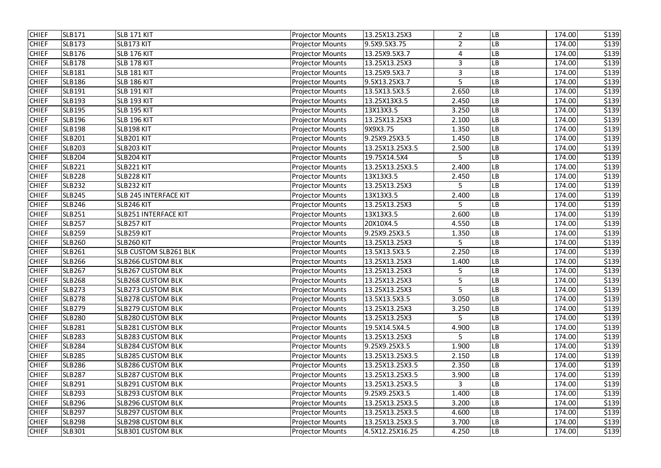| <b>CHIEF</b> | <b>SLB171</b> | SLB 171 KIT                  | <b>Projector Mounts</b> | 13.25X13.25X3   | $\overline{2}$ | LB        | 174.00 | \$139 |
|--------------|---------------|------------------------------|-------------------------|-----------------|----------------|-----------|--------|-------|
| <b>CHIEF</b> | <b>SLB173</b> | SLB173 KIT                   | <b>Projector Mounts</b> | 9.5X9.5X3.75    | $\overline{2}$ | LB        | 174.00 | \$139 |
| <b>CHIEF</b> | <b>SLB176</b> | <b>SLB 176 KIT</b>           | <b>Projector Mounts</b> | 13.25X9.5X3.7   | $\overline{4}$ | LB        | 174.00 | \$139 |
| <b>CHIEF</b> | <b>SLB178</b> | SLB 178 KIT                  | <b>Projector Mounts</b> | 13.25X13.25X3   | 3              | LB.       | 174.00 | \$139 |
| <b>CHIEF</b> | <b>SLB181</b> | <b>SLB 181 KIT</b>           | <b>Projector Mounts</b> | 13.25X9.5X3.7   | 3              | LB        | 174.00 | \$139 |
| <b>CHIEF</b> | <b>SLB186</b> | <b>SLB 186 KIT</b>           | <b>Projector Mounts</b> | 9.5X13.25X3.7   | 5              | LB        | 174.00 | \$139 |
| <b>CHIEF</b> | <b>SLB191</b> | <b>SLB 191 KIT</b>           | <b>Projector Mounts</b> | 13.5X13.5X3.5   | 2.650          | LB        | 174.00 | \$139 |
| <b>CHIEF</b> | <b>SLB193</b> | SLB 193 KIT                  | <b>Projector Mounts</b> | 13.25X13X3.5    | 2.450          | LB        | 174.00 | \$139 |
| <b>CHIEF</b> | <b>SLB195</b> | <b>SLB 195 KIT</b>           | <b>Projector Mounts</b> | 13X13X3.5       | 3.250          | LB        | 174.00 | \$139 |
| <b>CHIEF</b> | <b>SLB196</b> | <b>SLB 196 KIT</b>           | <b>Projector Mounts</b> | 13.25X13.25X3   | 2.100          | LB        | 174.00 | \$139 |
| <b>CHIEF</b> | <b>SLB198</b> | SLB198 KIT                   | <b>Projector Mounts</b> | 9X9X3.75        | 1.350          | LB        | 174.00 | \$139 |
| <b>CHIEF</b> | <b>SLB201</b> | SLB201 KIT                   | <b>Projector Mounts</b> | 9.25X9.25X3.5   | 1.450          | LB        | 174.00 | \$139 |
| <b>CHIEF</b> | <b>SLB203</b> | SLB203 KIT                   | <b>Projector Mounts</b> | 13.25X13.25X3.5 | 2.500          | LB        | 174.00 | \$139 |
| <b>CHIEF</b> | <b>SLB204</b> | SLB204 KIT                   | <b>Projector Mounts</b> | 19.75X14.5X4    | 5              | LB        | 174.00 | \$139 |
| <b>CHIEF</b> | <b>SLB221</b> | SLB221 KIT                   | <b>Projector Mounts</b> | 13.25X13.25X3.5 | 2.400          | LВ        | 174.00 | \$139 |
| <b>CHIEF</b> | <b>SLB228</b> | SLB228 KIT                   | <b>Projector Mounts</b> | 13X13X3.5       | 2.450          | LB        | 174.00 | \$139 |
| <b>CHIEF</b> | <b>SLB232</b> | SLB232 KIT                   | <b>Projector Mounts</b> | 13.25X13.25X3   | 5              | LB        | 174.00 | \$139 |
| <b>CHIEF</b> | <b>SLB245</b> | SLB 245 INTERFACE KIT        | <b>Projector Mounts</b> | 13X13X3.5       | 2.400          | LB        | 174.00 | \$139 |
| <b>CHIEF</b> | <b>SLB246</b> | SLB246 KIT                   | <b>Projector Mounts</b> | 13.25X13.25X3   | 5              | LB        | 174.00 | \$139 |
| <b>CHIEF</b> | <b>SLB251</b> | <b>SLB251 INTERFACE KIT</b>  | <b>Projector Mounts</b> | 13X13X3.5       | 2.600          | LB        | 174.00 | \$139 |
| <b>CHIEF</b> | <b>SLB257</b> | SLB257 KIT                   | <b>Projector Mounts</b> | 20X10X4.5       | 4.550          | LВ        | 174.00 | \$139 |
| <b>CHIEF</b> | <b>SLB259</b> | SLB259 KIT                   | <b>Projector Mounts</b> | 9.25X9.25X3.5   | 1.350          | LB        | 174.00 | \$139 |
| <b>CHIEF</b> | <b>SLB260</b> | SLB260 KIT                   | <b>Projector Mounts</b> | 13.25X13.25X3   | 5              | LB        | 174.00 | \$139 |
| <b>CHIEF</b> | <b>SLB261</b> | <b>SLB CUSTOM SLB261 BLK</b> | <b>Projector Mounts</b> | 13.5X13.5X3.5   | 2.250          | LB        | 174.00 | \$139 |
| <b>CHIEF</b> | <b>SLB266</b> | <b>SLB266 CUSTOM BLK</b>     | <b>Projector Mounts</b> | 13.25X13.25X3   | 1.400          | LB        | 174.00 | \$139 |
| <b>CHIEF</b> | <b>SLB267</b> | <b>SLB267 CUSTOM BLK</b>     | <b>Projector Mounts</b> | 13.25X13.25X3   | 5              | LB        | 174.00 | \$139 |
| <b>CHIEF</b> | <b>SLB268</b> | <b>SLB268 CUSTOM BLK</b>     | <b>Projector Mounts</b> | 13.25X13.25X3   | 5              | <b>LB</b> | 174.00 | \$139 |
| <b>CHIEF</b> | <b>SLB273</b> | <b>SLB273 CUSTOM BLK</b>     | <b>Projector Mounts</b> | 13.25X13.25X3   | 5              | LB        | 174.00 | \$139 |
| <b>CHIEF</b> | <b>SLB278</b> | <b>SLB278 CUSTOM BLK</b>     | <b>Projector Mounts</b> | 13.5X13.5X3.5   | 3.050          | LB        | 174.00 | \$139 |
| <b>CHIEF</b> | <b>SLB279</b> | <b>SLB279 CUSTOM BLK</b>     | <b>Projector Mounts</b> | 13.25X13.25X3   | 3.250          | LB        | 174.00 | \$139 |
| <b>CHIEF</b> | <b>SLB280</b> | <b>SLB280 CUSTOM BLK</b>     | <b>Projector Mounts</b> | 13.25X13.25X3   | 5              | LB        | 174.00 | \$139 |
| <b>CHIEF</b> | <b>SLB281</b> | <b>SLB281 CUSTOM BLK</b>     | <b>Projector Mounts</b> | 19.5X14.5X4.5   | 4.900          | LB        | 174.00 | \$139 |
| <b>CHIEF</b> | <b>SLB283</b> | <b>SLB283 CUSTOM BLK</b>     | <b>Projector Mounts</b> | 13.25X13.25X3   | 5              | LB        | 174.00 | \$139 |
| <b>CHIEF</b> | <b>SLB284</b> | <b>SLB284 CUSTOM BLK</b>     | <b>Projector Mounts</b> | 9.25X9.25X3.5   | 1.900          | LB        | 174.00 | \$139 |
| <b>CHIEF</b> | <b>SLB285</b> | <b>SLB285 CUSTOM BLK</b>     | <b>Projector Mounts</b> | 13.25X13.25X3.5 | 2.150          | LB        | 174.00 | \$139 |
| <b>CHIEF</b> | <b>SLB286</b> | <b>SLB286 CUSTOM BLK</b>     | <b>Projector Mounts</b> | 13.25X13.25X3.5 | 2.350          | <b>LB</b> | 174.00 | \$139 |
| <b>CHIEF</b> | <b>SLB287</b> | <b>SLB287 CUSTOM BLK</b>     | <b>Projector Mounts</b> | 13.25X13.25X3.5 | 3.900          | LB        | 174.00 | \$139 |
| <b>CHIEF</b> | <b>SLB291</b> | <b>SLB291 CUSTOM BLK</b>     | <b>Projector Mounts</b> | 13.25X13.25X3.5 | 3              | LB        | 174.00 | \$139 |
| <b>CHIEF</b> | <b>SLB293</b> | <b>SLB293 CUSTOM BLK</b>     | <b>Projector Mounts</b> | 9.25X9.25X3.5   | 1.400          | LB        | 174.00 | \$139 |
| <b>CHIEF</b> | <b>SLB296</b> | <b>SLB296 CUSTOM BLK</b>     | <b>Projector Mounts</b> | 13.25X13.25X3.5 | 3.200          | LB        | 174.00 | \$139 |
| <b>CHIEF</b> | <b>SLB297</b> | <b>SLB297 CUSTOM BLK</b>     | <b>Projector Mounts</b> | 13.25X13.25X3.5 | 4.600          | LB        | 174.00 | \$139 |
| <b>CHIEF</b> | <b>SLB298</b> | <b>SLB298 CUSTOM BLK</b>     | <b>Projector Mounts</b> | 13.25X13.25X3.5 | 3.700          | LB        | 174.00 | \$139 |
| <b>CHIEF</b> | <b>SLB301</b> | <b>SLB301 CUSTOM BLK</b>     | <b>Projector Mounts</b> | 4.5X12.25X16.25 | 4.250          | LB        | 174.00 | \$139 |
|              |               |                              |                         |                 |                |           |        |       |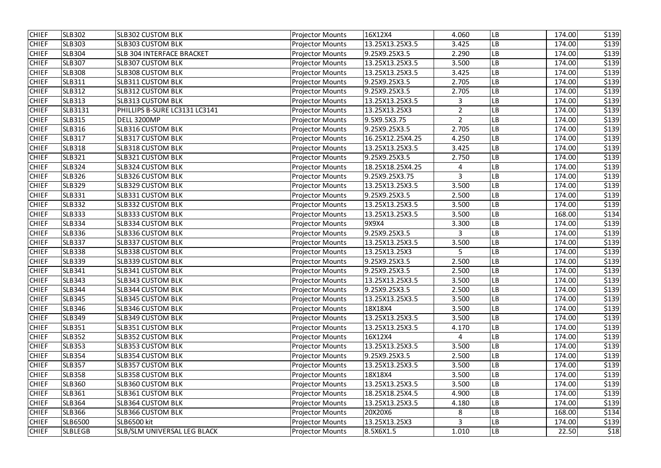| <b>CHIEF</b> | <b>SLB302</b>  | <b>SLB302 CUSTOM BLK</b>         | <b>Projector Mounts</b> | 16X12X4          | 4.060          | LB        | 174.00 | \$139 |
|--------------|----------------|----------------------------------|-------------------------|------------------|----------------|-----------|--------|-------|
| <b>CHIEF</b> | <b>SLB303</b>  | <b>SLB303 CUSTOM BLK</b>         | <b>Projector Mounts</b> | 13.25X13.25X3.5  | 3.425          | LB        | 174.00 | \$139 |
| <b>CHIEF</b> | <b>SLB304</b>  | <b>SLB 304 INTERFACE BRACKET</b> | <b>Projector Mounts</b> | 9.25X9.25X3.5    | 2.290          | LB        | 174.00 | \$139 |
| <b>CHIEF</b> | <b>SLB307</b>  | <b>SLB307 CUSTOM BLK</b>         | <b>Projector Mounts</b> | 13.25X13.25X3.5  | 3.500          | LB        | 174.00 | \$139 |
| <b>CHIEF</b> | <b>SLB308</b>  | <b>SLB308 CUSTOM BLK</b>         | <b>Projector Mounts</b> | 13.25X13.25X3.5  | 3.425          | LB        | 174.00 | \$139 |
| <b>CHIEF</b> | <b>SLB311</b>  | <b>SLB311 CUSTOM BLK</b>         | <b>Projector Mounts</b> | 9.25X9.25X3.5    | 2.705          | LB        | 174.00 | \$139 |
| <b>CHIEF</b> | <b>SLB312</b>  | <b>SLB312 CUSTOM BLK</b>         | <b>Projector Mounts</b> | 9.25X9.25X3.5    | 2.705          | LB        | 174.00 | \$139 |
| <b>CHIEF</b> | <b>SLB313</b>  | <b>SLB313 CUSTOM BLK</b>         | <b>Projector Mounts</b> | 13.25X13.25X3.5  | 3              | LB        | 174.00 | \$139 |
| <b>CHIEF</b> | SLB3131        | PHILLIPS B-SURE LC3131 LC3141    | <b>Projector Mounts</b> | 13.25X13.25X3    | $\overline{2}$ | -B        | 174.00 | \$139 |
| <b>CHIEF</b> | <b>SLB315</b>  | <b>DELL 3200MP</b>               | <b>Projector Mounts</b> | 9.5X9.5X3.75     | $\overline{2}$ | LB        | 174.00 | \$139 |
| <b>CHIEF</b> | <b>SLB316</b>  | <b>SLB316 CUSTOM BLK</b>         | <b>Projector Mounts</b> | 9.25X9.25X3.5    | 2.705          | LB        | 174.00 | \$139 |
| <b>CHIEF</b> | <b>SLB317</b>  | <b>SLB317 CUSTOM BLK</b>         | <b>Projector Mounts</b> | 16.25X12.25X4.25 | 4.250          | LB        | 174.00 | \$139 |
| <b>CHIEF</b> | <b>SLB318</b>  | <b>SLB318 CUSTOM BLK</b>         | <b>Projector Mounts</b> | 13.25X13.25X3.5  | 3.425          | LB        | 174.00 | \$139 |
| <b>CHIEF</b> | <b>SLB321</b>  | <b>SLB321 CUSTOM BLK</b>         | <b>Projector Mounts</b> | 9.25X9.25X3.5    | 2.750          | LB        | 174.00 | \$139 |
| <b>CHIEF</b> | <b>SLB324</b>  | <b>SLB324 CUSTOM BLK</b>         | <b>Projector Mounts</b> | 18.25X18.25X4.25 | 4              | LB        | 174.00 | \$139 |
| <b>CHIEF</b> | <b>SLB326</b>  | <b>SLB326 CUSTOM BLK</b>         | <b>Projector Mounts</b> | 9.25X9.25X3.75   | $\overline{3}$ | LB        | 174.00 | \$139 |
| <b>CHIEF</b> | <b>SLB329</b>  | <b>SLB329 CUSTOM BLK</b>         | <b>Projector Mounts</b> | 13.25X13.25X3.5  | 3.500          | LB        | 174.00 | \$139 |
| <b>CHIEF</b> | <b>SLB331</b>  | <b>SLB331 CUSTOM BLK</b>         | <b>Projector Mounts</b> | 9.25X9.25X3.5    | 2.500          | LB        | 174.00 | \$139 |
| <b>CHIEF</b> | <b>SLB332</b>  | <b>SLB332 CUSTOM BLK</b>         | <b>Projector Mounts</b> | 13.25X13.25X3.5  | 3.500          | LB        | 174.00 | \$139 |
| <b>CHIEF</b> | <b>SLB333</b>  | <b>SLB333 CUSTOM BLK</b>         | <b>Projector Mounts</b> | 13.25X13.25X3.5  | 3.500          | LB        | 168.00 | \$134 |
| <b>CHIEF</b> | <b>SLB334</b>  | <b>SLB334 CUSTOM BLK</b>         | <b>Projector Mounts</b> | 9X9X4            | 3.300          | LB        | 174.00 | \$139 |
| <b>CHIEF</b> | <b>SLB336</b>  | <b>SLB336 CUSTOM BLK</b>         | <b>Projector Mounts</b> | 9.25X9.25X3.5    | $\overline{3}$ | LB        | 174.00 | \$139 |
| <b>CHIEF</b> | <b>SLB337</b>  | <b>SLB337 CUSTOM BLK</b>         | <b>Projector Mounts</b> | 13.25X13.25X3.5  | 3.500          | LB        | 174.00 | \$139 |
| <b>CHIEF</b> | <b>SLB338</b>  | <b>SLB338 CUSTOM BLK</b>         | <b>Projector Mounts</b> | 13.25X13.25X3    | 5              | LB        | 174.00 | \$139 |
| <b>CHIEF</b> | <b>SLB339</b>  | <b>SLB339 CUSTOM BLK</b>         | <b>Projector Mounts</b> | 9.25X9.25X3.5    | 2.500          | LB        | 174.00 | \$139 |
| <b>CHIEF</b> | <b>SLB341</b>  | <b>SLB341 CUSTOM BLK</b>         | <b>Projector Mounts</b> | 9.25X9.25X3.5    | 2.500          | LB        | 174.00 | \$139 |
| <b>CHIEF</b> | <b>SLB343</b>  | <b>SLB343 CUSTOM BLK</b>         | <b>Projector Mounts</b> | 13.25X13.25X3.5  | 3.500          | <b>LB</b> | 174.00 | \$139 |
| <b>CHIEF</b> | <b>SLB344</b>  | <b>SLB344 CUSTOM BLK</b>         | <b>Projector Mounts</b> | 9.25X9.25X3.5    | 2.500          | LB        | 174.00 | \$139 |
| <b>CHIEF</b> | <b>SLB345</b>  | <b>SLB345 CUSTOM BLK</b>         | <b>Projector Mounts</b> | 13.25X13.25X3.5  | 3.500          | LB        | 174.00 | \$139 |
| <b>CHIEF</b> | <b>SLB346</b>  | <b>SLB346 CUSTOM BLK</b>         | <b>Projector Mounts</b> | 18X18X4          | 3.500          | LB        | 174.00 | \$139 |
| <b>CHIEF</b> | <b>SLB349</b>  | <b>SLB349 CUSTOM BLK</b>         | <b>Projector Mounts</b> | 13.25X13.25X3.5  | 3.500          | LB        | 174.00 | \$139 |
| <b>CHIEF</b> | <b>SLB351</b>  | <b>SLB351 CUSTOM BLK</b>         | <b>Projector Mounts</b> | 13.25X13.25X3.5  | 4.170          | LB        | 174.00 | \$139 |
| <b>CHIEF</b> | <b>SLB352</b>  | <b>SLB352 CUSTOM BLK</b>         | <b>Projector Mounts</b> | 16X12X4          | 4              | LB        | 174.00 | \$139 |
| <b>CHIEF</b> | <b>SLB353</b>  | <b>SLB353 CUSTOM BLK</b>         | <b>Projector Mounts</b> | 13.25X13.25X3.5  | 3.500          | LB        | 174.00 | \$139 |
| <b>CHIEF</b> | <b>SLB354</b>  | <b>SLB354 CUSTOM BLK</b>         | <b>Projector Mounts</b> | 9.25X9.25X3.5    | 2.500          | LB        | 174.00 | \$139 |
| <b>CHIEF</b> | <b>SLB357</b>  | <b>SLB357 CUSTOM BLK</b>         | <b>Projector Mounts</b> | 13.25X13.25X3.5  | 3.500          | LB        | 174.00 | \$139 |
| <b>CHIEF</b> | <b>SLB358</b>  | <b>SLB358 CUSTOM BLK</b>         | <b>Projector Mounts</b> | 18X18X4          | 3.500          | LB        | 174.00 | \$139 |
| <b>CHIEF</b> | <b>SLB360</b>  | <b>SLB360 CUSTOM BLK</b>         | <b>Projector Mounts</b> | 13.25X13.25X3.5  | 3.500          | LВ        | 174.00 | \$139 |
| <b>CHIEF</b> | <b>SLB361</b>  | <b>SLB361 CUSTOM BLK</b>         | <b>Projector Mounts</b> | 18.25X18.25X4.5  | 4.900          | LB        | 174.00 | \$139 |
| <b>CHIEF</b> | <b>SLB364</b>  | <b>SLB364 CUSTOM BLK</b>         | <b>Projector Mounts</b> | 13.25X13.25X3.5  | 4.180          | LB        | 174.00 | \$139 |
| <b>CHIEF</b> | <b>SLB366</b>  | <b>SLB366 CUSTOM BLK</b>         | <b>Projector Mounts</b> | 20X20X6          | 8              | LB        | 168.00 | \$134 |
| <b>CHIEF</b> | <b>SLB6500</b> | SLB6500 kit                      | <b>Projector Mounts</b> | 13.25X13.25X3    | 3              | LB        | 174.00 | \$139 |
| <b>CHIEF</b> | <b>SLBLEGB</b> | SLB/SLM UNIVERSAL LEG BLACK      | <b>Projector Mounts</b> | 8.5X6X1.5        | 1.010          | LB        | 22.50  | \$18  |
|              |                |                                  |                         |                  |                |           |        |       |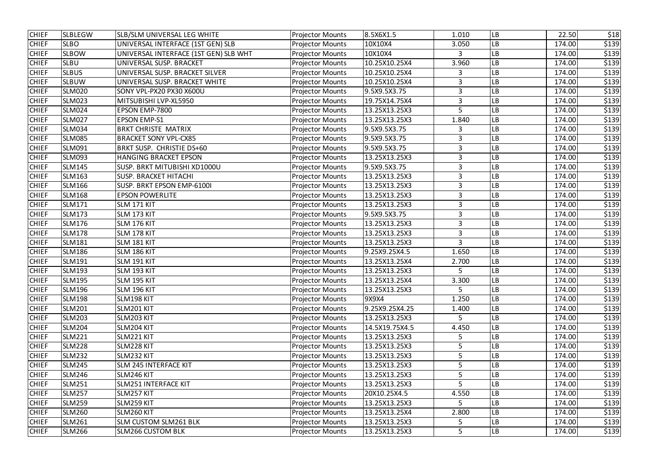| <b>CHIEF</b> | <b>SLBLEGW</b> | SLB/SLM UNIVERSAL LEG WHITE           | <b>Projector Mounts</b> | 8.5X6X1.5      | 1.010          | LB        | 22.50  | \$18  |
|--------------|----------------|---------------------------------------|-------------------------|----------------|----------------|-----------|--------|-------|
| <b>CHIEF</b> | <b>SLBO</b>    | UNIVERSAL INTERFACE (1ST GEN) SLB     | <b>Projector Mounts</b> | 10X10X4        | 3.050          | LB        | 174.00 | \$139 |
| <b>CHIEF</b> | <b>SLBOW</b>   | UNIVERSAL INTERFACE (1ST GEN) SLB WHT | <b>Projector Mounts</b> | 10X10X4        | 3              | LB        | 174.00 | \$139 |
| <b>CHIEF</b> | <b>SLBU</b>    | UNIVERSAL SUSP. BRACKET               | <b>Projector Mounts</b> | 10.25X10.25X4  | 3.960          | LB        | 174.00 | \$139 |
| <b>CHIEF</b> | <b>SLBUS</b>   | UNIVERSAL SUSP. BRACKET SILVER        | <b>Projector Mounts</b> | 10.25X10.25X4  | 3              | LB        | 174.00 | \$139 |
| <b>CHIEF</b> | <b>SLBUW</b>   | UNIVERSAL SUSP. BRACKET WHITE         | <b>Projector Mounts</b> | 10.25X10.25X4  | 3              | -B        | 174.00 | \$139 |
| <b>CHIEF</b> | <b>SLM020</b>  | SONY VPL-PX20 PX30 X600U              | <b>Projector Mounts</b> | 9.5X9.5X3.75   | 3              | -B        | 174.00 | \$139 |
| <b>CHIEF</b> | <b>SLM023</b>  | MITSUBISHI LVP-XL5950                 | <b>Projector Mounts</b> | 19.75X14.75X4  | 3              | LB        | 174.00 | \$139 |
| <b>CHIEF</b> | <b>SLM024</b>  | EPSON EMP-7800                        | <b>Projector Mounts</b> | 13.25X13.25X3  | 5              | -B        | 174.00 | \$139 |
| <b>CHIEF</b> | <b>SLM027</b>  | <b>EPSON EMP-S1</b>                   | <b>Projector Mounts</b> | 13.25X13.25X3  | 1.840          | LB        | 174.00 | \$139 |
| <b>CHIEF</b> | <b>SLM034</b>  | <b>BRKT CHRISTE MATRIX</b>            | <b>Projector Mounts</b> | 9.5X9.5X3.75   | 3              | LB        | 174.00 | \$139 |
| <b>CHIEF</b> | <b>SLM085</b>  | <b>BRACKET SONY VPL-CX85</b>          | <b>Projector Mounts</b> | 9.5X9.5X3.75   | 3              | LB        | 174.00 | \$139 |
| <b>CHIEF</b> | <b>SLM091</b>  | BRKT SUSP. CHRISTIE DS+60             | <b>Projector Mounts</b> | 9.5X9.5X3.75   | 3              | -B        | 174.00 | \$139 |
| <b>CHIEF</b> | <b>SLM093</b>  | <b>HANGING BRACKET EPSON</b>          | <b>Projector Mounts</b> | 13.25X13.25X3  | 3              | LB        | 174.00 | \$139 |
| <b>CHIEF</b> | <b>SLM145</b>  | SUSP. BRKT MITUBISHI XD1000U          | <b>Projector Mounts</b> | 9.5X9.5X3.75   | 3              | LB        | 174.00 | \$139 |
| <b>CHIEF</b> | <b>SLM163</b>  | <b>SUSP. BRACKET HITACHI</b>          | <b>Projector Mounts</b> | 13.25X13.25X3  | $\overline{3}$ | LB        | 174.00 | \$139 |
| <b>CHIEF</b> | <b>SLM166</b>  | SUSP. BRKT EPSON EMP-6100I            | <b>Projector Mounts</b> | 13.25X13.25X3  | 3              | LB        | 174.00 | \$139 |
| <b>CHIEF</b> | <b>SLM168</b>  | <b>EPSON POWERLITE</b>                | <b>Projector Mounts</b> | 13.25X13.25X3  | 3              | LB        | 174.00 | \$139 |
| <b>CHIEF</b> | <b>SLM171</b>  | SLM 171 KIT                           | <b>Projector Mounts</b> | 13.25X13.25X3  | 3              | LB        | 174.00 | \$139 |
| <b>CHIEF</b> | <b>SLM173</b>  | SLM 173 KIT                           | <b>Projector Mounts</b> | 9.5X9.5X3.75   | 3              | LB        | 174.00 | \$139 |
| <b>CHIEF</b> | <b>SLM176</b>  | SLM 176 KIT                           | <b>Projector Mounts</b> | 13.25X13.25X3  | 3              | LB        | 174.00 | \$139 |
| <b>CHIEF</b> | <b>SLM178</b>  | SLM 178 KIT                           | <b>Projector Mounts</b> | 13.25X13.25X3  | 3              | -B        | 174.00 | \$139 |
| <b>CHIEF</b> | <b>SLM181</b>  | <b>SLM 181 KIT</b>                    | <b>Projector Mounts</b> | 13.25X13.25X3  | $\overline{3}$ | LB        | 174.00 | \$139 |
| <b>CHIEF</b> | <b>SLM186</b>  | <b>SLM 186 KIT</b>                    | <b>Projector Mounts</b> | 9.25X9.25X4.5  | 1.650          | LB        | 174.00 | \$139 |
| <b>CHIEF</b> | <b>SLM191</b>  | <b>SLM 191 KIT</b>                    | <b>Projector Mounts</b> | 13.25X13.25X4  | 2.700          | LB        | 174.00 | \$139 |
| <b>CHIEF</b> | <b>SLM193</b>  | <b>SLM 193 KIT</b>                    | <b>Projector Mounts</b> | 13.25X13.25X3  | 5              | LB        | 174.00 | \$139 |
| <b>CHIEF</b> | <b>SLM195</b>  | SLM 195 KIT                           | <b>Projector Mounts</b> | 13.25X13.25X4  | 3.300          | <b>LB</b> | 174.00 | \$139 |
| <b>CHIEF</b> | <b>SLM196</b>  | <b>SLM 196 KIT</b>                    | <b>Projector Mounts</b> | 13.25X13.25X3  | 5              | LB        | 174.00 | \$139 |
| <b>CHIEF</b> | <b>SLM198</b>  | SLM198 KIT                            | <b>Projector Mounts</b> | 9X9X4          | 1.250          | LB        | 174.00 | \$139 |
| <b>CHIEF</b> | <b>SLM201</b>  | SLM201 KIT                            | <b>Projector Mounts</b> | 9.25X9.25X4.25 | 1.400          | LB        | 174.00 | \$139 |
| <b>CHIEF</b> | <b>SLM203</b>  | SLM203 KIT                            | <b>Projector Mounts</b> | 13.25X13.25X3  | 5              | LB        | 174.00 | \$139 |
| <b>CHIEF</b> | <b>SLM204</b>  | SLM204 KIT                            | <b>Projector Mounts</b> | 14.5X19.75X4.5 | 4.450          | LB        | 174.00 | \$139 |
| <b>CHIEF</b> | <b>SLM221</b>  | SLM221 KIT                            | <b>Projector Mounts</b> | 13.25X13.25X3  | 5              | LB        | 174.00 | \$139 |
| <b>CHIEF</b> | <b>SLM228</b>  | SLM228 KIT                            | <b>Projector Mounts</b> | 13.25X13.25X3  | 5              | LB        | 174.00 | \$139 |
| <b>CHIEF</b> | <b>SLM232</b>  | SLM232 KIT                            | <b>Projector Mounts</b> | 13.25X13.25X3  | 5              | LB        | 174.00 | \$139 |
| <b>CHIEF</b> | <b>SLM245</b>  | <b>SLM 245 INTERFACE KIT</b>          | <b>Projector Mounts</b> | 13.25X13.25X3  | 5              | LB        | 174.00 | \$139 |
| <b>CHIEF</b> | <b>SLM246</b>  | SLM246 KIT                            | <b>Projector Mounts</b> | 13.25X13.25X3  | 5              | LB        | 174.00 | \$139 |
| <b>CHIEF</b> | <b>SLM251</b>  | <b>SLM251 INTERFACE KIT</b>           | <b>Projector Mounts</b> | 13.25X13.25X3  | 5              | LB        | 174.00 | \$139 |
| <b>CHIEF</b> | <b>SLM257</b>  | SLM257 KIT                            | <b>Projector Mounts</b> | 20X10.25X4.5   | 4.550          | LB        | 174.00 | \$139 |
| <b>CHIEF</b> | <b>SLM259</b>  | SLM259 KIT                            | <b>Projector Mounts</b> | 13.25X13.25X3  | 5              | LB        | 174.00 | \$139 |
| <b>CHIEF</b> | <b>SLM260</b>  | SLM260 KIT                            | <b>Projector Mounts</b> | 13.25X13.25X4  | 2.800          | LB        | 174.00 | \$139 |
| <b>CHIEF</b> | <b>SLM261</b>  | <b>SLM CUSTOM SLM261 BLK</b>          | <b>Projector Mounts</b> | 13.25X13.25X3  | 5              | LB        | 174.00 | \$139 |
| <b>CHIEF</b> | <b>SLM266</b>  | <b>SLM266 CUSTOM BLK</b>              | <b>Projector Mounts</b> | 13.25X13.25X3  | 5              | LB        | 174.00 | \$139 |
|              |                |                                       |                         |                |                |           |        |       |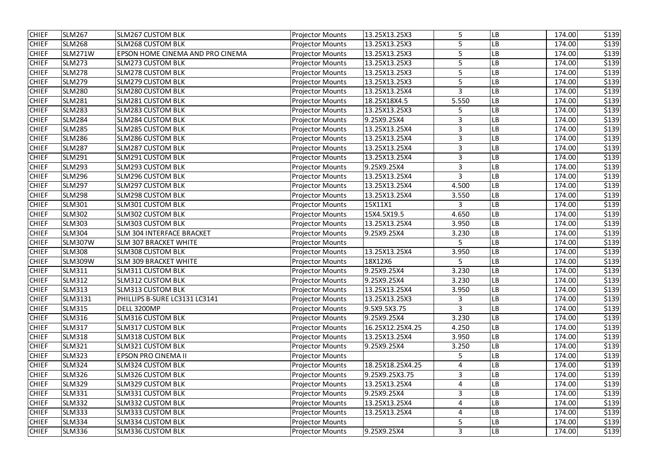| <b>CHIEF</b> | <b>SLM267</b>  | <b>SLM267 CUSTOM BLK</b>         | <b>Projector Mounts</b> | 13.25X13.25X3    | 5              | LB        | 174.00 | \$139 |
|--------------|----------------|----------------------------------|-------------------------|------------------|----------------|-----------|--------|-------|
| <b>CHIEF</b> | <b>SLM268</b>  | <b>SLM268 CUSTOM BLK</b>         | <b>Projector Mounts</b> | 13.25X13.25X3    | 5              | LB        | 174.00 | \$139 |
| <b>CHIEF</b> | SLM271W        | EPSON HOME CINEMA AND PRO CINEMA | <b>Projector Mounts</b> | 13.25X13.25X3    | 5              | LB        | 174.00 | \$139 |
| <b>CHIEF</b> | <b>SLM273</b>  | <b>SLM273 CUSTOM BLK</b>         | <b>Projector Mounts</b> | 13.25X13.25X3    | 5              | LB        | 174.00 | \$139 |
| <b>CHIEF</b> | <b>SLM278</b>  | <b>SLM278 CUSTOM BLK</b>         | <b>Projector Mounts</b> | 13.25X13.25X3    | 5              | LB        | 174.00 | \$139 |
| <b>CHIEF</b> | <b>SLM279</b>  | <b>SLM279 CUSTOM BLK</b>         | <b>Projector Mounts</b> | 13.25X13.25X3    | 5              | LB        | 174.00 | \$139 |
| <b>CHIEF</b> | <b>SLM280</b>  | <b>SLM280 CUSTOM BLK</b>         | <b>Projector Mounts</b> | 13.25X13.25X4    | 3              | LB        | 174.00 | \$139 |
| <b>CHIEF</b> | <b>SLM281</b>  | <b>SLM281 CUSTOM BLK</b>         | <b>Projector Mounts</b> | 18.25X18X4.5     | 5.550          | LB        | 174.00 | \$139 |
| <b>CHIEF</b> | <b>SLM283</b>  | <b>SLM283 CUSTOM BLK</b>         | <b>Projector Mounts</b> | 13.25X13.25X3    | 5              | -B        | 174.00 | \$139 |
| <b>CHIEF</b> | <b>SLM284</b>  | <b>SLM284 CUSTOM BLK</b>         | <b>Projector Mounts</b> | 9.25X9.25X4      | 3              | LB        | 174.00 | \$139 |
| <b>CHIEF</b> | <b>SLM285</b>  | <b>SLM285 CUSTOM BLK</b>         | <b>Projector Mounts</b> | 13.25X13.25X4    | 3              | LB        | 174.00 | \$139 |
| <b>CHIEF</b> | <b>SLM286</b>  | <b>SLM286 CUSTOM BLK</b>         | <b>Projector Mounts</b> | 13.25X13.25X4    | 3              | LB        | 174.00 | \$139 |
| <b>CHIEF</b> | <b>SLM287</b>  | <b>SLM287 CUSTOM BLK</b>         | <b>Projector Mounts</b> | 13.25X13.25X4    | 3              | LB        | 174.00 | \$139 |
| <b>CHIEF</b> | <b>SLM291</b>  | <b>SLM291 CUSTOM BLK</b>         | <b>Projector Mounts</b> | 13.25X13.25X4    | 3              | LB        | 174.00 | \$139 |
| <b>CHIEF</b> | <b>SLM293</b>  | <b>SLM293 CUSTOM BLK</b>         | <b>Projector Mounts</b> | 9.25X9.25X4      | $\overline{3}$ | LB        | 174.00 | \$139 |
| <b>CHIEF</b> | <b>SLM296</b>  | <b>SLM296 CUSTOM BLK</b>         | <b>Projector Mounts</b> | 13.25X13.25X4    | $\overline{3}$ | LB        | 174.00 | \$139 |
| <b>CHIEF</b> | <b>SLM297</b>  | <b>SLM297 CUSTOM BLK</b>         | <b>Projector Mounts</b> | 13.25X13.25X4    | 4.500          | LB        | 174.00 | \$139 |
| <b>CHIEF</b> | <b>SLM298</b>  | <b>SLM298 CUSTOM BLK</b>         | <b>Projector Mounts</b> | 13.25X13.25X4    | 3.550          | LB        | 174.00 | \$139 |
| <b>CHIEF</b> | <b>SLM301</b>  | <b>SLM301 CUSTOM BLK</b>         | <b>Projector Mounts</b> | 15X11X1          | 3              | LB        | 174.00 | \$139 |
| <b>CHIEF</b> | <b>SLM302</b>  | <b>SLM302 CUSTOM BLK</b>         | <b>Projector Mounts</b> | 15X4.5X19.5      | 4.650          | LB        | 174.00 | \$139 |
| <b>CHIEF</b> | <b>SLM303</b>  | <b>SLM303 CUSTOM BLK</b>         | <b>Projector Mounts</b> | 13.25X13.25X4    | 3.950          | LB        | 174.00 | \$139 |
| <b>CHIEF</b> | SLM304         | <b>SLM 304 INTERFACE BRACKET</b> | <b>Projector Mounts</b> | 9.25X9.25X4      | 3.230          | LB        | 174.00 | \$139 |
| <b>CHIEF</b> | <b>SLM307W</b> | <b>SLM 307 BRACKET WHITE</b>     | <b>Projector Mounts</b> |                  | 5              | LB        | 174.00 | \$139 |
| <b>CHIEF</b> | <b>SLM308</b>  | <b>SLM308 CUSTOM BLK</b>         | <b>Projector Mounts</b> | 13.25X13.25X4    | 3.950          | LB        | 174.00 | \$139 |
| <b>CHIEF</b> | SLM309W        | <b>SLM 309 BRACKET WHITE</b>     | <b>Projector Mounts</b> | 18X12X6          | 5              | LB        | 174.00 | \$139 |
| <b>CHIEF</b> | <b>SLM311</b>  | <b>SLM311 CUSTOM BLK</b>         | <b>Projector Mounts</b> | 9.25X9.25X4      | 3.230          | LB        | 174.00 | \$139 |
| <b>CHIEF</b> | <b>SLM312</b>  | <b>SLM312 CUSTOM BLK</b>         | <b>Projector Mounts</b> | 9.25X9.25X4      | 3.230          | <b>LB</b> | 174.00 | \$139 |
| <b>CHIEF</b> | <b>SLM313</b>  | <b>SLM313 CUSTOM BLK</b>         | <b>Projector Mounts</b> | 13.25X13.25X4    | 3.950          | LB        | 174.00 | \$139 |
| <b>CHIEF</b> | SLM3131        | PHILLIPS B-SURE LC3131 LC3141    | <b>Projector Mounts</b> | 13.25X13.25X3    | 3              | LB        | 174.00 | \$139 |
| <b>CHIEF</b> | <b>SLM315</b>  | <b>DELL 3200MP</b>               | <b>Projector Mounts</b> | 9.5X9.5X3.75     | 3              | LB        | 174.00 | \$139 |
| <b>CHIEF</b> | <b>SLM316</b>  | <b>SLM316 CUSTOM BLK</b>         | <b>Projector Mounts</b> | 9.25X9.25X4      | 3.230          | LB        | 174.00 | \$139 |
| <b>CHIEF</b> | <b>SLM317</b>  | <b>SLM317 CUSTOM BLK</b>         | <b>Projector Mounts</b> | 16.25X12.25X4.25 | 4.250          | LB        | 174.00 | \$139 |
| <b>CHIEF</b> | <b>SLM318</b>  | <b>SLM318 CUSTOM BLK</b>         | <b>Projector Mounts</b> | 13.25X13.25X4    | 3.950          | LB        | 174.00 | \$139 |
| <b>CHIEF</b> | <b>SLM321</b>  | <b>SLM321 CUSTOM BLK</b>         | <b>Projector Mounts</b> | 9.25X9.25X4      | 3.250          | LB        | 174.00 | \$139 |
| <b>CHIEF</b> | <b>SLM323</b>  | <b>EPSON PRO CINEMA II</b>       | <b>Projector Mounts</b> |                  |                | LB        | 174.00 | \$139 |
| <b>CHIEF</b> | <b>SLM324</b>  | <b>SLM324 CUSTOM BLK</b>         | <b>Projector Mounts</b> | 18.25X18.25X4.25 | 4              | LΒ        | 174.00 | \$139 |
| <b>CHIEF</b> | <b>SLM326</b>  | <b>SLM326 CUSTOM BLK</b>         | <b>Projector Mounts</b> | 9.25X9.25X3.75   | 3              | LB        | 174.00 | \$139 |
| <b>CHIEF</b> | <b>SLM329</b>  | <b>SLM329 CUSTOM BLK</b>         | <b>Projector Mounts</b> | 13.25X13.25X4    | 4              | LB        | 174.00 | \$139 |
| <b>CHIEF</b> | <b>SLM331</b>  | <b>SLM331 CUSTOM BLK</b>         | <b>Projector Mounts</b> | 9.25X9.25X4      | 3              | LB        | 174.00 | \$139 |
| <b>CHIEF</b> | <b>SLM332</b>  | <b>SLM332 CUSTOM BLK</b>         | <b>Projector Mounts</b> | 13.25X13.25X4    | 4              | LB        | 174.00 | \$139 |
| <b>CHIEF</b> | <b>SLM333</b>  | <b>SLM333 CUSTOM BLK</b>         | <b>Projector Mounts</b> | 13.25X13.25X4    | 4              | LB        | 174.00 | \$139 |
| <b>CHIEF</b> | <b>SLM334</b>  | <b>SLM334 CUSTOM BLK</b>         | <b>Projector Mounts</b> |                  | 5              | LB        | 174.00 | \$139 |
| <b>CHIEF</b> | <b>SLM336</b>  | <b>SLM336 CUSTOM BLK</b>         | <b>Projector Mounts</b> | 9.25X9.25X4      | 3              | LB        | 174.00 | \$139 |
|              |                |                                  |                         |                  |                |           |        |       |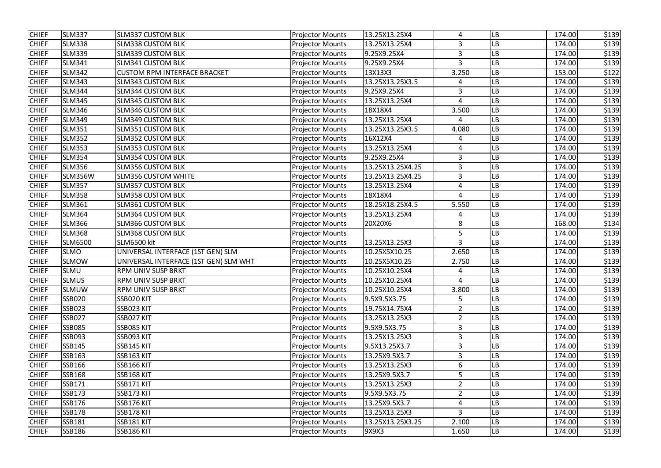| <b>CHIEF</b> | <b>SLM337</b>  | <b>SLM337 CUSTOM BLK</b>              | <b>Projector Mounts</b> | 13.25X13.25X4    | 4                     | LB        | 174.00 | \$139 |
|--------------|----------------|---------------------------------------|-------------------------|------------------|-----------------------|-----------|--------|-------|
| <b>CHIEF</b> | <b>SLM338</b>  | <b>SLM338 CUSTOM BLK</b>              | <b>Projector Mounts</b> | 13.25X13.25X4    | 3                     | LB        | 174.00 | \$139 |
| <b>CHIEF</b> | <b>SLM339</b>  | <b>SLM339 CUSTOM BLK</b>              | <b>Projector Mounts</b> | 9.25X9.25X4      | $\overline{3}$        | LB        | 174.00 | \$139 |
| <b>CHIEF</b> | <b>SLM341</b>  | <b>SLM341 CUSTOM BLK</b>              | <b>Projector Mounts</b> | 9.25X9.25X4      | $\overline{3}$        | -B        | 174.00 | \$139 |
| <b>CHIEF</b> | <b>SLM342</b>  | <b>CUSTOM RPM INTERFACE BRACKET</b>   | <b>Projector Mounts</b> | 13X13X3          | 3.250                 | LB        | 153.00 | \$122 |
| <b>CHIEF</b> | <b>SLM343</b>  | <b>SLM343 CUSTOM BLK</b>              | <b>Projector Mounts</b> | 13.25X13.25X3.5  | 4                     | -B        | 174.00 | \$139 |
| <b>CHIEF</b> | <b>SLM344</b>  | <b>SLM344 CUSTOM BLK</b>              | <b>Projector Mounts</b> | 9.25X9.25X4      | 3                     | LB        | 174.00 | \$139 |
| <b>CHIEF</b> | <b>SLM345</b>  | <b>SLM345 CUSTOM BLK</b>              | <b>Projector Mounts</b> | 13.25X13.25X4    | $\boldsymbol{\Delta}$ | LB        | 174.00 | \$139 |
| <b>CHIEF</b> | <b>SLM346</b>  | <b>SLM346 CUSTOM BLK</b>              | <b>Projector Mounts</b> | 18X18X4          | 3.500                 | LB        | 174.00 | \$139 |
| <b>CHIEF</b> | <b>SLM349</b>  | <b>SLM349 CUSTOM BLK</b>              | <b>Projector Mounts</b> | 13.25X13.25X4    | 4                     | LB        | 174.00 | \$139 |
| <b>CHIEF</b> | <b>SLM351</b>  | <b>SLM351 CUSTOM BLK</b>              | <b>Projector Mounts</b> | 13.25X13.25X3.5  | 4.080                 | LB        | 174.00 | \$139 |
| <b>CHIEF</b> | <b>SLM352</b>  | <b>SLM352 CUSTOM BLK</b>              | <b>Projector Mounts</b> | 16X12X4          | 4                     | LB        | 174.00 | \$139 |
| <b>CHIEF</b> | <b>SLM353</b>  | <b>SLM353 CUSTOM BLK</b>              | <b>Projector Mounts</b> | 13.25X13.25X4    | 4                     | LB        | 174.00 | \$139 |
| <b>CHIEF</b> | <b>SLM354</b>  | <b>SLM354 CUSTOM BLK</b>              | <b>Projector Mounts</b> | 9.25X9.25X4      | 3                     | LB        | 174.00 | \$139 |
| <b>CHIEF</b> | <b>SLM356</b>  | <b>SLM356 CUSTOM BLK</b>              | <b>Projector Mounts</b> | 13.25X13.25X4.25 | 3                     | LB        | 174.00 | \$139 |
| <b>CHIEF</b> | <b>SLM356W</b> | <b>SLM356 CUSTOM WHITE</b>            | <b>Projector Mounts</b> | 13.25X13.25X4.25 | $\overline{3}$        | LB        | 174.00 | \$139 |
| <b>CHIEF</b> | <b>SLM357</b>  | <b>SLM357 CUSTOM BLK</b>              | <b>Projector Mounts</b> | 13.25X13.25X4    | 4                     | LB        | 174.00 | \$139 |
| <b>CHIEF</b> | <b>SLM358</b>  | <b>SLM358 CUSTOM BLK</b>              | <b>Projector Mounts</b> | 18X18X4          | $\overline{4}$        | LB        | 174.00 | \$139 |
| <b>CHIEF</b> | <b>SLM361</b>  | <b>SLM361 CUSTOM BLK</b>              | <b>Projector Mounts</b> | 18.25X18.25X4.5  | 5.550                 | LB        | 174.00 | \$139 |
| <b>CHIEF</b> | <b>SLM364</b>  | <b>SLM364 CUSTOM BLK</b>              | <b>Projector Mounts</b> | 13.25X13.25X4    | 4                     | LB        | 174.00 | \$139 |
| <b>CHIEF</b> | <b>SLM366</b>  | <b>SLM366 CUSTOM BLK</b>              | <b>Projector Mounts</b> | 20X20X6          | 8                     | LB        | 168.00 | \$134 |
| <b>CHIEF</b> | <b>SLM368</b>  | <b>SLM368 CUSTOM BLK</b>              | <b>Projector Mounts</b> |                  | 5                     | -B        | 174.00 | \$139 |
| <b>CHIEF</b> | <b>SLM6500</b> | <b>SLM6500 kit</b>                    | <b>Projector Mounts</b> | 13.25X13.25X3    | 3                     | -B        | 174.00 | \$139 |
| <b>CHIEF</b> | <b>SLMO</b>    | UNIVERSAL INTERFACE (1ST GEN) SLM     | <b>Projector Mounts</b> | 10.25X5X10.25    | 2.650                 | LB        | 174.00 | \$139 |
| <b>CHIEF</b> | <b>SLMOW</b>   | UNIVERSAL INTERFACE (1ST GEN) SLM WHT | <b>Projector Mounts</b> | 10.25X5X10.25    | 2.750                 | LB        | 174.00 | \$139 |
| <b>CHIEF</b> | SLMU           | RPM UNIV SUSP BRKT                    | <b>Projector Mounts</b> | 10.25X10.25X4    | 4                     | LB        | 174.00 | \$139 |
| <b>CHIEF</b> | <b>SLMUS</b>   | <b>RPM UNIV SUSP BRKT</b>             | <b>Projector Mounts</b> | 10.25X10.25X4    | Δ                     | <b>LB</b> | 174.00 | \$139 |
| <b>CHIEF</b> | <b>SLMUW</b>   | <b>RPM UNIV SUSP BRKT</b>             | <b>Projector Mounts</b> | 10.25X10.25X4    | 3.800                 | LB        | 174.00 | \$139 |
| <b>CHIEF</b> | <b>SSB020</b>  | SSB020 KIT                            | <b>Projector Mounts</b> | 9.5X9.5X3.75     | 5                     | LB        | 174.00 | \$139 |
| <b>CHIEF</b> | <b>SSB023</b>  | SSB023 KIT                            | <b>Projector Mounts</b> | 19.75X14.75X4    | $\overline{2}$        | LB        | 174.00 | \$139 |
| <b>CHIEF</b> | <b>SSB027</b>  | SSB027 KIT                            | <b>Projector Mounts</b> | 13.25X13.25X3    | $\overline{2}$        | LB        | 174.00 | \$139 |
| <b>CHIEF</b> | <b>SSB085</b>  | SSB085 KIT                            | <b>Projector Mounts</b> | 9.5X9.5X3.75     | 3                     | LB        | 174.00 | \$139 |
| <b>CHIEF</b> | SSB093         | SSB093 KIT                            | <b>Projector Mounts</b> | 13.25X13.25X3    | 3                     | LB        | 174.00 | \$139 |
| <b>CHIEF</b> | SSB145         | SSB145 KIT                            | <b>Projector Mounts</b> | 9.5X13.25X3.7    | 3                     | LB        | 174.00 | \$139 |
| <b>CHIEF</b> | SSB163         | <b>SSB163 KIT</b>                     | <b>Projector Mounts</b> | 13.25X9.5X3.7    | 3                     | LB        | 174.00 | \$139 |
| <b>CHIEF</b> | SSB166         | <b>SSB166 KIT</b>                     | <b>Projector Mounts</b> | 13.25X13.25X3    | 6                     | LΒ        | 174.00 | \$139 |
| <b>CHIEF</b> | <b>SSB168</b>  | <b>SSB168 KIT</b>                     | <b>Projector Mounts</b> | 13.25X9.5X3.7    | 5                     | LB        | 174.00 | \$139 |
| <b>CHIEF</b> | SSB171         | SSB171 KIT                            | <b>Projector Mounts</b> | 13.25X13.25X3    | $\overline{2}$        | LB        | 174.00 | \$139 |
| <b>CHIEF</b> | <b>SSB173</b>  | SSB173 KIT                            | <b>Projector Mounts</b> | 9.5X9.5X3.75     | $\overline{2}$        | LB        | 174.00 | \$139 |
| <b>CHIEF</b> | SSB176         | SSB176 KIT                            | <b>Projector Mounts</b> | 13.25X9.5X3.7    | 4                     | LB        | 174.00 | \$139 |
| <b>CHIEF</b> | <b>SSB178</b>  | SSB178 KIT                            | <b>Projector Mounts</b> | 13.25X13.25X3    | 3                     | LB        | 174.00 | \$139 |
| <b>CHIEF</b> | SSB181         | <b>SSB181 KIT</b>                     | <b>Projector Mounts</b> | 13.25X13.25X3.25 | 2.100                 | LB        | 174.00 | \$139 |
| <b>CHIEF</b> | <b>SSB186</b>  | SSB186 KIT                            | <b>Projector Mounts</b> | 9X9X3            | 1.650                 | LB        | 174.00 | \$139 |
|              |                |                                       |                         |                  |                       |           |        |       |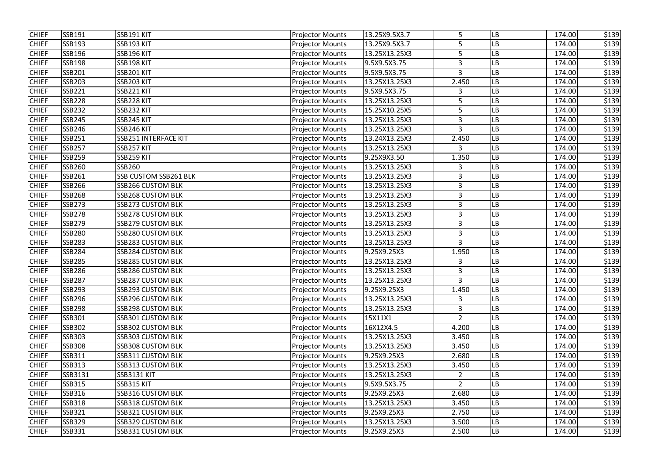| <b>CHIEF</b> | <b>SSB191</b> | <b>SSB191 KIT</b>        | <b>Projector Mounts</b> | 13.25X9.5X3.7 | 5              | LB        | 174.00 | \$139 |
|--------------|---------------|--------------------------|-------------------------|---------------|----------------|-----------|--------|-------|
| <b>CHIEF</b> | <b>SSB193</b> | SSB193 KIT               | <b>Projector Mounts</b> | 13.25X9.5X3.7 | 5              | LB        | 174.00 | \$139 |
| <b>CHIEF</b> | SSB196        | SSB196 KIT               | <b>Projector Mounts</b> | 13.25X13.25X3 | 5              | LB        | 174.00 | \$139 |
| <b>CHIEF</b> | <b>SSB198</b> | SSB198 KIT               | <b>Projector Mounts</b> | 9.5X9.5X3.75  | 3              | LB.       | 174.00 | \$139 |
| <b>CHIEF</b> | <b>SSB201</b> | SSB201 KIT               | <b>Projector Mounts</b> | 9.5X9.5X3.75  | 3              | LB        | 174.00 | \$139 |
| <b>CHIEF</b> | <b>SSB203</b> | <b>SSB203 KIT</b>        | <b>Projector Mounts</b> | 13.25X13.25X3 | 2.450          | LB        | 174.00 | \$139 |
| <b>CHIEF</b> | <b>SSB221</b> | SSB221 KIT               | <b>Projector Mounts</b> | 9.5X9.5X3.75  | 3              | LB        | 174.00 | \$139 |
| <b>CHIEF</b> | <b>SSB228</b> | SSB228 KIT               | <b>Projector Mounts</b> | 13.25X13.25X3 | 5              | LB        | 174.00 | \$139 |
| <b>CHIEF</b> | <b>SSB232</b> | SSB232 KIT               | <b>Projector Mounts</b> | 15.25X10.25X5 | 5              | LB        | 174.00 | \$139 |
| <b>CHIEF</b> | <b>SSB245</b> | SSB245 KIT               | <b>Projector Mounts</b> | 13.25X13.25X3 | 3              | LB        | 174.00 | \$139 |
| <b>CHIEF</b> | <b>SSB246</b> | SSB246 KIT               | <b>Projector Mounts</b> | 13.25X13.25X3 | $\overline{3}$ | LB        | 174.00 | \$139 |
| <b>CHIEF</b> | <b>SSB251</b> | SSB251 INTERFACE KIT     | <b>Projector Mounts</b> | 13.24X13.25X3 | 2.450          | LB        | 174.00 | \$139 |
| <b>CHIEF</b> | <b>SSB257</b> | SSB257 KIT               | <b>Projector Mounts</b> | 13.25X13.25X3 | 3              | LB        | 174.00 | \$139 |
| <b>CHIEF</b> | <b>SSB259</b> | SSB259 KIT               | <b>Projector Mounts</b> | 9.25X9X3.50   | 1.350          | LB        | 174.00 | \$139 |
| <b>CHIEF</b> | <b>SSB260</b> | <b>SSB260</b>            | <b>Projector Mounts</b> | 13.25X13.25X3 | 3              | LB        | 174.00 | \$139 |
| <b>CHIEF</b> | <b>SSB261</b> | SSB CUSTOM SSB261 BLK    | <b>Projector Mounts</b> | 13.25X13.25X3 | $\overline{3}$ | LB        | 174.00 | \$139 |
| <b>CHIEF</b> | SSB266        | <b>SSB266 CUSTOM BLK</b> | <b>Projector Mounts</b> | 13.25X13.25X3 | 3              | LB        | 174.00 | \$139 |
| <b>CHIEF</b> | <b>SSB268</b> | <b>SSB268 CUSTOM BLK</b> | <b>Projector Mounts</b> | 13.25X13.25X3 | 3              | LB        | 174.00 | \$139 |
| <b>CHIEF</b> | <b>SSB273</b> | <b>SSB273 CUSTOM BLK</b> | <b>Projector Mounts</b> | 13.25X13.25X3 | 3              | LB        | 174.00 | \$139 |
| <b>CHIEF</b> | <b>SSB278</b> | <b>SSB278 CUSTOM BLK</b> | <b>Projector Mounts</b> | 13.25X13.25X3 | 3              | LB        | 174.00 | \$139 |
| <b>CHIEF</b> | <b>SSB279</b> | <b>SSB279 CUSTOM BLK</b> | <b>Projector Mounts</b> | 13.25X13.25X3 | 3              | LB        | 174.00 | \$139 |
| <b>CHIEF</b> | <b>SSB280</b> | <b>SSB280 CUSTOM BLK</b> | <b>Projector Mounts</b> | 13.25X13.25X3 | $\overline{3}$ | LB.       | 174.00 | \$139 |
| <b>CHIEF</b> | <b>SSB283</b> | <b>SSB283 CUSTOM BLK</b> | <b>Projector Mounts</b> | 13.25X13.25X3 | 3              | LB        | 174.00 | \$139 |
| <b>CHIEF</b> | <b>SSB284</b> | <b>SSB284 CUSTOM BLK</b> | <b>Projector Mounts</b> | 9.25X9.25X3   | 1.950          | LB        | 174.00 | \$139 |
| <b>CHIEF</b> | <b>SSB285</b> | <b>SSB285 CUSTOM BLK</b> | <b>Projector Mounts</b> | 13.25X13.25X3 | 3              | LB.       | 174.00 | \$139 |
| <b>CHIEF</b> | <b>SSB286</b> | SSB286 CUSTOM BLK        | <b>Projector Mounts</b> | 13.25X13.25X3 | 3              | LB        | 174.00 | \$139 |
| <b>CHIEF</b> | <b>SSB287</b> | <b>SSB287 CUSTOM BLK</b> | <b>Projector Mounts</b> | 13.25X13.25X3 | 3              | <b>LB</b> | 174.00 | \$139 |
| <b>CHIEF</b> | <b>SSB293</b> | <b>SSB293 CUSTOM BLK</b> | <b>Projector Mounts</b> | 9.25X9.25X3   | 1.450          | LB        | 174.00 | \$139 |
| <b>CHIEF</b> | <b>SSB296</b> | <b>SSB296 CUSTOM BLK</b> | <b>Projector Mounts</b> | 13.25X13.25X3 | 3              | LB        | 174.00 | \$139 |
| <b>CHIEF</b> | <b>SSB298</b> | <b>SSB298 CUSTOM BLK</b> | <b>Projector Mounts</b> | 13.25X13.25X3 | 3              | LB        | 174.00 | \$139 |
| <b>CHIEF</b> | <b>SSB301</b> | <b>SSB301 CUSTOM BLK</b> | <b>Projector Mounts</b> | 15X11X1       | $\overline{2}$ | LB        | 174.00 | \$139 |
| <b>CHIEF</b> | <b>SSB302</b> | <b>SSB302 CUSTOM BLK</b> | <b>Projector Mounts</b> | 16X12X4.5     | 4.200          | LB        | 174.00 | \$139 |
| <b>CHIEF</b> | <b>SSB303</b> | <b>SSB303 CUSTOM BLK</b> | <b>Projector Mounts</b> | 13.25X13.25X3 | 3.450          | <b>LB</b> | 174.00 | \$139 |
| <b>CHIEF</b> | <b>SSB308</b> | <b>SSB308 CUSTOM BLK</b> | <b>Projector Mounts</b> | 13.25X13.25X3 | 3.450          | LB        | 174.00 | \$139 |
| <b>CHIEF</b> | SSB311        | <b>SSB311 CUSTOM BLK</b> | <b>Projector Mounts</b> | 9.25X9.25X3   | 2.680          | LB        | 174.00 | \$139 |
| <b>CHIEF</b> | <b>SSB313</b> | <b>SSB313 CUSTOM BLK</b> | <b>Projector Mounts</b> | 13.25X13.25X3 | 3.450          | <b>LB</b> | 174.00 | \$139 |
| <b>CHIEF</b> | SSB3131       | <b>SSB3131 KIT</b>       | <b>Projector Mounts</b> | 13.25X13.25X3 | $\overline{2}$ | LB        | 174.00 | \$139 |
| <b>CHIEF</b> | <b>SSB315</b> | <b>SSB315 KIT</b>        | <b>Projector Mounts</b> | 9.5X9.5X3.75  | $\overline{2}$ | LB        | 174.00 | \$139 |
| <b>CHIEF</b> | <b>SSB316</b> | <b>SSB316 CUSTOM BLK</b> | <b>Projector Mounts</b> | 9.25X9.25X3   | 2.680          | LB        | 174.00 | \$139 |
| <b>CHIEF</b> | <b>SSB318</b> | <b>SSB318 CUSTOM BLK</b> | <b>Projector Mounts</b> | 13.25X13.25X3 | 3.450          | LB        | 174.00 | \$139 |
| <b>CHIEF</b> | <b>SSB321</b> | SSB321 CUSTOM BLK        | <b>Projector Mounts</b> | 9.25X9.25X3   | 2.750          | LB        | 174.00 | \$139 |
| <b>CHIEF</b> | <b>SSB329</b> | <b>SSB329 CUSTOM BLK</b> | <b>Projector Mounts</b> | 13.25X13.25X3 | 3.500          | LB        | 174.00 | \$139 |
| <b>CHIEF</b> | SSB331        | <b>SSB331 CUSTOM BLK</b> | <b>Projector Mounts</b> | 9.25X9.25X3   | 2.500          | LB        | 174.00 | \$139 |
|              |               |                          |                         |               |                |           |        |       |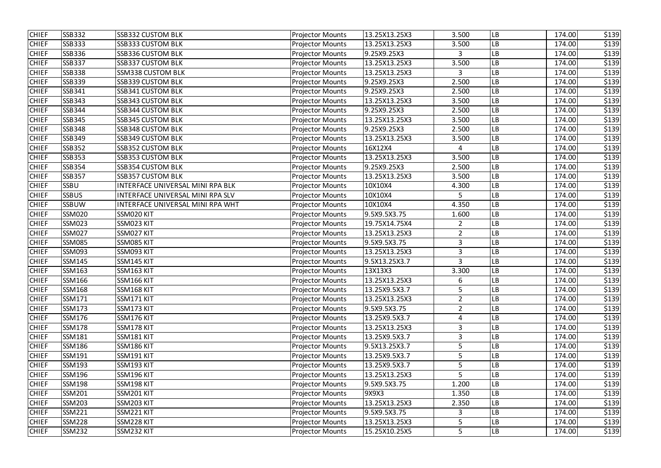| <b>CHIEF</b> | <b>SSB332</b> | <b>SSB332 CUSTOM BLK</b>         | <b>Projector Mounts</b> | 13.25X13.25X3 | 3.500          | LB        | 174.00 | \$139 |
|--------------|---------------|----------------------------------|-------------------------|---------------|----------------|-----------|--------|-------|
| <b>CHIEF</b> | <b>SSB333</b> | SSB333 CUSTOM BLK                | <b>Projector Mounts</b> | 13.25X13.25X3 | 3.500          | LB        | 174.00 | \$139 |
| <b>CHIEF</b> | <b>SSB336</b> | SSB336 CUSTOM BLK                | <b>Projector Mounts</b> | 9.25X9.25X3   | $\mathbf{3}$   | LB        | 174.00 | \$139 |
| <b>CHIEF</b> | <b>SSB337</b> | <b>SSB337 CUSTOM BLK</b>         | <b>Projector Mounts</b> | 13.25X13.25X3 | 3.500          | LB        | 174.00 | \$139 |
| <b>CHIEF</b> | <b>SSB338</b> | <b>SSM338 CUSTOM BLK</b>         | <b>Projector Mounts</b> | 13.25X13.25X3 | 3              | LB        | 174.00 | \$139 |
| <b>CHIEF</b> | <b>SSB339</b> | <b>SSB339 CUSTOM BLK</b>         | <b>Projector Mounts</b> | 9.25X9.25X3   | 2.500          | LB        | 174.00 | \$139 |
| <b>CHIEF</b> | SSB341        | <b>SSB341 CUSTOM BLK</b>         | <b>Projector Mounts</b> | 9.25X9.25X3   | 2.500          | LB        | 174.00 | \$139 |
| <b>CHIEF</b> | SSB343        | <b>SSB343 CUSTOM BLK</b>         | <b>Projector Mounts</b> | 13.25X13.25X3 | 3.500          | LB        | 174.00 | \$139 |
| <b>CHIEF</b> | SSB344        | SSB344 CUSTOM BLK                | <b>Projector Mounts</b> | 9.25X9.25X3   | 2.500          | LB        | 174.00 | \$139 |
| <b>CHIEF</b> | <b>SSB345</b> | <b>SSB345 CUSTOM BLK</b>         | <b>Projector Mounts</b> | 13.25X13.25X3 | 3.500          | LB        | 174.00 | \$139 |
| <b>CHIEF</b> | <b>SSB348</b> | <b>SSB348 CUSTOM BLK</b>         | <b>Projector Mounts</b> | 9.25X9.25X3   | 2.500          | LB        | 174.00 | \$139 |
| <b>CHIEF</b> | SSB349        | <b>SSB349 CUSTOM BLK</b>         | <b>Projector Mounts</b> | 13.25X13.25X3 | 3.500          | LB        | 174.00 | \$139 |
| <b>CHIEF</b> | <b>SSB352</b> | <b>SSB352 CUSTOM BLK</b>         | <b>Projector Mounts</b> | 16X12X4       | 4              | LB        | 174.00 | \$139 |
| <b>CHIEF</b> | <b>SSB353</b> | <b>SSB353 CUSTOM BLK</b>         | <b>Projector Mounts</b> | 13.25X13.25X3 | 3.500          | LB        | 174.00 | \$139 |
| <b>CHIEF</b> | SSB354        | SSB354 CUSTOM BLK                | <b>Projector Mounts</b> | 9.25X9.25X3   | 2.500          | LВ        | 174.00 | \$139 |
| <b>CHIEF</b> | <b>SSB357</b> | <b>SSB357 CUSTOM BLK</b>         | <b>Projector Mounts</b> | 13.25X13.25X3 | 3.500          | LB        | 174.00 | \$139 |
| <b>CHIEF</b> | <b>SSBU</b>   | INTERFACE UNIVERSAL MINI RPA BLK | <b>Projector Mounts</b> | 10X10X4       | 4.300          | LB        | 174.00 | \$139 |
| <b>CHIEF</b> | <b>SSBUS</b>  | INTERFACE UNIVERSAL MINI RPA SLV | <b>Projector Mounts</b> | 10X10X4       | 5              | LB        | 174.00 | \$139 |
| <b>CHIEF</b> | <b>SSBUW</b>  | INTERFACE UNIVERSAL MINI RPA WHT | <b>Projector Mounts</b> | 10X10X4       | 4.350          | LB        | 174.00 | \$139 |
| <b>CHIEF</b> | <b>SSM020</b> | SSM020 KIT                       | <b>Projector Mounts</b> | 9.5X9.5X3.75  | 1.600          | LB        | 174.00 | \$139 |
| <b>CHIEF</b> | <b>SSM023</b> | SSM023 KIT                       | <b>Projector Mounts</b> | 19.75X14.75X4 | $\overline{2}$ | LB        | 174.00 | \$139 |
| <b>CHIEF</b> | <b>SSM027</b> | SSM027 KIT                       | <b>Projector Mounts</b> | 13.25X13.25X3 | $\overline{2}$ | LB        | 174.00 | \$139 |
| <b>CHIEF</b> | <b>SSM085</b> | SSM085 KIT                       | <b>Projector Mounts</b> | 9.5X9.5X3.75  | 3              | LB        | 174.00 | \$139 |
| <b>CHIEF</b> | <b>SSM093</b> | SSM093 KIT                       | <b>Projector Mounts</b> | 13.25X13.25X3 | 3              | LB        | 174.00 | \$139 |
| <b>CHIEF</b> | <b>SSM145</b> | SSM145 KIT                       | <b>Projector Mounts</b> | 9.5X13.25X3.7 | $\overline{3}$ | -B        | 174.00 | \$139 |
| <b>CHIEF</b> | <b>SSM163</b> | SSM163 KIT                       | <b>Projector Mounts</b> | 13X13X3       | 3.300          | LB        | 174.00 | \$139 |
| <b>CHIEF</b> | <b>SSM166</b> | SSM166 KIT                       | <b>Projector Mounts</b> | 13.25X13.25X3 | 6              | <b>LB</b> | 174.00 | \$139 |
| <b>CHIEF</b> | <b>SSM168</b> | SSM168 KIT                       | <b>Projector Mounts</b> | 13.25X9.5X3.7 | 5              | LB        | 174.00 | \$139 |
| <b>CHIEF</b> | <b>SSM171</b> | SSM171 KIT                       | <b>Projector Mounts</b> | 13.25X13.25X3 | $\overline{2}$ | LB        | 174.00 | \$139 |
| <b>CHIEF</b> | <b>SSM173</b> | SSM173 KIT                       | <b>Projector Mounts</b> | 9.5X9.5X3.75  | $\overline{2}$ | LB        | 174.00 | \$139 |
| <b>CHIEF</b> | <b>SSM176</b> | SSM176 KIT                       | <b>Projector Mounts</b> | 13.25X9.5X3.7 | 4              | LB        | 174.00 | \$139 |
| <b>CHIEF</b> | <b>SSM178</b> | SSM178 KIT                       | <b>Projector Mounts</b> | 13.25X13.25X3 | 3              | LB        | 174.00 | \$139 |
| <b>CHIEF</b> | <b>SSM181</b> | SSM181 KIT                       | <b>Projector Mounts</b> | 13.25X9.5X3.7 | 3              | LB        | 174.00 | \$139 |
| <b>CHIEF</b> | <b>SSM186</b> | SSM186 KIT                       | <b>Projector Mounts</b> | 9.5X13.25X3.7 | 5              | LB        | 174.00 | \$139 |
| <b>CHIEF</b> | SSM191        | SSM191 KIT                       | <b>Projector Mounts</b> | 13.25X9.5X3.7 |                | LB        | 174.00 | \$139 |
| <b>CHIEF</b> | <b>SSM193</b> | SSM193 KIT                       | <b>Projector Mounts</b> | 13.25X9.5X3.7 | 5              | LB        | 174.00 | \$139 |
| <b>CHIEF</b> | <b>SSM196</b> | SSM196 KIT                       | <b>Projector Mounts</b> | 13.25X13.25X3 | 5              | LB        | 174.00 | \$139 |
| <b>CHIEF</b> | <b>SSM198</b> | SSM198 KIT                       | <b>Projector Mounts</b> | 9.5X9.5X3.75  | 1.200          | LB        | 174.00 | \$139 |
| <b>CHIEF</b> | <b>SSM201</b> | SSM201 KIT                       | <b>Projector Mounts</b> | 9X9X3         | 1.350          | LB        | 174.00 | \$139 |
| <b>CHIEF</b> | <b>SSM203</b> | SSM203 KIT                       | <b>Projector Mounts</b> | 13.25X13.25X3 | 2.350          | LB        | 174.00 | \$139 |
| <b>CHIEF</b> | <b>SSM221</b> | SSM221 KIT                       | <b>Projector Mounts</b> | 9.5X9.5X3.75  | 3              | LB        | 174.00 | \$139 |
| <b>CHIEF</b> | <b>SSM228</b> | SSM228 KIT                       | <b>Projector Mounts</b> | 13.25X13.25X3 | 5              | LB        | 174.00 | \$139 |
| <b>CHIEF</b> | <b>SSM232</b> | SSM232 KIT                       | <b>Projector Mounts</b> | 15.25X10.25X5 | 5              | LB        | 174.00 | \$139 |
|              |               |                                  |                         |               |                |           |        |       |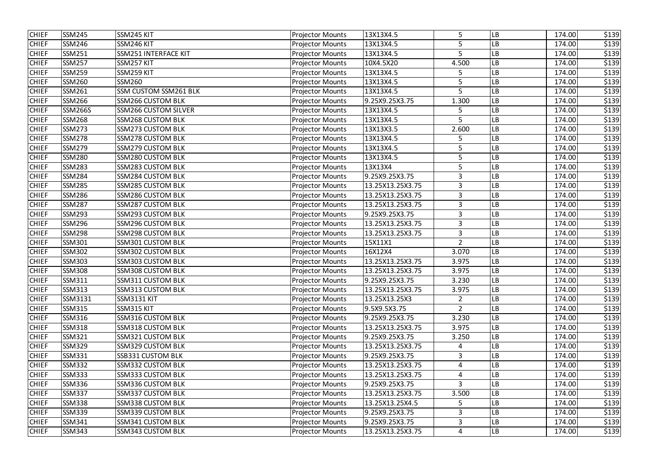| <b>CHIEF</b><br><b>SSM245</b><br>SSM245 KIT<br>13X13X4.5<br>5<br><b>Projector Mounts</b><br>LB<br>174.00<br><b>CHIEF</b><br>5<br><b>SSM246</b><br>SSM246 KIT<br>LB<br><b>Projector Mounts</b><br>13X13X4.5<br>174.00<br><b>CHIEF</b><br><b>SSM251</b><br>SSM251 INTERFACE KIT<br>13X13X4.5<br>5<br>174.00<br><b>Projector Mounts</b><br>LB<br><b>CHIEF</b><br><b>SSM257</b><br>SSM257 KIT<br><b>Projector Mounts</b><br>10X4.5X20<br>4.500<br>LB<br>174.00<br><b>CHIEF</b><br><b>SSM259</b><br>SSM259 KIT<br><b>Projector Mounts</b><br>LB<br>13X13X4.5<br>174.00<br>5<br><b>CHIEF</b><br><b>SSM260</b><br><b>SSM260</b><br><b>Projector Mounts</b><br>13X13X4.5<br>5<br>LB<br>174.00<br><b>CHIEF</b><br><b>SSM261</b><br>SSM CUSTOM SSM261 BLK<br>5<br>174.00<br>13X13X4.5<br>LB<br><b>Projector Mounts</b><br><b>CHIEF</b><br><b>SSM266</b><br><b>SSM266 CUSTOM BLK</b><br>9.25X9.25X3.75<br>1.300<br>LB<br><b>Projector Mounts</b><br>174.00<br><b>CHIEF</b><br><b>SSM266S</b><br><b>SSM266 CUSTOM SILVER</b><br><b>Projector Mounts</b><br>13X13X4.5<br>5<br>-B<br>174.00<br><b>CHIEF</b><br><b>SSM268</b><br><b>SSM268 CUSTOM BLK</b><br>5<br><b>Projector Mounts</b><br>13X13X4.5<br>LB<br>174.00<br><b>CHIEF</b><br><b>SSM273</b><br><b>SSM273 CUSTOM BLK</b><br><b>Projector Mounts</b><br>13X13X3.5<br>2.600<br>LB<br>174.00<br><b>CHIEF</b><br><b>SSM278</b><br><b>SSM278 CUSTOM BLK</b><br><b>Projector Mounts</b><br>13X13X4.5<br>LB<br>174.00<br>5<br><b>CHIEF</b><br><b>SSM279</b><br><b>SSM279 CUSTOM BLK</b><br>13X13X4.5<br>5<br>174.00<br><b>Projector Mounts</b><br>LB<br><b>CHIEF</b><br>5<br><b>SSM280</b><br><b>SSM280 CUSTOM BLK</b><br>LB<br><b>Projector Mounts</b><br>13X13X4.5<br>174.00<br><b>CHIEF</b><br><b>SSM283</b><br><b>SSM283 CUSTOM BLK</b><br>5<br>13X13X4<br>174.00<br><b>Projector Mounts</b><br>LB<br><b>CHIEF</b><br><b>SSM284</b><br><b>SSM284 CUSTOM BLK</b><br>9.25X9.25X3.75<br>3<br><b>Projector Mounts</b><br>LB<br>174.00<br><b>CHIEF</b><br><b>SSM285</b><br><b>SSM285 CUSTOM BLK</b><br><b>Projector Mounts</b><br>13.25X13.25X3.75<br>3<br>LB<br>174.00<br><b>CHIEF</b><br><b>SSM286</b><br><b>SSM286 CUSTOM BLK</b><br>13.25X13.25X3.75<br>3<br><b>Projector Mounts</b><br>LB<br>174.00<br>3<br><b>CHIEF</b><br><b>SSM287</b><br><b>SSM287 CUSTOM BLK</b><br>LB<br>174.00<br>13.25X13.25X3.75<br><b>Projector Mounts</b><br><b>CHIEF</b><br>3<br><b>SSM293</b><br><b>SSM293 CUSTOM BLK</b><br>9.25X9.25X3.75<br>LB<br>174.00<br><b>Projector Mounts</b><br><b>CHIEF</b><br><b>SSM296</b><br><b>SSM296 CUSTOM BLK</b><br>13.25X13.25X3.75<br>3<br><b>Projector Mounts</b><br>LB<br>174.00<br><b>CHIEF</b><br><b>SSM298</b><br><b>SSM298 CUSTOM BLK</b><br>13.25X13.25X3.75<br>$\overline{3}$<br><b>Projector Mounts</b><br>-B<br>174.00<br><b>CHIEF</b><br>SSM301<br>SSM301 CUSTOM BLK<br><b>Projector Mounts</b><br>$\overline{2}$<br>LB<br>15X11X1<br>174.00<br><b>SSM302 CUSTOM BLK</b><br><b>CHIEF</b><br><b>SSM302</b><br><b>Projector Mounts</b><br>16X12X4<br>3.070<br>LB<br>174.00<br><b>CHIEF</b><br><b>SSM303</b><br>13.25X13.25X3.75<br>LB<br><b>SSM303 CUSTOM BLK</b><br>3.975<br>174.00<br><b>Projector Mounts</b><br><b>CHIEF</b><br>LB<br><b>SSM308</b><br><b>SSM308 CUSTOM BLK</b><br>13.25X13.25X3.75<br><b>Projector Mounts</b><br>3.975<br>174.00<br><b>SSM311</b><br>SSM311 CUSTOM BLK<br>3.230<br>9.25X9.25X3.75<br><b>CHIEF</b><br><b>Projector Mounts</b><br>174.00<br><b>LB</b><br><b>CHIEF</b><br><b>SSM313 CUSTOM BLK</b><br><b>SSM313</b><br><b>Projector Mounts</b><br>13.25X13.25X3.75<br>3.975<br>LB<br>174.00<br><b>CHIEF</b><br><b>SSM3131</b><br><b>Projector Mounts</b><br><b>SSM3131 KIT</b><br>13.25X13.25X3<br>LB<br>174.00<br>2<br><b>CHIEF</b><br><b>SSM315</b><br>$\overline{2}$<br>174.00<br>SSM315 KIT<br><b>Projector Mounts</b><br>9.5X9.5X3.75<br>LB<br><b>CHIEF</b><br><b>SSM316 CUSTOM BLK</b><br><b>SSM316</b><br>LB<br>174.00<br><b>Projector Mounts</b><br>9.25X9.25X3.75<br>3.230<br><b>CHIEF</b><br><b>SSM318</b><br>LB<br><b>SSM318 CUSTOM BLK</b><br><b>Projector Mounts</b><br>13.25X13.25X3.75<br>3.975<br>174.00<br><b>CHIEF</b><br><b>SSM321</b><br>SSM321 CUSTOM BLK<br>9.25X9.25X3.75<br>3.250<br><b>LB</b><br>174.00<br><b>Projector Mounts</b><br><b>CHIEF</b><br><b>SSM329</b><br><b>SSM329 CUSTOM BLK</b><br><b>Projector Mounts</b><br>13.25X13.25X3.75<br>LB<br>174.00<br>4<br><b>CHIEF</b><br><b>SSM331</b><br><b>SSB331 CUSTOM BLK</b><br><b>Projector Mounts</b><br>9.25X9.25X3.75<br>174.00<br>3<br>LB<br><b>CHIEF</b><br><b>SSM332</b><br>174.00<br><b>SSM332 CUSTOM BLK</b><br><b>Projector Mounts</b><br>13.25X13.25X3.75<br>LB<br>4<br><b>CHIEF</b><br><b>SSM333</b><br>174.00<br><b>SSM333 CUSTOM BLK</b><br>13.25X13.25X3.75<br>LB<br><b>Projector Mounts</b><br>4<br><b>CHIEF</b><br>$\overline{3}$<br><b>SSM336</b><br><b>SSM336 CUSTOM BLK</b><br>9.25X9.25X3.75<br>LB<br>174.00<br><b>Projector Mounts</b><br><b>CHIEF</b><br><b>SSM337</b><br><b>SSM337 CUSTOM BLK</b><br>13.25X13.25X3.75<br>3.500<br>LB<br>174.00<br><b>Projector Mounts</b><br><b>CHIEF</b><br><b>SSM338 CUSTOM BLK</b><br>LB<br><b>SSM338</b><br><b>Projector Mounts</b><br>13.25X13.25X4.5<br>174.00<br>5<br><b>CHIEF</b><br><b>SSM339</b><br><b>SSM339 CUSTOM BLK</b><br><b>Projector Mounts</b><br>3<br>9.25X9.25X3.75<br>LB<br>174.00<br><b>CHIEF</b><br>3<br>LB<br>SSM341<br><b>SSM341 CUSTOM BLK</b><br><b>Projector Mounts</b><br>9.25X9.25X3.75<br>174.00 |              |               |                          |                         |                  |   |    |        |       |
|----------------------------------------------------------------------------------------------------------------------------------------------------------------------------------------------------------------------------------------------------------------------------------------------------------------------------------------------------------------------------------------------------------------------------------------------------------------------------------------------------------------------------------------------------------------------------------------------------------------------------------------------------------------------------------------------------------------------------------------------------------------------------------------------------------------------------------------------------------------------------------------------------------------------------------------------------------------------------------------------------------------------------------------------------------------------------------------------------------------------------------------------------------------------------------------------------------------------------------------------------------------------------------------------------------------------------------------------------------------------------------------------------------------------------------------------------------------------------------------------------------------------------------------------------------------------------------------------------------------------------------------------------------------------------------------------------------------------------------------------------------------------------------------------------------------------------------------------------------------------------------------------------------------------------------------------------------------------------------------------------------------------------------------------------------------------------------------------------------------------------------------------------------------------------------------------------------------------------------------------------------------------------------------------------------------------------------------------------------------------------------------------------------------------------------------------------------------------------------------------------------------------------------------------------------------------------------------------------------------------------------------------------------------------------------------------------------------------------------------------------------------------------------------------------------------------------------------------------------------------------------------------------------------------------------------------------------------------------------------------------------------------------------------------------------------------------------------------------------------------------------------------------------------------------------------------------------------------------------------------------------------------------------------------------------------------------------------------------------------------------------------------------------------------------------------------------------------------------------------------------------------------------------------------------------------------------------------------------------------------------------------------------------------------------------------------------------------------------------------------------------------------------------------------------------------------------------------------------------------------------------------------------------------------------------------------------------------------------------------------------------------------------------------------------------------------------------------------------------------------------------------------------------------------------------------------------------------------------------------------------------------------------------------------------------------------------------------------------------------------------------------------------------------------------------------------------------------------------------------------------------------------------------------------------------------------------------------------------------------------------------------------------------------------------------------------------------------------------------------------------------------------------------------------------------------------------------------------------------------------------------------------------------------------------------------------------------------------------------------------------------------------------------------------------------------------------------------------------------------------------------------------------------------------------------------------------------------------------------------------------------------------------------------------------------------------------------------------------------------------------------------------------------------------------------------------------------------------------|--------------|---------------|--------------------------|-------------------------|------------------|---|----|--------|-------|
|                                                                                                                                                                                                                                                                                                                                                                                                                                                                                                                                                                                                                                                                                                                                                                                                                                                                                                                                                                                                                                                                                                                                                                                                                                                                                                                                                                                                                                                                                                                                                                                                                                                                                                                                                                                                                                                                                                                                                                                                                                                                                                                                                                                                                                                                                                                                                                                                                                                                                                                                                                                                                                                                                                                                                                                                                                                                                                                                                                                                                                                                                                                                                                                                                                                                                                                                                                                                                                                                                                                                                                                                                                                                                                                                                                                                                                                                                                                                                                                                                                                                                                                                                                                                                                                                                                                                                                                                                                                                                                                                                                                                                                                                                                                                                                                                                                                                                                                                                                                                                                                                                                                                                                                                                                                                                                                                                                                                                                                                            |              |               |                          |                         |                  |   |    |        | \$139 |
|                                                                                                                                                                                                                                                                                                                                                                                                                                                                                                                                                                                                                                                                                                                                                                                                                                                                                                                                                                                                                                                                                                                                                                                                                                                                                                                                                                                                                                                                                                                                                                                                                                                                                                                                                                                                                                                                                                                                                                                                                                                                                                                                                                                                                                                                                                                                                                                                                                                                                                                                                                                                                                                                                                                                                                                                                                                                                                                                                                                                                                                                                                                                                                                                                                                                                                                                                                                                                                                                                                                                                                                                                                                                                                                                                                                                                                                                                                                                                                                                                                                                                                                                                                                                                                                                                                                                                                                                                                                                                                                                                                                                                                                                                                                                                                                                                                                                                                                                                                                                                                                                                                                                                                                                                                                                                                                                                                                                                                                                            |              |               |                          |                         |                  |   |    |        | \$139 |
|                                                                                                                                                                                                                                                                                                                                                                                                                                                                                                                                                                                                                                                                                                                                                                                                                                                                                                                                                                                                                                                                                                                                                                                                                                                                                                                                                                                                                                                                                                                                                                                                                                                                                                                                                                                                                                                                                                                                                                                                                                                                                                                                                                                                                                                                                                                                                                                                                                                                                                                                                                                                                                                                                                                                                                                                                                                                                                                                                                                                                                                                                                                                                                                                                                                                                                                                                                                                                                                                                                                                                                                                                                                                                                                                                                                                                                                                                                                                                                                                                                                                                                                                                                                                                                                                                                                                                                                                                                                                                                                                                                                                                                                                                                                                                                                                                                                                                                                                                                                                                                                                                                                                                                                                                                                                                                                                                                                                                                                                            |              |               |                          |                         |                  |   |    |        | \$139 |
|                                                                                                                                                                                                                                                                                                                                                                                                                                                                                                                                                                                                                                                                                                                                                                                                                                                                                                                                                                                                                                                                                                                                                                                                                                                                                                                                                                                                                                                                                                                                                                                                                                                                                                                                                                                                                                                                                                                                                                                                                                                                                                                                                                                                                                                                                                                                                                                                                                                                                                                                                                                                                                                                                                                                                                                                                                                                                                                                                                                                                                                                                                                                                                                                                                                                                                                                                                                                                                                                                                                                                                                                                                                                                                                                                                                                                                                                                                                                                                                                                                                                                                                                                                                                                                                                                                                                                                                                                                                                                                                                                                                                                                                                                                                                                                                                                                                                                                                                                                                                                                                                                                                                                                                                                                                                                                                                                                                                                                                                            |              |               |                          |                         |                  |   |    |        | \$139 |
|                                                                                                                                                                                                                                                                                                                                                                                                                                                                                                                                                                                                                                                                                                                                                                                                                                                                                                                                                                                                                                                                                                                                                                                                                                                                                                                                                                                                                                                                                                                                                                                                                                                                                                                                                                                                                                                                                                                                                                                                                                                                                                                                                                                                                                                                                                                                                                                                                                                                                                                                                                                                                                                                                                                                                                                                                                                                                                                                                                                                                                                                                                                                                                                                                                                                                                                                                                                                                                                                                                                                                                                                                                                                                                                                                                                                                                                                                                                                                                                                                                                                                                                                                                                                                                                                                                                                                                                                                                                                                                                                                                                                                                                                                                                                                                                                                                                                                                                                                                                                                                                                                                                                                                                                                                                                                                                                                                                                                                                                            |              |               |                          |                         |                  |   |    |        | \$139 |
|                                                                                                                                                                                                                                                                                                                                                                                                                                                                                                                                                                                                                                                                                                                                                                                                                                                                                                                                                                                                                                                                                                                                                                                                                                                                                                                                                                                                                                                                                                                                                                                                                                                                                                                                                                                                                                                                                                                                                                                                                                                                                                                                                                                                                                                                                                                                                                                                                                                                                                                                                                                                                                                                                                                                                                                                                                                                                                                                                                                                                                                                                                                                                                                                                                                                                                                                                                                                                                                                                                                                                                                                                                                                                                                                                                                                                                                                                                                                                                                                                                                                                                                                                                                                                                                                                                                                                                                                                                                                                                                                                                                                                                                                                                                                                                                                                                                                                                                                                                                                                                                                                                                                                                                                                                                                                                                                                                                                                                                                            |              |               |                          |                         |                  |   |    |        | \$139 |
|                                                                                                                                                                                                                                                                                                                                                                                                                                                                                                                                                                                                                                                                                                                                                                                                                                                                                                                                                                                                                                                                                                                                                                                                                                                                                                                                                                                                                                                                                                                                                                                                                                                                                                                                                                                                                                                                                                                                                                                                                                                                                                                                                                                                                                                                                                                                                                                                                                                                                                                                                                                                                                                                                                                                                                                                                                                                                                                                                                                                                                                                                                                                                                                                                                                                                                                                                                                                                                                                                                                                                                                                                                                                                                                                                                                                                                                                                                                                                                                                                                                                                                                                                                                                                                                                                                                                                                                                                                                                                                                                                                                                                                                                                                                                                                                                                                                                                                                                                                                                                                                                                                                                                                                                                                                                                                                                                                                                                                                                            |              |               |                          |                         |                  |   |    |        | \$139 |
|                                                                                                                                                                                                                                                                                                                                                                                                                                                                                                                                                                                                                                                                                                                                                                                                                                                                                                                                                                                                                                                                                                                                                                                                                                                                                                                                                                                                                                                                                                                                                                                                                                                                                                                                                                                                                                                                                                                                                                                                                                                                                                                                                                                                                                                                                                                                                                                                                                                                                                                                                                                                                                                                                                                                                                                                                                                                                                                                                                                                                                                                                                                                                                                                                                                                                                                                                                                                                                                                                                                                                                                                                                                                                                                                                                                                                                                                                                                                                                                                                                                                                                                                                                                                                                                                                                                                                                                                                                                                                                                                                                                                                                                                                                                                                                                                                                                                                                                                                                                                                                                                                                                                                                                                                                                                                                                                                                                                                                                                            |              |               |                          |                         |                  |   |    |        | \$139 |
|                                                                                                                                                                                                                                                                                                                                                                                                                                                                                                                                                                                                                                                                                                                                                                                                                                                                                                                                                                                                                                                                                                                                                                                                                                                                                                                                                                                                                                                                                                                                                                                                                                                                                                                                                                                                                                                                                                                                                                                                                                                                                                                                                                                                                                                                                                                                                                                                                                                                                                                                                                                                                                                                                                                                                                                                                                                                                                                                                                                                                                                                                                                                                                                                                                                                                                                                                                                                                                                                                                                                                                                                                                                                                                                                                                                                                                                                                                                                                                                                                                                                                                                                                                                                                                                                                                                                                                                                                                                                                                                                                                                                                                                                                                                                                                                                                                                                                                                                                                                                                                                                                                                                                                                                                                                                                                                                                                                                                                                                            |              |               |                          |                         |                  |   |    |        | \$139 |
|                                                                                                                                                                                                                                                                                                                                                                                                                                                                                                                                                                                                                                                                                                                                                                                                                                                                                                                                                                                                                                                                                                                                                                                                                                                                                                                                                                                                                                                                                                                                                                                                                                                                                                                                                                                                                                                                                                                                                                                                                                                                                                                                                                                                                                                                                                                                                                                                                                                                                                                                                                                                                                                                                                                                                                                                                                                                                                                                                                                                                                                                                                                                                                                                                                                                                                                                                                                                                                                                                                                                                                                                                                                                                                                                                                                                                                                                                                                                                                                                                                                                                                                                                                                                                                                                                                                                                                                                                                                                                                                                                                                                                                                                                                                                                                                                                                                                                                                                                                                                                                                                                                                                                                                                                                                                                                                                                                                                                                                                            |              |               |                          |                         |                  |   |    |        | \$139 |
|                                                                                                                                                                                                                                                                                                                                                                                                                                                                                                                                                                                                                                                                                                                                                                                                                                                                                                                                                                                                                                                                                                                                                                                                                                                                                                                                                                                                                                                                                                                                                                                                                                                                                                                                                                                                                                                                                                                                                                                                                                                                                                                                                                                                                                                                                                                                                                                                                                                                                                                                                                                                                                                                                                                                                                                                                                                                                                                                                                                                                                                                                                                                                                                                                                                                                                                                                                                                                                                                                                                                                                                                                                                                                                                                                                                                                                                                                                                                                                                                                                                                                                                                                                                                                                                                                                                                                                                                                                                                                                                                                                                                                                                                                                                                                                                                                                                                                                                                                                                                                                                                                                                                                                                                                                                                                                                                                                                                                                                                            |              |               |                          |                         |                  |   |    |        | \$139 |
|                                                                                                                                                                                                                                                                                                                                                                                                                                                                                                                                                                                                                                                                                                                                                                                                                                                                                                                                                                                                                                                                                                                                                                                                                                                                                                                                                                                                                                                                                                                                                                                                                                                                                                                                                                                                                                                                                                                                                                                                                                                                                                                                                                                                                                                                                                                                                                                                                                                                                                                                                                                                                                                                                                                                                                                                                                                                                                                                                                                                                                                                                                                                                                                                                                                                                                                                                                                                                                                                                                                                                                                                                                                                                                                                                                                                                                                                                                                                                                                                                                                                                                                                                                                                                                                                                                                                                                                                                                                                                                                                                                                                                                                                                                                                                                                                                                                                                                                                                                                                                                                                                                                                                                                                                                                                                                                                                                                                                                                                            |              |               |                          |                         |                  |   |    |        | \$139 |
|                                                                                                                                                                                                                                                                                                                                                                                                                                                                                                                                                                                                                                                                                                                                                                                                                                                                                                                                                                                                                                                                                                                                                                                                                                                                                                                                                                                                                                                                                                                                                                                                                                                                                                                                                                                                                                                                                                                                                                                                                                                                                                                                                                                                                                                                                                                                                                                                                                                                                                                                                                                                                                                                                                                                                                                                                                                                                                                                                                                                                                                                                                                                                                                                                                                                                                                                                                                                                                                                                                                                                                                                                                                                                                                                                                                                                                                                                                                                                                                                                                                                                                                                                                                                                                                                                                                                                                                                                                                                                                                                                                                                                                                                                                                                                                                                                                                                                                                                                                                                                                                                                                                                                                                                                                                                                                                                                                                                                                                                            |              |               |                          |                         |                  |   |    |        | \$139 |
|                                                                                                                                                                                                                                                                                                                                                                                                                                                                                                                                                                                                                                                                                                                                                                                                                                                                                                                                                                                                                                                                                                                                                                                                                                                                                                                                                                                                                                                                                                                                                                                                                                                                                                                                                                                                                                                                                                                                                                                                                                                                                                                                                                                                                                                                                                                                                                                                                                                                                                                                                                                                                                                                                                                                                                                                                                                                                                                                                                                                                                                                                                                                                                                                                                                                                                                                                                                                                                                                                                                                                                                                                                                                                                                                                                                                                                                                                                                                                                                                                                                                                                                                                                                                                                                                                                                                                                                                                                                                                                                                                                                                                                                                                                                                                                                                                                                                                                                                                                                                                                                                                                                                                                                                                                                                                                                                                                                                                                                                            |              |               |                          |                         |                  |   |    |        | \$139 |
|                                                                                                                                                                                                                                                                                                                                                                                                                                                                                                                                                                                                                                                                                                                                                                                                                                                                                                                                                                                                                                                                                                                                                                                                                                                                                                                                                                                                                                                                                                                                                                                                                                                                                                                                                                                                                                                                                                                                                                                                                                                                                                                                                                                                                                                                                                                                                                                                                                                                                                                                                                                                                                                                                                                                                                                                                                                                                                                                                                                                                                                                                                                                                                                                                                                                                                                                                                                                                                                                                                                                                                                                                                                                                                                                                                                                                                                                                                                                                                                                                                                                                                                                                                                                                                                                                                                                                                                                                                                                                                                                                                                                                                                                                                                                                                                                                                                                                                                                                                                                                                                                                                                                                                                                                                                                                                                                                                                                                                                                            |              |               |                          |                         |                  |   |    |        | \$139 |
|                                                                                                                                                                                                                                                                                                                                                                                                                                                                                                                                                                                                                                                                                                                                                                                                                                                                                                                                                                                                                                                                                                                                                                                                                                                                                                                                                                                                                                                                                                                                                                                                                                                                                                                                                                                                                                                                                                                                                                                                                                                                                                                                                                                                                                                                                                                                                                                                                                                                                                                                                                                                                                                                                                                                                                                                                                                                                                                                                                                                                                                                                                                                                                                                                                                                                                                                                                                                                                                                                                                                                                                                                                                                                                                                                                                                                                                                                                                                                                                                                                                                                                                                                                                                                                                                                                                                                                                                                                                                                                                                                                                                                                                                                                                                                                                                                                                                                                                                                                                                                                                                                                                                                                                                                                                                                                                                                                                                                                                                            |              |               |                          |                         |                  |   |    |        | \$139 |
|                                                                                                                                                                                                                                                                                                                                                                                                                                                                                                                                                                                                                                                                                                                                                                                                                                                                                                                                                                                                                                                                                                                                                                                                                                                                                                                                                                                                                                                                                                                                                                                                                                                                                                                                                                                                                                                                                                                                                                                                                                                                                                                                                                                                                                                                                                                                                                                                                                                                                                                                                                                                                                                                                                                                                                                                                                                                                                                                                                                                                                                                                                                                                                                                                                                                                                                                                                                                                                                                                                                                                                                                                                                                                                                                                                                                                                                                                                                                                                                                                                                                                                                                                                                                                                                                                                                                                                                                                                                                                                                                                                                                                                                                                                                                                                                                                                                                                                                                                                                                                                                                                                                                                                                                                                                                                                                                                                                                                                                                            |              |               |                          |                         |                  |   |    |        | \$139 |
|                                                                                                                                                                                                                                                                                                                                                                                                                                                                                                                                                                                                                                                                                                                                                                                                                                                                                                                                                                                                                                                                                                                                                                                                                                                                                                                                                                                                                                                                                                                                                                                                                                                                                                                                                                                                                                                                                                                                                                                                                                                                                                                                                                                                                                                                                                                                                                                                                                                                                                                                                                                                                                                                                                                                                                                                                                                                                                                                                                                                                                                                                                                                                                                                                                                                                                                                                                                                                                                                                                                                                                                                                                                                                                                                                                                                                                                                                                                                                                                                                                                                                                                                                                                                                                                                                                                                                                                                                                                                                                                                                                                                                                                                                                                                                                                                                                                                                                                                                                                                                                                                                                                                                                                                                                                                                                                                                                                                                                                                            |              |               |                          |                         |                  |   |    |        | \$139 |
|                                                                                                                                                                                                                                                                                                                                                                                                                                                                                                                                                                                                                                                                                                                                                                                                                                                                                                                                                                                                                                                                                                                                                                                                                                                                                                                                                                                                                                                                                                                                                                                                                                                                                                                                                                                                                                                                                                                                                                                                                                                                                                                                                                                                                                                                                                                                                                                                                                                                                                                                                                                                                                                                                                                                                                                                                                                                                                                                                                                                                                                                                                                                                                                                                                                                                                                                                                                                                                                                                                                                                                                                                                                                                                                                                                                                                                                                                                                                                                                                                                                                                                                                                                                                                                                                                                                                                                                                                                                                                                                                                                                                                                                                                                                                                                                                                                                                                                                                                                                                                                                                                                                                                                                                                                                                                                                                                                                                                                                                            |              |               |                          |                         |                  |   |    |        | \$139 |
|                                                                                                                                                                                                                                                                                                                                                                                                                                                                                                                                                                                                                                                                                                                                                                                                                                                                                                                                                                                                                                                                                                                                                                                                                                                                                                                                                                                                                                                                                                                                                                                                                                                                                                                                                                                                                                                                                                                                                                                                                                                                                                                                                                                                                                                                                                                                                                                                                                                                                                                                                                                                                                                                                                                                                                                                                                                                                                                                                                                                                                                                                                                                                                                                                                                                                                                                                                                                                                                                                                                                                                                                                                                                                                                                                                                                                                                                                                                                                                                                                                                                                                                                                                                                                                                                                                                                                                                                                                                                                                                                                                                                                                                                                                                                                                                                                                                                                                                                                                                                                                                                                                                                                                                                                                                                                                                                                                                                                                                                            |              |               |                          |                         |                  |   |    |        | \$139 |
|                                                                                                                                                                                                                                                                                                                                                                                                                                                                                                                                                                                                                                                                                                                                                                                                                                                                                                                                                                                                                                                                                                                                                                                                                                                                                                                                                                                                                                                                                                                                                                                                                                                                                                                                                                                                                                                                                                                                                                                                                                                                                                                                                                                                                                                                                                                                                                                                                                                                                                                                                                                                                                                                                                                                                                                                                                                                                                                                                                                                                                                                                                                                                                                                                                                                                                                                                                                                                                                                                                                                                                                                                                                                                                                                                                                                                                                                                                                                                                                                                                                                                                                                                                                                                                                                                                                                                                                                                                                                                                                                                                                                                                                                                                                                                                                                                                                                                                                                                                                                                                                                                                                                                                                                                                                                                                                                                                                                                                                                            |              |               |                          |                         |                  |   |    |        | \$139 |
|                                                                                                                                                                                                                                                                                                                                                                                                                                                                                                                                                                                                                                                                                                                                                                                                                                                                                                                                                                                                                                                                                                                                                                                                                                                                                                                                                                                                                                                                                                                                                                                                                                                                                                                                                                                                                                                                                                                                                                                                                                                                                                                                                                                                                                                                                                                                                                                                                                                                                                                                                                                                                                                                                                                                                                                                                                                                                                                                                                                                                                                                                                                                                                                                                                                                                                                                                                                                                                                                                                                                                                                                                                                                                                                                                                                                                                                                                                                                                                                                                                                                                                                                                                                                                                                                                                                                                                                                                                                                                                                                                                                                                                                                                                                                                                                                                                                                                                                                                                                                                                                                                                                                                                                                                                                                                                                                                                                                                                                                            |              |               |                          |                         |                  |   |    |        | \$139 |
|                                                                                                                                                                                                                                                                                                                                                                                                                                                                                                                                                                                                                                                                                                                                                                                                                                                                                                                                                                                                                                                                                                                                                                                                                                                                                                                                                                                                                                                                                                                                                                                                                                                                                                                                                                                                                                                                                                                                                                                                                                                                                                                                                                                                                                                                                                                                                                                                                                                                                                                                                                                                                                                                                                                                                                                                                                                                                                                                                                                                                                                                                                                                                                                                                                                                                                                                                                                                                                                                                                                                                                                                                                                                                                                                                                                                                                                                                                                                                                                                                                                                                                                                                                                                                                                                                                                                                                                                                                                                                                                                                                                                                                                                                                                                                                                                                                                                                                                                                                                                                                                                                                                                                                                                                                                                                                                                                                                                                                                                            |              |               |                          |                         |                  |   |    |        | \$139 |
|                                                                                                                                                                                                                                                                                                                                                                                                                                                                                                                                                                                                                                                                                                                                                                                                                                                                                                                                                                                                                                                                                                                                                                                                                                                                                                                                                                                                                                                                                                                                                                                                                                                                                                                                                                                                                                                                                                                                                                                                                                                                                                                                                                                                                                                                                                                                                                                                                                                                                                                                                                                                                                                                                                                                                                                                                                                                                                                                                                                                                                                                                                                                                                                                                                                                                                                                                                                                                                                                                                                                                                                                                                                                                                                                                                                                                                                                                                                                                                                                                                                                                                                                                                                                                                                                                                                                                                                                                                                                                                                                                                                                                                                                                                                                                                                                                                                                                                                                                                                                                                                                                                                                                                                                                                                                                                                                                                                                                                                                            |              |               |                          |                         |                  |   |    |        | \$139 |
|                                                                                                                                                                                                                                                                                                                                                                                                                                                                                                                                                                                                                                                                                                                                                                                                                                                                                                                                                                                                                                                                                                                                                                                                                                                                                                                                                                                                                                                                                                                                                                                                                                                                                                                                                                                                                                                                                                                                                                                                                                                                                                                                                                                                                                                                                                                                                                                                                                                                                                                                                                                                                                                                                                                                                                                                                                                                                                                                                                                                                                                                                                                                                                                                                                                                                                                                                                                                                                                                                                                                                                                                                                                                                                                                                                                                                                                                                                                                                                                                                                                                                                                                                                                                                                                                                                                                                                                                                                                                                                                                                                                                                                                                                                                                                                                                                                                                                                                                                                                                                                                                                                                                                                                                                                                                                                                                                                                                                                                                            |              |               |                          |                         |                  |   |    |        | \$139 |
|                                                                                                                                                                                                                                                                                                                                                                                                                                                                                                                                                                                                                                                                                                                                                                                                                                                                                                                                                                                                                                                                                                                                                                                                                                                                                                                                                                                                                                                                                                                                                                                                                                                                                                                                                                                                                                                                                                                                                                                                                                                                                                                                                                                                                                                                                                                                                                                                                                                                                                                                                                                                                                                                                                                                                                                                                                                                                                                                                                                                                                                                                                                                                                                                                                                                                                                                                                                                                                                                                                                                                                                                                                                                                                                                                                                                                                                                                                                                                                                                                                                                                                                                                                                                                                                                                                                                                                                                                                                                                                                                                                                                                                                                                                                                                                                                                                                                                                                                                                                                                                                                                                                                                                                                                                                                                                                                                                                                                                                                            |              |               |                          |                         |                  |   |    |        | \$139 |
|                                                                                                                                                                                                                                                                                                                                                                                                                                                                                                                                                                                                                                                                                                                                                                                                                                                                                                                                                                                                                                                                                                                                                                                                                                                                                                                                                                                                                                                                                                                                                                                                                                                                                                                                                                                                                                                                                                                                                                                                                                                                                                                                                                                                                                                                                                                                                                                                                                                                                                                                                                                                                                                                                                                                                                                                                                                                                                                                                                                                                                                                                                                                                                                                                                                                                                                                                                                                                                                                                                                                                                                                                                                                                                                                                                                                                                                                                                                                                                                                                                                                                                                                                                                                                                                                                                                                                                                                                                                                                                                                                                                                                                                                                                                                                                                                                                                                                                                                                                                                                                                                                                                                                                                                                                                                                                                                                                                                                                                                            |              |               |                          |                         |                  |   |    |        | \$139 |
|                                                                                                                                                                                                                                                                                                                                                                                                                                                                                                                                                                                                                                                                                                                                                                                                                                                                                                                                                                                                                                                                                                                                                                                                                                                                                                                                                                                                                                                                                                                                                                                                                                                                                                                                                                                                                                                                                                                                                                                                                                                                                                                                                                                                                                                                                                                                                                                                                                                                                                                                                                                                                                                                                                                                                                                                                                                                                                                                                                                                                                                                                                                                                                                                                                                                                                                                                                                                                                                                                                                                                                                                                                                                                                                                                                                                                                                                                                                                                                                                                                                                                                                                                                                                                                                                                                                                                                                                                                                                                                                                                                                                                                                                                                                                                                                                                                                                                                                                                                                                                                                                                                                                                                                                                                                                                                                                                                                                                                                                            |              |               |                          |                         |                  |   |    |        | \$139 |
|                                                                                                                                                                                                                                                                                                                                                                                                                                                                                                                                                                                                                                                                                                                                                                                                                                                                                                                                                                                                                                                                                                                                                                                                                                                                                                                                                                                                                                                                                                                                                                                                                                                                                                                                                                                                                                                                                                                                                                                                                                                                                                                                                                                                                                                                                                                                                                                                                                                                                                                                                                                                                                                                                                                                                                                                                                                                                                                                                                                                                                                                                                                                                                                                                                                                                                                                                                                                                                                                                                                                                                                                                                                                                                                                                                                                                                                                                                                                                                                                                                                                                                                                                                                                                                                                                                                                                                                                                                                                                                                                                                                                                                                                                                                                                                                                                                                                                                                                                                                                                                                                                                                                                                                                                                                                                                                                                                                                                                                                            |              |               |                          |                         |                  |   |    |        | \$139 |
|                                                                                                                                                                                                                                                                                                                                                                                                                                                                                                                                                                                                                                                                                                                                                                                                                                                                                                                                                                                                                                                                                                                                                                                                                                                                                                                                                                                                                                                                                                                                                                                                                                                                                                                                                                                                                                                                                                                                                                                                                                                                                                                                                                                                                                                                                                                                                                                                                                                                                                                                                                                                                                                                                                                                                                                                                                                                                                                                                                                                                                                                                                                                                                                                                                                                                                                                                                                                                                                                                                                                                                                                                                                                                                                                                                                                                                                                                                                                                                                                                                                                                                                                                                                                                                                                                                                                                                                                                                                                                                                                                                                                                                                                                                                                                                                                                                                                                                                                                                                                                                                                                                                                                                                                                                                                                                                                                                                                                                                                            |              |               |                          |                         |                  |   |    |        | \$139 |
|                                                                                                                                                                                                                                                                                                                                                                                                                                                                                                                                                                                                                                                                                                                                                                                                                                                                                                                                                                                                                                                                                                                                                                                                                                                                                                                                                                                                                                                                                                                                                                                                                                                                                                                                                                                                                                                                                                                                                                                                                                                                                                                                                                                                                                                                                                                                                                                                                                                                                                                                                                                                                                                                                                                                                                                                                                                                                                                                                                                                                                                                                                                                                                                                                                                                                                                                                                                                                                                                                                                                                                                                                                                                                                                                                                                                                                                                                                                                                                                                                                                                                                                                                                                                                                                                                                                                                                                                                                                                                                                                                                                                                                                                                                                                                                                                                                                                                                                                                                                                                                                                                                                                                                                                                                                                                                                                                                                                                                                                            |              |               |                          |                         |                  |   |    |        | \$139 |
|                                                                                                                                                                                                                                                                                                                                                                                                                                                                                                                                                                                                                                                                                                                                                                                                                                                                                                                                                                                                                                                                                                                                                                                                                                                                                                                                                                                                                                                                                                                                                                                                                                                                                                                                                                                                                                                                                                                                                                                                                                                                                                                                                                                                                                                                                                                                                                                                                                                                                                                                                                                                                                                                                                                                                                                                                                                                                                                                                                                                                                                                                                                                                                                                                                                                                                                                                                                                                                                                                                                                                                                                                                                                                                                                                                                                                                                                                                                                                                                                                                                                                                                                                                                                                                                                                                                                                                                                                                                                                                                                                                                                                                                                                                                                                                                                                                                                                                                                                                                                                                                                                                                                                                                                                                                                                                                                                                                                                                                                            |              |               |                          |                         |                  |   |    |        | \$139 |
|                                                                                                                                                                                                                                                                                                                                                                                                                                                                                                                                                                                                                                                                                                                                                                                                                                                                                                                                                                                                                                                                                                                                                                                                                                                                                                                                                                                                                                                                                                                                                                                                                                                                                                                                                                                                                                                                                                                                                                                                                                                                                                                                                                                                                                                                                                                                                                                                                                                                                                                                                                                                                                                                                                                                                                                                                                                                                                                                                                                                                                                                                                                                                                                                                                                                                                                                                                                                                                                                                                                                                                                                                                                                                                                                                                                                                                                                                                                                                                                                                                                                                                                                                                                                                                                                                                                                                                                                                                                                                                                                                                                                                                                                                                                                                                                                                                                                                                                                                                                                                                                                                                                                                                                                                                                                                                                                                                                                                                                                            |              |               |                          |                         |                  |   |    |        | \$139 |
|                                                                                                                                                                                                                                                                                                                                                                                                                                                                                                                                                                                                                                                                                                                                                                                                                                                                                                                                                                                                                                                                                                                                                                                                                                                                                                                                                                                                                                                                                                                                                                                                                                                                                                                                                                                                                                                                                                                                                                                                                                                                                                                                                                                                                                                                                                                                                                                                                                                                                                                                                                                                                                                                                                                                                                                                                                                                                                                                                                                                                                                                                                                                                                                                                                                                                                                                                                                                                                                                                                                                                                                                                                                                                                                                                                                                                                                                                                                                                                                                                                                                                                                                                                                                                                                                                                                                                                                                                                                                                                                                                                                                                                                                                                                                                                                                                                                                                                                                                                                                                                                                                                                                                                                                                                                                                                                                                                                                                                                                            |              |               |                          |                         |                  |   |    |        | \$139 |
|                                                                                                                                                                                                                                                                                                                                                                                                                                                                                                                                                                                                                                                                                                                                                                                                                                                                                                                                                                                                                                                                                                                                                                                                                                                                                                                                                                                                                                                                                                                                                                                                                                                                                                                                                                                                                                                                                                                                                                                                                                                                                                                                                                                                                                                                                                                                                                                                                                                                                                                                                                                                                                                                                                                                                                                                                                                                                                                                                                                                                                                                                                                                                                                                                                                                                                                                                                                                                                                                                                                                                                                                                                                                                                                                                                                                                                                                                                                                                                                                                                                                                                                                                                                                                                                                                                                                                                                                                                                                                                                                                                                                                                                                                                                                                                                                                                                                                                                                                                                                                                                                                                                                                                                                                                                                                                                                                                                                                                                                            |              |               |                          |                         |                  |   |    |        | \$139 |
|                                                                                                                                                                                                                                                                                                                                                                                                                                                                                                                                                                                                                                                                                                                                                                                                                                                                                                                                                                                                                                                                                                                                                                                                                                                                                                                                                                                                                                                                                                                                                                                                                                                                                                                                                                                                                                                                                                                                                                                                                                                                                                                                                                                                                                                                                                                                                                                                                                                                                                                                                                                                                                                                                                                                                                                                                                                                                                                                                                                                                                                                                                                                                                                                                                                                                                                                                                                                                                                                                                                                                                                                                                                                                                                                                                                                                                                                                                                                                                                                                                                                                                                                                                                                                                                                                                                                                                                                                                                                                                                                                                                                                                                                                                                                                                                                                                                                                                                                                                                                                                                                                                                                                                                                                                                                                                                                                                                                                                                                            |              |               |                          |                         |                  |   |    |        | \$139 |
|                                                                                                                                                                                                                                                                                                                                                                                                                                                                                                                                                                                                                                                                                                                                                                                                                                                                                                                                                                                                                                                                                                                                                                                                                                                                                                                                                                                                                                                                                                                                                                                                                                                                                                                                                                                                                                                                                                                                                                                                                                                                                                                                                                                                                                                                                                                                                                                                                                                                                                                                                                                                                                                                                                                                                                                                                                                                                                                                                                                                                                                                                                                                                                                                                                                                                                                                                                                                                                                                                                                                                                                                                                                                                                                                                                                                                                                                                                                                                                                                                                                                                                                                                                                                                                                                                                                                                                                                                                                                                                                                                                                                                                                                                                                                                                                                                                                                                                                                                                                                                                                                                                                                                                                                                                                                                                                                                                                                                                                                            |              |               |                          |                         |                  |   |    |        | \$139 |
|                                                                                                                                                                                                                                                                                                                                                                                                                                                                                                                                                                                                                                                                                                                                                                                                                                                                                                                                                                                                                                                                                                                                                                                                                                                                                                                                                                                                                                                                                                                                                                                                                                                                                                                                                                                                                                                                                                                                                                                                                                                                                                                                                                                                                                                                                                                                                                                                                                                                                                                                                                                                                                                                                                                                                                                                                                                                                                                                                                                                                                                                                                                                                                                                                                                                                                                                                                                                                                                                                                                                                                                                                                                                                                                                                                                                                                                                                                                                                                                                                                                                                                                                                                                                                                                                                                                                                                                                                                                                                                                                                                                                                                                                                                                                                                                                                                                                                                                                                                                                                                                                                                                                                                                                                                                                                                                                                                                                                                                                            |              |               |                          |                         |                  |   |    |        | \$139 |
|                                                                                                                                                                                                                                                                                                                                                                                                                                                                                                                                                                                                                                                                                                                                                                                                                                                                                                                                                                                                                                                                                                                                                                                                                                                                                                                                                                                                                                                                                                                                                                                                                                                                                                                                                                                                                                                                                                                                                                                                                                                                                                                                                                                                                                                                                                                                                                                                                                                                                                                                                                                                                                                                                                                                                                                                                                                                                                                                                                                                                                                                                                                                                                                                                                                                                                                                                                                                                                                                                                                                                                                                                                                                                                                                                                                                                                                                                                                                                                                                                                                                                                                                                                                                                                                                                                                                                                                                                                                                                                                                                                                                                                                                                                                                                                                                                                                                                                                                                                                                                                                                                                                                                                                                                                                                                                                                                                                                                                                                            |              |               |                          |                         |                  |   |    |        | \$139 |
|                                                                                                                                                                                                                                                                                                                                                                                                                                                                                                                                                                                                                                                                                                                                                                                                                                                                                                                                                                                                                                                                                                                                                                                                                                                                                                                                                                                                                                                                                                                                                                                                                                                                                                                                                                                                                                                                                                                                                                                                                                                                                                                                                                                                                                                                                                                                                                                                                                                                                                                                                                                                                                                                                                                                                                                                                                                                                                                                                                                                                                                                                                                                                                                                                                                                                                                                                                                                                                                                                                                                                                                                                                                                                                                                                                                                                                                                                                                                                                                                                                                                                                                                                                                                                                                                                                                                                                                                                                                                                                                                                                                                                                                                                                                                                                                                                                                                                                                                                                                                                                                                                                                                                                                                                                                                                                                                                                                                                                                                            |              |               |                          |                         |                  |   |    |        | \$139 |
|                                                                                                                                                                                                                                                                                                                                                                                                                                                                                                                                                                                                                                                                                                                                                                                                                                                                                                                                                                                                                                                                                                                                                                                                                                                                                                                                                                                                                                                                                                                                                                                                                                                                                                                                                                                                                                                                                                                                                                                                                                                                                                                                                                                                                                                                                                                                                                                                                                                                                                                                                                                                                                                                                                                                                                                                                                                                                                                                                                                                                                                                                                                                                                                                                                                                                                                                                                                                                                                                                                                                                                                                                                                                                                                                                                                                                                                                                                                                                                                                                                                                                                                                                                                                                                                                                                                                                                                                                                                                                                                                                                                                                                                                                                                                                                                                                                                                                                                                                                                                                                                                                                                                                                                                                                                                                                                                                                                                                                                                            |              |               |                          |                         |                  |   |    |        | \$139 |
|                                                                                                                                                                                                                                                                                                                                                                                                                                                                                                                                                                                                                                                                                                                                                                                                                                                                                                                                                                                                                                                                                                                                                                                                                                                                                                                                                                                                                                                                                                                                                                                                                                                                                                                                                                                                                                                                                                                                                                                                                                                                                                                                                                                                                                                                                                                                                                                                                                                                                                                                                                                                                                                                                                                                                                                                                                                                                                                                                                                                                                                                                                                                                                                                                                                                                                                                                                                                                                                                                                                                                                                                                                                                                                                                                                                                                                                                                                                                                                                                                                                                                                                                                                                                                                                                                                                                                                                                                                                                                                                                                                                                                                                                                                                                                                                                                                                                                                                                                                                                                                                                                                                                                                                                                                                                                                                                                                                                                                                                            |              |               |                          |                         |                  |   |    |        | \$139 |
|                                                                                                                                                                                                                                                                                                                                                                                                                                                                                                                                                                                                                                                                                                                                                                                                                                                                                                                                                                                                                                                                                                                                                                                                                                                                                                                                                                                                                                                                                                                                                                                                                                                                                                                                                                                                                                                                                                                                                                                                                                                                                                                                                                                                                                                                                                                                                                                                                                                                                                                                                                                                                                                                                                                                                                                                                                                                                                                                                                                                                                                                                                                                                                                                                                                                                                                                                                                                                                                                                                                                                                                                                                                                                                                                                                                                                                                                                                                                                                                                                                                                                                                                                                                                                                                                                                                                                                                                                                                                                                                                                                                                                                                                                                                                                                                                                                                                                                                                                                                                                                                                                                                                                                                                                                                                                                                                                                                                                                                                            | <b>CHIEF</b> | <b>SSM343</b> | <b>SSM343 CUSTOM BLK</b> | <b>Projector Mounts</b> | 13.25X13.25X3.75 | 4 | LB | 174.00 | \$139 |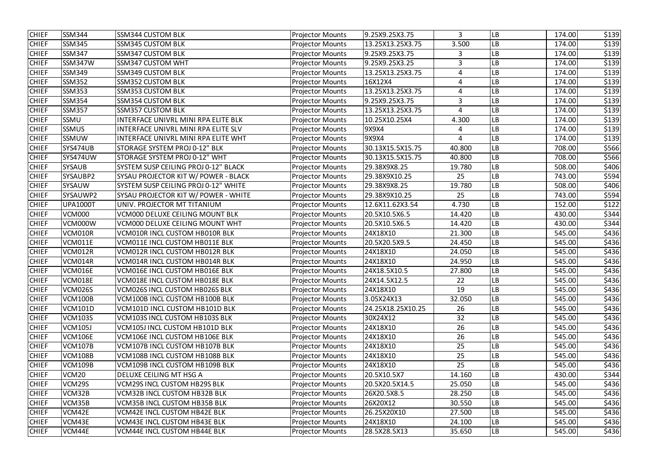| <b>CHIEF</b> | <b>SSM344</b>     | <b>SSM344 CUSTOM BLK</b>               | <b>Projector Mounts</b> | 9.25X9.25X3.75    | 3      | <b>LB</b>  | 174.00 | \$139 |
|--------------|-------------------|----------------------------------------|-------------------------|-------------------|--------|------------|--------|-------|
| <b>CHIEF</b> | <b>SSM345</b>     | <b>SSM345 CUSTOM BLK</b>               | <b>Projector Mounts</b> | 13.25X13.25X3.75  | 3.500  | LB         | 174.00 | \$139 |
| <b>CHIEF</b> | <b>SSM347</b>     | <b>SSM347 CUSTOM BLK</b>               | <b>Projector Mounts</b> | 9.25X9.25X3.75    | 3      | LB         | 174.00 | \$139 |
| <b>CHIEF</b> | <b>SSM347W</b>    | <b>SSM347 CUSTOM WHT</b>               | <b>Projector Mounts</b> | 9.25X9.25X3.25    | 3      | LB         | 174.00 | \$139 |
| <b>CHIEF</b> | <b>SSM349</b>     | <b>SSM349 CUSTOM BLK</b>               | <b>Projector Mounts</b> | 13.25X13.25X3.75  | 4      | LB         | 174.00 | \$139 |
| <b>CHIEF</b> | <b>SSM352</b>     | <b>SSM352 CUSTOM BLK</b>               | <b>Projector Mounts</b> | 16X12X4           | 4      | LB         | 174.00 | \$139 |
| <b>CHIEF</b> | <b>SSM353</b>     | <b>SSM353 CUSTOM BLK</b>               | <b>Projector Mounts</b> | 13.25X13.25X3.75  | 4      | LВ         | 174.00 | \$139 |
| <b>CHIEF</b> | <b>SSM354</b>     | <b>SSM354 CUSTOM BLK</b>               | <b>Projector Mounts</b> | 9.25X9.25X3.75    | 3      | LB         | 174.00 | \$139 |
| <b>CHIEF</b> | <b>SSM357</b>     | <b>SSM357 CUSTOM BLK</b>               | <b>Projector Mounts</b> | 13.25X13.25X3.75  | 4      | LB         | 174.00 | \$139 |
| <b>CHIEF</b> | <b>SSMU</b>       | INTERFACE UNIVRL MINI RPA ELITE BLK    | <b>Projector Mounts</b> | 10.25X10.25X4     | 4.300  | LB         | 174.00 | \$139 |
| <b>CHIEF</b> | <b>SSMUS</b>      | INTERFACE UNIVRL MINI RPA ELITE SLV    | <b>Projector Mounts</b> | 9X9X4             | 4      | LB         | 174.00 | \$139 |
| <b>CHIEF</b> | SSMUW             | INTERFACE UNIVRL MINI RPA ELITE WHT    | <b>Projector Mounts</b> | 9X9X4             | 4      | LB         | 174.00 | \$139 |
| <b>CHIEF</b> | SYS474UB          | STORAGE SYSTEM PROJ 0-12" BLK          | <b>Projector Mounts</b> | 30.13X15.5X15.75  | 40.800 | LB         | 708.00 | \$566 |
| <b>CHIEF</b> | SYS474UW          | STORAGE SYSTEM PROJ 0-12" WHT          | <b>Projector Mounts</b> | 30.13X15.5X15.75  | 40.800 | LB         | 708.00 | \$566 |
| <b>CHIEF</b> | <b>SYSAUB</b>     | SYSTEM SUSP CEILING PROJ 0-12" BLACK   | <b>Projector Mounts</b> | 29.38X9X8.25      | 19.780 | LB         | 508.00 | \$406 |
| <b>CHIEF</b> | SYSAUBP2          | SYSAU PROJECTOR KIT W/ POWER - BLACK   | <b>Projector Mounts</b> | 29.38X9X10.25     | 25     | LB         | 743.00 | \$594 |
| <b>CHIEF</b> | <b>SYSAUW</b>     | SYSTEM SUSP CEILING PROJ 0-12" WHITE   | <b>Projector Mounts</b> | 29.38X9X8.25      | 19.780 | LB         | 508.00 | \$406 |
| <b>CHIEF</b> | SYSAUWP2          | SYSAU PROJECTOR KIT W/ POWER - WHITE   | <b>Projector Mounts</b> | 29.38X9X10.25     | 25     | LB         | 743.00 | \$594 |
| <b>CHIEF</b> | <b>UPA1000T</b>   | UNIV. PROJECTOR MT TITANIUM            | <b>Projector Mounts</b> | 12.6X11.62X3.54   | 4.730  | LВ         | 152.00 | \$122 |
| <b>CHIEF</b> | <b>VCM000</b>     | <b>VCM000 DELUXE CEILING MOUNT BLK</b> | <b>Projector Mounts</b> | 20.5X10.5X6.5     | 14.420 | <b>LB</b>  | 430.00 | \$344 |
| <b>CHIEF</b> | VCM000W           | <b>VCM000 DELUXE CEILING MOUNT WHT</b> | <b>Projector Mounts</b> | 20.5X10.5X6.5     | 14.420 | LB         | 430.00 | \$344 |
| <b>CHIEF</b> | VCM010R           | VCM010R INCL CUSTOM HB010R BLK         | <b>Projector Mounts</b> | 24X18X10          | 21.300 | <b>LB</b>  | 545.00 | \$436 |
| <b>CHIEF</b> | <b>VCM011E</b>    | VCM011E INCL CUSTOM HB011E BLK         | <b>Projector Mounts</b> | 20.5X20.5X9.5     | 24.450 | LB         | 545.00 | \$436 |
| <b>CHIEF</b> | VCM012R           | <b>VCM012R INCL CUSTOM HB012R BLK</b>  | <b>Projector Mounts</b> | 24X18X10          | 24.050 | <b>LB</b>  | 545.00 | \$436 |
| <b>CHIEF</b> | VCM014R           | VCM014R INCL CUSTOM HB014R BLK         | <b>Projector Mounts</b> | 24X18X10          | 24.950 | ${\sf LB}$ | 545.00 | \$436 |
| <b>CHIEF</b> | VCM016E           | VCM016E INCL CUSTOM HB016E BLK         | <b>Projector Mounts</b> | 24X18.5X10.5      | 27.800 | <b>LB</b>  | 545.00 | \$436 |
| <b>CHIEF</b> | VCM018E           | VCM018E INCL CUSTOM HB018E BLK         | <b>Projector Mounts</b> | 24X14.5X12.5      | 22     | LB         | 545.00 | \$436 |
| <b>CHIEF</b> | <b>VCM026S</b>    | <b>VCM026S INCL CUSTOM HB026S BLK</b>  | <b>Projector Mounts</b> | 24X18X10          | 19     | <b>LB</b>  | 545.00 | \$436 |
| <b>CHIEF</b> | <b>VCM100B</b>    | VCM100B INCL CUSTOM HB100B BLK         | <b>Projector Mounts</b> | 3.05X24X13        | 32.050 | <b>LB</b>  | 545.00 | \$436 |
| <b>CHIEF</b> | <b>VCM101D</b>    | VCM101D INCL CUSTOM HB101D BLK         | <b>Projector Mounts</b> | 24.25X18.25X10.25 | 26     | LB         | 545.00 | \$436 |
| <b>CHIEF</b> | <b>VCM103S</b>    | VCM103S INCL CUSTOM HB103S BLK         | <b>Projector Mounts</b> | 30X24X12          | 32     | LB         | 545.00 | \$436 |
| <b>CHIEF</b> | <b>VCM105J</b>    | VCM105J INCL CUSTOM HB101D BLK         | <b>Projector Mounts</b> | 24X18X10          | 26     | <b>LB</b>  | 545.00 | \$436 |
| <b>CHIEF</b> | <b>VCM106E</b>    | VCM106E INCL CUSTOM HB106E BLK         | <b>Projector Mounts</b> | 24X18X10          | 26     | <b>LB</b>  | 545.00 | \$436 |
| <b>CHIEF</b> | <b>VCM107B</b>    | <b>VCM107B INCL CUSTOM HB107B BLK</b>  | <b>Projector Mounts</b> | 24X18X10          | 25     | LB         | 545.00 | \$436 |
| <b>CHIEF</b> | <b>VCM108B</b>    | VCM108B INCL CUSTOM HB108B BLK         | <b>Projector Mounts</b> | 24X18X10          | 25     | <b>LB</b>  | 545.00 | \$436 |
| <b>CHIEF</b> | <b>VCM109B</b>    | VCM109B INCL CUSTOM HB109B BLK         | <b>Projector Mounts</b> | 24X18X10          | 25     | LВ         | 545.00 | \$436 |
| <b>CHIEF</b> | VCM <sub>20</sub> | DELUXE CEILING MT HSG A                | <b>Projector Mounts</b> | 20.5X10.5X7       | 14.160 | LB         | 430.00 | \$344 |
| <b>CHIEF</b> | VCM29S            | <b>VCM29S INCL CUSTOM HB29S BLK</b>    | <b>Projector Mounts</b> | 20.5X20.5X14.5    | 25.050 | <b>LB</b>  | 545.00 | \$436 |
| <b>CHIEF</b> | VCM32B            | <b>VCM32B INCL CUSTOM HB32B BLK</b>    | <b>Projector Mounts</b> | 26X20.5X8.5       | 28.250 | <b>LB</b>  | 545.00 | \$436 |
| <b>CHIEF</b> | VCM35B            | <b>VCM35B INCL CUSTOM HB35B BLK</b>    | <b>Projector Mounts</b> | 26X20X12          | 30.550 | <b>LB</b>  | 545.00 | \$436 |
| <b>CHIEF</b> | VCM42E            | <b>VCM42E INCL CUSTOM HB42E BLK</b>    | <b>Projector Mounts</b> | 26.25X20X10       | 27.500 | <b>LB</b>  | 545.00 | \$436 |
| <b>CHIEF</b> | VCM43E            | <b>VCM43E INCL CUSTOM HB43E BLK</b>    | <b>Projector Mounts</b> | 24X18X10          | 24.100 | LB         | 545.00 | \$436 |
| <b>CHIEF</b> | VCM44E            | VCM44E INCL CUSTOM HB44E BLK           | <b>Projector Mounts</b> | 28.5X28.5X13      | 35.650 | <b>LB</b>  | 545.00 | \$436 |
|              |                   |                                        |                         |                   |        |            |        |       |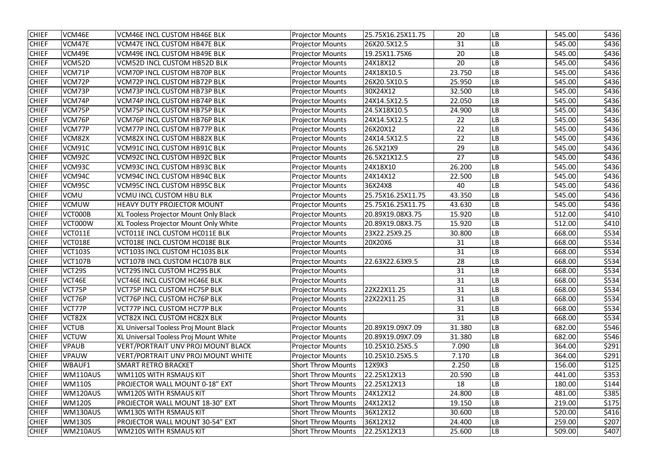| <b>CHIEF</b><br>VCM46E<br>25.75X16.25X11.75<br>20<br><b>VCM46E INCL CUSTOM HB46E BLK</b><br>545.00<br><b>Projector Mounts</b><br><b>LB</b><br><b>CHIEF</b><br>VCM47E<br>31<br>LВ<br><b>VCM47E INCL CUSTOM HB47E BLK</b><br>26X20.5X12.5<br>545.00<br><b>Projector Mounts</b><br><b>CHIEF</b><br><b>VCM49E INCL CUSTOM HB49E BLK</b><br>19.25X11.75X6<br>20<br>VCM49E<br><b>Projector Mounts</b><br>LB<br>545.00<br><b>CHIEF</b><br>LB<br>VCM52D<br><b>VCM52D INCL CUSTOM HB52D BLK</b><br><b>Projector Mounts</b><br>24X18X12<br>20<br>545.00<br><b>CHIEF</b><br>VCM71P<br><b>VCM70P INCL CUSTOM HB70P BLK</b><br><b>Projector Mounts</b><br>23.750<br>LB<br>24X18X10.5<br>545.00<br>VCM72P<br><b>VCM72P INCL CUSTOM HB72P BLK</b><br><b>Projector Mounts</b><br>26X20.5X10.5<br>25.950<br>LB<br>545.00<br><b>CHIEF</b><br>VCM73P<br><b>LB</b><br><b>VCM73P INCL CUSTOM HB73P BLK</b><br>30X24X12<br>32.500<br>545.00<br><b>Projector Mounts</b><br><b>CHIEF</b><br>VCM74P<br><b>VCM74P INCL CUSTOM HB74P BLK</b><br>24X14.5X12.5<br>22.050<br><b>LB</b><br>545.00<br><b>Projector Mounts</b><br><b>CHIEF</b><br>LВ<br>VCM75P<br><b>VCM75P INCL CUSTOM HB75P BLK</b><br><b>Projector Mounts</b><br>24.5X18X10.5<br>24.900<br>545.00<br><b>CHIEF</b><br>VCM76P<br>LB<br>VCM76P INCL CUSTOM HB76P BLK<br><b>Projector Mounts</b><br>24X14.5X12.5<br>545.00<br>22<br><b>CHIEF</b><br>VCM77P<br><b>VCM77P INCL CUSTOM HB77P BLK</b><br><b>Projector Mounts</b><br>26X20X12<br>22<br>LB<br>545.00<br>VCM82X<br>22<br>LВ<br>545.00<br><b>CHIEF</b><br><b>VCM82X INCL CUSTOM HB82X BLK</b><br><b>Projector Mounts</b><br>24X14.5X12.5<br><b>CHIEF</b><br>VCM91C<br>29<br>LВ<br>545.00<br><b>VCM91C INCL CUSTOM HB91C BLK</b><br>26.5X21X9<br><b>Projector Mounts</b><br>27<br><b>CHIEF</b><br>VCM92C<br>LB<br>545.00<br><b>VCM92C INCL CUSTOM HB92C BLK</b><br><b>Projector Mounts</b><br>26.5X21X12.5<br><b>CHIEF</b><br>VCM93C<br><b>VCM93C INCL CUSTOM HB93C BLK</b><br>24X18X10<br>26.200<br>LB<br>545.00<br><b>Projector Mounts</b><br><b>CHIEF</b><br>LB<br>VCM94C<br><b>VCM94C INCL CUSTOM HB94C BLK</b><br><b>Projector Mounts</b><br>24X14X12<br>22.500<br>545.00<br>LВ<br><b>CHIEF</b><br>VCM95C<br><b>VCM95C INCL CUSTOM HB95C BLK</b><br><b>Projector Mounts</b><br>36X24X8<br>545.00<br>40<br><b>CHIEF</b><br>25.75X16.25X11.75<br>${\sf LB}$<br><b>VCMU</b><br><b>VCMU INCL CUSTOM HBU BLK</b><br><b>Projector Mounts</b><br>43.350<br>545.00<br><b>CHIEF</b><br>LB<br><b>VCMUW</b><br><b>HEAVY DUTY PROJECTOR MOUNT</b><br>25.75X16.25X11.75<br>43.630<br>545.00<br><b>Projector Mounts</b><br><b>CHIEF</b><br>LB<br>VCT000B<br>20.89X19.08X3.75<br>512.00<br>XL Tooless Projector Mount Only Black<br>15.920<br><b>Projector Mounts</b><br><b>CHIEF</b><br>VCT000W<br>XL Tooless Projector Mount Only White<br>20.89X19.08X3.75<br>LВ<br><b>Projector Mounts</b><br>15.920<br>512.00<br><b>CHIEF</b><br>LВ<br>VCT011E<br>VCT011E INCL CUSTOM HC011E BLK<br>23X22.25X9.25<br>30.800<br>668.00<br><b>Projector Mounts</b><br><b>CHIEF</b><br>VCT018E<br>VCT018E INCL CUSTOM HC018E BLK<br>LB<br>668.00<br><b>Projector Mounts</b><br>20X20X6<br>31<br><b>CHIEF</b><br><b>VCT103S</b><br>VCT103S INCL CUSTOM HC103S BLK<br><b>Projector Mounts</b><br>31<br>LB<br>668.00<br><b>CHIEF</b><br>28<br><b>VCT107B</b><br>VCT107B INCL CUSTOM HC107B BLK<br>22.63X22.63X9.5<br>LB<br>668.00<br><b>Projector Mounts</b><br><b>CHIEF</b><br>31<br>VCT29S<br><b>VCT29S INCL CUSTOM HC29S BLK</b><br>LB<br>668.00<br><b>Projector Mounts</b><br>VCT46E<br>VCT46E INCL CUSTOM HC46E BLK<br>31<br>668.00<br><b>Projector Mounts</b><br>LB<br>22X22X11.25<br><b>LB</b><br>VCT75P<br><b>VCT75P INCL CUSTOM HC75P BLK</b><br><b>Projector Mounts</b><br>31<br>668.00<br>VCT76P<br><b>VCT76P INCL CUSTOM HC76P BLK</b><br><b>Projector Mounts</b><br>22X22X11.25<br>LВ<br>668.00<br>31<br>VCT77P INCL CUSTOM HC77P BLK<br><b>LB</b><br>668.00<br>VCT77P<br><b>Projector Mounts</b><br>31<br>VCT82X<br><b>VCT82X INCL CUSTOM HC82X BLK</b><br><b>LB</b><br>668.00<br><b>Projector Mounts</b><br>31<br><b>CHIEF</b><br><b>VCTUB</b><br>XL Universal Tooless Proj Mount Black<br><b>LB</b><br>682.00<br><b>Projector Mounts</b><br>20.89X19.09X7.09<br>31.380<br>XL Universal Tooless Proj Mount White<br><b>LB</b><br><b>VCTUW</b><br><b>Projector Mounts</b><br>20.89X19.09X7.09<br>31.380<br>682.00<br><b>CHIEF</b><br><b>VPAUB</b><br><b>VERT/PORTRAIT UNV PROJ MOUNT BLACK</b><br>10.25X10.25X5.5<br><b>LB</b><br><b>Projector Mounts</b><br>7.090<br>364.00<br><b>VPAUW</b><br><b>VERT/PORTRAIT UNV PROJ MOUNT WHITE</b><br><b>Projector Mounts</b><br>10.25X10.25X5.5<br><b>LB</b><br>364.00<br>7.170<br>WBAUF1<br><b>SMART RETRO BRACKET</b><br><b>LB</b><br><b>Short Throw Mounts</b><br>12X9X3<br>2.250<br>156.00<br><b>CHIEF</b><br>WM110AUS<br><b>WM110S WITH RSMAUS KIT</b><br><b>LB</b><br>441.00<br><b>Short Throw Mounts</b><br>22.25X12X13<br>20.590<br><b>WM110S</b><br>PROJECTOR WALL MOUNT 0-18" EXT<br>22.25X12X13<br><b>LB</b><br>180.00<br><b>Short Throw Mounts</b><br>18<br><b>CHIEF</b><br>LB<br>WM120AUS<br><b>WM120S WITH RSMAUS KIT</b><br><b>Short Throw Mounts</b><br>24X12X12<br>481.00<br>24.800<br><b>WM120S</b><br><b>Short Throw Mounts</b><br>24X12X12<br><b>LB</b><br>PROJECTOR WALL MOUNT 18-30" EXT<br>19.150<br>219.00<br><b>CHIEF</b><br><b>Short Throw Mounts</b><br>WM130AUS<br><b>WM130S WITH RSMAUS KIT</b><br>36X12X12<br>30.600<br><b>LB</b><br>520.00<br><b>WM130S</b><br>LB<br>259.00<br>PROJECTOR WALL MOUNT 30-54" EXT<br><b>Short Throw Mounts</b><br>36X12X12<br>24.400<br>LB<br>WM210AUS<br><b>WM210S WITH RSMAUS KIT</b><br><b>Short Throw Mounts</b><br>22.25X12X13<br>25.600<br>509.00 |  |  |  |  |       |
|-------------------------------------------------------------------------------------------------------------------------------------------------------------------------------------------------------------------------------------------------------------------------------------------------------------------------------------------------------------------------------------------------------------------------------------------------------------------------------------------------------------------------------------------------------------------------------------------------------------------------------------------------------------------------------------------------------------------------------------------------------------------------------------------------------------------------------------------------------------------------------------------------------------------------------------------------------------------------------------------------------------------------------------------------------------------------------------------------------------------------------------------------------------------------------------------------------------------------------------------------------------------------------------------------------------------------------------------------------------------------------------------------------------------------------------------------------------------------------------------------------------------------------------------------------------------------------------------------------------------------------------------------------------------------------------------------------------------------------------------------------------------------------------------------------------------------------------------------------------------------------------------------------------------------------------------------------------------------------------------------------------------------------------------------------------------------------------------------------------------------------------------------------------------------------------------------------------------------------------------------------------------------------------------------------------------------------------------------------------------------------------------------------------------------------------------------------------------------------------------------------------------------------------------------------------------------------------------------------------------------------------------------------------------------------------------------------------------------------------------------------------------------------------------------------------------------------------------------------------------------------------------------------------------------------------------------------------------------------------------------------------------------------------------------------------------------------------------------------------------------------------------------------------------------------------------------------------------------------------------------------------------------------------------------------------------------------------------------------------------------------------------------------------------------------------------------------------------------------------------------------------------------------------------------------------------------------------------------------------------------------------------------------------------------------------------------------------------------------------------------------------------------------------------------------------------------------------------------------------------------------------------------------------------------------------------------------------------------------------------------------------------------------------------------------------------------------------------------------------------------------------------------------------------------------------------------------------------------------------------------------------------------------------------------------------------------------------------------------------------------------------------------------------------------------------------------------------------------------------------------------------------------------------------------------------------------------------------------------------------------------------------------------------------------------------------------------------------------------------------------------------------------------------------------------------------------------------------------------------------------------------------------------------------------------------------------------------------------------------------------------------------------------------------------------------------------------------------------------------------------------------------------------------------------------------------------------------------------------------------------------------------------------------------------------------------------------------------------------------------------------------------------------------------------------------------------------------------------------------------------------------------------------------------------------------------------------------------------------------------------------------------------------------------------------------------------------------------------------------|--|--|--|--|-------|
| <b>CHIEF</b><br><b>CHIEF</b><br><b>CHIEF</b><br><b>CHIEF</b><br><b>CHIEF</b><br><b>CHIEF</b><br><b>CHIEF</b><br><b>CHIEF</b><br><b>CHIEF</b><br><b>CHIEF</b><br><b>CHIEF</b><br><b>CHIEF</b><br><b>CHIEF</b>                                                                                                                                                                                                                                                                                                                                                                                                                                                                                                                                                                                                                                                                                                                                                                                                                                                                                                                                                                                                                                                                                                                                                                                                                                                                                                                                                                                                                                                                                                                                                                                                                                                                                                                                                                                                                                                                                                                                                                                                                                                                                                                                                                                                                                                                                                                                                                                                                                                                                                                                                                                                                                                                                                                                                                                                                                                                                                                                                                                                                                                                                                                                                                                                                                                                                                                                                                                                                                                                                                                                                                                                                                                                                                                                                                                                                                                                                                                                                                                                                                                                                                                                                                                                                                                                                                                                                                                                                                                                                                                                                                                                                                                                                                                                                                                                                                                                                                                                                                                                                                                                                                                                                                                                                                                                                                                                                                                                                                                                                                                        |  |  |  |  | \$436 |
|                                                                                                                                                                                                                                                                                                                                                                                                                                                                                                                                                                                                                                                                                                                                                                                                                                                                                                                                                                                                                                                                                                                                                                                                                                                                                                                                                                                                                                                                                                                                                                                                                                                                                                                                                                                                                                                                                                                                                                                                                                                                                                                                                                                                                                                                                                                                                                                                                                                                                                                                                                                                                                                                                                                                                                                                                                                                                                                                                                                                                                                                                                                                                                                                                                                                                                                                                                                                                                                                                                                                                                                                                                                                                                                                                                                                                                                                                                                                                                                                                                                                                                                                                                                                                                                                                                                                                                                                                                                                                                                                                                                                                                                                                                                                                                                                                                                                                                                                                                                                                                                                                                                                                                                                                                                                                                                                                                                                                                                                                                                                                                                                                                                                                                                                     |  |  |  |  | \$436 |
|                                                                                                                                                                                                                                                                                                                                                                                                                                                                                                                                                                                                                                                                                                                                                                                                                                                                                                                                                                                                                                                                                                                                                                                                                                                                                                                                                                                                                                                                                                                                                                                                                                                                                                                                                                                                                                                                                                                                                                                                                                                                                                                                                                                                                                                                                                                                                                                                                                                                                                                                                                                                                                                                                                                                                                                                                                                                                                                                                                                                                                                                                                                                                                                                                                                                                                                                                                                                                                                                                                                                                                                                                                                                                                                                                                                                                                                                                                                                                                                                                                                                                                                                                                                                                                                                                                                                                                                                                                                                                                                                                                                                                                                                                                                                                                                                                                                                                                                                                                                                                                                                                                                                                                                                                                                                                                                                                                                                                                                                                                                                                                                                                                                                                                                                     |  |  |  |  | \$436 |
|                                                                                                                                                                                                                                                                                                                                                                                                                                                                                                                                                                                                                                                                                                                                                                                                                                                                                                                                                                                                                                                                                                                                                                                                                                                                                                                                                                                                                                                                                                                                                                                                                                                                                                                                                                                                                                                                                                                                                                                                                                                                                                                                                                                                                                                                                                                                                                                                                                                                                                                                                                                                                                                                                                                                                                                                                                                                                                                                                                                                                                                                                                                                                                                                                                                                                                                                                                                                                                                                                                                                                                                                                                                                                                                                                                                                                                                                                                                                                                                                                                                                                                                                                                                                                                                                                                                                                                                                                                                                                                                                                                                                                                                                                                                                                                                                                                                                                                                                                                                                                                                                                                                                                                                                                                                                                                                                                                                                                                                                                                                                                                                                                                                                                                                                     |  |  |  |  | \$436 |
|                                                                                                                                                                                                                                                                                                                                                                                                                                                                                                                                                                                                                                                                                                                                                                                                                                                                                                                                                                                                                                                                                                                                                                                                                                                                                                                                                                                                                                                                                                                                                                                                                                                                                                                                                                                                                                                                                                                                                                                                                                                                                                                                                                                                                                                                                                                                                                                                                                                                                                                                                                                                                                                                                                                                                                                                                                                                                                                                                                                                                                                                                                                                                                                                                                                                                                                                                                                                                                                                                                                                                                                                                                                                                                                                                                                                                                                                                                                                                                                                                                                                                                                                                                                                                                                                                                                                                                                                                                                                                                                                                                                                                                                                                                                                                                                                                                                                                                                                                                                                                                                                                                                                                                                                                                                                                                                                                                                                                                                                                                                                                                                                                                                                                                                                     |  |  |  |  | \$436 |
|                                                                                                                                                                                                                                                                                                                                                                                                                                                                                                                                                                                                                                                                                                                                                                                                                                                                                                                                                                                                                                                                                                                                                                                                                                                                                                                                                                                                                                                                                                                                                                                                                                                                                                                                                                                                                                                                                                                                                                                                                                                                                                                                                                                                                                                                                                                                                                                                                                                                                                                                                                                                                                                                                                                                                                                                                                                                                                                                                                                                                                                                                                                                                                                                                                                                                                                                                                                                                                                                                                                                                                                                                                                                                                                                                                                                                                                                                                                                                                                                                                                                                                                                                                                                                                                                                                                                                                                                                                                                                                                                                                                                                                                                                                                                                                                                                                                                                                                                                                                                                                                                                                                                                                                                                                                                                                                                                                                                                                                                                                                                                                                                                                                                                                                                     |  |  |  |  | \$436 |
|                                                                                                                                                                                                                                                                                                                                                                                                                                                                                                                                                                                                                                                                                                                                                                                                                                                                                                                                                                                                                                                                                                                                                                                                                                                                                                                                                                                                                                                                                                                                                                                                                                                                                                                                                                                                                                                                                                                                                                                                                                                                                                                                                                                                                                                                                                                                                                                                                                                                                                                                                                                                                                                                                                                                                                                                                                                                                                                                                                                                                                                                                                                                                                                                                                                                                                                                                                                                                                                                                                                                                                                                                                                                                                                                                                                                                                                                                                                                                                                                                                                                                                                                                                                                                                                                                                                                                                                                                                                                                                                                                                                                                                                                                                                                                                                                                                                                                                                                                                                                                                                                                                                                                                                                                                                                                                                                                                                                                                                                                                                                                                                                                                                                                                                                     |  |  |  |  | \$436 |
|                                                                                                                                                                                                                                                                                                                                                                                                                                                                                                                                                                                                                                                                                                                                                                                                                                                                                                                                                                                                                                                                                                                                                                                                                                                                                                                                                                                                                                                                                                                                                                                                                                                                                                                                                                                                                                                                                                                                                                                                                                                                                                                                                                                                                                                                                                                                                                                                                                                                                                                                                                                                                                                                                                                                                                                                                                                                                                                                                                                                                                                                                                                                                                                                                                                                                                                                                                                                                                                                                                                                                                                                                                                                                                                                                                                                                                                                                                                                                                                                                                                                                                                                                                                                                                                                                                                                                                                                                                                                                                                                                                                                                                                                                                                                                                                                                                                                                                                                                                                                                                                                                                                                                                                                                                                                                                                                                                                                                                                                                                                                                                                                                                                                                                                                     |  |  |  |  | \$436 |
|                                                                                                                                                                                                                                                                                                                                                                                                                                                                                                                                                                                                                                                                                                                                                                                                                                                                                                                                                                                                                                                                                                                                                                                                                                                                                                                                                                                                                                                                                                                                                                                                                                                                                                                                                                                                                                                                                                                                                                                                                                                                                                                                                                                                                                                                                                                                                                                                                                                                                                                                                                                                                                                                                                                                                                                                                                                                                                                                                                                                                                                                                                                                                                                                                                                                                                                                                                                                                                                                                                                                                                                                                                                                                                                                                                                                                                                                                                                                                                                                                                                                                                                                                                                                                                                                                                                                                                                                                                                                                                                                                                                                                                                                                                                                                                                                                                                                                                                                                                                                                                                                                                                                                                                                                                                                                                                                                                                                                                                                                                                                                                                                                                                                                                                                     |  |  |  |  | \$436 |
|                                                                                                                                                                                                                                                                                                                                                                                                                                                                                                                                                                                                                                                                                                                                                                                                                                                                                                                                                                                                                                                                                                                                                                                                                                                                                                                                                                                                                                                                                                                                                                                                                                                                                                                                                                                                                                                                                                                                                                                                                                                                                                                                                                                                                                                                                                                                                                                                                                                                                                                                                                                                                                                                                                                                                                                                                                                                                                                                                                                                                                                                                                                                                                                                                                                                                                                                                                                                                                                                                                                                                                                                                                                                                                                                                                                                                                                                                                                                                                                                                                                                                                                                                                                                                                                                                                                                                                                                                                                                                                                                                                                                                                                                                                                                                                                                                                                                                                                                                                                                                                                                                                                                                                                                                                                                                                                                                                                                                                                                                                                                                                                                                                                                                                                                     |  |  |  |  | \$436 |
|                                                                                                                                                                                                                                                                                                                                                                                                                                                                                                                                                                                                                                                                                                                                                                                                                                                                                                                                                                                                                                                                                                                                                                                                                                                                                                                                                                                                                                                                                                                                                                                                                                                                                                                                                                                                                                                                                                                                                                                                                                                                                                                                                                                                                                                                                                                                                                                                                                                                                                                                                                                                                                                                                                                                                                                                                                                                                                                                                                                                                                                                                                                                                                                                                                                                                                                                                                                                                                                                                                                                                                                                                                                                                                                                                                                                                                                                                                                                                                                                                                                                                                                                                                                                                                                                                                                                                                                                                                                                                                                                                                                                                                                                                                                                                                                                                                                                                                                                                                                                                                                                                                                                                                                                                                                                                                                                                                                                                                                                                                                                                                                                                                                                                                                                     |  |  |  |  | \$436 |
|                                                                                                                                                                                                                                                                                                                                                                                                                                                                                                                                                                                                                                                                                                                                                                                                                                                                                                                                                                                                                                                                                                                                                                                                                                                                                                                                                                                                                                                                                                                                                                                                                                                                                                                                                                                                                                                                                                                                                                                                                                                                                                                                                                                                                                                                                                                                                                                                                                                                                                                                                                                                                                                                                                                                                                                                                                                                                                                                                                                                                                                                                                                                                                                                                                                                                                                                                                                                                                                                                                                                                                                                                                                                                                                                                                                                                                                                                                                                                                                                                                                                                                                                                                                                                                                                                                                                                                                                                                                                                                                                                                                                                                                                                                                                                                                                                                                                                                                                                                                                                                                                                                                                                                                                                                                                                                                                                                                                                                                                                                                                                                                                                                                                                                                                     |  |  |  |  | \$436 |
|                                                                                                                                                                                                                                                                                                                                                                                                                                                                                                                                                                                                                                                                                                                                                                                                                                                                                                                                                                                                                                                                                                                                                                                                                                                                                                                                                                                                                                                                                                                                                                                                                                                                                                                                                                                                                                                                                                                                                                                                                                                                                                                                                                                                                                                                                                                                                                                                                                                                                                                                                                                                                                                                                                                                                                                                                                                                                                                                                                                                                                                                                                                                                                                                                                                                                                                                                                                                                                                                                                                                                                                                                                                                                                                                                                                                                                                                                                                                                                                                                                                                                                                                                                                                                                                                                                                                                                                                                                                                                                                                                                                                                                                                                                                                                                                                                                                                                                                                                                                                                                                                                                                                                                                                                                                                                                                                                                                                                                                                                                                                                                                                                                                                                                                                     |  |  |  |  | \$436 |
|                                                                                                                                                                                                                                                                                                                                                                                                                                                                                                                                                                                                                                                                                                                                                                                                                                                                                                                                                                                                                                                                                                                                                                                                                                                                                                                                                                                                                                                                                                                                                                                                                                                                                                                                                                                                                                                                                                                                                                                                                                                                                                                                                                                                                                                                                                                                                                                                                                                                                                                                                                                                                                                                                                                                                                                                                                                                                                                                                                                                                                                                                                                                                                                                                                                                                                                                                                                                                                                                                                                                                                                                                                                                                                                                                                                                                                                                                                                                                                                                                                                                                                                                                                                                                                                                                                                                                                                                                                                                                                                                                                                                                                                                                                                                                                                                                                                                                                                                                                                                                                                                                                                                                                                                                                                                                                                                                                                                                                                                                                                                                                                                                                                                                                                                     |  |  |  |  | \$436 |
|                                                                                                                                                                                                                                                                                                                                                                                                                                                                                                                                                                                                                                                                                                                                                                                                                                                                                                                                                                                                                                                                                                                                                                                                                                                                                                                                                                                                                                                                                                                                                                                                                                                                                                                                                                                                                                                                                                                                                                                                                                                                                                                                                                                                                                                                                                                                                                                                                                                                                                                                                                                                                                                                                                                                                                                                                                                                                                                                                                                                                                                                                                                                                                                                                                                                                                                                                                                                                                                                                                                                                                                                                                                                                                                                                                                                                                                                                                                                                                                                                                                                                                                                                                                                                                                                                                                                                                                                                                                                                                                                                                                                                                                                                                                                                                                                                                                                                                                                                                                                                                                                                                                                                                                                                                                                                                                                                                                                                                                                                                                                                                                                                                                                                                                                     |  |  |  |  | \$436 |
|                                                                                                                                                                                                                                                                                                                                                                                                                                                                                                                                                                                                                                                                                                                                                                                                                                                                                                                                                                                                                                                                                                                                                                                                                                                                                                                                                                                                                                                                                                                                                                                                                                                                                                                                                                                                                                                                                                                                                                                                                                                                                                                                                                                                                                                                                                                                                                                                                                                                                                                                                                                                                                                                                                                                                                                                                                                                                                                                                                                                                                                                                                                                                                                                                                                                                                                                                                                                                                                                                                                                                                                                                                                                                                                                                                                                                                                                                                                                                                                                                                                                                                                                                                                                                                                                                                                                                                                                                                                                                                                                                                                                                                                                                                                                                                                                                                                                                                                                                                                                                                                                                                                                                                                                                                                                                                                                                                                                                                                                                                                                                                                                                                                                                                                                     |  |  |  |  | \$436 |
|                                                                                                                                                                                                                                                                                                                                                                                                                                                                                                                                                                                                                                                                                                                                                                                                                                                                                                                                                                                                                                                                                                                                                                                                                                                                                                                                                                                                                                                                                                                                                                                                                                                                                                                                                                                                                                                                                                                                                                                                                                                                                                                                                                                                                                                                                                                                                                                                                                                                                                                                                                                                                                                                                                                                                                                                                                                                                                                                                                                                                                                                                                                                                                                                                                                                                                                                                                                                                                                                                                                                                                                                                                                                                                                                                                                                                                                                                                                                                                                                                                                                                                                                                                                                                                                                                                                                                                                                                                                                                                                                                                                                                                                                                                                                                                                                                                                                                                                                                                                                                                                                                                                                                                                                                                                                                                                                                                                                                                                                                                                                                                                                                                                                                                                                     |  |  |  |  | \$436 |
|                                                                                                                                                                                                                                                                                                                                                                                                                                                                                                                                                                                                                                                                                                                                                                                                                                                                                                                                                                                                                                                                                                                                                                                                                                                                                                                                                                                                                                                                                                                                                                                                                                                                                                                                                                                                                                                                                                                                                                                                                                                                                                                                                                                                                                                                                                                                                                                                                                                                                                                                                                                                                                                                                                                                                                                                                                                                                                                                                                                                                                                                                                                                                                                                                                                                                                                                                                                                                                                                                                                                                                                                                                                                                                                                                                                                                                                                                                                                                                                                                                                                                                                                                                                                                                                                                                                                                                                                                                                                                                                                                                                                                                                                                                                                                                                                                                                                                                                                                                                                                                                                                                                                                                                                                                                                                                                                                                                                                                                                                                                                                                                                                                                                                                                                     |  |  |  |  | \$436 |
|                                                                                                                                                                                                                                                                                                                                                                                                                                                                                                                                                                                                                                                                                                                                                                                                                                                                                                                                                                                                                                                                                                                                                                                                                                                                                                                                                                                                                                                                                                                                                                                                                                                                                                                                                                                                                                                                                                                                                                                                                                                                                                                                                                                                                                                                                                                                                                                                                                                                                                                                                                                                                                                                                                                                                                                                                                                                                                                                                                                                                                                                                                                                                                                                                                                                                                                                                                                                                                                                                                                                                                                                                                                                                                                                                                                                                                                                                                                                                                                                                                                                                                                                                                                                                                                                                                                                                                                                                                                                                                                                                                                                                                                                                                                                                                                                                                                                                                                                                                                                                                                                                                                                                                                                                                                                                                                                                                                                                                                                                                                                                                                                                                                                                                                                     |  |  |  |  | \$436 |
|                                                                                                                                                                                                                                                                                                                                                                                                                                                                                                                                                                                                                                                                                                                                                                                                                                                                                                                                                                                                                                                                                                                                                                                                                                                                                                                                                                                                                                                                                                                                                                                                                                                                                                                                                                                                                                                                                                                                                                                                                                                                                                                                                                                                                                                                                                                                                                                                                                                                                                                                                                                                                                                                                                                                                                                                                                                                                                                                                                                                                                                                                                                                                                                                                                                                                                                                                                                                                                                                                                                                                                                                                                                                                                                                                                                                                                                                                                                                                                                                                                                                                                                                                                                                                                                                                                                                                                                                                                                                                                                                                                                                                                                                                                                                                                                                                                                                                                                                                                                                                                                                                                                                                                                                                                                                                                                                                                                                                                                                                                                                                                                                                                                                                                                                     |  |  |  |  | \$410 |
|                                                                                                                                                                                                                                                                                                                                                                                                                                                                                                                                                                                                                                                                                                                                                                                                                                                                                                                                                                                                                                                                                                                                                                                                                                                                                                                                                                                                                                                                                                                                                                                                                                                                                                                                                                                                                                                                                                                                                                                                                                                                                                                                                                                                                                                                                                                                                                                                                                                                                                                                                                                                                                                                                                                                                                                                                                                                                                                                                                                                                                                                                                                                                                                                                                                                                                                                                                                                                                                                                                                                                                                                                                                                                                                                                                                                                                                                                                                                                                                                                                                                                                                                                                                                                                                                                                                                                                                                                                                                                                                                                                                                                                                                                                                                                                                                                                                                                                                                                                                                                                                                                                                                                                                                                                                                                                                                                                                                                                                                                                                                                                                                                                                                                                                                     |  |  |  |  | \$410 |
|                                                                                                                                                                                                                                                                                                                                                                                                                                                                                                                                                                                                                                                                                                                                                                                                                                                                                                                                                                                                                                                                                                                                                                                                                                                                                                                                                                                                                                                                                                                                                                                                                                                                                                                                                                                                                                                                                                                                                                                                                                                                                                                                                                                                                                                                                                                                                                                                                                                                                                                                                                                                                                                                                                                                                                                                                                                                                                                                                                                                                                                                                                                                                                                                                                                                                                                                                                                                                                                                                                                                                                                                                                                                                                                                                                                                                                                                                                                                                                                                                                                                                                                                                                                                                                                                                                                                                                                                                                                                                                                                                                                                                                                                                                                                                                                                                                                                                                                                                                                                                                                                                                                                                                                                                                                                                                                                                                                                                                                                                                                                                                                                                                                                                                                                     |  |  |  |  | \$534 |
|                                                                                                                                                                                                                                                                                                                                                                                                                                                                                                                                                                                                                                                                                                                                                                                                                                                                                                                                                                                                                                                                                                                                                                                                                                                                                                                                                                                                                                                                                                                                                                                                                                                                                                                                                                                                                                                                                                                                                                                                                                                                                                                                                                                                                                                                                                                                                                                                                                                                                                                                                                                                                                                                                                                                                                                                                                                                                                                                                                                                                                                                                                                                                                                                                                                                                                                                                                                                                                                                                                                                                                                                                                                                                                                                                                                                                                                                                                                                                                                                                                                                                                                                                                                                                                                                                                                                                                                                                                                                                                                                                                                                                                                                                                                                                                                                                                                                                                                                                                                                                                                                                                                                                                                                                                                                                                                                                                                                                                                                                                                                                                                                                                                                                                                                     |  |  |  |  | \$534 |
|                                                                                                                                                                                                                                                                                                                                                                                                                                                                                                                                                                                                                                                                                                                                                                                                                                                                                                                                                                                                                                                                                                                                                                                                                                                                                                                                                                                                                                                                                                                                                                                                                                                                                                                                                                                                                                                                                                                                                                                                                                                                                                                                                                                                                                                                                                                                                                                                                                                                                                                                                                                                                                                                                                                                                                                                                                                                                                                                                                                                                                                                                                                                                                                                                                                                                                                                                                                                                                                                                                                                                                                                                                                                                                                                                                                                                                                                                                                                                                                                                                                                                                                                                                                                                                                                                                                                                                                                                                                                                                                                                                                                                                                                                                                                                                                                                                                                                                                                                                                                                                                                                                                                                                                                                                                                                                                                                                                                                                                                                                                                                                                                                                                                                                                                     |  |  |  |  | \$534 |
|                                                                                                                                                                                                                                                                                                                                                                                                                                                                                                                                                                                                                                                                                                                                                                                                                                                                                                                                                                                                                                                                                                                                                                                                                                                                                                                                                                                                                                                                                                                                                                                                                                                                                                                                                                                                                                                                                                                                                                                                                                                                                                                                                                                                                                                                                                                                                                                                                                                                                                                                                                                                                                                                                                                                                                                                                                                                                                                                                                                                                                                                                                                                                                                                                                                                                                                                                                                                                                                                                                                                                                                                                                                                                                                                                                                                                                                                                                                                                                                                                                                                                                                                                                                                                                                                                                                                                                                                                                                                                                                                                                                                                                                                                                                                                                                                                                                                                                                                                                                                                                                                                                                                                                                                                                                                                                                                                                                                                                                                                                                                                                                                                                                                                                                                     |  |  |  |  | \$534 |
|                                                                                                                                                                                                                                                                                                                                                                                                                                                                                                                                                                                                                                                                                                                                                                                                                                                                                                                                                                                                                                                                                                                                                                                                                                                                                                                                                                                                                                                                                                                                                                                                                                                                                                                                                                                                                                                                                                                                                                                                                                                                                                                                                                                                                                                                                                                                                                                                                                                                                                                                                                                                                                                                                                                                                                                                                                                                                                                                                                                                                                                                                                                                                                                                                                                                                                                                                                                                                                                                                                                                                                                                                                                                                                                                                                                                                                                                                                                                                                                                                                                                                                                                                                                                                                                                                                                                                                                                                                                                                                                                                                                                                                                                                                                                                                                                                                                                                                                                                                                                                                                                                                                                                                                                                                                                                                                                                                                                                                                                                                                                                                                                                                                                                                                                     |  |  |  |  | \$534 |
|                                                                                                                                                                                                                                                                                                                                                                                                                                                                                                                                                                                                                                                                                                                                                                                                                                                                                                                                                                                                                                                                                                                                                                                                                                                                                                                                                                                                                                                                                                                                                                                                                                                                                                                                                                                                                                                                                                                                                                                                                                                                                                                                                                                                                                                                                                                                                                                                                                                                                                                                                                                                                                                                                                                                                                                                                                                                                                                                                                                                                                                                                                                                                                                                                                                                                                                                                                                                                                                                                                                                                                                                                                                                                                                                                                                                                                                                                                                                                                                                                                                                                                                                                                                                                                                                                                                                                                                                                                                                                                                                                                                                                                                                                                                                                                                                                                                                                                                                                                                                                                                                                                                                                                                                                                                                                                                                                                                                                                                                                                                                                                                                                                                                                                                                     |  |  |  |  | \$534 |
|                                                                                                                                                                                                                                                                                                                                                                                                                                                                                                                                                                                                                                                                                                                                                                                                                                                                                                                                                                                                                                                                                                                                                                                                                                                                                                                                                                                                                                                                                                                                                                                                                                                                                                                                                                                                                                                                                                                                                                                                                                                                                                                                                                                                                                                                                                                                                                                                                                                                                                                                                                                                                                                                                                                                                                                                                                                                                                                                                                                                                                                                                                                                                                                                                                                                                                                                                                                                                                                                                                                                                                                                                                                                                                                                                                                                                                                                                                                                                                                                                                                                                                                                                                                                                                                                                                                                                                                                                                                                                                                                                                                                                                                                                                                                                                                                                                                                                                                                                                                                                                                                                                                                                                                                                                                                                                                                                                                                                                                                                                                                                                                                                                                                                                                                     |  |  |  |  | \$534 |
|                                                                                                                                                                                                                                                                                                                                                                                                                                                                                                                                                                                                                                                                                                                                                                                                                                                                                                                                                                                                                                                                                                                                                                                                                                                                                                                                                                                                                                                                                                                                                                                                                                                                                                                                                                                                                                                                                                                                                                                                                                                                                                                                                                                                                                                                                                                                                                                                                                                                                                                                                                                                                                                                                                                                                                                                                                                                                                                                                                                                                                                                                                                                                                                                                                                                                                                                                                                                                                                                                                                                                                                                                                                                                                                                                                                                                                                                                                                                                                                                                                                                                                                                                                                                                                                                                                                                                                                                                                                                                                                                                                                                                                                                                                                                                                                                                                                                                                                                                                                                                                                                                                                                                                                                                                                                                                                                                                                                                                                                                                                                                                                                                                                                                                                                     |  |  |  |  | \$534 |
|                                                                                                                                                                                                                                                                                                                                                                                                                                                                                                                                                                                                                                                                                                                                                                                                                                                                                                                                                                                                                                                                                                                                                                                                                                                                                                                                                                                                                                                                                                                                                                                                                                                                                                                                                                                                                                                                                                                                                                                                                                                                                                                                                                                                                                                                                                                                                                                                                                                                                                                                                                                                                                                                                                                                                                                                                                                                                                                                                                                                                                                                                                                                                                                                                                                                                                                                                                                                                                                                                                                                                                                                                                                                                                                                                                                                                                                                                                                                                                                                                                                                                                                                                                                                                                                                                                                                                                                                                                                                                                                                                                                                                                                                                                                                                                                                                                                                                                                                                                                                                                                                                                                                                                                                                                                                                                                                                                                                                                                                                                                                                                                                                                                                                                                                     |  |  |  |  | \$534 |
|                                                                                                                                                                                                                                                                                                                                                                                                                                                                                                                                                                                                                                                                                                                                                                                                                                                                                                                                                                                                                                                                                                                                                                                                                                                                                                                                                                                                                                                                                                                                                                                                                                                                                                                                                                                                                                                                                                                                                                                                                                                                                                                                                                                                                                                                                                                                                                                                                                                                                                                                                                                                                                                                                                                                                                                                                                                                                                                                                                                                                                                                                                                                                                                                                                                                                                                                                                                                                                                                                                                                                                                                                                                                                                                                                                                                                                                                                                                                                                                                                                                                                                                                                                                                                                                                                                                                                                                                                                                                                                                                                                                                                                                                                                                                                                                                                                                                                                                                                                                                                                                                                                                                                                                                                                                                                                                                                                                                                                                                                                                                                                                                                                                                                                                                     |  |  |  |  | \$534 |
|                                                                                                                                                                                                                                                                                                                                                                                                                                                                                                                                                                                                                                                                                                                                                                                                                                                                                                                                                                                                                                                                                                                                                                                                                                                                                                                                                                                                                                                                                                                                                                                                                                                                                                                                                                                                                                                                                                                                                                                                                                                                                                                                                                                                                                                                                                                                                                                                                                                                                                                                                                                                                                                                                                                                                                                                                                                                                                                                                                                                                                                                                                                                                                                                                                                                                                                                                                                                                                                                                                                                                                                                                                                                                                                                                                                                                                                                                                                                                                                                                                                                                                                                                                                                                                                                                                                                                                                                                                                                                                                                                                                                                                                                                                                                                                                                                                                                                                                                                                                                                                                                                                                                                                                                                                                                                                                                                                                                                                                                                                                                                                                                                                                                                                                                     |  |  |  |  | \$546 |
|                                                                                                                                                                                                                                                                                                                                                                                                                                                                                                                                                                                                                                                                                                                                                                                                                                                                                                                                                                                                                                                                                                                                                                                                                                                                                                                                                                                                                                                                                                                                                                                                                                                                                                                                                                                                                                                                                                                                                                                                                                                                                                                                                                                                                                                                                                                                                                                                                                                                                                                                                                                                                                                                                                                                                                                                                                                                                                                                                                                                                                                                                                                                                                                                                                                                                                                                                                                                                                                                                                                                                                                                                                                                                                                                                                                                                                                                                                                                                                                                                                                                                                                                                                                                                                                                                                                                                                                                                                                                                                                                                                                                                                                                                                                                                                                                                                                                                                                                                                                                                                                                                                                                                                                                                                                                                                                                                                                                                                                                                                                                                                                                                                                                                                                                     |  |  |  |  | \$546 |
|                                                                                                                                                                                                                                                                                                                                                                                                                                                                                                                                                                                                                                                                                                                                                                                                                                                                                                                                                                                                                                                                                                                                                                                                                                                                                                                                                                                                                                                                                                                                                                                                                                                                                                                                                                                                                                                                                                                                                                                                                                                                                                                                                                                                                                                                                                                                                                                                                                                                                                                                                                                                                                                                                                                                                                                                                                                                                                                                                                                                                                                                                                                                                                                                                                                                                                                                                                                                                                                                                                                                                                                                                                                                                                                                                                                                                                                                                                                                                                                                                                                                                                                                                                                                                                                                                                                                                                                                                                                                                                                                                                                                                                                                                                                                                                                                                                                                                                                                                                                                                                                                                                                                                                                                                                                                                                                                                                                                                                                                                                                                                                                                                                                                                                                                     |  |  |  |  | \$291 |
|                                                                                                                                                                                                                                                                                                                                                                                                                                                                                                                                                                                                                                                                                                                                                                                                                                                                                                                                                                                                                                                                                                                                                                                                                                                                                                                                                                                                                                                                                                                                                                                                                                                                                                                                                                                                                                                                                                                                                                                                                                                                                                                                                                                                                                                                                                                                                                                                                                                                                                                                                                                                                                                                                                                                                                                                                                                                                                                                                                                                                                                                                                                                                                                                                                                                                                                                                                                                                                                                                                                                                                                                                                                                                                                                                                                                                                                                                                                                                                                                                                                                                                                                                                                                                                                                                                                                                                                                                                                                                                                                                                                                                                                                                                                                                                                                                                                                                                                                                                                                                                                                                                                                                                                                                                                                                                                                                                                                                                                                                                                                                                                                                                                                                                                                     |  |  |  |  | \$291 |
|                                                                                                                                                                                                                                                                                                                                                                                                                                                                                                                                                                                                                                                                                                                                                                                                                                                                                                                                                                                                                                                                                                                                                                                                                                                                                                                                                                                                                                                                                                                                                                                                                                                                                                                                                                                                                                                                                                                                                                                                                                                                                                                                                                                                                                                                                                                                                                                                                                                                                                                                                                                                                                                                                                                                                                                                                                                                                                                                                                                                                                                                                                                                                                                                                                                                                                                                                                                                                                                                                                                                                                                                                                                                                                                                                                                                                                                                                                                                                                                                                                                                                                                                                                                                                                                                                                                                                                                                                                                                                                                                                                                                                                                                                                                                                                                                                                                                                                                                                                                                                                                                                                                                                                                                                                                                                                                                                                                                                                                                                                                                                                                                                                                                                                                                     |  |  |  |  | \$125 |
|                                                                                                                                                                                                                                                                                                                                                                                                                                                                                                                                                                                                                                                                                                                                                                                                                                                                                                                                                                                                                                                                                                                                                                                                                                                                                                                                                                                                                                                                                                                                                                                                                                                                                                                                                                                                                                                                                                                                                                                                                                                                                                                                                                                                                                                                                                                                                                                                                                                                                                                                                                                                                                                                                                                                                                                                                                                                                                                                                                                                                                                                                                                                                                                                                                                                                                                                                                                                                                                                                                                                                                                                                                                                                                                                                                                                                                                                                                                                                                                                                                                                                                                                                                                                                                                                                                                                                                                                                                                                                                                                                                                                                                                                                                                                                                                                                                                                                                                                                                                                                                                                                                                                                                                                                                                                                                                                                                                                                                                                                                                                                                                                                                                                                                                                     |  |  |  |  | \$353 |
|                                                                                                                                                                                                                                                                                                                                                                                                                                                                                                                                                                                                                                                                                                                                                                                                                                                                                                                                                                                                                                                                                                                                                                                                                                                                                                                                                                                                                                                                                                                                                                                                                                                                                                                                                                                                                                                                                                                                                                                                                                                                                                                                                                                                                                                                                                                                                                                                                                                                                                                                                                                                                                                                                                                                                                                                                                                                                                                                                                                                                                                                                                                                                                                                                                                                                                                                                                                                                                                                                                                                                                                                                                                                                                                                                                                                                                                                                                                                                                                                                                                                                                                                                                                                                                                                                                                                                                                                                                                                                                                                                                                                                                                                                                                                                                                                                                                                                                                                                                                                                                                                                                                                                                                                                                                                                                                                                                                                                                                                                                                                                                                                                                                                                                                                     |  |  |  |  | \$144 |
|                                                                                                                                                                                                                                                                                                                                                                                                                                                                                                                                                                                                                                                                                                                                                                                                                                                                                                                                                                                                                                                                                                                                                                                                                                                                                                                                                                                                                                                                                                                                                                                                                                                                                                                                                                                                                                                                                                                                                                                                                                                                                                                                                                                                                                                                                                                                                                                                                                                                                                                                                                                                                                                                                                                                                                                                                                                                                                                                                                                                                                                                                                                                                                                                                                                                                                                                                                                                                                                                                                                                                                                                                                                                                                                                                                                                                                                                                                                                                                                                                                                                                                                                                                                                                                                                                                                                                                                                                                                                                                                                                                                                                                                                                                                                                                                                                                                                                                                                                                                                                                                                                                                                                                                                                                                                                                                                                                                                                                                                                                                                                                                                                                                                                                                                     |  |  |  |  | \$385 |
|                                                                                                                                                                                                                                                                                                                                                                                                                                                                                                                                                                                                                                                                                                                                                                                                                                                                                                                                                                                                                                                                                                                                                                                                                                                                                                                                                                                                                                                                                                                                                                                                                                                                                                                                                                                                                                                                                                                                                                                                                                                                                                                                                                                                                                                                                                                                                                                                                                                                                                                                                                                                                                                                                                                                                                                                                                                                                                                                                                                                                                                                                                                                                                                                                                                                                                                                                                                                                                                                                                                                                                                                                                                                                                                                                                                                                                                                                                                                                                                                                                                                                                                                                                                                                                                                                                                                                                                                                                                                                                                                                                                                                                                                                                                                                                                                                                                                                                                                                                                                                                                                                                                                                                                                                                                                                                                                                                                                                                                                                                                                                                                                                                                                                                                                     |  |  |  |  | \$175 |
|                                                                                                                                                                                                                                                                                                                                                                                                                                                                                                                                                                                                                                                                                                                                                                                                                                                                                                                                                                                                                                                                                                                                                                                                                                                                                                                                                                                                                                                                                                                                                                                                                                                                                                                                                                                                                                                                                                                                                                                                                                                                                                                                                                                                                                                                                                                                                                                                                                                                                                                                                                                                                                                                                                                                                                                                                                                                                                                                                                                                                                                                                                                                                                                                                                                                                                                                                                                                                                                                                                                                                                                                                                                                                                                                                                                                                                                                                                                                                                                                                                                                                                                                                                                                                                                                                                                                                                                                                                                                                                                                                                                                                                                                                                                                                                                                                                                                                                                                                                                                                                                                                                                                                                                                                                                                                                                                                                                                                                                                                                                                                                                                                                                                                                                                     |  |  |  |  | \$416 |
|                                                                                                                                                                                                                                                                                                                                                                                                                                                                                                                                                                                                                                                                                                                                                                                                                                                                                                                                                                                                                                                                                                                                                                                                                                                                                                                                                                                                                                                                                                                                                                                                                                                                                                                                                                                                                                                                                                                                                                                                                                                                                                                                                                                                                                                                                                                                                                                                                                                                                                                                                                                                                                                                                                                                                                                                                                                                                                                                                                                                                                                                                                                                                                                                                                                                                                                                                                                                                                                                                                                                                                                                                                                                                                                                                                                                                                                                                                                                                                                                                                                                                                                                                                                                                                                                                                                                                                                                                                                                                                                                                                                                                                                                                                                                                                                                                                                                                                                                                                                                                                                                                                                                                                                                                                                                                                                                                                                                                                                                                                                                                                                                                                                                                                                                     |  |  |  |  | \$207 |
|                                                                                                                                                                                                                                                                                                                                                                                                                                                                                                                                                                                                                                                                                                                                                                                                                                                                                                                                                                                                                                                                                                                                                                                                                                                                                                                                                                                                                                                                                                                                                                                                                                                                                                                                                                                                                                                                                                                                                                                                                                                                                                                                                                                                                                                                                                                                                                                                                                                                                                                                                                                                                                                                                                                                                                                                                                                                                                                                                                                                                                                                                                                                                                                                                                                                                                                                                                                                                                                                                                                                                                                                                                                                                                                                                                                                                                                                                                                                                                                                                                                                                                                                                                                                                                                                                                                                                                                                                                                                                                                                                                                                                                                                                                                                                                                                                                                                                                                                                                                                                                                                                                                                                                                                                                                                                                                                                                                                                                                                                                                                                                                                                                                                                                                                     |  |  |  |  | \$407 |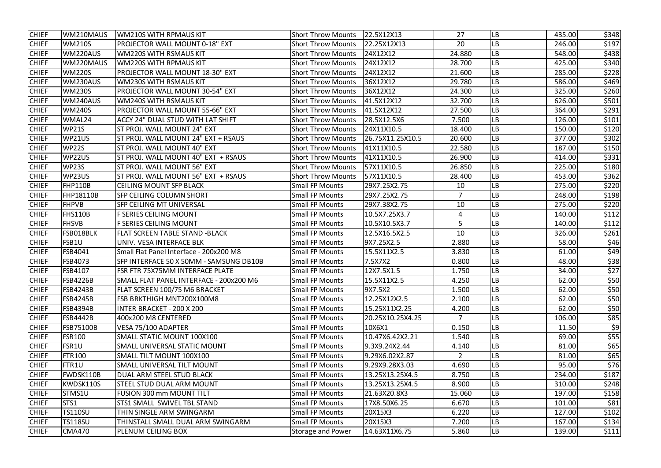| <b>CHIEF</b> | WM210MAUS          | <b>WM210S WITH RPMAUS KIT</b>           | <b>Short Throw Mounts</b> | 22.5X12X13       | 27            | LВ        | 435.00 | \$348 |
|--------------|--------------------|-----------------------------------------|---------------------------|------------------|---------------|-----------|--------|-------|
| <b>CHIEF</b> | <b>WM210S</b>      | <b>PROJECTOR WALL MOUNT 0-18" EXT</b>   | <b>Short Throw Mounts</b> | 22.25X12X13      | 20            | LB        | 246.00 | \$197 |
| <b>CHIEF</b> | WM220AUS           | <b>WM220S WITH RSMAUS KIT</b>           | <b>Short Throw Mounts</b> | 24X12X12         | 24.880        | LB        | 548.00 | \$438 |
| <b>CHIEF</b> | WM220MAUS          | <b>WM220S WITH RPMAUS KIT</b>           | <b>Short Throw Mounts</b> | 24X12X12         | 28.700        | LB        | 425.00 | \$340 |
| <b>CHIEF</b> | <b>WM220S</b>      | PROJECTOR WALL MOUNT 18-30" EXT         | <b>Short Throw Mounts</b> | 24X12X12         | 21.600        | LB        | 285.00 | \$228 |
| <b>CHIEF</b> | WM230AUS           | <b>WM230S WITH RSMAUS KIT</b>           | <b>Short Throw Mounts</b> | 36X12X12         | 29.780        | LB        | 586.00 | \$469 |
| <b>CHIEF</b> | <b>WM230S</b>      | <b>PROJECTOR WALL MOUNT 30-54" EXT</b>  | <b>Short Throw Mounts</b> | 36X12X12         | 24.300        | LB        | 325.00 | \$260 |
| <b>CHIEF</b> | WM240AUS           | <b>WM240S WITH RSMAUS KIT</b>           | <b>Short Throw Mounts</b> | 41.5X12X12       | 32.700        | LB        | 626.00 | \$501 |
| <b>CHIEF</b> | <b>WM240S</b>      | PROJECTOR WALL MOUNT 55-66" EXT         | <b>Short Throw Mounts</b> | 41.5X12X12       | 27.500        | LB        | 364.00 | \$291 |
| <b>CHIEF</b> | WMAL24             | ACCY 24" DUAL STUD WITH LAT SHIFT       | <b>Short Throw Mounts</b> | 28.5X12.5X6      | 7.500         | LB        | 126.00 | \$101 |
| <b>CHIEF</b> | <b>WP21S</b>       | ST PROJ. WALL MOUNT 24" EXT             | <b>Short Throw Mounts</b> | 24X11X10.5       | 18.400        | LB        | 150.00 | \$120 |
| <b>CHIEF</b> | WP21US             | ST PROJ. WALL MOUNT 24" EXT + RSAUS     | <b>Short Throw Mounts</b> | 26.75X11.25X10.5 | 20.600        | LB        | 377.00 | \$302 |
| <b>CHIEF</b> | <b>WP22S</b>       | ST PROJ. WALL MOUNT 40" EXT             | <b>Short Throw Mounts</b> | 41X11X10.5       | 22.580        | LВ        | 187.00 | \$150 |
| <b>CHIEF</b> | WP22US             | ST PROJ. WALL MOUNT 40" EXT + RSAUS     | <b>Short Throw Mounts</b> | 41X11X10.5       | 26.900        | LB        | 414.00 | \$331 |
| <b>CHIEF</b> | <b>WP23S</b>       | ST PROJ. WALL MOUNT 56" EXT             | <b>Short Throw Mounts</b> | 57X11X10.5       | 26.850        | LВ        | 225.00 | \$180 |
| <b>CHIEF</b> | WP23US             | ST PROJ. WALL MOUNT 56" EXT + RSAUS     | <b>Short Throw Mounts</b> | 57X11X10.5       | 28.400        | LВ        | 453.00 | \$362 |
| <b>CHIEF</b> | <b>FHP110B</b>     | <b>CEILING MOUNT SFP BLACK</b>          | <b>Small FP Mounts</b>    | 29X7.25X2.75     | 10            | LB        | 275.00 | \$220 |
| <b>CHIEF</b> | <b>FHP18110B</b>   | SFP CEILING COLUMN SHORT                | <b>Small FP Mounts</b>    | 29X7.25X2.75     | 7             | LB        | 248.00 | \$198 |
| <b>CHIEF</b> | <b>FHPVB</b>       | SFP CEILING MT UNIVERSAL                | <b>Small FP Mounts</b>    | 29X7.38X2.75     | 10            | LB        | 275.00 | \$220 |
| <b>CHIEF</b> | <b>FHS110B</b>     | <b>F SERIES CEILING MOUNT</b>           | <b>Small FP Mounts</b>    | 10.5X7.25X3.7    | 4             | LB        | 140.00 | \$112 |
| <b>CHIEF</b> | <b>FHSVB</b>       | <b>F SERIES CEILING MOUNT</b>           | <b>Small FP Mounts</b>    | 10.5X10.5X3.7    | 5             | LB        | 140.00 | \$112 |
| <b>CHIEF</b> | FSB018BLK          | <b>FLAT SCREEN TABLE STAND -BLACK</b>   | <b>Small FP Mounts</b>    | 12.5X16.5X2.5    | 10            | LB        | 326.00 | \$261 |
| <b>CHIEF</b> | FSB1U              | UNIV. VESA INTERFACE BLK                | <b>Small FP Mounts</b>    | 9X7.25X2.5       | 2.880         | LB        | 58.00  | \$46  |
| <b>CHIEF</b> | FSB4041            | Small Flat Panel Interface - 200x200 M8 | <b>Small FP Mounts</b>    | 15.5X11X2.5      | 3.830         | LB        | 61.00  | \$49  |
| <b>CHIEF</b> | FSB4073            | SFP INTERFACE 50 X 50MM - SAMSUNG DB10B | <b>Small FP Mounts</b>    | 7.5X7X2          | 0.800         | LB        | 48.00  | \$38  |
| <b>CHIEF</b> | <b>FSB4107</b>     | FSR FTR 75X75MM INTERFACE PLATE         | <b>Small FP Mounts</b>    | 12X7.5X1.5       | 1.750         | LB        | 34.00  | \$27  |
| <b>CHIEF</b> | <b>FSB4226B</b>    | SMALL FLAT PANEL INTERFACE - 200x200 M6 | <b>Small FP Mounts</b>    | 15.5X11X2.5      | 4.250         | <b>LB</b> | 62.00  | \$50  |
| <b>CHIEF</b> | <b>FSB4243B</b>    | FLAT SCREEN 100/75 M6 BRACKET           | <b>Small FP Mounts</b>    | 9X7.5X2          | 1.500         | LB        | 62.00  | \$50  |
| <b>CHIEF</b> | <b>FSB4245B</b>    | FSB BRKTHIGH MNT200X100M8               | <b>Small FP Mounts</b>    | 12.25X12X2.5     | 2.100         | LB        | 62.00  | \$50  |
| <b>CHIEF</b> | <b>FSB4394B</b>    | <b>INTER BRACKET - 200 X 200</b>        | <b>Small FP Mounts</b>    | 15.25X11X2.25    | 4.200         | LB        | 62.00  | \$50  |
| <b>CHIEF</b> | <b>FSB4442B</b>    | 400x200 M8 CENTERED                     | <b>Small FP Mounts</b>    | 20.25X10.25X4.25 |               | LB        | 106.00 | \$85  |
| <b>CHIEF</b> | <b>FSB75100B</b>   | VESA 75/100 ADAPTER                     | <b>Small FP Mounts</b>    | 10X6X1           | 0.150         | LB        | 11.50  | \$9   |
| <b>CHIEF</b> | <b>FSR100</b>      | SMALL STATIC MOUNT 100X100              | <b>Small FP Mounts</b>    | 10.47X6.42X2.21  | 1.540         | LВ        | 69.00  | \$55  |
| <b>CHIEF</b> | FSR1U              | SMALL UNIVERSAL STATIC MOUNT            | <b>Small FP Mounts</b>    | 9.3X9.24X2.44    | 4.140         | LВ        | 81.00  | \$65  |
| <b>CHIEF</b> | FTR <sub>100</sub> | SMALL TILT MOUNT 100X100                | <b>Small FP Mounts</b>    | 9.29X6.02X2.87   | $\mathcal{L}$ | LB        | 81.00  | \$65  |
| <b>CHIEF</b> | FTR1U              | SMALL UNIVERSAL TILT MOUNT              | <b>Small FP Mounts</b>    | 9.29X9.28X3.03   | 4.690         | LB        | 95.00  | \$76  |
| <b>CHIEF</b> | FWDSK110B          | DUAL ARM STEEL STUD BLACK               | <b>Small FP Mounts</b>    | 13.25X13.25X4.5  | 8.750         | LB        | 234.00 | \$187 |
| <b>CHIEF</b> | KWDSK110S          | STEEL STUD DUAL ARM MOUNT               | <b>Small FP Mounts</b>    | 13.25X13.25X4.5  | 8.900         | LВ        | 310.00 | \$248 |
| <b>CHIEF</b> | STMS1U             | <b>FUSION 300 mm MOUNT TILT</b>         | <b>Small FP Mounts</b>    | 21.63X20.8X3     | 15.060        | LВ        | 197.00 | \$158 |
| <b>CHIEF</b> | STS1               | STS1 SMALL SWIVEL TBL STAND             | <b>Small FP Mounts</b>    | 17X8.50X6.25     | 6.670         | LВ        | 101.00 | \$81  |
| <b>CHIEF</b> | <b>TS110SU</b>     | THIN SINGLE ARM SWINGARM                | <b>Small FP Mounts</b>    | 20X15X3          | 6.220         | LВ        | 127.00 | \$102 |
| <b>CHIEF</b> | <b>TS118SU</b>     | THINSTALL SMALL DUAL ARM SWINGARM       | <b>Small FP Mounts</b>    | 20X15X3          | 7.200         | LB        | 167.00 | \$134 |
| <b>CHIEF</b> | <b>CMA470</b>      | PLENUM CEILING BOX                      | <b>Storage and Power</b>  | 14.63X11X6.75    | 5.860         | LB        | 139.00 | \$111 |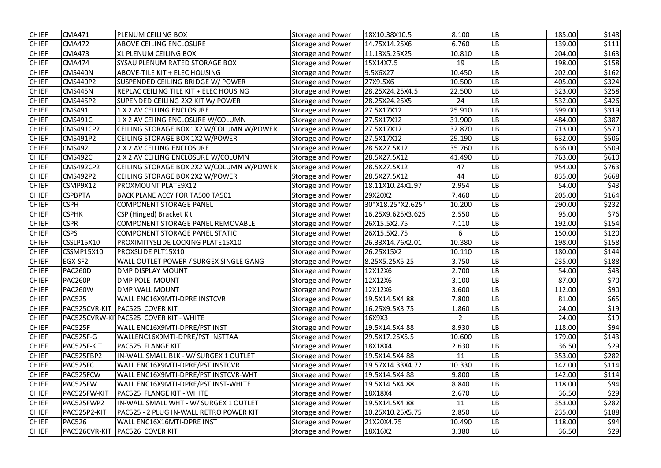| <b>CHIEF</b> | <b>CMA471</b>    | PLENUM CEILING BOX                       | <b>Storage and Power</b> | 18X10.38X10.5     | 8.100          | LВ        | 185.00 | \$148 |
|--------------|------------------|------------------------------------------|--------------------------|-------------------|----------------|-----------|--------|-------|
| <b>CHIEF</b> | <b>CMA472</b>    | <b>ABOVE CEILING ENCLOSURE</b>           | <b>Storage and Power</b> | 14.75X14.25X6     | 6.760          | LВ        | 139.00 | \$111 |
| <b>CHIEF</b> | CMA473           | XL PLENUM CEILING BOX                    | <b>Storage and Power</b> | 11.13X5.25X25     | 10.810         | LВ        | 204.00 | \$163 |
| <b>CHIEF</b> | <b>CMA474</b>    | SYSAU PLENUM RATED STORAGE BOX           | <b>Storage and Power</b> | 15X14X7.5         | 19             | LB        | 198.00 | \$158 |
| <b>CHIEF</b> | CMS440N          | <b>ABOVE-TILE KIT + ELEC HOUSING</b>     | <b>Storage and Power</b> | 9.5X6X27          | 10.450         | LB        | 202.00 | \$162 |
| <b>CHIEF</b> | <b>CMS440P2</b>  | SUSPENDED CEILING BRIDGE W/ POWER        | <b>Storage and Power</b> | 27X9.5X6          | 10.500         | LB        | 405.00 | \$324 |
| <b>CHIEF</b> | <b>CMS445N</b>   | REPLAC CEILING TILE KIT + ELEC HOUSING   | <b>Storage and Power</b> | 28.25X24.25X4.5   | 22.500         | LB        | 323.00 | \$258 |
| <b>CHIEF</b> | <b>CMS445P2</b>  | SUPENDED CEILING 2X2 KIT W/ POWER        | <b>Storage and Power</b> | 28.25X24.25X5     | 24             | LB        | 532.00 | \$426 |
| <b>CHIEF</b> | <b>CMS491</b>    | 1 X 2 AV CEILING ENCLOSURE               | <b>Storage and Power</b> | 27.5X17X12        | 25.910         | LB        | 399.00 | \$319 |
| <b>CHIEF</b> | <b>CMS491C</b>   | 1 X 2 AV CEIING ENCLOSURE W/COLUMN       | <b>Storage and Power</b> | 27.5X17X12        | 31.900         | LB        | 484.00 | \$387 |
| <b>CHIEF</b> | <b>CMS491CP2</b> | CEILING STORAGE BOX 1X2 W/COLUMN W/POWER | <b>Storage and Power</b> | 27.5X17X12        | 32.870         | LB        | 713.00 | \$570 |
| <b>CHIEF</b> | CMS491P2         | CEILING STORAGE BOX 1X2 W/POWER          | <b>Storage and Power</b> | 27.5X17X12        | 29.190         | LB        | 632.00 | \$506 |
| <b>CHIEF</b> | <b>CMS492</b>    | 2 X 2 AV CEILING ENCLOSURE               | <b>Storage and Power</b> | 28.5X27.5X12      | 35.760         | LB        | 636.00 | \$509 |
| <b>CHIEF</b> | <b>CMS492C</b>   | 2 X 2 AV CEILING ENCLOSURE W/COLUMN      | <b>Storage and Power</b> | 28.5X27.5X12      | 41.490         | LB        | 763.00 | \$610 |
| <b>CHIEF</b> | <b>CMS492CP2</b> | CEILING STORAGE BOX 2X2 W/COLUMN W/POWER | <b>Storage and Power</b> | 28.5X27.5X12      | 47             | LB        | 954.00 | \$763 |
| <b>CHIEF</b> | <b>CMS492P2</b>  | CEILING STORAGE BOX 2X2 W/POWER          | <b>Storage and Power</b> | 28.5X27.5X12      | 44             | -B        | 835.00 | \$668 |
| <b>CHIEF</b> | CSMP9X12         | PROXMOUNT PLATE9X12                      | <b>Storage and Power</b> | 18.11X10.24X1.97  | 2.954          | LB        | 54.00  | \$43  |
| <b>CHIEF</b> | <b>CSPBPTA</b>   | BACK PLANE ACCY FOR TA500 TA501          | <b>Storage and Power</b> | 29X20X2           | 7.460          | LB        | 205.00 | \$164 |
| <b>CHIEF</b> | <b>CSPH</b>      | <b>COMPONENT STORAGE PANEL</b>           | <b>Storage and Power</b> | 30"X18.25"X2.625" | 10.200         | LB        | 290.00 | \$232 |
| <b>CHIEF</b> | <b>CSPHK</b>     | CSP (Hinged) Bracket Kit                 | <b>Storage and Power</b> | 16.25X9.625X3.625 | 2.550          | LВ        | 95.00  | \$76  |
| <b>CHIEF</b> | <b>CSPR</b>      | COMPONENT STORAGE PANEL REMOVABLE        | <b>Storage and Power</b> | 26X15.5X2.75      | 7.110          | LB        | 192.00 | \$154 |
| <b>CHIEF</b> | <b>CSPS</b>      | COMPONENT STORAGE PANEL STATIC           | <b>Storage and Power</b> | 26X15.5X2.75      | 6              | LB        | 150.00 | \$120 |
| <b>CHIEF</b> | CSSLP15X10       | PROXIMITYSLIDE LOCKING PLATE15X10        | <b>Storage and Power</b> | 26.33X14.76X2.01  | 10.380         | LB        | 198.00 | \$158 |
| <b>CHIEF</b> | CSSMP15X10       | PROXSLIDE PLT15X10                       | <b>Storage and Power</b> | 26.25X15X2        | 10.110         | LB        | 180.00 | \$144 |
| <b>CHIEF</b> | EGX-SF2          | WALL OUTLET POWER / SURGEX SINGLE GANG   | <b>Storage and Power</b> | 8.25X5.25X5.25    | 3.750          | LB        | 235.00 | \$188 |
| <b>CHIEF</b> | <b>PAC260D</b>   | <b>DMP DISPLAY MOUNT</b>                 | <b>Storage and Power</b> | 12X12X6           | 2.700          | LВ        | 54.00  | \$43  |
| <b>CHIEF</b> | PAC260P          | DMP POLE MOUNT                           | <b>Storage and Power</b> | 12X12X6           | 3.100          | <b>LB</b> | 87.00  | \$70  |
| <b>CHIEF</b> | PAC260W          | <b>DMP WALL MOUNT</b>                    | <b>Storage and Power</b> | 12X12X6           | 3.600          | LB        | 112.00 | \$90  |
| <b>CHIEF</b> | <b>PAC525</b>    | WALL ENC16X9MTI-DPRE INSTCVR             | Storage and Power        | 19.5X14.5X4.88    | 7.800          | LВ        | 81.00  | \$65  |
| <b>CHIEF</b> |                  | PAC525CVR-KIT   PAC525 COVER KIT         | <b>Storage and Power</b> | 16.25X9.5X3.75    | 1.860          | LB        | 24.00  | \$19  |
| <b>CHIEF</b> |                  | PAC525CVRW-KITPAC525 COVER KIT - WHITE   | <b>Storage and Power</b> | 16X9X3            | $\overline{2}$ | LB        | 24.00  | \$19  |
| <b>CHIEF</b> | PAC525F          | WALL ENC16X9MTI-DPRE/PST INST            | <b>Storage and Power</b> | 19.5X14.5X4.88    | 8.930          | LВ        | 118.00 | \$94  |
| <b>CHIEF</b> | PAC525F-G        | WALLENC16X9MTI-DPRE/PST INSTTAA          | <b>Storage and Power</b> | 29.5X17.25X5.5    | 10.600         | LB        | 179.00 | \$143 |
| <b>CHIEF</b> | PAC525F-KIT      | PAC525 FLANGE KIT                        | <b>Storage and Power</b> | 18X18X4           | 2.630          | LВ        | 36.50  | \$29  |
| <b>CHIEF</b> | PAC525FBP2       | IN-WALL SMALL BLK - W/ SURGEX 1 OUTLET   | <b>Storage and Power</b> | 19.5X14.5X4.88    | 11             | LB        | 353.00 | \$282 |
| <b>CHIEF</b> | PAC525FC         | WALL ENC16X9MTI-DPRE/PST INSTCVR         | <b>Storage and Power</b> | 19.57X14.33X4.72  | 10.330         | LB        | 142.00 | \$114 |
| <b>CHIEF</b> | PAC525FCW        | WALL ENC16X9MTI-DPRE/PST INSTCVR-WHT     | <b>Storage and Power</b> | 19.5X14.5X4.88    | 9.800          | LB        | 142.00 | \$114 |
| <b>CHIEF</b> | PAC525FW         | WALL ENC16X9MTI-DPRE/PST INST-WHITE      | <b>Storage and Power</b> | 19.5X14.5X4.88    | 8.840          | <b>LB</b> | 118.00 | \$94  |
| <b>CHIEF</b> | PAC525FW-KIT     | PAC525 FLANGE KIT - WHITE                | <b>Storage and Power</b> | 18X18X4           | 2.670          | LB        | 36.50  | \$29  |
| <b>CHIEF</b> | PAC525FWP2       | IN-WALL SMALL WHT - W/ SURGEX 1 OUTLET   | <b>Storage and Power</b> | 19.5X14.5X4.88    | 11             | LB        | 353.00 | \$282 |
| <b>CHIEF</b> | PAC525P2-KIT     | PAC525 - 2 PLUG IN-WALL RETRO POWER KIT  | <b>Storage and Power</b> | 10.25X10.25X5.75  | 2.850          | LВ        | 235.00 | \$188 |
| <b>CHIEF</b> | <b>PAC526</b>    | WALL ENC16X16MTI-DPRE INST               | <b>Storage and Power</b> | 21X20X4.75        | 10.490         | LB        | 118.00 | \$94  |
| <b>CHIEF</b> |                  | PAC526CVR-KIT   PAC526 COVER KIT         | <b>Storage and Power</b> | 18X16X2           | 3.380          | LB        | 36.50  | \$29  |
|              |                  |                                          |                          |                   |                |           |        |       |